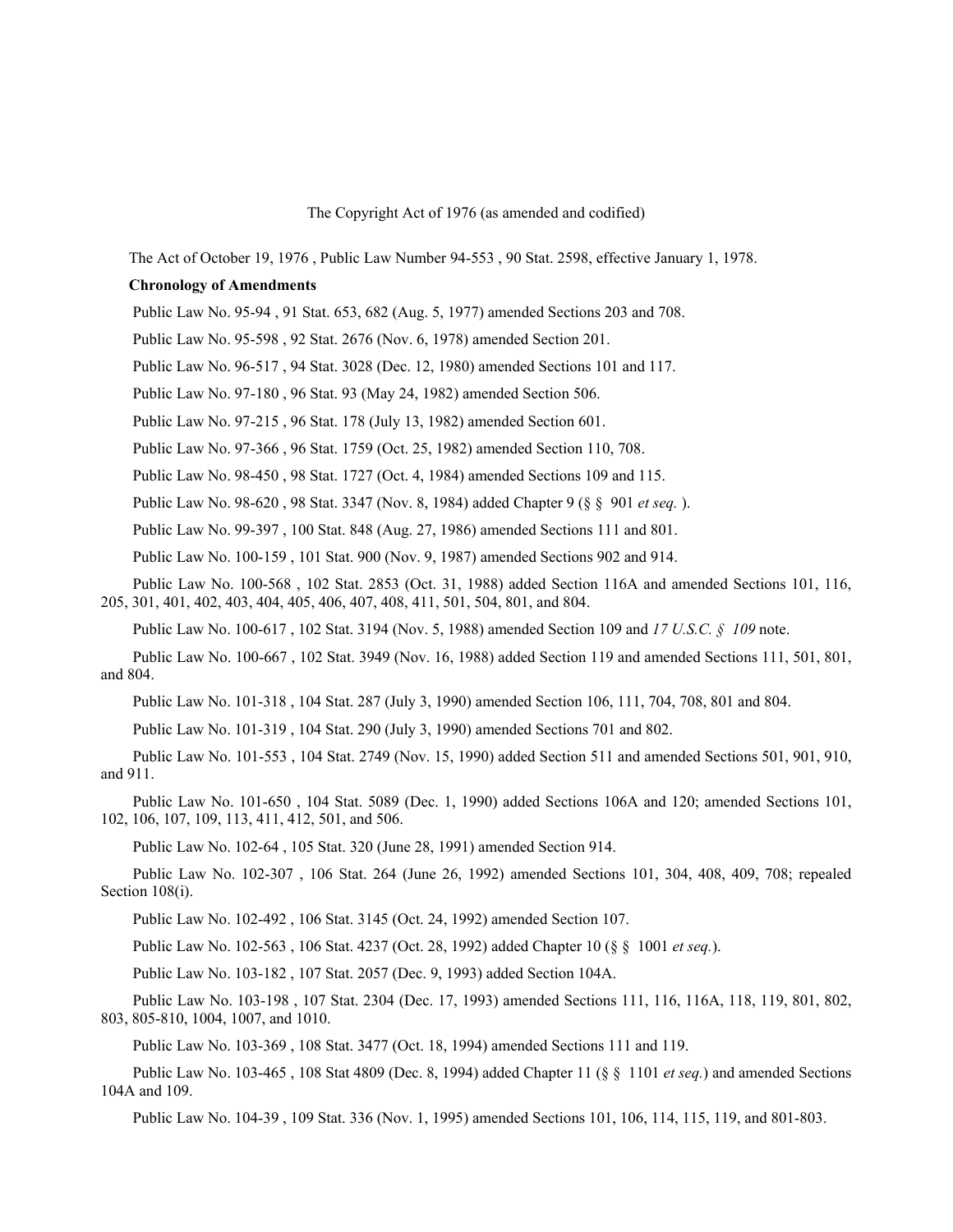The Copyright Act of 1976 (as amended and codified)

The Act of October 19, 1976 , Public Law Number 94-553 , 90 Stat. 2598, effective January 1, 1978.

## **Chronology of Amendments**

Public Law No. 95-94 , 91 Stat. 653, 682 (Aug. 5, 1977) amended Sections 203 and 708.

Public Law No. 95-598 , 92 Stat. 2676 (Nov. 6, 1978) amended Section 201.

Public Law No. 96-517 , 94 Stat. 3028 (Dec. 12, 1980) amended Sections 101 and 117.

Public Law No. 97-180 , 96 Stat. 93 (May 24, 1982) amended Section 506.

Public Law No. 97-215 , 96 Stat. 178 (July 13, 1982) amended Section 601.

Public Law No. 97-366 , 96 Stat. 1759 (Oct. 25, 1982) amended Section 110, 708.

Public Law No. 98-450 , 98 Stat. 1727 (Oct. 4, 1984) amended Sections 109 and 115.

Public Law No. 98-620 , 98 Stat. 3347 (Nov. 8, 1984) added Chapter 9 (§ § 901 *et seq.* ).

Public Law No. 99-397 , 100 Stat. 848 (Aug. 27, 1986) amended Sections 111 and 801.

Public Law No. 100-159 , 101 Stat. 900 (Nov. 9, 1987) amended Sections 902 and 914.

 Public Law No. 100-568 , 102 Stat. 2853 (Oct. 31, 1988) added Section 116A and amended Sections 101, 116, 205, 301, 401, 402, 403, 404, 405, 406, 407, 408, 411, 501, 504, 801, and 804.

Public Law No. 100-617 , 102 Stat. 3194 (Nov. 5, 1988) amended Section 109 and *17 U.S.C. § 109* note.

 Public Law No. 100-667 , 102 Stat. 3949 (Nov. 16, 1988) added Section 119 and amended Sections 111, 501, 801, and 804.

Public Law No. 101-318 , 104 Stat. 287 (July 3, 1990) amended Section 106, 111, 704, 708, 801 and 804.

Public Law No. 101-319 , 104 Stat. 290 (July 3, 1990) amended Sections 701 and 802.

 Public Law No. 101-553 , 104 Stat. 2749 (Nov. 15, 1990) added Section 511 and amended Sections 501, 901, 910, and 911.

 Public Law No. 101-650 , 104 Stat. 5089 (Dec. 1, 1990) added Sections 106A and 120; amended Sections 101, 102, 106, 107, 109, 113, 411, 412, 501, and 506.

Public Law No. 102-64 , 105 Stat. 320 (June 28, 1991) amended Section 914.

 Public Law No. 102-307 , 106 Stat. 264 (June 26, 1992) amended Sections 101, 304, 408, 409, 708; repealed Section 108(i).

Public Law No. 102-492 , 106 Stat. 3145 (Oct. 24, 1992) amended Section 107.

Public Law No. 102-563 , 106 Stat. 4237 (Oct. 28, 1992) added Chapter 10 (§ § 1001 *et seq.*).

Public Law No. 103-182 , 107 Stat. 2057 (Dec. 9, 1993) added Section 104A.

 Public Law No. 103-198 , 107 Stat. 2304 (Dec. 17, 1993) amended Sections 111, 116, 116A, 118, 119, 801, 802, 803, 805-810, 1004, 1007, and 1010.

Public Law No. 103-369 , 108 Stat. 3477 (Oct. 18, 1994) amended Sections 111 and 119.

 Public Law No. 103-465 , 108 Stat 4809 (Dec. 8, 1994) added Chapter 11 (§ § 1101 *et seq.*) and amended Sections 104A and 109.

Public Law No. 104-39 , 109 Stat. 336 (Nov. 1, 1995) amended Sections 101, 106, 114, 115, 119, and 801-803.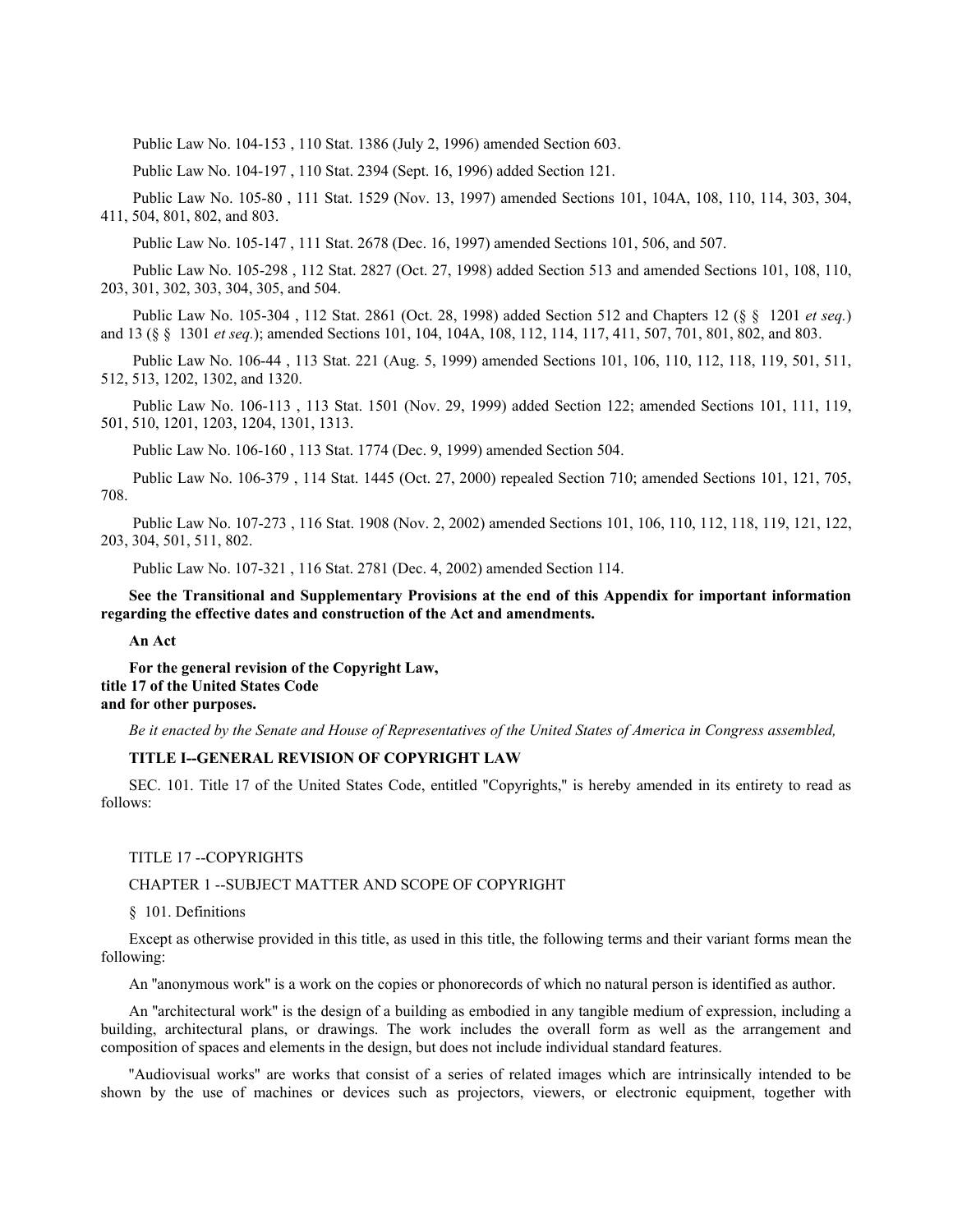Public Law No. 104-153 , 110 Stat. 1386 (July 2, 1996) amended Section 603.

Public Law No. 104-197 , 110 Stat. 2394 (Sept. 16, 1996) added Section 121.

 Public Law No. 105-80 , 111 Stat. 1529 (Nov. 13, 1997) amended Sections 101, 104A, 108, 110, 114, 303, 304, 411, 504, 801, 802, and 803.

Public Law No. 105-147 , 111 Stat. 2678 (Dec. 16, 1997) amended Sections 101, 506, and 507.

 Public Law No. 105-298 , 112 Stat. 2827 (Oct. 27, 1998) added Section 513 and amended Sections 101, 108, 110, 203, 301, 302, 303, 304, 305, and 504.

 Public Law No. 105-304 , 112 Stat. 2861 (Oct. 28, 1998) added Section 512 and Chapters 12 (§ § 1201 *et seq.*) and 13 (§ § 1301 *et seq.*); amended Sections 101, 104, 104A, 108, 112, 114, 117, 411, 507, 701, 801, 802, and 803.

 Public Law No. 106-44 , 113 Stat. 221 (Aug. 5, 1999) amended Sections 101, 106, 110, 112, 118, 119, 501, 511, 512, 513, 1202, 1302, and 1320.

 Public Law No. 106-113 , 113 Stat. 1501 (Nov. 29, 1999) added Section 122; amended Sections 101, 111, 119, 501, 510, 1201, 1203, 1204, 1301, 1313.

Public Law No. 106-160 , 113 Stat. 1774 (Dec. 9, 1999) amended Section 504.

 Public Law No. 106-379 , 114 Stat. 1445 (Oct. 27, 2000) repealed Section 710; amended Sections 101, 121, 705, 708.

 Public Law No. 107-273 , 116 Stat. 1908 (Nov. 2, 2002) amended Sections 101, 106, 110, 112, 118, 119, 121, 122, 203, 304, 501, 511, 802.

Public Law No. 107-321 , 116 Stat. 2781 (Dec. 4, 2002) amended Section 114.

**See the Transitional and Supplementary Provisions at the end of this Appendix for important information regarding the effective dates and construction of the Act and amendments.**

**An Act**

**For the general revision of the Copyright Law, title 17 of the United States Code and for other purposes.**

*Be it enacted by the Senate and House of Representatives of the United States of America in Congress assembled,*

# **TITLE I--GENERAL REVISION OF COPYRIGHT LAW**

SEC. 101. Title 17 of the United States Code, entitled ''Copyrights,'' is hereby amended in its entirety to read as follows:

## TITLE 17 --COPYRIGHTS

# CHAPTER 1 --SUBJECT MATTER AND SCOPE OF COPYRIGHT

§ 101. Definitions

Except as otherwise provided in this title, as used in this title, the following terms and their variant forms mean the following:

An ''anonymous work'' is a work on the copies or phonorecords of which no natural person is identified as author.

An "architectural work" is the design of a building as embodied in any tangible medium of expression, including a building, architectural plans, or drawings. The work includes the overall form as well as the arrangement and composition of spaces and elements in the design, but does not include individual standard features.

''Audiovisual works'' are works that consist of a series of related images which are intrinsically intended to be shown by the use of machines or devices such as projectors, viewers, or electronic equipment, together with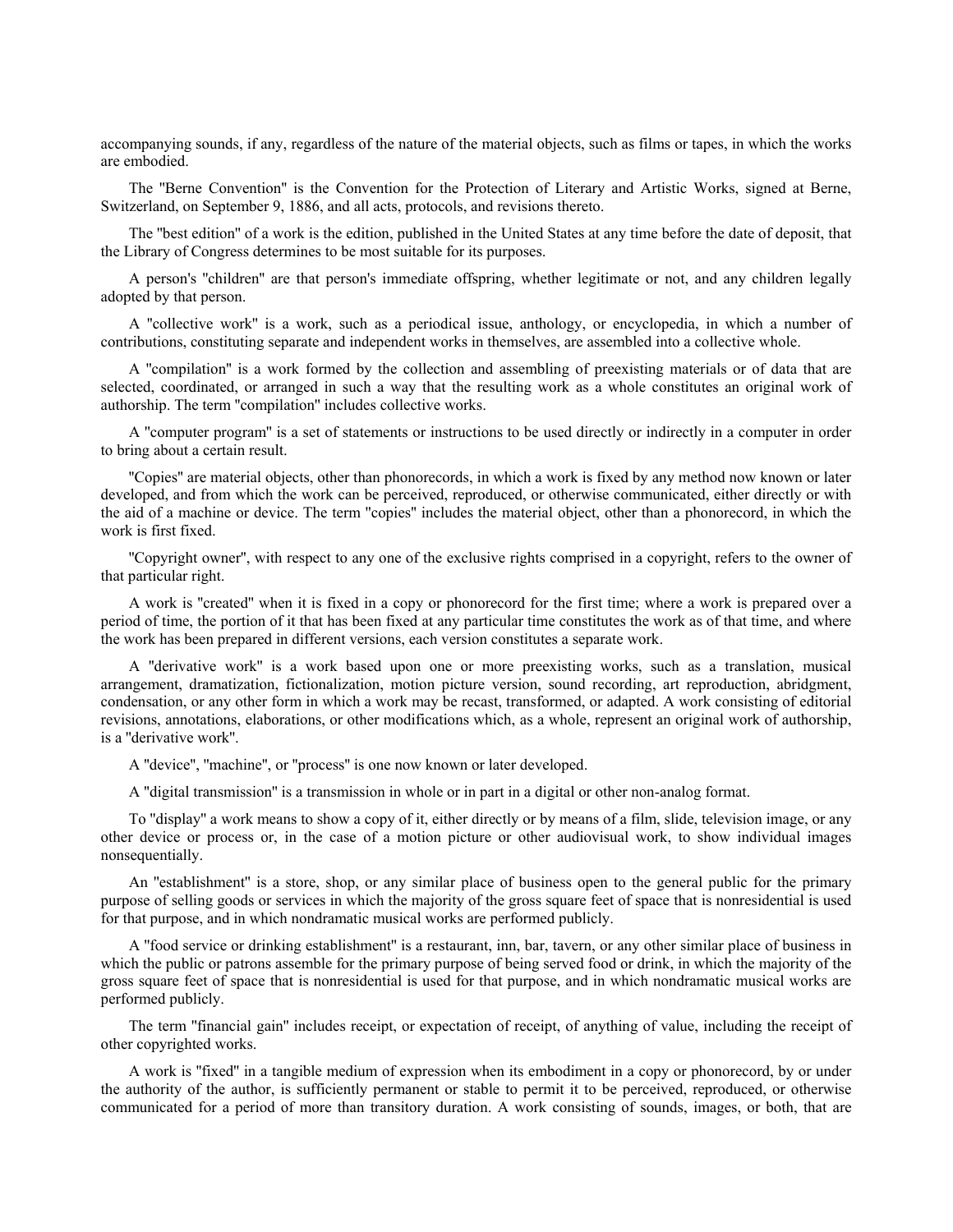accompanying sounds, if any, regardless of the nature of the material objects, such as films or tapes, in which the works are embodied.

The ''Berne Convention'' is the Convention for the Protection of Literary and Artistic Works, signed at Berne, Switzerland, on September 9, 1886, and all acts, protocols, and revisions thereto.

The ''best edition'' of a work is the edition, published in the United States at any time before the date of deposit, that the Library of Congress determines to be most suitable for its purposes.

A person's ''children'' are that person's immediate offspring, whether legitimate or not, and any children legally adopted by that person.

A ''collective work'' is a work, such as a periodical issue, anthology, or encyclopedia, in which a number of contributions, constituting separate and independent works in themselves, are assembled into a collective whole.

A ''compilation'' is a work formed by the collection and assembling of preexisting materials or of data that are selected, coordinated, or arranged in such a way that the resulting work as a whole constitutes an original work of authorship. The term ''compilation'' includes collective works.

A ''computer program'' is a set of statements or instructions to be used directly or indirectly in a computer in order to bring about a certain result.

''Copies'' are material objects, other than phonorecords, in which a work is fixed by any method now known or later developed, and from which the work can be perceived, reproduced, or otherwise communicated, either directly or with the aid of a machine or device. The term ''copies'' includes the material object, other than a phonorecord, in which the work is first fixed.

''Copyright owner'', with respect to any one of the exclusive rights comprised in a copyright, refers to the owner of that particular right.

A work is ''created'' when it is fixed in a copy or phonorecord for the first time; where a work is prepared over a period of time, the portion of it that has been fixed at any particular time constitutes the work as of that time, and where the work has been prepared in different versions, each version constitutes a separate work.

A ''derivative work'' is a work based upon one or more preexisting works, such as a translation, musical arrangement, dramatization, fictionalization, motion picture version, sound recording, art reproduction, abridgment, condensation, or any other form in which a work may be recast, transformed, or adapted. A work consisting of editorial revisions, annotations, elaborations, or other modifications which, as a whole, represent an original work of authorship, is a ''derivative work''.

A ''device'', ''machine'', or ''process'' is one now known or later developed.

A ''digital transmission'' is a transmission in whole or in part in a digital or other non-analog format.

To ''display'' a work means to show a copy of it, either directly or by means of a film, slide, television image, or any other device or process or, in the case of a motion picture or other audiovisual work, to show individual images nonsequentially.

An "establishment" is a store, shop, or any similar place of business open to the general public for the primary purpose of selling goods or services in which the majority of the gross square feet of space that is nonresidential is used for that purpose, and in which nondramatic musical works are performed publicly.

A ''food service or drinking establishment'' is a restaurant, inn, bar, tavern, or any other similar place of business in which the public or patrons assemble for the primary purpose of being served food or drink, in which the majority of the gross square feet of space that is nonresidential is used for that purpose, and in which nondramatic musical works are performed publicly.

The term ''financial gain'' includes receipt, or expectation of receipt, of anything of value, including the receipt of other copyrighted works.

A work is ''fixed'' in a tangible medium of expression when its embodiment in a copy or phonorecord, by or under the authority of the author, is sufficiently permanent or stable to permit it to be perceived, reproduced, or otherwise communicated for a period of more than transitory duration. A work consisting of sounds, images, or both, that are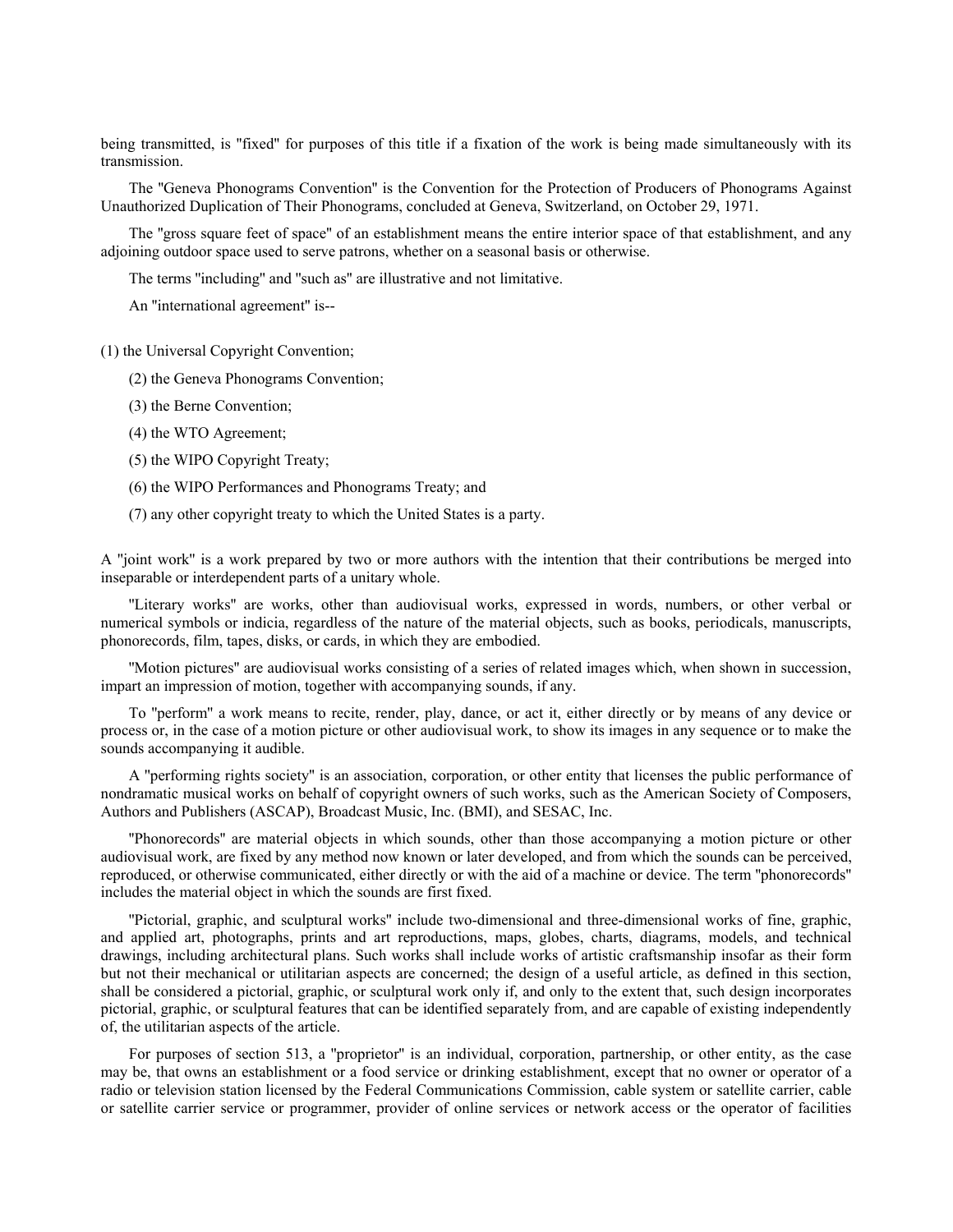being transmitted, is ''fixed'' for purposes of this title if a fixation of the work is being made simultaneously with its transmission.

The ''Geneva Phonograms Convention'' is the Convention for the Protection of Producers of Phonograms Against Unauthorized Duplication of Their Phonograms, concluded at Geneva, Switzerland, on October 29, 1971.

The ''gross square feet of space'' of an establishment means the entire interior space of that establishment, and any adjoining outdoor space used to serve patrons, whether on a seasonal basis or otherwise.

The terms ''including'' and ''such as'' are illustrative and not limitative.

An ''international agreement'' is--

(1) the Universal Copyright Convention;

(2) the Geneva Phonograms Convention;

(3) the Berne Convention;

(4) the WTO Agreement;

(5) the WIPO Copyright Treaty;

(6) the WIPO Performances and Phonograms Treaty; and

(7) any other copyright treaty to which the United States is a party.

A ''joint work'' is a work prepared by two or more authors with the intention that their contributions be merged into inseparable or interdependent parts of a unitary whole.

''Literary works'' are works, other than audiovisual works, expressed in words, numbers, or other verbal or numerical symbols or indicia, regardless of the nature of the material objects, such as books, periodicals, manuscripts, phonorecords, film, tapes, disks, or cards, in which they are embodied.

''Motion pictures'' are audiovisual works consisting of a series of related images which, when shown in succession, impart an impression of motion, together with accompanying sounds, if any.

To ''perform'' a work means to recite, render, play, dance, or act it, either directly or by means of any device or process or, in the case of a motion picture or other audiovisual work, to show its images in any sequence or to make the sounds accompanying it audible.

A ''performing rights society'' is an association, corporation, or other entity that licenses the public performance of nondramatic musical works on behalf of copyright owners of such works, such as the American Society of Composers, Authors and Publishers (ASCAP), Broadcast Music, Inc. (BMI), and SESAC, Inc.

''Phonorecords'' are material objects in which sounds, other than those accompanying a motion picture or other audiovisual work, are fixed by any method now known or later developed, and from which the sounds can be perceived, reproduced, or otherwise communicated, either directly or with the aid of a machine or device. The term ''phonorecords'' includes the material object in which the sounds are first fixed.

''Pictorial, graphic, and sculptural works'' include two-dimensional and three-dimensional works of fine, graphic, and applied art, photographs, prints and art reproductions, maps, globes, charts, diagrams, models, and technical drawings, including architectural plans. Such works shall include works of artistic craftsmanship insofar as their form but not their mechanical or utilitarian aspects are concerned; the design of a useful article, as defined in this section, shall be considered a pictorial, graphic, or sculptural work only if, and only to the extent that, such design incorporates pictorial, graphic, or sculptural features that can be identified separately from, and are capable of existing independently of, the utilitarian aspects of the article.

For purposes of section 513, a ''proprietor'' is an individual, corporation, partnership, or other entity, as the case may be, that owns an establishment or a food service or drinking establishment, except that no owner or operator of a radio or television station licensed by the Federal Communications Commission, cable system or satellite carrier, cable or satellite carrier service or programmer, provider of online services or network access or the operator of facilities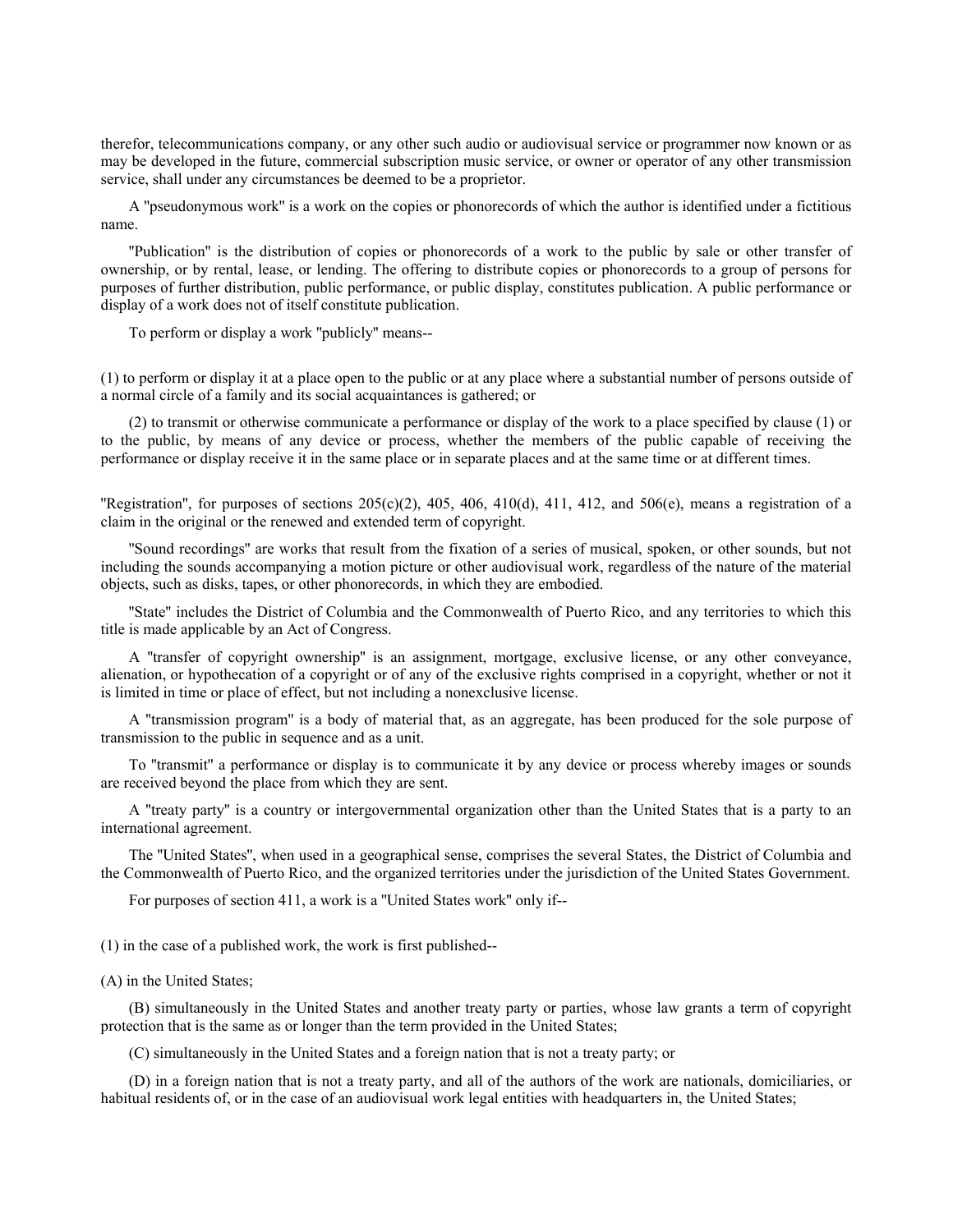therefor, telecommunications company, or any other such audio or audiovisual service or programmer now known or as may be developed in the future, commercial subscription music service, or owner or operator of any other transmission service, shall under any circumstances be deemed to be a proprietor.

A ''pseudonymous work'' is a work on the copies or phonorecords of which the author is identified under a fictitious name.

''Publication'' is the distribution of copies or phonorecords of a work to the public by sale or other transfer of ownership, or by rental, lease, or lending. The offering to distribute copies or phonorecords to a group of persons for purposes of further distribution, public performance, or public display, constitutes publication. A public performance or display of a work does not of itself constitute publication.

To perform or display a work ''publicly'' means--

(1) to perform or display it at a place open to the public or at any place where a substantial number of persons outside of a normal circle of a family and its social acquaintances is gathered; or

(2) to transmit or otherwise communicate a performance or display of the work to a place specified by clause (1) or to the public, by means of any device or process, whether the members of the public capable of receiving the performance or display receive it in the same place or in separate places and at the same time or at different times.

"Registration", for purposes of sections  $205(c)(2)$ ,  $405$ ,  $406$ ,  $410(d)$ ,  $411$ ,  $412$ , and  $506(e)$ , means a registration of a claim in the original or the renewed and extended term of copyright.

''Sound recordings'' are works that result from the fixation of a series of musical, spoken, or other sounds, but not including the sounds accompanying a motion picture or other audiovisual work, regardless of the nature of the material objects, such as disks, tapes, or other phonorecords, in which they are embodied.

''State'' includes the District of Columbia and the Commonwealth of Puerto Rico, and any territories to which this title is made applicable by an Act of Congress.

A ''transfer of copyright ownership'' is an assignment, mortgage, exclusive license, or any other conveyance, alienation, or hypothecation of a copyright or of any of the exclusive rights comprised in a copyright, whether or not it is limited in time or place of effect, but not including a nonexclusive license.

A ''transmission program'' is a body of material that, as an aggregate, has been produced for the sole purpose of transmission to the public in sequence and as a unit.

To ''transmit'' a performance or display is to communicate it by any device or process whereby images or sounds are received beyond the place from which they are sent.

A ''treaty party'' is a country or intergovernmental organization other than the United States that is a party to an international agreement.

The ''United States'', when used in a geographical sense, comprises the several States, the District of Columbia and the Commonwealth of Puerto Rico, and the organized territories under the jurisdiction of the United States Government.

For purposes of section 411, a work is a ''United States work'' only if--

(1) in the case of a published work, the work is first published--

#### (A) in the United States;

(B) simultaneously in the United States and another treaty party or parties, whose law grants a term of copyright protection that is the same as or longer than the term provided in the United States;

(C) simultaneously in the United States and a foreign nation that is not a treaty party; or

(D) in a foreign nation that is not a treaty party, and all of the authors of the work are nationals, domiciliaries, or habitual residents of, or in the case of an audiovisual work legal entities with headquarters in, the United States;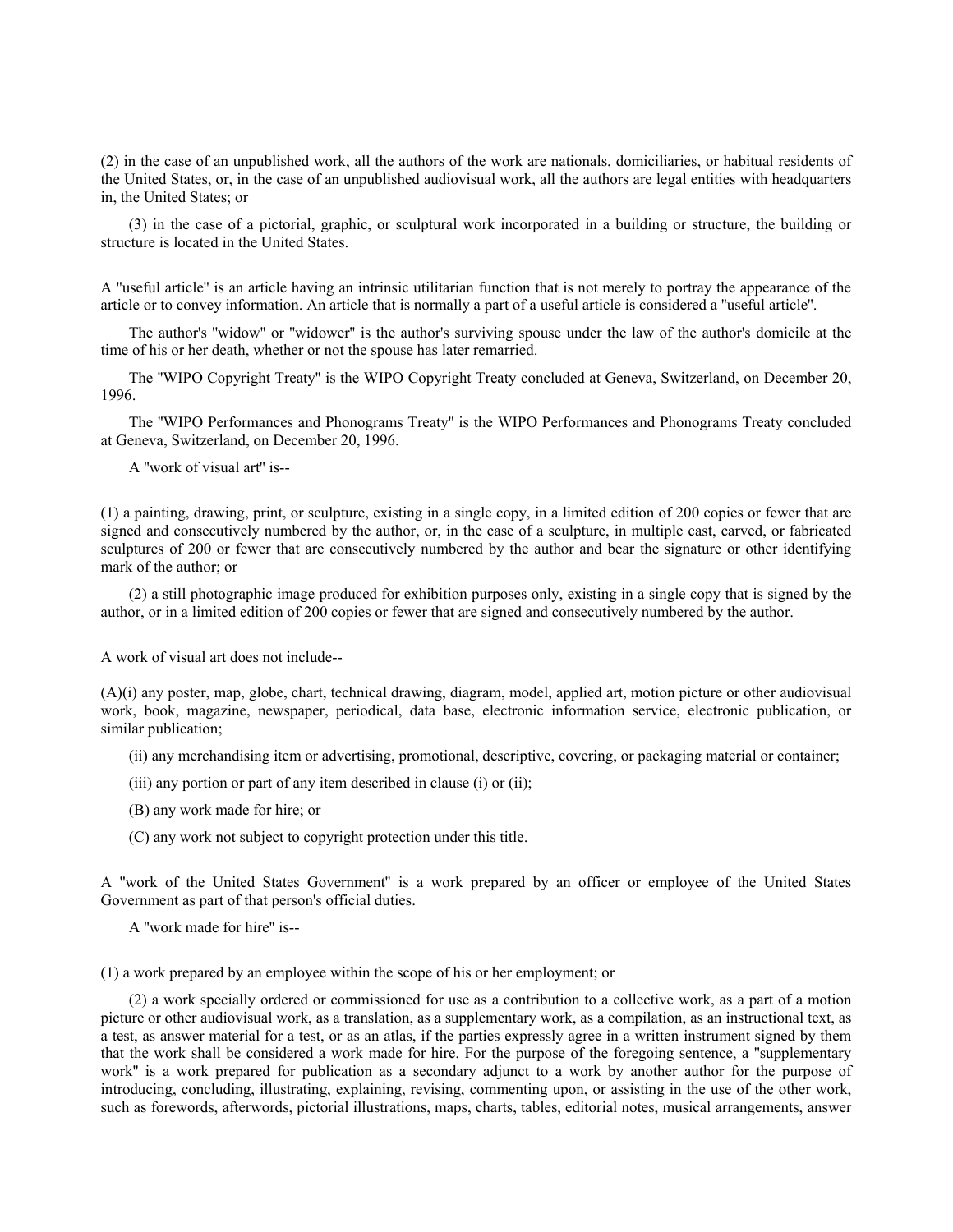(2) in the case of an unpublished work, all the authors of the work are nationals, domiciliaries, or habitual residents of the United States, or, in the case of an unpublished audiovisual work, all the authors are legal entities with headquarters in, the United States; or

(3) in the case of a pictorial, graphic, or sculptural work incorporated in a building or structure, the building or structure is located in the United States.

A ''useful article'' is an article having an intrinsic utilitarian function that is not merely to portray the appearance of the article or to convey information. An article that is normally a part of a useful article is considered a ''useful article''.

The author's ''widow'' or ''widower'' is the author's surviving spouse under the law of the author's domicile at the time of his or her death, whether or not the spouse has later remarried.

The ''WIPO Copyright Treaty'' is the WIPO Copyright Treaty concluded at Geneva, Switzerland, on December 20, 1996.

The ''WIPO Performances and Phonograms Treaty'' is the WIPO Performances and Phonograms Treaty concluded at Geneva, Switzerland, on December 20, 1996.

A ''work of visual art'' is--

(1) a painting, drawing, print, or sculpture, existing in a single copy, in a limited edition of 200 copies or fewer that are signed and consecutively numbered by the author, or, in the case of a sculpture, in multiple cast, carved, or fabricated sculptures of 200 or fewer that are consecutively numbered by the author and bear the signature or other identifying mark of the author; or

(2) a still photographic image produced for exhibition purposes only, existing in a single copy that is signed by the author, or in a limited edition of 200 copies or fewer that are signed and consecutively numbered by the author.

A work of visual art does not include--

(A)(i) any poster, map, globe, chart, technical drawing, diagram, model, applied art, motion picture or other audiovisual work, book, magazine, newspaper, periodical, data base, electronic information service, electronic publication, or similar publication;

- (ii) any merchandising item or advertising, promotional, descriptive, covering, or packaging material or container;
- (iii) any portion or part of any item described in clause (i) or (ii);
- (B) any work made for hire; or
- (C) any work not subject to copyright protection under this title.

A ''work of the United States Government'' is a work prepared by an officer or employee of the United States Government as part of that person's official duties.

A ''work made for hire'' is--

(1) a work prepared by an employee within the scope of his or her employment; or

(2) a work specially ordered or commissioned for use as a contribution to a collective work, as a part of a motion picture or other audiovisual work, as a translation, as a supplementary work, as a compilation, as an instructional text, as a test, as answer material for a test, or as an atlas, if the parties expressly agree in a written instrument signed by them that the work shall be considered a work made for hire. For the purpose of the foregoing sentence, a ''supplementary work'' is a work prepared for publication as a secondary adjunct to a work by another author for the purpose of introducing, concluding, illustrating, explaining, revising, commenting upon, or assisting in the use of the other work, such as forewords, afterwords, pictorial illustrations, maps, charts, tables, editorial notes, musical arrangements, answer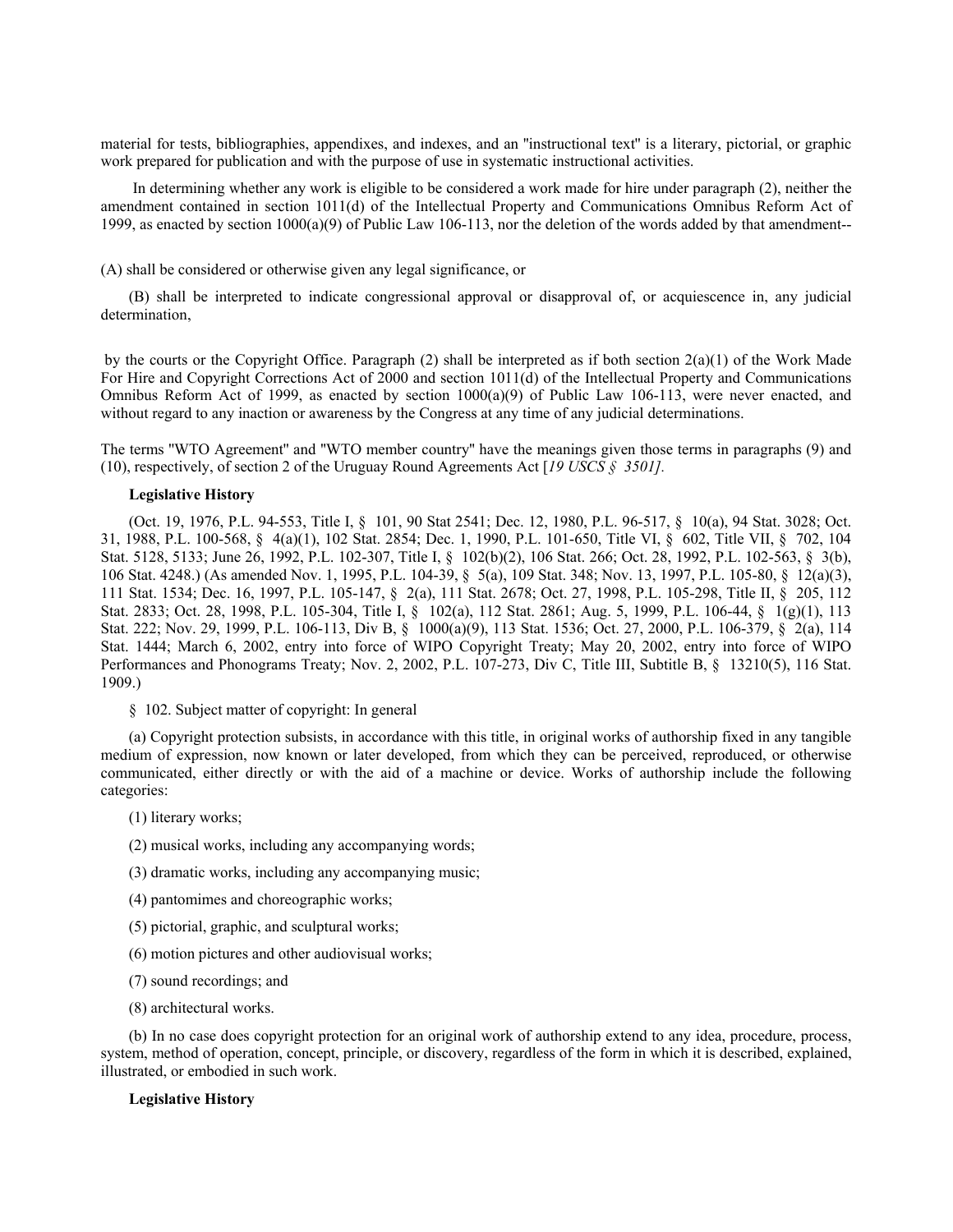material for tests, bibliographies, appendixes, and indexes, and an ''instructional text'' is a literary, pictorial, or graphic work prepared for publication and with the purpose of use in systematic instructional activities.

 In determining whether any work is eligible to be considered a work made for hire under paragraph (2), neither the amendment contained in section 1011(d) of the Intellectual Property and Communications Omnibus Reform Act of 1999, as enacted by section  $1000(a)(9)$  of Public Law 106-113, nor the deletion of the words added by that amendment--

(A) shall be considered or otherwise given any legal significance, or

(B) shall be interpreted to indicate congressional approval or disapproval of, or acquiescence in, any judicial determination,

 by the courts or the Copyright Office. Paragraph (2) shall be interpreted as if both section 2(a)(1) of the Work Made For Hire and Copyright Corrections Act of 2000 and section 1011(d) of the Intellectual Property and Communications Omnibus Reform Act of 1999, as enacted by section  $1000(a)(9)$  of Public Law 106-113, were never enacted, and without regard to any inaction or awareness by the Congress at any time of any judicial determinations.

The terms ''WTO Agreement'' and ''WTO member country'' have the meanings given those terms in paragraphs (9) and (10), respectively, of section 2 of the Uruguay Round Agreements Act [*19 USCS § 3501].*

## **Legislative History**

(Oct. 19, 1976, P.L. 94-553, Title I, § 101, 90 Stat 2541; Dec. 12, 1980, P.L. 96-517, § 10(a), 94 Stat. 3028; Oct. 31, 1988, P.L. 100-568, § 4(a)(1), 102 Stat. 2854; Dec. 1, 1990, P.L. 101-650, Title VI, § 602, Title VII, § 702, 104 Stat. 5128, 5133; June 26, 1992, P.L. 102-307, Title I, § 102(b)(2), 106 Stat. 266; Oct. 28, 1992, P.L. 102-563, § 3(b), 106 Stat. 4248.) (As amended Nov. 1, 1995, P.L. 104-39, § 5(a), 109 Stat. 348; Nov. 13, 1997, P.L. 105-80, § 12(a)(3), 111 Stat. 1534; Dec. 16, 1997, P.L. 105-147, § 2(a), 111 Stat. 2678; Oct. 27, 1998, P.L. 105-298, Title II, § 205, 112 Stat. 2833; Oct. 28, 1998, P.L. 105-304, Title I, § 102(a), 112 Stat. 2861; Aug. 5, 1999, P.L. 106-44, § 1(g)(1), 113 Stat. 222; Nov. 29, 1999, P.L. 106-113, Div B, § 1000(a)(9), 113 Stat. 1536; Oct. 27, 2000, P.L. 106-379, § 2(a), 114 Stat. 1444; March 6, 2002, entry into force of WIPO Copyright Treaty; May 20, 2002, entry into force of WIPO Performances and Phonograms Treaty; Nov. 2, 2002, P.L. 107-273, Div C, Title III, Subtitle B, § 13210(5), 116 Stat. 1909.)

§ 102. Subject matter of copyright: In general

(a) Copyright protection subsists, in accordance with this title, in original works of authorship fixed in any tangible medium of expression, now known or later developed, from which they can be perceived, reproduced, or otherwise communicated, either directly or with the aid of a machine or device. Works of authorship include the following categories:

- (1) literary works;
- (2) musical works, including any accompanying words;
- (3) dramatic works, including any accompanying music;
- (4) pantomimes and choreographic works;
- (5) pictorial, graphic, and sculptural works;
- (6) motion pictures and other audiovisual works;
- (7) sound recordings; and
- (8) architectural works.

(b) In no case does copyright protection for an original work of authorship extend to any idea, procedure, process, system, method of operation, concept, principle, or discovery, regardless of the form in which it is described, explained, illustrated, or embodied in such work.

### **Legislative History**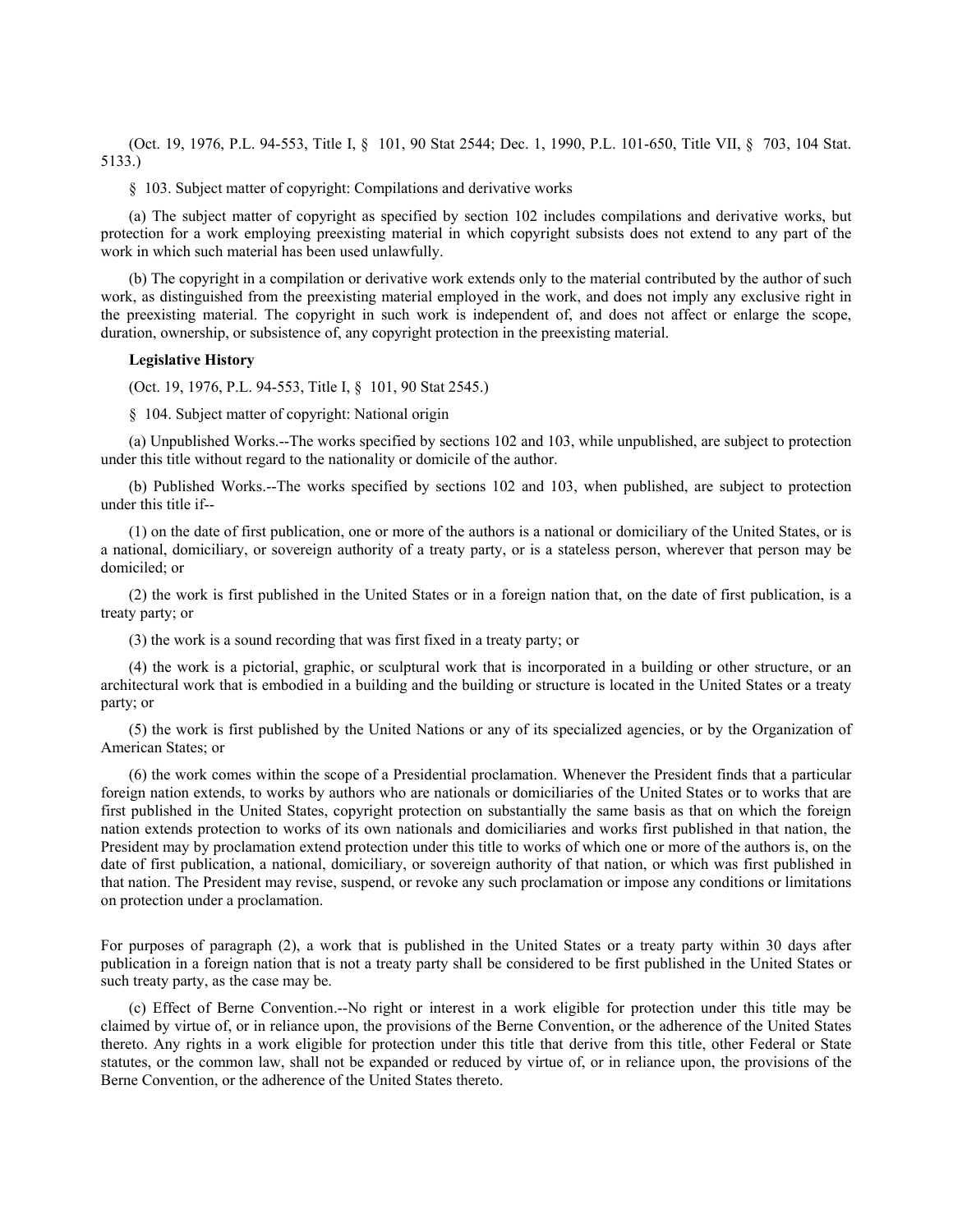(Oct. 19, 1976, P.L. 94-553, Title I, § 101, 90 Stat 2544; Dec. 1, 1990, P.L. 101-650, Title VII, § 703, 104 Stat. 5133.)

§ 103. Subject matter of copyright: Compilations and derivative works

(a) The subject matter of copyright as specified by section 102 includes compilations and derivative works, but protection for a work employing preexisting material in which copyright subsists does not extend to any part of the work in which such material has been used unlawfully.

(b) The copyright in a compilation or derivative work extends only to the material contributed by the author of such work, as distinguished from the preexisting material employed in the work, and does not imply any exclusive right in the preexisting material. The copyright in such work is independent of, and does not affect or enlarge the scope, duration, ownership, or subsistence of, any copyright protection in the preexisting material.

#### **Legislative History**

(Oct. 19, 1976, P.L. 94-553, Title I, § 101, 90 Stat 2545.)

§ 104. Subject matter of copyright: National origin

(a) Unpublished Works.--The works specified by sections 102 and 103, while unpublished, are subject to protection under this title without regard to the nationality or domicile of the author.

(b) Published Works.--The works specified by sections 102 and 103, when published, are subject to protection under this title if--

(1) on the date of first publication, one or more of the authors is a national or domiciliary of the United States, or is a national, domiciliary, or sovereign authority of a treaty party, or is a stateless person, wherever that person may be domiciled; or

(2) the work is first published in the United States or in a foreign nation that, on the date of first publication, is a treaty party; or

(3) the work is a sound recording that was first fixed in a treaty party; or

(4) the work is a pictorial, graphic, or sculptural work that is incorporated in a building or other structure, or an architectural work that is embodied in a building and the building or structure is located in the United States or a treaty party; or

(5) the work is first published by the United Nations or any of its specialized agencies, or by the Organization of American States; or

(6) the work comes within the scope of a Presidential proclamation. Whenever the President finds that a particular foreign nation extends, to works by authors who are nationals or domiciliaries of the United States or to works that are first published in the United States, copyright protection on substantially the same basis as that on which the foreign nation extends protection to works of its own nationals and domiciliaries and works first published in that nation, the President may by proclamation extend protection under this title to works of which one or more of the authors is, on the date of first publication, a national, domiciliary, or sovereign authority of that nation, or which was first published in that nation. The President may revise, suspend, or revoke any such proclamation or impose any conditions or limitations on protection under a proclamation.

For purposes of paragraph (2), a work that is published in the United States or a treaty party within 30 days after publication in a foreign nation that is not a treaty party shall be considered to be first published in the United States or such treaty party, as the case may be.

(c) Effect of Berne Convention.--No right or interest in a work eligible for protection under this title may be claimed by virtue of, or in reliance upon, the provisions of the Berne Convention, or the adherence of the United States thereto. Any rights in a work eligible for protection under this title that derive from this title, other Federal or State statutes, or the common law, shall not be expanded or reduced by virtue of, or in reliance upon, the provisions of the Berne Convention, or the adherence of the United States thereto.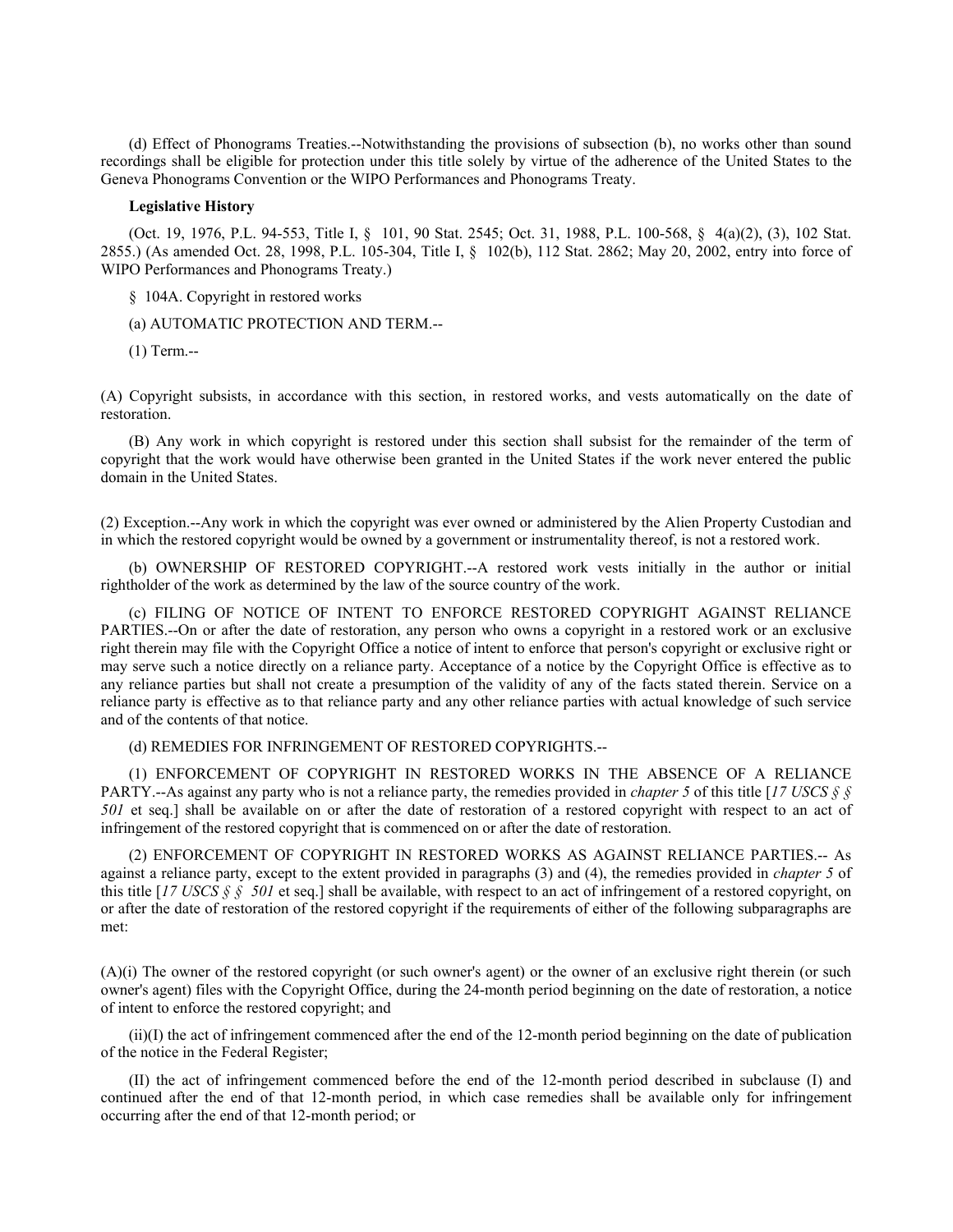(d) Effect of Phonograms Treaties.--Notwithstanding the provisions of subsection (b), no works other than sound recordings shall be eligible for protection under this title solely by virtue of the adherence of the United States to the Geneva Phonograms Convention or the WIPO Performances and Phonograms Treaty.

## **Legislative History**

(Oct. 19, 1976, P.L. 94-553, Title I, § 101, 90 Stat. 2545; Oct. 31, 1988, P.L. 100-568, § 4(a)(2), (3), 102 Stat. 2855.) (As amended Oct. 28, 1998, P.L. 105-304, Title I, § 102(b), 112 Stat. 2862; May 20, 2002, entry into force of WIPO Performances and Phonograms Treaty.)

§ 104A. Copyright in restored works

(a) AUTOMATIC PROTECTION AND TERM.--

(1) Term.--

(A) Copyright subsists, in accordance with this section, in restored works, and vests automatically on the date of restoration.

(B) Any work in which copyright is restored under this section shall subsist for the remainder of the term of copyright that the work would have otherwise been granted in the United States if the work never entered the public domain in the United States.

(2) Exception.--Any work in which the copyright was ever owned or administered by the Alien Property Custodian and in which the restored copyright would be owned by a government or instrumentality thereof, is not a restored work.

(b) OWNERSHIP OF RESTORED COPYRIGHT.--A restored work vests initially in the author or initial rightholder of the work as determined by the law of the source country of the work.

(c) FILING OF NOTICE OF INTENT TO ENFORCE RESTORED COPYRIGHT AGAINST RELIANCE PARTIES.--On or after the date of restoration, any person who owns a copyright in a restored work or an exclusive right therein may file with the Copyright Office a notice of intent to enforce that person's copyright or exclusive right or may serve such a notice directly on a reliance party. Acceptance of a notice by the Copyright Office is effective as to any reliance parties but shall not create a presumption of the validity of any of the facts stated therein. Service on a reliance party is effective as to that reliance party and any other reliance parties with actual knowledge of such service and of the contents of that notice.

(d) REMEDIES FOR INFRINGEMENT OF RESTORED COPYRIGHTS.--

(1) ENFORCEMENT OF COPYRIGHT IN RESTORED WORKS IN THE ABSENCE OF A RELIANCE PARTY.--As against any party who is not a reliance party, the remedies provided in *chapter 5* of this title [*17 USCS § § 501* et seq.] shall be available on or after the date of restoration of a restored copyright with respect to an act of infringement of the restored copyright that is commenced on or after the date of restoration.

(2) ENFORCEMENT OF COPYRIGHT IN RESTORED WORKS AS AGAINST RELIANCE PARTIES.-- As against a reliance party, except to the extent provided in paragraphs (3) and (4), the remedies provided in *chapter 5* of this title [*17 USCS § § 501* et seq.] shall be available, with respect to an act of infringement of a restored copyright, on or after the date of restoration of the restored copyright if the requirements of either of the following subparagraphs are met:

(A)(i) The owner of the restored copyright (or such owner's agent) or the owner of an exclusive right therein (or such owner's agent) files with the Copyright Office, during the 24-month period beginning on the date of restoration, a notice of intent to enforce the restored copyright; and

(ii)(I) the act of infringement commenced after the end of the 12-month period beginning on the date of publication of the notice in the Federal Register;

(II) the act of infringement commenced before the end of the 12-month period described in subclause (I) and continued after the end of that 12-month period, in which case remedies shall be available only for infringement occurring after the end of that 12-month period; or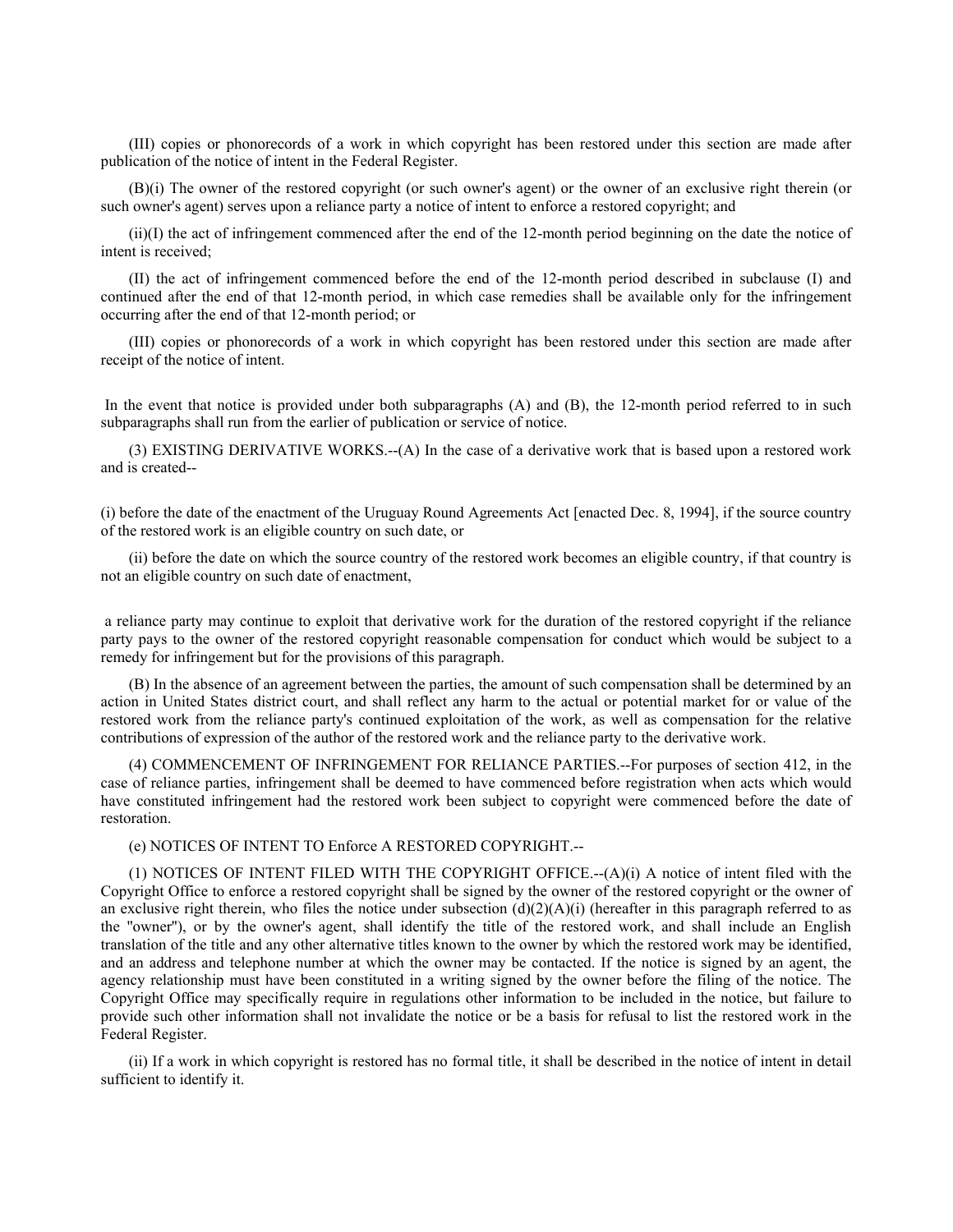(III) copies or phonorecords of a work in which copyright has been restored under this section are made after publication of the notice of intent in the Federal Register.

(B)(i) The owner of the restored copyright (or such owner's agent) or the owner of an exclusive right therein (or such owner's agent) serves upon a reliance party a notice of intent to enforce a restored copyright; and

(ii)(I) the act of infringement commenced after the end of the 12-month period beginning on the date the notice of intent is received;

(II) the act of infringement commenced before the end of the 12-month period described in subclause (I) and continued after the end of that 12-month period, in which case remedies shall be available only for the infringement occurring after the end of that 12-month period; or

(III) copies or phonorecords of a work in which copyright has been restored under this section are made after receipt of the notice of intent.

In the event that notice is provided under both subparagraphs (A) and (B), the 12-month period referred to in such subparagraphs shall run from the earlier of publication or service of notice.

(3) EXISTING DERIVATIVE WORKS.--(A) In the case of a derivative work that is based upon a restored work and is created--

(i) before the date of the enactment of the Uruguay Round Agreements Act [enacted Dec. 8, 1994], if the source country of the restored work is an eligible country on such date, or

(ii) before the date on which the source country of the restored work becomes an eligible country, if that country is not an eligible country on such date of enactment,

 a reliance party may continue to exploit that derivative work for the duration of the restored copyright if the reliance party pays to the owner of the restored copyright reasonable compensation for conduct which would be subject to a remedy for infringement but for the provisions of this paragraph.

(B) In the absence of an agreement between the parties, the amount of such compensation shall be determined by an action in United States district court, and shall reflect any harm to the actual or potential market for or value of the restored work from the reliance party's continued exploitation of the work, as well as compensation for the relative contributions of expression of the author of the restored work and the reliance party to the derivative work.

(4) COMMENCEMENT OF INFRINGEMENT FOR RELIANCE PARTIES.--For purposes of section 412, in the case of reliance parties, infringement shall be deemed to have commenced before registration when acts which would have constituted infringement had the restored work been subject to copyright were commenced before the date of restoration.

(e) NOTICES OF INTENT TO Enforce A RESTORED COPYRIGHT.--

(1) NOTICES OF INTENT FILED WITH THE COPYRIGHT OFFICE.--(A)(i) A notice of intent filed with the Copyright Office to enforce a restored copyright shall be signed by the owner of the restored copyright or the owner of an exclusive right therein, who files the notice under subsection  $(d)(2)(A)(i)$  (hereafter in this paragraph referred to as the ''owner''), or by the owner's agent, shall identify the title of the restored work, and shall include an English translation of the title and any other alternative titles known to the owner by which the restored work may be identified, and an address and telephone number at which the owner may be contacted. If the notice is signed by an agent, the agency relationship must have been constituted in a writing signed by the owner before the filing of the notice. The Copyright Office may specifically require in regulations other information to be included in the notice, but failure to provide such other information shall not invalidate the notice or be a basis for refusal to list the restored work in the Federal Register.

(ii) If a work in which copyright is restored has no formal title, it shall be described in the notice of intent in detail sufficient to identify it.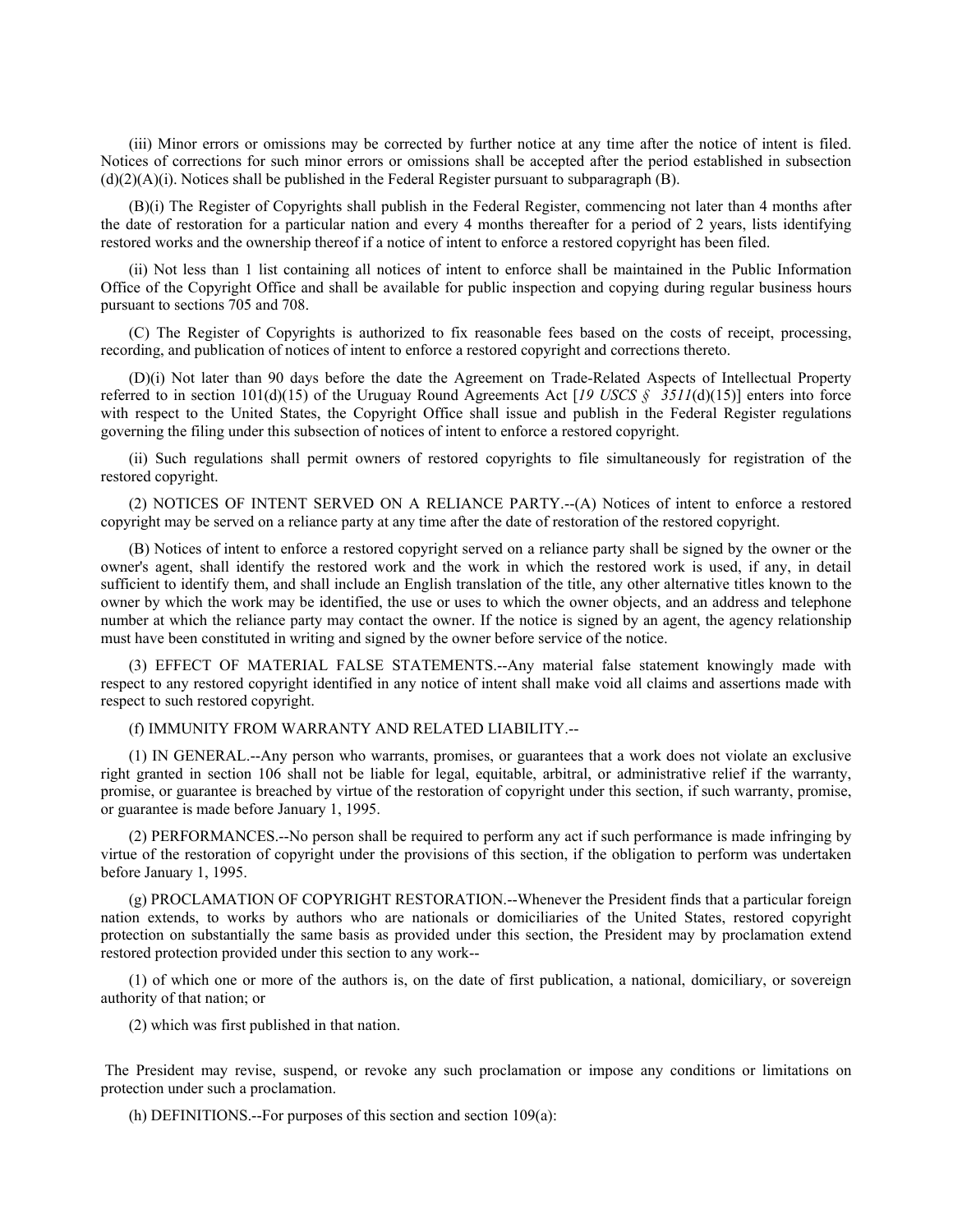(iii) Minor errors or omissions may be corrected by further notice at any time after the notice of intent is filed. Notices of corrections for such minor errors or omissions shall be accepted after the period established in subsection  $(d)(2)(A)(i)$ . Notices shall be published in the Federal Register pursuant to subparagraph (B).

(B)(i) The Register of Copyrights shall publish in the Federal Register, commencing not later than 4 months after the date of restoration for a particular nation and every 4 months thereafter for a period of 2 years, lists identifying restored works and the ownership thereof if a notice of intent to enforce a restored copyright has been filed.

(ii) Not less than 1 list containing all notices of intent to enforce shall be maintained in the Public Information Office of the Copyright Office and shall be available for public inspection and copying during regular business hours pursuant to sections 705 and 708.

(C) The Register of Copyrights is authorized to fix reasonable fees based on the costs of receipt, processing, recording, and publication of notices of intent to enforce a restored copyright and corrections thereto.

(D)(i) Not later than 90 days before the date the Agreement on Trade-Related Aspects of Intellectual Property referred to in section  $101(d)(15)$  of the Uruguay Round Agreements Act [19 USCS § 3511(d)(15)] enters into force with respect to the United States, the Copyright Office shall issue and publish in the Federal Register regulations governing the filing under this subsection of notices of intent to enforce a restored copyright.

(ii) Such regulations shall permit owners of restored copyrights to file simultaneously for registration of the restored copyright.

(2) NOTICES OF INTENT SERVED ON A RELIANCE PARTY.--(A) Notices of intent to enforce a restored copyright may be served on a reliance party at any time after the date of restoration of the restored copyright.

(B) Notices of intent to enforce a restored copyright served on a reliance party shall be signed by the owner or the owner's agent, shall identify the restored work and the work in which the restored work is used, if any, in detail sufficient to identify them, and shall include an English translation of the title, any other alternative titles known to the owner by which the work may be identified, the use or uses to which the owner objects, and an address and telephone number at which the reliance party may contact the owner. If the notice is signed by an agent, the agency relationship must have been constituted in writing and signed by the owner before service of the notice.

(3) EFFECT OF MATERIAL FALSE STATEMENTS.--Any material false statement knowingly made with respect to any restored copyright identified in any notice of intent shall make void all claims and assertions made with respect to such restored copyright.

(f) IMMUNITY FROM WARRANTY AND RELATED LIABILITY.--

(1) IN GENERAL.--Any person who warrants, promises, or guarantees that a work does not violate an exclusive right granted in section 106 shall not be liable for legal, equitable, arbitral, or administrative relief if the warranty, promise, or guarantee is breached by virtue of the restoration of copyright under this section, if such warranty, promise, or guarantee is made before January 1, 1995.

(2) PERFORMANCES.--No person shall be required to perform any act if such performance is made infringing by virtue of the restoration of copyright under the provisions of this section, if the obligation to perform was undertaken before January 1, 1995.

(g) PROCLAMATION OF COPYRIGHT RESTORATION.--Whenever the President finds that a particular foreign nation extends, to works by authors who are nationals or domiciliaries of the United States, restored copyright protection on substantially the same basis as provided under this section, the President may by proclamation extend restored protection provided under this section to any work--

(1) of which one or more of the authors is, on the date of first publication, a national, domiciliary, or sovereign authority of that nation; or

(2) which was first published in that nation.

 The President may revise, suspend, or revoke any such proclamation or impose any conditions or limitations on protection under such a proclamation.

(h) DEFINITIONS.--For purposes of this section and section 109(a):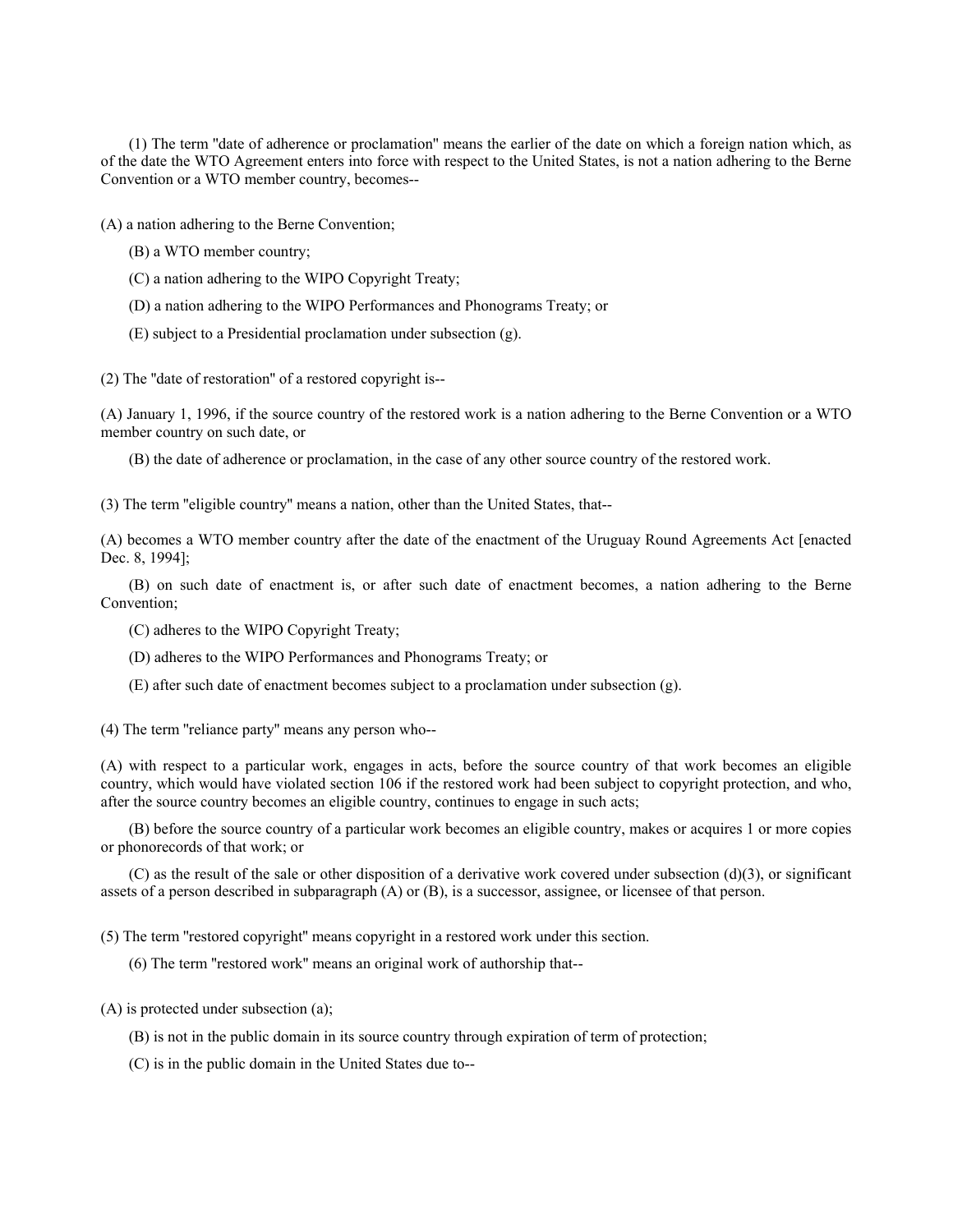(1) The term ''date of adherence or proclamation'' means the earlier of the date on which a foreign nation which, as of the date the WTO Agreement enters into force with respect to the United States, is not a nation adhering to the Berne Convention or a WTO member country, becomes--

(A) a nation adhering to the Berne Convention;

- (B) a WTO member country;
- (C) a nation adhering to the WIPO Copyright Treaty;

(D) a nation adhering to the WIPO Performances and Phonograms Treaty; or

(E) subject to a Presidential proclamation under subsection (g).

(2) The ''date of restoration'' of a restored copyright is--

(A) January 1, 1996, if the source country of the restored work is a nation adhering to the Berne Convention or a WTO member country on such date, or

(B) the date of adherence or proclamation, in the case of any other source country of the restored work.

(3) The term ''eligible country'' means a nation, other than the United States, that--

(A) becomes a WTO member country after the date of the enactment of the Uruguay Round Agreements Act [enacted Dec. 8, 1994];

(B) on such date of enactment is, or after such date of enactment becomes, a nation adhering to the Berne Convention;

(C) adheres to the WIPO Copyright Treaty;

(D) adheres to the WIPO Performances and Phonograms Treaty; or

(E) after such date of enactment becomes subject to a proclamation under subsection (g).

(4) The term ''reliance party'' means any person who--

(A) with respect to a particular work, engages in acts, before the source country of that work becomes an eligible country, which would have violated section 106 if the restored work had been subject to copyright protection, and who, after the source country becomes an eligible country, continues to engage in such acts;

(B) before the source country of a particular work becomes an eligible country, makes or acquires 1 or more copies or phonorecords of that work; or

(C) as the result of the sale or other disposition of a derivative work covered under subsection  $(d)(3)$ , or significant assets of a person described in subparagraph (A) or (B), is a successor, assignee, or licensee of that person.

(5) The term ''restored copyright'' means copyright in a restored work under this section.

(6) The term ''restored work'' means an original work of authorship that--

(A) is protected under subsection (a);

(B) is not in the public domain in its source country through expiration of term of protection;

(C) is in the public domain in the United States due to--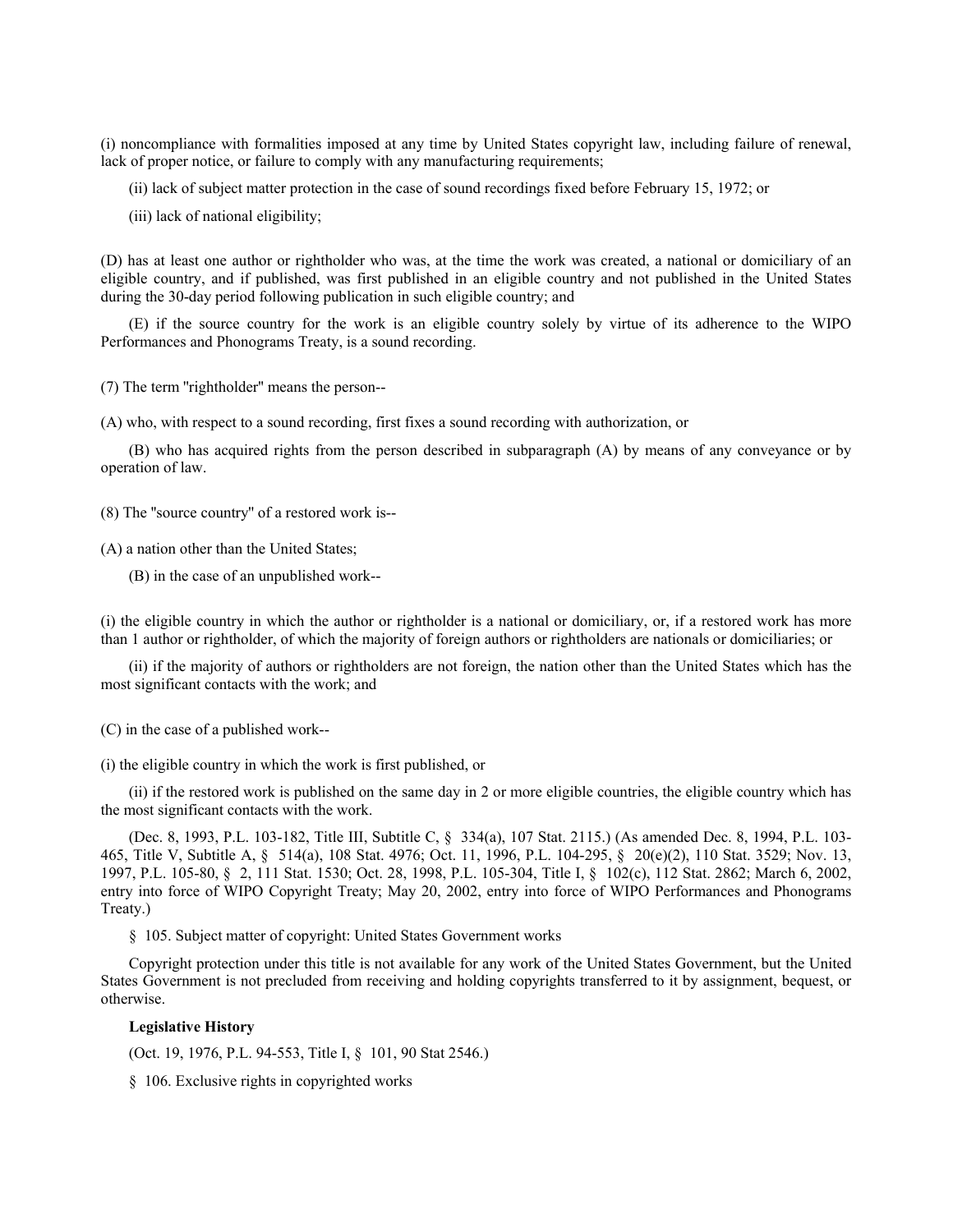(i) noncompliance with formalities imposed at any time by United States copyright law, including failure of renewal, lack of proper notice, or failure to comply with any manufacturing requirements;

(ii) lack of subject matter protection in the case of sound recordings fixed before February 15, 1972; or

(iii) lack of national eligibility;

(D) has at least one author or rightholder who was, at the time the work was created, a national or domiciliary of an eligible country, and if published, was first published in an eligible country and not published in the United States during the 30-day period following publication in such eligible country; and

(E) if the source country for the work is an eligible country solely by virtue of its adherence to the WIPO Performances and Phonograms Treaty, is a sound recording.

(7) The term ''rightholder'' means the person--

(A) who, with respect to a sound recording, first fixes a sound recording with authorization, or

(B) who has acquired rights from the person described in subparagraph (A) by means of any conveyance or by operation of law.

(8) The ''source country'' of a restored work is--

(A) a nation other than the United States;

(B) in the case of an unpublished work--

(i) the eligible country in which the author or rightholder is a national or domiciliary, or, if a restored work has more than 1 author or rightholder, of which the majority of foreign authors or rightholders are nationals or domiciliaries; or

(ii) if the majority of authors or rightholders are not foreign, the nation other than the United States which has the most significant contacts with the work; and

(C) in the case of a published work--

(i) the eligible country in which the work is first published, or

(ii) if the restored work is published on the same day in 2 or more eligible countries, the eligible country which has the most significant contacts with the work.

(Dec. 8, 1993, P.L. 103-182, Title III, Subtitle C, § 334(a), 107 Stat. 2115.) (As amended Dec. 8, 1994, P.L. 103- 465, Title V, Subtitle A, § 514(a), 108 Stat. 4976; Oct. 11, 1996, P.L. 104-295, § 20(e)(2), 110 Stat. 3529; Nov. 13, 1997, P.L. 105-80, § 2, 111 Stat. 1530; Oct. 28, 1998, P.L. 105-304, Title I, § 102(c), 112 Stat. 2862; March 6, 2002, entry into force of WIPO Copyright Treaty; May 20, 2002, entry into force of WIPO Performances and Phonograms Treaty.)

§ 105. Subject matter of copyright: United States Government works

Copyright protection under this title is not available for any work of the United States Government, but the United States Government is not precluded from receiving and holding copyrights transferred to it by assignment, bequest, or otherwise.

# **Legislative History**

(Oct. 19, 1976, P.L. 94-553, Title I, § 101, 90 Stat 2546.)

§ 106. Exclusive rights in copyrighted works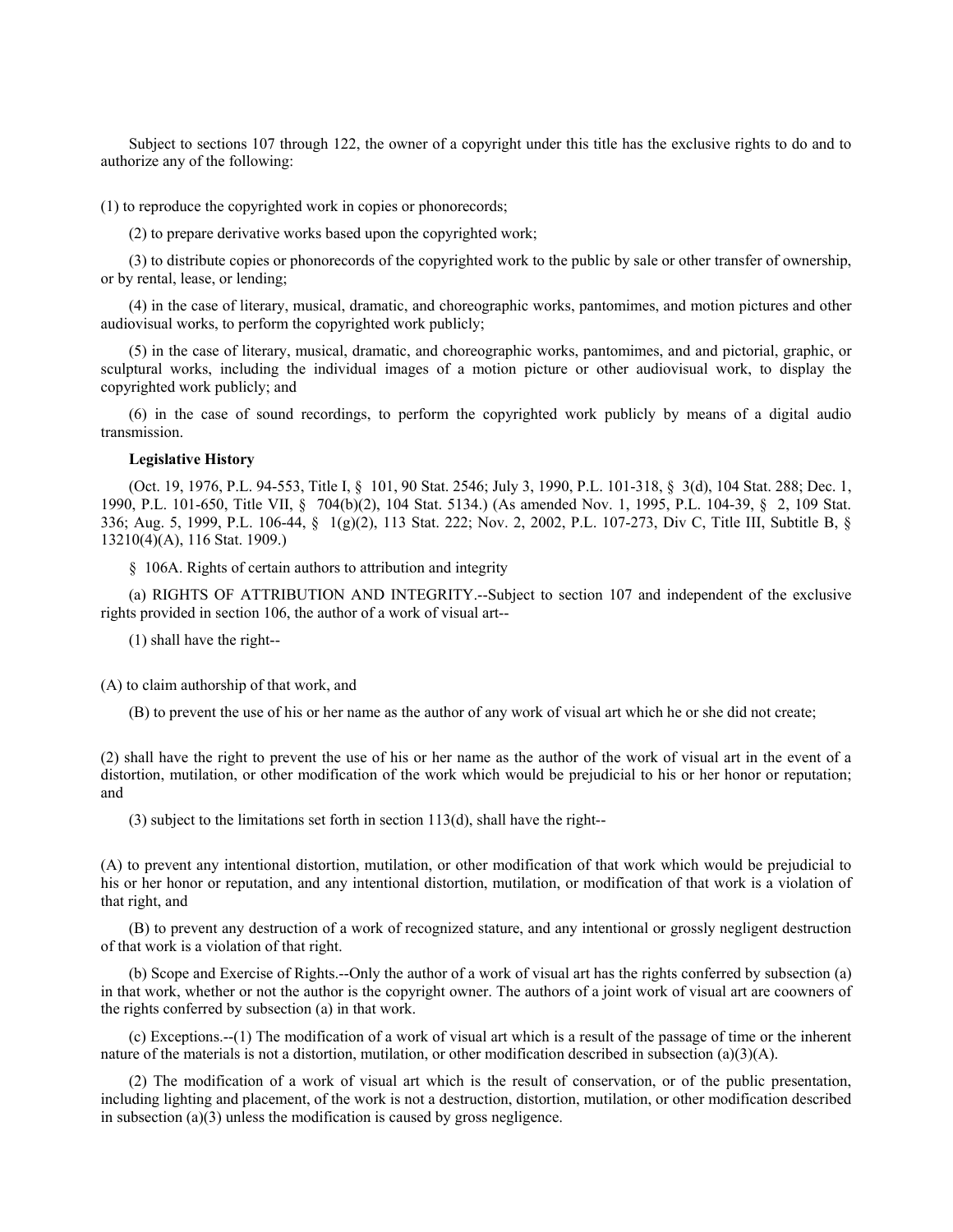Subject to sections 107 through 122, the owner of a copyright under this title has the exclusive rights to do and to authorize any of the following:

(1) to reproduce the copyrighted work in copies or phonorecords;

(2) to prepare derivative works based upon the copyrighted work;

(3) to distribute copies or phonorecords of the copyrighted work to the public by sale or other transfer of ownership, or by rental, lease, or lending;

(4) in the case of literary, musical, dramatic, and choreographic works, pantomimes, and motion pictures and other audiovisual works, to perform the copyrighted work publicly;

(5) in the case of literary, musical, dramatic, and choreographic works, pantomimes, and and pictorial, graphic, or sculptural works, including the individual images of a motion picture or other audiovisual work, to display the copyrighted work publicly; and

(6) in the case of sound recordings, to perform the copyrighted work publicly by means of a digital audio transmission.

#### **Legislative History**

(Oct. 19, 1976, P.L. 94-553, Title I, § 101, 90 Stat. 2546; July 3, 1990, P.L. 101-318, § 3(d), 104 Stat. 288; Dec. 1, 1990, P.L. 101-650, Title VII, § 704(b)(2), 104 Stat. 5134.) (As amended Nov. 1, 1995, P.L. 104-39, § 2, 109 Stat. 336; Aug. 5, 1999, P.L. 106-44, § 1(g)(2), 113 Stat. 222; Nov. 2, 2002, P.L. 107-273, Div C, Title III, Subtitle B, § 13210(4)(A), 116 Stat. 1909.)

§ 106A. Rights of certain authors to attribution and integrity

(a) RIGHTS OF ATTRIBUTION AND INTEGRITY.--Subject to section 107 and independent of the exclusive rights provided in section 106, the author of a work of visual art--

(1) shall have the right--

(A) to claim authorship of that work, and

(B) to prevent the use of his or her name as the author of any work of visual art which he or she did not create;

(2) shall have the right to prevent the use of his or her name as the author of the work of visual art in the event of a distortion, mutilation, or other modification of the work which would be prejudicial to his or her honor or reputation; and

(3) subject to the limitations set forth in section 113(d), shall have the right--

(A) to prevent any intentional distortion, mutilation, or other modification of that work which would be prejudicial to his or her honor or reputation, and any intentional distortion, mutilation, or modification of that work is a violation of that right, and

(B) to prevent any destruction of a work of recognized stature, and any intentional or grossly negligent destruction of that work is a violation of that right.

(b) Scope and Exercise of Rights.--Only the author of a work of visual art has the rights conferred by subsection (a) in that work, whether or not the author is the copyright owner. The authors of a joint work of visual art are coowners of the rights conferred by subsection (a) in that work.

(c) Exceptions.--(1) The modification of a work of visual art which is a result of the passage of time or the inherent nature of the materials is not a distortion, mutilation, or other modification described in subsection (a)(3)(A).

(2) The modification of a work of visual art which is the result of conservation, or of the public presentation, including lighting and placement, of the work is not a destruction, distortion, mutilation, or other modification described in subsection (a)(3) unless the modification is caused by gross negligence.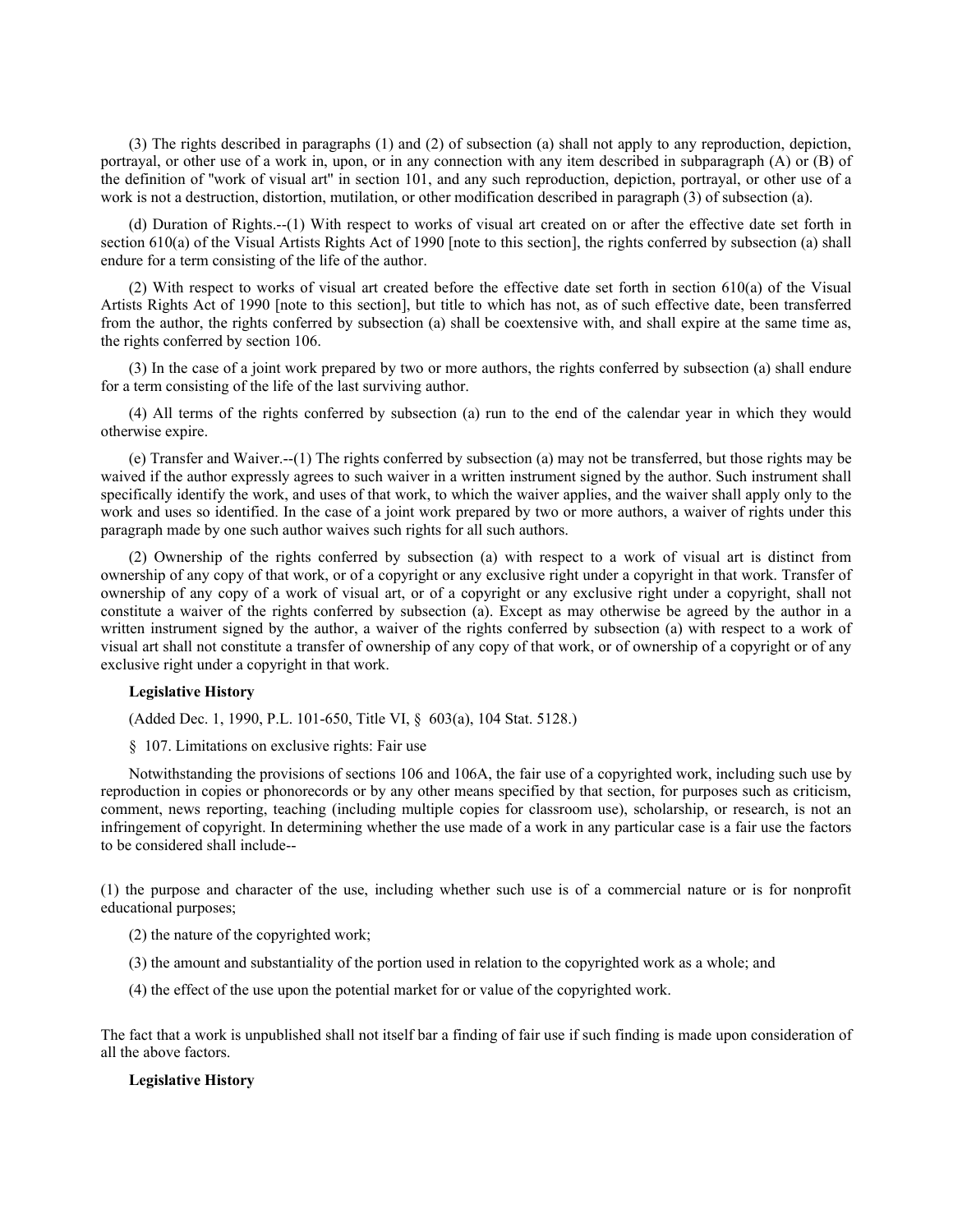(3) The rights described in paragraphs (1) and (2) of subsection (a) shall not apply to any reproduction, depiction, portrayal, or other use of a work in, upon, or in any connection with any item described in subparagraph (A) or (B) of the definition of ''work of visual art'' in section 101, and any such reproduction, depiction, portrayal, or other use of a work is not a destruction, distortion, mutilation, or other modification described in paragraph (3) of subsection (a).

(d) Duration of Rights.--(1) With respect to works of visual art created on or after the effective date set forth in section 610(a) of the Visual Artists Rights Act of 1990 [note to this section], the rights conferred by subsection (a) shall endure for a term consisting of the life of the author.

(2) With respect to works of visual art created before the effective date set forth in section 610(a) of the Visual Artists Rights Act of 1990 [note to this section], but title to which has not, as of such effective date, been transferred from the author, the rights conferred by subsection (a) shall be coextensive with, and shall expire at the same time as, the rights conferred by section 106.

(3) In the case of a joint work prepared by two or more authors, the rights conferred by subsection (a) shall endure for a term consisting of the life of the last surviving author.

(4) All terms of the rights conferred by subsection (a) run to the end of the calendar year in which they would otherwise expire.

(e) Transfer and Waiver.--(1) The rights conferred by subsection (a) may not be transferred, but those rights may be waived if the author expressly agrees to such waiver in a written instrument signed by the author. Such instrument shall specifically identify the work, and uses of that work, to which the waiver applies, and the waiver shall apply only to the work and uses so identified. In the case of a joint work prepared by two or more authors, a waiver of rights under this paragraph made by one such author waives such rights for all such authors.

(2) Ownership of the rights conferred by subsection (a) with respect to a work of visual art is distinct from ownership of any copy of that work, or of a copyright or any exclusive right under a copyright in that work. Transfer of ownership of any copy of a work of visual art, or of a copyright or any exclusive right under a copyright, shall not constitute a waiver of the rights conferred by subsection (a). Except as may otherwise be agreed by the author in a written instrument signed by the author, a waiver of the rights conferred by subsection (a) with respect to a work of visual art shall not constitute a transfer of ownership of any copy of that work, or of ownership of a copyright or of any exclusive right under a copyright in that work.

## **Legislative History**

(Added Dec. 1, 1990, P.L. 101-650, Title VI, § 603(a), 104 Stat. 5128.)

§ 107. Limitations on exclusive rights: Fair use

Notwithstanding the provisions of sections 106 and 106A, the fair use of a copyrighted work, including such use by reproduction in copies or phonorecords or by any other means specified by that section, for purposes such as criticism, comment, news reporting, teaching (including multiple copies for classroom use), scholarship, or research, is not an infringement of copyright. In determining whether the use made of a work in any particular case is a fair use the factors to be considered shall include--

(1) the purpose and character of the use, including whether such use is of a commercial nature or is for nonprofit educational purposes;

- (2) the nature of the copyrighted work;
- (3) the amount and substantiality of the portion used in relation to the copyrighted work as a whole; and
- (4) the effect of the use upon the potential market for or value of the copyrighted work.

The fact that a work is unpublished shall not itself bar a finding of fair use if such finding is made upon consideration of all the above factors.

### **Legislative History**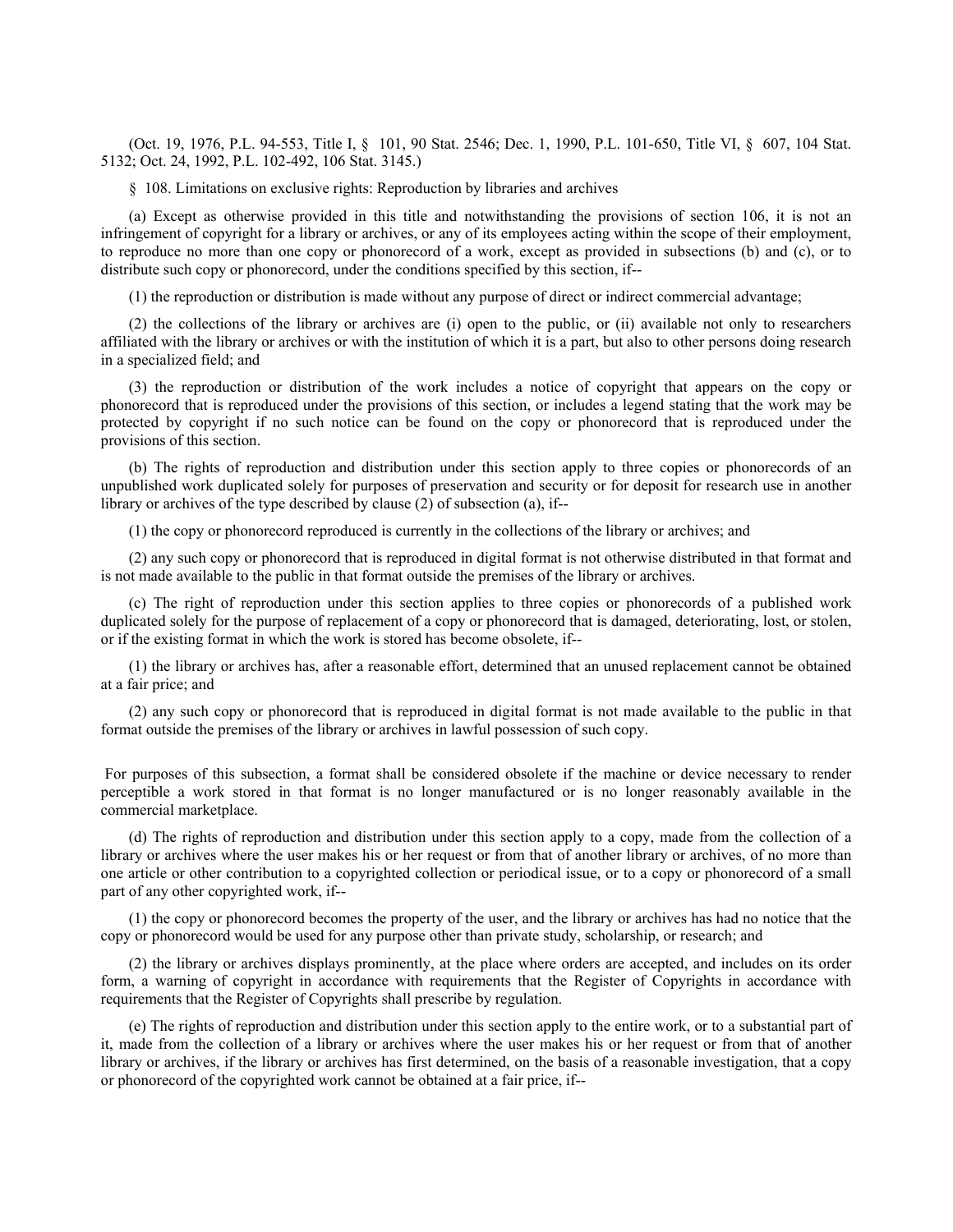(Oct. 19, 1976, P.L. 94-553, Title I, § 101, 90 Stat. 2546; Dec. 1, 1990, P.L. 101-650, Title VI, § 607, 104 Stat. 5132; Oct. 24, 1992, P.L. 102-492, 106 Stat. 3145.)

§ 108. Limitations on exclusive rights: Reproduction by libraries and archives

(a) Except as otherwise provided in this title and notwithstanding the provisions of section 106, it is not an infringement of copyright for a library or archives, or any of its employees acting within the scope of their employment, to reproduce no more than one copy or phonorecord of a work, except as provided in subsections (b) and (c), or to distribute such copy or phonorecord, under the conditions specified by this section, if--

(1) the reproduction or distribution is made without any purpose of direct or indirect commercial advantage;

(2) the collections of the library or archives are (i) open to the public, or (ii) available not only to researchers affiliated with the library or archives or with the institution of which it is a part, but also to other persons doing research in a specialized field; and

(3) the reproduction or distribution of the work includes a notice of copyright that appears on the copy or phonorecord that is reproduced under the provisions of this section, or includes a legend stating that the work may be protected by copyright if no such notice can be found on the copy or phonorecord that is reproduced under the provisions of this section.

(b) The rights of reproduction and distribution under this section apply to three copies or phonorecords of an unpublished work duplicated solely for purposes of preservation and security or for deposit for research use in another library or archives of the type described by clause (2) of subsection (a), if--

(1) the copy or phonorecord reproduced is currently in the collections of the library or archives; and

(2) any such copy or phonorecord that is reproduced in digital format is not otherwise distributed in that format and is not made available to the public in that format outside the premises of the library or archives.

(c) The right of reproduction under this section applies to three copies or phonorecords of a published work duplicated solely for the purpose of replacement of a copy or phonorecord that is damaged, deteriorating, lost, or stolen, or if the existing format in which the work is stored has become obsolete, if--

(1) the library or archives has, after a reasonable effort, determined that an unused replacement cannot be obtained at a fair price; and

(2) any such copy or phonorecord that is reproduced in digital format is not made available to the public in that format outside the premises of the library or archives in lawful possession of such copy.

 For purposes of this subsection, a format shall be considered obsolete if the machine or device necessary to render perceptible a work stored in that format is no longer manufactured or is no longer reasonably available in the commercial marketplace.

(d) The rights of reproduction and distribution under this section apply to a copy, made from the collection of a library or archives where the user makes his or her request or from that of another library or archives, of no more than one article or other contribution to a copyrighted collection or periodical issue, or to a copy or phonorecord of a small part of any other copyrighted work, if--

(1) the copy or phonorecord becomes the property of the user, and the library or archives has had no notice that the copy or phonorecord would be used for any purpose other than private study, scholarship, or research; and

(2) the library or archives displays prominently, at the place where orders are accepted, and includes on its order form, a warning of copyright in accordance with requirements that the Register of Copyrights in accordance with requirements that the Register of Copyrights shall prescribe by regulation.

(e) The rights of reproduction and distribution under this section apply to the entire work, or to a substantial part of it, made from the collection of a library or archives where the user makes his or her request or from that of another library or archives, if the library or archives has first determined, on the basis of a reasonable investigation, that a copy or phonorecord of the copyrighted work cannot be obtained at a fair price, if--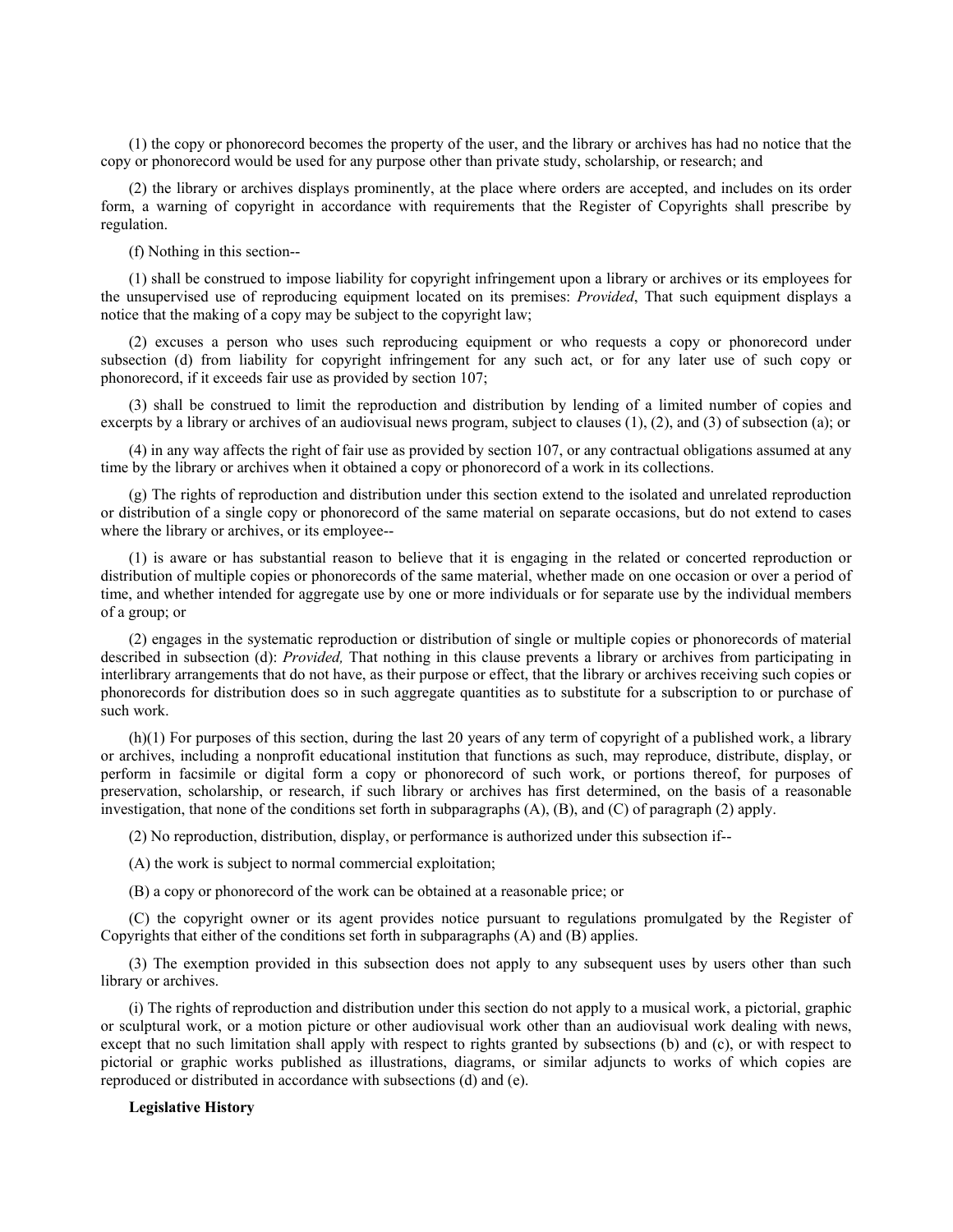(1) the copy or phonorecord becomes the property of the user, and the library or archives has had no notice that the copy or phonorecord would be used for any purpose other than private study, scholarship, or research; and

(2) the library or archives displays prominently, at the place where orders are accepted, and includes on its order form, a warning of copyright in accordance with requirements that the Register of Copyrights shall prescribe by regulation.

(f) Nothing in this section--

(1) shall be construed to impose liability for copyright infringement upon a library or archives or its employees for the unsupervised use of reproducing equipment located on its premises: *Provided*, That such equipment displays a notice that the making of a copy may be subject to the copyright law;

(2) excuses a person who uses such reproducing equipment or who requests a copy or phonorecord under subsection (d) from liability for copyright infringement for any such act, or for any later use of such copy or phonorecord, if it exceeds fair use as provided by section 107;

(3) shall be construed to limit the reproduction and distribution by lending of a limited number of copies and excerpts by a library or archives of an audiovisual news program, subject to clauses  $(1)$ ,  $(2)$ , and  $(3)$  of subsection (a); or

(4) in any way affects the right of fair use as provided by section 107, or any contractual obligations assumed at any time by the library or archives when it obtained a copy or phonorecord of a work in its collections.

(g) The rights of reproduction and distribution under this section extend to the isolated and unrelated reproduction or distribution of a single copy or phonorecord of the same material on separate occasions, but do not extend to cases where the library or archives, or its employee--

(1) is aware or has substantial reason to believe that it is engaging in the related or concerted reproduction or distribution of multiple copies or phonorecords of the same material, whether made on one occasion or over a period of time, and whether intended for aggregate use by one or more individuals or for separate use by the individual members of a group; or

(2) engages in the systematic reproduction or distribution of single or multiple copies or phonorecords of material described in subsection (d): *Provided,* That nothing in this clause prevents a library or archives from participating in interlibrary arrangements that do not have, as their purpose or effect, that the library or archives receiving such copies or phonorecords for distribution does so in such aggregate quantities as to substitute for a subscription to or purchase of such work.

(h)(1) For purposes of this section, during the last 20 years of any term of copyright of a published work, a library or archives, including a nonprofit educational institution that functions as such, may reproduce, distribute, display, or perform in facsimile or digital form a copy or phonorecord of such work, or portions thereof, for purposes of preservation, scholarship, or research, if such library or archives has first determined, on the basis of a reasonable investigation, that none of the conditions set forth in subparagraphs (A), (B), and (C) of paragraph (2) apply.

(2) No reproduction, distribution, display, or performance is authorized under this subsection if--

(A) the work is subject to normal commercial exploitation;

(B) a copy or phonorecord of the work can be obtained at a reasonable price; or

(C) the copyright owner or its agent provides notice pursuant to regulations promulgated by the Register of Copyrights that either of the conditions set forth in subparagraphs (A) and (B) applies.

(3) The exemption provided in this subsection does not apply to any subsequent uses by users other than such library or archives.

(i) The rights of reproduction and distribution under this section do not apply to a musical work, a pictorial, graphic or sculptural work, or a motion picture or other audiovisual work other than an audiovisual work dealing with news, except that no such limitation shall apply with respect to rights granted by subsections (b) and (c), or with respect to pictorial or graphic works published as illustrations, diagrams, or similar adjuncts to works of which copies are reproduced or distributed in accordance with subsections (d) and (e).

## **Legislative History**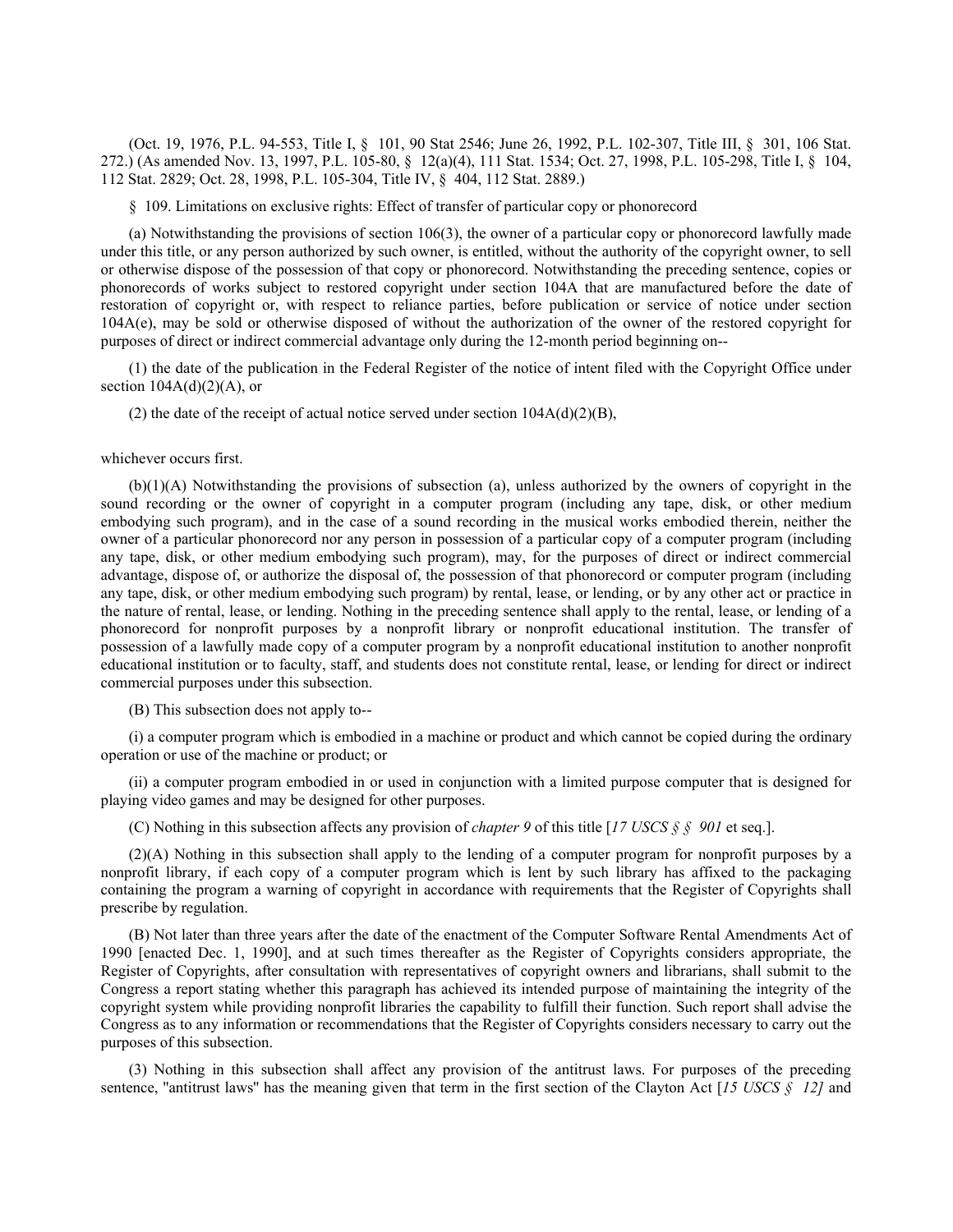(Oct. 19, 1976, P.L. 94-553, Title I, § 101, 90 Stat 2546; June 26, 1992, P.L. 102-307, Title III, § 301, 106 Stat. 272.) (As amended Nov. 13, 1997, P.L. 105-80, § 12(a)(4), 111 Stat. 1534; Oct. 27, 1998, P.L. 105-298, Title I, § 104, 112 Stat. 2829; Oct. 28, 1998, P.L. 105-304, Title IV, § 404, 112 Stat. 2889.)

§ 109. Limitations on exclusive rights: Effect of transfer of particular copy or phonorecord

(a) Notwithstanding the provisions of section 106(3), the owner of a particular copy or phonorecord lawfully made under this title, or any person authorized by such owner, is entitled, without the authority of the copyright owner, to sell or otherwise dispose of the possession of that copy or phonorecord. Notwithstanding the preceding sentence, copies or phonorecords of works subject to restored copyright under section 104A that are manufactured before the date of restoration of copyright or, with respect to reliance parties, before publication or service of notice under section 104A(e), may be sold or otherwise disposed of without the authorization of the owner of the restored copyright for purposes of direct or indirect commercial advantage only during the 12-month period beginning on--

(1) the date of the publication in the Federal Register of the notice of intent filed with the Copyright Office under section  $104A(d)(2)(A)$ , or

(2) the date of the receipt of actual notice served under section  $104A(d)(2)(B)$ ,

#### whichever occurs first.

(b)(1)(A) Notwithstanding the provisions of subsection (a), unless authorized by the owners of copyright in the sound recording or the owner of copyright in a computer program (including any tape, disk, or other medium embodying such program), and in the case of a sound recording in the musical works embodied therein, neither the owner of a particular phonorecord nor any person in possession of a particular copy of a computer program (including any tape, disk, or other medium embodying such program), may, for the purposes of direct or indirect commercial advantage, dispose of, or authorize the disposal of, the possession of that phonorecord or computer program (including any tape, disk, or other medium embodying such program) by rental, lease, or lending, or by any other act or practice in the nature of rental, lease, or lending. Nothing in the preceding sentence shall apply to the rental, lease, or lending of a phonorecord for nonprofit purposes by a nonprofit library or nonprofit educational institution. The transfer of possession of a lawfully made copy of a computer program by a nonprofit educational institution to another nonprofit educational institution or to faculty, staff, and students does not constitute rental, lease, or lending for direct or indirect commercial purposes under this subsection.

# (B) This subsection does not apply to--

(i) a computer program which is embodied in a machine or product and which cannot be copied during the ordinary operation or use of the machine or product; or

(ii) a computer program embodied in or used in conjunction with a limited purpose computer that is designed for playing video games and may be designed for other purposes.

(C) Nothing in this subsection affects any provision of *chapter 9* of this title [*17 USCS § § 901* et seq.].

(2)(A) Nothing in this subsection shall apply to the lending of a computer program for nonprofit purposes by a nonprofit library, if each copy of a computer program which is lent by such library has affixed to the packaging containing the program a warning of copyright in accordance with requirements that the Register of Copyrights shall prescribe by regulation.

(B) Not later than three years after the date of the enactment of the Computer Software Rental Amendments Act of 1990 [enacted Dec. 1, 1990], and at such times thereafter as the Register of Copyrights considers appropriate, the Register of Copyrights, after consultation with representatives of copyright owners and librarians, shall submit to the Congress a report stating whether this paragraph has achieved its intended purpose of maintaining the integrity of the copyright system while providing nonprofit libraries the capability to fulfill their function. Such report shall advise the Congress as to any information or recommendations that the Register of Copyrights considers necessary to carry out the purposes of this subsection.

(3) Nothing in this subsection shall affect any provision of the antitrust laws. For purposes of the preceding sentence, "antitrust laws" has the meaning given that term in the first section of the Clayton Act [15 USCS  $\bar{\xi}$  12] and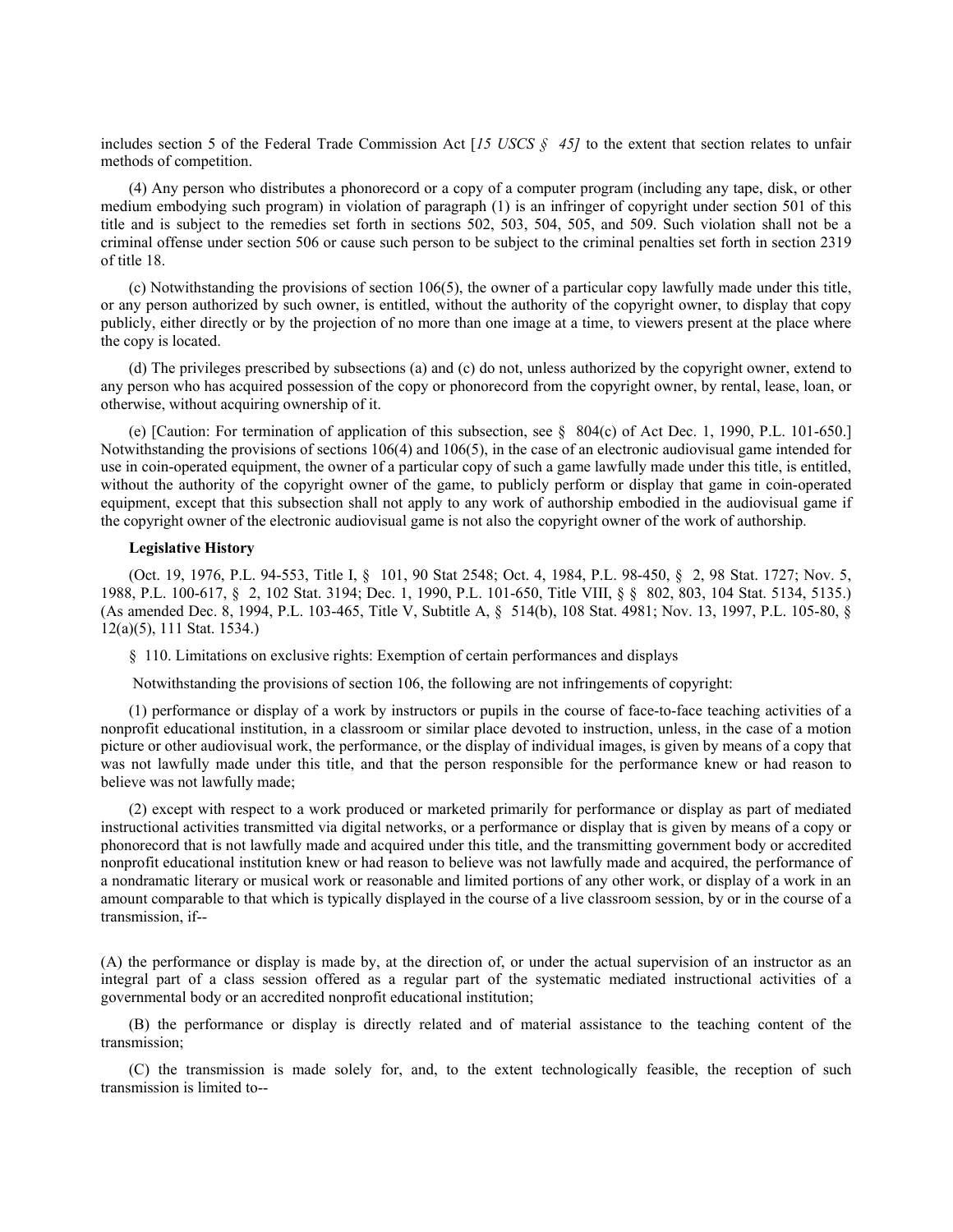includes section 5 of the Federal Trade Commission Act [*15 USCS § 45]* to the extent that section relates to unfair methods of competition.

(4) Any person who distributes a phonorecord or a copy of a computer program (including any tape, disk, or other medium embodying such program) in violation of paragraph (1) is an infringer of copyright under section 501 of this title and is subject to the remedies set forth in sections 502, 503, 504, 505, and 509. Such violation shall not be a criminal offense under section 506 or cause such person to be subject to the criminal penalties set forth in section 2319 of title 18.

(c) Notwithstanding the provisions of section 106(5), the owner of a particular copy lawfully made under this title, or any person authorized by such owner, is entitled, without the authority of the copyright owner, to display that copy publicly, either directly or by the projection of no more than one image at a time, to viewers present at the place where the copy is located.

(d) The privileges prescribed by subsections (a) and (c) do not, unless authorized by the copyright owner, extend to any person who has acquired possession of the copy or phonorecord from the copyright owner, by rental, lease, loan, or otherwise, without acquiring ownership of it.

(e) [Caution: For termination of application of this subsection, see § 804(c) of Act Dec. 1, 1990, P.L. 101-650.] Notwithstanding the provisions of sections 106(4) and 106(5), in the case of an electronic audiovisual game intended for use in coin-operated equipment, the owner of a particular copy of such a game lawfully made under this title, is entitled, without the authority of the copyright owner of the game, to publicly perform or display that game in coin-operated equipment, except that this subsection shall not apply to any work of authorship embodied in the audiovisual game if the copyright owner of the electronic audiovisual game is not also the copyright owner of the work of authorship.

# **Legislative History**

(Oct. 19, 1976, P.L. 94-553, Title I, § 101, 90 Stat 2548; Oct. 4, 1984, P.L. 98-450, § 2, 98 Stat. 1727; Nov. 5, 1988, P.L. 100-617, § 2, 102 Stat. 3194; Dec. 1, 1990, P.L. 101-650, Title VIII, § § 802, 803, 104 Stat. 5134, 5135.) (As amended Dec. 8, 1994, P.L. 103-465, Title V, Subtitle A, § 514(b), 108 Stat. 4981; Nov. 13, 1997, P.L. 105-80, § 12(a)(5), 111 Stat. 1534.)

§ 110. Limitations on exclusive rights: Exemption of certain performances and displays

Notwithstanding the provisions of section 106, the following are not infringements of copyright:

(1) performance or display of a work by instructors or pupils in the course of face-to-face teaching activities of a nonprofit educational institution, in a classroom or similar place devoted to instruction, unless, in the case of a motion picture or other audiovisual work, the performance, or the display of individual images, is given by means of a copy that was not lawfully made under this title, and that the person responsible for the performance knew or had reason to believe was not lawfully made;

(2) except with respect to a work produced or marketed primarily for performance or display as part of mediated instructional activities transmitted via digital networks, or a performance or display that is given by means of a copy or phonorecord that is not lawfully made and acquired under this title, and the transmitting government body or accredited nonprofit educational institution knew or had reason to believe was not lawfully made and acquired, the performance of a nondramatic literary or musical work or reasonable and limited portions of any other work, or display of a work in an amount comparable to that which is typically displayed in the course of a live classroom session, by or in the course of a transmission, if--

(A) the performance or display is made by, at the direction of, or under the actual supervision of an instructor as an integral part of a class session offered as a regular part of the systematic mediated instructional activities of a governmental body or an accredited nonprofit educational institution;

(B) the performance or display is directly related and of material assistance to the teaching content of the transmission;

(C) the transmission is made solely for, and, to the extent technologically feasible, the reception of such transmission is limited to--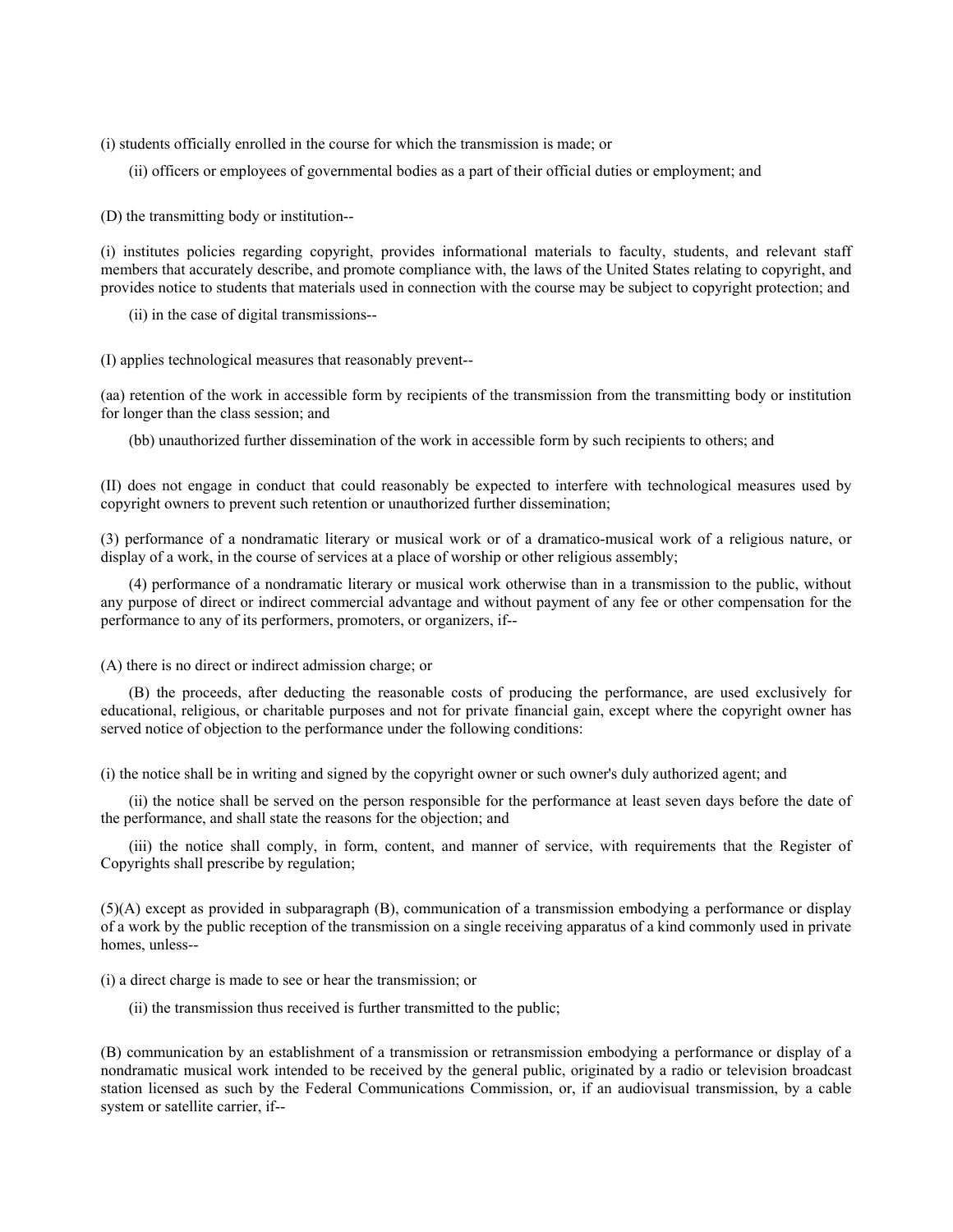(i) students officially enrolled in the course for which the transmission is made; or

(ii) officers or employees of governmental bodies as a part of their official duties or employment; and

(D) the transmitting body or institution--

(i) institutes policies regarding copyright, provides informational materials to faculty, students, and relevant staff members that accurately describe, and promote compliance with, the laws of the United States relating to copyright, and provides notice to students that materials used in connection with the course may be subject to copyright protection; and

(ii) in the case of digital transmissions--

(I) applies technological measures that reasonably prevent--

(aa) retention of the work in accessible form by recipients of the transmission from the transmitting body or institution for longer than the class session; and

(bb) unauthorized further dissemination of the work in accessible form by such recipients to others; and

(II) does not engage in conduct that could reasonably be expected to interfere with technological measures used by copyright owners to prevent such retention or unauthorized further dissemination;

(3) performance of a nondramatic literary or musical work or of a dramatico-musical work of a religious nature, or display of a work, in the course of services at a place of worship or other religious assembly;

(4) performance of a nondramatic literary or musical work otherwise than in a transmission to the public, without any purpose of direct or indirect commercial advantage and without payment of any fee or other compensation for the performance to any of its performers, promoters, or organizers, if--

(A) there is no direct or indirect admission charge; or

(B) the proceeds, after deducting the reasonable costs of producing the performance, are used exclusively for educational, religious, or charitable purposes and not for private financial gain, except where the copyright owner has served notice of objection to the performance under the following conditions:

(i) the notice shall be in writing and signed by the copyright owner or such owner's duly authorized agent; and

(ii) the notice shall be served on the person responsible for the performance at least seven days before the date of the performance, and shall state the reasons for the objection; and

(iii) the notice shall comply, in form, content, and manner of service, with requirements that the Register of Copyrights shall prescribe by regulation;

(5)(A) except as provided in subparagraph (B), communication of a transmission embodying a performance or display of a work by the public reception of the transmission on a single receiving apparatus of a kind commonly used in private homes, unless--

(i) a direct charge is made to see or hear the transmission; or

(ii) the transmission thus received is further transmitted to the public;

(B) communication by an establishment of a transmission or retransmission embodying a performance or display of a nondramatic musical work intended to be received by the general public, originated by a radio or television broadcast station licensed as such by the Federal Communications Commission, or, if an audiovisual transmission, by a cable system or satellite carrier, if--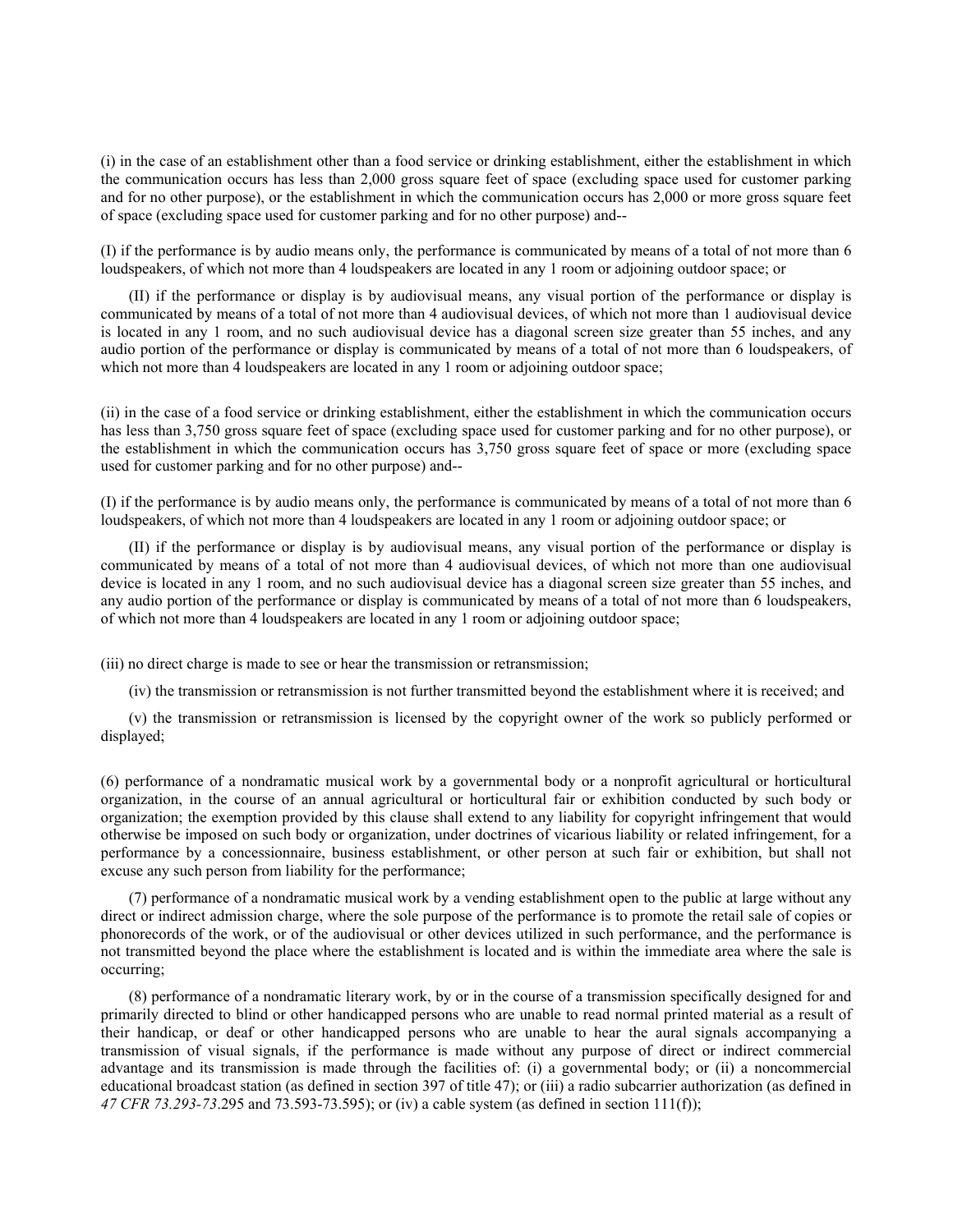(i) in the case of an establishment other than a food service or drinking establishment, either the establishment in which the communication occurs has less than 2,000 gross square feet of space (excluding space used for customer parking and for no other purpose), or the establishment in which the communication occurs has 2,000 or more gross square feet of space (excluding space used for customer parking and for no other purpose) and--

(I) if the performance is by audio means only, the performance is communicated by means of a total of not more than 6 loudspeakers, of which not more than 4 loudspeakers are located in any 1 room or adjoining outdoor space; or

(II) if the performance or display is by audiovisual means, any visual portion of the performance or display is communicated by means of a total of not more than 4 audiovisual devices, of which not more than 1 audiovisual device is located in any 1 room, and no such audiovisual device has a diagonal screen size greater than 55 inches, and any audio portion of the performance or display is communicated by means of a total of not more than 6 loudspeakers, of which not more than 4 loudspeakers are located in any 1 room or adjoining outdoor space;

(ii) in the case of a food service or drinking establishment, either the establishment in which the communication occurs has less than 3,750 gross square feet of space (excluding space used for customer parking and for no other purpose), or the establishment in which the communication occurs has 3,750 gross square feet of space or more (excluding space used for customer parking and for no other purpose) and--

(I) if the performance is by audio means only, the performance is communicated by means of a total of not more than 6 loudspeakers, of which not more than 4 loudspeakers are located in any 1 room or adjoining outdoor space; or

(II) if the performance or display is by audiovisual means, any visual portion of the performance or display is communicated by means of a total of not more than 4 audiovisual devices, of which not more than one audiovisual device is located in any 1 room, and no such audiovisual device has a diagonal screen size greater than 55 inches, and any audio portion of the performance or display is communicated by means of a total of not more than 6 loudspeakers, of which not more than 4 loudspeakers are located in any 1 room or adjoining outdoor space;

(iii) no direct charge is made to see or hear the transmission or retransmission;

(iv) the transmission or retransmission is not further transmitted beyond the establishment where it is received; and

(v) the transmission or retransmission is licensed by the copyright owner of the work so publicly performed or displayed;

(6) performance of a nondramatic musical work by a governmental body or a nonprofit agricultural or horticultural organization, in the course of an annual agricultural or horticultural fair or exhibition conducted by such body or organization; the exemption provided by this clause shall extend to any liability for copyright infringement that would otherwise be imposed on such body or organization, under doctrines of vicarious liability or related infringement, for a performance by a concessionnaire, business establishment, or other person at such fair or exhibition, but shall not excuse any such person from liability for the performance;

(7) performance of a nondramatic musical work by a vending establishment open to the public at large without any direct or indirect admission charge, where the sole purpose of the performance is to promote the retail sale of copies or phonorecords of the work, or of the audiovisual or other devices utilized in such performance, and the performance is not transmitted beyond the place where the establishment is located and is within the immediate area where the sale is occurring;

(8) performance of a nondramatic literary work, by or in the course of a transmission specifically designed for and primarily directed to blind or other handicapped persons who are unable to read normal printed material as a result of their handicap, or deaf or other handicapped persons who are unable to hear the aural signals accompanying a transmission of visual signals, if the performance is made without any purpose of direct or indirect commercial advantage and its transmission is made through the facilities of: (i) a governmental body; or (ii) a noncommercial educational broadcast station (as defined in section 397 of title 47); or (iii) a radio subcarrier authorization (as defined in *47 CFR 73.293-73*.295 and 73.593-73.595); or (iv) a cable system (as defined in section 111(f));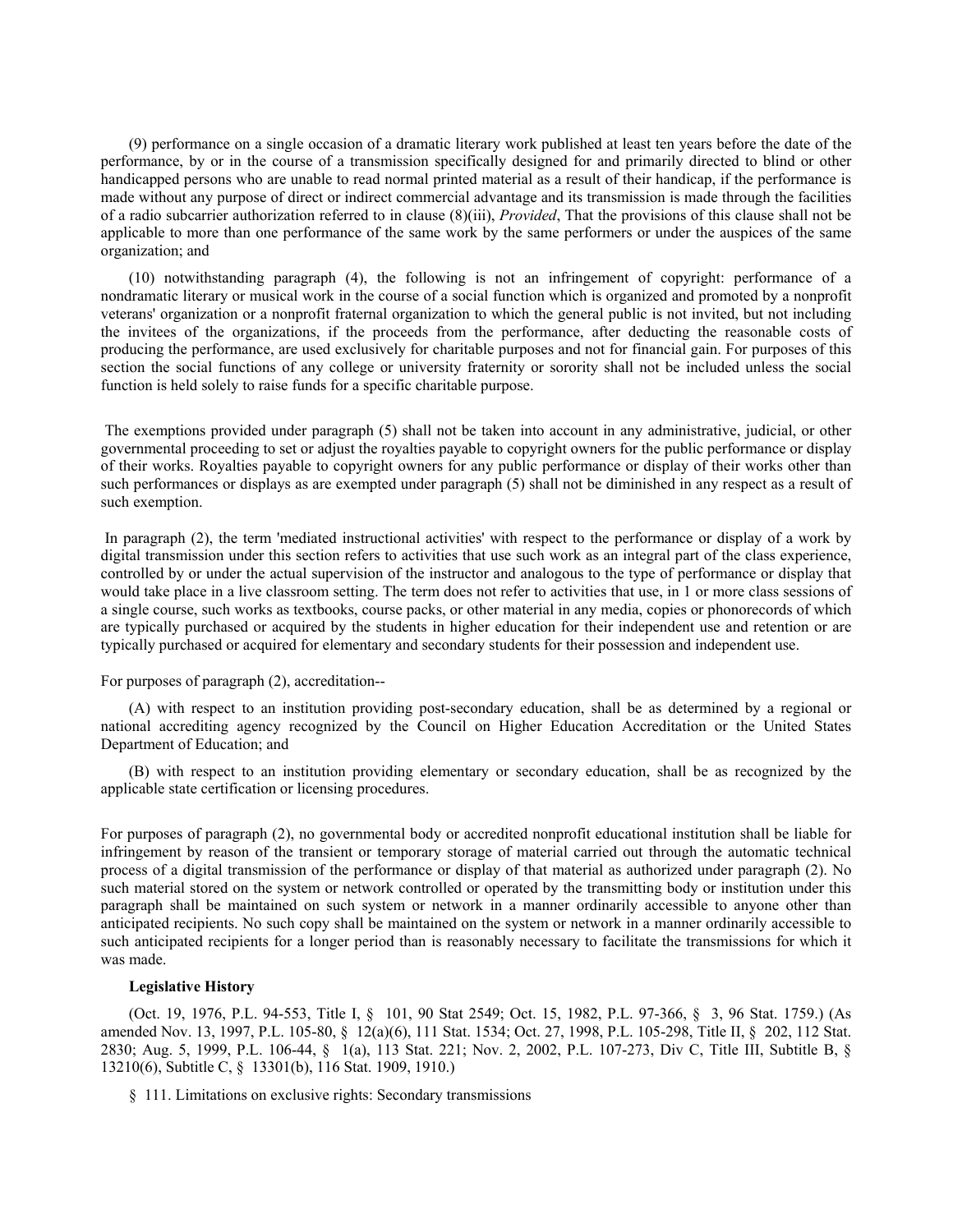(9) performance on a single occasion of a dramatic literary work published at least ten years before the date of the performance, by or in the course of a transmission specifically designed for and primarily directed to blind or other handicapped persons who are unable to read normal printed material as a result of their handicap, if the performance is made without any purpose of direct or indirect commercial advantage and its transmission is made through the facilities of a radio subcarrier authorization referred to in clause (8)(iii), *Provided*, That the provisions of this clause shall not be applicable to more than one performance of the same work by the same performers or under the auspices of the same organization; and

(10) notwithstanding paragraph (4), the following is not an infringement of copyright: performance of a nondramatic literary or musical work in the course of a social function which is organized and promoted by a nonprofit veterans' organization or a nonprofit fraternal organization to which the general public is not invited, but not including the invitees of the organizations, if the proceeds from the performance, after deducting the reasonable costs of producing the performance, are used exclusively for charitable purposes and not for financial gain. For purposes of this section the social functions of any college or university fraternity or sorority shall not be included unless the social function is held solely to raise funds for a specific charitable purpose.

 The exemptions provided under paragraph (5) shall not be taken into account in any administrative, judicial, or other governmental proceeding to set or adjust the royalties payable to copyright owners for the public performance or display of their works. Royalties payable to copyright owners for any public performance or display of their works other than such performances or displays as are exempted under paragraph (5) shall not be diminished in any respect as a result of such exemption.

 In paragraph (2), the term 'mediated instructional activities' with respect to the performance or display of a work by digital transmission under this section refers to activities that use such work as an integral part of the class experience, controlled by or under the actual supervision of the instructor and analogous to the type of performance or display that would take place in a live classroom setting. The term does not refer to activities that use, in 1 or more class sessions of a single course, such works as textbooks, course packs, or other material in any media, copies or phonorecords of which are typically purchased or acquired by the students in higher education for their independent use and retention or are typically purchased or acquired for elementary and secondary students for their possession and independent use.

For purposes of paragraph (2), accreditation--

(A) with respect to an institution providing post-secondary education, shall be as determined by a regional or national accrediting agency recognized by the Council on Higher Education Accreditation or the United States Department of Education; and

(B) with respect to an institution providing elementary or secondary education, shall be as recognized by the applicable state certification or licensing procedures.

For purposes of paragraph (2), no governmental body or accredited nonprofit educational institution shall be liable for infringement by reason of the transient or temporary storage of material carried out through the automatic technical process of a digital transmission of the performance or display of that material as authorized under paragraph (2). No such material stored on the system or network controlled or operated by the transmitting body or institution under this paragraph shall be maintained on such system or network in a manner ordinarily accessible to anyone other than anticipated recipients. No such copy shall be maintained on the system or network in a manner ordinarily accessible to such anticipated recipients for a longer period than is reasonably necessary to facilitate the transmissions for which it was made.

## **Legislative History**

(Oct. 19, 1976, P.L. 94-553, Title I, § 101, 90 Stat 2549; Oct. 15, 1982, P.L. 97-366, § 3, 96 Stat. 1759.) (As amended Nov. 13, 1997, P.L. 105-80, § 12(a)(6), 111 Stat. 1534; Oct. 27, 1998, P.L. 105-298, Title II, § 202, 112 Stat. 2830; Aug. 5, 1999, P.L. 106-44, § 1(a), 113 Stat. 221; Nov. 2, 2002, P.L. 107-273, Div C, Title III, Subtitle B, § 13210(6), Subtitle C, § 13301(b), 116 Stat. 1909, 1910.)

§ 111. Limitations on exclusive rights: Secondary transmissions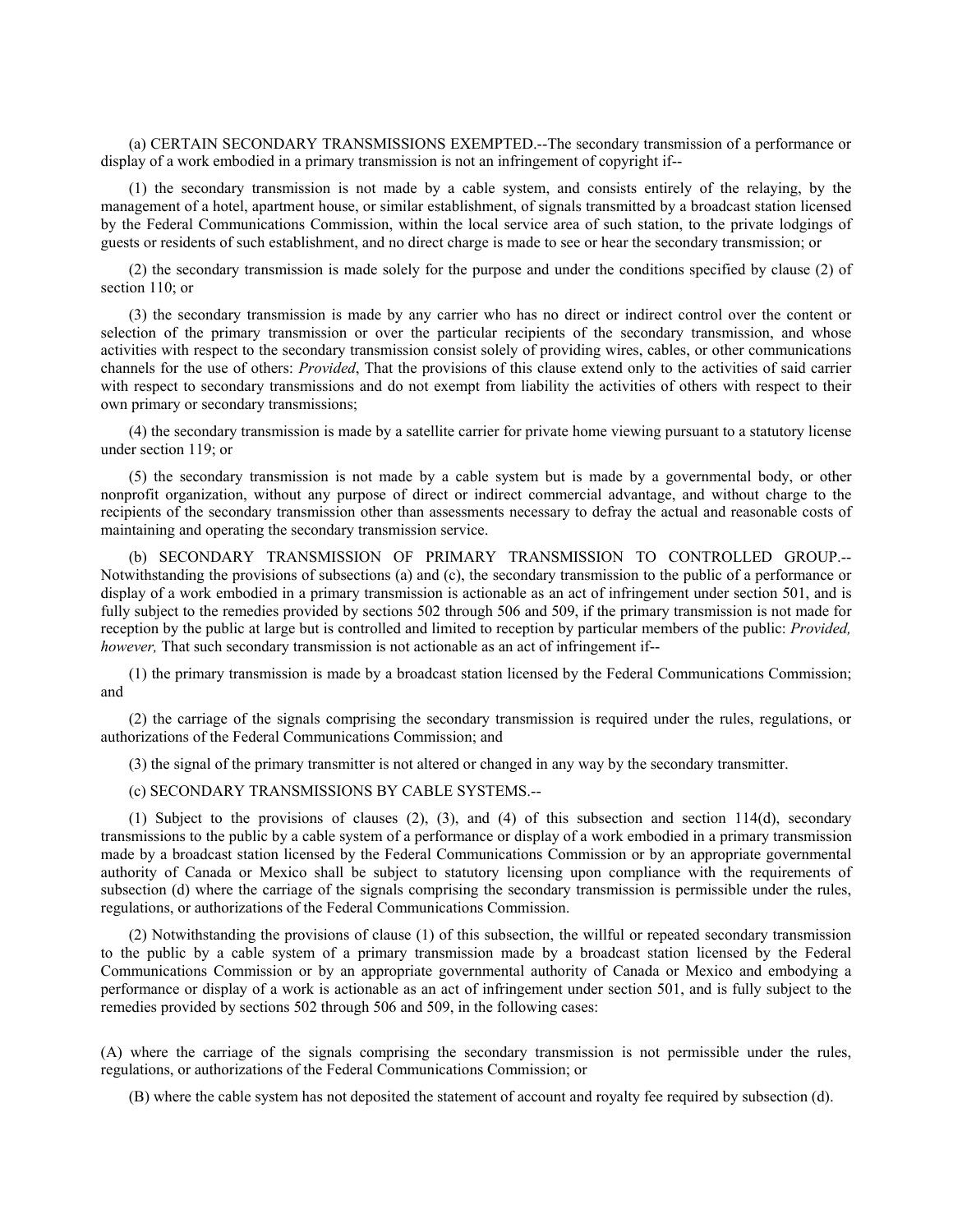(a) CERTAIN SECONDARY TRANSMISSIONS EXEMPTED.--The secondary transmission of a performance or display of a work embodied in a primary transmission is not an infringement of copyright if--

(1) the secondary transmission is not made by a cable system, and consists entirely of the relaying, by the management of a hotel, apartment house, or similar establishment, of signals transmitted by a broadcast station licensed by the Federal Communications Commission, within the local service area of such station, to the private lodgings of guests or residents of such establishment, and no direct charge is made to see or hear the secondary transmission; or

(2) the secondary transmission is made solely for the purpose and under the conditions specified by clause (2) of section 110; or

(3) the secondary transmission is made by any carrier who has no direct or indirect control over the content or selection of the primary transmission or over the particular recipients of the secondary transmission, and whose activities with respect to the secondary transmission consist solely of providing wires, cables, or other communications channels for the use of others: *Provided*, That the provisions of this clause extend only to the activities of said carrier with respect to secondary transmissions and do not exempt from liability the activities of others with respect to their own primary or secondary transmissions;

(4) the secondary transmission is made by a satellite carrier for private home viewing pursuant to a statutory license under section 119; or

(5) the secondary transmission is not made by a cable system but is made by a governmental body, or other nonprofit organization, without any purpose of direct or indirect commercial advantage, and without charge to the recipients of the secondary transmission other than assessments necessary to defray the actual and reasonable costs of maintaining and operating the secondary transmission service.

(b) SECONDARY TRANSMISSION OF PRIMARY TRANSMISSION TO CONTROLLED GROUP.-- Notwithstanding the provisions of subsections (a) and (c), the secondary transmission to the public of a performance or display of a work embodied in a primary transmission is actionable as an act of infringement under section 501, and is fully subject to the remedies provided by sections 502 through 506 and 509, if the primary transmission is not made for reception by the public at large but is controlled and limited to reception by particular members of the public: *Provided, however*, That such secondary transmission is not actionable as an act of infringement if--

(1) the primary transmission is made by a broadcast station licensed by the Federal Communications Commission; and

(2) the carriage of the signals comprising the secondary transmission is required under the rules, regulations, or authorizations of the Federal Communications Commission; and

(3) the signal of the primary transmitter is not altered or changed in any way by the secondary transmitter.

(c) SECONDARY TRANSMISSIONS BY CABLE SYSTEMS.--

(1) Subject to the provisions of clauses (2), (3), and (4) of this subsection and section 114(d), secondary transmissions to the public by a cable system of a performance or display of a work embodied in a primary transmission made by a broadcast station licensed by the Federal Communications Commission or by an appropriate governmental authority of Canada or Mexico shall be subject to statutory licensing upon compliance with the requirements of subsection (d) where the carriage of the signals comprising the secondary transmission is permissible under the rules, regulations, or authorizations of the Federal Communications Commission.

(2) Notwithstanding the provisions of clause (1) of this subsection, the willful or repeated secondary transmission to the public by a cable system of a primary transmission made by a broadcast station licensed by the Federal Communications Commission or by an appropriate governmental authority of Canada or Mexico and embodying a performance or display of a work is actionable as an act of infringement under section 501, and is fully subject to the remedies provided by sections 502 through 506 and 509, in the following cases:

(A) where the carriage of the signals comprising the secondary transmission is not permissible under the rules, regulations, or authorizations of the Federal Communications Commission; or

(B) where the cable system has not deposited the statement of account and royalty fee required by subsection (d).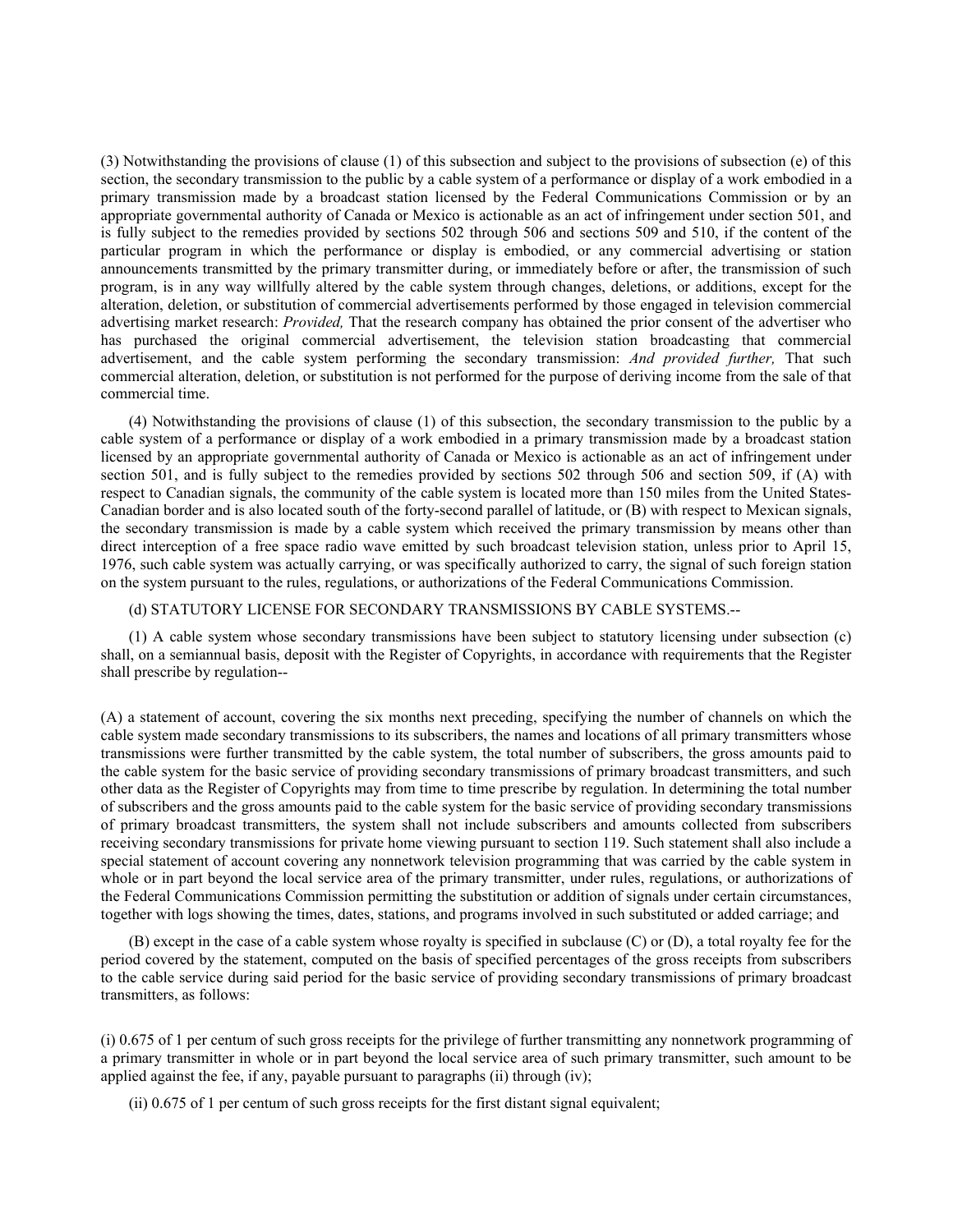(3) Notwithstanding the provisions of clause (1) of this subsection and subject to the provisions of subsection (e) of this section, the secondary transmission to the public by a cable system of a performance or display of a work embodied in a primary transmission made by a broadcast station licensed by the Federal Communications Commission or by an appropriate governmental authority of Canada or Mexico is actionable as an act of infringement under section 501, and is fully subject to the remedies provided by sections 502 through 506 and sections 509 and 510, if the content of the particular program in which the performance or display is embodied, or any commercial advertising or station announcements transmitted by the primary transmitter during, or immediately before or after, the transmission of such program, is in any way willfully altered by the cable system through changes, deletions, or additions, except for the alteration, deletion, or substitution of commercial advertisements performed by those engaged in television commercial advertising market research: *Provided,* That the research company has obtained the prior consent of the advertiser who has purchased the original commercial advertisement, the television station broadcasting that commercial advertisement, and the cable system performing the secondary transmission: *And provided further,* That such commercial alteration, deletion, or substitution is not performed for the purpose of deriving income from the sale of that commercial time.

(4) Notwithstanding the provisions of clause (1) of this subsection, the secondary transmission to the public by a cable system of a performance or display of a work embodied in a primary transmission made by a broadcast station licensed by an appropriate governmental authority of Canada or Mexico is actionable as an act of infringement under section 501, and is fully subject to the remedies provided by sections 502 through 506 and section 509, if (A) with respect to Canadian signals, the community of the cable system is located more than 150 miles from the United States-Canadian border and is also located south of the forty-second parallel of latitude, or (B) with respect to Mexican signals, the secondary transmission is made by a cable system which received the primary transmission by means other than direct interception of a free space radio wave emitted by such broadcast television station, unless prior to April 15, 1976, such cable system was actually carrying, or was specifically authorized to carry, the signal of such foreign station on the system pursuant to the rules, regulations, or authorizations of the Federal Communications Commission.

# (d) STATUTORY LICENSE FOR SECONDARY TRANSMISSIONS BY CABLE SYSTEMS.--

(1) A cable system whose secondary transmissions have been subject to statutory licensing under subsection (c) shall, on a semiannual basis, deposit with the Register of Copyrights, in accordance with requirements that the Register shall prescribe by regulation--

(A) a statement of account, covering the six months next preceding, specifying the number of channels on which the cable system made secondary transmissions to its subscribers, the names and locations of all primary transmitters whose transmissions were further transmitted by the cable system, the total number of subscribers, the gross amounts paid to the cable system for the basic service of providing secondary transmissions of primary broadcast transmitters, and such other data as the Register of Copyrights may from time to time prescribe by regulation. In determining the total number of subscribers and the gross amounts paid to the cable system for the basic service of providing secondary transmissions of primary broadcast transmitters, the system shall not include subscribers and amounts collected from subscribers receiving secondary transmissions for private home viewing pursuant to section 119. Such statement shall also include a special statement of account covering any nonnetwork television programming that was carried by the cable system in whole or in part beyond the local service area of the primary transmitter, under rules, regulations, or authorizations of the Federal Communications Commission permitting the substitution or addition of signals under certain circumstances, together with logs showing the times, dates, stations, and programs involved in such substituted or added carriage; and

(B) except in the case of a cable system whose royalty is specified in subclause (C) or (D), a total royalty fee for the period covered by the statement, computed on the basis of specified percentages of the gross receipts from subscribers to the cable service during said period for the basic service of providing secondary transmissions of primary broadcast transmitters, as follows:

(i) 0.675 of 1 per centum of such gross receipts for the privilege of further transmitting any nonnetwork programming of a primary transmitter in whole or in part beyond the local service area of such primary transmitter, such amount to be applied against the fee, if any, payable pursuant to paragraphs (ii) through (iv);

(ii) 0.675 of 1 per centum of such gross receipts for the first distant signal equivalent;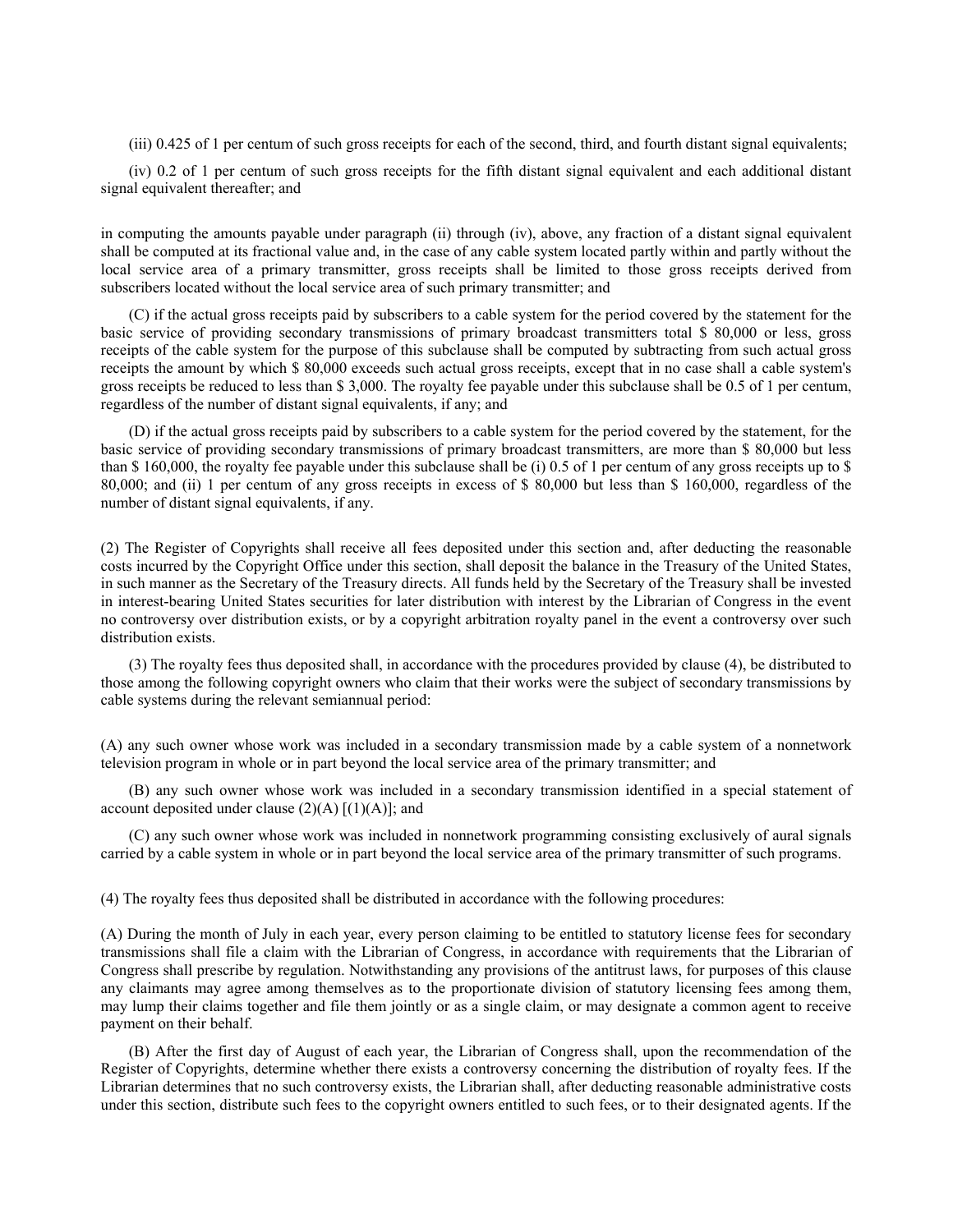(iii) 0.425 of 1 per centum of such gross receipts for each of the second, third, and fourth distant signal equivalents;

(iv) 0.2 of 1 per centum of such gross receipts for the fifth distant signal equivalent and each additional distant signal equivalent thereafter; and

in computing the amounts payable under paragraph (ii) through (iv), above, any fraction of a distant signal equivalent shall be computed at its fractional value and, in the case of any cable system located partly within and partly without the local service area of a primary transmitter, gross receipts shall be limited to those gross receipts derived from subscribers located without the local service area of such primary transmitter; and

(C) if the actual gross receipts paid by subscribers to a cable system for the period covered by the statement for the basic service of providing secondary transmissions of primary broadcast transmitters total \$ 80,000 or less, gross receipts of the cable system for the purpose of this subclause shall be computed by subtracting from such actual gross receipts the amount by which \$ 80,000 exceeds such actual gross receipts, except that in no case shall a cable system's gross receipts be reduced to less than \$ 3,000. The royalty fee payable under this subclause shall be 0.5 of 1 per centum, regardless of the number of distant signal equivalents, if any; and

(D) if the actual gross receipts paid by subscribers to a cable system for the period covered by the statement, for the basic service of providing secondary transmissions of primary broadcast transmitters, are more than \$ 80,000 but less than \$ 160,000, the royalty fee payable under this subclause shall be (i) 0.5 of 1 per centum of any gross receipts up to \$ 80,000; and (ii) 1 per centum of any gross receipts in excess of \$ 80,000 but less than \$ 160,000, regardless of the number of distant signal equivalents, if any.

(2) The Register of Copyrights shall receive all fees deposited under this section and, after deducting the reasonable costs incurred by the Copyright Office under this section, shall deposit the balance in the Treasury of the United States, in such manner as the Secretary of the Treasury directs. All funds held by the Secretary of the Treasury shall be invested in interest-bearing United States securities for later distribution with interest by the Librarian of Congress in the event no controversy over distribution exists, or by a copyright arbitration royalty panel in the event a controversy over such distribution exists.

(3) The royalty fees thus deposited shall, in accordance with the procedures provided by clause (4), be distributed to those among the following copyright owners who claim that their works were the subject of secondary transmissions by cable systems during the relevant semiannual period:

(A) any such owner whose work was included in a secondary transmission made by a cable system of a nonnetwork television program in whole or in part beyond the local service area of the primary transmitter; and

(B) any such owner whose work was included in a secondary transmission identified in a special statement of account deposited under clause  $(2)(A)$   $[(1)(A)]$ ; and

(C) any such owner whose work was included in nonnetwork programming consisting exclusively of aural signals carried by a cable system in whole or in part beyond the local service area of the primary transmitter of such programs.

(4) The royalty fees thus deposited shall be distributed in accordance with the following procedures:

(A) During the month of July in each year, every person claiming to be entitled to statutory license fees for secondary transmissions shall file a claim with the Librarian of Congress, in accordance with requirements that the Librarian of Congress shall prescribe by regulation. Notwithstanding any provisions of the antitrust laws, for purposes of this clause any claimants may agree among themselves as to the proportionate division of statutory licensing fees among them, may lump their claims together and file them jointly or as a single claim, or may designate a common agent to receive payment on their behalf.

(B) After the first day of August of each year, the Librarian of Congress shall, upon the recommendation of the Register of Copyrights, determine whether there exists a controversy concerning the distribution of royalty fees. If the Librarian determines that no such controversy exists, the Librarian shall, after deducting reasonable administrative costs under this section, distribute such fees to the copyright owners entitled to such fees, or to their designated agents. If the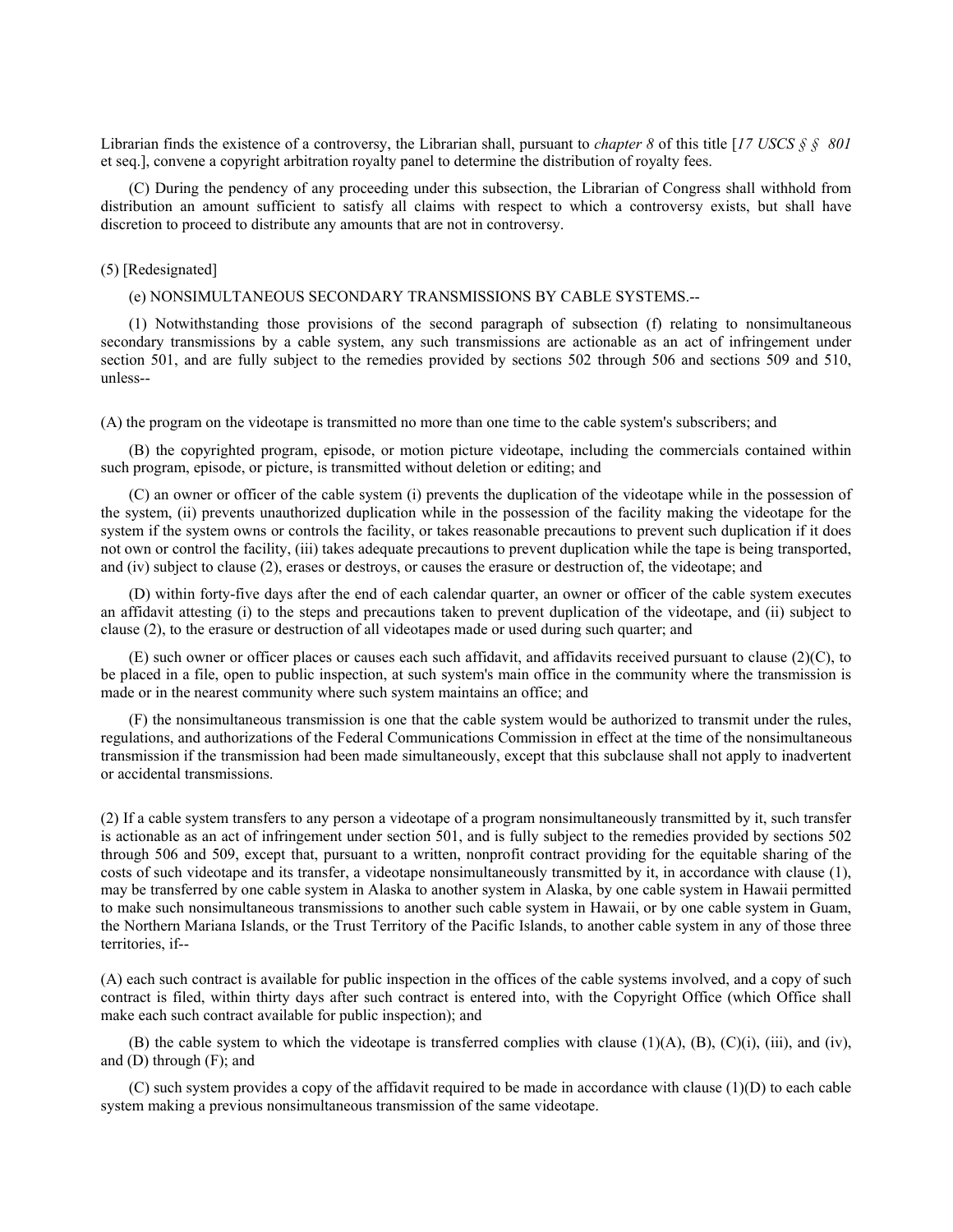Librarian finds the existence of a controversy, the Librarian shall, pursuant to *chapter 8* of this title [*17 USCS § § 801* et seq.], convene a copyright arbitration royalty panel to determine the distribution of royalty fees.

(C) During the pendency of any proceeding under this subsection, the Librarian of Congress shall withhold from distribution an amount sufficient to satisfy all claims with respect to which a controversy exists, but shall have discretion to proceed to distribute any amounts that are not in controversy.

#### (5) [Redesignated]

(e) NONSIMULTANEOUS SECONDARY TRANSMISSIONS BY CABLE SYSTEMS.--

(1) Notwithstanding those provisions of the second paragraph of subsection (f) relating to nonsimultaneous secondary transmissions by a cable system, any such transmissions are actionable as an act of infringement under section 501, and are fully subject to the remedies provided by sections 502 through 506 and sections 509 and 510, unless--

(A) the program on the videotape is transmitted no more than one time to the cable system's subscribers; and

(B) the copyrighted program, episode, or motion picture videotape, including the commercials contained within such program, episode, or picture, is transmitted without deletion or editing; and

(C) an owner or officer of the cable system (i) prevents the duplication of the videotape while in the possession of the system, (ii) prevents unauthorized duplication while in the possession of the facility making the videotape for the system if the system owns or controls the facility, or takes reasonable precautions to prevent such duplication if it does not own or control the facility, (iii) takes adequate precautions to prevent duplication while the tape is being transported, and (iv) subject to clause (2), erases or destroys, or causes the erasure or destruction of, the videotape; and

(D) within forty-five days after the end of each calendar quarter, an owner or officer of the cable system executes an affidavit attesting (i) to the steps and precautions taken to prevent duplication of the videotape, and (ii) subject to clause (2), to the erasure or destruction of all videotapes made or used during such quarter; and

(E) such owner or officer places or causes each such affidavit, and affidavits received pursuant to clause (2)(C), to be placed in a file, open to public inspection, at such system's main office in the community where the transmission is made or in the nearest community where such system maintains an office; and

(F) the nonsimultaneous transmission is one that the cable system would be authorized to transmit under the rules, regulations, and authorizations of the Federal Communications Commission in effect at the time of the nonsimultaneous transmission if the transmission had been made simultaneously, except that this subclause shall not apply to inadvertent or accidental transmissions.

(2) If a cable system transfers to any person a videotape of a program nonsimultaneously transmitted by it, such transfer is actionable as an act of infringement under section 501, and is fully subject to the remedies provided by sections 502 through 506 and 509, except that, pursuant to a written, nonprofit contract providing for the equitable sharing of the costs of such videotape and its transfer, a videotape nonsimultaneously transmitted by it, in accordance with clause (1), may be transferred by one cable system in Alaska to another system in Alaska, by one cable system in Hawaii permitted to make such nonsimultaneous transmissions to another such cable system in Hawaii, or by one cable system in Guam, the Northern Mariana Islands, or the Trust Territory of the Pacific Islands, to another cable system in any of those three territories, if--

(A) each such contract is available for public inspection in the offices of the cable systems involved, and a copy of such contract is filed, within thirty days after such contract is entered into, with the Copyright Office (which Office shall make each such contract available for public inspection); and

(B) the cable system to which the videotape is transferred complies with clause  $(1)(A)$ ,  $(B)$ ,  $(C)(i)$ ,  $(iii)$ , and  $(iv)$ , and (D) through (F); and

(C) such system provides a copy of the affidavit required to be made in accordance with clause (1)(D) to each cable system making a previous nonsimultaneous transmission of the same videotape.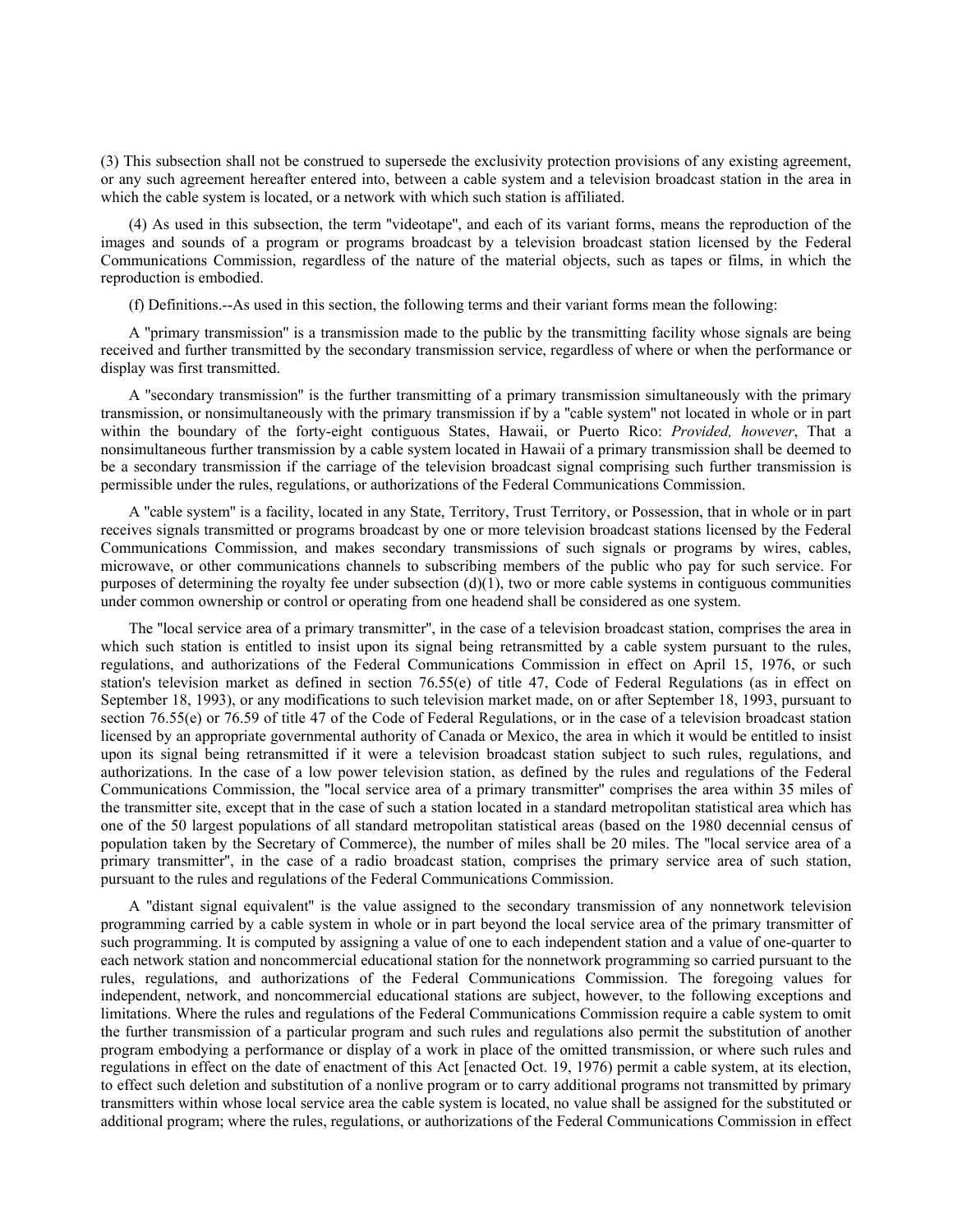(3) This subsection shall not be construed to supersede the exclusivity protection provisions of any existing agreement, or any such agreement hereafter entered into, between a cable system and a television broadcast station in the area in which the cable system is located, or a network with which such station is affiliated.

(4) As used in this subsection, the term ''videotape'', and each of its variant forms, means the reproduction of the images and sounds of a program or programs broadcast by a television broadcast station licensed by the Federal Communications Commission, regardless of the nature of the material objects, such as tapes or films, in which the reproduction is embodied.

(f) Definitions.--As used in this section, the following terms and their variant forms mean the following:

A ''primary transmission'' is a transmission made to the public by the transmitting facility whose signals are being received and further transmitted by the secondary transmission service, regardless of where or when the performance or display was first transmitted.

A ''secondary transmission'' is the further transmitting of a primary transmission simultaneously with the primary transmission, or nonsimultaneously with the primary transmission if by a ''cable system'' not located in whole or in part within the boundary of the forty-eight contiguous States, Hawaii, or Puerto Rico: *Provided, however*, That a nonsimultaneous further transmission by a cable system located in Hawaii of a primary transmission shall be deemed to be a secondary transmission if the carriage of the television broadcast signal comprising such further transmission is permissible under the rules, regulations, or authorizations of the Federal Communications Commission.

A ''cable system'' is a facility, located in any State, Territory, Trust Territory, or Possession, that in whole or in part receives signals transmitted or programs broadcast by one or more television broadcast stations licensed by the Federal Communications Commission, and makes secondary transmissions of such signals or programs by wires, cables, microwave, or other communications channels to subscribing members of the public who pay for such service. For purposes of determining the royalty fee under subsection  $(d)(1)$ , two or more cable systems in contiguous communities under common ownership or control or operating from one headend shall be considered as one system.

The ''local service area of a primary transmitter'', in the case of a television broadcast station, comprises the area in which such station is entitled to insist upon its signal being retransmitted by a cable system pursuant to the rules, regulations, and authorizations of the Federal Communications Commission in effect on April 15, 1976, or such station's television market as defined in section 76.55(e) of title 47, Code of Federal Regulations (as in effect on September 18, 1993), or any modifications to such television market made, on or after September 18, 1993, pursuant to section 76.55(e) or 76.59 of title 47 of the Code of Federal Regulations, or in the case of a television broadcast station licensed by an appropriate governmental authority of Canada or Mexico, the area in which it would be entitled to insist upon its signal being retransmitted if it were a television broadcast station subject to such rules, regulations, and authorizations. In the case of a low power television station, as defined by the rules and regulations of the Federal Communications Commission, the ''local service area of a primary transmitter'' comprises the area within 35 miles of the transmitter site, except that in the case of such a station located in a standard metropolitan statistical area which has one of the 50 largest populations of all standard metropolitan statistical areas (based on the 1980 decennial census of population taken by the Secretary of Commerce), the number of miles shall be 20 miles. The ''local service area of a primary transmitter'', in the case of a radio broadcast station, comprises the primary service area of such station, pursuant to the rules and regulations of the Federal Communications Commission.

A ''distant signal equivalent'' is the value assigned to the secondary transmission of any nonnetwork television programming carried by a cable system in whole or in part beyond the local service area of the primary transmitter of such programming. It is computed by assigning a value of one to each independent station and a value of one-quarter to each network station and noncommercial educational station for the nonnetwork programming so carried pursuant to the rules, regulations, and authorizations of the Federal Communications Commission. The foregoing values for independent, network, and noncommercial educational stations are subject, however, to the following exceptions and limitations. Where the rules and regulations of the Federal Communications Commission require a cable system to omit the further transmission of a particular program and such rules and regulations also permit the substitution of another program embodying a performance or display of a work in place of the omitted transmission, or where such rules and regulations in effect on the date of enactment of this Act [enacted Oct. 19, 1976) permit a cable system, at its election, to effect such deletion and substitution of a nonlive program or to carry additional programs not transmitted by primary transmitters within whose local service area the cable system is located, no value shall be assigned for the substituted or additional program; where the rules, regulations, or authorizations of the Federal Communications Commission in effect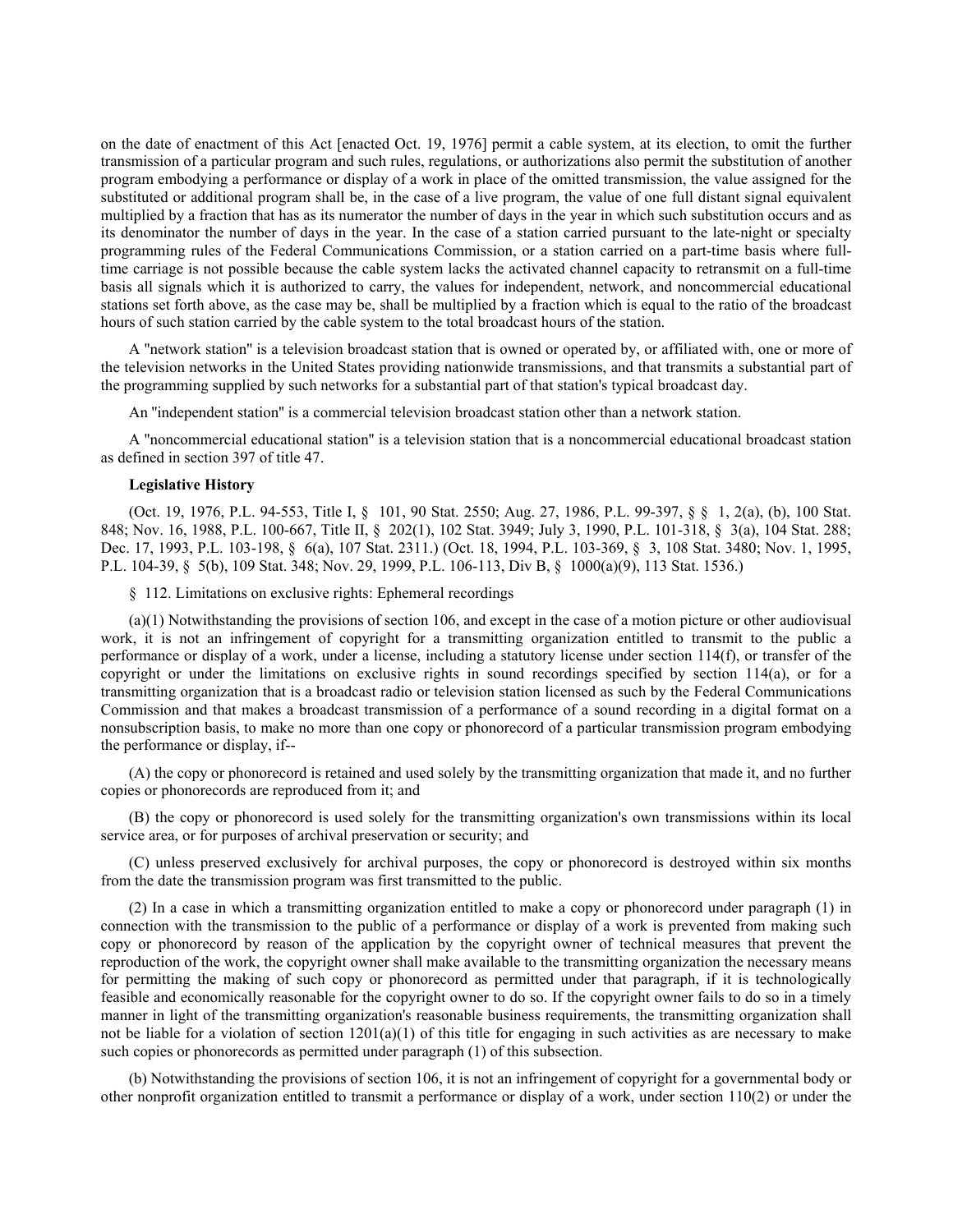on the date of enactment of this Act [enacted Oct. 19, 1976] permit a cable system, at its election, to omit the further transmission of a particular program and such rules, regulations, or authorizations also permit the substitution of another program embodying a performance or display of a work in place of the omitted transmission, the value assigned for the substituted or additional program shall be, in the case of a live program, the value of one full distant signal equivalent multiplied by a fraction that has as its numerator the number of days in the year in which such substitution occurs and as its denominator the number of days in the year. In the case of a station carried pursuant to the late-night or specialty programming rules of the Federal Communications Commission, or a station carried on a part-time basis where fulltime carriage is not possible because the cable system lacks the activated channel capacity to retransmit on a full-time basis all signals which it is authorized to carry, the values for independent, network, and noncommercial educational stations set forth above, as the case may be, shall be multiplied by a fraction which is equal to the ratio of the broadcast hours of such station carried by the cable system to the total broadcast hours of the station.

A ''network station'' is a television broadcast station that is owned or operated by, or affiliated with, one or more of the television networks in the United States providing nationwide transmissions, and that transmits a substantial part of the programming supplied by such networks for a substantial part of that station's typical broadcast day.

An ''independent station'' is a commercial television broadcast station other than a network station.

A ''noncommercial educational station'' is a television station that is a noncommercial educational broadcast station as defined in section 397 of title 47.

## **Legislative History**

(Oct. 19, 1976, P.L. 94-553, Title I, § 101, 90 Stat. 2550; Aug. 27, 1986, P.L. 99-397, § § 1, 2(a), (b), 100 Stat. 848; Nov. 16, 1988, P.L. 100-667, Title II, § 202(1), 102 Stat. 3949; July 3, 1990, P.L. 101-318, § 3(a), 104 Stat. 288; Dec. 17, 1993, P.L. 103-198, § 6(a), 107 Stat. 2311.) (Oct. 18, 1994, P.L. 103-369, § 3, 108 Stat. 3480; Nov. 1, 1995, P.L. 104-39, § 5(b), 109 Stat. 348; Nov. 29, 1999, P.L. 106-113, Div B, § 1000(a)(9), 113 Stat. 1536.)

§ 112. Limitations on exclusive rights: Ephemeral recordings

(a)(1) Notwithstanding the provisions of section 106, and except in the case of a motion picture or other audiovisual work, it is not an infringement of copyright for a transmitting organization entitled to transmit to the public a performance or display of a work, under a license, including a statutory license under section 114(f), or transfer of the copyright or under the limitations on exclusive rights in sound recordings specified by section 114(a), or for a transmitting organization that is a broadcast radio or television station licensed as such by the Federal Communications Commission and that makes a broadcast transmission of a performance of a sound recording in a digital format on a nonsubscription basis, to make no more than one copy or phonorecord of a particular transmission program embodying the performance or display, if--

(A) the copy or phonorecord is retained and used solely by the transmitting organization that made it, and no further copies or phonorecords are reproduced from it; and

(B) the copy or phonorecord is used solely for the transmitting organization's own transmissions within its local service area, or for purposes of archival preservation or security; and

(C) unless preserved exclusively for archival purposes, the copy or phonorecord is destroyed within six months from the date the transmission program was first transmitted to the public.

(2) In a case in which a transmitting organization entitled to make a copy or phonorecord under paragraph (1) in connection with the transmission to the public of a performance or display of a work is prevented from making such copy or phonorecord by reason of the application by the copyright owner of technical measures that prevent the reproduction of the work, the copyright owner shall make available to the transmitting organization the necessary means for permitting the making of such copy or phonorecord as permitted under that paragraph, if it is technologically feasible and economically reasonable for the copyright owner to do so. If the copyright owner fails to do so in a timely manner in light of the transmitting organization's reasonable business requirements, the transmitting organization shall not be liable for a violation of section  $1201(a)(1)$  of this title for engaging in such activities as are necessary to make such copies or phonorecords as permitted under paragraph (1) of this subsection.

(b) Notwithstanding the provisions of section 106, it is not an infringement of copyright for a governmental body or other nonprofit organization entitled to transmit a performance or display of a work, under section 110(2) or under the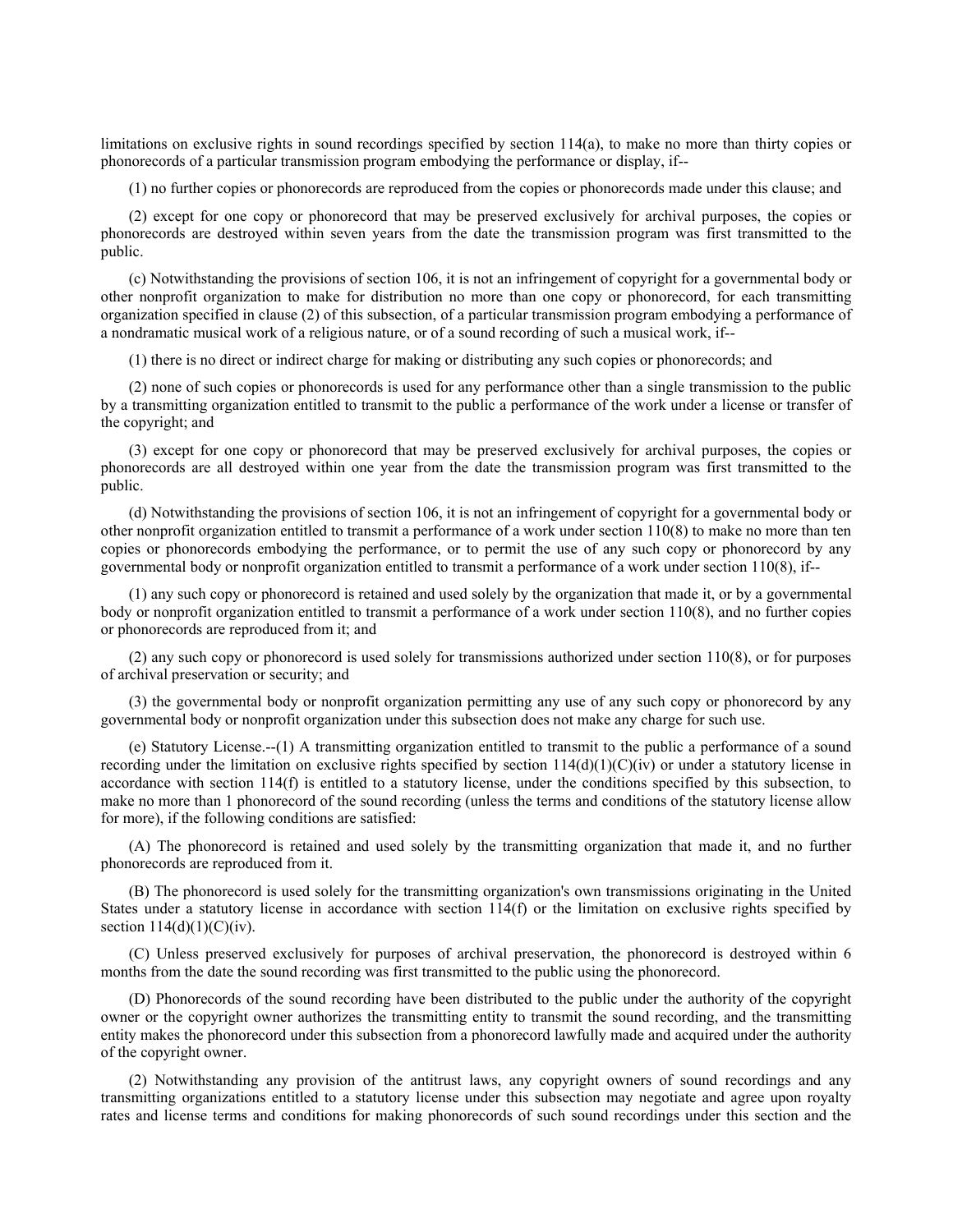limitations on exclusive rights in sound recordings specified by section 114(a), to make no more than thirty copies or phonorecords of a particular transmission program embodying the performance or display, if--

(1) no further copies or phonorecords are reproduced from the copies or phonorecords made under this clause; and

(2) except for one copy or phonorecord that may be preserved exclusively for archival purposes, the copies or phonorecords are destroyed within seven years from the date the transmission program was first transmitted to the public.

(c) Notwithstanding the provisions of section 106, it is not an infringement of copyright for a governmental body or other nonprofit organization to make for distribution no more than one copy or phonorecord, for each transmitting organization specified in clause (2) of this subsection, of a particular transmission program embodying a performance of a nondramatic musical work of a religious nature, or of a sound recording of such a musical work, if--

(1) there is no direct or indirect charge for making or distributing any such copies or phonorecords; and

(2) none of such copies or phonorecords is used for any performance other than a single transmission to the public by a transmitting organization entitled to transmit to the public a performance of the work under a license or transfer of the copyright; and

(3) except for one copy or phonorecord that may be preserved exclusively for archival purposes, the copies or phonorecords are all destroyed within one year from the date the transmission program was first transmitted to the public.

(d) Notwithstanding the provisions of section 106, it is not an infringement of copyright for a governmental body or other nonprofit organization entitled to transmit a performance of a work under section 110(8) to make no more than ten copies or phonorecords embodying the performance, or to permit the use of any such copy or phonorecord by any governmental body or nonprofit organization entitled to transmit a performance of a work under section 110(8), if--

(1) any such copy or phonorecord is retained and used solely by the organization that made it, or by a governmental body or nonprofit organization entitled to transmit a performance of a work under section 110(8), and no further copies or phonorecords are reproduced from it; and

(2) any such copy or phonorecord is used solely for transmissions authorized under section 110(8), or for purposes of archival preservation or security; and

(3) the governmental body or nonprofit organization permitting any use of any such copy or phonorecord by any governmental body or nonprofit organization under this subsection does not make any charge for such use.

(e) Statutory License.--(1) A transmitting organization entitled to transmit to the public a performance of a sound recording under the limitation on exclusive rights specified by section  $114(d)(1)(C)(iv)$  or under a statutory license in accordance with section 114(f) is entitled to a statutory license, under the conditions specified by this subsection, to make no more than 1 phonorecord of the sound recording (unless the terms and conditions of the statutory license allow for more), if the following conditions are satisfied:

(A) The phonorecord is retained and used solely by the transmitting organization that made it, and no further phonorecords are reproduced from it.

(B) The phonorecord is used solely for the transmitting organization's own transmissions originating in the United States under a statutory license in accordance with section 114(f) or the limitation on exclusive rights specified by section  $114(d)(1)(C)(iv)$ .

(C) Unless preserved exclusively for purposes of archival preservation, the phonorecord is destroyed within 6 months from the date the sound recording was first transmitted to the public using the phonorecord.

(D) Phonorecords of the sound recording have been distributed to the public under the authority of the copyright owner or the copyright owner authorizes the transmitting entity to transmit the sound recording, and the transmitting entity makes the phonorecord under this subsection from a phonorecord lawfully made and acquired under the authority of the copyright owner.

(2) Notwithstanding any provision of the antitrust laws, any copyright owners of sound recordings and any transmitting organizations entitled to a statutory license under this subsection may negotiate and agree upon royalty rates and license terms and conditions for making phonorecords of such sound recordings under this section and the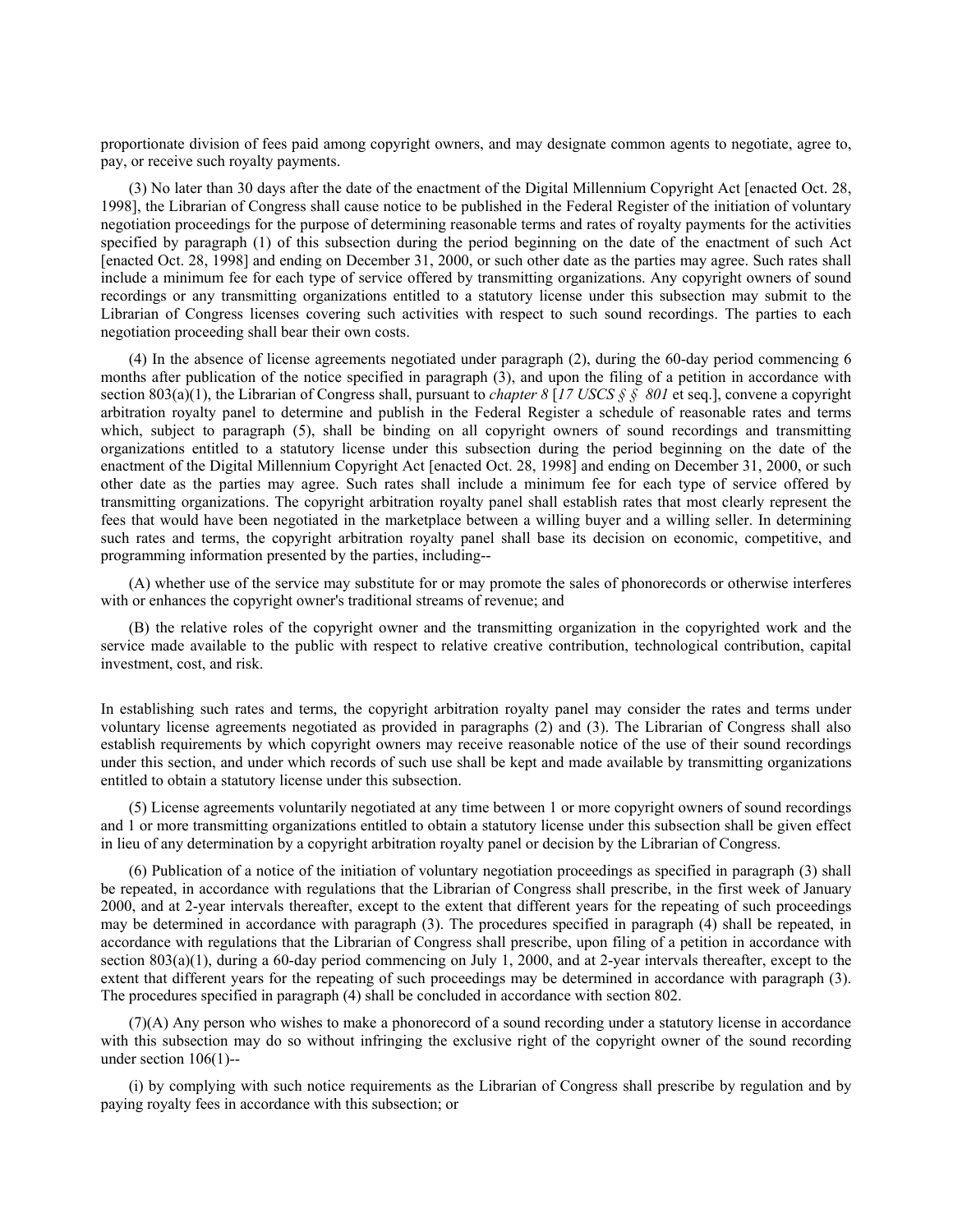proportionate division of fees paid among copyright owners, and may designate common agents to negotiate, agree to, pay, or receive such royalty payments.

(3) No later than 30 days after the date of the enactment of the Digital Millennium Copyright Act [enacted Oct. 28, 1998], the Librarian of Congress shall cause notice to be published in the Federal Register of the initiation of voluntary negotiation proceedings for the purpose of determining reasonable terms and rates of royalty payments for the activities specified by paragraph (1) of this subsection during the period beginning on the date of the enactment of such Act [enacted Oct. 28, 1998] and ending on December 31, 2000, or such other date as the parties may agree. Such rates shall include a minimum fee for each type of service offered by transmitting organizations. Any copyright owners of sound recordings or any transmitting organizations entitled to a statutory license under this subsection may submit to the Librarian of Congress licenses covering such activities with respect to such sound recordings. The parties to each negotiation proceeding shall bear their own costs.

(4) In the absence of license agreements negotiated under paragraph (2), during the 60-day period commencing 6 months after publication of the notice specified in paragraph (3), and upon the filing of a petition in accordance with section 803(a)(1), the Librarian of Congress shall, pursuant to *chapter 8* [*17 USCS § § 801* et seq.], convene a copyright arbitration royalty panel to determine and publish in the Federal Register a schedule of reasonable rates and terms which, subject to paragraph (5), shall be binding on all copyright owners of sound recordings and transmitting organizations entitled to a statutory license under this subsection during the period beginning on the date of the enactment of the Digital Millennium Copyright Act [enacted Oct. 28, 1998] and ending on December 31, 2000, or such other date as the parties may agree. Such rates shall include a minimum fee for each type of service offered by transmitting organizations. The copyright arbitration royalty panel shall establish rates that most clearly represent the fees that would have been negotiated in the marketplace between a willing buyer and a willing seller. In determining such rates and terms, the copyright arbitration royalty panel shall base its decision on economic, competitive, and programming information presented by the parties, including--

(A) whether use of the service may substitute for or may promote the sales of phonorecords or otherwise interferes with or enhances the copyright owner's traditional streams of revenue; and

(B) the relative roles of the copyright owner and the transmitting organization in the copyrighted work and the service made available to the public with respect to relative creative contribution, technological contribution, capital investment, cost, and risk.

In establishing such rates and terms, the copyright arbitration royalty panel may consider the rates and terms under voluntary license agreements negotiated as provided in paragraphs (2) and (3). The Librarian of Congress shall also establish requirements by which copyright owners may receive reasonable notice of the use of their sound recordings under this section, and under which records of such use shall be kept and made available by transmitting organizations entitled to obtain a statutory license under this subsection.

(5) License agreements voluntarily negotiated at any time between 1 or more copyright owners of sound recordings and 1 or more transmitting organizations entitled to obtain a statutory license under this subsection shall be given effect in lieu of any determination by a copyright arbitration royalty panel or decision by the Librarian of Congress.

(6) Publication of a notice of the initiation of voluntary negotiation proceedings as specified in paragraph (3) shall be repeated, in accordance with regulations that the Librarian of Congress shall prescribe, in the first week of January 2000, and at 2-year intervals thereafter, except to the extent that different years for the repeating of such proceedings may be determined in accordance with paragraph (3). The procedures specified in paragraph (4) shall be repeated, in accordance with regulations that the Librarian of Congress shall prescribe, upon filing of a petition in accordance with section 803(a)(1), during a 60-day period commencing on July 1, 2000, and at 2-year intervals thereafter, except to the extent that different years for the repeating of such proceedings may be determined in accordance with paragraph (3). The procedures specified in paragraph (4) shall be concluded in accordance with section 802.

(7)(A) Any person who wishes to make a phonorecord of a sound recording under a statutory license in accordance with this subsection may do so without infringing the exclusive right of the copyright owner of the sound recording under section 106(1)--

(i) by complying with such notice requirements as the Librarian of Congress shall prescribe by regulation and by paying royalty fees in accordance with this subsection; or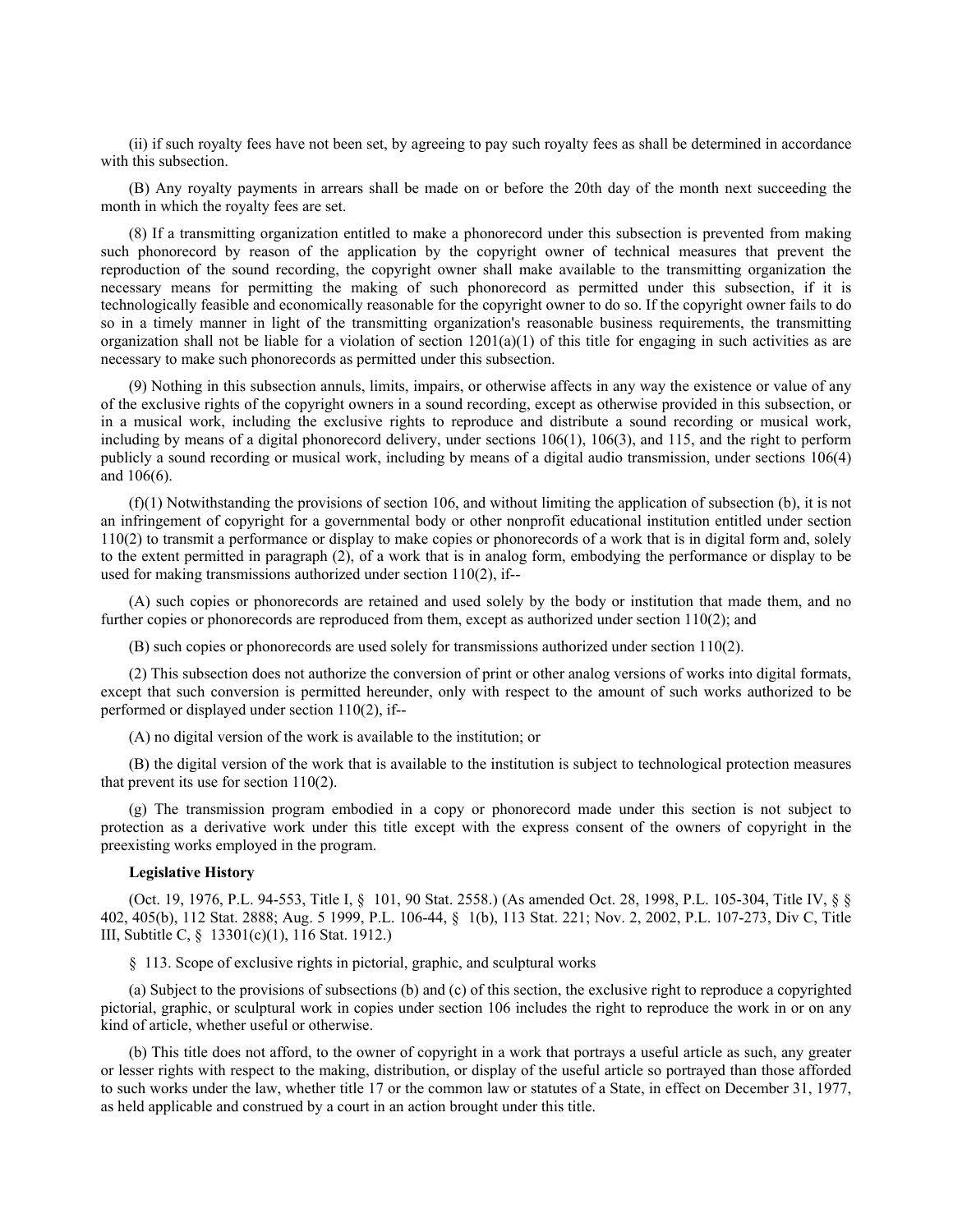(ii) if such royalty fees have not been set, by agreeing to pay such royalty fees as shall be determined in accordance with this subsection.

(B) Any royalty payments in arrears shall be made on or before the 20th day of the month next succeeding the month in which the royalty fees are set.

(8) If a transmitting organization entitled to make a phonorecord under this subsection is prevented from making such phonorecord by reason of the application by the copyright owner of technical measures that prevent the reproduction of the sound recording, the copyright owner shall make available to the transmitting organization the necessary means for permitting the making of such phonorecord as permitted under this subsection, if it is technologically feasible and economically reasonable for the copyright owner to do so. If the copyright owner fails to do so in a timely manner in light of the transmitting organization's reasonable business requirements, the transmitting organization shall not be liable for a violation of section  $1201(a)(1)$  of this title for engaging in such activities as are necessary to make such phonorecords as permitted under this subsection.

(9) Nothing in this subsection annuls, limits, impairs, or otherwise affects in any way the existence or value of any of the exclusive rights of the copyright owners in a sound recording, except as otherwise provided in this subsection, or in a musical work, including the exclusive rights to reproduce and distribute a sound recording or musical work, including by means of a digital phonorecord delivery, under sections 106(1), 106(3), and 115, and the right to perform publicly a sound recording or musical work, including by means of a digital audio transmission, under sections 106(4) and 106(6).

 $(f)(1)$  Notwithstanding the provisions of section 106, and without limiting the application of subsection (b), it is not an infringement of copyright for a governmental body or other nonprofit educational institution entitled under section 110(2) to transmit a performance or display to make copies or phonorecords of a work that is in digital form and, solely to the extent permitted in paragraph (2), of a work that is in analog form, embodying the performance or display to be used for making transmissions authorized under section 110(2), if--

(A) such copies or phonorecords are retained and used solely by the body or institution that made them, and no further copies or phonorecords are reproduced from them, except as authorized under section 110(2); and

(B) such copies or phonorecords are used solely for transmissions authorized under section 110(2).

(2) This subsection does not authorize the conversion of print or other analog versions of works into digital formats, except that such conversion is permitted hereunder, only with respect to the amount of such works authorized to be performed or displayed under section 110(2), if--

(A) no digital version of the work is available to the institution; or

(B) the digital version of the work that is available to the institution is subject to technological protection measures that prevent its use for section 110(2).

(g) The transmission program embodied in a copy or phonorecord made under this section is not subject to protection as a derivative work under this title except with the express consent of the owners of copyright in the preexisting works employed in the program.

# **Legislative History**

(Oct. 19, 1976, P.L. 94-553, Title I, § 101, 90 Stat. 2558.) (As amended Oct. 28, 1998, P.L. 105-304, Title IV, § § 402, 405(b), 112 Stat. 2888; Aug. 5 1999, P.L. 106-44, § 1(b), 113 Stat. 221; Nov. 2, 2002, P.L. 107-273, Div C, Title III, Subtitle C, § 13301(c)(1), 116 Stat. 1912.)

§ 113. Scope of exclusive rights in pictorial, graphic, and sculptural works

(a) Subject to the provisions of subsections (b) and (c) of this section, the exclusive right to reproduce a copyrighted pictorial, graphic, or sculptural work in copies under section 106 includes the right to reproduce the work in or on any kind of article, whether useful or otherwise.

(b) This title does not afford, to the owner of copyright in a work that portrays a useful article as such, any greater or lesser rights with respect to the making, distribution, or display of the useful article so portrayed than those afforded to such works under the law, whether title 17 or the common law or statutes of a State, in effect on December 31, 1977, as held applicable and construed by a court in an action brought under this title.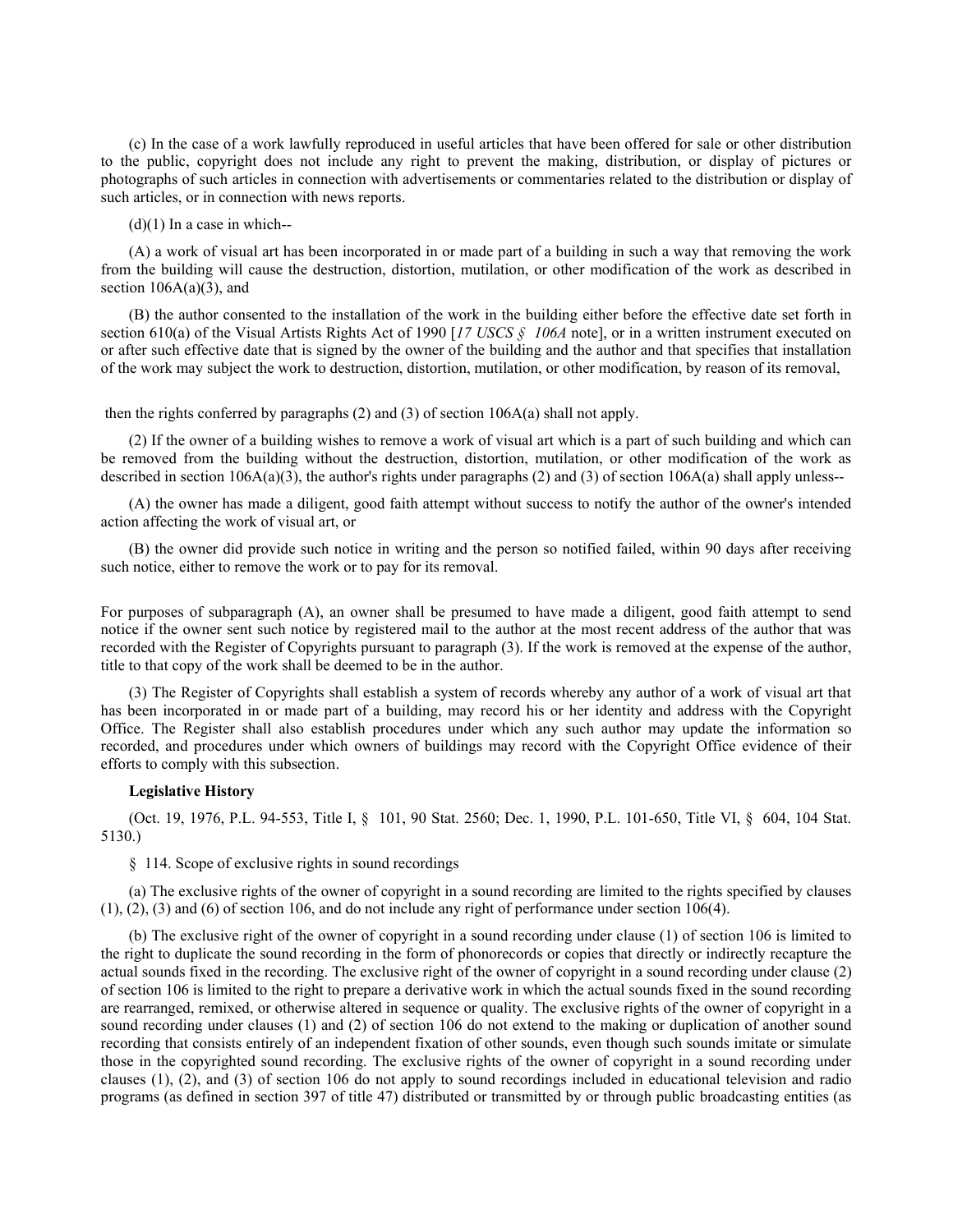(c) In the case of a work lawfully reproduced in useful articles that have been offered for sale or other distribution to the public, copyright does not include any right to prevent the making, distribution, or display of pictures or photographs of such articles in connection with advertisements or commentaries related to the distribution or display of such articles, or in connection with news reports.

 $(d)(1)$  In a case in which--

(A) a work of visual art has been incorporated in or made part of a building in such a way that removing the work from the building will cause the destruction, distortion, mutilation, or other modification of the work as described in section  $106A(a)(3)$ , and

(B) the author consented to the installation of the work in the building either before the effective date set forth in section 610(a) of the Visual Artists Rights Act of 1990 [*17 USCS § 106A* note], or in a written instrument executed on or after such effective date that is signed by the owner of the building and the author and that specifies that installation of the work may subject the work to destruction, distortion, mutilation, or other modification, by reason of its removal,

then the rights conferred by paragraphs  $(2)$  and  $(3)$  of section 106A $(a)$  shall not apply.

(2) If the owner of a building wishes to remove a work of visual art which is a part of such building and which can be removed from the building without the destruction, distortion, mutilation, or other modification of the work as described in section  $106A(a)(3)$ , the author's rights under paragraphs (2) and (3) of section  $106A(a)$  shall apply unless--

(A) the owner has made a diligent, good faith attempt without success to notify the author of the owner's intended action affecting the work of visual art, or

(B) the owner did provide such notice in writing and the person so notified failed, within 90 days after receiving such notice, either to remove the work or to pay for its removal.

For purposes of subparagraph (A), an owner shall be presumed to have made a diligent, good faith attempt to send notice if the owner sent such notice by registered mail to the author at the most recent address of the author that was recorded with the Register of Copyrights pursuant to paragraph (3). If the work is removed at the expense of the author, title to that copy of the work shall be deemed to be in the author.

(3) The Register of Copyrights shall establish a system of records whereby any author of a work of visual art that has been incorporated in or made part of a building, may record his or her identity and address with the Copyright Office. The Register shall also establish procedures under which any such author may update the information so recorded, and procedures under which owners of buildings may record with the Copyright Office evidence of their efforts to comply with this subsection.

#### **Legislative History**

(Oct. 19, 1976, P.L. 94-553, Title I, § 101, 90 Stat. 2560; Dec. 1, 1990, P.L. 101-650, Title VI, § 604, 104 Stat. 5130.)

§ 114. Scope of exclusive rights in sound recordings

(a) The exclusive rights of the owner of copyright in a sound recording are limited to the rights specified by clauses (1), (2), (3) and (6) of section 106, and do not include any right of performance under section 106(4).

(b) The exclusive right of the owner of copyright in a sound recording under clause (1) of section 106 is limited to the right to duplicate the sound recording in the form of phonorecords or copies that directly or indirectly recapture the actual sounds fixed in the recording. The exclusive right of the owner of copyright in a sound recording under clause (2) of section 106 is limited to the right to prepare a derivative work in which the actual sounds fixed in the sound recording are rearranged, remixed, or otherwise altered in sequence or quality. The exclusive rights of the owner of copyright in a sound recording under clauses (1) and (2) of section 106 do not extend to the making or duplication of another sound recording that consists entirely of an independent fixation of other sounds, even though such sounds imitate or simulate those in the copyrighted sound recording. The exclusive rights of the owner of copyright in a sound recording under clauses (1), (2), and (3) of section 106 do not apply to sound recordings included in educational television and radio programs (as defined in section 397 of title 47) distributed or transmitted by or through public broadcasting entities (as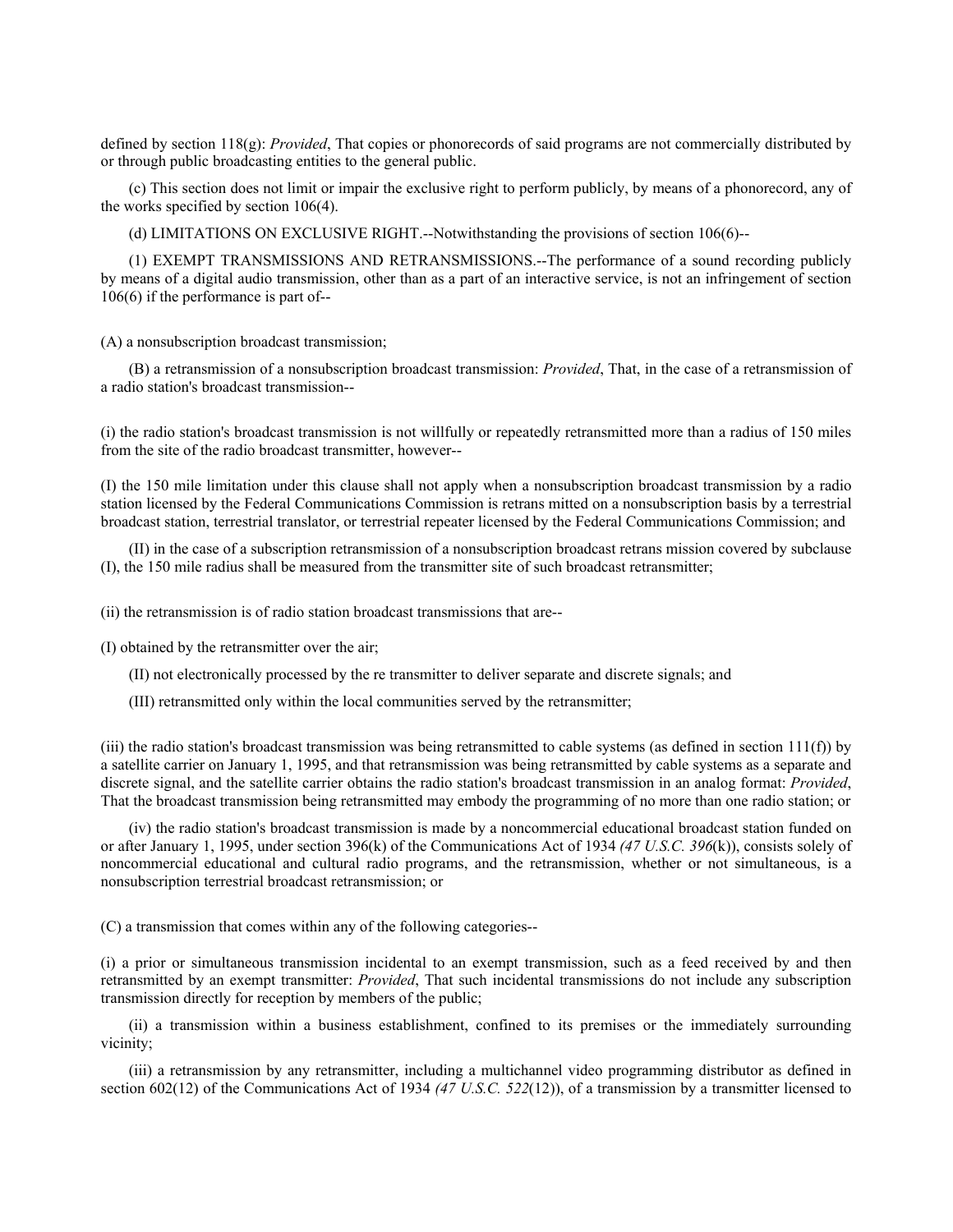defined by section 118(g): *Provided*, That copies or phonorecords of said programs are not commercially distributed by or through public broadcasting entities to the general public.

(c) This section does not limit or impair the exclusive right to perform publicly, by means of a phonorecord, any of the works specified by section 106(4).

(d) LIMITATIONS ON EXCLUSIVE RIGHT.--Notwithstanding the provisions of section 106(6)--

(1) EXEMPT TRANSMISSIONS AND RETRANSMISSIONS.--The performance of a sound recording publicly by means of a digital audio transmission, other than as a part of an interactive service, is not an infringement of section 106(6) if the performance is part of--

(A) a nonsubscription broadcast transmission;

(B) a retransmission of a nonsubscription broadcast transmission: *Provided*, That, in the case of a retransmission of a radio station's broadcast transmission--

(i) the radio station's broadcast transmission is not willfully or repeatedly retransmitted more than a radius of 150 miles from the site of the radio broadcast transmitter, however--

(I) the 150 mile limitation under this clause shall not apply when a nonsubscription broadcast transmission by a radio station licensed by the Federal Communications Commission is retrans mitted on a nonsubscription basis by a terrestrial broadcast station, terrestrial translator, or terrestrial repeater licensed by the Federal Communications Commission; and

(II) in the case of a subscription retransmission of a nonsubscription broadcast retrans mission covered by subclause (I), the 150 mile radius shall be measured from the transmitter site of such broadcast retransmitter;

(ii) the retransmission is of radio station broadcast transmissions that are--

(I) obtained by the retransmitter over the air;

(II) not electronically processed by the re transmitter to deliver separate and discrete signals; and

(III) retransmitted only within the local communities served by the retransmitter;

(iii) the radio station's broadcast transmission was being retransmitted to cable systems (as defined in section  $111(f)$ ) by a satellite carrier on January 1, 1995, and that retransmission was being retransmitted by cable systems as a separate and discrete signal, and the satellite carrier obtains the radio station's broadcast transmission in an analog format: *Provided*, That the broadcast transmission being retransmitted may embody the programming of no more than one radio station; or

(iv) the radio station's broadcast transmission is made by a noncommercial educational broadcast station funded on or after January 1, 1995, under section 396(k) of the Communications Act of 1934 *(47 U.S.C. 396*(k)), consists solely of noncommercial educational and cultural radio programs, and the retransmission, whether or not simultaneous, is a nonsubscription terrestrial broadcast retransmission; or

(C) a transmission that comes within any of the following categories--

(i) a prior or simultaneous transmission incidental to an exempt transmission, such as a feed received by and then retransmitted by an exempt transmitter: *Provided*, That such incidental transmissions do not include any subscription transmission directly for reception by members of the public;

(ii) a transmission within a business establishment, confined to its premises or the immediately surrounding vicinity;

(iii) a retransmission by any retransmitter, including a multichannel video programming distributor as defined in section 602(12) of the Communications Act of 1934 *(47 U.S.C. 522*(12)), of a transmission by a transmitter licensed to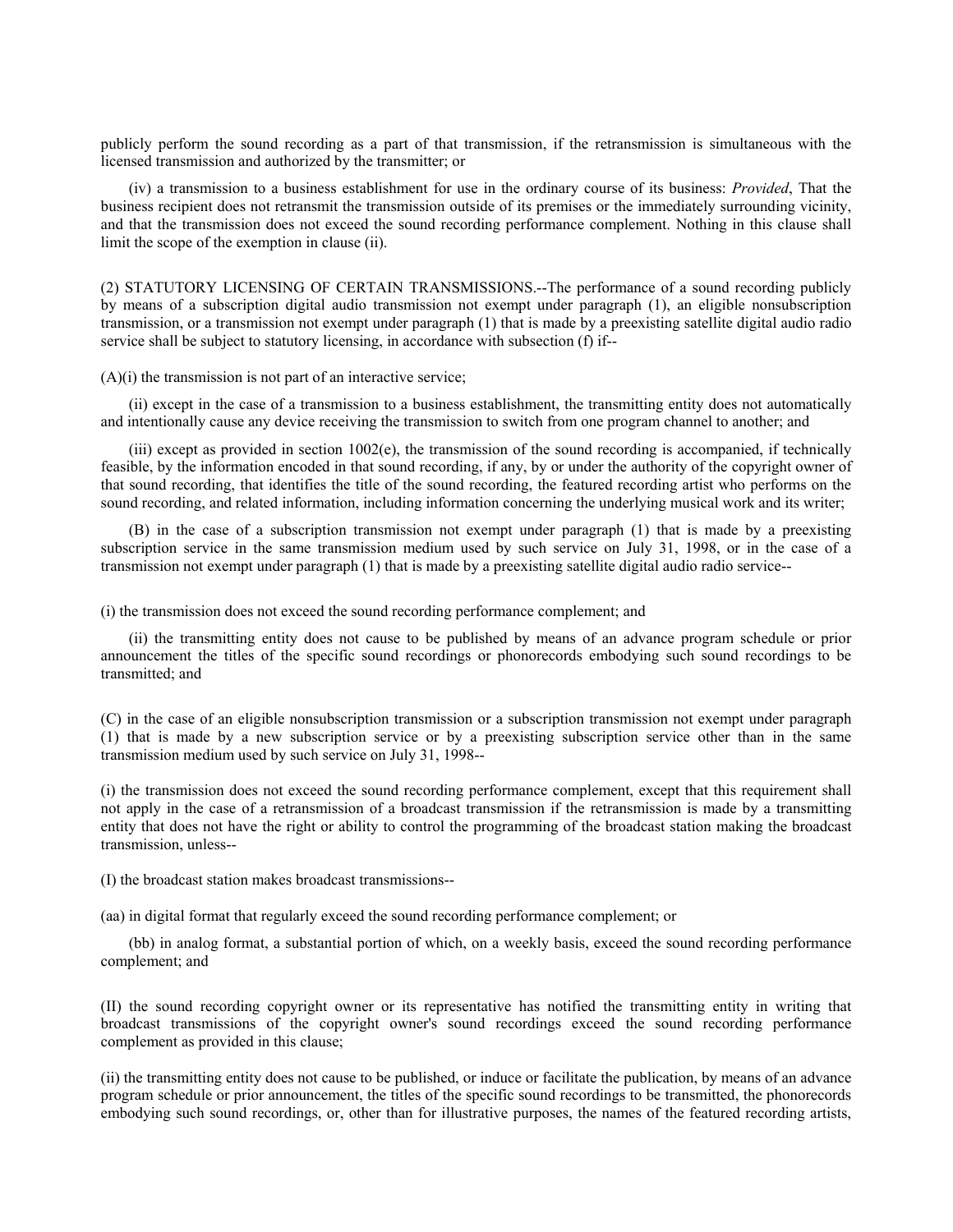publicly perform the sound recording as a part of that transmission, if the retransmission is simultaneous with the licensed transmission and authorized by the transmitter; or

(iv) a transmission to a business establishment for use in the ordinary course of its business: *Provided*, That the business recipient does not retransmit the transmission outside of its premises or the immediately surrounding vicinity, and that the transmission does not exceed the sound recording performance complement. Nothing in this clause shall limit the scope of the exemption in clause (ii).

(2) STATUTORY LICENSING OF CERTAIN TRANSMISSIONS.--The performance of a sound recording publicly by means of a subscription digital audio transmission not exempt under paragraph (1), an eligible nonsubscription transmission, or a transmission not exempt under paragraph (1) that is made by a preexisting satellite digital audio radio service shall be subject to statutory licensing, in accordance with subsection (f) if--

 $(A)(i)$  the transmission is not part of an interactive service;

(ii) except in the case of a transmission to a business establishment, the transmitting entity does not automatically and intentionally cause any device receiving the transmission to switch from one program channel to another; and

(iii) except as provided in section 1002(e), the transmission of the sound recording is accompanied, if technically feasible, by the information encoded in that sound recording, if any, by or under the authority of the copyright owner of that sound recording, that identifies the title of the sound recording, the featured recording artist who performs on the sound recording, and related information, including information concerning the underlying musical work and its writer;

(B) in the case of a subscription transmission not exempt under paragraph (1) that is made by a preexisting subscription service in the same transmission medium used by such service on July 31, 1998, or in the case of a transmission not exempt under paragraph (1) that is made by a preexisting satellite digital audio radio service--

(i) the transmission does not exceed the sound recording performance complement; and

(ii) the transmitting entity does not cause to be published by means of an advance program schedule or prior announcement the titles of the specific sound recordings or phonorecords embodying such sound recordings to be transmitted; and

(C) in the case of an eligible nonsubscription transmission or a subscription transmission not exempt under paragraph (1) that is made by a new subscription service or by a preexisting subscription service other than in the same transmission medium used by such service on July 31, 1998--

(i) the transmission does not exceed the sound recording performance complement, except that this requirement shall not apply in the case of a retransmission of a broadcast transmission if the retransmission is made by a transmitting entity that does not have the right or ability to control the programming of the broadcast station making the broadcast transmission, unless--

(I) the broadcast station makes broadcast transmissions--

(aa) in digital format that regularly exceed the sound recording performance complement; or

(bb) in analog format, a substantial portion of which, on a weekly basis, exceed the sound recording performance complement; and

(II) the sound recording copyright owner or its representative has notified the transmitting entity in writing that broadcast transmissions of the copyright owner's sound recordings exceed the sound recording performance complement as provided in this clause;

(ii) the transmitting entity does not cause to be published, or induce or facilitate the publication, by means of an advance program schedule or prior announcement, the titles of the specific sound recordings to be transmitted, the phonorecords embodying such sound recordings, or, other than for illustrative purposes, the names of the featured recording artists,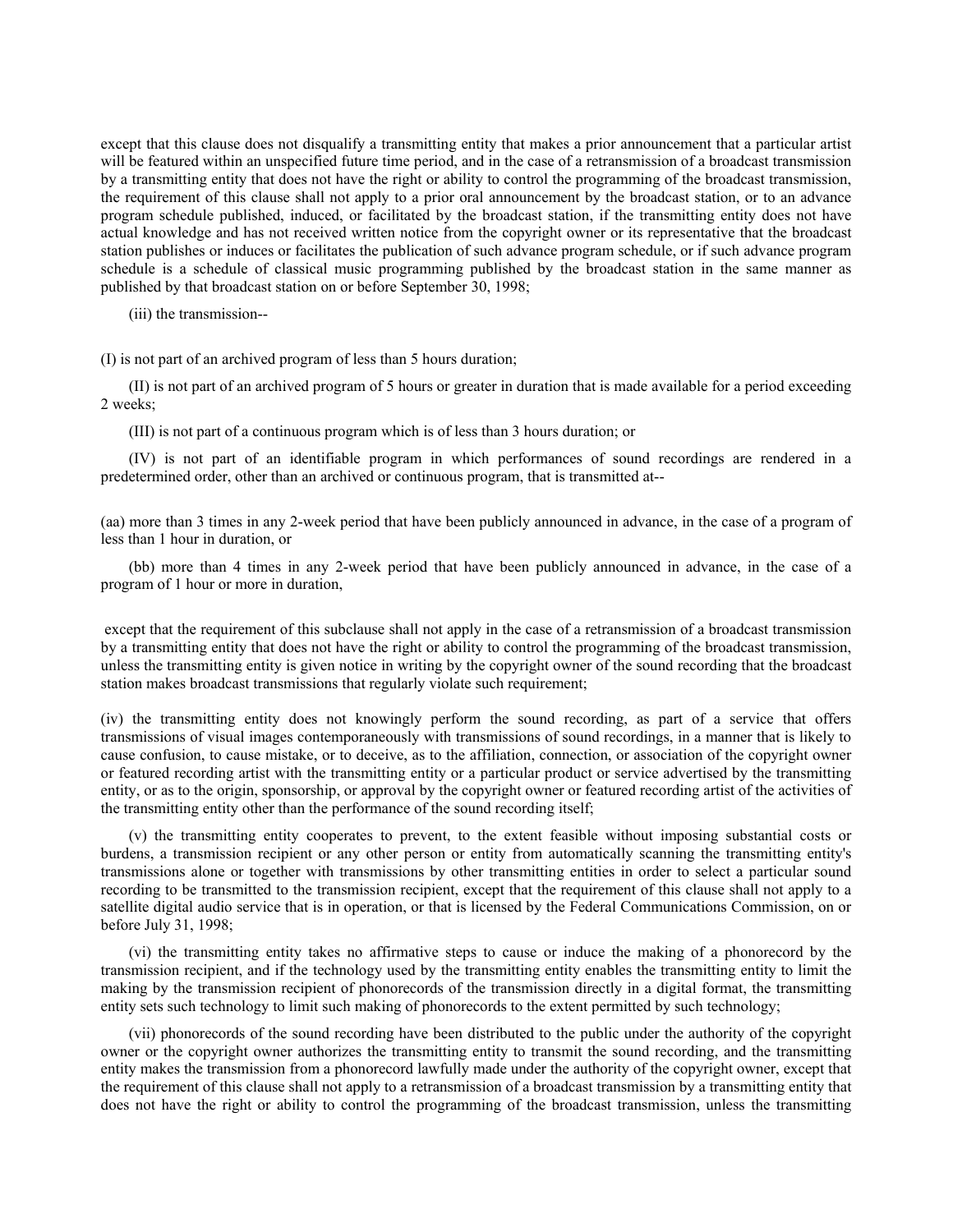except that this clause does not disqualify a transmitting entity that makes a prior announcement that a particular artist will be featured within an unspecified future time period, and in the case of a retransmission of a broadcast transmission by a transmitting entity that does not have the right or ability to control the programming of the broadcast transmission, the requirement of this clause shall not apply to a prior oral announcement by the broadcast station, or to an advance program schedule published, induced, or facilitated by the broadcast station, if the transmitting entity does not have actual knowledge and has not received written notice from the copyright owner or its representative that the broadcast station publishes or induces or facilitates the publication of such advance program schedule, or if such advance program schedule is a schedule of classical music programming published by the broadcast station in the same manner as published by that broadcast station on or before September 30, 1998;

(iii) the transmission--

(I) is not part of an archived program of less than 5 hours duration;

(II) is not part of an archived program of 5 hours or greater in duration that is made available for a period exceeding 2 weeks;

(III) is not part of a continuous program which is of less than 3 hours duration; or

(IV) is not part of an identifiable program in which performances of sound recordings are rendered in a predetermined order, other than an archived or continuous program, that is transmitted at--

(aa) more than 3 times in any 2-week period that have been publicly announced in advance, in the case of a program of less than 1 hour in duration, or

(bb) more than 4 times in any 2-week period that have been publicly announced in advance, in the case of a program of 1 hour or more in duration,

 except that the requirement of this subclause shall not apply in the case of a retransmission of a broadcast transmission by a transmitting entity that does not have the right or ability to control the programming of the broadcast transmission, unless the transmitting entity is given notice in writing by the copyright owner of the sound recording that the broadcast station makes broadcast transmissions that regularly violate such requirement;

(iv) the transmitting entity does not knowingly perform the sound recording, as part of a service that offers transmissions of visual images contemporaneously with transmissions of sound recordings, in a manner that is likely to cause confusion, to cause mistake, or to deceive, as to the affiliation, connection, or association of the copyright owner or featured recording artist with the transmitting entity or a particular product or service advertised by the transmitting entity, or as to the origin, sponsorship, or approval by the copyright owner or featured recording artist of the activities of the transmitting entity other than the performance of the sound recording itself;

(v) the transmitting entity cooperates to prevent, to the extent feasible without imposing substantial costs or burdens, a transmission recipient or any other person or entity from automatically scanning the transmitting entity's transmissions alone or together with transmissions by other transmitting entities in order to select a particular sound recording to be transmitted to the transmission recipient, except that the requirement of this clause shall not apply to a satellite digital audio service that is in operation, or that is licensed by the Federal Communications Commission, on or before July 31, 1998;

(vi) the transmitting entity takes no affirmative steps to cause or induce the making of a phonorecord by the transmission recipient, and if the technology used by the transmitting entity enables the transmitting entity to limit the making by the transmission recipient of phonorecords of the transmission directly in a digital format, the transmitting entity sets such technology to limit such making of phonorecords to the extent permitted by such technology;

(vii) phonorecords of the sound recording have been distributed to the public under the authority of the copyright owner or the copyright owner authorizes the transmitting entity to transmit the sound recording, and the transmitting entity makes the transmission from a phonorecord lawfully made under the authority of the copyright owner, except that the requirement of this clause shall not apply to a retransmission of a broadcast transmission by a transmitting entity that does not have the right or ability to control the programming of the broadcast transmission, unless the transmitting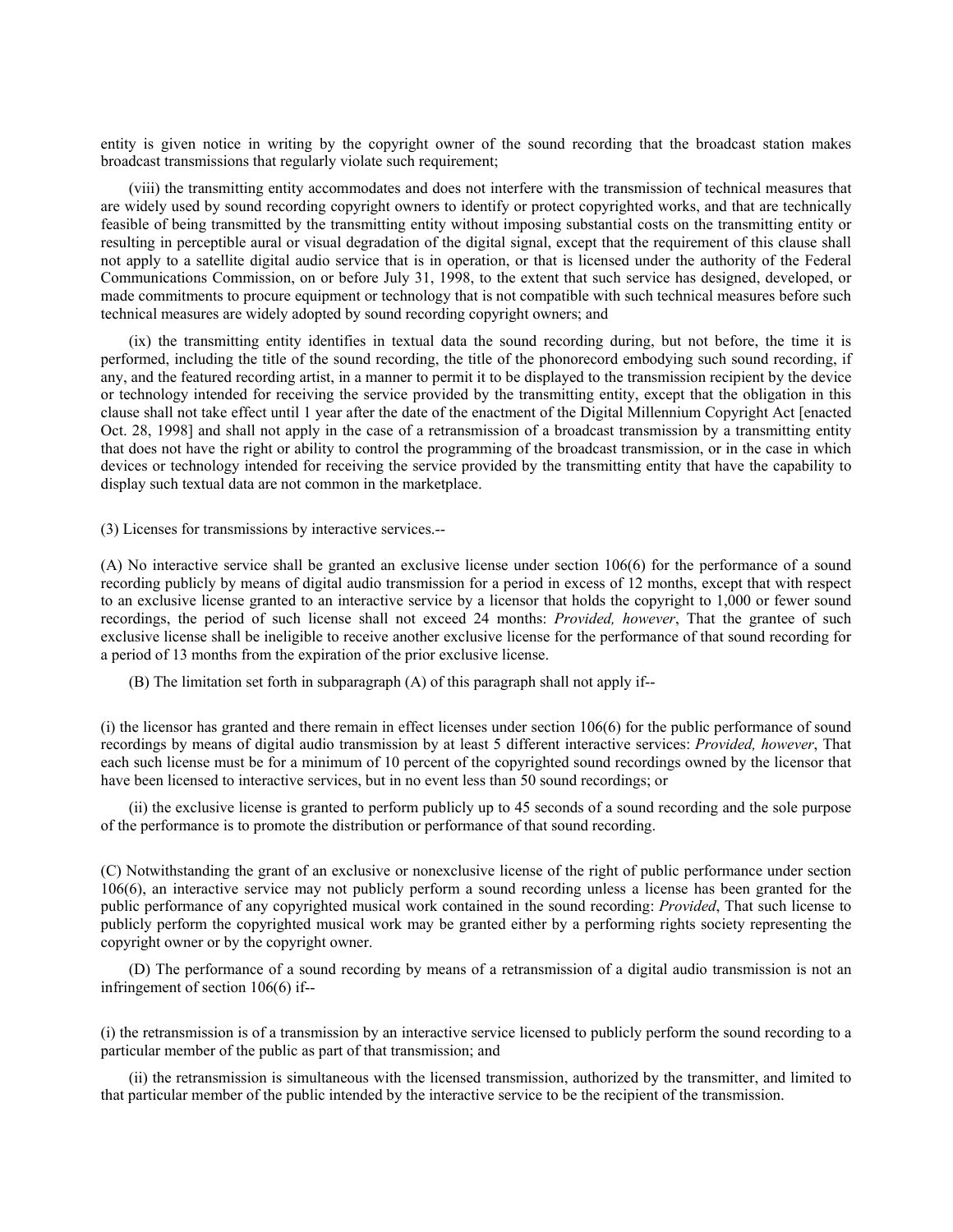entity is given notice in writing by the copyright owner of the sound recording that the broadcast station makes broadcast transmissions that regularly violate such requirement;

(viii) the transmitting entity accommodates and does not interfere with the transmission of technical measures that are widely used by sound recording copyright owners to identify or protect copyrighted works, and that are technically feasible of being transmitted by the transmitting entity without imposing substantial costs on the transmitting entity or resulting in perceptible aural or visual degradation of the digital signal, except that the requirement of this clause shall not apply to a satellite digital audio service that is in operation, or that is licensed under the authority of the Federal Communications Commission, on or before July 31, 1998, to the extent that such service has designed, developed, or made commitments to procure equipment or technology that is not compatible with such technical measures before such technical measures are widely adopted by sound recording copyright owners; and

(ix) the transmitting entity identifies in textual data the sound recording during, but not before, the time it is performed, including the title of the sound recording, the title of the phonorecord embodying such sound recording, if any, and the featured recording artist, in a manner to permit it to be displayed to the transmission recipient by the device or technology intended for receiving the service provided by the transmitting entity, except that the obligation in this clause shall not take effect until 1 year after the date of the enactment of the Digital Millennium Copyright Act [enacted Oct. 28, 1998] and shall not apply in the case of a retransmission of a broadcast transmission by a transmitting entity that does not have the right or ability to control the programming of the broadcast transmission, or in the case in which devices or technology intended for receiving the service provided by the transmitting entity that have the capability to display such textual data are not common in the marketplace.

(3) Licenses for transmissions by interactive services.--

(A) No interactive service shall be granted an exclusive license under section 106(6) for the performance of a sound recording publicly by means of digital audio transmission for a period in excess of 12 months, except that with respect to an exclusive license granted to an interactive service by a licensor that holds the copyright to 1,000 or fewer sound recordings, the period of such license shall not exceed 24 months: *Provided, however*, That the grantee of such exclusive license shall be ineligible to receive another exclusive license for the performance of that sound recording for a period of 13 months from the expiration of the prior exclusive license.

(B) The limitation set forth in subparagraph (A) of this paragraph shall not apply if--

(i) the licensor has granted and there remain in effect licenses under section 106(6) for the public performance of sound recordings by means of digital audio transmission by at least 5 different interactive services: *Provided, however*, That each such license must be for a minimum of 10 percent of the copyrighted sound recordings owned by the licensor that have been licensed to interactive services, but in no event less than 50 sound recordings; or

(ii) the exclusive license is granted to perform publicly up to 45 seconds of a sound recording and the sole purpose of the performance is to promote the distribution or performance of that sound recording.

(C) Notwithstanding the grant of an exclusive or nonexclusive license of the right of public performance under section 106(6), an interactive service may not publicly perform a sound recording unless a license has been granted for the public performance of any copyrighted musical work contained in the sound recording: *Provided*, That such license to publicly perform the copyrighted musical work may be granted either by a performing rights society representing the copyright owner or by the copyright owner.

(D) The performance of a sound recording by means of a retransmission of a digital audio transmission is not an infringement of section 106(6) if--

(i) the retransmission is of a transmission by an interactive service licensed to publicly perform the sound recording to a particular member of the public as part of that transmission; and

(ii) the retransmission is simultaneous with the licensed transmission, authorized by the transmitter, and limited to that particular member of the public intended by the interactive service to be the recipient of the transmission.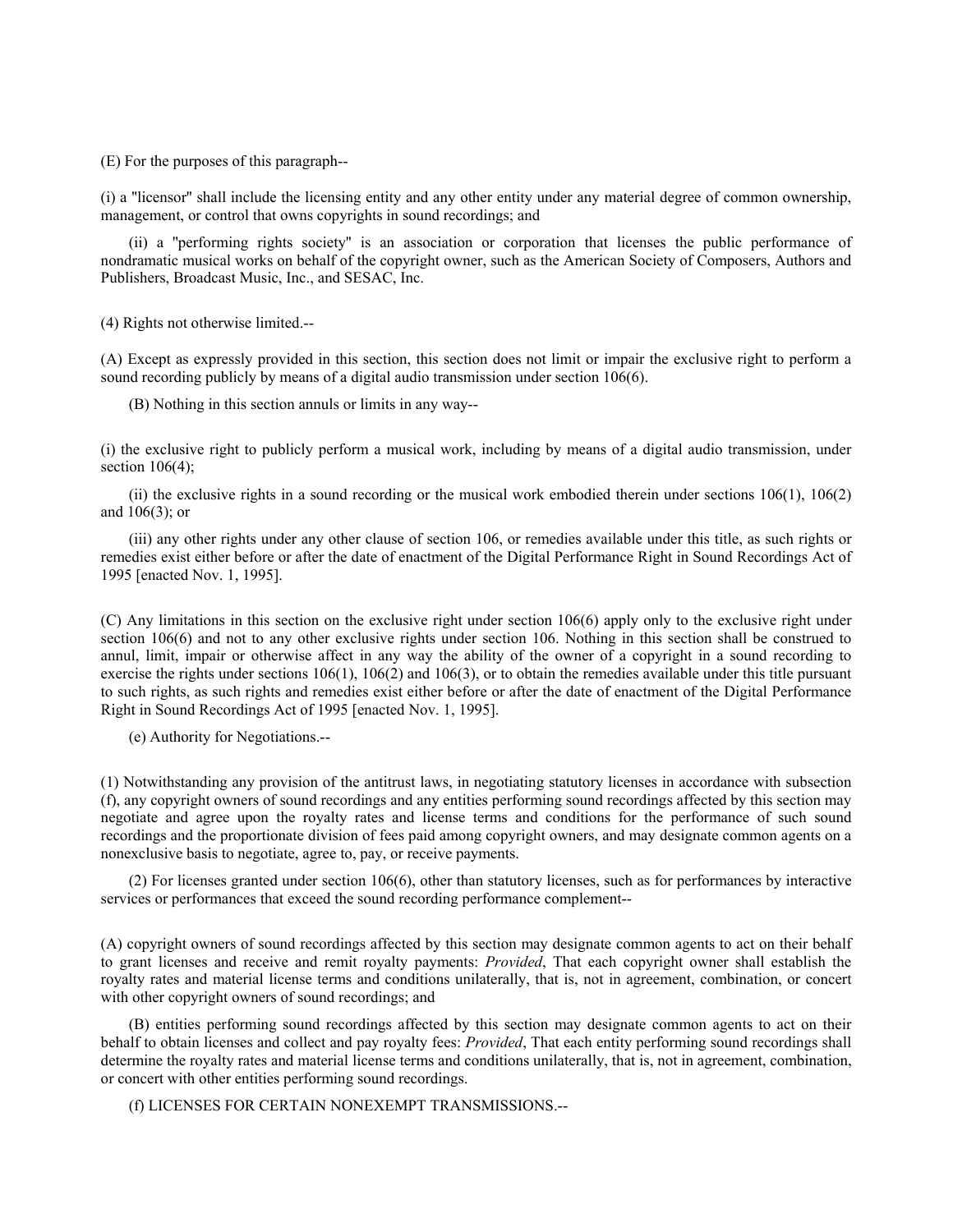(E) For the purposes of this paragraph--

(i) a ''licensor'' shall include the licensing entity and any other entity under any material degree of common ownership, management, or control that owns copyrights in sound recordings; and

(ii) a ''performing rights society'' is an association or corporation that licenses the public performance of nondramatic musical works on behalf of the copyright owner, such as the American Society of Composers, Authors and Publishers, Broadcast Music, Inc., and SESAC, Inc.

(4) Rights not otherwise limited.--

(A) Except as expressly provided in this section, this section does not limit or impair the exclusive right to perform a sound recording publicly by means of a digital audio transmission under section 106(6).

(B) Nothing in this section annuls or limits in any way--

(i) the exclusive right to publicly perform a musical work, including by means of a digital audio transmission, under section  $106(4)$ ;

(ii) the exclusive rights in a sound recording or the musical work embodied therein under sections 106(1), 106(2) and 106(3); or

(iii) any other rights under any other clause of section 106, or remedies available under this title, as such rights or remedies exist either before or after the date of enactment of the Digital Performance Right in Sound Recordings Act of 1995 [enacted Nov. 1, 1995].

(C) Any limitations in this section on the exclusive right under section 106(6) apply only to the exclusive right under section 106(6) and not to any other exclusive rights under section 106. Nothing in this section shall be construed to annul, limit, impair or otherwise affect in any way the ability of the owner of a copyright in a sound recording to exercise the rights under sections  $106(1)$ ,  $106(2)$  and  $106(3)$ , or to obtain the remedies available under this title pursuant to such rights, as such rights and remedies exist either before or after the date of enactment of the Digital Performance Right in Sound Recordings Act of 1995 [enacted Nov. 1, 1995].

(e) Authority for Negotiations.--

(1) Notwithstanding any provision of the antitrust laws, in negotiating statutory licenses in accordance with subsection (f), any copyright owners of sound recordings and any entities performing sound recordings affected by this section may negotiate and agree upon the royalty rates and license terms and conditions for the performance of such sound recordings and the proportionate division of fees paid among copyright owners, and may designate common agents on a nonexclusive basis to negotiate, agree to, pay, or receive payments.

(2) For licenses granted under section 106(6), other than statutory licenses, such as for performances by interactive services or performances that exceed the sound recording performance complement--

(A) copyright owners of sound recordings affected by this section may designate common agents to act on their behalf to grant licenses and receive and remit royalty payments: *Provided*, That each copyright owner shall establish the royalty rates and material license terms and conditions unilaterally, that is, not in agreement, combination, or concert with other copyright owners of sound recordings; and

(B) entities performing sound recordings affected by this section may designate common agents to act on their behalf to obtain licenses and collect and pay royalty fees: *Provided*, That each entity performing sound recordings shall determine the royalty rates and material license terms and conditions unilaterally, that is, not in agreement, combination, or concert with other entities performing sound recordings.

(f) LICENSES FOR CERTAIN NONEXEMPT TRANSMISSIONS.--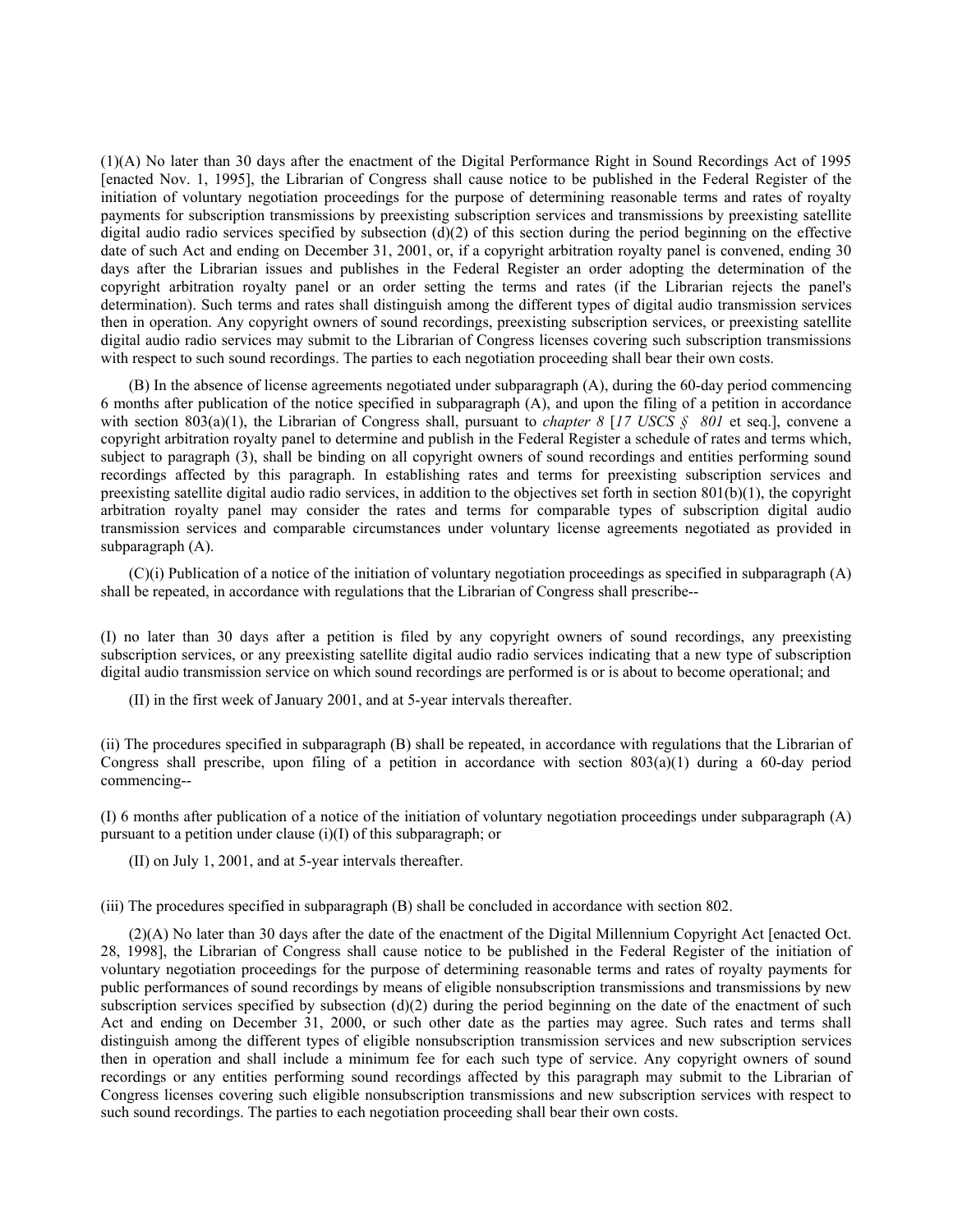(1)(A) No later than 30 days after the enactment of the Digital Performance Right in Sound Recordings Act of 1995 [enacted Nov. 1, 1995], the Librarian of Congress shall cause notice to be published in the Federal Register of the initiation of voluntary negotiation proceedings for the purpose of determining reasonable terms and rates of royalty payments for subscription transmissions by preexisting subscription services and transmissions by preexisting satellite digital audio radio services specified by subsection  $(d)(2)$  of this section during the period beginning on the effective date of such Act and ending on December 31, 2001, or, if a copyright arbitration royalty panel is convened, ending 30 days after the Librarian issues and publishes in the Federal Register an order adopting the determination of the copyright arbitration royalty panel or an order setting the terms and rates (if the Librarian rejects the panel's determination). Such terms and rates shall distinguish among the different types of digital audio transmission services then in operation. Any copyright owners of sound recordings, preexisting subscription services, or preexisting satellite digital audio radio services may submit to the Librarian of Congress licenses covering such subscription transmissions with respect to such sound recordings. The parties to each negotiation proceeding shall bear their own costs.

(B) In the absence of license agreements negotiated under subparagraph (A), during the 60-day period commencing 6 months after publication of the notice specified in subparagraph (A), and upon the filing of a petition in accordance with section 803(a)(1), the Librarian of Congress shall, pursuant to *chapter 8* [*17 USCS § 801* et seq.], convene a copyright arbitration royalty panel to determine and publish in the Federal Register a schedule of rates and terms which, subject to paragraph (3), shall be binding on all copyright owners of sound recordings and entities performing sound recordings affected by this paragraph. In establishing rates and terms for preexisting subscription services and preexisting satellite digital audio radio services, in addition to the objectives set forth in section  $801(b)(1)$ , the copyright arbitration royalty panel may consider the rates and terms for comparable types of subscription digital audio transmission services and comparable circumstances under voluntary license agreements negotiated as provided in subparagraph (A).

(C)(i) Publication of a notice of the initiation of voluntary negotiation proceedings as specified in subparagraph (A) shall be repeated, in accordance with regulations that the Librarian of Congress shall prescribe--

(I) no later than 30 days after a petition is filed by any copyright owners of sound recordings, any preexisting subscription services, or any preexisting satellite digital audio radio services indicating that a new type of subscription digital audio transmission service on which sound recordings are performed is or is about to become operational; and

(II) in the first week of January 2001, and at 5-year intervals thereafter.

(ii) The procedures specified in subparagraph (B) shall be repeated, in accordance with regulations that the Librarian of Congress shall prescribe, upon filing of a petition in accordance with section  $803(a)(1)$  during a 60-day period commencing--

(I) 6 months after publication of a notice of the initiation of voluntary negotiation proceedings under subparagraph (A) pursuant to a petition under clause (i)(I) of this subparagraph; or

(II) on July 1, 2001, and at 5-year intervals thereafter.

(iii) The procedures specified in subparagraph (B) shall be concluded in accordance with section 802.

(2)(A) No later than 30 days after the date of the enactment of the Digital Millennium Copyright Act [enacted Oct. 28, 1998], the Librarian of Congress shall cause notice to be published in the Federal Register of the initiation of voluntary negotiation proceedings for the purpose of determining reasonable terms and rates of royalty payments for public performances of sound recordings by means of eligible nonsubscription transmissions and transmissions by new subscription services specified by subsection  $(d)(2)$  during the period beginning on the date of the enactment of such Act and ending on December 31, 2000, or such other date as the parties may agree. Such rates and terms shall distinguish among the different types of eligible nonsubscription transmission services and new subscription services then in operation and shall include a minimum fee for each such type of service. Any copyright owners of sound recordings or any entities performing sound recordings affected by this paragraph may submit to the Librarian of Congress licenses covering such eligible nonsubscription transmissions and new subscription services with respect to such sound recordings. The parties to each negotiation proceeding shall bear their own costs.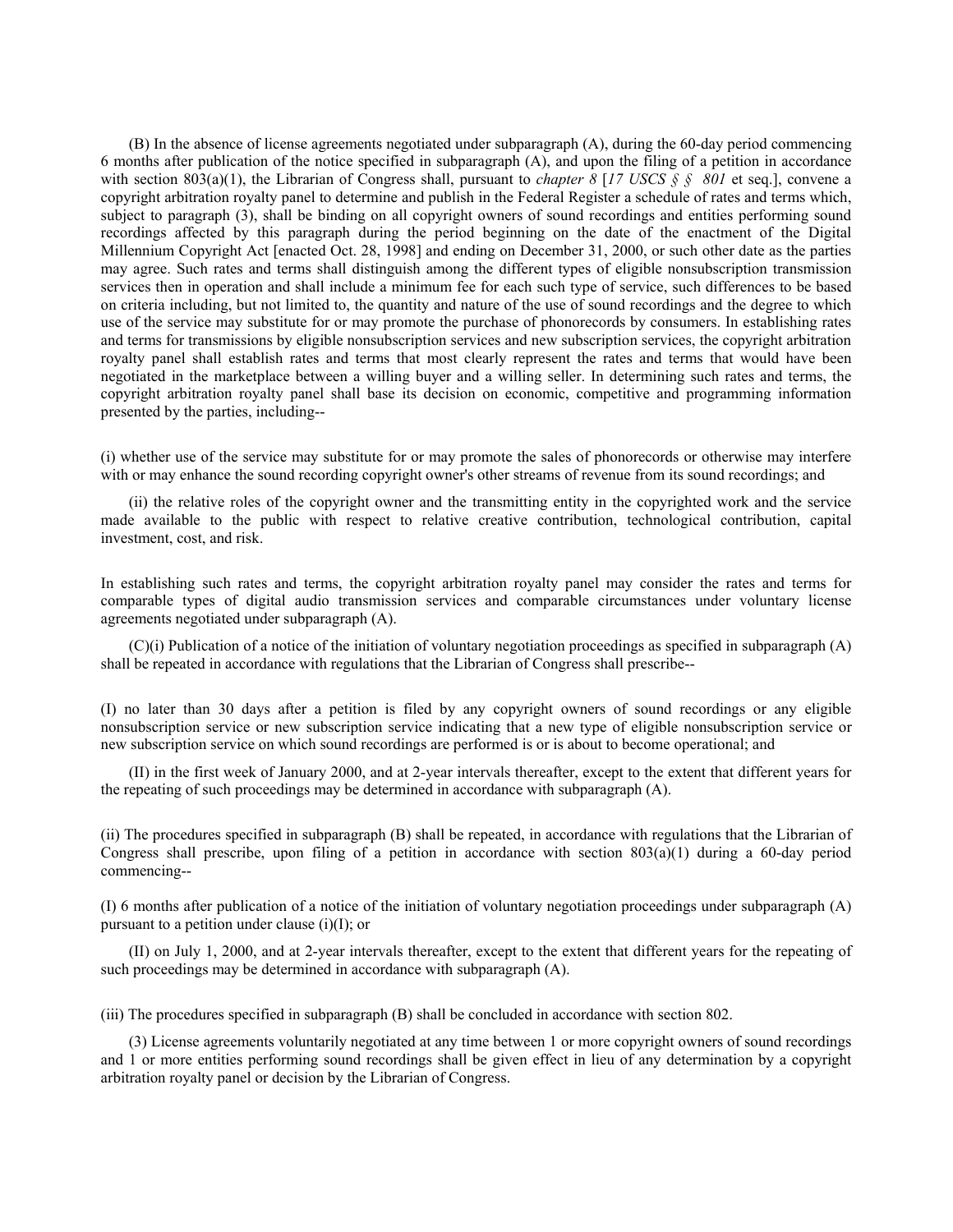(B) In the absence of license agreements negotiated under subparagraph (A), during the 60-day period commencing 6 months after publication of the notice specified in subparagraph (A), and upon the filing of a petition in accordance with section 803(a)(1), the Librarian of Congress shall, pursuant to *chapter 8* [17 USCS § § 801 et seq.], convene a copyright arbitration royalty panel to determine and publish in the Federal Register a schedule of rates and terms which, subject to paragraph (3), shall be binding on all copyright owners of sound recordings and entities performing sound recordings affected by this paragraph during the period beginning on the date of the enactment of the Digital Millennium Copyright Act [enacted Oct. 28, 1998] and ending on December 31, 2000, or such other date as the parties may agree. Such rates and terms shall distinguish among the different types of eligible nonsubscription transmission services then in operation and shall include a minimum fee for each such type of service, such differences to be based on criteria including, but not limited to, the quantity and nature of the use of sound recordings and the degree to which use of the service may substitute for or may promote the purchase of phonorecords by consumers. In establishing rates and terms for transmissions by eligible nonsubscription services and new subscription services, the copyright arbitration royalty panel shall establish rates and terms that most clearly represent the rates and terms that would have been negotiated in the marketplace between a willing buyer and a willing seller. In determining such rates and terms, the copyright arbitration royalty panel shall base its decision on economic, competitive and programming information presented by the parties, including--

(i) whether use of the service may substitute for or may promote the sales of phonorecords or otherwise may interfere with or may enhance the sound recording copyright owner's other streams of revenue from its sound recordings; and

(ii) the relative roles of the copyright owner and the transmitting entity in the copyrighted work and the service made available to the public with respect to relative creative contribution, technological contribution, capital investment, cost, and risk.

In establishing such rates and terms, the copyright arbitration royalty panel may consider the rates and terms for comparable types of digital audio transmission services and comparable circumstances under voluntary license agreements negotiated under subparagraph (A).

(C)(i) Publication of a notice of the initiation of voluntary negotiation proceedings as specified in subparagraph (A) shall be repeated in accordance with regulations that the Librarian of Congress shall prescribe--

(I) no later than 30 days after a petition is filed by any copyright owners of sound recordings or any eligible nonsubscription service or new subscription service indicating that a new type of eligible nonsubscription service or new subscription service on which sound recordings are performed is or is about to become operational; and

(II) in the first week of January 2000, and at 2-year intervals thereafter, except to the extent that different years for the repeating of such proceedings may be determined in accordance with subparagraph (A).

(ii) The procedures specified in subparagraph (B) shall be repeated, in accordance with regulations that the Librarian of Congress shall prescribe, upon filing of a petition in accordance with section  $803(a)(1)$  during a 60-day period commencing--

(I) 6 months after publication of a notice of the initiation of voluntary negotiation proceedings under subparagraph (A) pursuant to a petition under clause (i)(I); or

(II) on July 1, 2000, and at 2-year intervals thereafter, except to the extent that different years for the repeating of such proceedings may be determined in accordance with subparagraph (A).

(iii) The procedures specified in subparagraph (B) shall be concluded in accordance with section 802.

(3) License agreements voluntarily negotiated at any time between 1 or more copyright owners of sound recordings and 1 or more entities performing sound recordings shall be given effect in lieu of any determination by a copyright arbitration royalty panel or decision by the Librarian of Congress.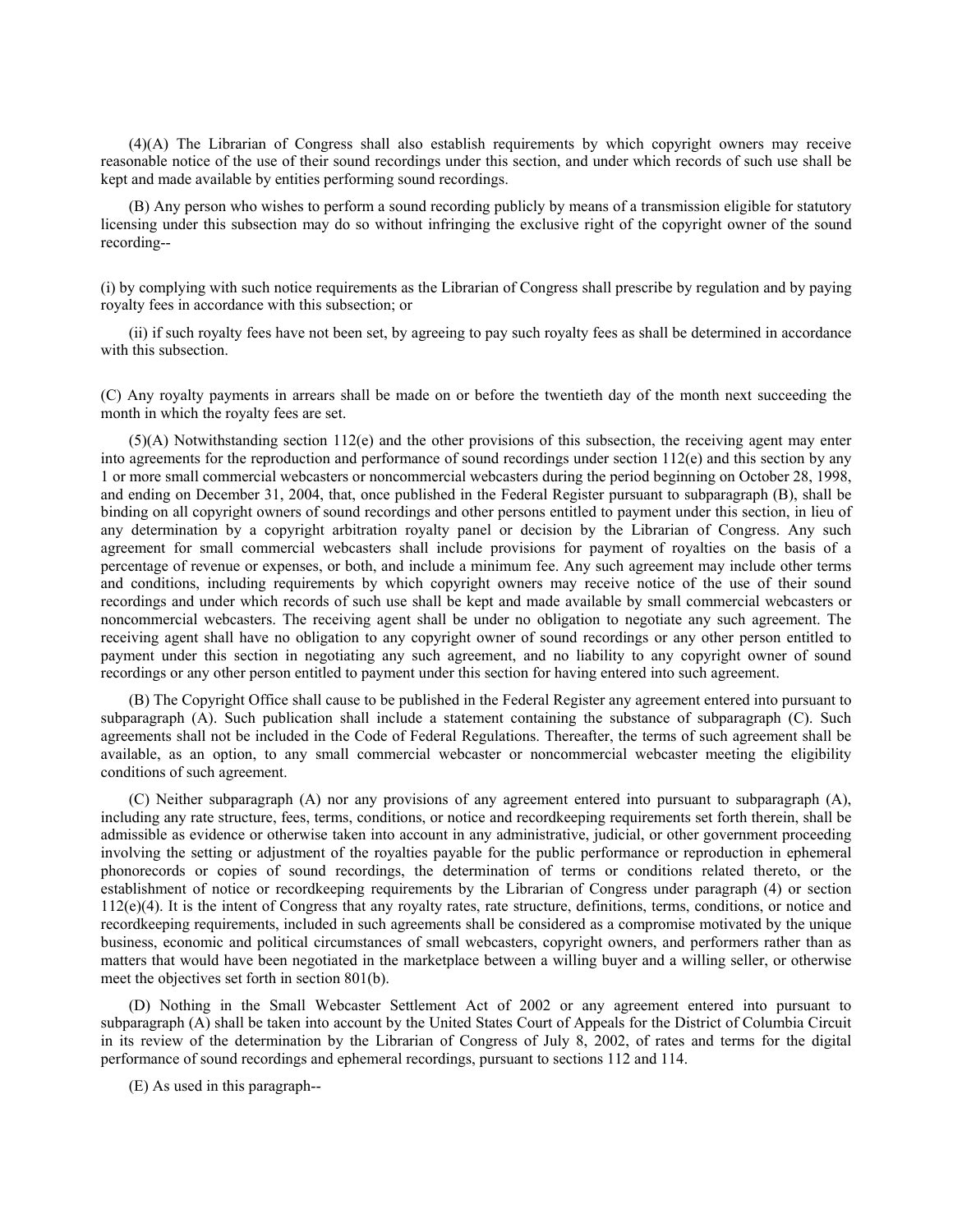(4)(A) The Librarian of Congress shall also establish requirements by which copyright owners may receive reasonable notice of the use of their sound recordings under this section, and under which records of such use shall be kept and made available by entities performing sound recordings.

(B) Any person who wishes to perform a sound recording publicly by means of a transmission eligible for statutory licensing under this subsection may do so without infringing the exclusive right of the copyright owner of the sound recording--

(i) by complying with such notice requirements as the Librarian of Congress shall prescribe by regulation and by paying royalty fees in accordance with this subsection; or

(ii) if such royalty fees have not been set, by agreeing to pay such royalty fees as shall be determined in accordance with this subsection.

(C) Any royalty payments in arrears shall be made on or before the twentieth day of the month next succeeding the month in which the royalty fees are set.

 $(5)(A)$  Notwithstanding section 112(e) and the other provisions of this subsection, the receiving agent may enter into agreements for the reproduction and performance of sound recordings under section 112(e) and this section by any 1 or more small commercial webcasters or noncommercial webcasters during the period beginning on October 28, 1998, and ending on December 31, 2004, that, once published in the Federal Register pursuant to subparagraph (B), shall be binding on all copyright owners of sound recordings and other persons entitled to payment under this section, in lieu of any determination by a copyright arbitration royalty panel or decision by the Librarian of Congress. Any such agreement for small commercial webcasters shall include provisions for payment of royalties on the basis of a percentage of revenue or expenses, or both, and include a minimum fee. Any such agreement may include other terms and conditions, including requirements by which copyright owners may receive notice of the use of their sound recordings and under which records of such use shall be kept and made available by small commercial webcasters or noncommercial webcasters. The receiving agent shall be under no obligation to negotiate any such agreement. The receiving agent shall have no obligation to any copyright owner of sound recordings or any other person entitled to payment under this section in negotiating any such agreement, and no liability to any copyright owner of sound recordings or any other person entitled to payment under this section for having entered into such agreement.

(B) The Copyright Office shall cause to be published in the Federal Register any agreement entered into pursuant to subparagraph (A). Such publication shall include a statement containing the substance of subparagraph (C). Such agreements shall not be included in the Code of Federal Regulations. Thereafter, the terms of such agreement shall be available, as an option, to any small commercial webcaster or noncommercial webcaster meeting the eligibility conditions of such agreement.

(C) Neither subparagraph (A) nor any provisions of any agreement entered into pursuant to subparagraph (A), including any rate structure, fees, terms, conditions, or notice and recordkeeping requirements set forth therein, shall be admissible as evidence or otherwise taken into account in any administrative, judicial, or other government proceeding involving the setting or adjustment of the royalties payable for the public performance or reproduction in ephemeral phonorecords or copies of sound recordings, the determination of terms or conditions related thereto, or the establishment of notice or recordkeeping requirements by the Librarian of Congress under paragraph (4) or section 112(e)(4). It is the intent of Congress that any royalty rates, rate structure, definitions, terms, conditions, or notice and recordkeeping requirements, included in such agreements shall be considered as a compromise motivated by the unique business, economic and political circumstances of small webcasters, copyright owners, and performers rather than as matters that would have been negotiated in the marketplace between a willing buyer and a willing seller, or otherwise meet the objectives set forth in section 801(b).

(D) Nothing in the Small Webcaster Settlement Act of 2002 or any agreement entered into pursuant to subparagraph (A) shall be taken into account by the United States Court of Appeals for the District of Columbia Circuit in its review of the determination by the Librarian of Congress of July 8, 2002, of rates and terms for the digital performance of sound recordings and ephemeral recordings, pursuant to sections 112 and 114.

(E) As used in this paragraph--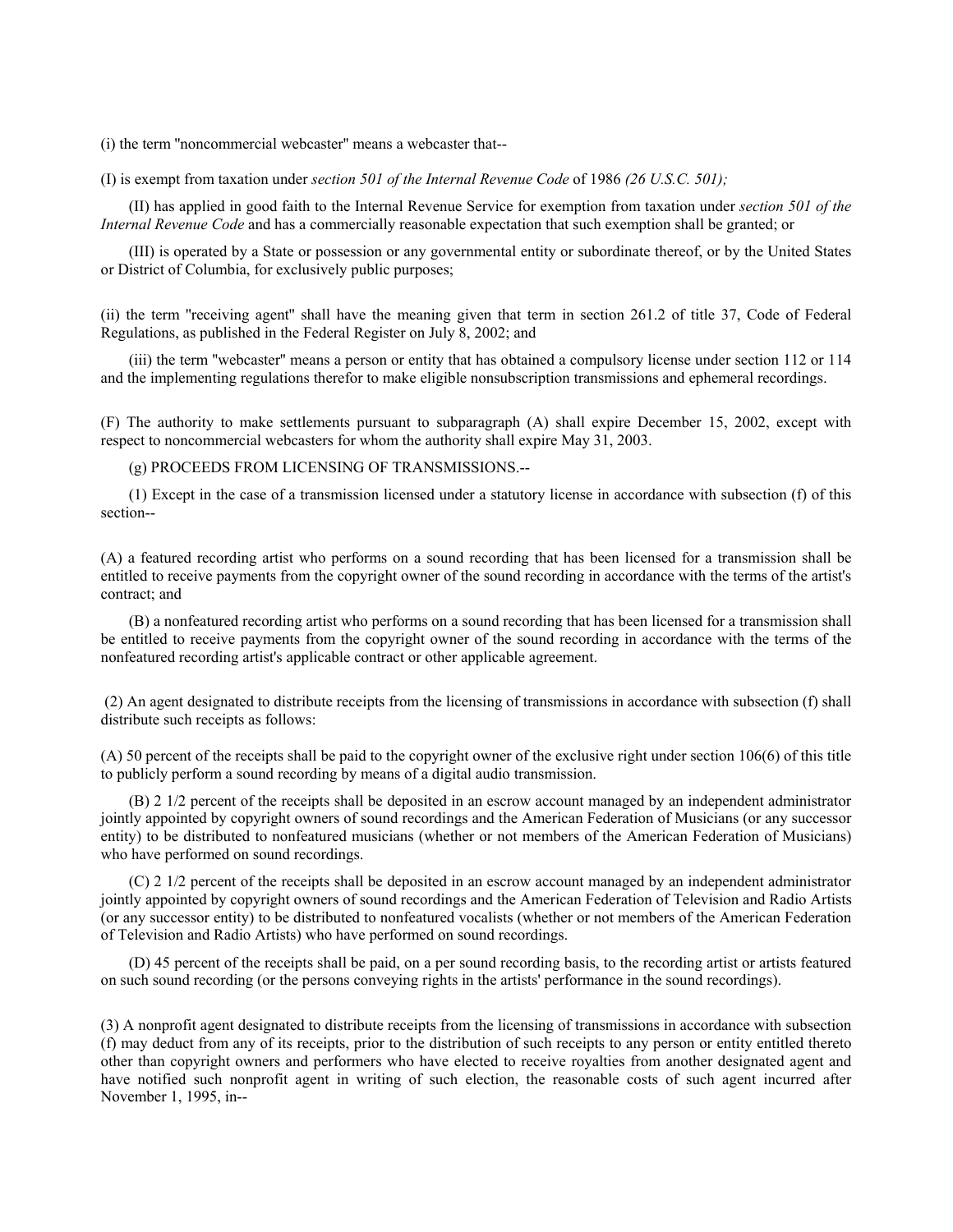(i) the term ''noncommercial webcaster'' means a webcaster that--

(I) is exempt from taxation under *section 501 of the Internal Revenue Code* of 1986 *(26 U.S.C. 501);*

(II) has applied in good faith to the Internal Revenue Service for exemption from taxation under *section 501 of the Internal Revenue Code* and has a commercially reasonable expectation that such exemption shall be granted; or

(III) is operated by a State or possession or any governmental entity or subordinate thereof, or by the United States or District of Columbia, for exclusively public purposes;

(ii) the term ''receiving agent'' shall have the meaning given that term in section 261.2 of title 37, Code of Federal Regulations, as published in the Federal Register on July 8, 2002; and

(iii) the term ''webcaster'' means a person or entity that has obtained a compulsory license under section 112 or 114 and the implementing regulations therefor to make eligible nonsubscription transmissions and ephemeral recordings.

(F) The authority to make settlements pursuant to subparagraph (A) shall expire December 15, 2002, except with respect to noncommercial webcasters for whom the authority shall expire May 31, 2003.

(g) PROCEEDS FROM LICENSING OF TRANSMISSIONS.--

(1) Except in the case of a transmission licensed under a statutory license in accordance with subsection (f) of this section--

(A) a featured recording artist who performs on a sound recording that has been licensed for a transmission shall be entitled to receive payments from the copyright owner of the sound recording in accordance with the terms of the artist's contract; and

(B) a nonfeatured recording artist who performs on a sound recording that has been licensed for a transmission shall be entitled to receive payments from the copyright owner of the sound recording in accordance with the terms of the nonfeatured recording artist's applicable contract or other applicable agreement.

 (2) An agent designated to distribute receipts from the licensing of transmissions in accordance with subsection (f) shall distribute such receipts as follows:

(A) 50 percent of the receipts shall be paid to the copyright owner of the exclusive right under section 106(6) of this title to publicly perform a sound recording by means of a digital audio transmission.

(B) 2 1/2 percent of the receipts shall be deposited in an escrow account managed by an independent administrator jointly appointed by copyright owners of sound recordings and the American Federation of Musicians (or any successor entity) to be distributed to nonfeatured musicians (whether or not members of the American Federation of Musicians) who have performed on sound recordings.

(C) 2 1/2 percent of the receipts shall be deposited in an escrow account managed by an independent administrator jointly appointed by copyright owners of sound recordings and the American Federation of Television and Radio Artists (or any successor entity) to be distributed to nonfeatured vocalists (whether or not members of the American Federation of Television and Radio Artists) who have performed on sound recordings.

(D) 45 percent of the receipts shall be paid, on a per sound recording basis, to the recording artist or artists featured on such sound recording (or the persons conveying rights in the artists' performance in the sound recordings).

(3) A nonprofit agent designated to distribute receipts from the licensing of transmissions in accordance with subsection (f) may deduct from any of its receipts, prior to the distribution of such receipts to any person or entity entitled thereto other than copyright owners and performers who have elected to receive royalties from another designated agent and have notified such nonprofit agent in writing of such election, the reasonable costs of such agent incurred after November 1, 1995, in--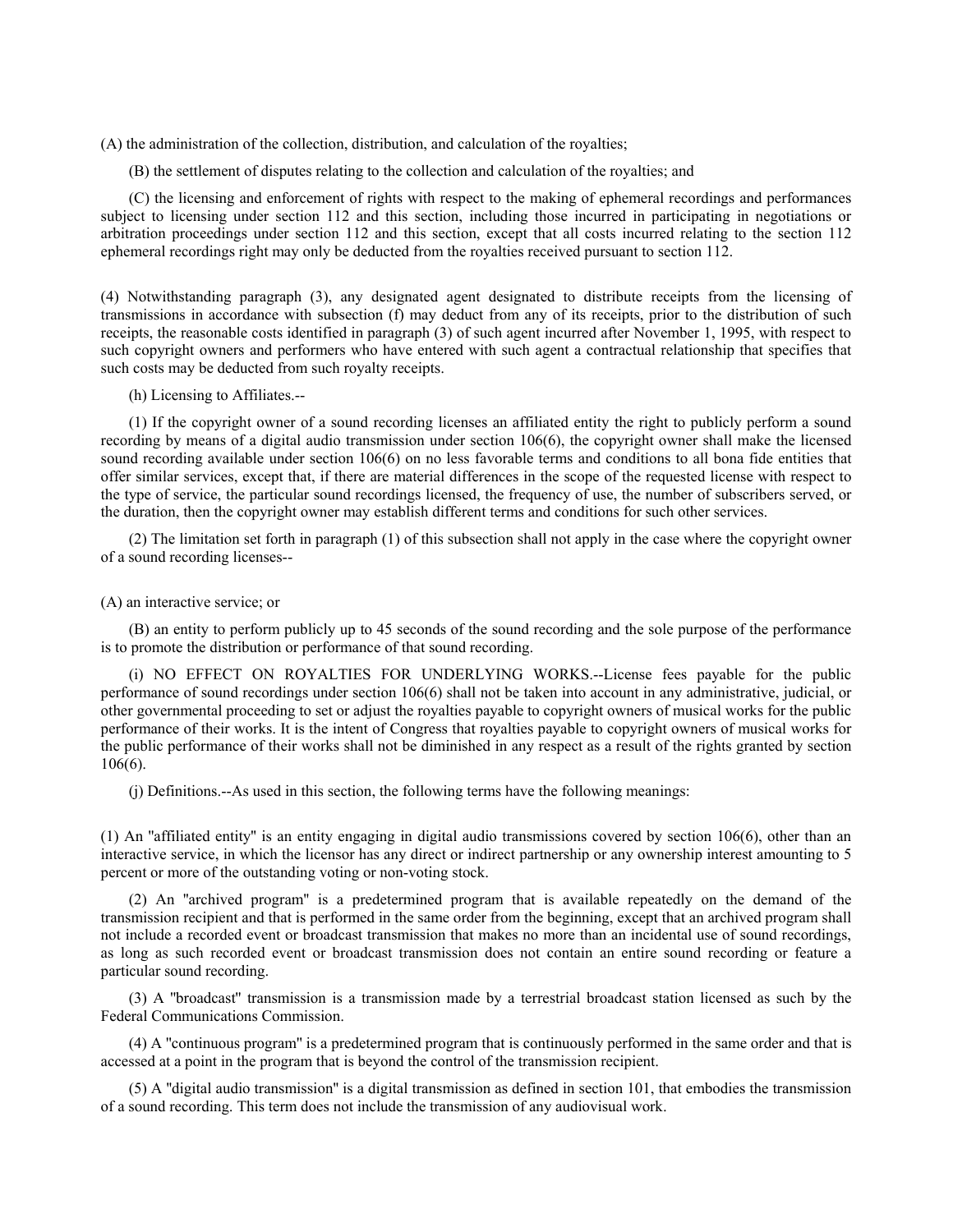(A) the administration of the collection, distribution, and calculation of the royalties;

(B) the settlement of disputes relating to the collection and calculation of the royalties; and

(C) the licensing and enforcement of rights with respect to the making of ephemeral recordings and performances subject to licensing under section 112 and this section, including those incurred in participating in negotiations or arbitration proceedings under section 112 and this section, except that all costs incurred relating to the section 112 ephemeral recordings right may only be deducted from the royalties received pursuant to section 112.

(4) Notwithstanding paragraph (3), any designated agent designated to distribute receipts from the licensing of transmissions in accordance with subsection (f) may deduct from any of its receipts, prior to the distribution of such receipts, the reasonable costs identified in paragraph (3) of such agent incurred after November 1, 1995, with respect to such copyright owners and performers who have entered with such agent a contractual relationship that specifies that such costs may be deducted from such royalty receipts.

(h) Licensing to Affiliates.--

(1) If the copyright owner of a sound recording licenses an affiliated entity the right to publicly perform a sound recording by means of a digital audio transmission under section 106(6), the copyright owner shall make the licensed sound recording available under section 106(6) on no less favorable terms and conditions to all bona fide entities that offer similar services, except that, if there are material differences in the scope of the requested license with respect to the type of service, the particular sound recordings licensed, the frequency of use, the number of subscribers served, or the duration, then the copyright owner may establish different terms and conditions for such other services.

(2) The limitation set forth in paragraph (1) of this subsection shall not apply in the case where the copyright owner of a sound recording licenses--

### (A) an interactive service; or

(B) an entity to perform publicly up to 45 seconds of the sound recording and the sole purpose of the performance is to promote the distribution or performance of that sound recording.

(i) NO EFFECT ON ROYALTIES FOR UNDERLYING WORKS.--License fees payable for the public performance of sound recordings under section 106(6) shall not be taken into account in any administrative, judicial, or other governmental proceeding to set or adjust the royalties payable to copyright owners of musical works for the public performance of their works. It is the intent of Congress that royalties payable to copyright owners of musical works for the public performance of their works shall not be diminished in any respect as a result of the rights granted by section 106(6).

(j) Definitions.--As used in this section, the following terms have the following meanings:

(1) An ''affiliated entity'' is an entity engaging in digital audio transmissions covered by section 106(6), other than an interactive service, in which the licensor has any direct or indirect partnership or any ownership interest amounting to 5 percent or more of the outstanding voting or non-voting stock.

(2) An ''archived program'' is a predetermined program that is available repeatedly on the demand of the transmission recipient and that is performed in the same order from the beginning, except that an archived program shall not include a recorded event or broadcast transmission that makes no more than an incidental use of sound recordings, as long as such recorded event or broadcast transmission does not contain an entire sound recording or feature a particular sound recording.

(3) A ''broadcast'' transmission is a transmission made by a terrestrial broadcast station licensed as such by the Federal Communications Commission.

(4) A ''continuous program'' is a predetermined program that is continuously performed in the same order and that is accessed at a point in the program that is beyond the control of the transmission recipient.

(5) A ''digital audio transmission'' is a digital transmission as defined in section 101, that embodies the transmission of a sound recording. This term does not include the transmission of any audiovisual work.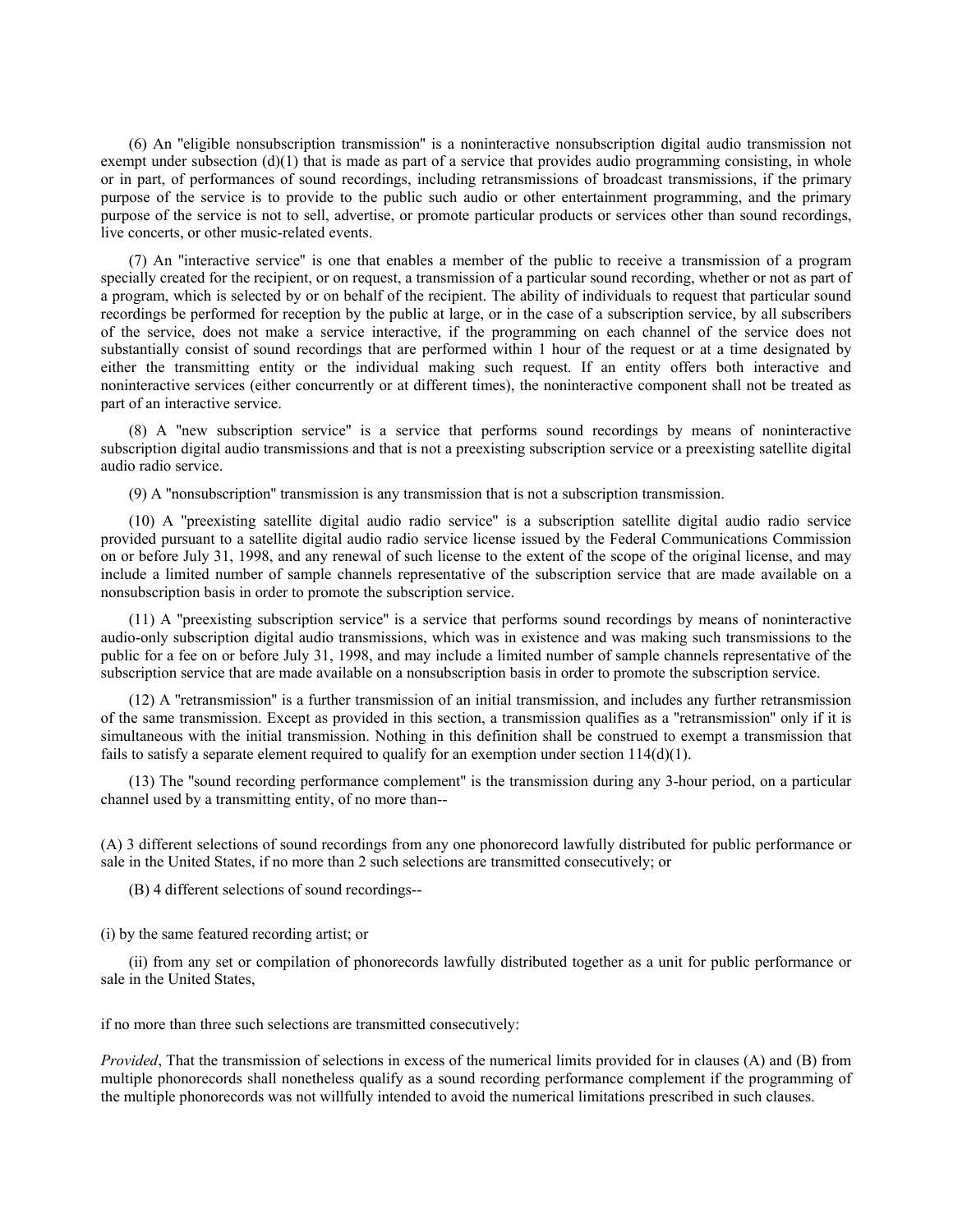(6) An ''eligible nonsubscription transmission'' is a noninteractive nonsubscription digital audio transmission not exempt under subsection  $(d)(1)$  that is made as part of a service that provides audio programming consisting, in whole or in part, of performances of sound recordings, including retransmissions of broadcast transmissions, if the primary purpose of the service is to provide to the public such audio or other entertainment programming, and the primary purpose of the service is not to sell, advertise, or promote particular products or services other than sound recordings, live concerts, or other music-related events.

(7) An ''interactive service'' is one that enables a member of the public to receive a transmission of a program specially created for the recipient, or on request, a transmission of a particular sound recording, whether or not as part of a program, which is selected by or on behalf of the recipient. The ability of individuals to request that particular sound recordings be performed for reception by the public at large, or in the case of a subscription service, by all subscribers of the service, does not make a service interactive, if the programming on each channel of the service does not substantially consist of sound recordings that are performed within 1 hour of the request or at a time designated by either the transmitting entity or the individual making such request. If an entity offers both interactive and noninteractive services (either concurrently or at different times), the noninteractive component shall not be treated as part of an interactive service.

(8) A ''new subscription service'' is a service that performs sound recordings by means of noninteractive subscription digital audio transmissions and that is not a preexisting subscription service or a preexisting satellite digital audio radio service.

(9) A ''nonsubscription'' transmission is any transmission that is not a subscription transmission.

(10) A ''preexisting satellite digital audio radio service'' is a subscription satellite digital audio radio service provided pursuant to a satellite digital audio radio service license issued by the Federal Communications Commission on or before July 31, 1998, and any renewal of such license to the extent of the scope of the original license, and may include a limited number of sample channels representative of the subscription service that are made available on a nonsubscription basis in order to promote the subscription service.

(11) A ''preexisting subscription service'' is a service that performs sound recordings by means of noninteractive audio-only subscription digital audio transmissions, which was in existence and was making such transmissions to the public for a fee on or before July 31, 1998, and may include a limited number of sample channels representative of the subscription service that are made available on a nonsubscription basis in order to promote the subscription service.

(12) A ''retransmission'' is a further transmission of an initial transmission, and includes any further retransmission of the same transmission. Except as provided in this section, a transmission qualifies as a ''retransmission'' only if it is simultaneous with the initial transmission. Nothing in this definition shall be construed to exempt a transmission that fails to satisfy a separate element required to qualify for an exemption under section  $114(d)(1)$ .

(13) The ''sound recording performance complement'' is the transmission during any 3-hour period, on a particular channel used by a transmitting entity, of no more than--

(A) 3 different selections of sound recordings from any one phonorecord lawfully distributed for public performance or sale in the United States, if no more than 2 such selections are transmitted consecutively; or

(B) 4 different selections of sound recordings--

(i) by the same featured recording artist; or

(ii) from any set or compilation of phonorecords lawfully distributed together as a unit for public performance or sale in the United States,

if no more than three such selections are transmitted consecutively:

*Provided*, That the transmission of selections in excess of the numerical limits provided for in clauses (A) and (B) from multiple phonorecords shall nonetheless qualify as a sound recording performance complement if the programming of the multiple phonorecords was not willfully intended to avoid the numerical limitations prescribed in such clauses.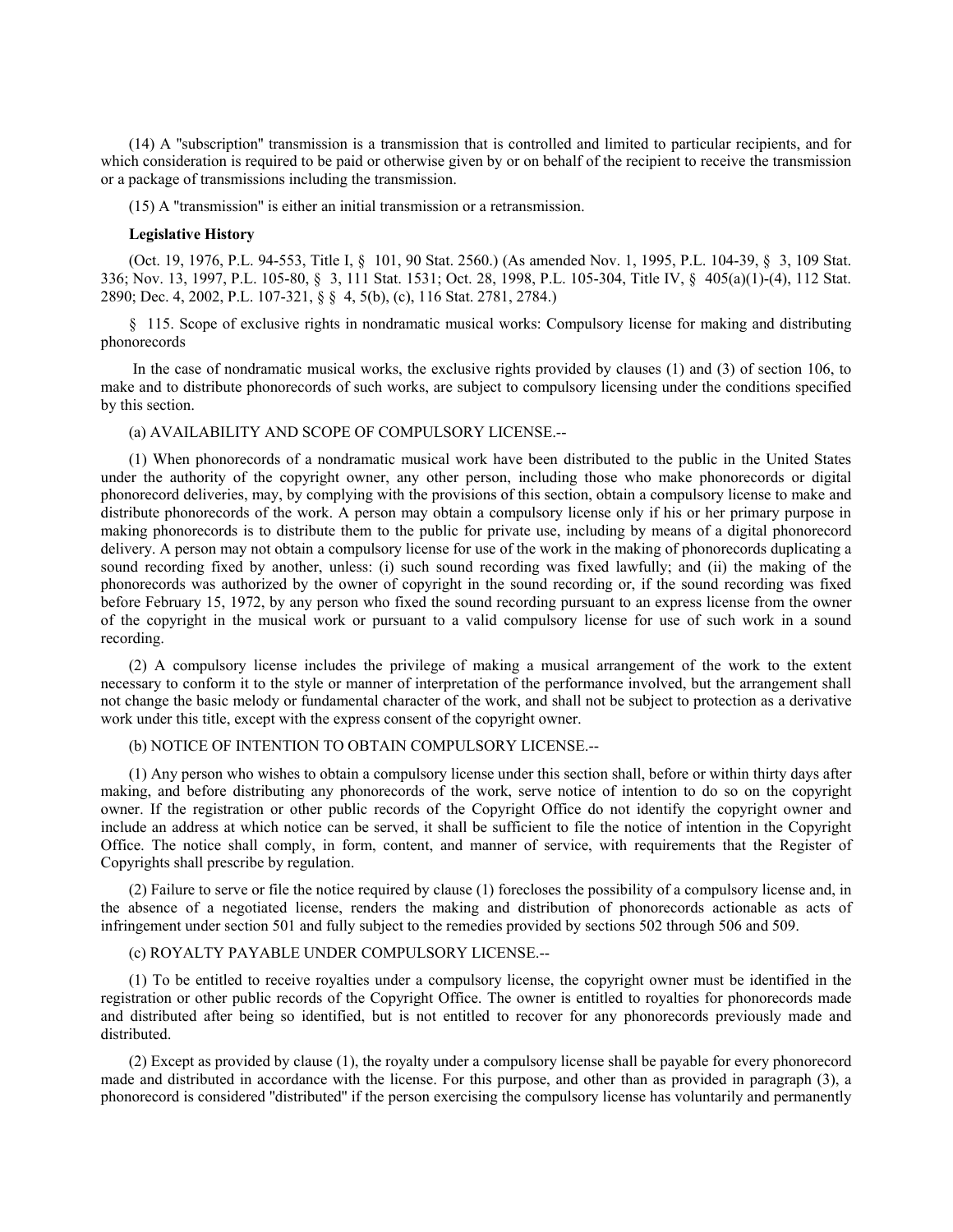(14) A ''subscription'' transmission is a transmission that is controlled and limited to particular recipients, and for which consideration is required to be paid or otherwise given by or on behalf of the recipient to receive the transmission or a package of transmissions including the transmission.

(15) A ''transmission'' is either an initial transmission or a retransmission.

### **Legislative History**

(Oct. 19, 1976, P.L. 94-553, Title I, § 101, 90 Stat. 2560.) (As amended Nov. 1, 1995, P.L. 104-39, § 3, 109 Stat. 336; Nov. 13, 1997, P.L. 105-80, § 3, 111 Stat. 1531; Oct. 28, 1998, P.L. 105-304, Title IV, § 405(a)(1)-(4), 112 Stat. 2890; Dec. 4, 2002, P.L. 107-321, § § 4, 5(b), (c), 116 Stat. 2781, 2784.)

§ 115. Scope of exclusive rights in nondramatic musical works: Compulsory license for making and distributing phonorecords

 In the case of nondramatic musical works, the exclusive rights provided by clauses (1) and (3) of section 106, to make and to distribute phonorecords of such works, are subject to compulsory licensing under the conditions specified by this section.

# (a) AVAILABILITY AND SCOPE OF COMPULSORY LICENSE.--

(1) When phonorecords of a nondramatic musical work have been distributed to the public in the United States under the authority of the copyright owner, any other person, including those who make phonorecords or digital phonorecord deliveries, may, by complying with the provisions of this section, obtain a compulsory license to make and distribute phonorecords of the work. A person may obtain a compulsory license only if his or her primary purpose in making phonorecords is to distribute them to the public for private use, including by means of a digital phonorecord delivery. A person may not obtain a compulsory license for use of the work in the making of phonorecords duplicating a sound recording fixed by another, unless: (i) such sound recording was fixed lawfully; and (ii) the making of the phonorecords was authorized by the owner of copyright in the sound recording or, if the sound recording was fixed before February 15, 1972, by any person who fixed the sound recording pursuant to an express license from the owner of the copyright in the musical work or pursuant to a valid compulsory license for use of such work in a sound recording.

(2) A compulsory license includes the privilege of making a musical arrangement of the work to the extent necessary to conform it to the style or manner of interpretation of the performance involved, but the arrangement shall not change the basic melody or fundamental character of the work, and shall not be subject to protection as a derivative work under this title, except with the express consent of the copyright owner.

# (b) NOTICE OF INTENTION TO OBTAIN COMPULSORY LICENSE.--

(1) Any person who wishes to obtain a compulsory license under this section shall, before or within thirty days after making, and before distributing any phonorecords of the work, serve notice of intention to do so on the copyright owner. If the registration or other public records of the Copyright Office do not identify the copyright owner and include an address at which notice can be served, it shall be sufficient to file the notice of intention in the Copyright Office. The notice shall comply, in form, content, and manner of service, with requirements that the Register of Copyrights shall prescribe by regulation.

(2) Failure to serve or file the notice required by clause (1) forecloses the possibility of a compulsory license and, in the absence of a negotiated license, renders the making and distribution of phonorecords actionable as acts of infringement under section 501 and fully subject to the remedies provided by sections 502 through 506 and 509.

### (c) ROYALTY PAYABLE UNDER COMPULSORY LICENSE.--

(1) To be entitled to receive royalties under a compulsory license, the copyright owner must be identified in the registration or other public records of the Copyright Office. The owner is entitled to royalties for phonorecords made and distributed after being so identified, but is not entitled to recover for any phonorecords previously made and distributed.

(2) Except as provided by clause (1), the royalty under a compulsory license shall be payable for every phonorecord made and distributed in accordance with the license. For this purpose, and other than as provided in paragraph (3), a phonorecord is considered ''distributed'' if the person exercising the compulsory license has voluntarily and permanently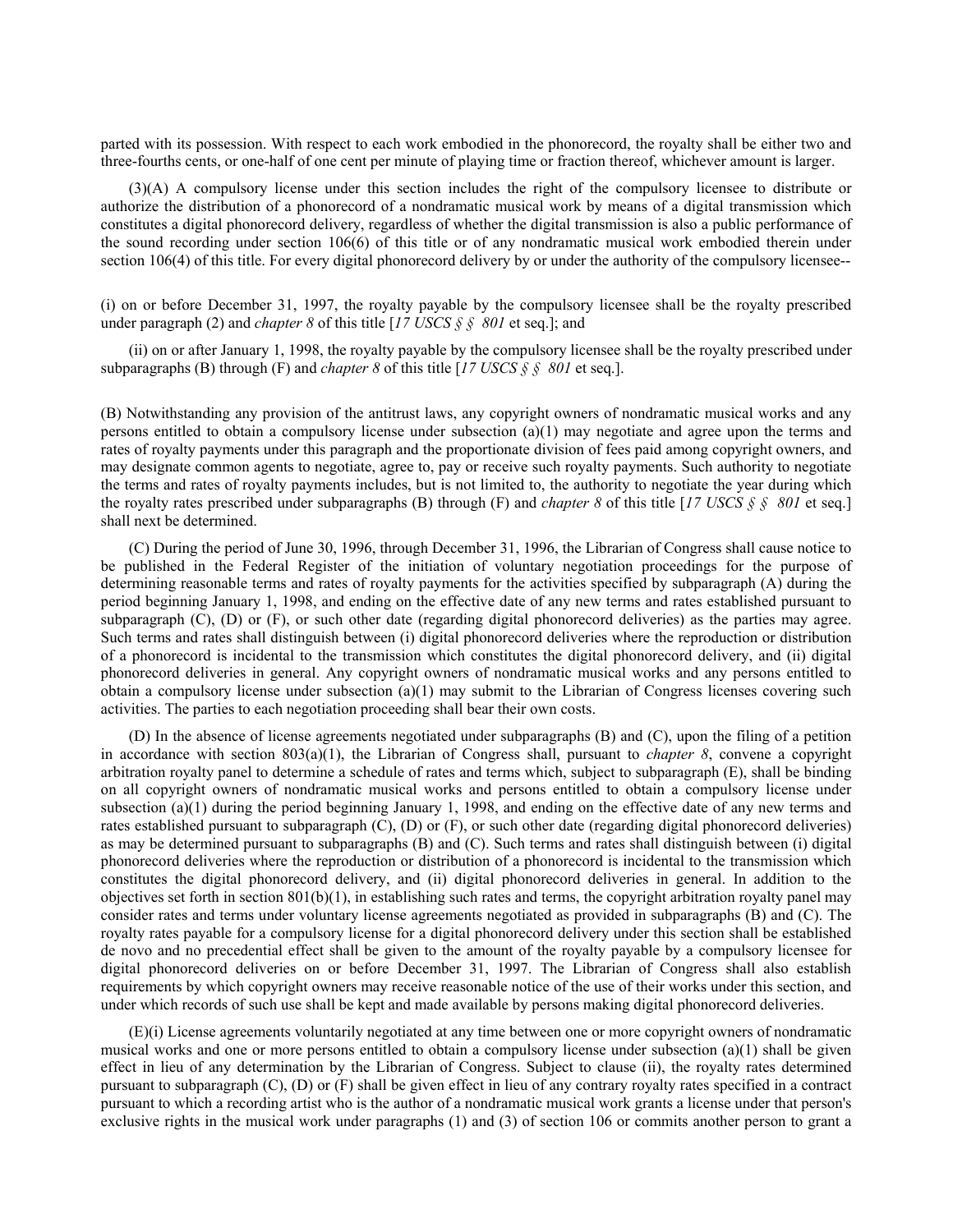parted with its possession. With respect to each work embodied in the phonorecord, the royalty shall be either two and three-fourths cents, or one-half of one cent per minute of playing time or fraction thereof, whichever amount is larger.

(3)(A) A compulsory license under this section includes the right of the compulsory licensee to distribute or authorize the distribution of a phonorecord of a nondramatic musical work by means of a digital transmission which constitutes a digital phonorecord delivery, regardless of whether the digital transmission is also a public performance of the sound recording under section 106(6) of this title or of any nondramatic musical work embodied therein under section 106(4) of this title. For every digital phonorecord delivery by or under the authority of the compulsory licensee--

(i) on or before December 31, 1997, the royalty payable by the compulsory licensee shall be the royalty prescribed under paragraph (2) and *chapter 8* of this title [*17 USCS § § 801* et seq.]; and

(ii) on or after January 1, 1998, the royalty payable by the compulsory licensee shall be the royalty prescribed under subparagraphs (B) through (F) and *chapter 8* of this title [*17 USCS § § 801* et seq.].

(B) Notwithstanding any provision of the antitrust laws, any copyright owners of nondramatic musical works and any persons entitled to obtain a compulsory license under subsection (a)(1) may negotiate and agree upon the terms and rates of royalty payments under this paragraph and the proportionate division of fees paid among copyright owners, and may designate common agents to negotiate, agree to, pay or receive such royalty payments. Such authority to negotiate the terms and rates of royalty payments includes, but is not limited to, the authority to negotiate the year during which the royalty rates prescribed under subparagraphs (B) through (F) and *chapter 8* of this title [17 USCS  $\frac{5}{5}$   $\frac{801}{3}$  et seq.] shall next be determined.

(C) During the period of June 30, 1996, through December 31, 1996, the Librarian of Congress shall cause notice to be published in the Federal Register of the initiation of voluntary negotiation proceedings for the purpose of determining reasonable terms and rates of royalty payments for the activities specified by subparagraph (A) during the period beginning January 1, 1998, and ending on the effective date of any new terms and rates established pursuant to subparagraph (C), (D) or (F), or such other date (regarding digital phonorecord deliveries) as the parties may agree. Such terms and rates shall distinguish between (i) digital phonorecord deliveries where the reproduction or distribution of a phonorecord is incidental to the transmission which constitutes the digital phonorecord delivery, and (ii) digital phonorecord deliveries in general. Any copyright owners of nondramatic musical works and any persons entitled to obtain a compulsory license under subsection  $(a)(1)$  may submit to the Librarian of Congress licenses covering such activities. The parties to each negotiation proceeding shall bear their own costs.

(D) In the absence of license agreements negotiated under subparagraphs (B) and (C), upon the filing of a petition in accordance with section  $803(a)(1)$ , the Librarian of Congress shall, pursuant to *chapter 8*, convene a copyright arbitration royalty panel to determine a schedule of rates and terms which, subject to subparagraph (E), shall be binding on all copyright owners of nondramatic musical works and persons entitled to obtain a compulsory license under subsection (a)(1) during the period beginning January 1, 1998, and ending on the effective date of any new terms and rates established pursuant to subparagraph (C), (D) or (F), or such other date (regarding digital phonorecord deliveries) as may be determined pursuant to subparagraphs (B) and (C). Such terms and rates shall distinguish between (i) digital phonorecord deliveries where the reproduction or distribution of a phonorecord is incidental to the transmission which constitutes the digital phonorecord delivery, and (ii) digital phonorecord deliveries in general. In addition to the objectives set forth in section  $801(b)(1)$ , in establishing such rates and terms, the copyright arbitration royalty panel may consider rates and terms under voluntary license agreements negotiated as provided in subparagraphs (B) and (C). The royalty rates payable for a compulsory license for a digital phonorecord delivery under this section shall be established de novo and no precedential effect shall be given to the amount of the royalty payable by a compulsory licensee for digital phonorecord deliveries on or before December 31, 1997. The Librarian of Congress shall also establish requirements by which copyright owners may receive reasonable notice of the use of their works under this section, and under which records of such use shall be kept and made available by persons making digital phonorecord deliveries.

(E)(i) License agreements voluntarily negotiated at any time between one or more copyright owners of nondramatic musical works and one or more persons entitled to obtain a compulsory license under subsection (a)(1) shall be given effect in lieu of any determination by the Librarian of Congress. Subject to clause (ii), the royalty rates determined pursuant to subparagraph (C), (D) or (F) shall be given effect in lieu of any contrary royalty rates specified in a contract pursuant to which a recording artist who is the author of a nondramatic musical work grants a license under that person's exclusive rights in the musical work under paragraphs (1) and (3) of section 106 or commits another person to grant a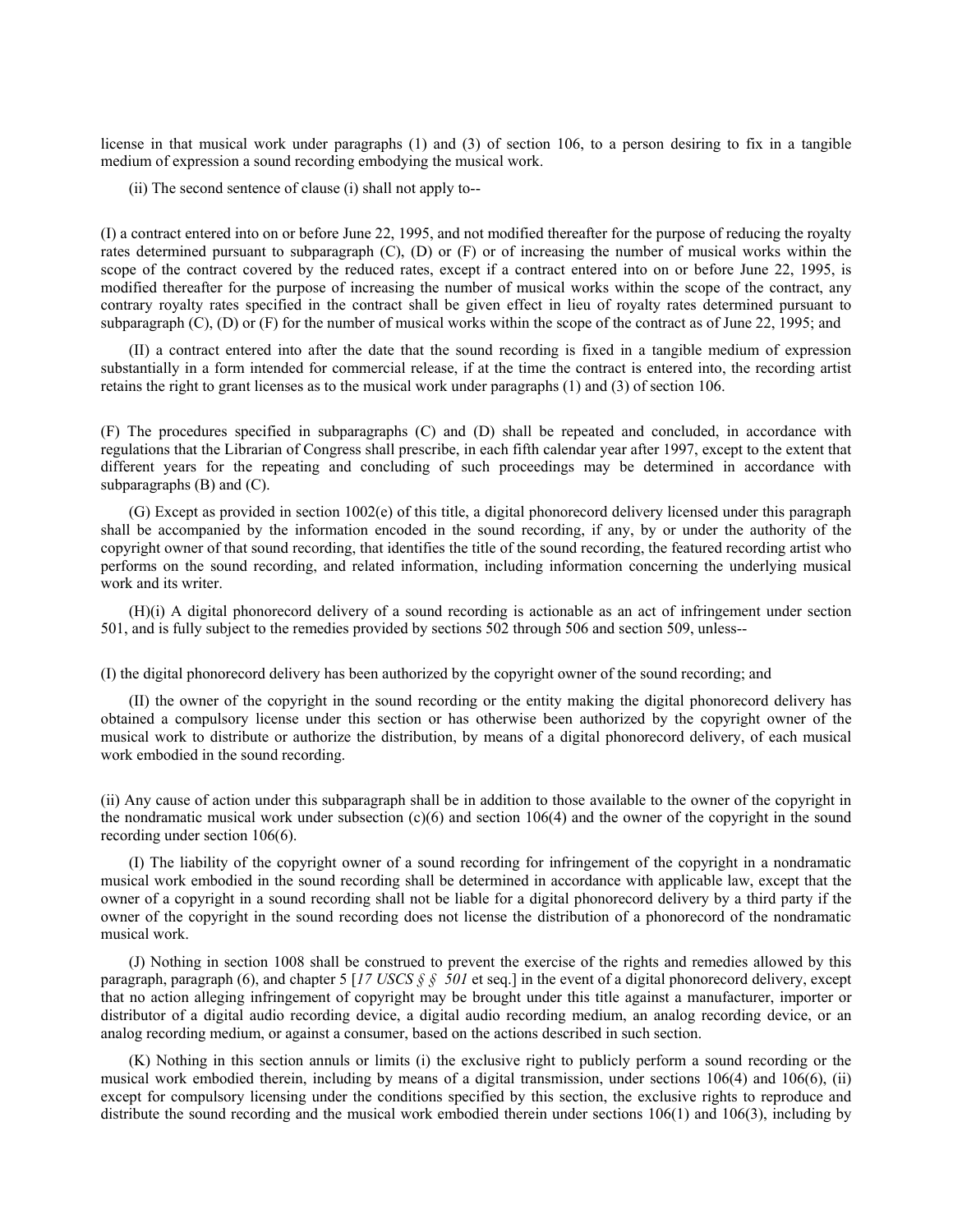license in that musical work under paragraphs (1) and (3) of section 106, to a person desiring to fix in a tangible medium of expression a sound recording embodying the musical work.

(ii) The second sentence of clause (i) shall not apply to--

(I) a contract entered into on or before June 22, 1995, and not modified thereafter for the purpose of reducing the royalty rates determined pursuant to subparagraph (C), (D) or (F) or of increasing the number of musical works within the scope of the contract covered by the reduced rates, except if a contract entered into on or before June 22, 1995, is modified thereafter for the purpose of increasing the number of musical works within the scope of the contract, any contrary royalty rates specified in the contract shall be given effect in lieu of royalty rates determined pursuant to subparagraph  $(C)$ ,  $(D)$  or  $(F)$  for the number of musical works within the scope of the contract as of June 22, 1995; and

(II) a contract entered into after the date that the sound recording is fixed in a tangible medium of expression substantially in a form intended for commercial release, if at the time the contract is entered into, the recording artist retains the right to grant licenses as to the musical work under paragraphs (1) and (3) of section 106.

(F) The procedures specified in subparagraphs (C) and (D) shall be repeated and concluded, in accordance with regulations that the Librarian of Congress shall prescribe, in each fifth calendar year after 1997, except to the extent that different years for the repeating and concluding of such proceedings may be determined in accordance with subparagraphs (B) and (C).

(G) Except as provided in section 1002(e) of this title, a digital phonorecord delivery licensed under this paragraph shall be accompanied by the information encoded in the sound recording, if any, by or under the authority of the copyright owner of that sound recording, that identifies the title of the sound recording, the featured recording artist who performs on the sound recording, and related information, including information concerning the underlying musical work and its writer.

(H)(i) A digital phonorecord delivery of a sound recording is actionable as an act of infringement under section 501, and is fully subject to the remedies provided by sections 502 through 506 and section 509, unless--

(I) the digital phonorecord delivery has been authorized by the copyright owner of the sound recording; and

(II) the owner of the copyright in the sound recording or the entity making the digital phonorecord delivery has obtained a compulsory license under this section or has otherwise been authorized by the copyright owner of the musical work to distribute or authorize the distribution, by means of a digital phonorecord delivery, of each musical work embodied in the sound recording.

(ii) Any cause of action under this subparagraph shall be in addition to those available to the owner of the copyright in the nondramatic musical work under subsection  $(c)(6)$  and section 106(4) and the owner of the copyright in the sound recording under section 106(6).

(I) The liability of the copyright owner of a sound recording for infringement of the copyright in a nondramatic musical work embodied in the sound recording shall be determined in accordance with applicable law, except that the owner of a copyright in a sound recording shall not be liable for a digital phonorecord delivery by a third party if the owner of the copyright in the sound recording does not license the distribution of a phonorecord of the nondramatic musical work.

(J) Nothing in section 1008 shall be construed to prevent the exercise of the rights and remedies allowed by this paragraph, paragraph (6), and chapter 5 [*17 USCS § § 501* et seq.] in the event of a digital phonorecord delivery, except that no action alleging infringement of copyright may be brought under this title against a manufacturer, importer or distributor of a digital audio recording device, a digital audio recording medium, an analog recording device, or an analog recording medium, or against a consumer, based on the actions described in such section.

(K) Nothing in this section annuls or limits (i) the exclusive right to publicly perform a sound recording or the musical work embodied therein, including by means of a digital transmission, under sections 106(4) and 106(6), (ii) except for compulsory licensing under the conditions specified by this section, the exclusive rights to reproduce and distribute the sound recording and the musical work embodied therein under sections 106(1) and 106(3), including by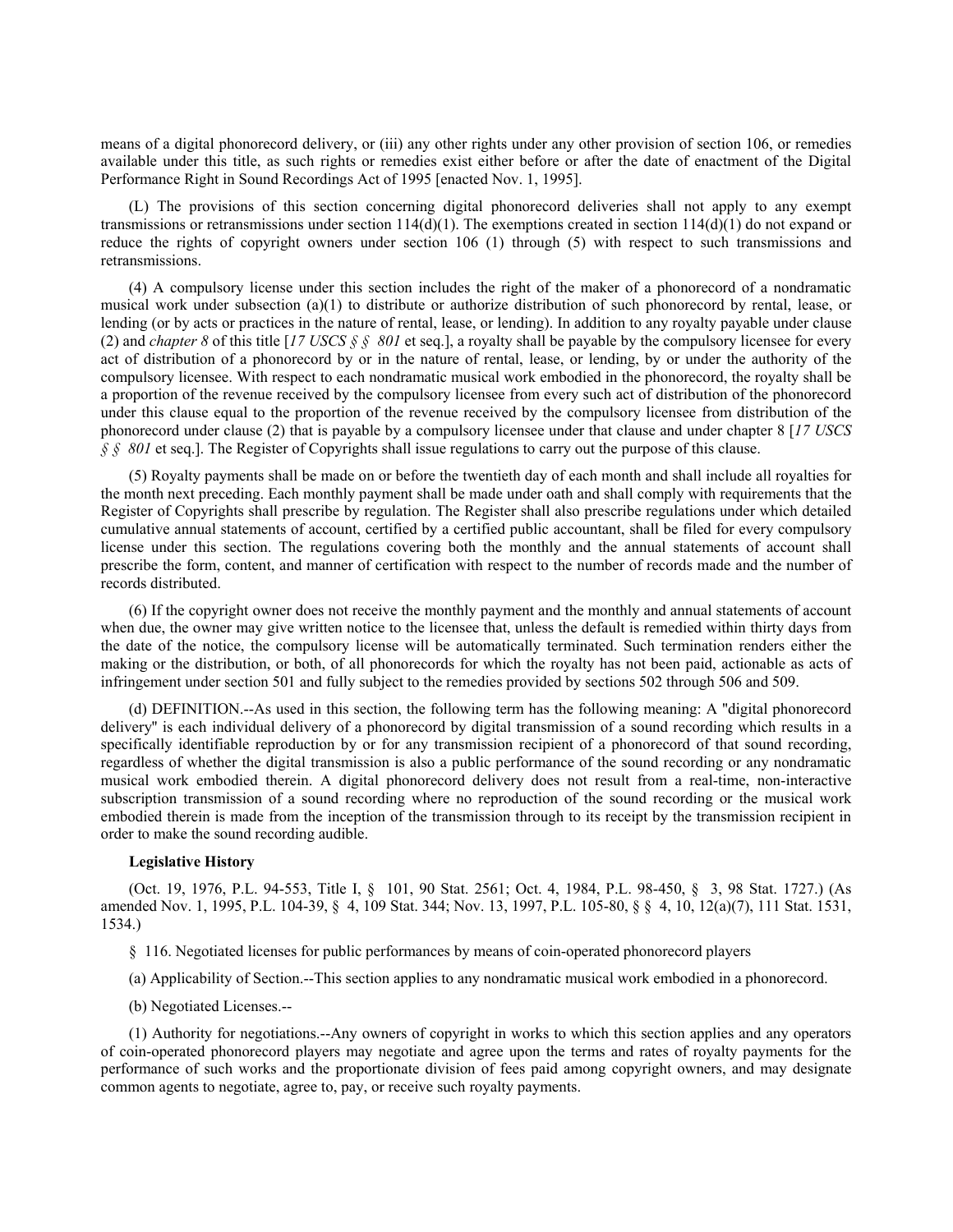means of a digital phonorecord delivery, or (iii) any other rights under any other provision of section 106, or remedies available under this title, as such rights or remedies exist either before or after the date of enactment of the Digital Performance Right in Sound Recordings Act of 1995 [enacted Nov. 1, 1995].

(L) The provisions of this section concerning digital phonorecord deliveries shall not apply to any exempt transmissions or retransmissions under section  $114(d)(1)$ . The exemptions created in section  $114(d)(1)$  do not expand or reduce the rights of copyright owners under section 106 (1) through (5) with respect to such transmissions and retransmissions.

(4) A compulsory license under this section includes the right of the maker of a phonorecord of a nondramatic musical work under subsection (a)(1) to distribute or authorize distribution of such phonorecord by rental, lease, or lending (or by acts or practices in the nature of rental, lease, or lending). In addition to any royalty payable under clause (2) and *chapter 8* of this title [*17 USCS § § 801* et seq.], a royalty shall be payable by the compulsory licensee for every act of distribution of a phonorecord by or in the nature of rental, lease, or lending, by or under the authority of the compulsory licensee. With respect to each nondramatic musical work embodied in the phonorecord, the royalty shall be a proportion of the revenue received by the compulsory licensee from every such act of distribution of the phonorecord under this clause equal to the proportion of the revenue received by the compulsory licensee from distribution of the phonorecord under clause (2) that is payable by a compulsory licensee under that clause and under chapter 8 [*17 USCS § § 801* et seq.]. The Register of Copyrights shall issue regulations to carry out the purpose of this clause.

(5) Royalty payments shall be made on or before the twentieth day of each month and shall include all royalties for the month next preceding. Each monthly payment shall be made under oath and shall comply with requirements that the Register of Copyrights shall prescribe by regulation. The Register shall also prescribe regulations under which detailed cumulative annual statements of account, certified by a certified public accountant, shall be filed for every compulsory license under this section. The regulations covering both the monthly and the annual statements of account shall prescribe the form, content, and manner of certification with respect to the number of records made and the number of records distributed.

(6) If the copyright owner does not receive the monthly payment and the monthly and annual statements of account when due, the owner may give written notice to the licensee that, unless the default is remedied within thirty days from the date of the notice, the compulsory license will be automatically terminated. Such termination renders either the making or the distribution, or both, of all phonorecords for which the royalty has not been paid, actionable as acts of infringement under section 501 and fully subject to the remedies provided by sections 502 through 506 and 509.

(d) DEFINITION.--As used in this section, the following term has the following meaning: A ''digital phonorecord delivery'' is each individual delivery of a phonorecord by digital transmission of a sound recording which results in a specifically identifiable reproduction by or for any transmission recipient of a phonorecord of that sound recording, regardless of whether the digital transmission is also a public performance of the sound recording or any nondramatic musical work embodied therein. A digital phonorecord delivery does not result from a real-time, non-interactive subscription transmission of a sound recording where no reproduction of the sound recording or the musical work embodied therein is made from the inception of the transmission through to its receipt by the transmission recipient in order to make the sound recording audible.

# **Legislative History**

(Oct. 19, 1976, P.L. 94-553, Title I, § 101, 90 Stat. 2561; Oct. 4, 1984, P.L. 98-450, § 3, 98 Stat. 1727.) (As amended Nov. 1, 1995, P.L. 104-39, § 4, 109 Stat. 344; Nov. 13, 1997, P.L. 105-80, § § 4, 10, 12(a)(7), 111 Stat. 1531, 1534.)

§ 116. Negotiated licenses for public performances by means of coin-operated phonorecord players

(a) Applicability of Section.--This section applies to any nondramatic musical work embodied in a phonorecord.

(b) Negotiated Licenses.--

(1) Authority for negotiations.--Any owners of copyright in works to which this section applies and any operators of coin-operated phonorecord players may negotiate and agree upon the terms and rates of royalty payments for the performance of such works and the proportionate division of fees paid among copyright owners, and may designate common agents to negotiate, agree to, pay, or receive such royalty payments.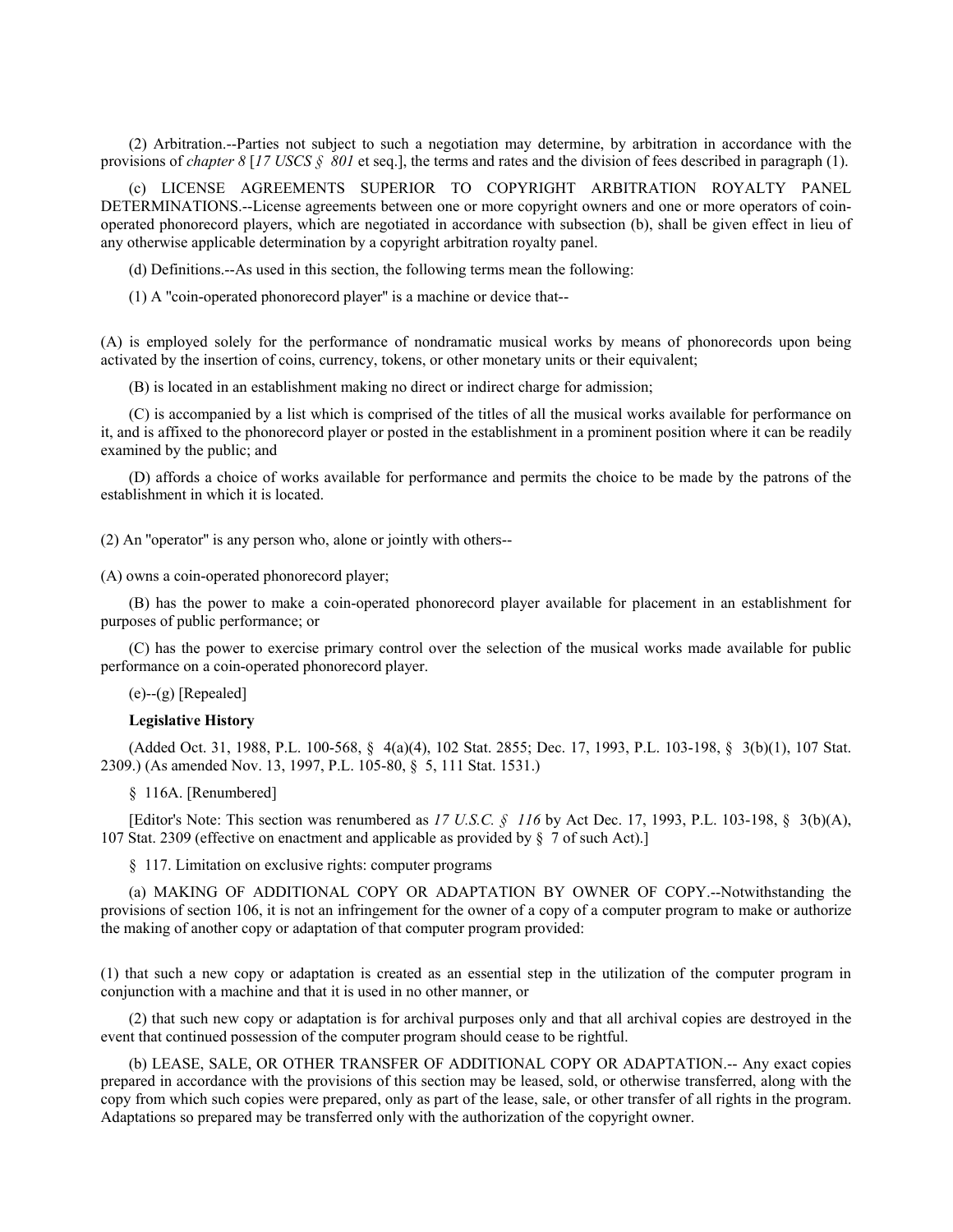(2) Arbitration.--Parties not subject to such a negotiation may determine, by arbitration in accordance with the provisions of *chapter 8* [*17 USCS § 801* et seq.], the terms and rates and the division of fees described in paragraph (1).

(c) LICENSE AGREEMENTS SUPERIOR TO COPYRIGHT ARBITRATION ROYALTY PANEL DETERMINATIONS.--License agreements between one or more copyright owners and one or more operators of coinoperated phonorecord players, which are negotiated in accordance with subsection (b), shall be given effect in lieu of any otherwise applicable determination by a copyright arbitration royalty panel.

(d) Definitions.--As used in this section, the following terms mean the following:

(1) A ''coin-operated phonorecord player'' is a machine or device that--

(A) is employed solely for the performance of nondramatic musical works by means of phonorecords upon being activated by the insertion of coins, currency, tokens, or other monetary units or their equivalent;

(B) is located in an establishment making no direct or indirect charge for admission;

(C) is accompanied by a list which is comprised of the titles of all the musical works available for performance on it, and is affixed to the phonorecord player or posted in the establishment in a prominent position where it can be readily examined by the public; and

(D) affords a choice of works available for performance and permits the choice to be made by the patrons of the establishment in which it is located.

(2) An ''operator'' is any person who, alone or jointly with others--

(A) owns a coin-operated phonorecord player;

(B) has the power to make a coin-operated phonorecord player available for placement in an establishment for purposes of public performance; or

(C) has the power to exercise primary control over the selection of the musical works made available for public performance on a coin-operated phonorecord player.

### (e)--(g) [Repealed]

### **Legislative History**

(Added Oct. 31, 1988, P.L. 100-568, § 4(a)(4), 102 Stat. 2855; Dec. 17, 1993, P.L. 103-198, § 3(b)(1), 107 Stat. 2309.) (As amended Nov. 13, 1997, P.L. 105-80, § 5, 111 Stat. 1531.)

§ 116A. [Renumbered]

[Editor's Note: This section was renumbered as *17 U.S.C. § 116* by Act Dec. 17, 1993, P.L. 103-198, § 3(b)(A), 107 Stat. 2309 (effective on enactment and applicable as provided by § 7 of such Act).]

§ 117. Limitation on exclusive rights: computer programs

(a) MAKING OF ADDITIONAL COPY OR ADAPTATION BY OWNER OF COPY.--Notwithstanding the provisions of section 106, it is not an infringement for the owner of a copy of a computer program to make or authorize the making of another copy or adaptation of that computer program provided:

(1) that such a new copy or adaptation is created as an essential step in the utilization of the computer program in conjunction with a machine and that it is used in no other manner, or

(2) that such new copy or adaptation is for archival purposes only and that all archival copies are destroyed in the event that continued possession of the computer program should cease to be rightful.

(b) LEASE, SALE, OR OTHER TRANSFER OF ADDITIONAL COPY OR ADAPTATION.-- Any exact copies prepared in accordance with the provisions of this section may be leased, sold, or otherwise transferred, along with the copy from which such copies were prepared, only as part of the lease, sale, or other transfer of all rights in the program. Adaptations so prepared may be transferred only with the authorization of the copyright owner.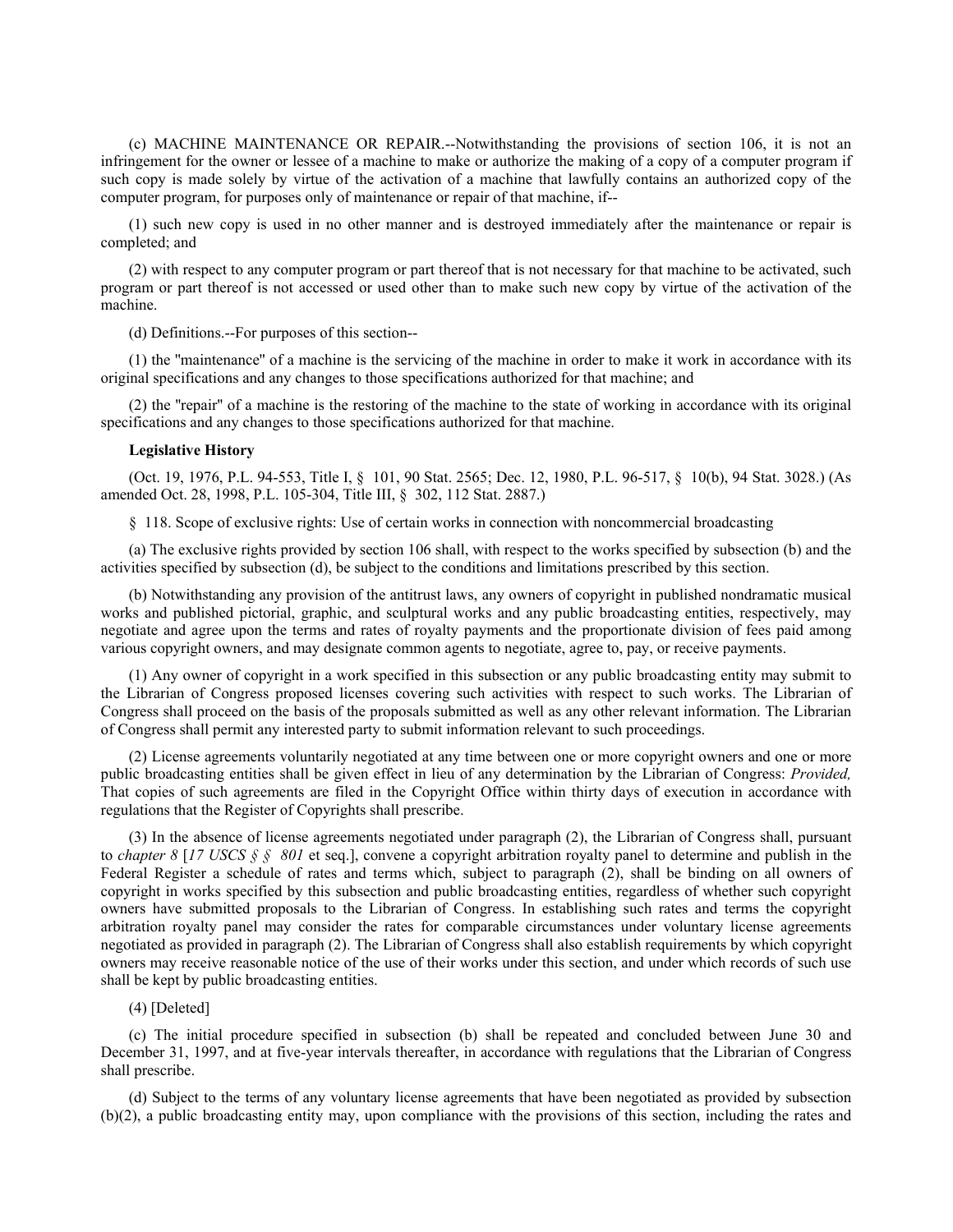(c) MACHINE MAINTENANCE OR REPAIR.--Notwithstanding the provisions of section 106, it is not an infringement for the owner or lessee of a machine to make or authorize the making of a copy of a computer program if such copy is made solely by virtue of the activation of a machine that lawfully contains an authorized copy of the computer program, for purposes only of maintenance or repair of that machine, if--

(1) such new copy is used in no other manner and is destroyed immediately after the maintenance or repair is completed; and

(2) with respect to any computer program or part thereof that is not necessary for that machine to be activated, such program or part thereof is not accessed or used other than to make such new copy by virtue of the activation of the machine.

(d) Definitions.--For purposes of this section--

(1) the ''maintenance'' of a machine is the servicing of the machine in order to make it work in accordance with its original specifications and any changes to those specifications authorized for that machine; and

(2) the ''repair'' of a machine is the restoring of the machine to the state of working in accordance with its original specifications and any changes to those specifications authorized for that machine.

#### **Legislative History**

(Oct. 19, 1976, P.L. 94-553, Title I, § 101, 90 Stat. 2565; Dec. 12, 1980, P.L. 96-517, § 10(b), 94 Stat. 3028.) (As amended Oct. 28, 1998, P.L. 105-304, Title III, § 302, 112 Stat. 2887.)

§ 118. Scope of exclusive rights: Use of certain works in connection with noncommercial broadcasting

(a) The exclusive rights provided by section 106 shall, with respect to the works specified by subsection (b) and the activities specified by subsection (d), be subject to the conditions and limitations prescribed by this section.

(b) Notwithstanding any provision of the antitrust laws, any owners of copyright in published nondramatic musical works and published pictorial, graphic, and sculptural works and any public broadcasting entities, respectively, may negotiate and agree upon the terms and rates of royalty payments and the proportionate division of fees paid among various copyright owners, and may designate common agents to negotiate, agree to, pay, or receive payments.

(1) Any owner of copyright in a work specified in this subsection or any public broadcasting entity may submit to the Librarian of Congress proposed licenses covering such activities with respect to such works. The Librarian of Congress shall proceed on the basis of the proposals submitted as well as any other relevant information. The Librarian of Congress shall permit any interested party to submit information relevant to such proceedings.

(2) License agreements voluntarily negotiated at any time between one or more copyright owners and one or more public broadcasting entities shall be given effect in lieu of any determination by the Librarian of Congress: *Provided,* That copies of such agreements are filed in the Copyright Office within thirty days of execution in accordance with regulations that the Register of Copyrights shall prescribe.

(3) In the absence of license agreements negotiated under paragraph (2), the Librarian of Congress shall, pursuant to *chapter 8* [*17 USCS § § 801* et seq.], convene a copyright arbitration royalty panel to determine and publish in the Federal Register a schedule of rates and terms which, subject to paragraph (2), shall be binding on all owners of copyright in works specified by this subsection and public broadcasting entities, regardless of whether such copyright owners have submitted proposals to the Librarian of Congress. In establishing such rates and terms the copyright arbitration royalty panel may consider the rates for comparable circumstances under voluntary license agreements negotiated as provided in paragraph (2). The Librarian of Congress shall also establish requirements by which copyright owners may receive reasonable notice of the use of their works under this section, and under which records of such use shall be kept by public broadcasting entities.

### (4) [Deleted]

(c) The initial procedure specified in subsection (b) shall be repeated and concluded between June 30 and December 31, 1997, and at five-year intervals thereafter, in accordance with regulations that the Librarian of Congress shall prescribe.

(d) Subject to the terms of any voluntary license agreements that have been negotiated as provided by subsection (b)(2), a public broadcasting entity may, upon compliance with the provisions of this section, including the rates and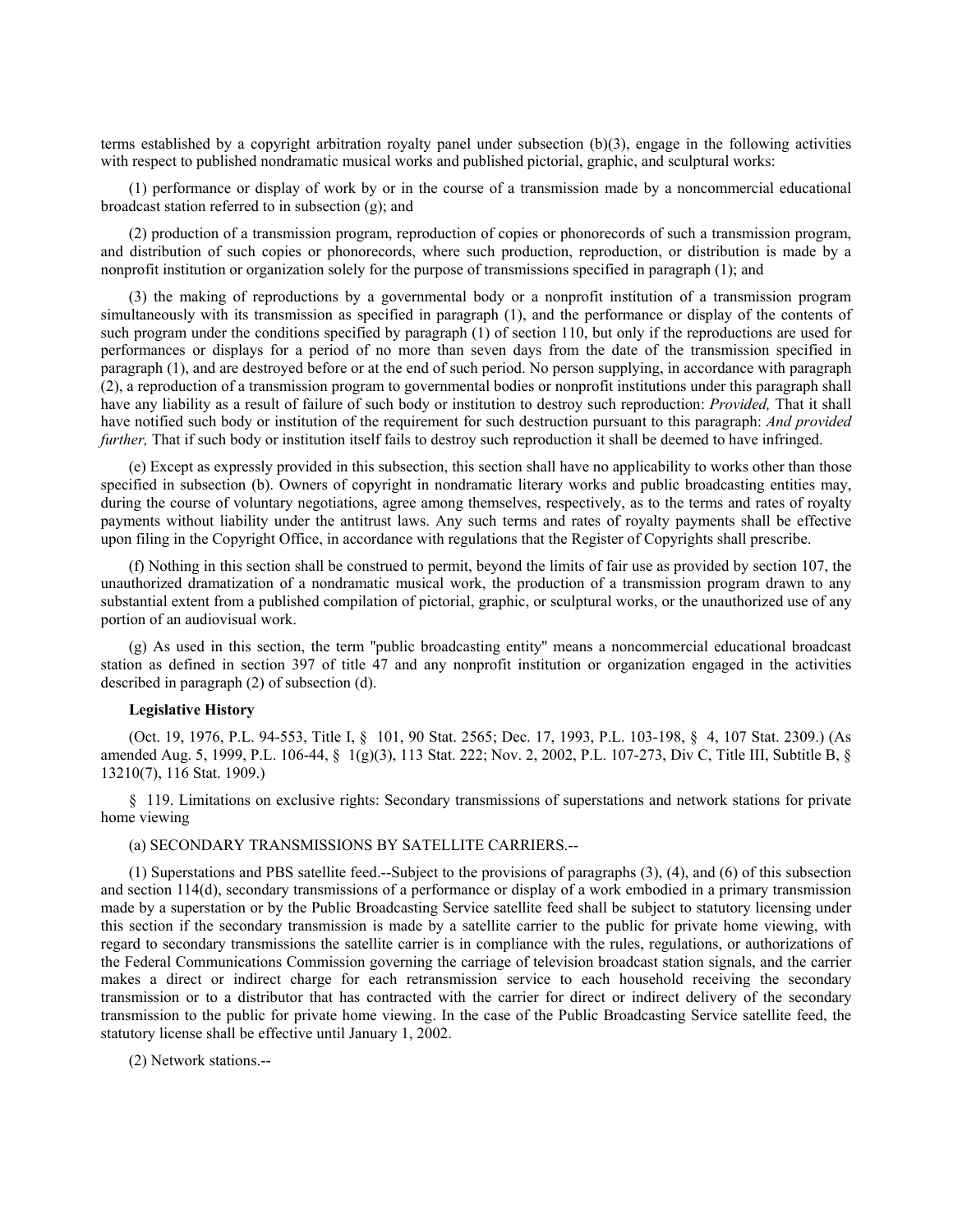terms established by a copyright arbitration royalty panel under subsection (b)(3), engage in the following activities with respect to published nondramatic musical works and published pictorial, graphic, and sculptural works:

(1) performance or display of work by or in the course of a transmission made by a noncommercial educational broadcast station referred to in subsection (g); and

(2) production of a transmission program, reproduction of copies or phonorecords of such a transmission program, and distribution of such copies or phonorecords, where such production, reproduction, or distribution is made by a nonprofit institution or organization solely for the purpose of transmissions specified in paragraph (1); and

(3) the making of reproductions by a governmental body or a nonprofit institution of a transmission program simultaneously with its transmission as specified in paragraph (1), and the performance or display of the contents of such program under the conditions specified by paragraph (1) of section 110, but only if the reproductions are used for performances or displays for a period of no more than seven days from the date of the transmission specified in paragraph (1), and are destroyed before or at the end of such period. No person supplying, in accordance with paragraph (2), a reproduction of a transmission program to governmental bodies or nonprofit institutions under this paragraph shall have any liability as a result of failure of such body or institution to destroy such reproduction: *Provided,* That it shall have notified such body or institution of the requirement for such destruction pursuant to this paragraph: *And provided further*, That if such body or institution itself fails to destroy such reproduction it shall be deemed to have infringed.

(e) Except as expressly provided in this subsection, this section shall have no applicability to works other than those specified in subsection (b). Owners of copyright in nondramatic literary works and public broadcasting entities may, during the course of voluntary negotiations, agree among themselves, respectively, as to the terms and rates of royalty payments without liability under the antitrust laws. Any such terms and rates of royalty payments shall be effective upon filing in the Copyright Office, in accordance with regulations that the Register of Copyrights shall prescribe.

(f) Nothing in this section shall be construed to permit, beyond the limits of fair use as provided by section 107, the unauthorized dramatization of a nondramatic musical work, the production of a transmission program drawn to any substantial extent from a published compilation of pictorial, graphic, or sculptural works, or the unauthorized use of any portion of an audiovisual work.

(g) As used in this section, the term ''public broadcasting entity'' means a noncommercial educational broadcast station as defined in section 397 of title 47 and any nonprofit institution or organization engaged in the activities described in paragraph (2) of subsection (d).

### **Legislative History**

(Oct. 19, 1976, P.L. 94-553, Title I, § 101, 90 Stat. 2565; Dec. 17, 1993, P.L. 103-198, § 4, 107 Stat. 2309.) (As amended Aug. 5, 1999, P.L. 106-44, § 1(g)(3), 113 Stat. 222; Nov. 2, 2002, P.L. 107-273, Div C, Title III, Subtitle B, § 13210(7), 116 Stat. 1909.)

§ 119. Limitations on exclusive rights: Secondary transmissions of superstations and network stations for private home viewing

# (a) SECONDARY TRANSMISSIONS BY SATELLITE CARRIERS.--

(1) Superstations and PBS satellite feed.--Subject to the provisions of paragraphs (3), (4), and (6) of this subsection and section 114(d), secondary transmissions of a performance or display of a work embodied in a primary transmission made by a superstation or by the Public Broadcasting Service satellite feed shall be subject to statutory licensing under this section if the secondary transmission is made by a satellite carrier to the public for private home viewing, with regard to secondary transmissions the satellite carrier is in compliance with the rules, regulations, or authorizations of the Federal Communications Commission governing the carriage of television broadcast station signals, and the carrier makes a direct or indirect charge for each retransmission service to each household receiving the secondary transmission or to a distributor that has contracted with the carrier for direct or indirect delivery of the secondary transmission to the public for private home viewing. In the case of the Public Broadcasting Service satellite feed, the statutory license shall be effective until January 1, 2002.

(2) Network stations.--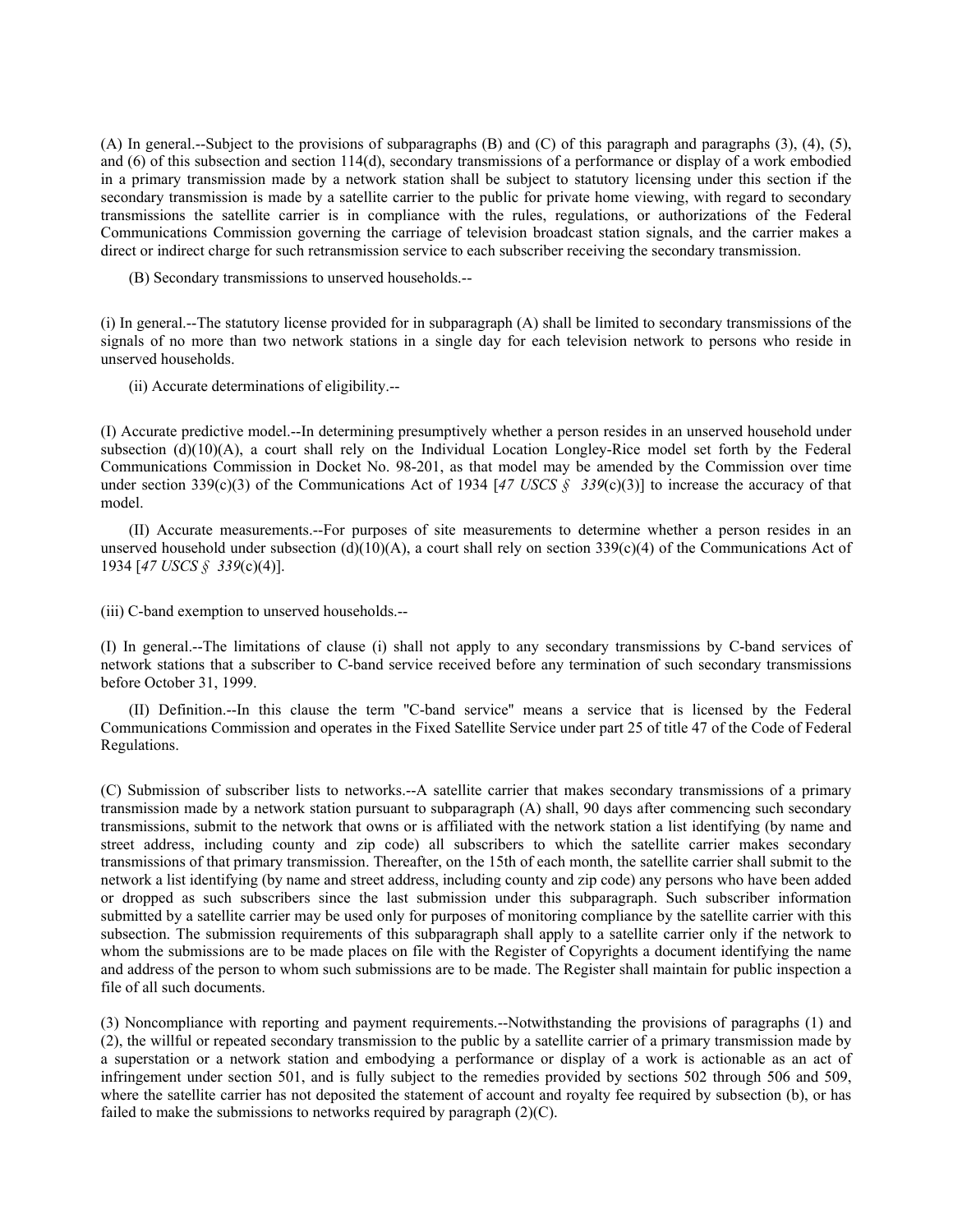(A) In general.--Subject to the provisions of subparagraphs (B) and (C) of this paragraph and paragraphs (3), (4), (5), and (6) of this subsection and section 114(d), secondary transmissions of a performance or display of a work embodied in a primary transmission made by a network station shall be subject to statutory licensing under this section if the secondary transmission is made by a satellite carrier to the public for private home viewing, with regard to secondary transmissions the satellite carrier is in compliance with the rules, regulations, or authorizations of the Federal Communications Commission governing the carriage of television broadcast station signals, and the carrier makes a direct or indirect charge for such retransmission service to each subscriber receiving the secondary transmission.

(B) Secondary transmissions to unserved households.--

(i) In general.--The statutory license provided for in subparagraph (A) shall be limited to secondary transmissions of the signals of no more than two network stations in a single day for each television network to persons who reside in unserved households.

(ii) Accurate determinations of eligibility.--

(I) Accurate predictive model.--In determining presumptively whether a person resides in an unserved household under subsection (d)(10)(A), a court shall rely on the Individual Location Longley-Rice model set forth by the Federal Communications Commission in Docket No. 98-201, as that model may be amended by the Commission over time under section 339(c)(3) of the Communications Act of 1934 [47 USCS § 339(c)(3)] to increase the accuracy of that model.

(II) Accurate measurements.--For purposes of site measurements to determine whether a person resides in an unserved household under subsection (d)(10)(A), a court shall rely on section  $339(c)(4)$  of the Communications Act of 1934 [*47 USCS § 339*(c)(4)].

(iii) C-band exemption to unserved households.--

(I) In general.--The limitations of clause (i) shall not apply to any secondary transmissions by C-band services of network stations that a subscriber to C-band service received before any termination of such secondary transmissions before October 31, 1999.

(II) Definition.--In this clause the term ''C-band service'' means a service that is licensed by the Federal Communications Commission and operates in the Fixed Satellite Service under part 25 of title 47 of the Code of Federal Regulations.

(C) Submission of subscriber lists to networks.--A satellite carrier that makes secondary transmissions of a primary transmission made by a network station pursuant to subparagraph (A) shall, 90 days after commencing such secondary transmissions, submit to the network that owns or is affiliated with the network station a list identifying (by name and street address, including county and zip code) all subscribers to which the satellite carrier makes secondary transmissions of that primary transmission. Thereafter, on the 15th of each month, the satellite carrier shall submit to the network a list identifying (by name and street address, including county and zip code) any persons who have been added or dropped as such subscribers since the last submission under this subparagraph. Such subscriber information submitted by a satellite carrier may be used only for purposes of monitoring compliance by the satellite carrier with this subsection. The submission requirements of this subparagraph shall apply to a satellite carrier only if the network to whom the submissions are to be made places on file with the Register of Copyrights a document identifying the name and address of the person to whom such submissions are to be made. The Register shall maintain for public inspection a file of all such documents.

(3) Noncompliance with reporting and payment requirements.--Notwithstanding the provisions of paragraphs (1) and (2), the willful or repeated secondary transmission to the public by a satellite carrier of a primary transmission made by a superstation or a network station and embodying a performance or display of a work is actionable as an act of infringement under section 501, and is fully subject to the remedies provided by sections 502 through 506 and 509, where the satellite carrier has not deposited the statement of account and royalty fee required by subsection (b), or has failed to make the submissions to networks required by paragraph  $(2)(C)$ .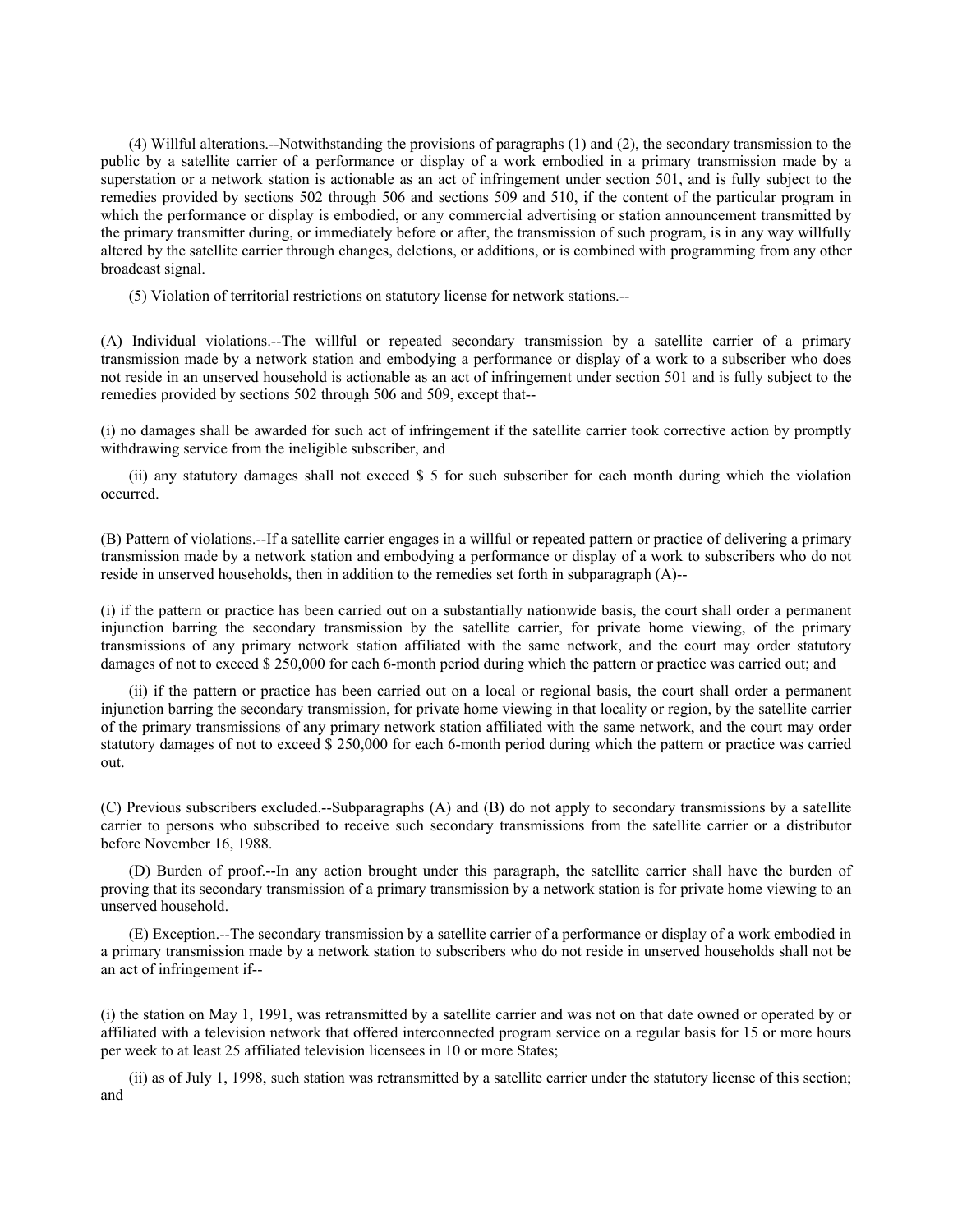(4) Willful alterations.--Notwithstanding the provisions of paragraphs (1) and (2), the secondary transmission to the public by a satellite carrier of a performance or display of a work embodied in a primary transmission made by a superstation or a network station is actionable as an act of infringement under section 501, and is fully subject to the remedies provided by sections 502 through 506 and sections 509 and 510, if the content of the particular program in which the performance or display is embodied, or any commercial advertising or station announcement transmitted by the primary transmitter during, or immediately before or after, the transmission of such program, is in any way willfully altered by the satellite carrier through changes, deletions, or additions, or is combined with programming from any other broadcast signal.

(5) Violation of territorial restrictions on statutory license for network stations.--

(A) Individual violations.--The willful or repeated secondary transmission by a satellite carrier of a primary transmission made by a network station and embodying a performance or display of a work to a subscriber who does not reside in an unserved household is actionable as an act of infringement under section 501 and is fully subject to the remedies provided by sections 502 through 506 and 509, except that--

(i) no damages shall be awarded for such act of infringement if the satellite carrier took corrective action by promptly withdrawing service from the ineligible subscriber, and

(ii) any statutory damages shall not exceed \$ 5 for such subscriber for each month during which the violation occurred.

(B) Pattern of violations.--If a satellite carrier engages in a willful or repeated pattern or practice of delivering a primary transmission made by a network station and embodying a performance or display of a work to subscribers who do not reside in unserved households, then in addition to the remedies set forth in subparagraph (A)--

(i) if the pattern or practice has been carried out on a substantially nationwide basis, the court shall order a permanent injunction barring the secondary transmission by the satellite carrier, for private home viewing, of the primary transmissions of any primary network station affiliated with the same network, and the court may order statutory damages of not to exceed \$ 250,000 for each 6-month period during which the pattern or practice was carried out; and

(ii) if the pattern or practice has been carried out on a local or regional basis, the court shall order a permanent injunction barring the secondary transmission, for private home viewing in that locality or region, by the satellite carrier of the primary transmissions of any primary network station affiliated with the same network, and the court may order statutory damages of not to exceed \$ 250,000 for each 6-month period during which the pattern or practice was carried out.

(C) Previous subscribers excluded.--Subparagraphs (A) and (B) do not apply to secondary transmissions by a satellite carrier to persons who subscribed to receive such secondary transmissions from the satellite carrier or a distributor before November 16, 1988.

(D) Burden of proof.--In any action brought under this paragraph, the satellite carrier shall have the burden of proving that its secondary transmission of a primary transmission by a network station is for private home viewing to an unserved household.

(E) Exception.--The secondary transmission by a satellite carrier of a performance or display of a work embodied in a primary transmission made by a network station to subscribers who do not reside in unserved households shall not be an act of infringement if--

(i) the station on May 1, 1991, was retransmitted by a satellite carrier and was not on that date owned or operated by or affiliated with a television network that offered interconnected program service on a regular basis for 15 or more hours per week to at least 25 affiliated television licensees in 10 or more States;

(ii) as of July 1, 1998, such station was retransmitted by a satellite carrier under the statutory license of this section; and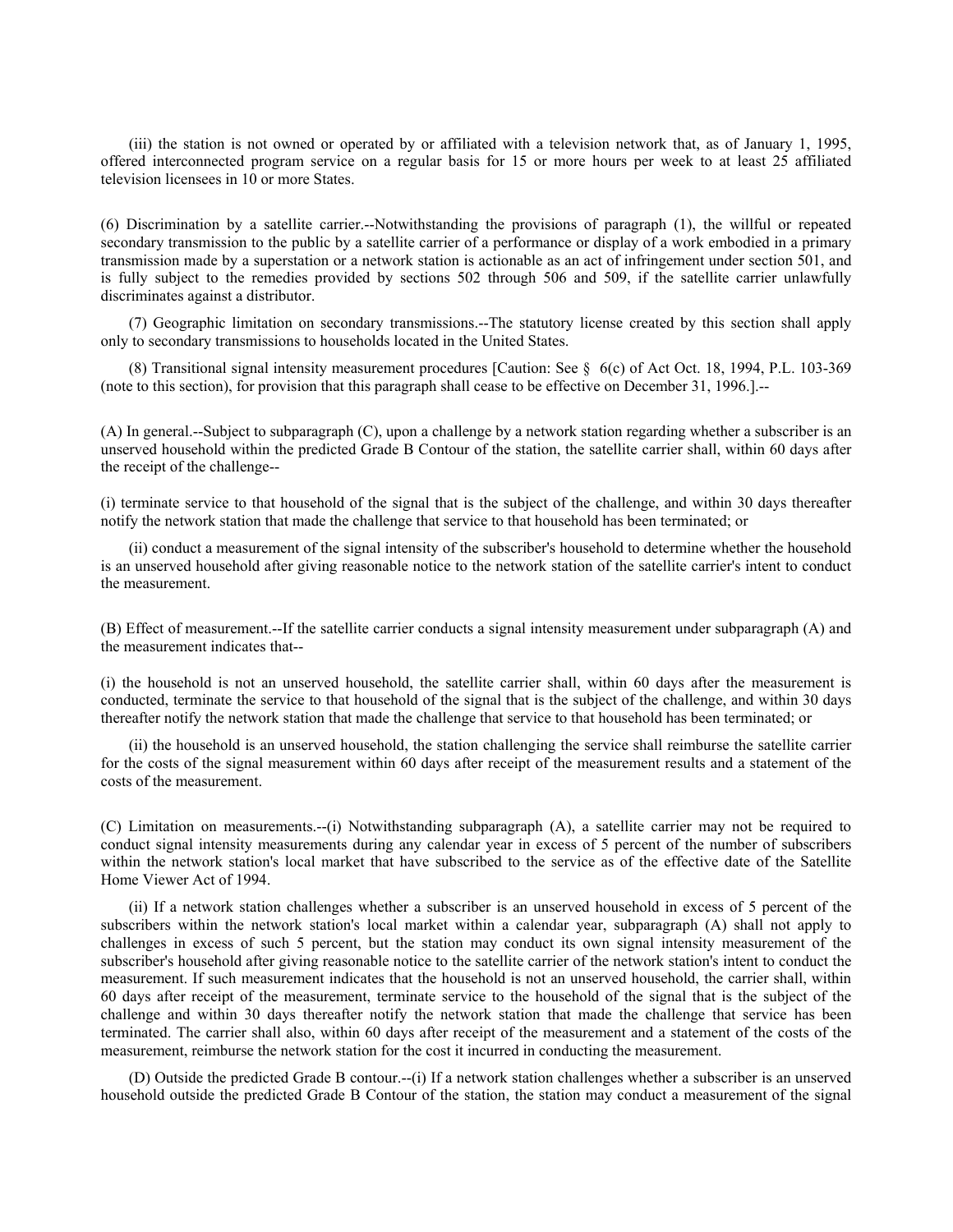(iii) the station is not owned or operated by or affiliated with a television network that, as of January 1, 1995, offered interconnected program service on a regular basis for 15 or more hours per week to at least 25 affiliated television licensees in 10 or more States.

(6) Discrimination by a satellite carrier.--Notwithstanding the provisions of paragraph (1), the willful or repeated secondary transmission to the public by a satellite carrier of a performance or display of a work embodied in a primary transmission made by a superstation or a network station is actionable as an act of infringement under section 501, and is fully subject to the remedies provided by sections 502 through 506 and 509, if the satellite carrier unlawfully discriminates against a distributor.

(7) Geographic limitation on secondary transmissions.--The statutory license created by this section shall apply only to secondary transmissions to households located in the United States.

(8) Transitional signal intensity measurement procedures [Caution: See § 6(c) of Act Oct. 18, 1994, P.L. 103-369 (note to this section), for provision that this paragraph shall cease to be effective on December 31, 1996.].--

(A) In general.--Subject to subparagraph (C), upon a challenge by a network station regarding whether a subscriber is an unserved household within the predicted Grade B Contour of the station, the satellite carrier shall, within 60 days after the receipt of the challenge--

(i) terminate service to that household of the signal that is the subject of the challenge, and within 30 days thereafter notify the network station that made the challenge that service to that household has been terminated; or

(ii) conduct a measurement of the signal intensity of the subscriber's household to determine whether the household is an unserved household after giving reasonable notice to the network station of the satellite carrier's intent to conduct the measurement.

(B) Effect of measurement.--If the satellite carrier conducts a signal intensity measurement under subparagraph (A) and the measurement indicates that--

(i) the household is not an unserved household, the satellite carrier shall, within 60 days after the measurement is conducted, terminate the service to that household of the signal that is the subject of the challenge, and within 30 days thereafter notify the network station that made the challenge that service to that household has been terminated; or

(ii) the household is an unserved household, the station challenging the service shall reimburse the satellite carrier for the costs of the signal measurement within 60 days after receipt of the measurement results and a statement of the costs of the measurement.

(C) Limitation on measurements.--(i) Notwithstanding subparagraph (A), a satellite carrier may not be required to conduct signal intensity measurements during any calendar year in excess of 5 percent of the number of subscribers within the network station's local market that have subscribed to the service as of the effective date of the Satellite Home Viewer Act of 1994.

(ii) If a network station challenges whether a subscriber is an unserved household in excess of 5 percent of the subscribers within the network station's local market within a calendar year, subparagraph (A) shall not apply to challenges in excess of such 5 percent, but the station may conduct its own signal intensity measurement of the subscriber's household after giving reasonable notice to the satellite carrier of the network station's intent to conduct the measurement. If such measurement indicates that the household is not an unserved household, the carrier shall, within 60 days after receipt of the measurement, terminate service to the household of the signal that is the subject of the challenge and within 30 days thereafter notify the network station that made the challenge that service has been terminated. The carrier shall also, within 60 days after receipt of the measurement and a statement of the costs of the measurement, reimburse the network station for the cost it incurred in conducting the measurement.

(D) Outside the predicted Grade B contour.--(i) If a network station challenges whether a subscriber is an unserved household outside the predicted Grade B Contour of the station, the station may conduct a measurement of the signal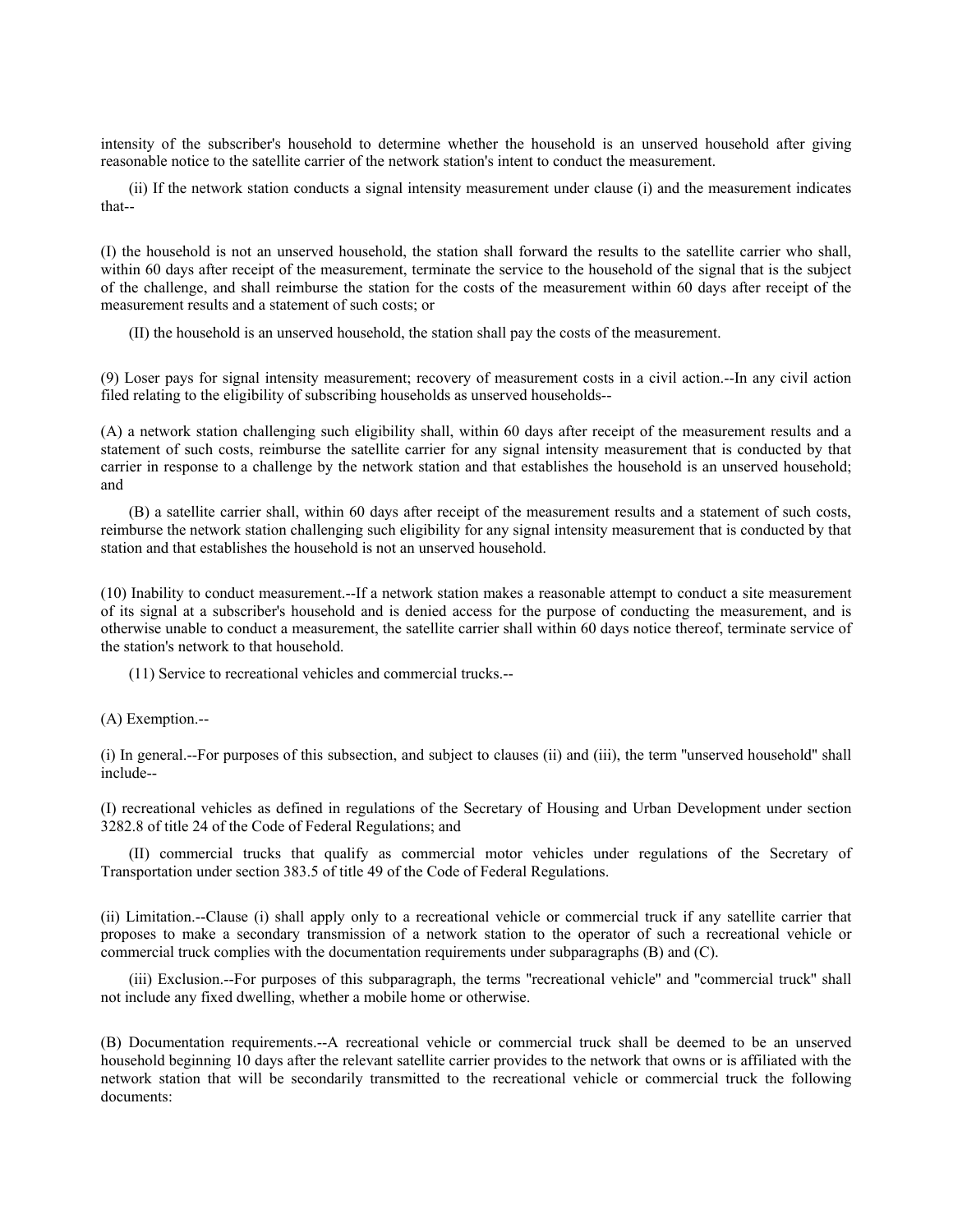intensity of the subscriber's household to determine whether the household is an unserved household after giving reasonable notice to the satellite carrier of the network station's intent to conduct the measurement.

(ii) If the network station conducts a signal intensity measurement under clause (i) and the measurement indicates that--

(I) the household is not an unserved household, the station shall forward the results to the satellite carrier who shall, within 60 days after receipt of the measurement, terminate the service to the household of the signal that is the subject of the challenge, and shall reimburse the station for the costs of the measurement within 60 days after receipt of the measurement results and a statement of such costs; or

(II) the household is an unserved household, the station shall pay the costs of the measurement.

(9) Loser pays for signal intensity measurement; recovery of measurement costs in a civil action.--In any civil action filed relating to the eligibility of subscribing households as unserved households--

(A) a network station challenging such eligibility shall, within 60 days after receipt of the measurement results and a statement of such costs, reimburse the satellite carrier for any signal intensity measurement that is conducted by that carrier in response to a challenge by the network station and that establishes the household is an unserved household; and

(B) a satellite carrier shall, within 60 days after receipt of the measurement results and a statement of such costs, reimburse the network station challenging such eligibility for any signal intensity measurement that is conducted by that station and that establishes the household is not an unserved household.

(10) Inability to conduct measurement.--If a network station makes a reasonable attempt to conduct a site measurement of its signal at a subscriber's household and is denied access for the purpose of conducting the measurement, and is otherwise unable to conduct a measurement, the satellite carrier shall within 60 days notice thereof, terminate service of the station's network to that household.

(11) Service to recreational vehicles and commercial trucks.--

(A) Exemption.--

(i) In general.--For purposes of this subsection, and subject to clauses (ii) and (iii), the term ''unserved household'' shall include--

(I) recreational vehicles as defined in regulations of the Secretary of Housing and Urban Development under section 3282.8 of title 24 of the Code of Federal Regulations; and

(II) commercial trucks that qualify as commercial motor vehicles under regulations of the Secretary of Transportation under section 383.5 of title 49 of the Code of Federal Regulations.

(ii) Limitation.--Clause (i) shall apply only to a recreational vehicle or commercial truck if any satellite carrier that proposes to make a secondary transmission of a network station to the operator of such a recreational vehicle or commercial truck complies with the documentation requirements under subparagraphs (B) and (C).

(iii) Exclusion.--For purposes of this subparagraph, the terms ''recreational vehicle'' and ''commercial truck'' shall not include any fixed dwelling, whether a mobile home or otherwise.

(B) Documentation requirements.--A recreational vehicle or commercial truck shall be deemed to be an unserved household beginning 10 days after the relevant satellite carrier provides to the network that owns or is affiliated with the network station that will be secondarily transmitted to the recreational vehicle or commercial truck the following documents: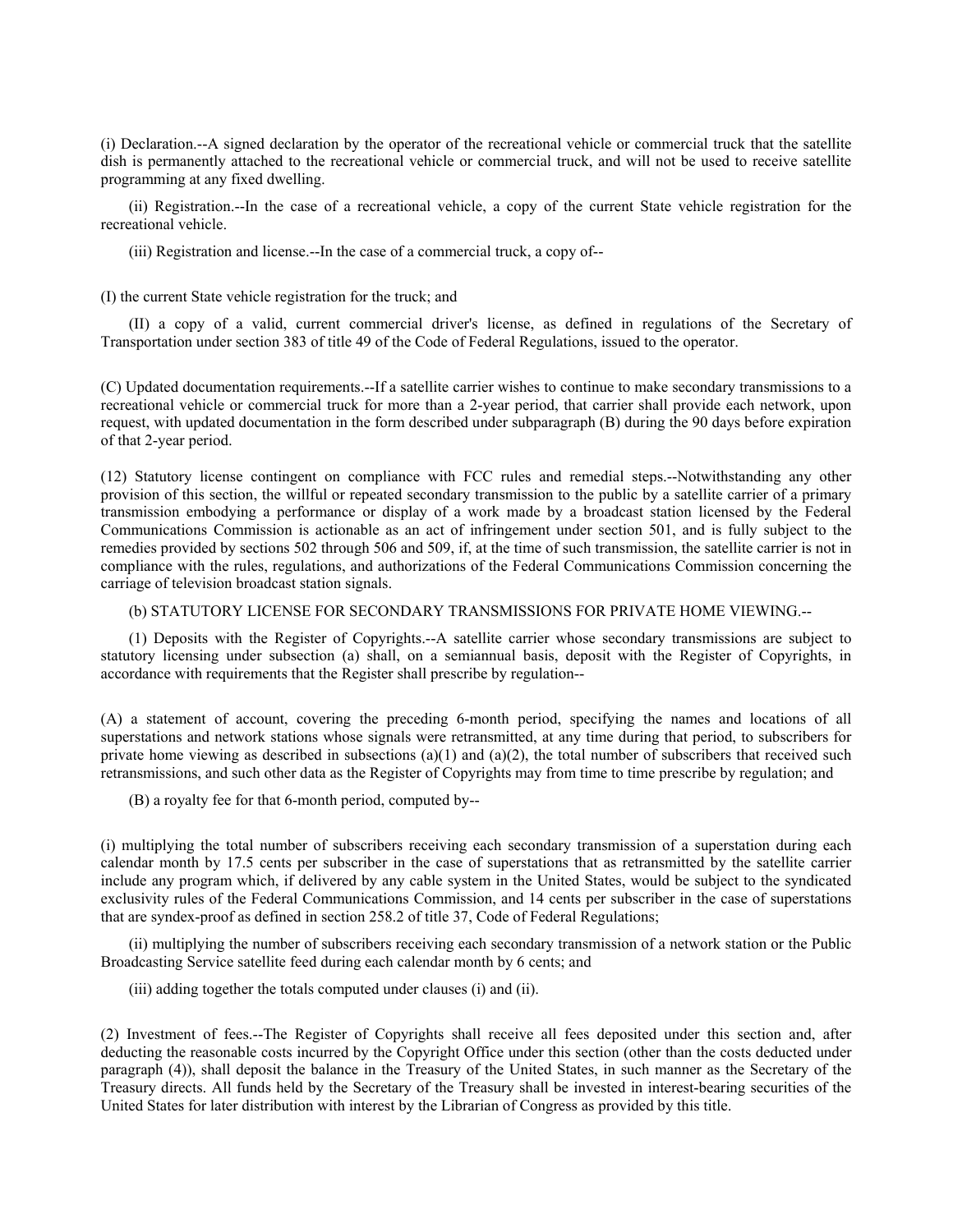(i) Declaration.--A signed declaration by the operator of the recreational vehicle or commercial truck that the satellite dish is permanently attached to the recreational vehicle or commercial truck, and will not be used to receive satellite programming at any fixed dwelling.

(ii) Registration.--In the case of a recreational vehicle, a copy of the current State vehicle registration for the recreational vehicle.

(iii) Registration and license.--In the case of a commercial truck, a copy of--

(I) the current State vehicle registration for the truck; and

(II) a copy of a valid, current commercial driver's license, as defined in regulations of the Secretary of Transportation under section 383 of title 49 of the Code of Federal Regulations, issued to the operator.

(C) Updated documentation requirements.--If a satellite carrier wishes to continue to make secondary transmissions to a recreational vehicle or commercial truck for more than a 2-year period, that carrier shall provide each network, upon request, with updated documentation in the form described under subparagraph (B) during the 90 days before expiration of that 2-year period.

(12) Statutory license contingent on compliance with FCC rules and remedial steps.--Notwithstanding any other provision of this section, the willful or repeated secondary transmission to the public by a satellite carrier of a primary transmission embodying a performance or display of a work made by a broadcast station licensed by the Federal Communications Commission is actionable as an act of infringement under section 501, and is fully subject to the remedies provided by sections 502 through 506 and 509, if, at the time of such transmission, the satellite carrier is not in compliance with the rules, regulations, and authorizations of the Federal Communications Commission concerning the carriage of television broadcast station signals.

(b) STATUTORY LICENSE FOR SECONDARY TRANSMISSIONS FOR PRIVATE HOME VIEWING.--

(1) Deposits with the Register of Copyrights.--A satellite carrier whose secondary transmissions are subject to statutory licensing under subsection (a) shall, on a semiannual basis, deposit with the Register of Copyrights, in accordance with requirements that the Register shall prescribe by regulation--

(A) a statement of account, covering the preceding 6-month period, specifying the names and locations of all superstations and network stations whose signals were retransmitted, at any time during that period, to subscribers for private home viewing as described in subsections (a)(1) and (a)(2), the total number of subscribers that received such retransmissions, and such other data as the Register of Copyrights may from time to time prescribe by regulation; and

(B) a royalty fee for that 6-month period, computed by--

(i) multiplying the total number of subscribers receiving each secondary transmission of a superstation during each calendar month by 17.5 cents per subscriber in the case of superstations that as retransmitted by the satellite carrier include any program which, if delivered by any cable system in the United States, would be subject to the syndicated exclusivity rules of the Federal Communications Commission, and 14 cents per subscriber in the case of superstations that are syndex-proof as defined in section 258.2 of title 37, Code of Federal Regulations;

(ii) multiplying the number of subscribers receiving each secondary transmission of a network station or the Public Broadcasting Service satellite feed during each calendar month by 6 cents; and

(iii) adding together the totals computed under clauses (i) and (ii).

(2) Investment of fees.--The Register of Copyrights shall receive all fees deposited under this section and, after deducting the reasonable costs incurred by the Copyright Office under this section (other than the costs deducted under paragraph (4)), shall deposit the balance in the Treasury of the United States, in such manner as the Secretary of the Treasury directs. All funds held by the Secretary of the Treasury shall be invested in interest-bearing securities of the United States for later distribution with interest by the Librarian of Congress as provided by this title.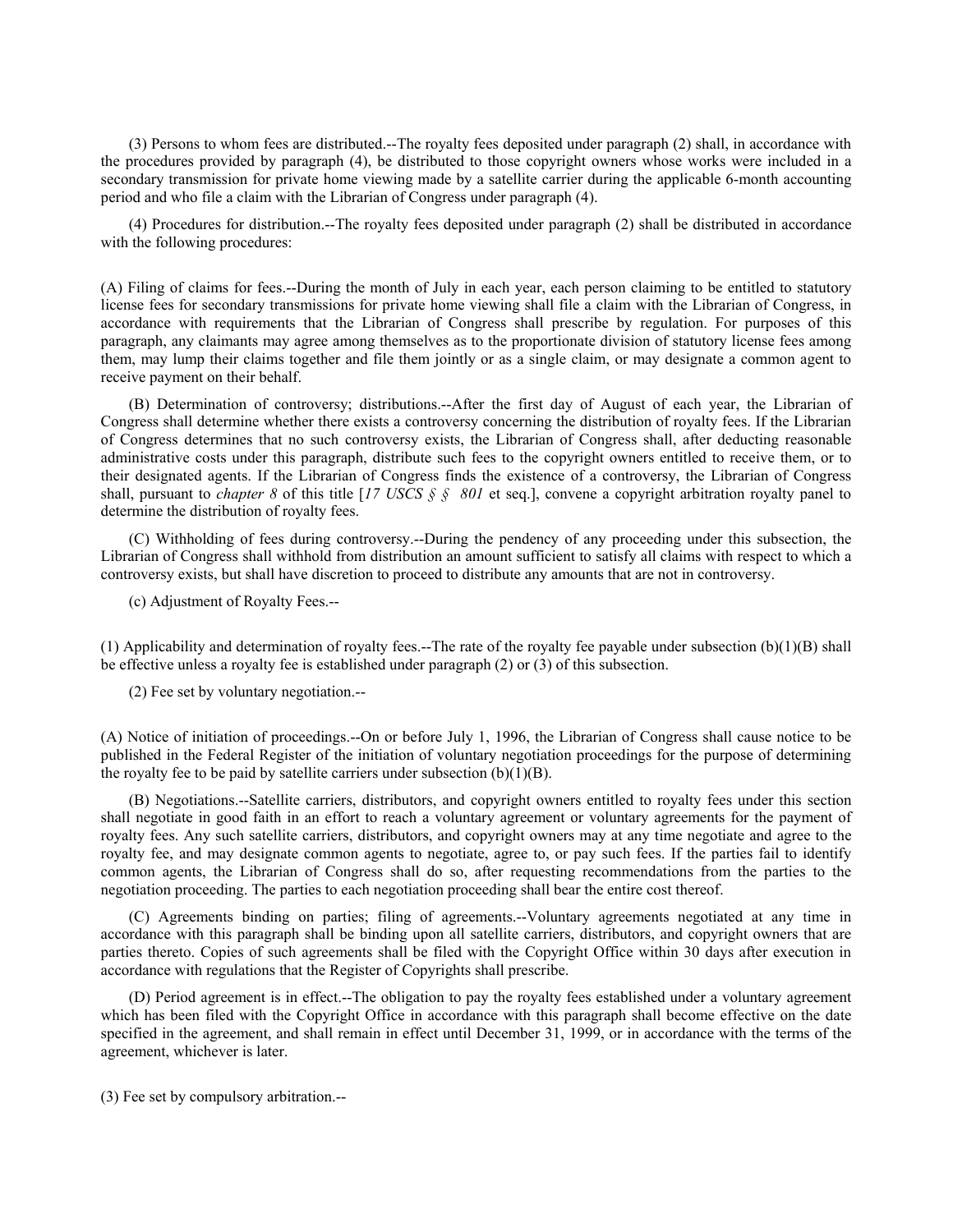(3) Persons to whom fees are distributed.--The royalty fees deposited under paragraph (2) shall, in accordance with the procedures provided by paragraph (4), be distributed to those copyright owners whose works were included in a secondary transmission for private home viewing made by a satellite carrier during the applicable 6-month accounting period and who file a claim with the Librarian of Congress under paragraph (4).

(4) Procedures for distribution.--The royalty fees deposited under paragraph (2) shall be distributed in accordance with the following procedures:

(A) Filing of claims for fees.--During the month of July in each year, each person claiming to be entitled to statutory license fees for secondary transmissions for private home viewing shall file a claim with the Librarian of Congress, in accordance with requirements that the Librarian of Congress shall prescribe by regulation. For purposes of this paragraph, any claimants may agree among themselves as to the proportionate division of statutory license fees among them, may lump their claims together and file them jointly or as a single claim, or may designate a common agent to receive payment on their behalf.

(B) Determination of controversy; distributions.--After the first day of August of each year, the Librarian of Congress shall determine whether there exists a controversy concerning the distribution of royalty fees. If the Librarian of Congress determines that no such controversy exists, the Librarian of Congress shall, after deducting reasonable administrative costs under this paragraph, distribute such fees to the copyright owners entitled to receive them, or to their designated agents. If the Librarian of Congress finds the existence of a controversy, the Librarian of Congress shall, pursuant to *chapter 8* of this title [17 USCS  $\frac{6}{5}$   $\frac{8}{5}$  801 et seq.], convene a copyright arbitration royalty panel to determine the distribution of royalty fees.

(C) Withholding of fees during controversy.--During the pendency of any proceeding under this subsection, the Librarian of Congress shall withhold from distribution an amount sufficient to satisfy all claims with respect to which a controversy exists, but shall have discretion to proceed to distribute any amounts that are not in controversy.

(c) Adjustment of Royalty Fees.--

(1) Applicability and determination of royalty fees.--The rate of the royalty fee payable under subsection (b)(1)(B) shall be effective unless a royalty fee is established under paragraph (2) or (3) of this subsection.

(2) Fee set by voluntary negotiation.--

(A) Notice of initiation of proceedings.--On or before July 1, 1996, the Librarian of Congress shall cause notice to be published in the Federal Register of the initiation of voluntary negotiation proceedings for the purpose of determining the royalty fee to be paid by satellite carriers under subsection  $(b)(1)(B)$ .

(B) Negotiations.--Satellite carriers, distributors, and copyright owners entitled to royalty fees under this section shall negotiate in good faith in an effort to reach a voluntary agreement or voluntary agreements for the payment of royalty fees. Any such satellite carriers, distributors, and copyright owners may at any time negotiate and agree to the royalty fee, and may designate common agents to negotiate, agree to, or pay such fees. If the parties fail to identify common agents, the Librarian of Congress shall do so, after requesting recommendations from the parties to the negotiation proceeding. The parties to each negotiation proceeding shall bear the entire cost thereof.

(C) Agreements binding on parties; filing of agreements.--Voluntary agreements negotiated at any time in accordance with this paragraph shall be binding upon all satellite carriers, distributors, and copyright owners that are parties thereto. Copies of such agreements shall be filed with the Copyright Office within 30 days after execution in accordance with regulations that the Register of Copyrights shall prescribe.

(D) Period agreement is in effect.--The obligation to pay the royalty fees established under a voluntary agreement which has been filed with the Copyright Office in accordance with this paragraph shall become effective on the date specified in the agreement, and shall remain in effect until December 31, 1999, or in accordance with the terms of the agreement, whichever is later.

(3) Fee set by compulsory arbitration.--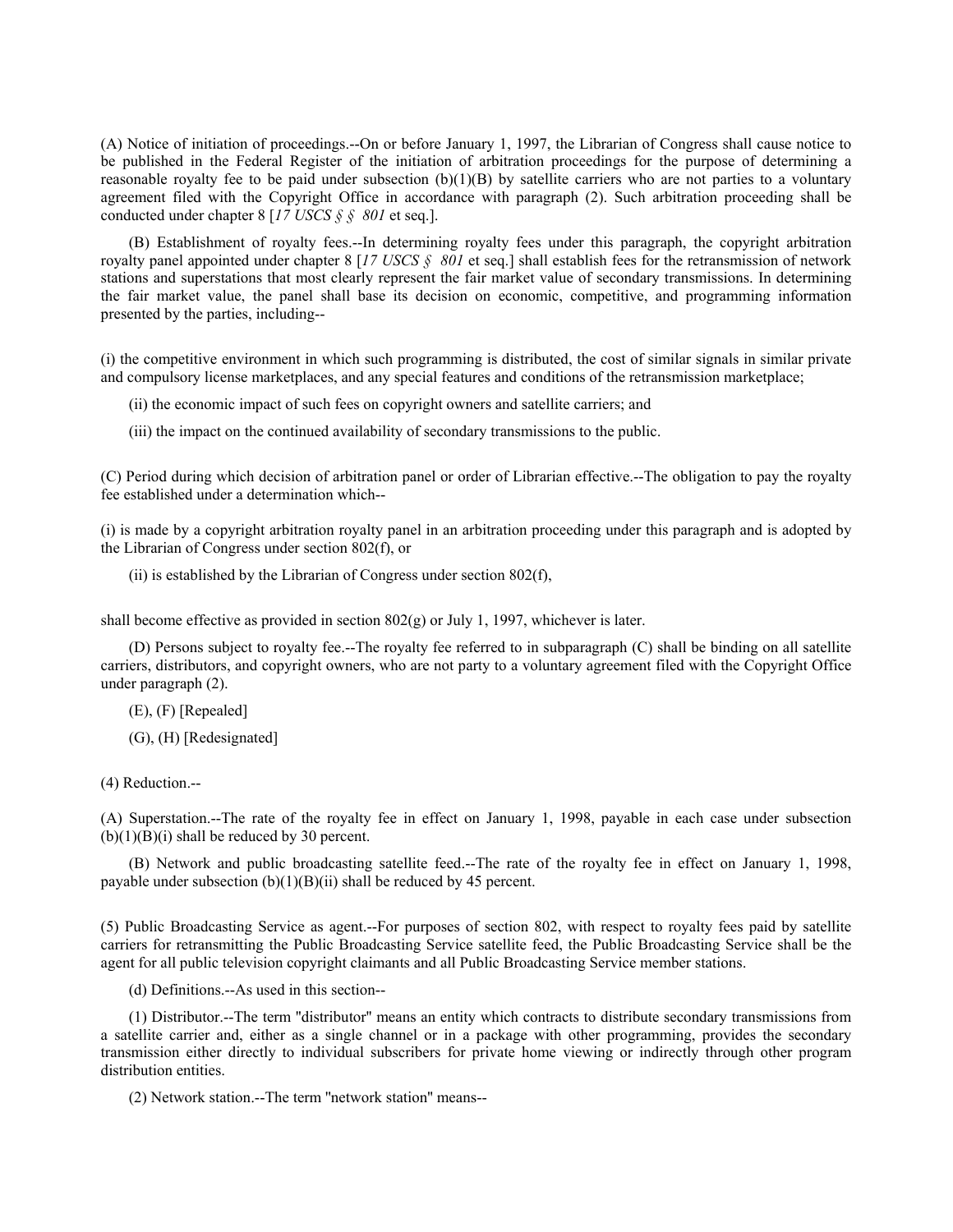(A) Notice of initiation of proceedings.--On or before January 1, 1997, the Librarian of Congress shall cause notice to be published in the Federal Register of the initiation of arbitration proceedings for the purpose of determining a reasonable royalty fee to be paid under subsection  $(b)(1)(B)$  by satellite carriers who are not parties to a voluntary agreement filed with the Copyright Office in accordance with paragraph (2). Such arbitration proceeding shall be conducted under chapter 8 [*17 USCS § § 801* et seq.].

(B) Establishment of royalty fees.--In determining royalty fees under this paragraph, the copyright arbitration royalty panel appointed under chapter 8 [*17 USCS § 801* et seq.] shall establish fees for the retransmission of network stations and superstations that most clearly represent the fair market value of secondary transmissions. In determining the fair market value, the panel shall base its decision on economic, competitive, and programming information presented by the parties, including--

(i) the competitive environment in which such programming is distributed, the cost of similar signals in similar private and compulsory license marketplaces, and any special features and conditions of the retransmission marketplace;

- (ii) the economic impact of such fees on copyright owners and satellite carriers; and
- (iii) the impact on the continued availability of secondary transmissions to the public.

(C) Period during which decision of arbitration panel or order of Librarian effective.--The obligation to pay the royalty fee established under a determination which--

(i) is made by a copyright arbitration royalty panel in an arbitration proceeding under this paragraph and is adopted by the Librarian of Congress under section 802(f), or

(ii) is established by the Librarian of Congress under section 802(f),

shall become effective as provided in section  $802(g)$  or July 1, 1997, whichever is later.

(D) Persons subject to royalty fee.--The royalty fee referred to in subparagraph (C) shall be binding on all satellite carriers, distributors, and copyright owners, who are not party to a voluntary agreement filed with the Copyright Office under paragraph (2).

- (E), (F) [Repealed]
- (G), (H) [Redesignated]

(4) Reduction.--

(A) Superstation.--The rate of the royalty fee in effect on January 1, 1998, payable in each case under subsection  $(b)(1)(B)(i)$  shall be reduced by 30 percent.

(B) Network and public broadcasting satellite feed.--The rate of the royalty fee in effect on January 1, 1998, payable under subsection  $(b)(1)(B)(ii)$  shall be reduced by 45 percent.

(5) Public Broadcasting Service as agent.--For purposes of section 802, with respect to royalty fees paid by satellite carriers for retransmitting the Public Broadcasting Service satellite feed, the Public Broadcasting Service shall be the agent for all public television copyright claimants and all Public Broadcasting Service member stations.

(d) Definitions.--As used in this section--

(1) Distributor.--The term ''distributor'' means an entity which contracts to distribute secondary transmissions from a satellite carrier and, either as a single channel or in a package with other programming, provides the secondary transmission either directly to individual subscribers for private home viewing or indirectly through other program distribution entities.

(2) Network station.--The term ''network station'' means--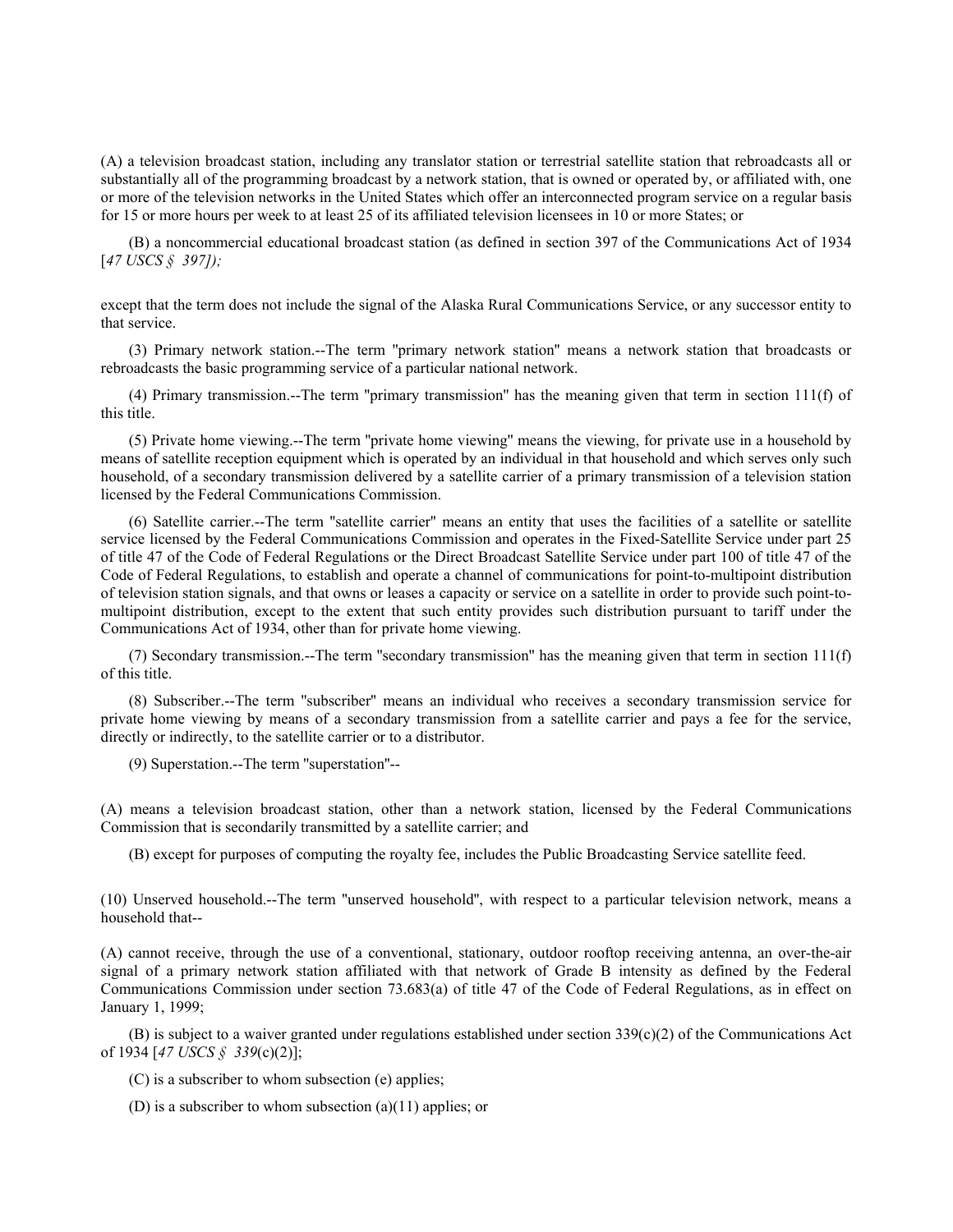(A) a television broadcast station, including any translator station or terrestrial satellite station that rebroadcasts all or substantially all of the programming broadcast by a network station, that is owned or operated by, or affiliated with, one or more of the television networks in the United States which offer an interconnected program service on a regular basis for 15 or more hours per week to at least 25 of its affiliated television licensees in 10 or more States; or

(B) a noncommercial educational broadcast station (as defined in section 397 of the Communications Act of 1934 [*47 USCS § 397]);*

except that the term does not include the signal of the Alaska Rural Communications Service, or any successor entity to that service.

(3) Primary network station.--The term ''primary network station'' means a network station that broadcasts or rebroadcasts the basic programming service of a particular national network.

(4) Primary transmission.--The term ''primary transmission'' has the meaning given that term in section 111(f) of this title.

(5) Private home viewing.--The term ''private home viewing'' means the viewing, for private use in a household by means of satellite reception equipment which is operated by an individual in that household and which serves only such household, of a secondary transmission delivered by a satellite carrier of a primary transmission of a television station licensed by the Federal Communications Commission.

(6) Satellite carrier.--The term ''satellite carrier'' means an entity that uses the facilities of a satellite or satellite service licensed by the Federal Communications Commission and operates in the Fixed-Satellite Service under part 25 of title 47 of the Code of Federal Regulations or the Direct Broadcast Satellite Service under part 100 of title 47 of the Code of Federal Regulations, to establish and operate a channel of communications for point-to-multipoint distribution of television station signals, and that owns or leases a capacity or service on a satellite in order to provide such point-tomultipoint distribution, except to the extent that such entity provides such distribution pursuant to tariff under the Communications Act of 1934, other than for private home viewing.

(7) Secondary transmission.--The term ''secondary transmission'' has the meaning given that term in section 111(f) of this title.

(8) Subscriber.--The term ''subscriber'' means an individual who receives a secondary transmission service for private home viewing by means of a secondary transmission from a satellite carrier and pays a fee for the service, directly or indirectly, to the satellite carrier or to a distributor.

(9) Superstation.--The term ''superstation''--

(A) means a television broadcast station, other than a network station, licensed by the Federal Communications Commission that is secondarily transmitted by a satellite carrier; and

(B) except for purposes of computing the royalty fee, includes the Public Broadcasting Service satellite feed.

(10) Unserved household.--The term ''unserved household'', with respect to a particular television network, means a household that--

(A) cannot receive, through the use of a conventional, stationary, outdoor rooftop receiving antenna, an over-the-air signal of a primary network station affiliated with that network of Grade B intensity as defined by the Federal Communications Commission under section 73.683(a) of title 47 of the Code of Federal Regulations, as in effect on January 1, 1999;

(B) is subject to a waiver granted under regulations established under section  $339(c)(2)$  of the Communications Act of 1934 [*47 USCS § 339*(c)(2)];

(C) is a subscriber to whom subsection (e) applies;

(D) is a subscriber to whom subsection (a)(11) applies; or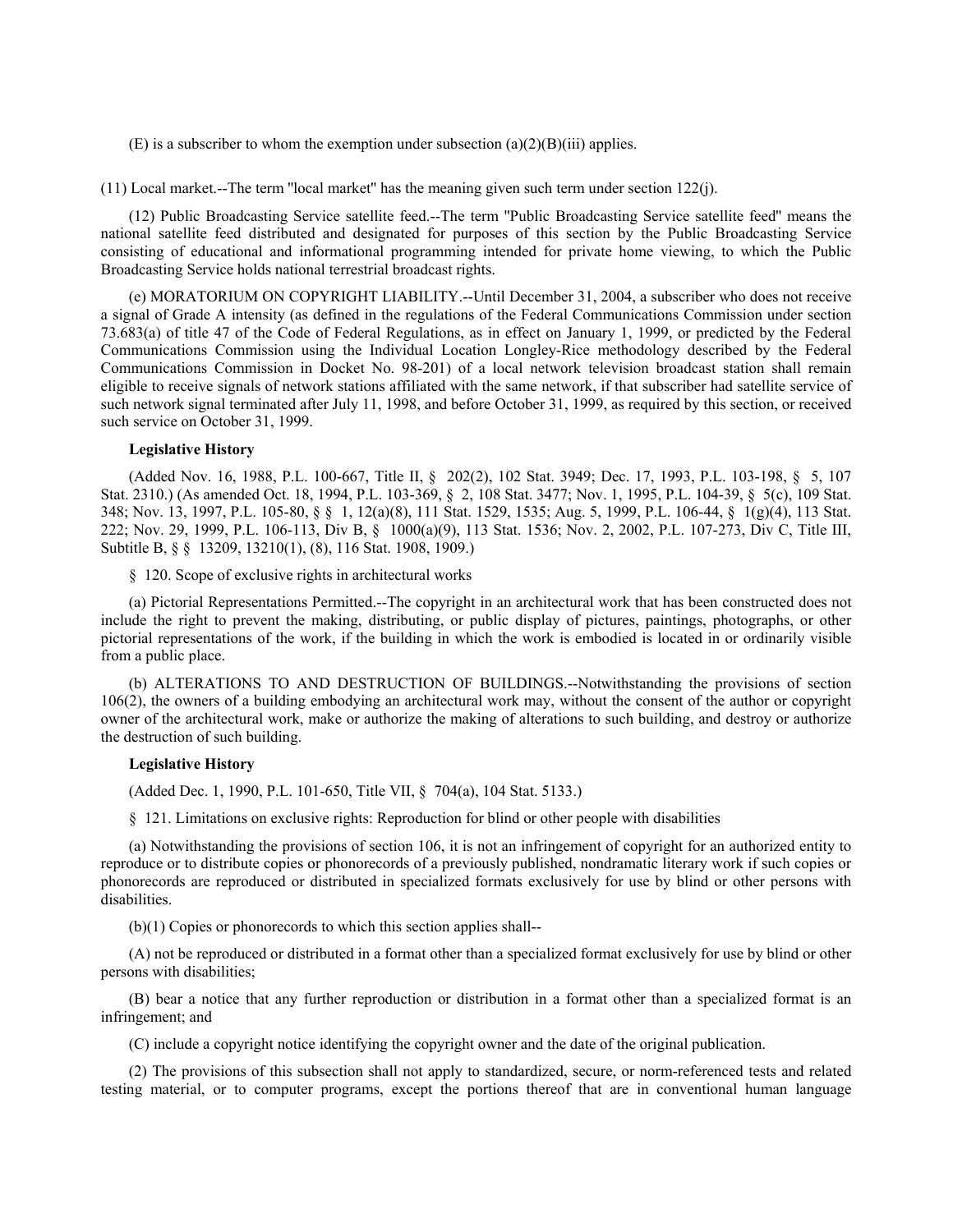(E) is a subscriber to whom the exemption under subsection  $(a)(2)(B)(iii)$  applies.

(11) Local market.--The term ''local market'' has the meaning given such term under section 122(j).

(12) Public Broadcasting Service satellite feed.--The term ''Public Broadcasting Service satellite feed'' means the national satellite feed distributed and designated for purposes of this section by the Public Broadcasting Service consisting of educational and informational programming intended for private home viewing, to which the Public Broadcasting Service holds national terrestrial broadcast rights.

(e) MORATORIUM ON COPYRIGHT LIABILITY.--Until December 31, 2004, a subscriber who does not receive a signal of Grade A intensity (as defined in the regulations of the Federal Communications Commission under section 73.683(a) of title 47 of the Code of Federal Regulations, as in effect on January 1, 1999, or predicted by the Federal Communications Commission using the Individual Location Longley-Rice methodology described by the Federal Communications Commission in Docket No. 98-201) of a local network television broadcast station shall remain eligible to receive signals of network stations affiliated with the same network, if that subscriber had satellite service of such network signal terminated after July 11, 1998, and before October 31, 1999, as required by this section, or received such service on October 31, 1999.

### **Legislative History**

(Added Nov. 16, 1988, P.L. 100-667, Title II, § 202(2), 102 Stat. 3949; Dec. 17, 1993, P.L. 103-198, § 5, 107 Stat. 2310.) (As amended Oct. 18, 1994, P.L. 103-369, § 2, 108 Stat. 3477; Nov. 1, 1995, P.L. 104-39, § 5(c), 109 Stat. 348; Nov. 13, 1997, P.L. 105-80, § § 1, 12(a)(8), 111 Stat. 1529, 1535; Aug. 5, 1999, P.L. 106-44, § 1(g)(4), 113 Stat. 222; Nov. 29, 1999, P.L. 106-113, Div B, § 1000(a)(9), 113 Stat. 1536; Nov. 2, 2002, P.L. 107-273, Div C, Title III, Subtitle B, § § 13209, 13210(1), (8), 116 Stat. 1908, 1909.)

§ 120. Scope of exclusive rights in architectural works

(a) Pictorial Representations Permitted.--The copyright in an architectural work that has been constructed does not include the right to prevent the making, distributing, or public display of pictures, paintings, photographs, or other pictorial representations of the work, if the building in which the work is embodied is located in or ordinarily visible from a public place.

(b) ALTERATIONS TO AND DESTRUCTION OF BUILDINGS.--Notwithstanding the provisions of section 106(2), the owners of a building embodying an architectural work may, without the consent of the author or copyright owner of the architectural work, make or authorize the making of alterations to such building, and destroy or authorize the destruction of such building.

# **Legislative History**

(Added Dec. 1, 1990, P.L. 101-650, Title VII, § 704(a), 104 Stat. 5133.)

§ 121. Limitations on exclusive rights: Reproduction for blind or other people with disabilities

(a) Notwithstanding the provisions of section 106, it is not an infringement of copyright for an authorized entity to reproduce or to distribute copies or phonorecords of a previously published, nondramatic literary work if such copies or phonorecords are reproduced or distributed in specialized formats exclusively for use by blind or other persons with disabilities.

(b)(1) Copies or phonorecords to which this section applies shall--

(A) not be reproduced or distributed in a format other than a specialized format exclusively for use by blind or other persons with disabilities;

(B) bear a notice that any further reproduction or distribution in a format other than a specialized format is an infringement; and

(C) include a copyright notice identifying the copyright owner and the date of the original publication.

(2) The provisions of this subsection shall not apply to standardized, secure, or norm-referenced tests and related testing material, or to computer programs, except the portions thereof that are in conventional human language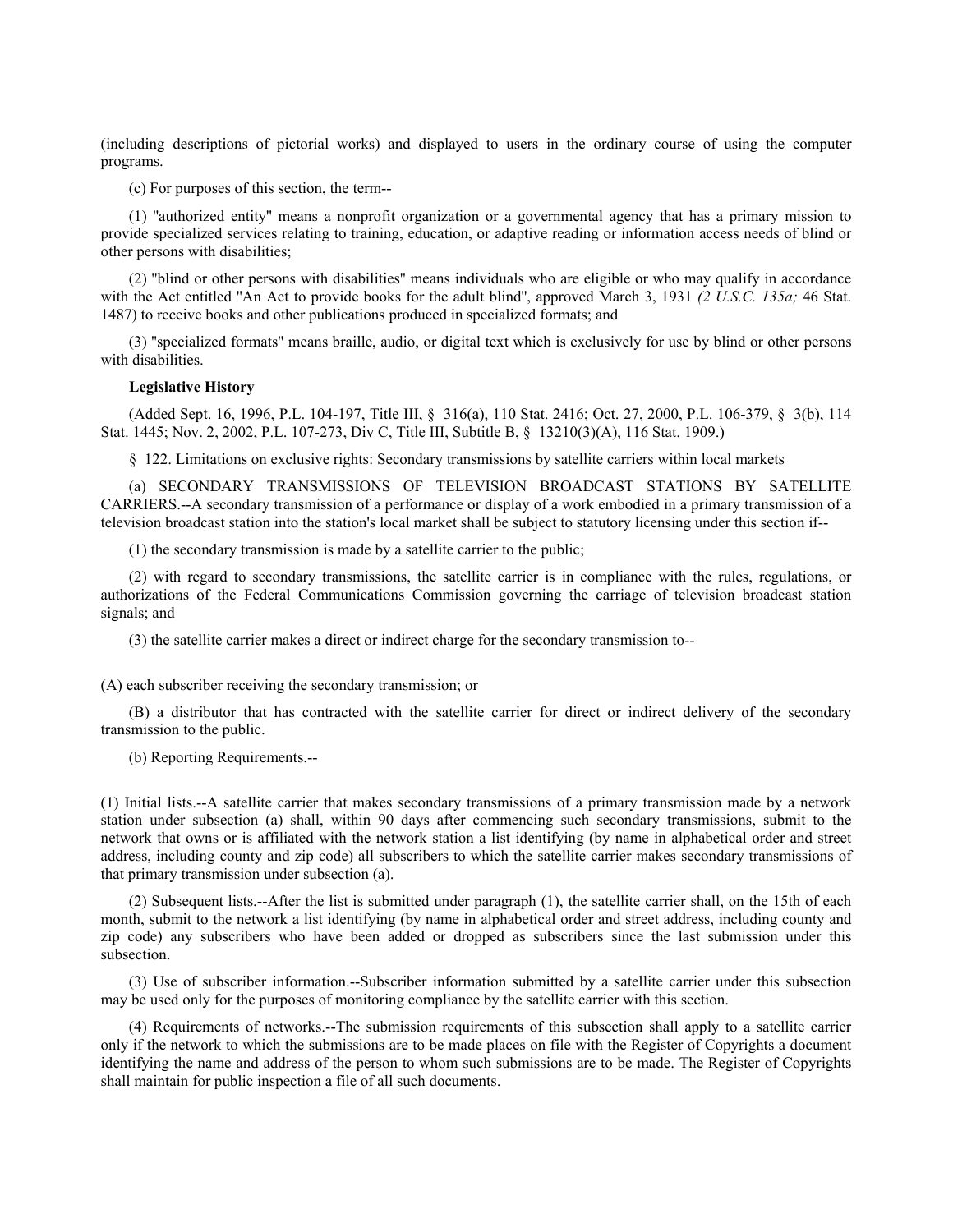(including descriptions of pictorial works) and displayed to users in the ordinary course of using the computer programs.

(c) For purposes of this section, the term--

(1) ''authorized entity'' means a nonprofit organization or a governmental agency that has a primary mission to provide specialized services relating to training, education, or adaptive reading or information access needs of blind or other persons with disabilities;

(2) ''blind or other persons with disabilities'' means individuals who are eligible or who may qualify in accordance with the Act entitled ''An Act to provide books for the adult blind'', approved March 3, 1931 *(2 U.S.C. 135a;* 46 Stat. 1487) to receive books and other publications produced in specialized formats; and

(3) ''specialized formats'' means braille, audio, or digital text which is exclusively for use by blind or other persons with disabilities.

### **Legislative History**

(Added Sept. 16, 1996, P.L. 104-197, Title III, § 316(a), 110 Stat. 2416; Oct. 27, 2000, P.L. 106-379, § 3(b), 114 Stat. 1445; Nov. 2, 2002, P.L. 107-273, Div C, Title III, Subtitle B, § 13210(3)(A), 116 Stat. 1909.)

§ 122. Limitations on exclusive rights: Secondary transmissions by satellite carriers within local markets

(a) SECONDARY TRANSMISSIONS OF TELEVISION BROADCAST STATIONS BY SATELLITE CARRIERS.--A secondary transmission of a performance or display of a work embodied in a primary transmission of a television broadcast station into the station's local market shall be subject to statutory licensing under this section if--

(1) the secondary transmission is made by a satellite carrier to the public;

(2) with regard to secondary transmissions, the satellite carrier is in compliance with the rules, regulations, or authorizations of the Federal Communications Commission governing the carriage of television broadcast station signals; and

(3) the satellite carrier makes a direct or indirect charge for the secondary transmission to--

(A) each subscriber receiving the secondary transmission; or

(B) a distributor that has contracted with the satellite carrier for direct or indirect delivery of the secondary transmission to the public.

(b) Reporting Requirements.--

(1) Initial lists.--A satellite carrier that makes secondary transmissions of a primary transmission made by a network station under subsection (a) shall, within 90 days after commencing such secondary transmissions, submit to the network that owns or is affiliated with the network station a list identifying (by name in alphabetical order and street address, including county and zip code) all subscribers to which the satellite carrier makes secondary transmissions of that primary transmission under subsection (a).

(2) Subsequent lists.--After the list is submitted under paragraph (1), the satellite carrier shall, on the 15th of each month, submit to the network a list identifying (by name in alphabetical order and street address, including county and zip code) any subscribers who have been added or dropped as subscribers since the last submission under this subsection.

(3) Use of subscriber information.--Subscriber information submitted by a satellite carrier under this subsection may be used only for the purposes of monitoring compliance by the satellite carrier with this section.

(4) Requirements of networks.--The submission requirements of this subsection shall apply to a satellite carrier only if the network to which the submissions are to be made places on file with the Register of Copyrights a document identifying the name and address of the person to whom such submissions are to be made. The Register of Copyrights shall maintain for public inspection a file of all such documents.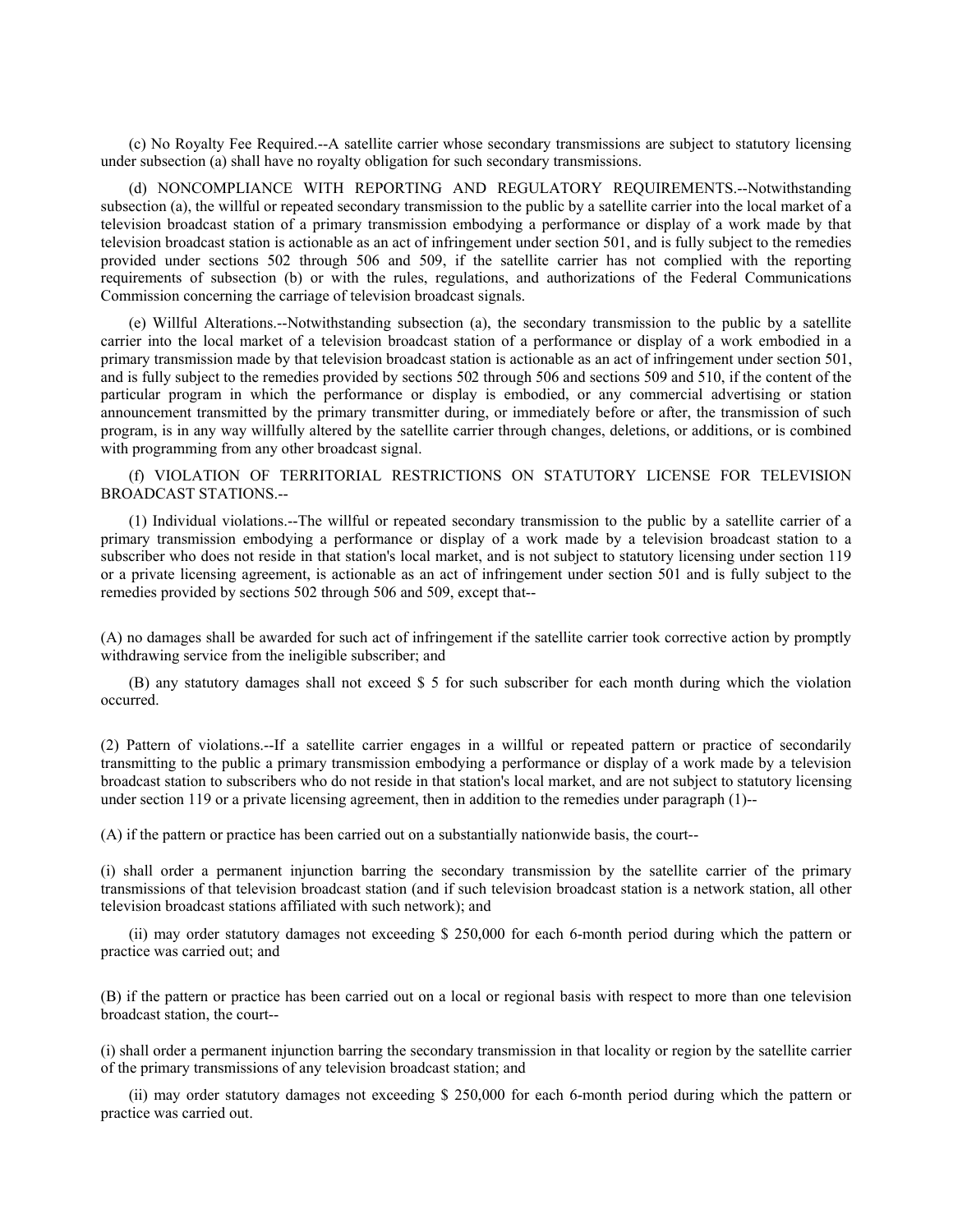(c) No Royalty Fee Required.--A satellite carrier whose secondary transmissions are subject to statutory licensing under subsection (a) shall have no royalty obligation for such secondary transmissions.

(d) NONCOMPLIANCE WITH REPORTING AND REGULATORY REQUIREMENTS.--Notwithstanding subsection (a), the willful or repeated secondary transmission to the public by a satellite carrier into the local market of a television broadcast station of a primary transmission embodying a performance or display of a work made by that television broadcast station is actionable as an act of infringement under section 501, and is fully subject to the remedies provided under sections 502 through 506 and 509, if the satellite carrier has not complied with the reporting requirements of subsection (b) or with the rules, regulations, and authorizations of the Federal Communications Commission concerning the carriage of television broadcast signals.

(e) Willful Alterations.--Notwithstanding subsection (a), the secondary transmission to the public by a satellite carrier into the local market of a television broadcast station of a performance or display of a work embodied in a primary transmission made by that television broadcast station is actionable as an act of infringement under section 501, and is fully subject to the remedies provided by sections 502 through 506 and sections 509 and 510, if the content of the particular program in which the performance or display is embodied, or any commercial advertising or station announcement transmitted by the primary transmitter during, or immediately before or after, the transmission of such program, is in any way willfully altered by the satellite carrier through changes, deletions, or additions, or is combined with programming from any other broadcast signal.

(f) VIOLATION OF TERRITORIAL RESTRICTIONS ON STATUTORY LICENSE FOR TELEVISION BROADCAST STATIONS.--

(1) Individual violations.--The willful or repeated secondary transmission to the public by a satellite carrier of a primary transmission embodying a performance or display of a work made by a television broadcast station to a subscriber who does not reside in that station's local market, and is not subject to statutory licensing under section 119 or a private licensing agreement, is actionable as an act of infringement under section 501 and is fully subject to the remedies provided by sections 502 through 506 and 509, except that--

(A) no damages shall be awarded for such act of infringement if the satellite carrier took corrective action by promptly withdrawing service from the ineligible subscriber; and

(B) any statutory damages shall not exceed \$ 5 for such subscriber for each month during which the violation occurred.

(2) Pattern of violations.--If a satellite carrier engages in a willful or repeated pattern or practice of secondarily transmitting to the public a primary transmission embodying a performance or display of a work made by a television broadcast station to subscribers who do not reside in that station's local market, and are not subject to statutory licensing under section 119 or a private licensing agreement, then in addition to the remedies under paragraph (1)--

(A) if the pattern or practice has been carried out on a substantially nationwide basis, the court--

(i) shall order a permanent injunction barring the secondary transmission by the satellite carrier of the primary transmissions of that television broadcast station (and if such television broadcast station is a network station, all other television broadcast stations affiliated with such network); and

(ii) may order statutory damages not exceeding \$ 250,000 for each 6-month period during which the pattern or practice was carried out; and

(B) if the pattern or practice has been carried out on a local or regional basis with respect to more than one television broadcast station, the court--

(i) shall order a permanent injunction barring the secondary transmission in that locality or region by the satellite carrier of the primary transmissions of any television broadcast station; and

(ii) may order statutory damages not exceeding \$ 250,000 for each 6-month period during which the pattern or practice was carried out.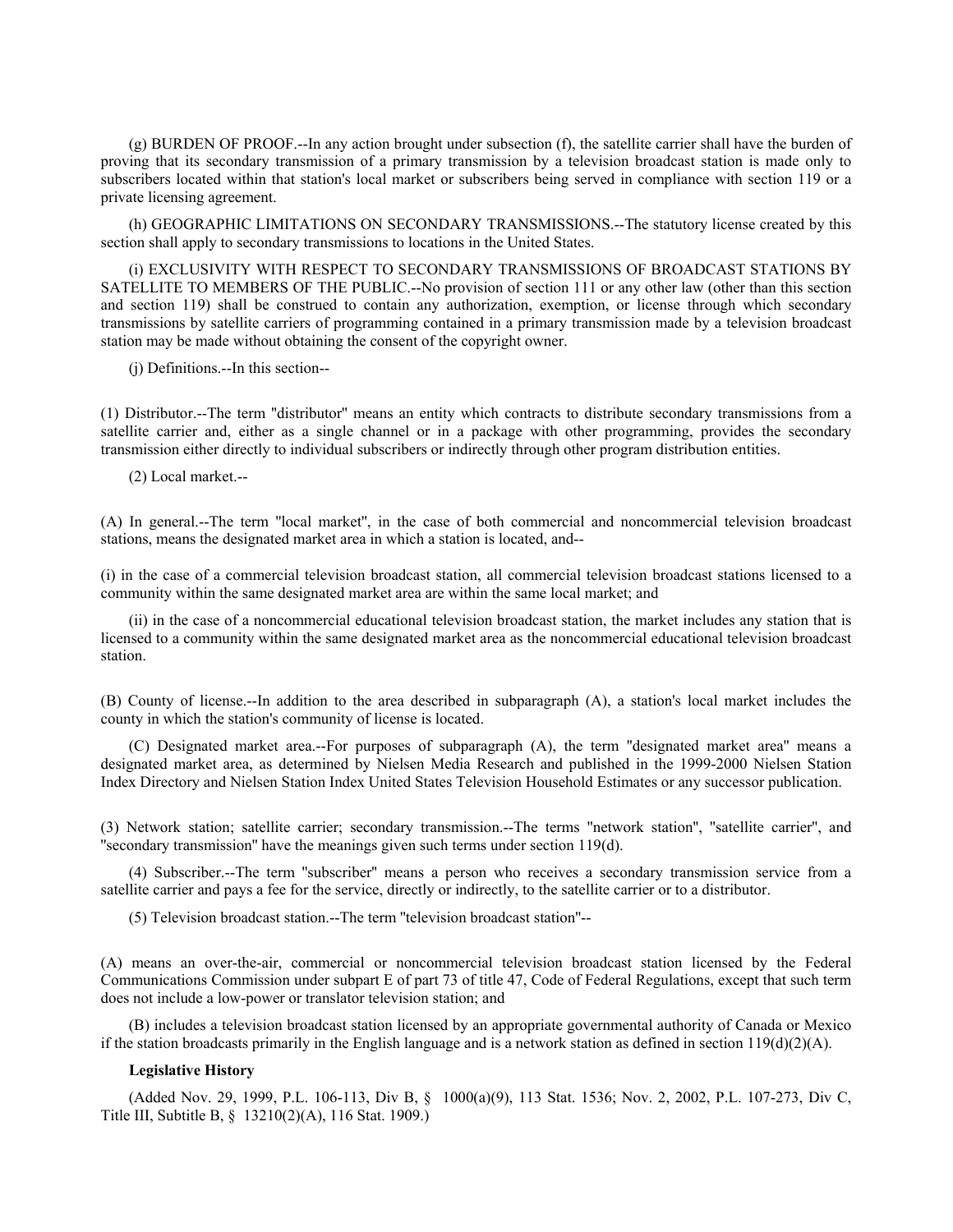(g) BURDEN OF PROOF.--In any action brought under subsection (f), the satellite carrier shall have the burden of proving that its secondary transmission of a primary transmission by a television broadcast station is made only to subscribers located within that station's local market or subscribers being served in compliance with section 119 or a private licensing agreement.

(h) GEOGRAPHIC LIMITATIONS ON SECONDARY TRANSMISSIONS.--The statutory license created by this section shall apply to secondary transmissions to locations in the United States.

(i) EXCLUSIVITY WITH RESPECT TO SECONDARY TRANSMISSIONS OF BROADCAST STATIONS BY SATELLITE TO MEMBERS OF THE PUBLIC.--No provision of section 111 or any other law (other than this section and section 119) shall be construed to contain any authorization, exemption, or license through which secondary transmissions by satellite carriers of programming contained in a primary transmission made by a television broadcast station may be made without obtaining the consent of the copyright owner.

(j) Definitions.--In this section--

(1) Distributor.--The term ''distributor'' means an entity which contracts to distribute secondary transmissions from a satellite carrier and, either as a single channel or in a package with other programming, provides the secondary transmission either directly to individual subscribers or indirectly through other program distribution entities.

(2) Local market.--

(A) In general.--The term ''local market'', in the case of both commercial and noncommercial television broadcast stations, means the designated market area in which a station is located, and--

(i) in the case of a commercial television broadcast station, all commercial television broadcast stations licensed to a community within the same designated market area are within the same local market; and

(ii) in the case of a noncommercial educational television broadcast station, the market includes any station that is licensed to a community within the same designated market area as the noncommercial educational television broadcast station.

(B) County of license.--In addition to the area described in subparagraph (A), a station's local market includes the county in which the station's community of license is located.

(C) Designated market area.--For purposes of subparagraph (A), the term ''designated market area'' means a designated market area, as determined by Nielsen Media Research and published in the 1999-2000 Nielsen Station Index Directory and Nielsen Station Index United States Television Household Estimates or any successor publication.

(3) Network station; satellite carrier; secondary transmission.--The terms ''network station'', ''satellite carrier'', and ''secondary transmission'' have the meanings given such terms under section 119(d).

(4) Subscriber.--The term ''subscriber'' means a person who receives a secondary transmission service from a satellite carrier and pays a fee for the service, directly or indirectly, to the satellite carrier or to a distributor.

(5) Television broadcast station.--The term ''television broadcast station''--

(A) means an over-the-air, commercial or noncommercial television broadcast station licensed by the Federal Communications Commission under subpart E of part 73 of title 47, Code of Federal Regulations, except that such term does not include a low-power or translator television station; and

(B) includes a television broadcast station licensed by an appropriate governmental authority of Canada or Mexico if the station broadcasts primarily in the English language and is a network station as defined in section  $119(d)(2)(A)$ .

# **Legislative History**

(Added Nov. 29, 1999, P.L. 106-113, Div B, § 1000(a)(9), 113 Stat. 1536; Nov. 2, 2002, P.L. 107-273, Div C, Title III, Subtitle B, § 13210(2)(A), 116 Stat. 1909.)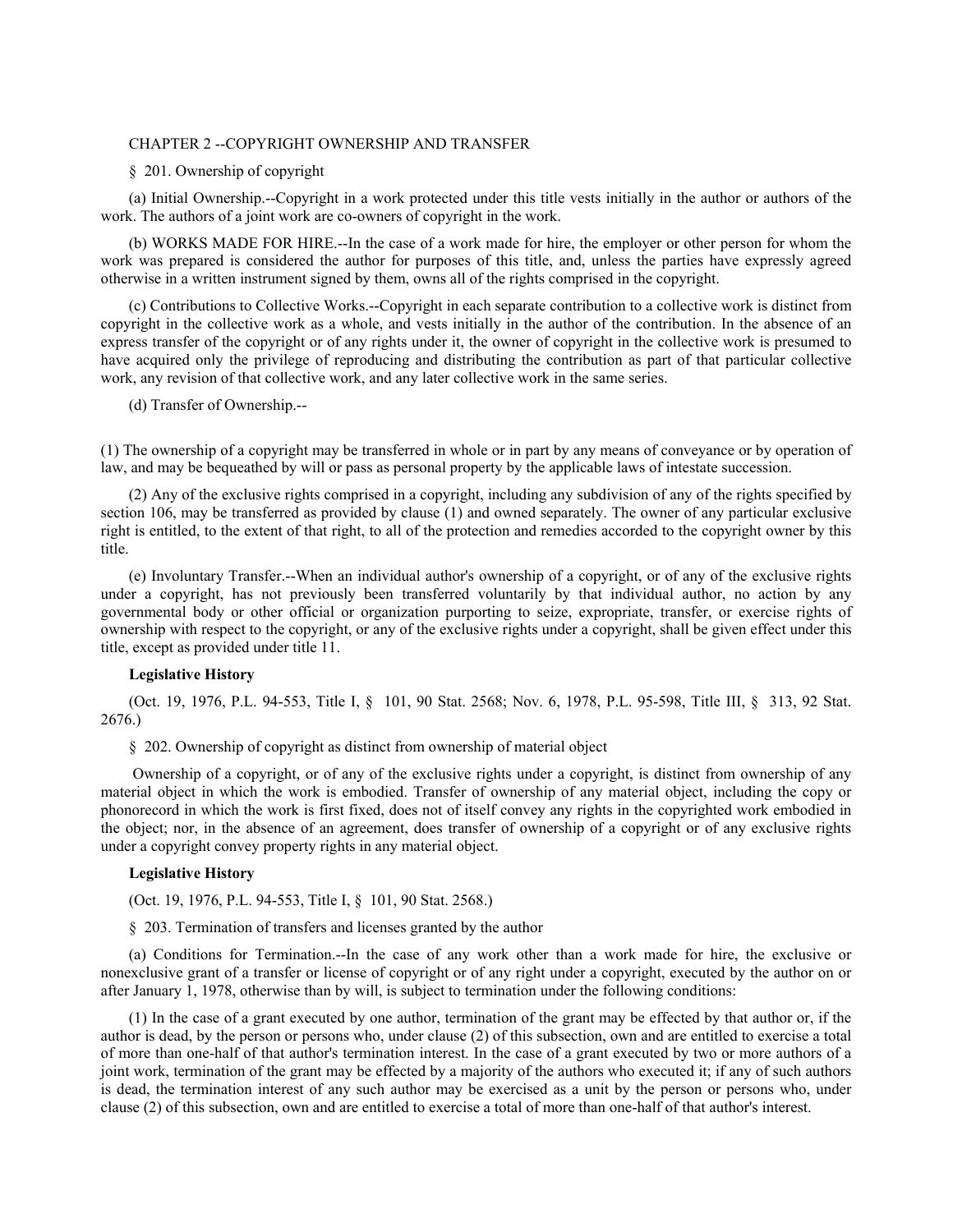### CHAPTER 2 --COPYRIGHT OWNERSHIP AND TRANSFER

### § 201. Ownership of copyright

(a) Initial Ownership.--Copyright in a work protected under this title vests initially in the author or authors of the work. The authors of a joint work are co-owners of copyright in the work.

(b) WORKS MADE FOR HIRE.--In the case of a work made for hire, the employer or other person for whom the work was prepared is considered the author for purposes of this title, and, unless the parties have expressly agreed otherwise in a written instrument signed by them, owns all of the rights comprised in the copyright.

(c) Contributions to Collective Works.--Copyright in each separate contribution to a collective work is distinct from copyright in the collective work as a whole, and vests initially in the author of the contribution. In the absence of an express transfer of the copyright or of any rights under it, the owner of copyright in the collective work is presumed to have acquired only the privilege of reproducing and distributing the contribution as part of that particular collective work, any revision of that collective work, and any later collective work in the same series.

(d) Transfer of Ownership.--

(1) The ownership of a copyright may be transferred in whole or in part by any means of conveyance or by operation of law, and may be bequeathed by will or pass as personal property by the applicable laws of intestate succession.

(2) Any of the exclusive rights comprised in a copyright, including any subdivision of any of the rights specified by section 106, may be transferred as provided by clause (1) and owned separately. The owner of any particular exclusive right is entitled, to the extent of that right, to all of the protection and remedies accorded to the copyright owner by this title.

(e) Involuntary Transfer.--When an individual author's ownership of a copyright, or of any of the exclusive rights under a copyright, has not previously been transferred voluntarily by that individual author, no action by any governmental body or other official or organization purporting to seize, expropriate, transfer, or exercise rights of ownership with respect to the copyright, or any of the exclusive rights under a copyright, shall be given effect under this title, except as provided under title 11.

# **Legislative History**

(Oct. 19, 1976, P.L. 94-553, Title I, § 101, 90 Stat. 2568; Nov. 6, 1978, P.L. 95-598, Title III, § 313, 92 Stat. 2676.)

§ 202. Ownership of copyright as distinct from ownership of material object

 Ownership of a copyright, or of any of the exclusive rights under a copyright, is distinct from ownership of any material object in which the work is embodied. Transfer of ownership of any material object, including the copy or phonorecord in which the work is first fixed, does not of itself convey any rights in the copyrighted work embodied in the object; nor, in the absence of an agreement, does transfer of ownership of a copyright or of any exclusive rights under a copyright convey property rights in any material object.

# **Legislative History**

(Oct. 19, 1976, P.L. 94-553, Title I, § 101, 90 Stat. 2568.)

§ 203. Termination of transfers and licenses granted by the author

(a) Conditions for Termination.--In the case of any work other than a work made for hire, the exclusive or nonexclusive grant of a transfer or license of copyright or of any right under a copyright, executed by the author on or after January 1, 1978, otherwise than by will, is subject to termination under the following conditions:

(1) In the case of a grant executed by one author, termination of the grant may be effected by that author or, if the author is dead, by the person or persons who, under clause (2) of this subsection, own and are entitled to exercise a total of more than one-half of that author's termination interest. In the case of a grant executed by two or more authors of a joint work, termination of the grant may be effected by a majority of the authors who executed it; if any of such authors is dead, the termination interest of any such author may be exercised as a unit by the person or persons who, under clause (2) of this subsection, own and are entitled to exercise a total of more than one-half of that author's interest.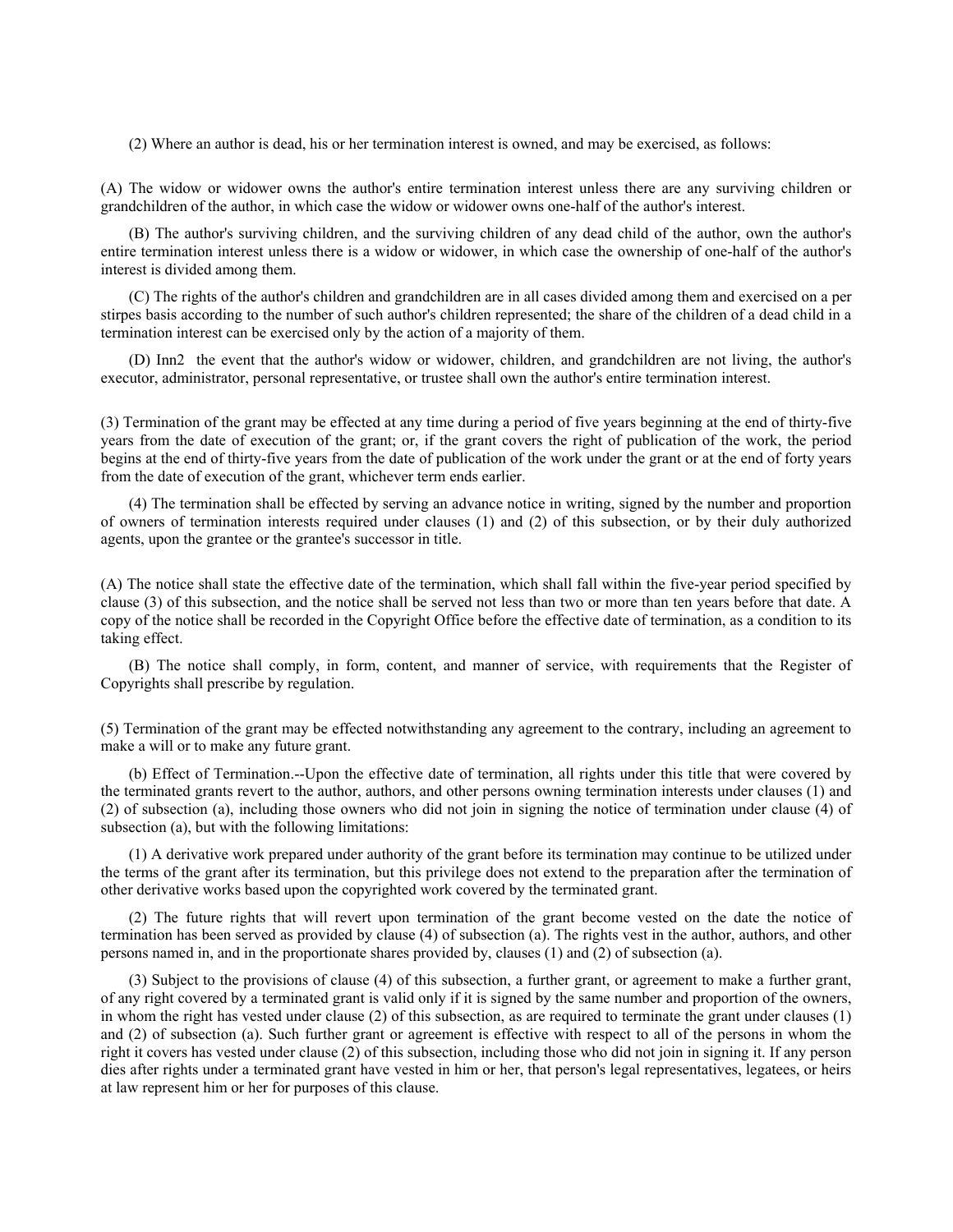(2) Where an author is dead, his or her termination interest is owned, and may be exercised, as follows:

(A) The widow or widower owns the author's entire termination interest unless there are any surviving children or grandchildren of the author, in which case the widow or widower owns one-half of the author's interest.

(B) The author's surviving children, and the surviving children of any dead child of the author, own the author's entire termination interest unless there is a widow or widower, in which case the ownership of one-half of the author's interest is divided among them.

(C) The rights of the author's children and grandchildren are in all cases divided among them and exercised on a per stirpes basis according to the number of such author's children represented; the share of the children of a dead child in a termination interest can be exercised only by the action of a majority of them.

(D) Inn2 the event that the author's widow or widower, children, and grandchildren are not living, the author's executor, administrator, personal representative, or trustee shall own the author's entire termination interest.

(3) Termination of the grant may be effected at any time during a period of five years beginning at the end of thirty-five years from the date of execution of the grant; or, if the grant covers the right of publication of the work, the period begins at the end of thirty-five years from the date of publication of the work under the grant or at the end of forty years from the date of execution of the grant, whichever term ends earlier.

(4) The termination shall be effected by serving an advance notice in writing, signed by the number and proportion of owners of termination interests required under clauses (1) and (2) of this subsection, or by their duly authorized agents, upon the grantee or the grantee's successor in title.

(A) The notice shall state the effective date of the termination, which shall fall within the five-year period specified by clause (3) of this subsection, and the notice shall be served not less than two or more than ten years before that date. A copy of the notice shall be recorded in the Copyright Office before the effective date of termination, as a condition to its taking effect.

(B) The notice shall comply, in form, content, and manner of service, with requirements that the Register of Copyrights shall prescribe by regulation.

(5) Termination of the grant may be effected notwithstanding any agreement to the contrary, including an agreement to make a will or to make any future grant.

(b) Effect of Termination.--Upon the effective date of termination, all rights under this title that were covered by the terminated grants revert to the author, authors, and other persons owning termination interests under clauses (1) and (2) of subsection (a), including those owners who did not join in signing the notice of termination under clause (4) of subsection (a), but with the following limitations:

(1) A derivative work prepared under authority of the grant before its termination may continue to be utilized under the terms of the grant after its termination, but this privilege does not extend to the preparation after the termination of other derivative works based upon the copyrighted work covered by the terminated grant.

(2) The future rights that will revert upon termination of the grant become vested on the date the notice of termination has been served as provided by clause (4) of subsection (a). The rights vest in the author, authors, and other persons named in, and in the proportionate shares provided by, clauses (1) and (2) of subsection (a).

(3) Subject to the provisions of clause (4) of this subsection, a further grant, or agreement to make a further grant, of any right covered by a terminated grant is valid only if it is signed by the same number and proportion of the owners, in whom the right has vested under clause (2) of this subsection, as are required to terminate the grant under clauses (1) and (2) of subsection (a). Such further grant or agreement is effective with respect to all of the persons in whom the right it covers has vested under clause (2) of this subsection, including those who did not join in signing it. If any person dies after rights under a terminated grant have vested in him or her, that person's legal representatives, legatees, or heirs at law represent him or her for purposes of this clause.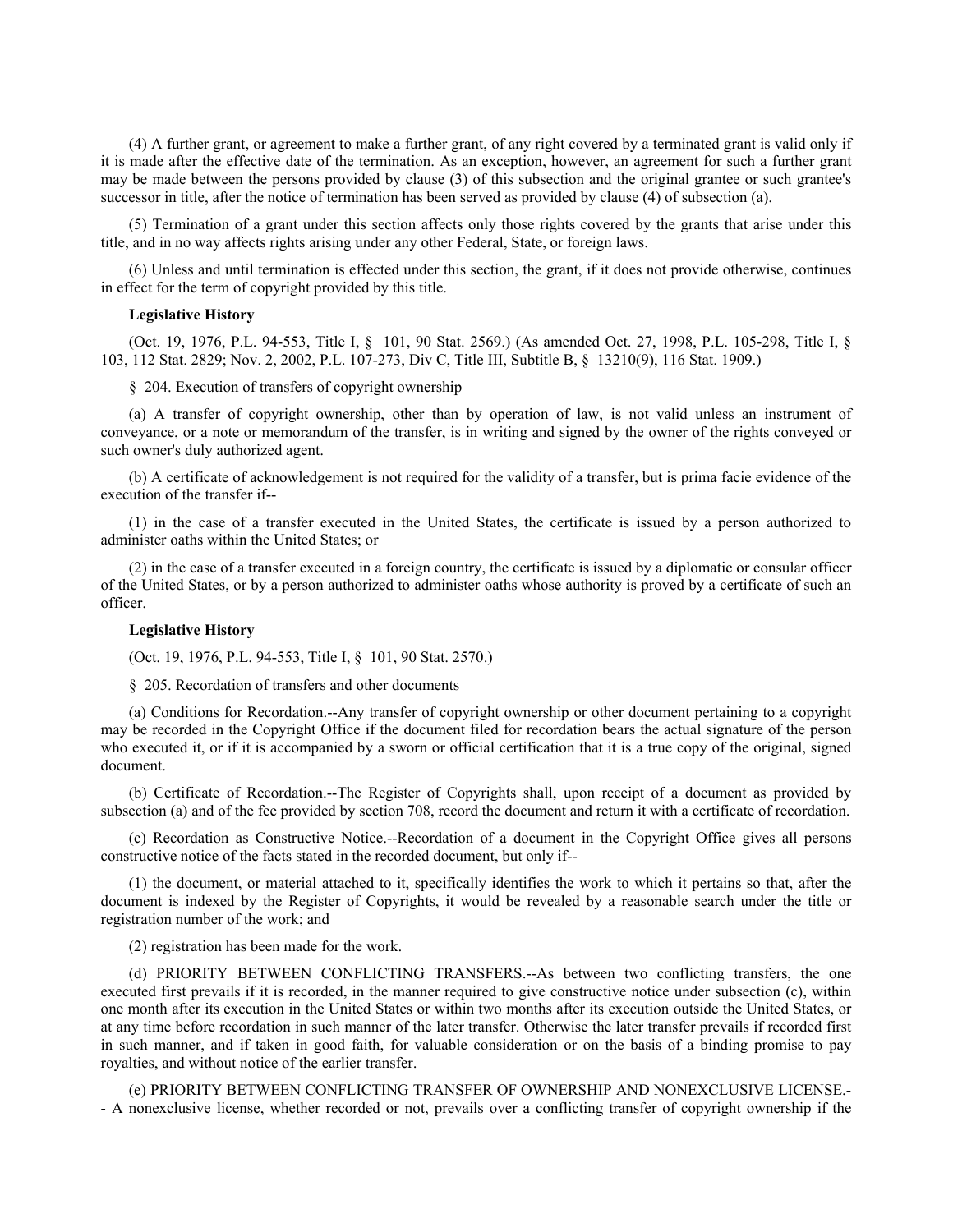(4) A further grant, or agreement to make a further grant, of any right covered by a terminated grant is valid only if it is made after the effective date of the termination. As an exception, however, an agreement for such a further grant may be made between the persons provided by clause (3) of this subsection and the original grantee or such grantee's successor in title, after the notice of termination has been served as provided by clause (4) of subsection (a).

(5) Termination of a grant under this section affects only those rights covered by the grants that arise under this title, and in no way affects rights arising under any other Federal, State, or foreign laws.

(6) Unless and until termination is effected under this section, the grant, if it does not provide otherwise, continues in effect for the term of copyright provided by this title.

### **Legislative History**

(Oct. 19, 1976, P.L. 94-553, Title I, § 101, 90 Stat. 2569.) (As amended Oct. 27, 1998, P.L. 105-298, Title I, § 103, 112 Stat. 2829; Nov. 2, 2002, P.L. 107-273, Div C, Title III, Subtitle B, § 13210(9), 116 Stat. 1909.)

§ 204. Execution of transfers of copyright ownership

(a) A transfer of copyright ownership, other than by operation of law, is not valid unless an instrument of conveyance, or a note or memorandum of the transfer, is in writing and signed by the owner of the rights conveyed or such owner's duly authorized agent.

(b) A certificate of acknowledgement is not required for the validity of a transfer, but is prima facie evidence of the execution of the transfer if--

(1) in the case of a transfer executed in the United States, the certificate is issued by a person authorized to administer oaths within the United States; or

(2) in the case of a transfer executed in a foreign country, the certificate is issued by a diplomatic or consular officer of the United States, or by a person authorized to administer oaths whose authority is proved by a certificate of such an officer.

### **Legislative History**

(Oct. 19, 1976, P.L. 94-553, Title I, § 101, 90 Stat. 2570.)

§ 205. Recordation of transfers and other documents

(a) Conditions for Recordation.--Any transfer of copyright ownership or other document pertaining to a copyright may be recorded in the Copyright Office if the document filed for recordation bears the actual signature of the person who executed it, or if it is accompanied by a sworn or official certification that it is a true copy of the original, signed document.

(b) Certificate of Recordation.--The Register of Copyrights shall, upon receipt of a document as provided by subsection (a) and of the fee provided by section 708, record the document and return it with a certificate of recordation.

(c) Recordation as Constructive Notice.--Recordation of a document in the Copyright Office gives all persons constructive notice of the facts stated in the recorded document, but only if--

(1) the document, or material attached to it, specifically identifies the work to which it pertains so that, after the document is indexed by the Register of Copyrights, it would be revealed by a reasonable search under the title or registration number of the work; and

(2) registration has been made for the work.

(d) PRIORITY BETWEEN CONFLICTING TRANSFERS.--As between two conflicting transfers, the one executed first prevails if it is recorded, in the manner required to give constructive notice under subsection (c), within one month after its execution in the United States or within two months after its execution outside the United States, or at any time before recordation in such manner of the later transfer. Otherwise the later transfer prevails if recorded first in such manner, and if taken in good faith, for valuable consideration or on the basis of a binding promise to pay royalties, and without notice of the earlier transfer.

(e) PRIORITY BETWEEN CONFLICTING TRANSFER OF OWNERSHIP AND NONEXCLUSIVE LICENSE.- - A nonexclusive license, whether recorded or not, prevails over a conflicting transfer of copyright ownership if the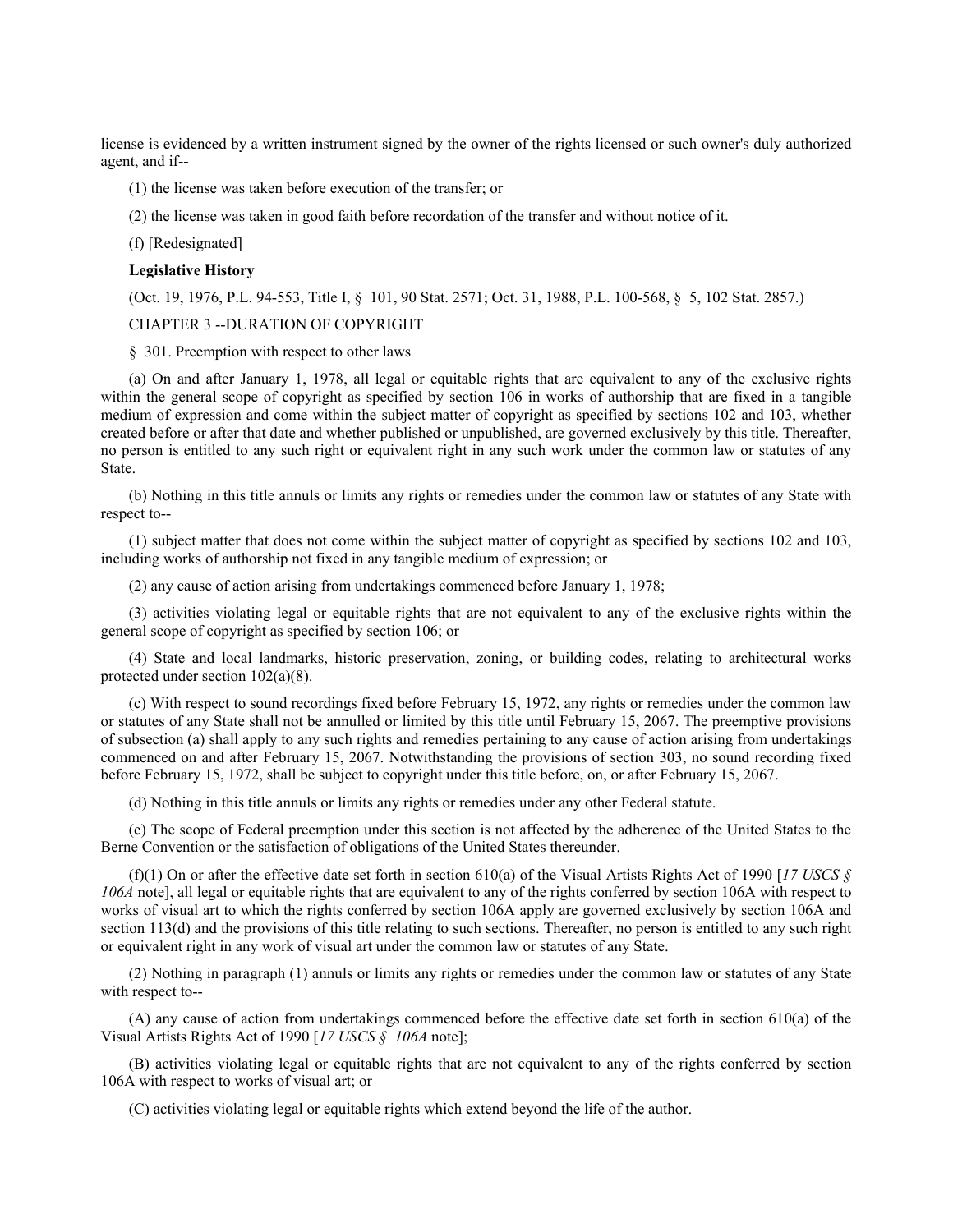license is evidenced by a written instrument signed by the owner of the rights licensed or such owner's duly authorized agent, and if--

(1) the license was taken before execution of the transfer; or

(2) the license was taken in good faith before recordation of the transfer and without notice of it.

### (f) [Redesignated]

#### **Legislative History**

(Oct. 19, 1976, P.L. 94-553, Title I, § 101, 90 Stat. 2571; Oct. 31, 1988, P.L. 100-568, § 5, 102 Stat. 2857.)

# CHAPTER 3 --DURATION OF COPYRIGHT

§ 301. Preemption with respect to other laws

(a) On and after January 1, 1978, all legal or equitable rights that are equivalent to any of the exclusive rights within the general scope of copyright as specified by section 106 in works of authorship that are fixed in a tangible medium of expression and come within the subject matter of copyright as specified by sections 102 and 103, whether created before or after that date and whether published or unpublished, are governed exclusively by this title. Thereafter, no person is entitled to any such right or equivalent right in any such work under the common law or statutes of any State.

(b) Nothing in this title annuls or limits any rights or remedies under the common law or statutes of any State with respect to--

(1) subject matter that does not come within the subject matter of copyright as specified by sections 102 and 103, including works of authorship not fixed in any tangible medium of expression; or

(2) any cause of action arising from undertakings commenced before January 1, 1978;

(3) activities violating legal or equitable rights that are not equivalent to any of the exclusive rights within the general scope of copyright as specified by section 106; or

(4) State and local landmarks, historic preservation, zoning, or building codes, relating to architectural works protected under section 102(a)(8).

(c) With respect to sound recordings fixed before February 15, 1972, any rights or remedies under the common law or statutes of any State shall not be annulled or limited by this title until February 15, 2067. The preemptive provisions of subsection (a) shall apply to any such rights and remedies pertaining to any cause of action arising from undertakings commenced on and after February 15, 2067. Notwithstanding the provisions of section 303, no sound recording fixed before February 15, 1972, shall be subject to copyright under this title before, on, or after February 15, 2067.

(d) Nothing in this title annuls or limits any rights or remedies under any other Federal statute.

(e) The scope of Federal preemption under this section is not affected by the adherence of the United States to the Berne Convention or the satisfaction of obligations of the United States thereunder.

(f)(1) On or after the effective date set forth in section 610(a) of the Visual Artists Rights Act of 1990 [*17 USCS § 106A* note], all legal or equitable rights that are equivalent to any of the rights conferred by section 106A with respect to works of visual art to which the rights conferred by section 106A apply are governed exclusively by section 106A and section 113(d) and the provisions of this title relating to such sections. Thereafter, no person is entitled to any such right or equivalent right in any work of visual art under the common law or statutes of any State.

(2) Nothing in paragraph (1) annuls or limits any rights or remedies under the common law or statutes of any State with respect to--

(A) any cause of action from undertakings commenced before the effective date set forth in section 610(a) of the Visual Artists Rights Act of 1990 [*17 USCS § 106A* note];

(B) activities violating legal or equitable rights that are not equivalent to any of the rights conferred by section 106A with respect to works of visual art; or

(C) activities violating legal or equitable rights which extend beyond the life of the author.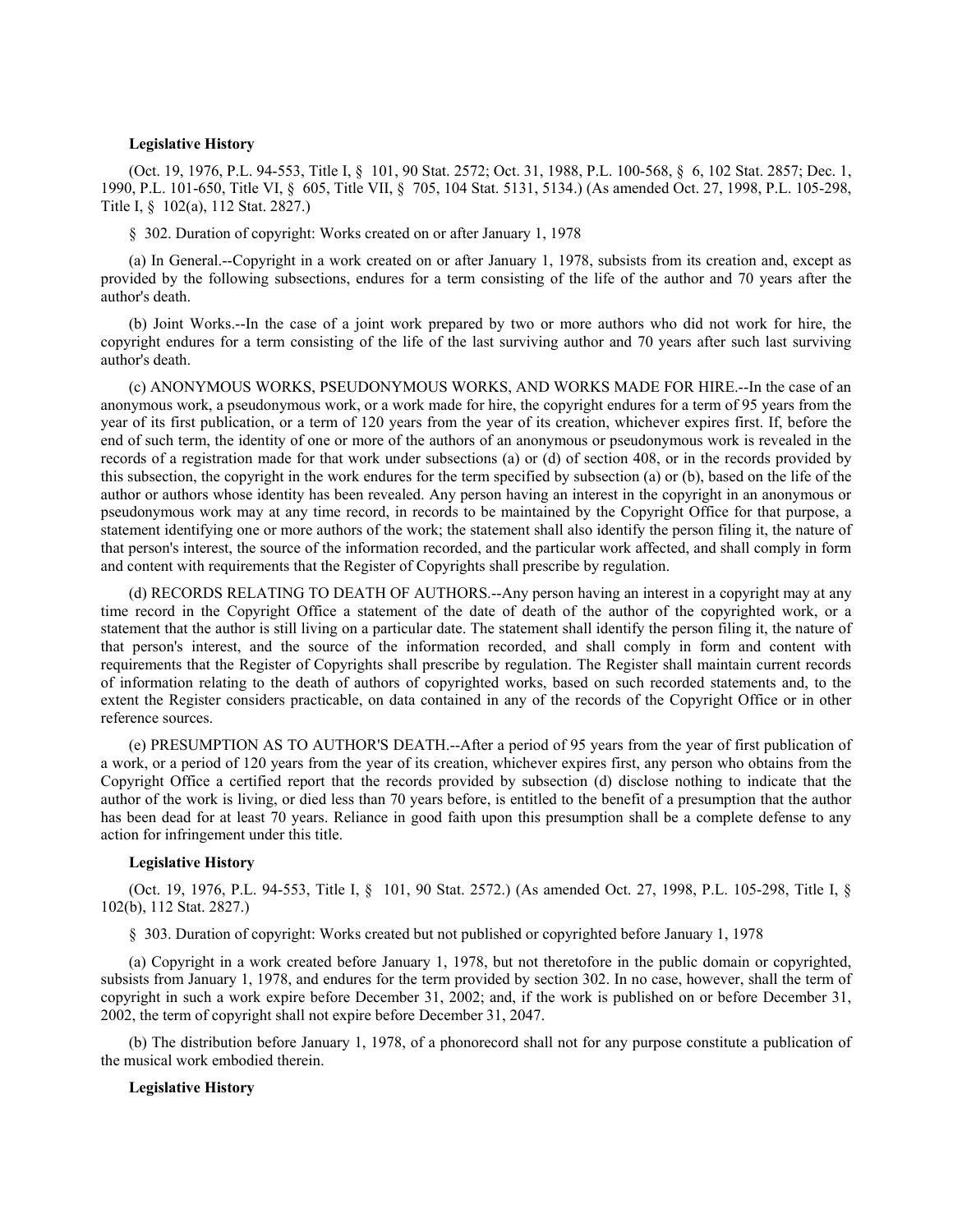# **Legislative History**

(Oct. 19, 1976, P.L. 94-553, Title I, § 101, 90 Stat. 2572; Oct. 31, 1988, P.L. 100-568, § 6, 102 Stat. 2857; Dec. 1, 1990, P.L. 101-650, Title VI, § 605, Title VII, § 705, 104 Stat. 5131, 5134.) (As amended Oct. 27, 1998, P.L. 105-298, Title I, § 102(a), 112 Stat. 2827.)

§ 302. Duration of copyright: Works created on or after January 1, 1978

(a) In General.--Copyright in a work created on or after January 1, 1978, subsists from its creation and, except as provided by the following subsections, endures for a term consisting of the life of the author and 70 years after the author's death.

(b) Joint Works.--In the case of a joint work prepared by two or more authors who did not work for hire, the copyright endures for a term consisting of the life of the last surviving author and 70 years after such last surviving author's death.

(c) ANONYMOUS WORKS, PSEUDONYMOUS WORKS, AND WORKS MADE FOR HIRE.--In the case of an anonymous work, a pseudonymous work, or a work made for hire, the copyright endures for a term of 95 years from the year of its first publication, or a term of 120 years from the year of its creation, whichever expires first. If, before the end of such term, the identity of one or more of the authors of an anonymous or pseudonymous work is revealed in the records of a registration made for that work under subsections (a) or (d) of section 408, or in the records provided by this subsection, the copyright in the work endures for the term specified by subsection (a) or (b), based on the life of the author or authors whose identity has been revealed. Any person having an interest in the copyright in an anonymous or pseudonymous work may at any time record, in records to be maintained by the Copyright Office for that purpose, a statement identifying one or more authors of the work; the statement shall also identify the person filing it, the nature of that person's interest, the source of the information recorded, and the particular work affected, and shall comply in form and content with requirements that the Register of Copyrights shall prescribe by regulation.

(d) RECORDS RELATING TO DEATH OF AUTHORS.--Any person having an interest in a copyright may at any time record in the Copyright Office a statement of the date of death of the author of the copyrighted work, or a statement that the author is still living on a particular date. The statement shall identify the person filing it, the nature of that person's interest, and the source of the information recorded, and shall comply in form and content with requirements that the Register of Copyrights shall prescribe by regulation. The Register shall maintain current records of information relating to the death of authors of copyrighted works, based on such recorded statements and, to the extent the Register considers practicable, on data contained in any of the records of the Copyright Office or in other reference sources.

(e) PRESUMPTION AS TO AUTHOR'S DEATH.--After a period of 95 years from the year of first publication of a work, or a period of 120 years from the year of its creation, whichever expires first, any person who obtains from the Copyright Office a certified report that the records provided by subsection (d) disclose nothing to indicate that the author of the work is living, or died less than 70 years before, is entitled to the benefit of a presumption that the author has been dead for at least 70 years. Reliance in good faith upon this presumption shall be a complete defense to any action for infringement under this title.

### **Legislative History**

(Oct. 19, 1976, P.L. 94-553, Title I, § 101, 90 Stat. 2572.) (As amended Oct. 27, 1998, P.L. 105-298, Title I, § 102(b), 112 Stat. 2827.)

§ 303. Duration of copyright: Works created but not published or copyrighted before January 1, 1978

(a) Copyright in a work created before January 1, 1978, but not theretofore in the public domain or copyrighted, subsists from January 1, 1978, and endures for the term provided by section 302. In no case, however, shall the term of copyright in such a work expire before December 31, 2002; and, if the work is published on or before December 31, 2002, the term of copyright shall not expire before December 31, 2047.

(b) The distribution before January 1, 1978, of a phonorecord shall not for any purpose constitute a publication of the musical work embodied therein.

# **Legislative History**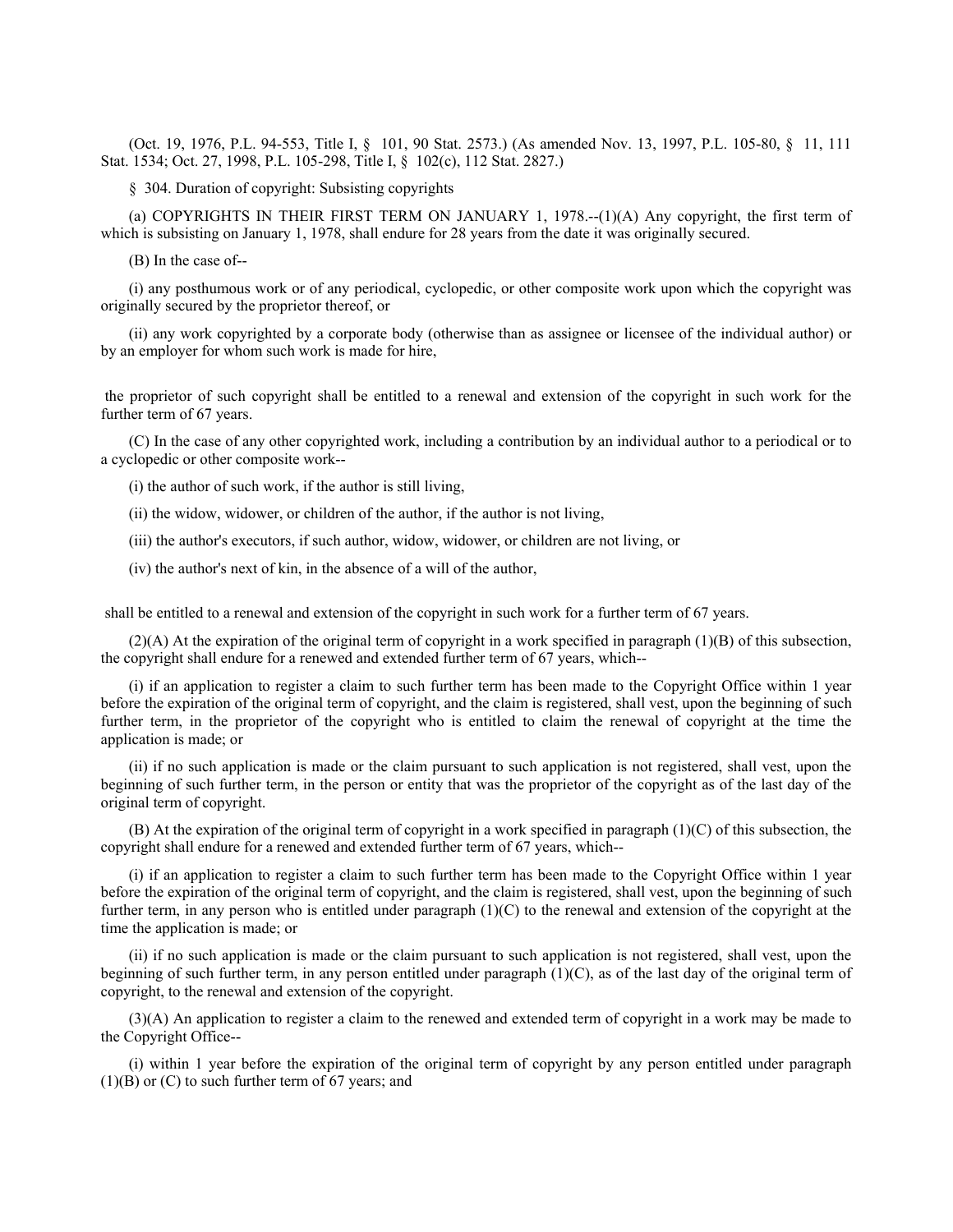(Oct. 19, 1976, P.L. 94-553, Title I, § 101, 90 Stat. 2573.) (As amended Nov. 13, 1997, P.L. 105-80, § 11, 111 Stat. 1534; Oct. 27, 1998, P.L. 105-298, Title I, § 102(c), 112 Stat. 2827.)

§ 304. Duration of copyright: Subsisting copyrights

(a) COPYRIGHTS IN THEIR FIRST TERM ON JANUARY 1, 1978.--(1)(A) Any copyright, the first term of which is subsisting on January 1, 1978, shall endure for 28 years from the date it was originally secured.

(B) In the case of--

(i) any posthumous work or of any periodical, cyclopedic, or other composite work upon which the copyright was originally secured by the proprietor thereof, or

(ii) any work copyrighted by a corporate body (otherwise than as assignee or licensee of the individual author) or by an employer for whom such work is made for hire,

 the proprietor of such copyright shall be entitled to a renewal and extension of the copyright in such work for the further term of 67 years.

(C) In the case of any other copyrighted work, including a contribution by an individual author to a periodical or to a cyclopedic or other composite work--

(i) the author of such work, if the author is still living,

(ii) the widow, widower, or children of the author, if the author is not living,

(iii) the author's executors, if such author, widow, widower, or children are not living, or

(iv) the author's next of kin, in the absence of a will of the author,

shall be entitled to a renewal and extension of the copyright in such work for a further term of 67 years.

 $(2)$ (A) At the expiration of the original term of copyright in a work specified in paragraph (1)(B) of this subsection, the copyright shall endure for a renewed and extended further term of 67 years, which--

(i) if an application to register a claim to such further term has been made to the Copyright Office within 1 year before the expiration of the original term of copyright, and the claim is registered, shall vest, upon the beginning of such further term, in the proprietor of the copyright who is entitled to claim the renewal of copyright at the time the application is made; or

(ii) if no such application is made or the claim pursuant to such application is not registered, shall vest, upon the beginning of such further term, in the person or entity that was the proprietor of the copyright as of the last day of the original term of copyright.

(B) At the expiration of the original term of copyright in a work specified in paragraph  $(1)(C)$  of this subsection, the copyright shall endure for a renewed and extended further term of 67 years, which--

(i) if an application to register a claim to such further term has been made to the Copyright Office within 1 year before the expiration of the original term of copyright, and the claim is registered, shall vest, upon the beginning of such further term, in any person who is entitled under paragraph  $(1)(C)$  to the renewal and extension of the copyright at the time the application is made; or

(ii) if no such application is made or the claim pursuant to such application is not registered, shall vest, upon the beginning of such further term, in any person entitled under paragraph  $(1)(C)$ , as of the last day of the original term of copyright, to the renewal and extension of the copyright.

(3)(A) An application to register a claim to the renewed and extended term of copyright in a work may be made to the Copyright Office--

(i) within 1 year before the expiration of the original term of copyright by any person entitled under paragraph  $(1)(B)$  or  $(C)$  to such further term of 67 years; and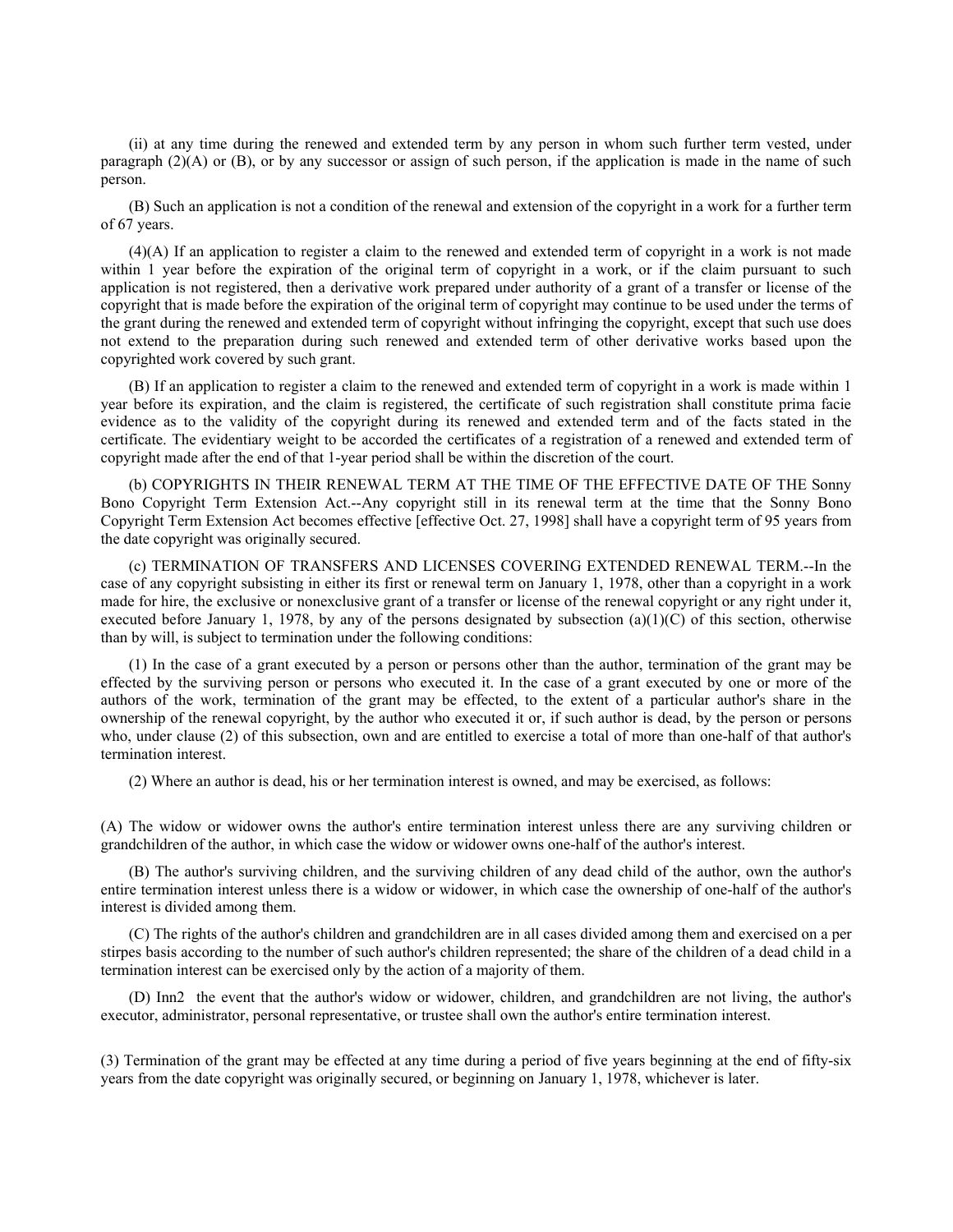(ii) at any time during the renewed and extended term by any person in whom such further term vested, under paragraph (2)(A) or (B), or by any successor or assign of such person, if the application is made in the name of such person.

(B) Such an application is not a condition of the renewal and extension of the copyright in a work for a further term of 67 years.

 $(4)(A)$  If an application to register a claim to the renewed and extended term of copyright in a work is not made within 1 year before the expiration of the original term of copyright in a work, or if the claim pursuant to such application is not registered, then a derivative work prepared under authority of a grant of a transfer or license of the copyright that is made before the expiration of the original term of copyright may continue to be used under the terms of the grant during the renewed and extended term of copyright without infringing the copyright, except that such use does not extend to the preparation during such renewed and extended term of other derivative works based upon the copyrighted work covered by such grant.

(B) If an application to register a claim to the renewed and extended term of copyright in a work is made within 1 year before its expiration, and the claim is registered, the certificate of such registration shall constitute prima facie evidence as to the validity of the copyright during its renewed and extended term and of the facts stated in the certificate. The evidentiary weight to be accorded the certificates of a registration of a renewed and extended term of copyright made after the end of that 1-year period shall be within the discretion of the court.

(b) COPYRIGHTS IN THEIR RENEWAL TERM AT THE TIME OF THE EFFECTIVE DATE OF THE Sonny Bono Copyright Term Extension Act.--Any copyright still in its renewal term at the time that the Sonny Bono Copyright Term Extension Act becomes effective [effective Oct. 27, 1998] shall have a copyright term of 95 years from the date copyright was originally secured.

(c) TERMINATION OF TRANSFERS AND LICENSES COVERING EXTENDED RENEWAL TERM.--In the case of any copyright subsisting in either its first or renewal term on January 1, 1978, other than a copyright in a work made for hire, the exclusive or nonexclusive grant of a transfer or license of the renewal copyright or any right under it, executed before January 1, 1978, by any of the persons designated by subsection (a)(1)(C) of this section, otherwise than by will, is subject to termination under the following conditions:

(1) In the case of a grant executed by a person or persons other than the author, termination of the grant may be effected by the surviving person or persons who executed it. In the case of a grant executed by one or more of the authors of the work, termination of the grant may be effected, to the extent of a particular author's share in the ownership of the renewal copyright, by the author who executed it or, if such author is dead, by the person or persons who, under clause (2) of this subsection, own and are entitled to exercise a total of more than one-half of that author's termination interest.

(2) Where an author is dead, his or her termination interest is owned, and may be exercised, as follows:

(A) The widow or widower owns the author's entire termination interest unless there are any surviving children or grandchildren of the author, in which case the widow or widower owns one-half of the author's interest.

(B) The author's surviving children, and the surviving children of any dead child of the author, own the author's entire termination interest unless there is a widow or widower, in which case the ownership of one-half of the author's interest is divided among them.

(C) The rights of the author's children and grandchildren are in all cases divided among them and exercised on a per stirpes basis according to the number of such author's children represented; the share of the children of a dead child in a termination interest can be exercised only by the action of a majority of them.

(D) Inn2 the event that the author's widow or widower, children, and grandchildren are not living, the author's executor, administrator, personal representative, or trustee shall own the author's entire termination interest.

(3) Termination of the grant may be effected at any time during a period of five years beginning at the end of fifty-six years from the date copyright was originally secured, or beginning on January 1, 1978, whichever is later.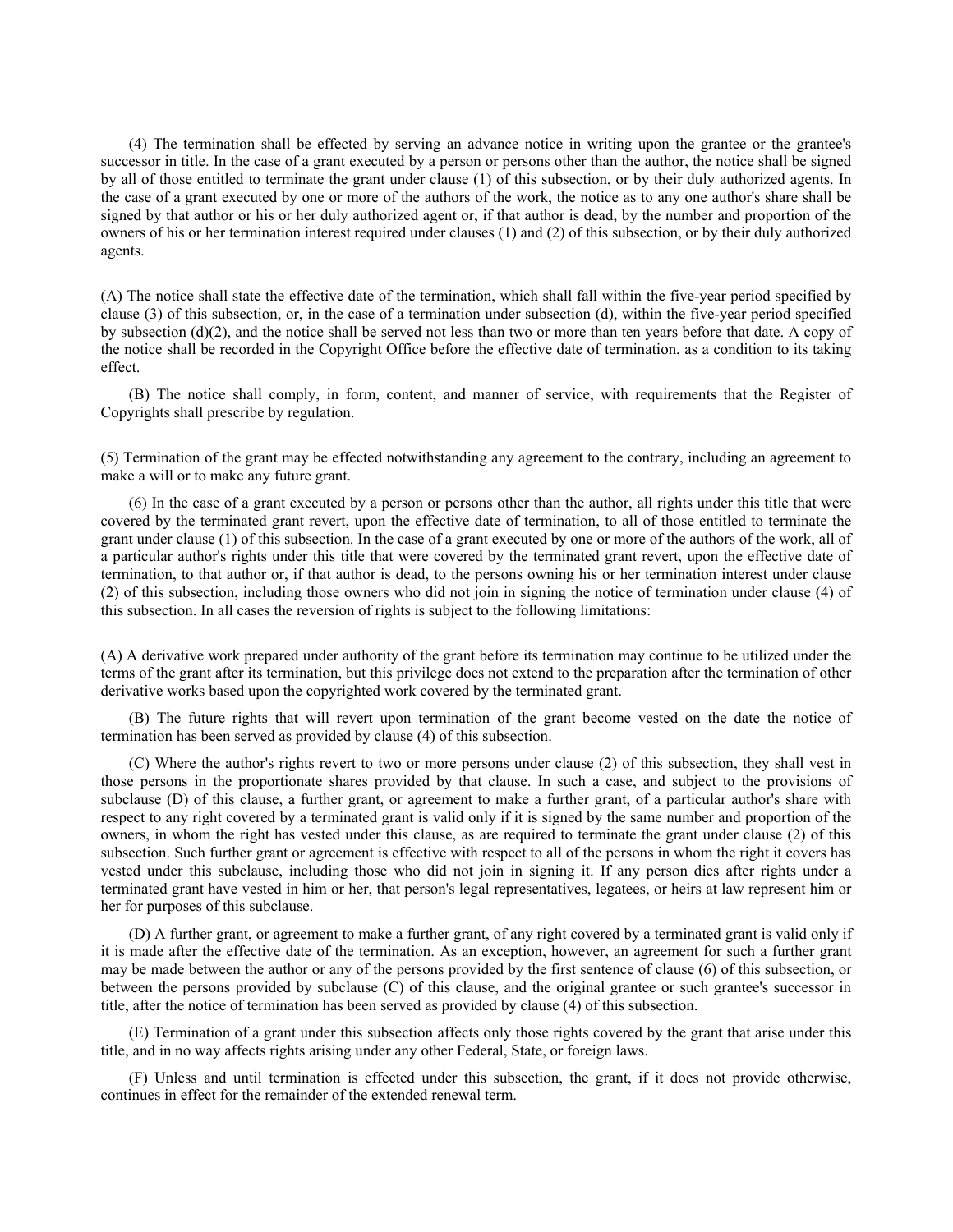(4) The termination shall be effected by serving an advance notice in writing upon the grantee or the grantee's successor in title. In the case of a grant executed by a person or persons other than the author, the notice shall be signed by all of those entitled to terminate the grant under clause (1) of this subsection, or by their duly authorized agents. In the case of a grant executed by one or more of the authors of the work, the notice as to any one author's share shall be signed by that author or his or her duly authorized agent or, if that author is dead, by the number and proportion of the owners of his or her termination interest required under clauses (1) and (2) of this subsection, or by their duly authorized agents.

(A) The notice shall state the effective date of the termination, which shall fall within the five-year period specified by clause (3) of this subsection, or, in the case of a termination under subsection (d), within the five-year period specified by subsection (d)(2), and the notice shall be served not less than two or more than ten years before that date. A copy of the notice shall be recorded in the Copyright Office before the effective date of termination, as a condition to its taking effect.

(B) The notice shall comply, in form, content, and manner of service, with requirements that the Register of Copyrights shall prescribe by regulation.

(5) Termination of the grant may be effected notwithstanding any agreement to the contrary, including an agreement to make a will or to make any future grant.

(6) In the case of a grant executed by a person or persons other than the author, all rights under this title that were covered by the terminated grant revert, upon the effective date of termination, to all of those entitled to terminate the grant under clause (1) of this subsection. In the case of a grant executed by one or more of the authors of the work, all of a particular author's rights under this title that were covered by the terminated grant revert, upon the effective date of termination, to that author or, if that author is dead, to the persons owning his or her termination interest under clause (2) of this subsection, including those owners who did not join in signing the notice of termination under clause (4) of this subsection. In all cases the reversion of rights is subject to the following limitations:

(A) A derivative work prepared under authority of the grant before its termination may continue to be utilized under the terms of the grant after its termination, but this privilege does not extend to the preparation after the termination of other derivative works based upon the copyrighted work covered by the terminated grant.

(B) The future rights that will revert upon termination of the grant become vested on the date the notice of termination has been served as provided by clause (4) of this subsection.

(C) Where the author's rights revert to two or more persons under clause (2) of this subsection, they shall vest in those persons in the proportionate shares provided by that clause. In such a case, and subject to the provisions of subclause (D) of this clause, a further grant, or agreement to make a further grant, of a particular author's share with respect to any right covered by a terminated grant is valid only if it is signed by the same number and proportion of the owners, in whom the right has vested under this clause, as are required to terminate the grant under clause (2) of this subsection. Such further grant or agreement is effective with respect to all of the persons in whom the right it covers has vested under this subclause, including those who did not join in signing it. If any person dies after rights under a terminated grant have vested in him or her, that person's legal representatives, legatees, or heirs at law represent him or her for purposes of this subclause.

(D) A further grant, or agreement to make a further grant, of any right covered by a terminated grant is valid only if it is made after the effective date of the termination. As an exception, however, an agreement for such a further grant may be made between the author or any of the persons provided by the first sentence of clause (6) of this subsection, or between the persons provided by subclause (C) of this clause, and the original grantee or such grantee's successor in title, after the notice of termination has been served as provided by clause (4) of this subsection.

(E) Termination of a grant under this subsection affects only those rights covered by the grant that arise under this title, and in no way affects rights arising under any other Federal, State, or foreign laws.

(F) Unless and until termination is effected under this subsection, the grant, if it does not provide otherwise, continues in effect for the remainder of the extended renewal term.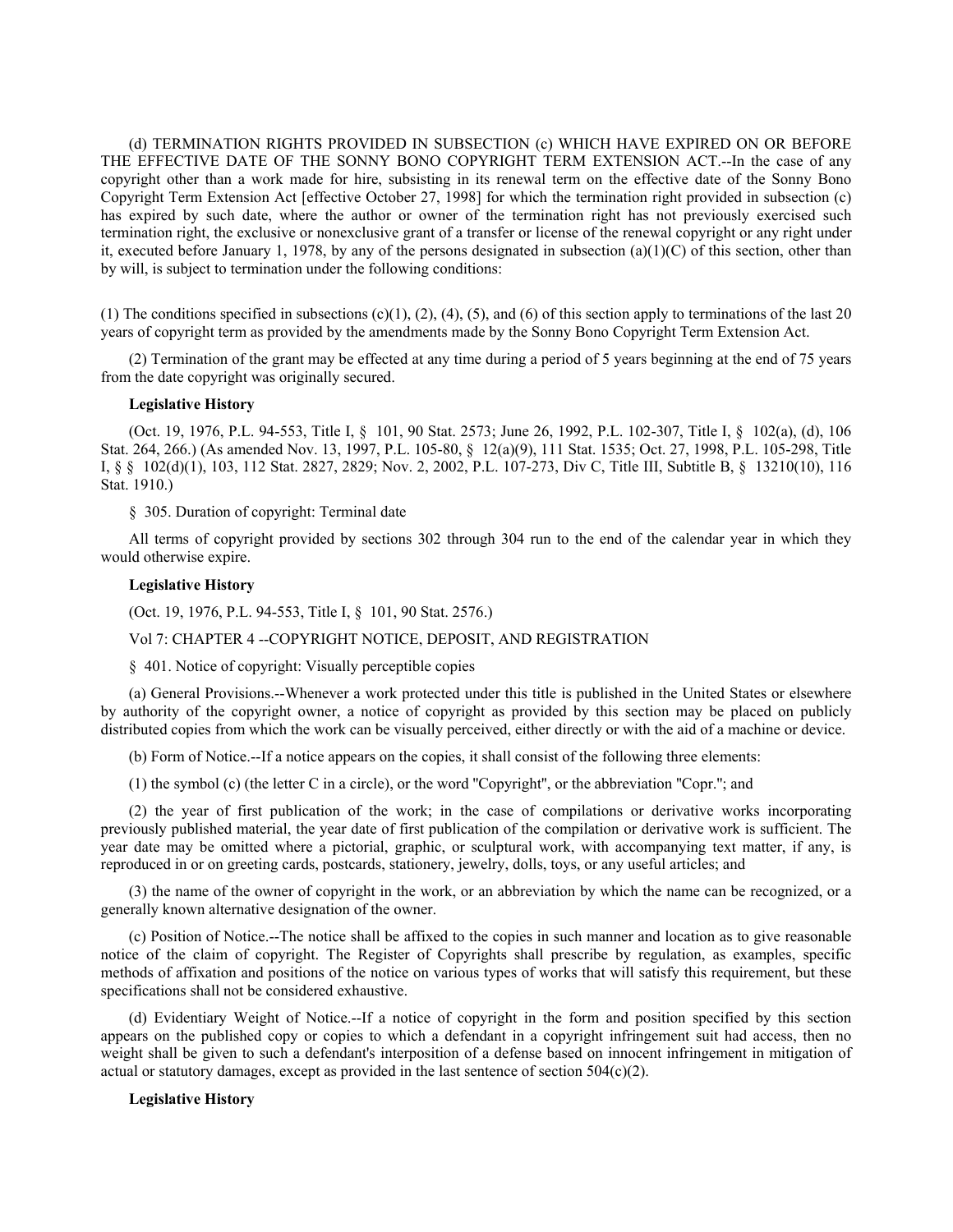(d) TERMINATION RIGHTS PROVIDED IN SUBSECTION (c) WHICH HAVE EXPIRED ON OR BEFORE THE EFFECTIVE DATE OF THE SONNY BONO COPYRIGHT TERM EXTENSION ACT.--In the case of any copyright other than a work made for hire, subsisting in its renewal term on the effective date of the Sonny Bono Copyright Term Extension Act [effective October 27, 1998] for which the termination right provided in subsection (c) has expired by such date, where the author or owner of the termination right has not previously exercised such termination right, the exclusive or nonexclusive grant of a transfer or license of the renewal copyright or any right under it, executed before January 1, 1978, by any of the persons designated in subsection (a)(1)(C) of this section, other than by will, is subject to termination under the following conditions:

(1) The conditions specified in subsections  $(c)(1)$ ,  $(2)$ ,  $(4)$ ,  $(5)$ , and  $(6)$  of this section apply to terminations of the last 20 years of copyright term as provided by the amendments made by the Sonny Bono Copyright Term Extension Act.

(2) Termination of the grant may be effected at any time during a period of 5 years beginning at the end of 75 years from the date copyright was originally secured.

# **Legislative History**

(Oct. 19, 1976, P.L. 94-553, Title I, § 101, 90 Stat. 2573; June 26, 1992, P.L. 102-307, Title I, § 102(a), (d), 106 Stat. 264, 266.) (As amended Nov. 13, 1997, P.L. 105-80, § 12(a)(9), 111 Stat. 1535; Oct. 27, 1998, P.L. 105-298, Title I, § § 102(d)(1), 103, 112 Stat. 2827, 2829; Nov. 2, 2002, P.L. 107-273, Div C, Title III, Subtitle B, § 13210(10), 116 Stat. 1910.)

§ 305. Duration of copyright: Terminal date

All terms of copyright provided by sections 302 through 304 run to the end of the calendar year in which they would otherwise expire.

#### **Legislative History**

(Oct. 19, 1976, P.L. 94-553, Title I, § 101, 90 Stat. 2576.)

# Vol 7: CHAPTER 4 --COPYRIGHT NOTICE, DEPOSIT, AND REGISTRATION

§ 401. Notice of copyright: Visually perceptible copies

(a) General Provisions.--Whenever a work protected under this title is published in the United States or elsewhere by authority of the copyright owner, a notice of copyright as provided by this section may be placed on publicly distributed copies from which the work can be visually perceived, either directly or with the aid of a machine or device.

(b) Form of Notice.--If a notice appears on the copies, it shall consist of the following three elements:

(1) the symbol (c) (the letter C in a circle), or the word ''Copyright'', or the abbreviation ''Copr.''; and

(2) the year of first publication of the work; in the case of compilations or derivative works incorporating previously published material, the year date of first publication of the compilation or derivative work is sufficient. The year date may be omitted where a pictorial, graphic, or sculptural work, with accompanying text matter, if any, is reproduced in or on greeting cards, postcards, stationery, jewelry, dolls, toys, or any useful articles; and

(3) the name of the owner of copyright in the work, or an abbreviation by which the name can be recognized, or a generally known alternative designation of the owner.

(c) Position of Notice.--The notice shall be affixed to the copies in such manner and location as to give reasonable notice of the claim of copyright. The Register of Copyrights shall prescribe by regulation, as examples, specific methods of affixation and positions of the notice on various types of works that will satisfy this requirement, but these specifications shall not be considered exhaustive.

(d) Evidentiary Weight of Notice.--If a notice of copyright in the form and position specified by this section appears on the published copy or copies to which a defendant in a copyright infringement suit had access, then no weight shall be given to such a defendant's interposition of a defense based on innocent infringement in mitigation of actual or statutory damages, except as provided in the last sentence of section  $504(c)(2)$ .

#### **Legislative History**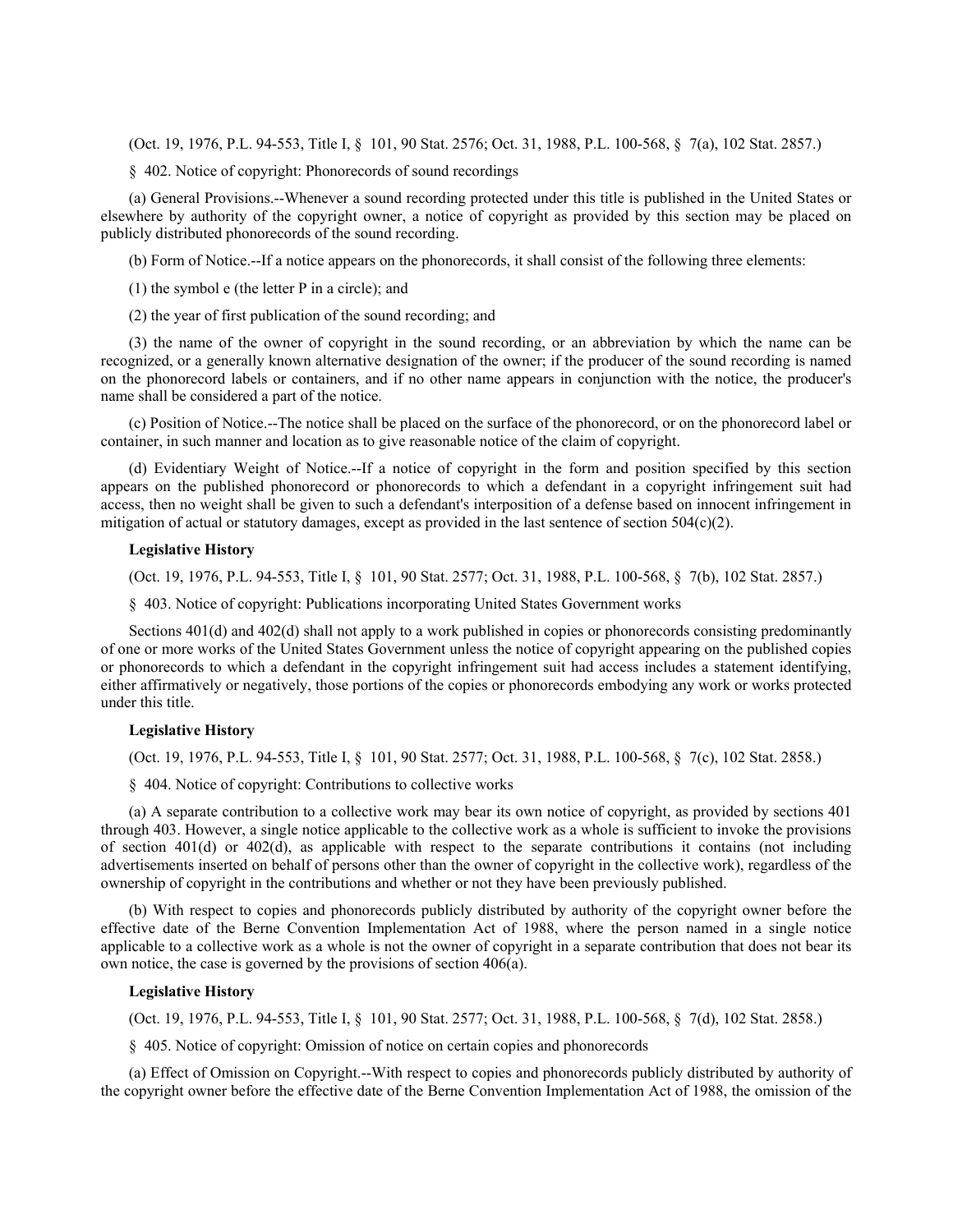(Oct. 19, 1976, P.L. 94-553, Title I, § 101, 90 Stat. 2576; Oct. 31, 1988, P.L. 100-568, § 7(a), 102 Stat. 2857.)

§ 402. Notice of copyright: Phonorecords of sound recordings

(a) General Provisions.--Whenever a sound recording protected under this title is published in the United States or elsewhere by authority of the copyright owner, a notice of copyright as provided by this section may be placed on publicly distributed phonorecords of the sound recording.

(b) Form of Notice.--If a notice appears on the phonorecords, it shall consist of the following three elements:

(1) the symbol e (the letter P in a circle); and

(2) the year of first publication of the sound recording; and

(3) the name of the owner of copyright in the sound recording, or an abbreviation by which the name can be recognized, or a generally known alternative designation of the owner; if the producer of the sound recording is named on the phonorecord labels or containers, and if no other name appears in conjunction with the notice, the producer's name shall be considered a part of the notice.

(c) Position of Notice.--The notice shall be placed on the surface of the phonorecord, or on the phonorecord label or container, in such manner and location as to give reasonable notice of the claim of copyright.

(d) Evidentiary Weight of Notice.--If a notice of copyright in the form and position specified by this section appears on the published phonorecord or phonorecords to which a defendant in a copyright infringement suit had access, then no weight shall be given to such a defendant's interposition of a defense based on innocent infringement in mitigation of actual or statutory damages, except as provided in the last sentence of section 504(c)(2).

### **Legislative History**

(Oct. 19, 1976, P.L. 94-553, Title I, § 101, 90 Stat. 2577; Oct. 31, 1988, P.L. 100-568, § 7(b), 102 Stat. 2857.)

§ 403. Notice of copyright: Publications incorporating United States Government works

Sections 401(d) and 402(d) shall not apply to a work published in copies or phonorecords consisting predominantly of one or more works of the United States Government unless the notice of copyright appearing on the published copies or phonorecords to which a defendant in the copyright infringement suit had access includes a statement identifying, either affirmatively or negatively, those portions of the copies or phonorecords embodying any work or works protected under this title.

### **Legislative History**

(Oct. 19, 1976, P.L. 94-553, Title I, § 101, 90 Stat. 2577; Oct. 31, 1988, P.L. 100-568, § 7(c), 102 Stat. 2858.)

§ 404. Notice of copyright: Contributions to collective works

(a) A separate contribution to a collective work may bear its own notice of copyright, as provided by sections 401 through 403. However, a single notice applicable to the collective work as a whole is sufficient to invoke the provisions of section 401(d) or 402(d), as applicable with respect to the separate contributions it contains (not including advertisements inserted on behalf of persons other than the owner of copyright in the collective work), regardless of the ownership of copyright in the contributions and whether or not they have been previously published.

(b) With respect to copies and phonorecords publicly distributed by authority of the copyright owner before the effective date of the Berne Convention Implementation Act of 1988, where the person named in a single notice applicable to a collective work as a whole is not the owner of copyright in a separate contribution that does not bear its own notice, the case is governed by the provisions of section 406(a).

# **Legislative History**

(Oct. 19, 1976, P.L. 94-553, Title I, § 101, 90 Stat. 2577; Oct. 31, 1988, P.L. 100-568, § 7(d), 102 Stat. 2858.)

§ 405. Notice of copyright: Omission of notice on certain copies and phonorecords

(a) Effect of Omission on Copyright.--With respect to copies and phonorecords publicly distributed by authority of the copyright owner before the effective date of the Berne Convention Implementation Act of 1988, the omission of the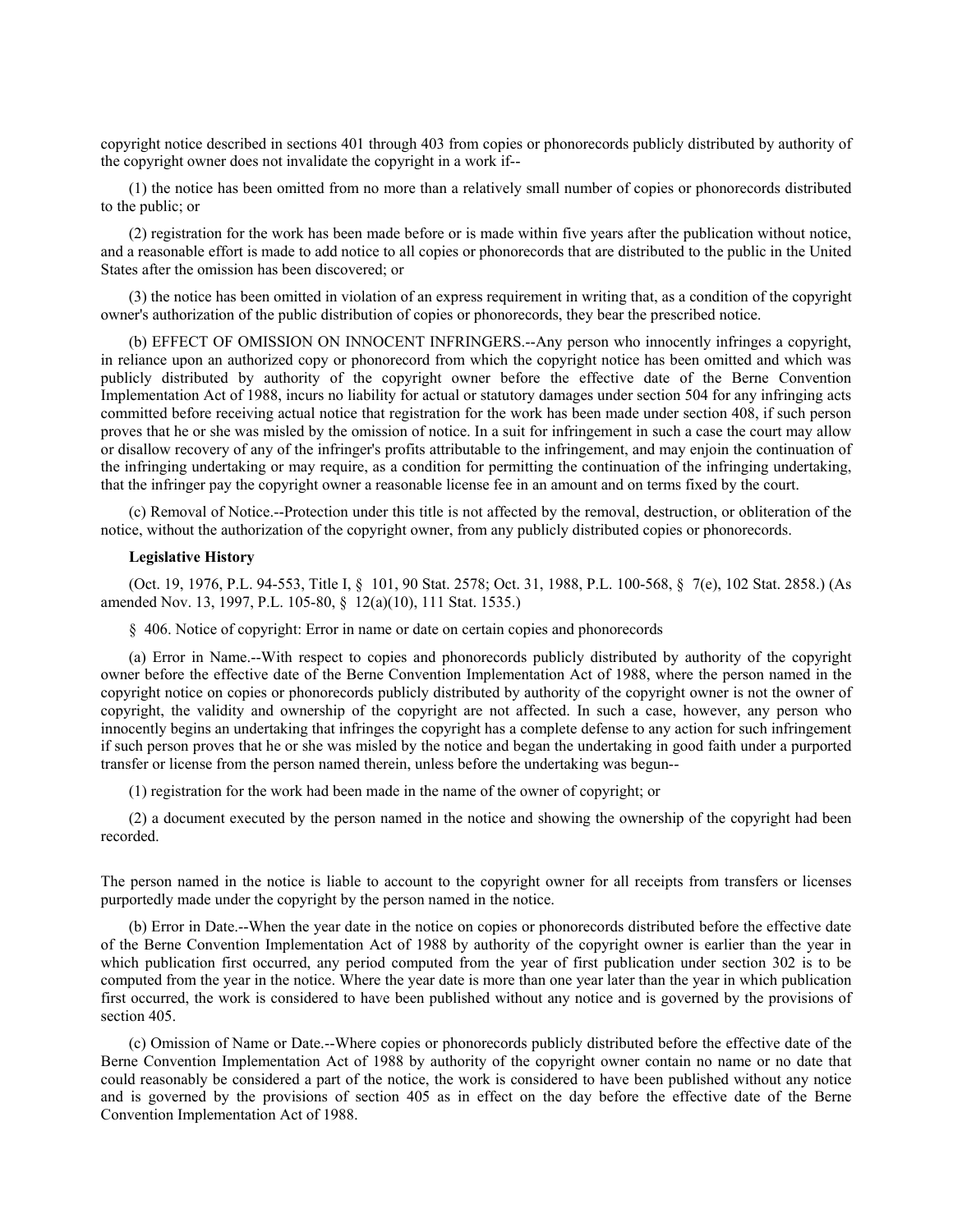copyright notice described in sections 401 through 403 from copies or phonorecords publicly distributed by authority of the copyright owner does not invalidate the copyright in a work if--

(1) the notice has been omitted from no more than a relatively small number of copies or phonorecords distributed to the public; or

(2) registration for the work has been made before or is made within five years after the publication without notice, and a reasonable effort is made to add notice to all copies or phonorecords that are distributed to the public in the United States after the omission has been discovered; or

(3) the notice has been omitted in violation of an express requirement in writing that, as a condition of the copyright owner's authorization of the public distribution of copies or phonorecords, they bear the prescribed notice.

(b) EFFECT OF OMISSION ON INNOCENT INFRINGERS.--Any person who innocently infringes a copyright, in reliance upon an authorized copy or phonorecord from which the copyright notice has been omitted and which was publicly distributed by authority of the copyright owner before the effective date of the Berne Convention Implementation Act of 1988, incurs no liability for actual or statutory damages under section 504 for any infringing acts committed before receiving actual notice that registration for the work has been made under section 408, if such person proves that he or she was misled by the omission of notice. In a suit for infringement in such a case the court may allow or disallow recovery of any of the infringer's profits attributable to the infringement, and may enjoin the continuation of the infringing undertaking or may require, as a condition for permitting the continuation of the infringing undertaking, that the infringer pay the copyright owner a reasonable license fee in an amount and on terms fixed by the court.

(c) Removal of Notice.--Protection under this title is not affected by the removal, destruction, or obliteration of the notice, without the authorization of the copyright owner, from any publicly distributed copies or phonorecords.

### **Legislative History**

(Oct. 19, 1976, P.L. 94-553, Title I, § 101, 90 Stat. 2578; Oct. 31, 1988, P.L. 100-568, § 7(e), 102 Stat. 2858.) (As amended Nov. 13, 1997, P.L. 105-80, § 12(a)(10), 111 Stat. 1535.)

§ 406. Notice of copyright: Error in name or date on certain copies and phonorecords

(a) Error in Name.--With respect to copies and phonorecords publicly distributed by authority of the copyright owner before the effective date of the Berne Convention Implementation Act of 1988, where the person named in the copyright notice on copies or phonorecords publicly distributed by authority of the copyright owner is not the owner of copyright, the validity and ownership of the copyright are not affected. In such a case, however, any person who innocently begins an undertaking that infringes the copyright has a complete defense to any action for such infringement if such person proves that he or she was misled by the notice and began the undertaking in good faith under a purported transfer or license from the person named therein, unless before the undertaking was begun--

(1) registration for the work had been made in the name of the owner of copyright; or

(2) a document executed by the person named in the notice and showing the ownership of the copyright had been recorded.

The person named in the notice is liable to account to the copyright owner for all receipts from transfers or licenses purportedly made under the copyright by the person named in the notice.

(b) Error in Date.--When the year date in the notice on copies or phonorecords distributed before the effective date of the Berne Convention Implementation Act of 1988 by authority of the copyright owner is earlier than the year in which publication first occurred, any period computed from the year of first publication under section 302 is to be computed from the year in the notice. Where the year date is more than one year later than the year in which publication first occurred, the work is considered to have been published without any notice and is governed by the provisions of section 405.

(c) Omission of Name or Date.--Where copies or phonorecords publicly distributed before the effective date of the Berne Convention Implementation Act of 1988 by authority of the copyright owner contain no name or no date that could reasonably be considered a part of the notice, the work is considered to have been published without any notice and is governed by the provisions of section 405 as in effect on the day before the effective date of the Berne Convention Implementation Act of 1988.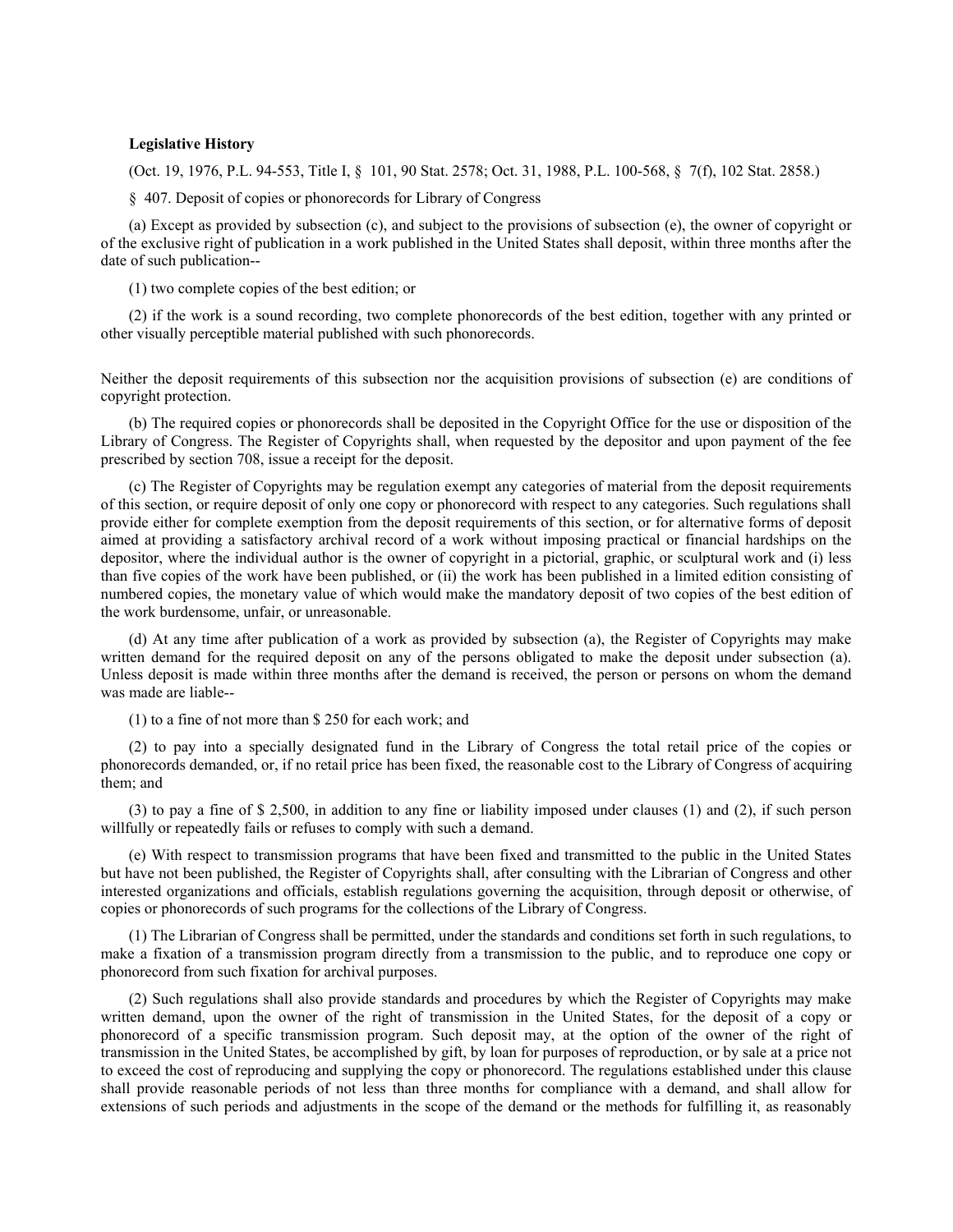# **Legislative History**

(Oct. 19, 1976, P.L. 94-553, Title I, § 101, 90 Stat. 2578; Oct. 31, 1988, P.L. 100-568, § 7(f), 102 Stat. 2858.)

§ 407. Deposit of copies or phonorecords for Library of Congress

(a) Except as provided by subsection (c), and subject to the provisions of subsection (e), the owner of copyright or of the exclusive right of publication in a work published in the United States shall deposit, within three months after the date of such publication--

(1) two complete copies of the best edition; or

(2) if the work is a sound recording, two complete phonorecords of the best edition, together with any printed or other visually perceptible material published with such phonorecords.

Neither the deposit requirements of this subsection nor the acquisition provisions of subsection (e) are conditions of copyright protection.

(b) The required copies or phonorecords shall be deposited in the Copyright Office for the use or disposition of the Library of Congress. The Register of Copyrights shall, when requested by the depositor and upon payment of the fee prescribed by section 708, issue a receipt for the deposit.

(c) The Register of Copyrights may be regulation exempt any categories of material from the deposit requirements of this section, or require deposit of only one copy or phonorecord with respect to any categories. Such regulations shall provide either for complete exemption from the deposit requirements of this section, or for alternative forms of deposit aimed at providing a satisfactory archival record of a work without imposing practical or financial hardships on the depositor, where the individual author is the owner of copyright in a pictorial, graphic, or sculptural work and (i) less than five copies of the work have been published, or (ii) the work has been published in a limited edition consisting of numbered copies, the monetary value of which would make the mandatory deposit of two copies of the best edition of the work burdensome, unfair, or unreasonable.

(d) At any time after publication of a work as provided by subsection (a), the Register of Copyrights may make written demand for the required deposit on any of the persons obligated to make the deposit under subsection (a). Unless deposit is made within three months after the demand is received, the person or persons on whom the demand was made are liable--

(1) to a fine of not more than \$ 250 for each work; and

(2) to pay into a specially designated fund in the Library of Congress the total retail price of the copies or phonorecords demanded, or, if no retail price has been fixed, the reasonable cost to the Library of Congress of acquiring them; and

(3) to pay a fine of \$ 2,500, in addition to any fine or liability imposed under clauses (1) and (2), if such person willfully or repeatedly fails or refuses to comply with such a demand.

(e) With respect to transmission programs that have been fixed and transmitted to the public in the United States but have not been published, the Register of Copyrights shall, after consulting with the Librarian of Congress and other interested organizations and officials, establish regulations governing the acquisition, through deposit or otherwise, of copies or phonorecords of such programs for the collections of the Library of Congress.

(1) The Librarian of Congress shall be permitted, under the standards and conditions set forth in such regulations, to make a fixation of a transmission program directly from a transmission to the public, and to reproduce one copy or phonorecord from such fixation for archival purposes.

(2) Such regulations shall also provide standards and procedures by which the Register of Copyrights may make written demand, upon the owner of the right of transmission in the United States, for the deposit of a copy or phonorecord of a specific transmission program. Such deposit may, at the option of the owner of the right of transmission in the United States, be accomplished by gift, by loan for purposes of reproduction, or by sale at a price not to exceed the cost of reproducing and supplying the copy or phonorecord. The regulations established under this clause shall provide reasonable periods of not less than three months for compliance with a demand, and shall allow for extensions of such periods and adjustments in the scope of the demand or the methods for fulfilling it, as reasonably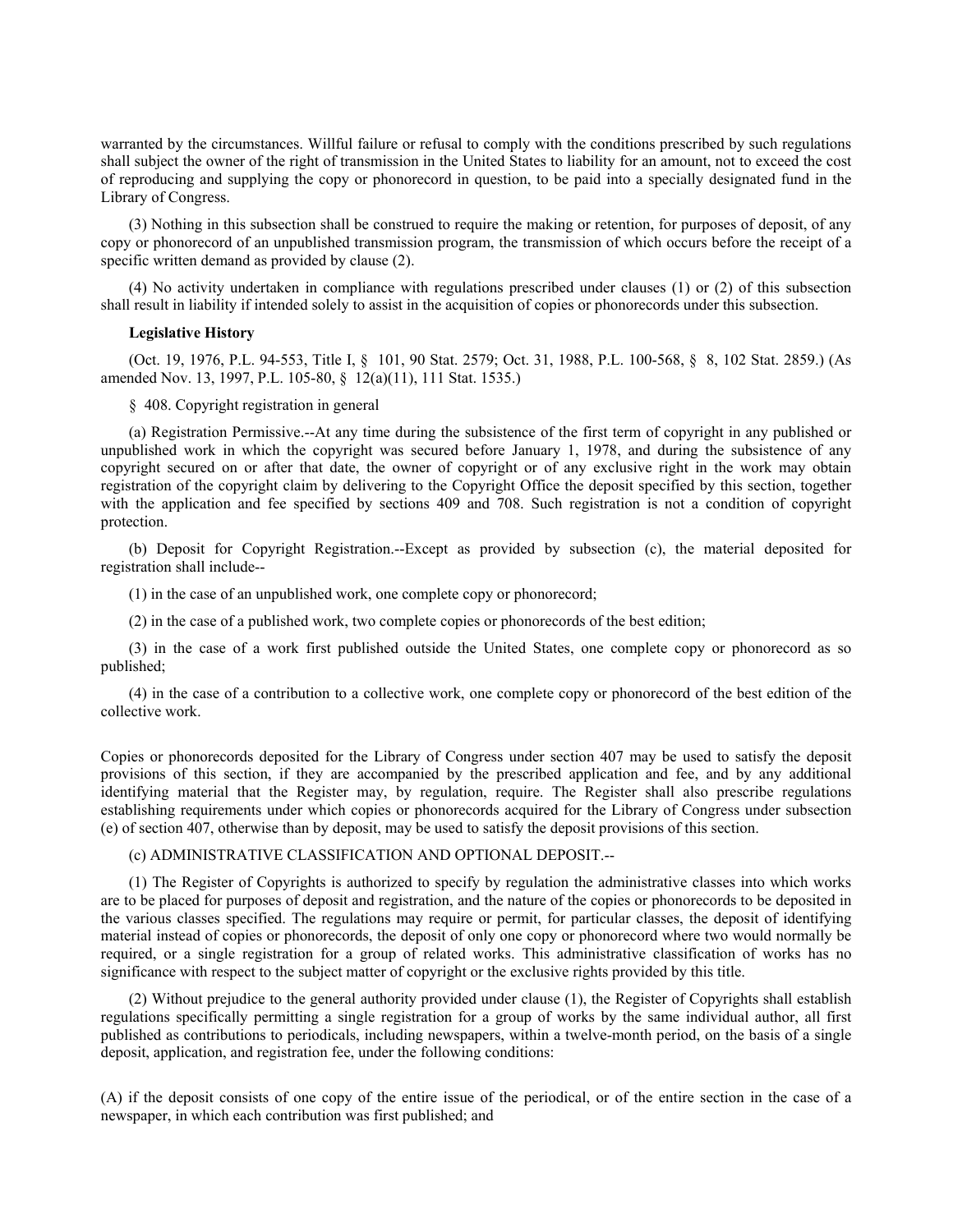warranted by the circumstances. Willful failure or refusal to comply with the conditions prescribed by such regulations shall subject the owner of the right of transmission in the United States to liability for an amount, not to exceed the cost of reproducing and supplying the copy or phonorecord in question, to be paid into a specially designated fund in the Library of Congress.

(3) Nothing in this subsection shall be construed to require the making or retention, for purposes of deposit, of any copy or phonorecord of an unpublished transmission program, the transmission of which occurs before the receipt of a specific written demand as provided by clause (2).

(4) No activity undertaken in compliance with regulations prescribed under clauses (1) or (2) of this subsection shall result in liability if intended solely to assist in the acquisition of copies or phonorecords under this subsection.

### **Legislative History**

(Oct. 19, 1976, P.L. 94-553, Title I, § 101, 90 Stat. 2579; Oct. 31, 1988, P.L. 100-568, § 8, 102 Stat. 2859.) (As amended Nov. 13, 1997, P.L. 105-80, § 12(a)(11), 111 Stat. 1535.)

§ 408. Copyright registration in general

(a) Registration Permissive.--At any time during the subsistence of the first term of copyright in any published or unpublished work in which the copyright was secured before January 1, 1978, and during the subsistence of any copyright secured on or after that date, the owner of copyright or of any exclusive right in the work may obtain registration of the copyright claim by delivering to the Copyright Office the deposit specified by this section, together with the application and fee specified by sections 409 and 708. Such registration is not a condition of copyright protection.

(b) Deposit for Copyright Registration.--Except as provided by subsection (c), the material deposited for registration shall include--

(1) in the case of an unpublished work, one complete copy or phonorecord;

(2) in the case of a published work, two complete copies or phonorecords of the best edition;

(3) in the case of a work first published outside the United States, one complete copy or phonorecord as so published;

(4) in the case of a contribution to a collective work, one complete copy or phonorecord of the best edition of the collective work.

Copies or phonorecords deposited for the Library of Congress under section 407 may be used to satisfy the deposit provisions of this section, if they are accompanied by the prescribed application and fee, and by any additional identifying material that the Register may, by regulation, require. The Register shall also prescribe regulations establishing requirements under which copies or phonorecords acquired for the Library of Congress under subsection (e) of section 407, otherwise than by deposit, may be used to satisfy the deposit provisions of this section.

# (c) ADMINISTRATIVE CLASSIFICATION AND OPTIONAL DEPOSIT.--

(1) The Register of Copyrights is authorized to specify by regulation the administrative classes into which works are to be placed for purposes of deposit and registration, and the nature of the copies or phonorecords to be deposited in the various classes specified. The regulations may require or permit, for particular classes, the deposit of identifying material instead of copies or phonorecords, the deposit of only one copy or phonorecord where two would normally be required, or a single registration for a group of related works. This administrative classification of works has no significance with respect to the subject matter of copyright or the exclusive rights provided by this title.

(2) Without prejudice to the general authority provided under clause (1), the Register of Copyrights shall establish regulations specifically permitting a single registration for a group of works by the same individual author, all first published as contributions to periodicals, including newspapers, within a twelve-month period, on the basis of a single deposit, application, and registration fee, under the following conditions:

(A) if the deposit consists of one copy of the entire issue of the periodical, or of the entire section in the case of a newspaper, in which each contribution was first published; and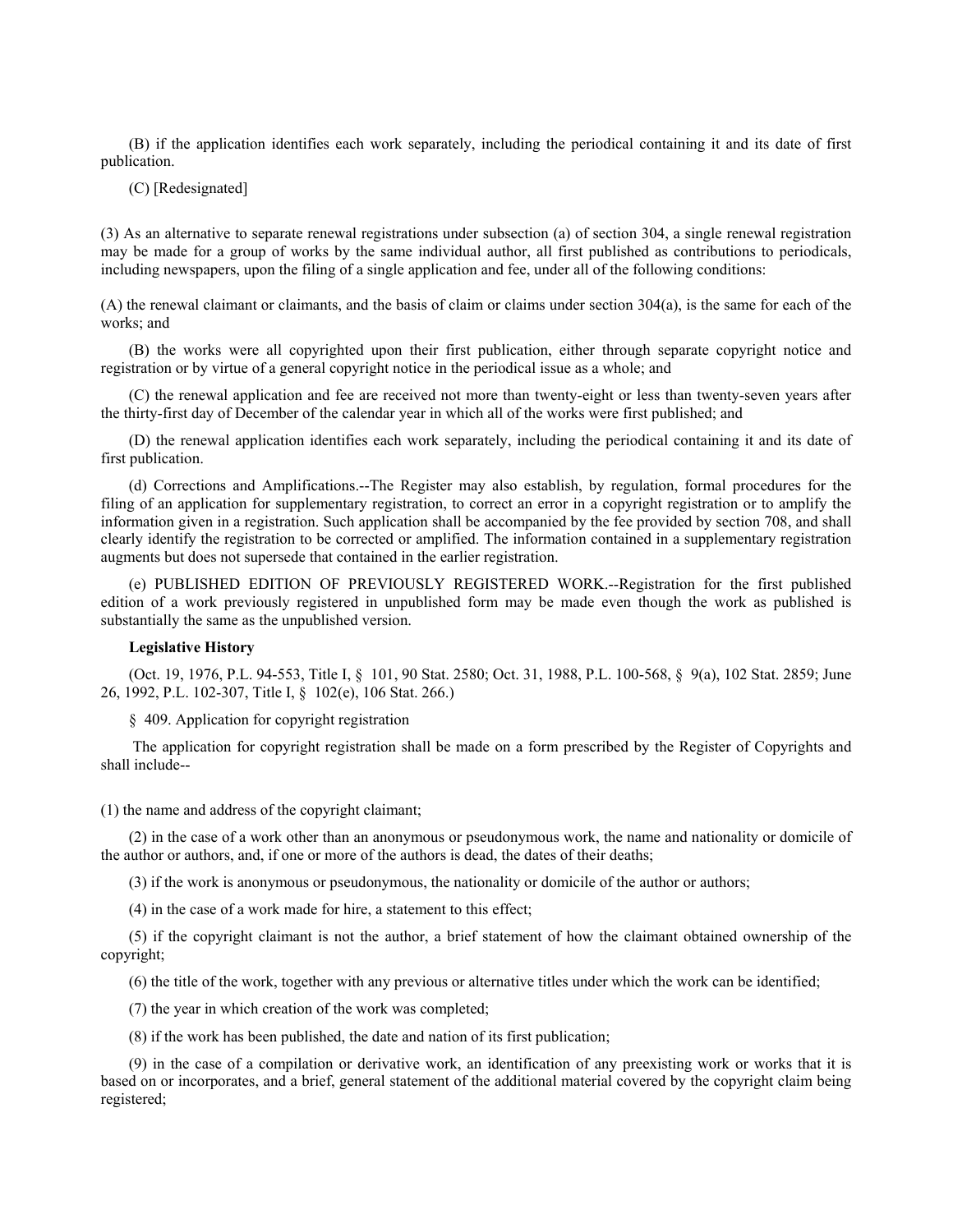(B) if the application identifies each work separately, including the periodical containing it and its date of first publication.

## (C) [Redesignated]

(3) As an alternative to separate renewal registrations under subsection (a) of section 304, a single renewal registration may be made for a group of works by the same individual author, all first published as contributions to periodicals, including newspapers, upon the filing of a single application and fee, under all of the following conditions:

(A) the renewal claimant or claimants, and the basis of claim or claims under section 304(a), is the same for each of the works; and

(B) the works were all copyrighted upon their first publication, either through separate copyright notice and registration or by virtue of a general copyright notice in the periodical issue as a whole; and

(C) the renewal application and fee are received not more than twenty-eight or less than twenty-seven years after the thirty-first day of December of the calendar year in which all of the works were first published; and

(D) the renewal application identifies each work separately, including the periodical containing it and its date of first publication.

(d) Corrections and Amplifications.--The Register may also establish, by regulation, formal procedures for the filing of an application for supplementary registration, to correct an error in a copyright registration or to amplify the information given in a registration. Such application shall be accompanied by the fee provided by section 708, and shall clearly identify the registration to be corrected or amplified. The information contained in a supplementary registration augments but does not supersede that contained in the earlier registration.

(e) PUBLISHED EDITION OF PREVIOUSLY REGISTERED WORK.--Registration for the first published edition of a work previously registered in unpublished form may be made even though the work as published is substantially the same as the unpublished version.

## **Legislative History**

(Oct. 19, 1976, P.L. 94-553, Title I, § 101, 90 Stat. 2580; Oct. 31, 1988, P.L. 100-568, § 9(a), 102 Stat. 2859; June 26, 1992, P.L. 102-307, Title I, § 102(e), 106 Stat. 266.)

§ 409. Application for copyright registration

 The application for copyright registration shall be made on a form prescribed by the Register of Copyrights and shall include--

(1) the name and address of the copyright claimant;

(2) in the case of a work other than an anonymous or pseudonymous work, the name and nationality or domicile of the author or authors, and, if one or more of the authors is dead, the dates of their deaths;

(3) if the work is anonymous or pseudonymous, the nationality or domicile of the author or authors;

(4) in the case of a work made for hire, a statement to this effect;

(5) if the copyright claimant is not the author, a brief statement of how the claimant obtained ownership of the copyright;

(6) the title of the work, together with any previous or alternative titles under which the work can be identified;

(7) the year in which creation of the work was completed;

(8) if the work has been published, the date and nation of its first publication;

(9) in the case of a compilation or derivative work, an identification of any preexisting work or works that it is based on or incorporates, and a brief, general statement of the additional material covered by the copyright claim being registered;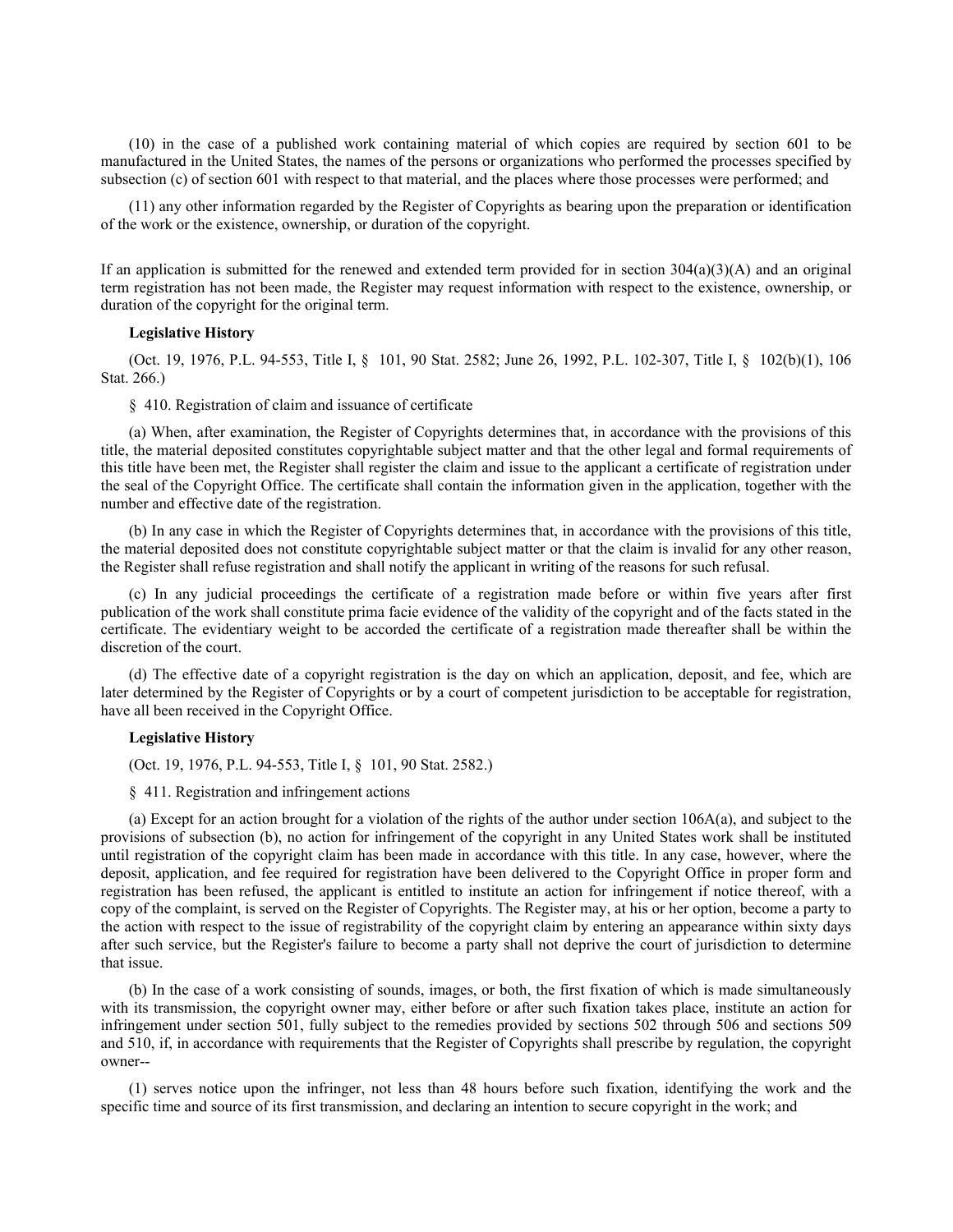(10) in the case of a published work containing material of which copies are required by section 601 to be manufactured in the United States, the names of the persons or organizations who performed the processes specified by subsection (c) of section 601 with respect to that material, and the places where those processes were performed; and

(11) any other information regarded by the Register of Copyrights as bearing upon the preparation or identification of the work or the existence, ownership, or duration of the copyright.

If an application is submitted for the renewed and extended term provided for in section  $304(a)(3)(A)$  and an original term registration has not been made, the Register may request information with respect to the existence, ownership, or duration of the copyright for the original term.

# **Legislative History**

(Oct. 19, 1976, P.L. 94-553, Title I, § 101, 90 Stat. 2582; June 26, 1992, P.L. 102-307, Title I, § 102(b)(1), 106 Stat. 266.)

§ 410. Registration of claim and issuance of certificate

(a) When, after examination, the Register of Copyrights determines that, in accordance with the provisions of this title, the material deposited constitutes copyrightable subject matter and that the other legal and formal requirements of this title have been met, the Register shall register the claim and issue to the applicant a certificate of registration under the seal of the Copyright Office. The certificate shall contain the information given in the application, together with the number and effective date of the registration.

(b) In any case in which the Register of Copyrights determines that, in accordance with the provisions of this title, the material deposited does not constitute copyrightable subject matter or that the claim is invalid for any other reason, the Register shall refuse registration and shall notify the applicant in writing of the reasons for such refusal.

(c) In any judicial proceedings the certificate of a registration made before or within five years after first publication of the work shall constitute prima facie evidence of the validity of the copyright and of the facts stated in the certificate. The evidentiary weight to be accorded the certificate of a registration made thereafter shall be within the discretion of the court.

(d) The effective date of a copyright registration is the day on which an application, deposit, and fee, which are later determined by the Register of Copyrights or by a court of competent jurisdiction to be acceptable for registration, have all been received in the Copyright Office.

## **Legislative History**

(Oct. 19, 1976, P.L. 94-553, Title I, § 101, 90 Stat. 2582.)

§ 411. Registration and infringement actions

(a) Except for an action brought for a violation of the rights of the author under section  $106A(a)$ , and subject to the provisions of subsection (b), no action for infringement of the copyright in any United States work shall be instituted until registration of the copyright claim has been made in accordance with this title. In any case, however, where the deposit, application, and fee required for registration have been delivered to the Copyright Office in proper form and registration has been refused, the applicant is entitled to institute an action for infringement if notice thereof, with a copy of the complaint, is served on the Register of Copyrights. The Register may, at his or her option, become a party to the action with respect to the issue of registrability of the copyright claim by entering an appearance within sixty days after such service, but the Register's failure to become a party shall not deprive the court of jurisdiction to determine that issue.

(b) In the case of a work consisting of sounds, images, or both, the first fixation of which is made simultaneously with its transmission, the copyright owner may, either before or after such fixation takes place, institute an action for infringement under section 501, fully subject to the remedies provided by sections 502 through 506 and sections 509 and 510, if, in accordance with requirements that the Register of Copyrights shall prescribe by regulation, the copyright owner--

(1) serves notice upon the infringer, not less than 48 hours before such fixation, identifying the work and the specific time and source of its first transmission, and declaring an intention to secure copyright in the work; and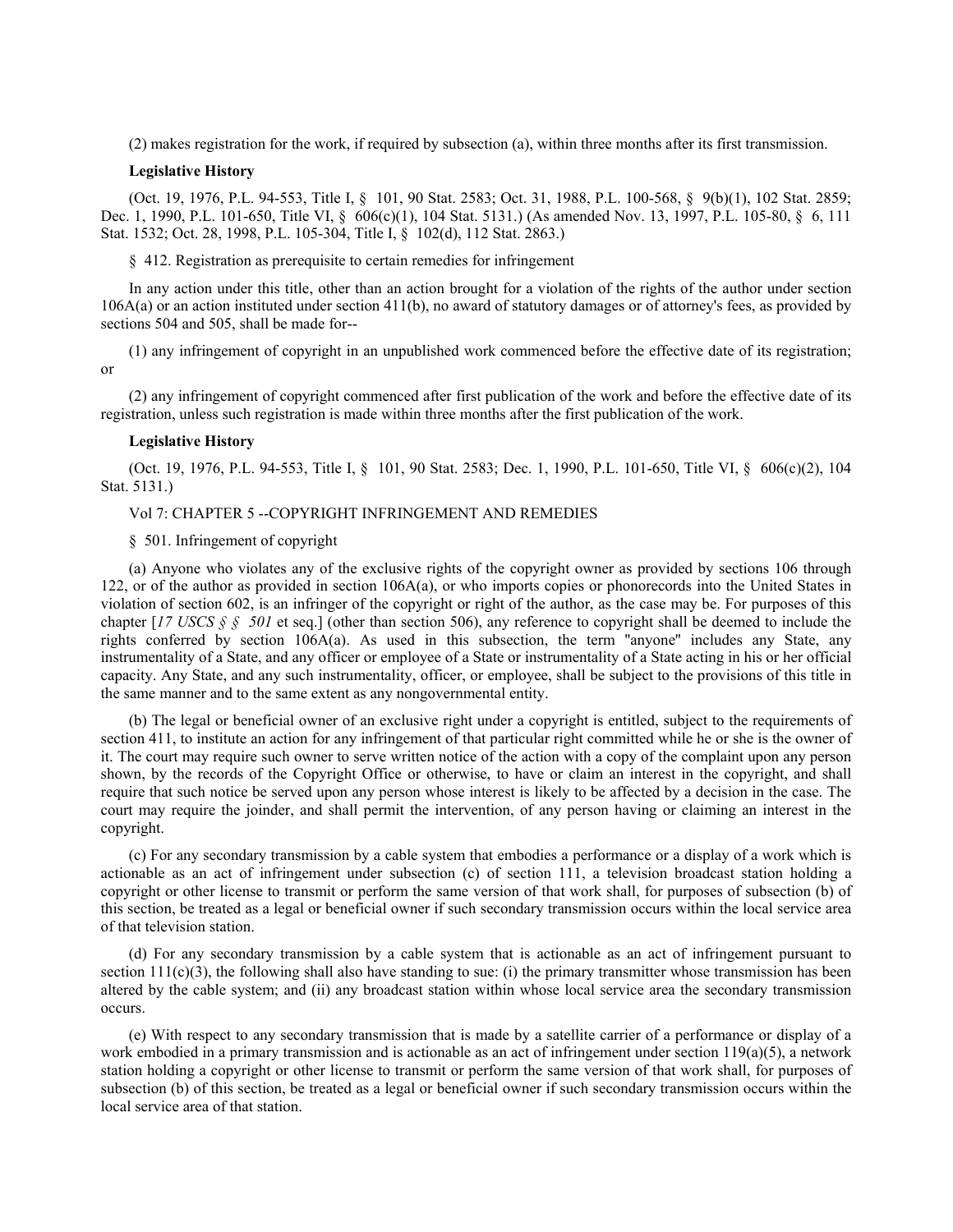(2) makes registration for the work, if required by subsection (a), within three months after its first transmission.

#### **Legislative History**

(Oct. 19, 1976, P.L. 94-553, Title I, § 101, 90 Stat. 2583; Oct. 31, 1988, P.L. 100-568, § 9(b)(1), 102 Stat. 2859; Dec. 1, 1990, P.L. 101-650, Title VI, § 606(c)(1), 104 Stat. 5131.) (As amended Nov. 13, 1997, P.L. 105-80, § 6, 111 Stat. 1532; Oct. 28, 1998, P.L. 105-304, Title I, § 102(d), 112 Stat. 2863.)

§ 412. Registration as prerequisite to certain remedies for infringement

In any action under this title, other than an action brought for a violation of the rights of the author under section 106A(a) or an action instituted under section 411(b), no award of statutory damages or of attorney's fees, as provided by sections 504 and 505, shall be made for--

(1) any infringement of copyright in an unpublished work commenced before the effective date of its registration; or

(2) any infringement of copyright commenced after first publication of the work and before the effective date of its registration, unless such registration is made within three months after the first publication of the work.

### **Legislative History**

(Oct. 19, 1976, P.L. 94-553, Title I, § 101, 90 Stat. 2583; Dec. 1, 1990, P.L. 101-650, Title VI, § 606(c)(2), 104 Stat. 5131.)

# Vol 7: CHAPTER 5 --COPYRIGHT INFRINGEMENT AND REMEDIES

§ 501. Infringement of copyright

(a) Anyone who violates any of the exclusive rights of the copyright owner as provided by sections 106 through 122, or of the author as provided in section 106A(a), or who imports copies or phonorecords into the United States in violation of section 602, is an infringer of the copyright or right of the author, as the case may be. For purposes of this chapter  $[17 \text{ USCS } \xi \xi 501]$  et seq.] (other than section 506), any reference to copyright shall be deemed to include the rights conferred by section  $106A(a)$ . As used in this subsection, the term "anyone" includes any State, any instrumentality of a State, and any officer or employee of a State or instrumentality of a State acting in his or her official capacity. Any State, and any such instrumentality, officer, or employee, shall be subject to the provisions of this title in the same manner and to the same extent as any nongovernmental entity.

(b) The legal or beneficial owner of an exclusive right under a copyright is entitled, subject to the requirements of section 411, to institute an action for any infringement of that particular right committed while he or she is the owner of it. The court may require such owner to serve written notice of the action with a copy of the complaint upon any person shown, by the records of the Copyright Office or otherwise, to have or claim an interest in the copyright, and shall require that such notice be served upon any person whose interest is likely to be affected by a decision in the case. The court may require the joinder, and shall permit the intervention, of any person having or claiming an interest in the copyright.

(c) For any secondary transmission by a cable system that embodies a performance or a display of a work which is actionable as an act of infringement under subsection (c) of section 111, a television broadcast station holding a copyright or other license to transmit or perform the same version of that work shall, for purposes of subsection (b) of this section, be treated as a legal or beneficial owner if such secondary transmission occurs within the local service area of that television station.

(d) For any secondary transmission by a cable system that is actionable as an act of infringement pursuant to section  $111(c)(3)$ , the following shall also have standing to sue: (i) the primary transmitter whose transmission has been altered by the cable system; and (ii) any broadcast station within whose local service area the secondary transmission occurs.

(e) With respect to any secondary transmission that is made by a satellite carrier of a performance or display of a work embodied in a primary transmission and is actionable as an act of infringement under section 119(a)(5), a network station holding a copyright or other license to transmit or perform the same version of that work shall, for purposes of subsection (b) of this section, be treated as a legal or beneficial owner if such secondary transmission occurs within the local service area of that station.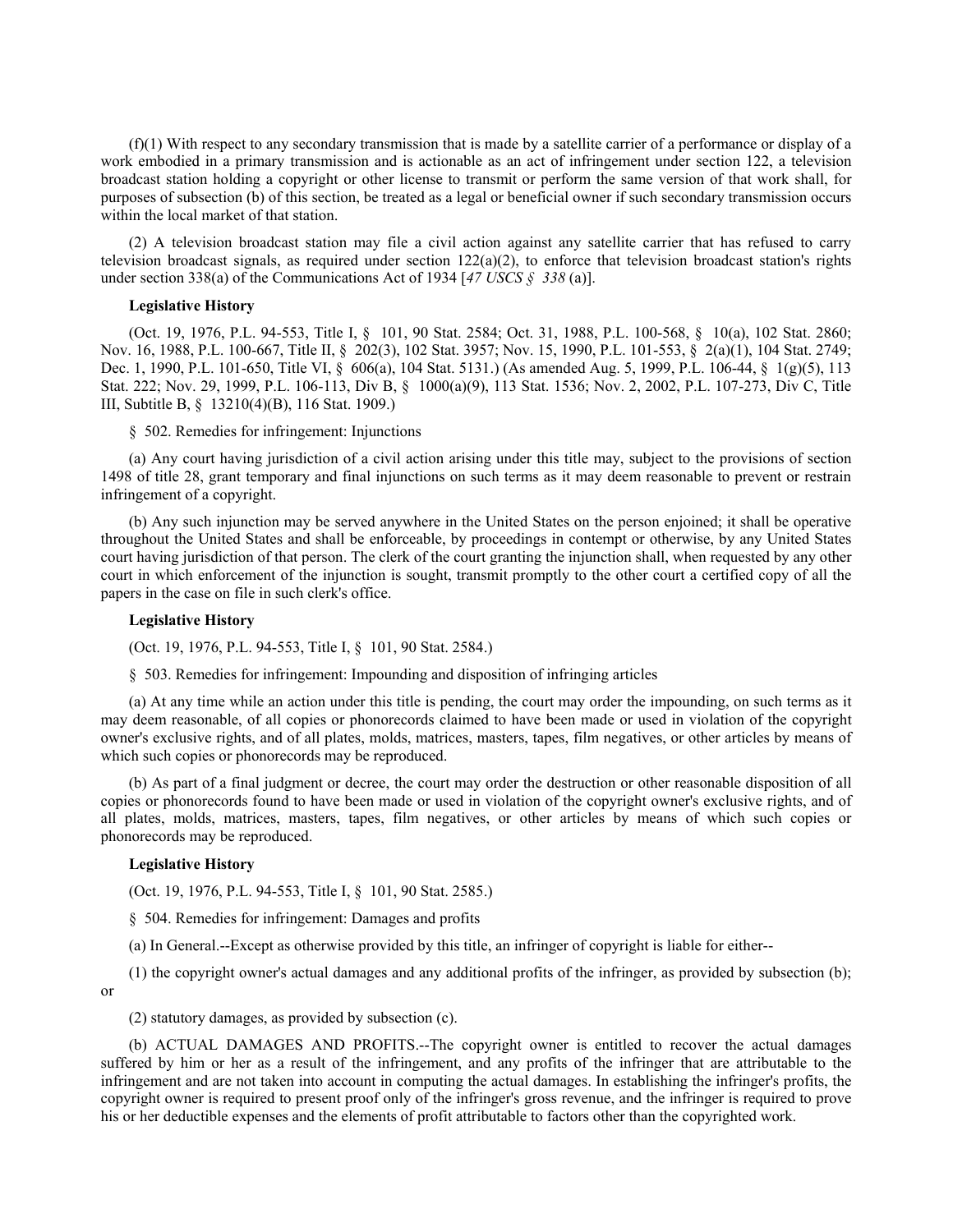$(f)(1)$  With respect to any secondary transmission that is made by a satellite carrier of a performance or display of a work embodied in a primary transmission and is actionable as an act of infringement under section 122, a television broadcast station holding a copyright or other license to transmit or perform the same version of that work shall, for purposes of subsection (b) of this section, be treated as a legal or beneficial owner if such secondary transmission occurs within the local market of that station.

(2) A television broadcast station may file a civil action against any satellite carrier that has refused to carry television broadcast signals, as required under section  $122(a)(2)$ , to enforce that television broadcast station's rights under section 338(a) of the Communications Act of 1934 [*47 USCS § 338* (a)].

#### **Legislative History**

(Oct. 19, 1976, P.L. 94-553, Title I, § 101, 90 Stat. 2584; Oct. 31, 1988, P.L. 100-568, § 10(a), 102 Stat. 2860; Nov. 16, 1988, P.L. 100-667, Title II, § 202(3), 102 Stat. 3957; Nov. 15, 1990, P.L. 101-553, § 2(a)(1), 104 Stat. 2749; Dec. 1, 1990, P.L. 101-650, Title VI, § 606(a), 104 Stat. 5131.) (As amended Aug. 5, 1999, P.L. 106-44, § 1(g)(5), 113 Stat. 222; Nov. 29, 1999, P.L. 106-113, Div B, § 1000(a)(9), 113 Stat. 1536; Nov. 2, 2002, P.L. 107-273, Div C, Title III, Subtitle B, § 13210(4)(B), 116 Stat. 1909.)

§ 502. Remedies for infringement: Injunctions

(a) Any court having jurisdiction of a civil action arising under this title may, subject to the provisions of section 1498 of title 28, grant temporary and final injunctions on such terms as it may deem reasonable to prevent or restrain infringement of a copyright.

(b) Any such injunction may be served anywhere in the United States on the person enjoined; it shall be operative throughout the United States and shall be enforceable, by proceedings in contempt or otherwise, by any United States court having jurisdiction of that person. The clerk of the court granting the injunction shall, when requested by any other court in which enforcement of the injunction is sought, transmit promptly to the other court a certified copy of all the papers in the case on file in such clerk's office.

#### **Legislative History**

(Oct. 19, 1976, P.L. 94-553, Title I, § 101, 90 Stat. 2584.)

§ 503. Remedies for infringement: Impounding and disposition of infringing articles

(a) At any time while an action under this title is pending, the court may order the impounding, on such terms as it may deem reasonable, of all copies or phonorecords claimed to have been made or used in violation of the copyright owner's exclusive rights, and of all plates, molds, matrices, masters, tapes, film negatives, or other articles by means of which such copies or phonorecords may be reproduced.

(b) As part of a final judgment or decree, the court may order the destruction or other reasonable disposition of all copies or phonorecords found to have been made or used in violation of the copyright owner's exclusive rights, and of all plates, molds, matrices, masters, tapes, film negatives, or other articles by means of which such copies or phonorecords may be reproduced.

## **Legislative History**

(Oct. 19, 1976, P.L. 94-553, Title I, § 101, 90 Stat. 2585.)

§ 504. Remedies for infringement: Damages and profits

(a) In General.--Except as otherwise provided by this title, an infringer of copyright is liable for either--

(1) the copyright owner's actual damages and any additional profits of the infringer, as provided by subsection (b);

or

(2) statutory damages, as provided by subsection (c).

(b) ACTUAL DAMAGES AND PROFITS.--The copyright owner is entitled to recover the actual damages suffered by him or her as a result of the infringement, and any profits of the infringer that are attributable to the infringement and are not taken into account in computing the actual damages. In establishing the infringer's profits, the copyright owner is required to present proof only of the infringer's gross revenue, and the infringer is required to prove his or her deductible expenses and the elements of profit attributable to factors other than the copyrighted work.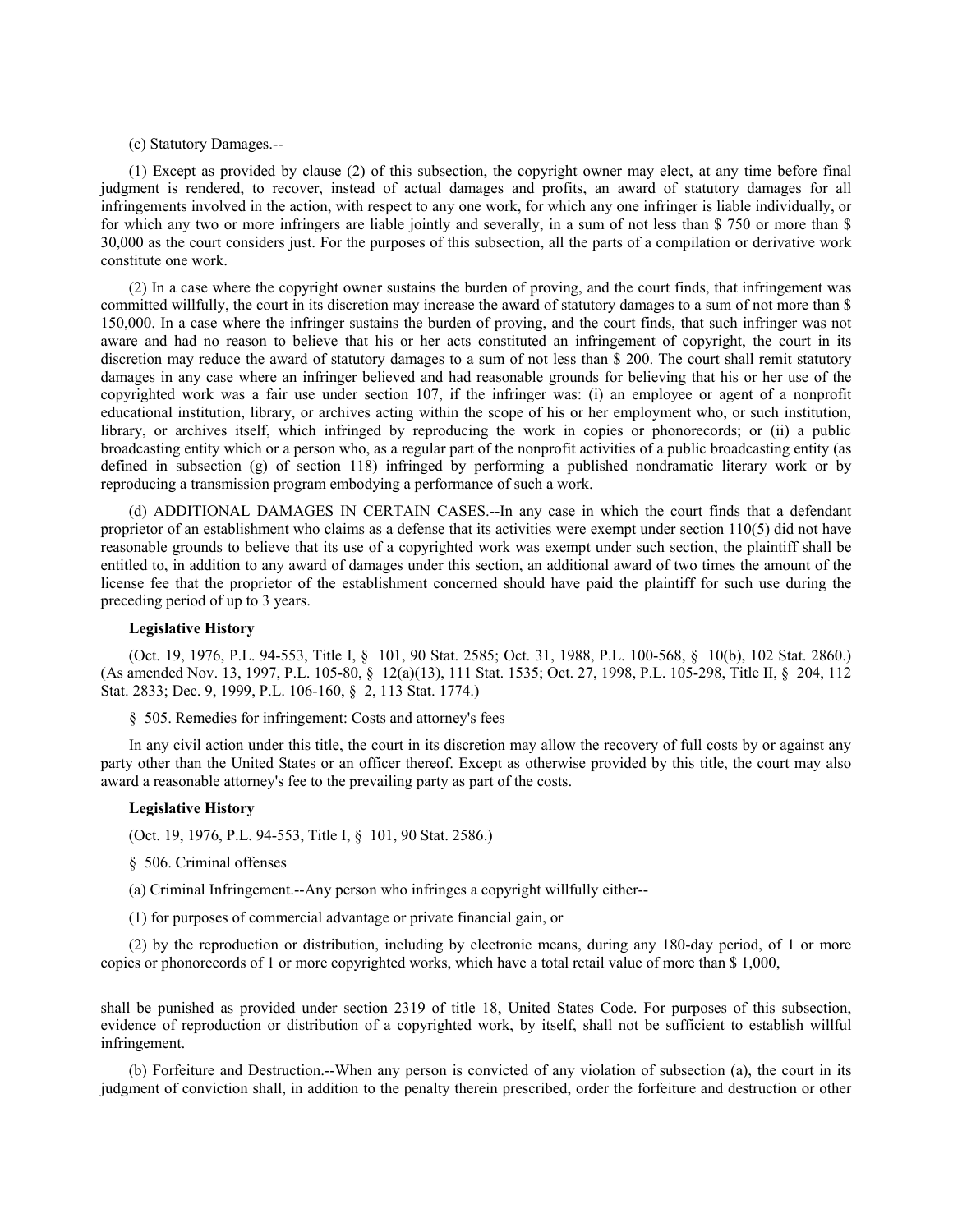### (c) Statutory Damages.--

(1) Except as provided by clause (2) of this subsection, the copyright owner may elect, at any time before final judgment is rendered, to recover, instead of actual damages and profits, an award of statutory damages for all infringements involved in the action, with respect to any one work, for which any one infringer is liable individually, or for which any two or more infringers are liable jointly and severally, in a sum of not less than \$ 750 or more than \$ 30,000 as the court considers just. For the purposes of this subsection, all the parts of a compilation or derivative work constitute one work.

(2) In a case where the copyright owner sustains the burden of proving, and the court finds, that infringement was committed willfully, the court in its discretion may increase the award of statutory damages to a sum of not more than \$ 150,000. In a case where the infringer sustains the burden of proving, and the court finds, that such infringer was not aware and had no reason to believe that his or her acts constituted an infringement of copyright, the court in its discretion may reduce the award of statutory damages to a sum of not less than \$ 200. The court shall remit statutory damages in any case where an infringer believed and had reasonable grounds for believing that his or her use of the copyrighted work was a fair use under section 107, if the infringer was: (i) an employee or agent of a nonprofit educational institution, library, or archives acting within the scope of his or her employment who, or such institution, library, or archives itself, which infringed by reproducing the work in copies or phonorecords; or (ii) a public broadcasting entity which or a person who, as a regular part of the nonprofit activities of a public broadcasting entity (as defined in subsection (g) of section 118) infringed by performing a published nondramatic literary work or by reproducing a transmission program embodying a performance of such a work.

(d) ADDITIONAL DAMAGES IN CERTAIN CASES.--In any case in which the court finds that a defendant proprietor of an establishment who claims as a defense that its activities were exempt under section 110(5) did not have reasonable grounds to believe that its use of a copyrighted work was exempt under such section, the plaintiff shall be entitled to, in addition to any award of damages under this section, an additional award of two times the amount of the license fee that the proprietor of the establishment concerned should have paid the plaintiff for such use during the preceding period of up to 3 years.

### **Legislative History**

(Oct. 19, 1976, P.L. 94-553, Title I, § 101, 90 Stat. 2585; Oct. 31, 1988, P.L. 100-568, § 10(b), 102 Stat. 2860.) (As amended Nov. 13, 1997, P.L. 105-80, § 12(a)(13), 111 Stat. 1535; Oct. 27, 1998, P.L. 105-298, Title II, § 204, 112 Stat. 2833; Dec. 9, 1999, P.L. 106-160, § 2, 113 Stat. 1774.)

§ 505. Remedies for infringement: Costs and attorney's fees

In any civil action under this title, the court in its discretion may allow the recovery of full costs by or against any party other than the United States or an officer thereof. Except as otherwise provided by this title, the court may also award a reasonable attorney's fee to the prevailing party as part of the costs.

#### **Legislative History**

(Oct. 19, 1976, P.L. 94-553, Title I, § 101, 90 Stat. 2586.)

- § 506. Criminal offenses
- (a) Criminal Infringement.--Any person who infringes a copyright willfully either--
- (1) for purposes of commercial advantage or private financial gain, or

(2) by the reproduction or distribution, including by electronic means, during any 180-day period, of 1 or more copies or phonorecords of 1 or more copyrighted works, which have a total retail value of more than \$ 1,000,

shall be punished as provided under section 2319 of title 18, United States Code. For purposes of this subsection, evidence of reproduction or distribution of a copyrighted work, by itself, shall not be sufficient to establish willful infringement.

(b) Forfeiture and Destruction.--When any person is convicted of any violation of subsection (a), the court in its judgment of conviction shall, in addition to the penalty therein prescribed, order the forfeiture and destruction or other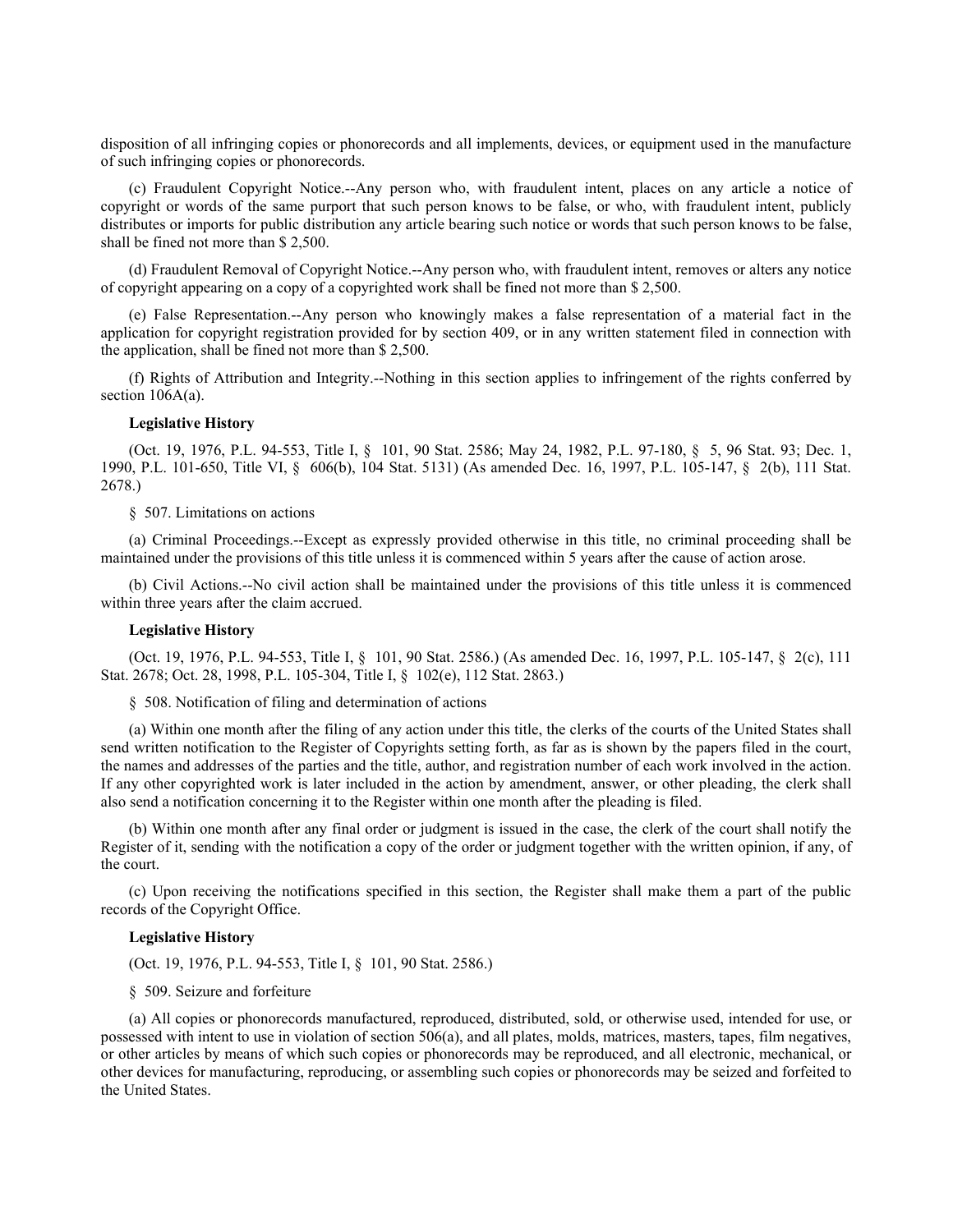disposition of all infringing copies or phonorecords and all implements, devices, or equipment used in the manufacture of such infringing copies or phonorecords.

(c) Fraudulent Copyright Notice.--Any person who, with fraudulent intent, places on any article a notice of copyright or words of the same purport that such person knows to be false, or who, with fraudulent intent, publicly distributes or imports for public distribution any article bearing such notice or words that such person knows to be false, shall be fined not more than \$ 2,500.

(d) Fraudulent Removal of Copyright Notice.--Any person who, with fraudulent intent, removes or alters any notice of copyright appearing on a copy of a copyrighted work shall be fined not more than \$ 2,500.

(e) False Representation.--Any person who knowingly makes a false representation of a material fact in the application for copyright registration provided for by section 409, or in any written statement filed in connection with the application, shall be fined not more than \$ 2,500.

(f) Rights of Attribution and Integrity.--Nothing in this section applies to infringement of the rights conferred by section  $106A(a)$ .

#### **Legislative History**

(Oct. 19, 1976, P.L. 94-553, Title I, § 101, 90 Stat. 2586; May 24, 1982, P.L. 97-180, § 5, 96 Stat. 93; Dec. 1, 1990, P.L. 101-650, Title VI, § 606(b), 104 Stat. 5131) (As amended Dec. 16, 1997, P.L. 105-147, § 2(b), 111 Stat. 2678.)

#### § 507. Limitations on actions

(a) Criminal Proceedings.--Except as expressly provided otherwise in this title, no criminal proceeding shall be maintained under the provisions of this title unless it is commenced within 5 years after the cause of action arose.

(b) Civil Actions.--No civil action shall be maintained under the provisions of this title unless it is commenced within three years after the claim accrued.

### **Legislative History**

(Oct. 19, 1976, P.L. 94-553, Title I, § 101, 90 Stat. 2586.) (As amended Dec. 16, 1997, P.L. 105-147, § 2(c), 111 Stat. 2678; Oct. 28, 1998, P.L. 105-304, Title I, § 102(e), 112 Stat. 2863.)

§ 508. Notification of filing and determination of actions

(a) Within one month after the filing of any action under this title, the clerks of the courts of the United States shall send written notification to the Register of Copyrights setting forth, as far as is shown by the papers filed in the court, the names and addresses of the parties and the title, author, and registration number of each work involved in the action. If any other copyrighted work is later included in the action by amendment, answer, or other pleading, the clerk shall also send a notification concerning it to the Register within one month after the pleading is filed.

(b) Within one month after any final order or judgment is issued in the case, the clerk of the court shall notify the Register of it, sending with the notification a copy of the order or judgment together with the written opinion, if any, of the court.

(c) Upon receiving the notifications specified in this section, the Register shall make them a part of the public records of the Copyright Office.

#### **Legislative History**

(Oct. 19, 1976, P.L. 94-553, Title I, § 101, 90 Stat. 2586.)

§ 509. Seizure and forfeiture

(a) All copies or phonorecords manufactured, reproduced, distributed, sold, or otherwise used, intended for use, or possessed with intent to use in violation of section 506(a), and all plates, molds, matrices, masters, tapes, film negatives, or other articles by means of which such copies or phonorecords may be reproduced, and all electronic, mechanical, or other devices for manufacturing, reproducing, or assembling such copies or phonorecords may be seized and forfeited to the United States.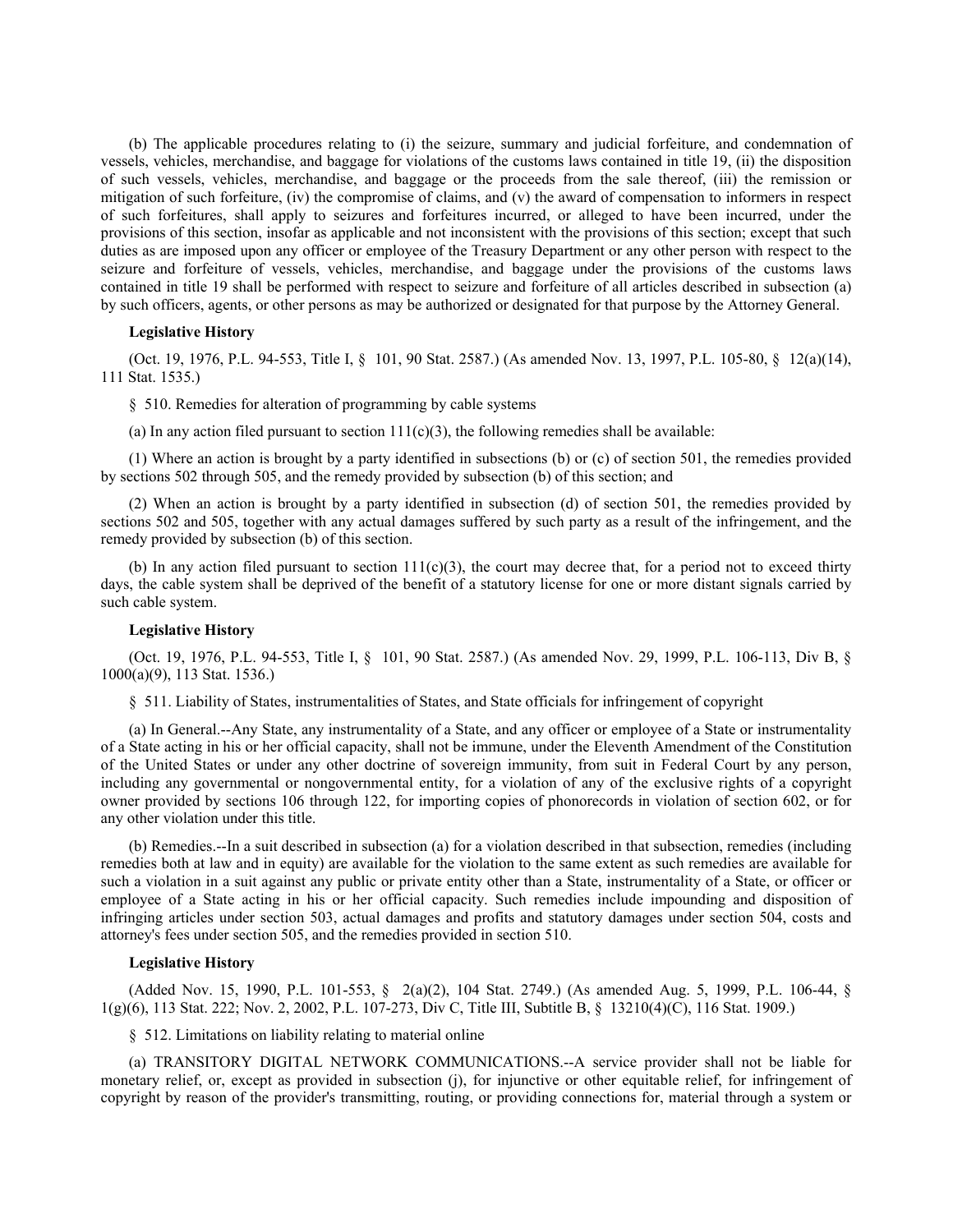(b) The applicable procedures relating to (i) the seizure, summary and judicial forfeiture, and condemnation of vessels, vehicles, merchandise, and baggage for violations of the customs laws contained in title 19, (ii) the disposition of such vessels, vehicles, merchandise, and baggage or the proceeds from the sale thereof, (iii) the remission or mitigation of such forfeiture, (iv) the compromise of claims, and (v) the award of compensation to informers in respect of such forfeitures, shall apply to seizures and forfeitures incurred, or alleged to have been incurred, under the provisions of this section, insofar as applicable and not inconsistent with the provisions of this section; except that such duties as are imposed upon any officer or employee of the Treasury Department or any other person with respect to the seizure and forfeiture of vessels, vehicles, merchandise, and baggage under the provisions of the customs laws contained in title 19 shall be performed with respect to seizure and forfeiture of all articles described in subsection (a) by such officers, agents, or other persons as may be authorized or designated for that purpose by the Attorney General.

#### **Legislative History**

(Oct. 19, 1976, P.L. 94-553, Title I, § 101, 90 Stat. 2587.) (As amended Nov. 13, 1997, P.L. 105-80, § 12(a)(14), 111 Stat. 1535.)

§ 510. Remedies for alteration of programming by cable systems

(a) In any action filed pursuant to section  $111(c)(3)$ , the following remedies shall be available:

(1) Where an action is brought by a party identified in subsections (b) or (c) of section 501, the remedies provided by sections 502 through 505, and the remedy provided by subsection (b) of this section; and

(2) When an action is brought by a party identified in subsection (d) of section 501, the remedies provided by sections 502 and 505, together with any actual damages suffered by such party as a result of the infringement, and the remedy provided by subsection (b) of this section.

(b) In any action filed pursuant to section  $111(c)(3)$ , the court may decree that, for a period not to exceed thirty days, the cable system shall be deprived of the benefit of a statutory license for one or more distant signals carried by such cable system.

#### **Legislative History**

(Oct. 19, 1976, P.L. 94-553, Title I, § 101, 90 Stat. 2587.) (As amended Nov. 29, 1999, P.L. 106-113, Div B, § 1000(a)(9), 113 Stat. 1536.)

§ 511. Liability of States, instrumentalities of States, and State officials for infringement of copyright

(a) In General.--Any State, any instrumentality of a State, and any officer or employee of a State or instrumentality of a State acting in his or her official capacity, shall not be immune, under the Eleventh Amendment of the Constitution of the United States or under any other doctrine of sovereign immunity, from suit in Federal Court by any person, including any governmental or nongovernmental entity, for a violation of any of the exclusive rights of a copyright owner provided by sections 106 through 122, for importing copies of phonorecords in violation of section 602, or for any other violation under this title.

(b) Remedies.--In a suit described in subsection (a) for a violation described in that subsection, remedies (including remedies both at law and in equity) are available for the violation to the same extent as such remedies are available for such a violation in a suit against any public or private entity other than a State, instrumentality of a State, or officer or employee of a State acting in his or her official capacity. Such remedies include impounding and disposition of infringing articles under section 503, actual damages and profits and statutory damages under section 504, costs and attorney's fees under section 505, and the remedies provided in section 510.

## **Legislative History**

(Added Nov. 15, 1990, P.L. 101-553, § 2(a)(2), 104 Stat. 2749.) (As amended Aug. 5, 1999, P.L. 106-44, § 1(g)(6), 113 Stat. 222; Nov. 2, 2002, P.L. 107-273, Div C, Title III, Subtitle B, § 13210(4)(C), 116 Stat. 1909.)

§ 512. Limitations on liability relating to material online

(a) TRANSITORY DIGITAL NETWORK COMMUNICATIONS.--A service provider shall not be liable for monetary relief, or, except as provided in subsection (j), for injunctive or other equitable relief, for infringement of copyright by reason of the provider's transmitting, routing, or providing connections for, material through a system or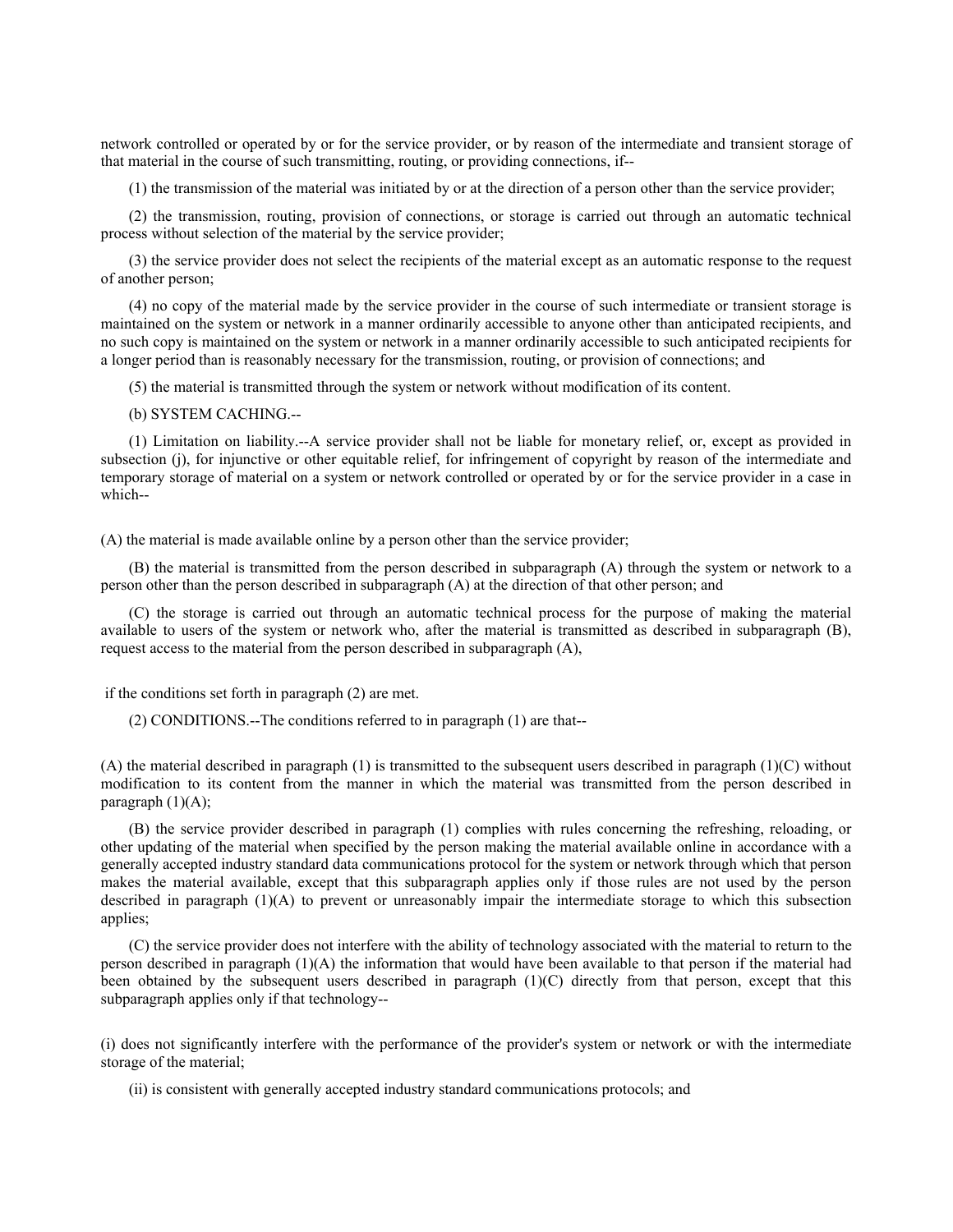network controlled or operated by or for the service provider, or by reason of the intermediate and transient storage of that material in the course of such transmitting, routing, or providing connections, if--

(1) the transmission of the material was initiated by or at the direction of a person other than the service provider;

(2) the transmission, routing, provision of connections, or storage is carried out through an automatic technical process without selection of the material by the service provider;

(3) the service provider does not select the recipients of the material except as an automatic response to the request of another person;

(4) no copy of the material made by the service provider in the course of such intermediate or transient storage is maintained on the system or network in a manner ordinarily accessible to anyone other than anticipated recipients, and no such copy is maintained on the system or network in a manner ordinarily accessible to such anticipated recipients for a longer period than is reasonably necessary for the transmission, routing, or provision of connections; and

(5) the material is transmitted through the system or network without modification of its content.

(b) SYSTEM CACHING.--

(1) Limitation on liability.--A service provider shall not be liable for monetary relief, or, except as provided in subsection (j), for injunctive or other equitable relief, for infringement of copyright by reason of the intermediate and temporary storage of material on a system or network controlled or operated by or for the service provider in a case in which--

(A) the material is made available online by a person other than the service provider;

(B) the material is transmitted from the person described in subparagraph (A) through the system or network to a person other than the person described in subparagraph (A) at the direction of that other person; and

(C) the storage is carried out through an automatic technical process for the purpose of making the material available to users of the system or network who, after the material is transmitted as described in subparagraph (B), request access to the material from the person described in subparagraph (A),

if the conditions set forth in paragraph (2) are met.

(2) CONDITIONS.--The conditions referred to in paragraph (1) are that--

(A) the material described in paragraph  $(1)$  is transmitted to the subsequent users described in paragraph  $(1)(C)$  without modification to its content from the manner in which the material was transmitted from the person described in paragraph  $(1)(A)$ ;

(B) the service provider described in paragraph (1) complies with rules concerning the refreshing, reloading, or other updating of the material when specified by the person making the material available online in accordance with a generally accepted industry standard data communications protocol for the system or network through which that person makes the material available, except that this subparagraph applies only if those rules are not used by the person described in paragraph (1)(A) to prevent or unreasonably impair the intermediate storage to which this subsection applies;

(C) the service provider does not interfere with the ability of technology associated with the material to return to the person described in paragraph (1)(A) the information that would have been available to that person if the material had been obtained by the subsequent users described in paragraph (1)(C) directly from that person, except that this subparagraph applies only if that technology--

(i) does not significantly interfere with the performance of the provider's system or network or with the intermediate storage of the material;

(ii) is consistent with generally accepted industry standard communications protocols; and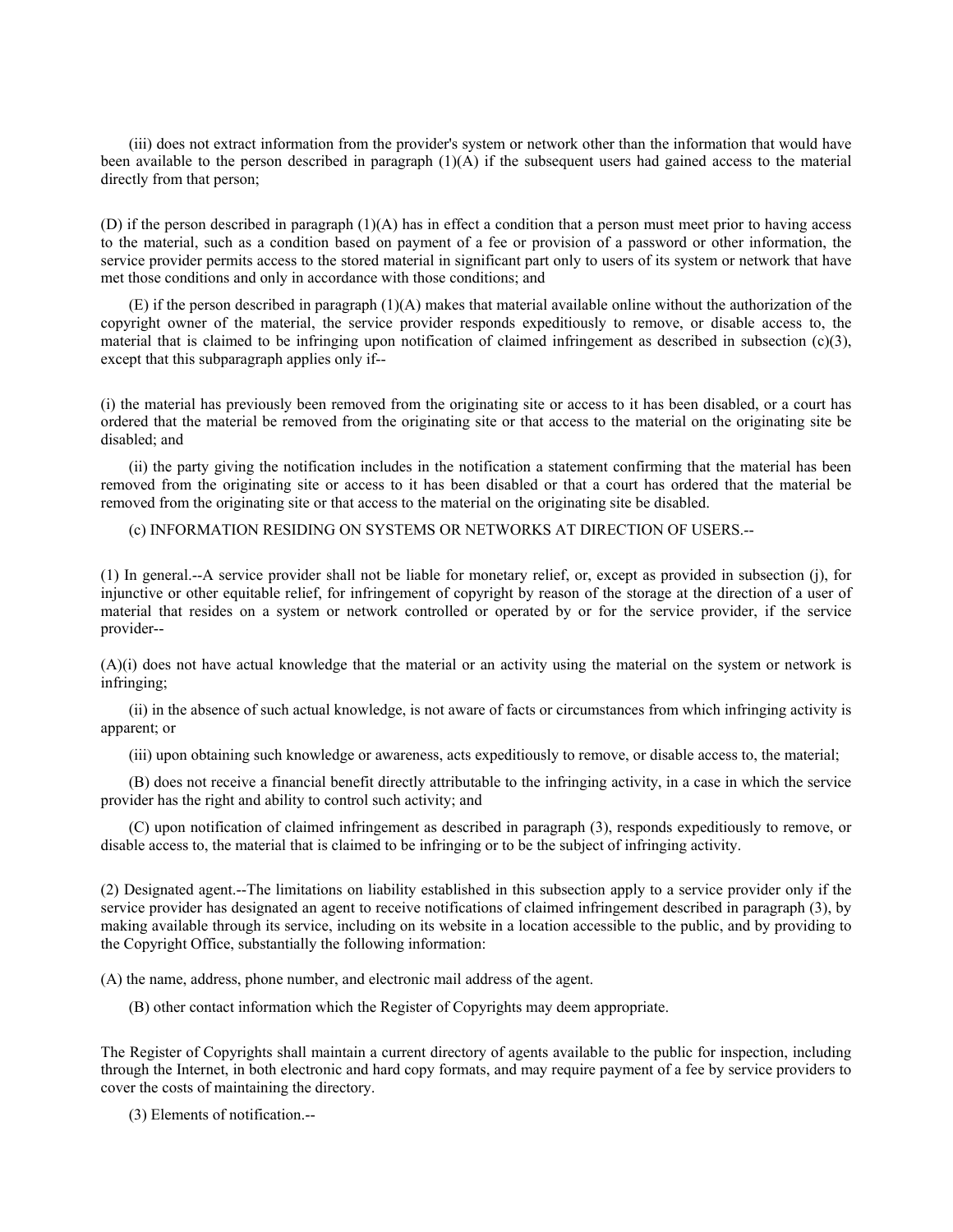(iii) does not extract information from the provider's system or network other than the information that would have been available to the person described in paragraph (1)(A) if the subsequent users had gained access to the material directly from that person;

(D) if the person described in paragraph  $(1)(A)$  has in effect a condition that a person must meet prior to having access to the material, such as a condition based on payment of a fee or provision of a password or other information, the service provider permits access to the stored material in significant part only to users of its system or network that have met those conditions and only in accordance with those conditions; and

(E) if the person described in paragraph (1)(A) makes that material available online without the authorization of the copyright owner of the material, the service provider responds expeditiously to remove, or disable access to, the material that is claimed to be infringing upon notification of claimed infringement as described in subsection (c)(3), except that this subparagraph applies only if--

(i) the material has previously been removed from the originating site or access to it has been disabled, or a court has ordered that the material be removed from the originating site or that access to the material on the originating site be disabled; and

(ii) the party giving the notification includes in the notification a statement confirming that the material has been removed from the originating site or access to it has been disabled or that a court has ordered that the material be removed from the originating site or that access to the material on the originating site be disabled.

(c) INFORMATION RESIDING ON SYSTEMS OR NETWORKS AT DIRECTION OF USERS.--

(1) In general.--A service provider shall not be liable for monetary relief, or, except as provided in subsection (j), for injunctive or other equitable relief, for infringement of copyright by reason of the storage at the direction of a user of material that resides on a system or network controlled or operated by or for the service provider, if the service provider--

(A)(i) does not have actual knowledge that the material or an activity using the material on the system or network is infringing;

(ii) in the absence of such actual knowledge, is not aware of facts or circumstances from which infringing activity is apparent; or

(iii) upon obtaining such knowledge or awareness, acts expeditiously to remove, or disable access to, the material;

(B) does not receive a financial benefit directly attributable to the infringing activity, in a case in which the service provider has the right and ability to control such activity; and

(C) upon notification of claimed infringement as described in paragraph (3), responds expeditiously to remove, or disable access to, the material that is claimed to be infringing or to be the subject of infringing activity.

(2) Designated agent.--The limitations on liability established in this subsection apply to a service provider only if the service provider has designated an agent to receive notifications of claimed infringement described in paragraph (3), by making available through its service, including on its website in a location accessible to the public, and by providing to the Copyright Office, substantially the following information:

(A) the name, address, phone number, and electronic mail address of the agent.

(B) other contact information which the Register of Copyrights may deem appropriate.

The Register of Copyrights shall maintain a current directory of agents available to the public for inspection, including through the Internet, in both electronic and hard copy formats, and may require payment of a fee by service providers to cover the costs of maintaining the directory.

(3) Elements of notification.--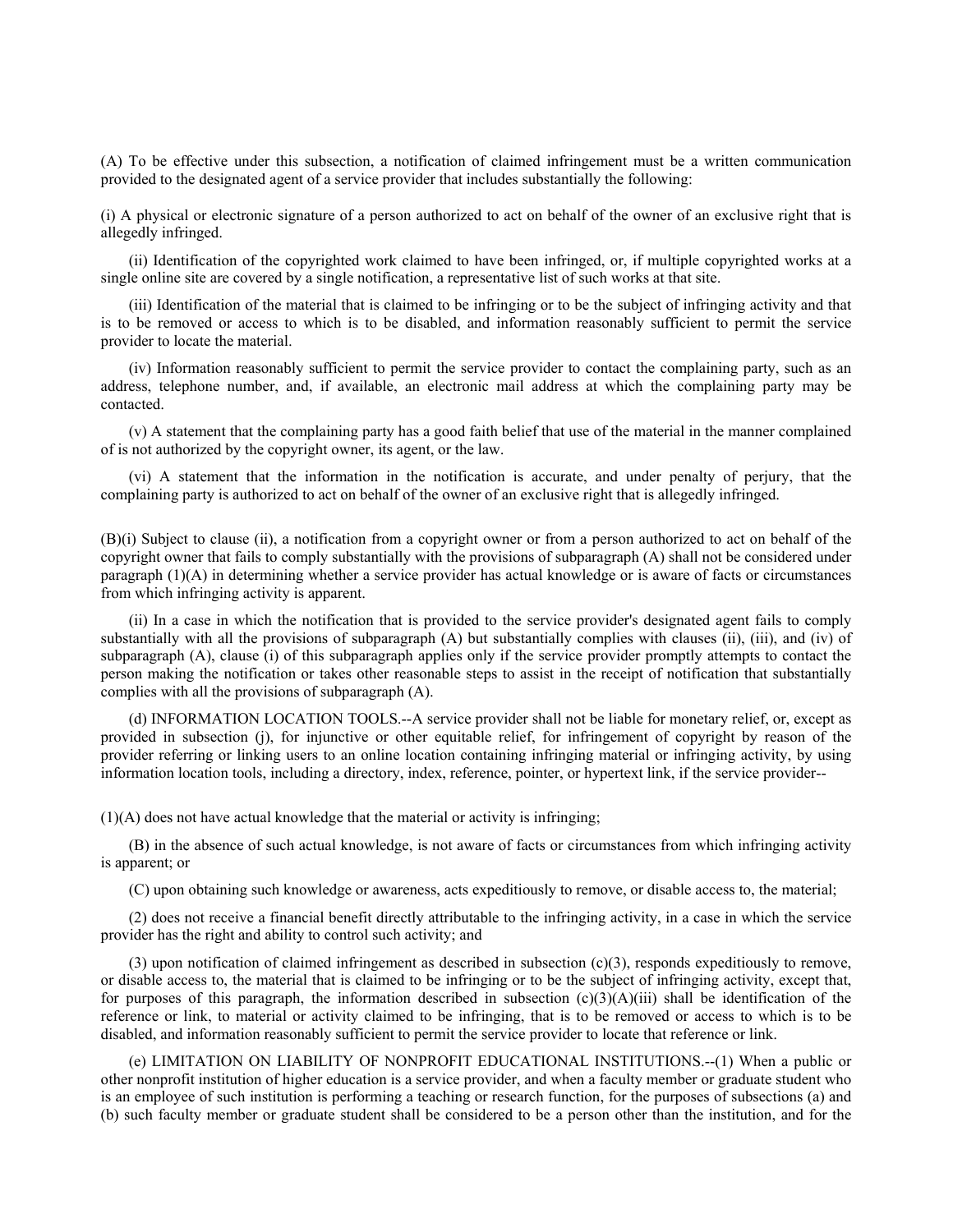(A) To be effective under this subsection, a notification of claimed infringement must be a written communication provided to the designated agent of a service provider that includes substantially the following:

(i) A physical or electronic signature of a person authorized to act on behalf of the owner of an exclusive right that is allegedly infringed.

(ii) Identification of the copyrighted work claimed to have been infringed, or, if multiple copyrighted works at a single online site are covered by a single notification, a representative list of such works at that site.

(iii) Identification of the material that is claimed to be infringing or to be the subject of infringing activity and that is to be removed or access to which is to be disabled, and information reasonably sufficient to permit the service provider to locate the material.

(iv) Information reasonably sufficient to permit the service provider to contact the complaining party, such as an address, telephone number, and, if available, an electronic mail address at which the complaining party may be contacted.

(v) A statement that the complaining party has a good faith belief that use of the material in the manner complained of is not authorized by the copyright owner, its agent, or the law.

(vi) A statement that the information in the notification is accurate, and under penalty of perjury, that the complaining party is authorized to act on behalf of the owner of an exclusive right that is allegedly infringed.

(B)(i) Subject to clause (ii), a notification from a copyright owner or from a person authorized to act on behalf of the copyright owner that fails to comply substantially with the provisions of subparagraph (A) shall not be considered under paragraph (1)(A) in determining whether a service provider has actual knowledge or is aware of facts or circumstances from which infringing activity is apparent.

(ii) In a case in which the notification that is provided to the service provider's designated agent fails to comply substantially with all the provisions of subparagraph (A) but substantially complies with clauses (ii), (iii), and (iv) of subparagraph (A), clause (i) of this subparagraph applies only if the service provider promptly attempts to contact the person making the notification or takes other reasonable steps to assist in the receipt of notification that substantially complies with all the provisions of subparagraph (A).

(d) INFORMATION LOCATION TOOLS.--A service provider shall not be liable for monetary relief, or, except as provided in subsection (j), for injunctive or other equitable relief, for infringement of copyright by reason of the provider referring or linking users to an online location containing infringing material or infringing activity, by using information location tools, including a directory, index, reference, pointer, or hypertext link, if the service provider--

(1)(A) does not have actual knowledge that the material or activity is infringing;

(B) in the absence of such actual knowledge, is not aware of facts or circumstances from which infringing activity is apparent; or

(C) upon obtaining such knowledge or awareness, acts expeditiously to remove, or disable access to, the material;

(2) does not receive a financial benefit directly attributable to the infringing activity, in a case in which the service provider has the right and ability to control such activity; and

(3) upon notification of claimed infringement as described in subsection (c)(3), responds expeditiously to remove, or disable access to, the material that is claimed to be infringing or to be the subject of infringing activity, except that, for purposes of this paragraph, the information described in subsection  $(c)(3)(A)(iii)$  shall be identification of the reference or link, to material or activity claimed to be infringing, that is to be removed or access to which is to be disabled, and information reasonably sufficient to permit the service provider to locate that reference or link.

(e) LIMITATION ON LIABILITY OF NONPROFIT EDUCATIONAL INSTITUTIONS.--(1) When a public or other nonprofit institution of higher education is a service provider, and when a faculty member or graduate student who is an employee of such institution is performing a teaching or research function, for the purposes of subsections (a) and (b) such faculty member or graduate student shall be considered to be a person other than the institution, and for the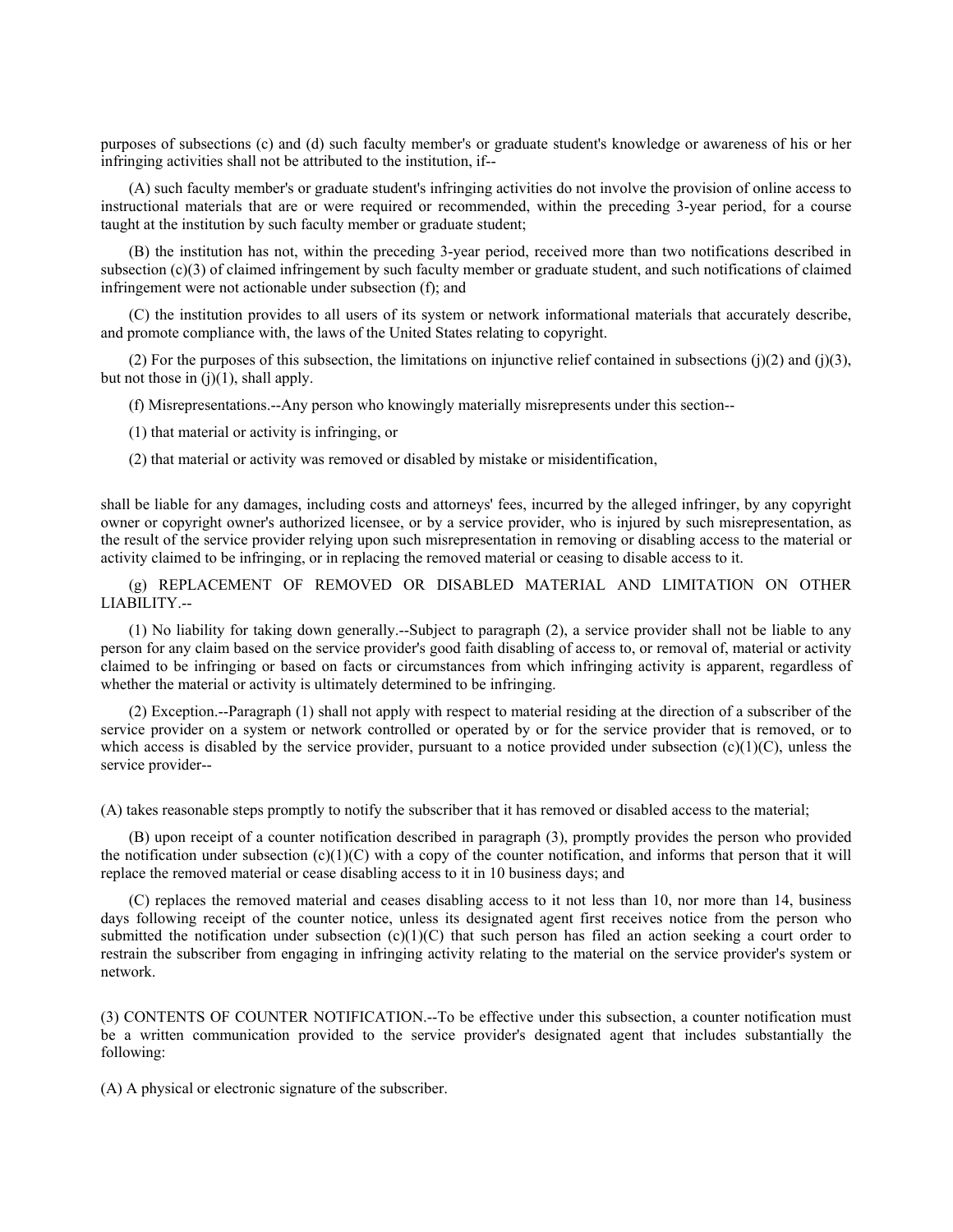purposes of subsections (c) and (d) such faculty member's or graduate student's knowledge or awareness of his or her infringing activities shall not be attributed to the institution, if--

(A) such faculty member's or graduate student's infringing activities do not involve the provision of online access to instructional materials that are or were required or recommended, within the preceding 3-year period, for a course taught at the institution by such faculty member or graduate student;

(B) the institution has not, within the preceding 3-year period, received more than two notifications described in subsection (c)(3) of claimed infringement by such faculty member or graduate student, and such notifications of claimed infringement were not actionable under subsection (f); and

(C) the institution provides to all users of its system or network informational materials that accurately describe, and promote compliance with, the laws of the United States relating to copyright.

(2) For the purposes of this subsection, the limitations on injunctive relief contained in subsections (j)(2) and (j)(3), but not those in  $(i)(1)$ , shall apply.

(f) Misrepresentations.--Any person who knowingly materially misrepresents under this section--

(1) that material or activity is infringing, or

(2) that material or activity was removed or disabled by mistake or misidentification,

shall be liable for any damages, including costs and attorneys' fees, incurred by the alleged infringer, by any copyright owner or copyright owner's authorized licensee, or by a service provider, who is injured by such misrepresentation, as the result of the service provider relying upon such misrepresentation in removing or disabling access to the material or activity claimed to be infringing, or in replacing the removed material or ceasing to disable access to it.

(g) REPLACEMENT OF REMOVED OR DISABLED MATERIAL AND LIMITATION ON OTHER LIABILITY.--

(1) No liability for taking down generally.--Subject to paragraph (2), a service provider shall not be liable to any person for any claim based on the service provider's good faith disabling of access to, or removal of, material or activity claimed to be infringing or based on facts or circumstances from which infringing activity is apparent, regardless of whether the material or activity is ultimately determined to be infringing.

(2) Exception.--Paragraph (1) shall not apply with respect to material residing at the direction of a subscriber of the service provider on a system or network controlled or operated by or for the service provider that is removed, or to which access is disabled by the service provider, pursuant to a notice provided under subsection  $(c)(1)(C)$ , unless the service provider--

(A) takes reasonable steps promptly to notify the subscriber that it has removed or disabled access to the material;

(B) upon receipt of a counter notification described in paragraph (3), promptly provides the person who provided the notification under subsection  $(c)(1)(C)$  with a copy of the counter notification, and informs that person that it will replace the removed material or cease disabling access to it in 10 business days; and

(C) replaces the removed material and ceases disabling access to it not less than 10, nor more than 14, business days following receipt of the counter notice, unless its designated agent first receives notice from the person who submitted the notification under subsection  $(c)(1)(C)$  that such person has filed an action seeking a court order to restrain the subscriber from engaging in infringing activity relating to the material on the service provider's system or network.

(3) CONTENTS OF COUNTER NOTIFICATION.--To be effective under this subsection, a counter notification must be a written communication provided to the service provider's designated agent that includes substantially the following:

(A) A physical or electronic signature of the subscriber.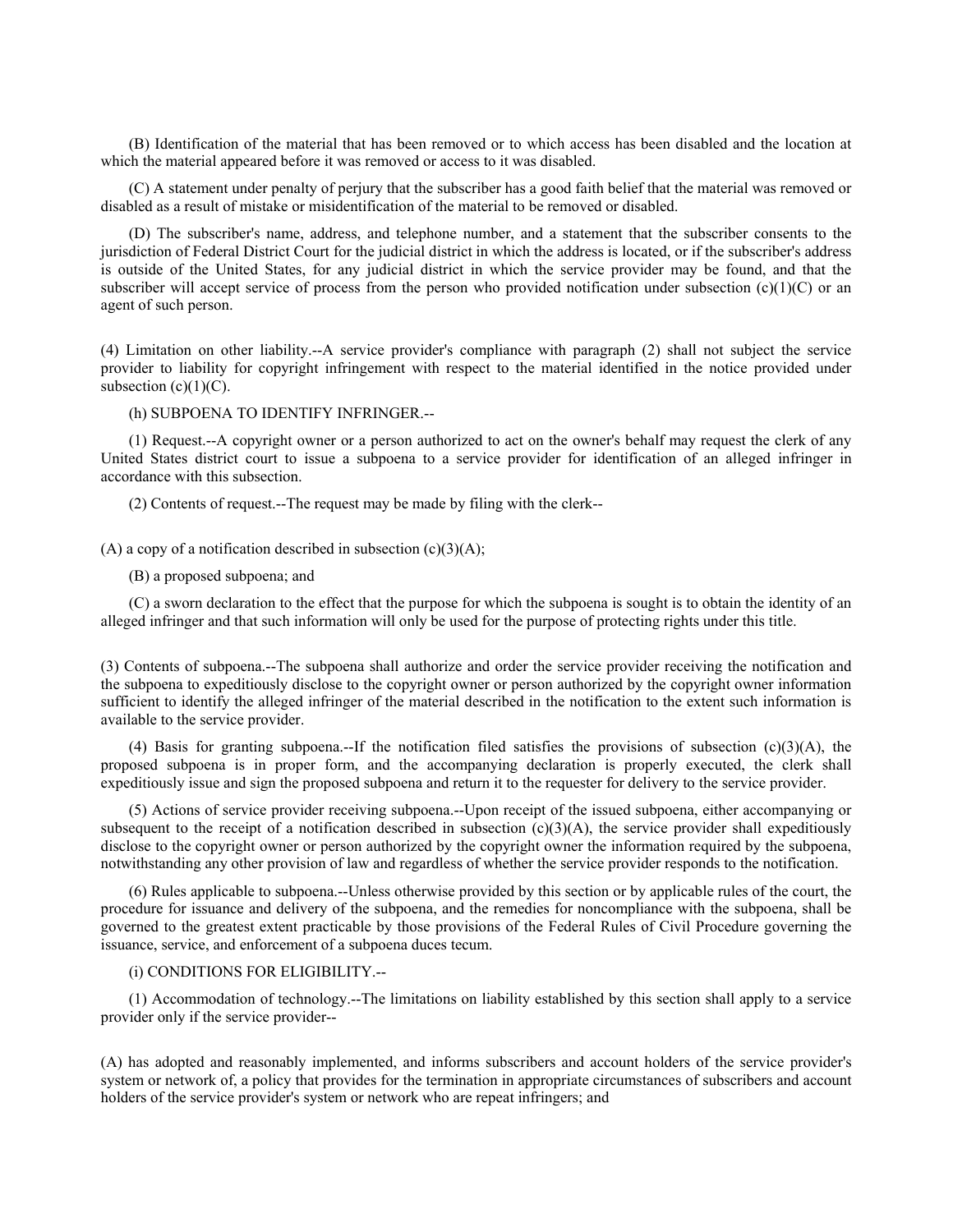(B) Identification of the material that has been removed or to which access has been disabled and the location at which the material appeared before it was removed or access to it was disabled.

(C) A statement under penalty of perjury that the subscriber has a good faith belief that the material was removed or disabled as a result of mistake or misidentification of the material to be removed or disabled.

(D) The subscriber's name, address, and telephone number, and a statement that the subscriber consents to the jurisdiction of Federal District Court for the judicial district in which the address is located, or if the subscriber's address is outside of the United States, for any judicial district in which the service provider may be found, and that the subscriber will accept service of process from the person who provided notification under subsection  $(c)(1)(C)$  or an agent of such person.

(4) Limitation on other liability.--A service provider's compliance with paragraph (2) shall not subject the service provider to liability for copyright infringement with respect to the material identified in the notice provided under subsection  $(c)(1)(C)$ .

(h) SUBPOENA TO IDENTIFY INFRINGER.--

(1) Request.--A copyright owner or a person authorized to act on the owner's behalf may request the clerk of any United States district court to issue a subpoena to a service provider for identification of an alleged infringer in accordance with this subsection.

(2) Contents of request.--The request may be made by filing with the clerk--

(A) a copy of a notification described in subsection  $(c)(3)(A)$ ;

(B) a proposed subpoena; and

(C) a sworn declaration to the effect that the purpose for which the subpoena is sought is to obtain the identity of an alleged infringer and that such information will only be used for the purpose of protecting rights under this title.

(3) Contents of subpoena.--The subpoena shall authorize and order the service provider receiving the notification and the subpoena to expeditiously disclose to the copyright owner or person authorized by the copyright owner information sufficient to identify the alleged infringer of the material described in the notification to the extent such information is available to the service provider.

(4) Basis for granting subpoena.--If the notification filed satisfies the provisions of subsection  $(c)(3)(A)$ , the proposed subpoena is in proper form, and the accompanying declaration is properly executed, the clerk shall expeditiously issue and sign the proposed subpoena and return it to the requester for delivery to the service provider.

(5) Actions of service provider receiving subpoena.--Upon receipt of the issued subpoena, either accompanying or subsequent to the receipt of a notification described in subsection  $(c)(3)(A)$ , the service provider shall expeditiously disclose to the copyright owner or person authorized by the copyright owner the information required by the subpoena, notwithstanding any other provision of law and regardless of whether the service provider responds to the notification.

(6) Rules applicable to subpoena.--Unless otherwise provided by this section or by applicable rules of the court, the procedure for issuance and delivery of the subpoena, and the remedies for noncompliance with the subpoena, shall be governed to the greatest extent practicable by those provisions of the Federal Rules of Civil Procedure governing the issuance, service, and enforcement of a subpoena duces tecum.

# (i) CONDITIONS FOR ELIGIBILITY.--

(1) Accommodation of technology.--The limitations on liability established by this section shall apply to a service provider only if the service provider--

(A) has adopted and reasonably implemented, and informs subscribers and account holders of the service provider's system or network of, a policy that provides for the termination in appropriate circumstances of subscribers and account holders of the service provider's system or network who are repeat infringers; and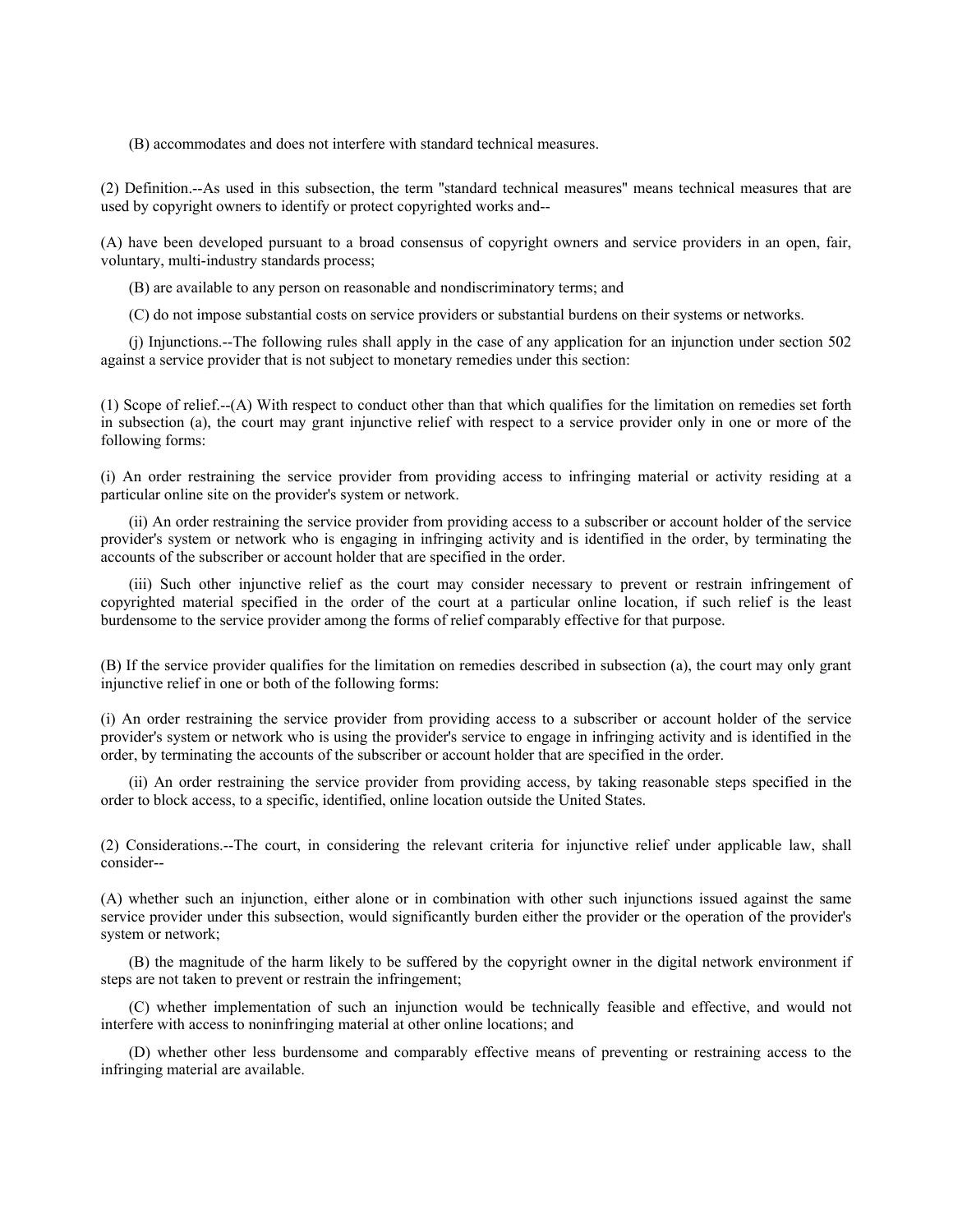(B) accommodates and does not interfere with standard technical measures.

(2) Definition.--As used in this subsection, the term ''standard technical measures'' means technical measures that are used by copyright owners to identify or protect copyrighted works and--

(A) have been developed pursuant to a broad consensus of copyright owners and service providers in an open, fair, voluntary, multi-industry standards process;

(B) are available to any person on reasonable and nondiscriminatory terms; and

(C) do not impose substantial costs on service providers or substantial burdens on their systems or networks.

(j) Injunctions.--The following rules shall apply in the case of any application for an injunction under section 502 against a service provider that is not subject to monetary remedies under this section:

(1) Scope of relief.--(A) With respect to conduct other than that which qualifies for the limitation on remedies set forth in subsection (a), the court may grant injunctive relief with respect to a service provider only in one or more of the following forms:

(i) An order restraining the service provider from providing access to infringing material or activity residing at a particular online site on the provider's system or network.

(ii) An order restraining the service provider from providing access to a subscriber or account holder of the service provider's system or network who is engaging in infringing activity and is identified in the order, by terminating the accounts of the subscriber or account holder that are specified in the order.

(iii) Such other injunctive relief as the court may consider necessary to prevent or restrain infringement of copyrighted material specified in the order of the court at a particular online location, if such relief is the least burdensome to the service provider among the forms of relief comparably effective for that purpose.

(B) If the service provider qualifies for the limitation on remedies described in subsection (a), the court may only grant injunctive relief in one or both of the following forms:

(i) An order restraining the service provider from providing access to a subscriber or account holder of the service provider's system or network who is using the provider's service to engage in infringing activity and is identified in the order, by terminating the accounts of the subscriber or account holder that are specified in the order.

(ii) An order restraining the service provider from providing access, by taking reasonable steps specified in the order to block access, to a specific, identified, online location outside the United States.

(2) Considerations.--The court, in considering the relevant criteria for injunctive relief under applicable law, shall consider--

(A) whether such an injunction, either alone or in combination with other such injunctions issued against the same service provider under this subsection, would significantly burden either the provider or the operation of the provider's system or network;

(B) the magnitude of the harm likely to be suffered by the copyright owner in the digital network environment if steps are not taken to prevent or restrain the infringement;

(C) whether implementation of such an injunction would be technically feasible and effective, and would not interfere with access to noninfringing material at other online locations; and

(D) whether other less burdensome and comparably effective means of preventing or restraining access to the infringing material are available.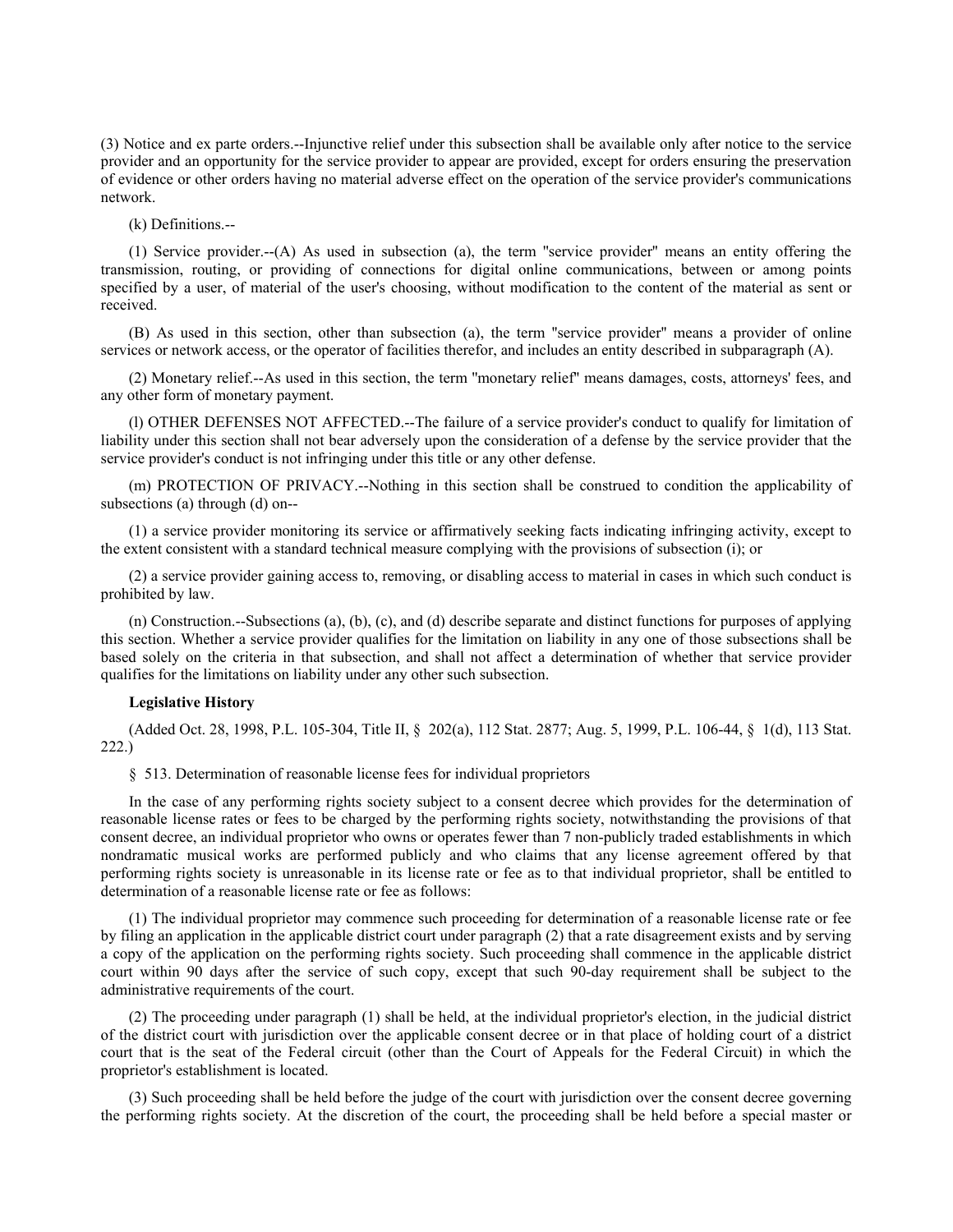(3) Notice and ex parte orders.--Injunctive relief under this subsection shall be available only after notice to the service provider and an opportunity for the service provider to appear are provided, except for orders ensuring the preservation of evidence or other orders having no material adverse effect on the operation of the service provider's communications network.

(k) Definitions.--

(1) Service provider.--(A) As used in subsection (a), the term ''service provider'' means an entity offering the transmission, routing, or providing of connections for digital online communications, between or among points specified by a user, of material of the user's choosing, without modification to the content of the material as sent or received.

(B) As used in this section, other than subsection (a), the term ''service provider'' means a provider of online services or network access, or the operator of facilities therefor, and includes an entity described in subparagraph (A).

(2) Monetary relief.--As used in this section, the term ''monetary relief'' means damages, costs, attorneys' fees, and any other form of monetary payment.

(l) OTHER DEFENSES NOT AFFECTED.--The failure of a service provider's conduct to qualify for limitation of liability under this section shall not bear adversely upon the consideration of a defense by the service provider that the service provider's conduct is not infringing under this title or any other defense.

(m) PROTECTION OF PRIVACY.--Nothing in this section shall be construed to condition the applicability of subsections (a) through (d) on--

(1) a service provider monitoring its service or affirmatively seeking facts indicating infringing activity, except to the extent consistent with a standard technical measure complying with the provisions of subsection (i); or

(2) a service provider gaining access to, removing, or disabling access to material in cases in which such conduct is prohibited by law.

(n) Construction.--Subsections (a), (b), (c), and (d) describe separate and distinct functions for purposes of applying this section. Whether a service provider qualifies for the limitation on liability in any one of those subsections shall be based solely on the criteria in that subsection, and shall not affect a determination of whether that service provider qualifies for the limitations on liability under any other such subsection.

### **Legislative History**

(Added Oct. 28, 1998, P.L. 105-304, Title II, § 202(a), 112 Stat. 2877; Aug. 5, 1999, P.L. 106-44, § 1(d), 113 Stat. 222.)

§ 513. Determination of reasonable license fees for individual proprietors

In the case of any performing rights society subject to a consent decree which provides for the determination of reasonable license rates or fees to be charged by the performing rights society, notwithstanding the provisions of that consent decree, an individual proprietor who owns or operates fewer than 7 non-publicly traded establishments in which nondramatic musical works are performed publicly and who claims that any license agreement offered by that performing rights society is unreasonable in its license rate or fee as to that individual proprietor, shall be entitled to determination of a reasonable license rate or fee as follows:

(1) The individual proprietor may commence such proceeding for determination of a reasonable license rate or fee by filing an application in the applicable district court under paragraph (2) that a rate disagreement exists and by serving a copy of the application on the performing rights society. Such proceeding shall commence in the applicable district court within 90 days after the service of such copy, except that such 90-day requirement shall be subject to the administrative requirements of the court.

(2) The proceeding under paragraph (1) shall be held, at the individual proprietor's election, in the judicial district of the district court with jurisdiction over the applicable consent decree or in that place of holding court of a district court that is the seat of the Federal circuit (other than the Court of Appeals for the Federal Circuit) in which the proprietor's establishment is located.

(3) Such proceeding shall be held before the judge of the court with jurisdiction over the consent decree governing the performing rights society. At the discretion of the court, the proceeding shall be held before a special master or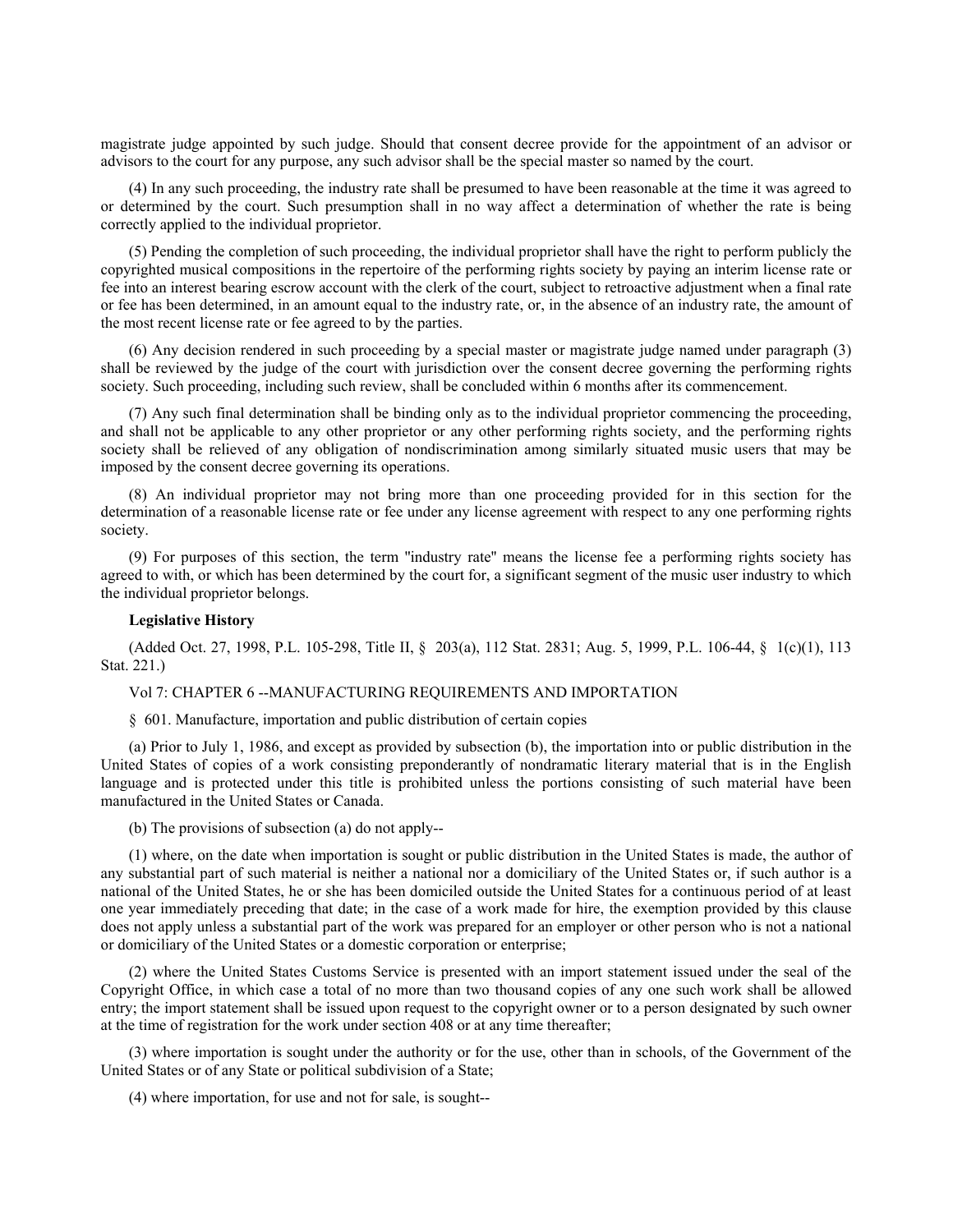magistrate judge appointed by such judge. Should that consent decree provide for the appointment of an advisor or advisors to the court for any purpose, any such advisor shall be the special master so named by the court.

(4) In any such proceeding, the industry rate shall be presumed to have been reasonable at the time it was agreed to or determined by the court. Such presumption shall in no way affect a determination of whether the rate is being correctly applied to the individual proprietor.

(5) Pending the completion of such proceeding, the individual proprietor shall have the right to perform publicly the copyrighted musical compositions in the repertoire of the performing rights society by paying an interim license rate or fee into an interest bearing escrow account with the clerk of the court, subject to retroactive adjustment when a final rate or fee has been determined, in an amount equal to the industry rate, or, in the absence of an industry rate, the amount of the most recent license rate or fee agreed to by the parties.

(6) Any decision rendered in such proceeding by a special master or magistrate judge named under paragraph (3) shall be reviewed by the judge of the court with jurisdiction over the consent decree governing the performing rights society. Such proceeding, including such review, shall be concluded within 6 months after its commencement.

(7) Any such final determination shall be binding only as to the individual proprietor commencing the proceeding, and shall not be applicable to any other proprietor or any other performing rights society, and the performing rights society shall be relieved of any obligation of nondiscrimination among similarly situated music users that may be imposed by the consent decree governing its operations.

(8) An individual proprietor may not bring more than one proceeding provided for in this section for the determination of a reasonable license rate or fee under any license agreement with respect to any one performing rights society.

(9) For purposes of this section, the term ''industry rate'' means the license fee a performing rights society has agreed to with, or which has been determined by the court for, a significant segment of the music user industry to which the individual proprietor belongs.

## **Legislative History**

(Added Oct. 27, 1998, P.L. 105-298, Title II, § 203(a), 112 Stat. 2831; Aug. 5, 1999, P.L. 106-44, § 1(c)(1), 113 Stat. 221.)

### Vol 7: CHAPTER 6 --MANUFACTURING REQUIREMENTS AND IMPORTATION

§ 601. Manufacture, importation and public distribution of certain copies

(a) Prior to July 1, 1986, and except as provided by subsection (b), the importation into or public distribution in the United States of copies of a work consisting preponderantly of nondramatic literary material that is in the English language and is protected under this title is prohibited unless the portions consisting of such material have been manufactured in the United States or Canada.

(b) The provisions of subsection (a) do not apply--

(1) where, on the date when importation is sought or public distribution in the United States is made, the author of any substantial part of such material is neither a national nor a domiciliary of the United States or, if such author is a national of the United States, he or she has been domiciled outside the United States for a continuous period of at least one year immediately preceding that date; in the case of a work made for hire, the exemption provided by this clause does not apply unless a substantial part of the work was prepared for an employer or other person who is not a national or domiciliary of the United States or a domestic corporation or enterprise;

(2) where the United States Customs Service is presented with an import statement issued under the seal of the Copyright Office, in which case a total of no more than two thousand copies of any one such work shall be allowed entry; the import statement shall be issued upon request to the copyright owner or to a person designated by such owner at the time of registration for the work under section 408 or at any time thereafter;

(3) where importation is sought under the authority or for the use, other than in schools, of the Government of the United States or of any State or political subdivision of a State;

(4) where importation, for use and not for sale, is sought--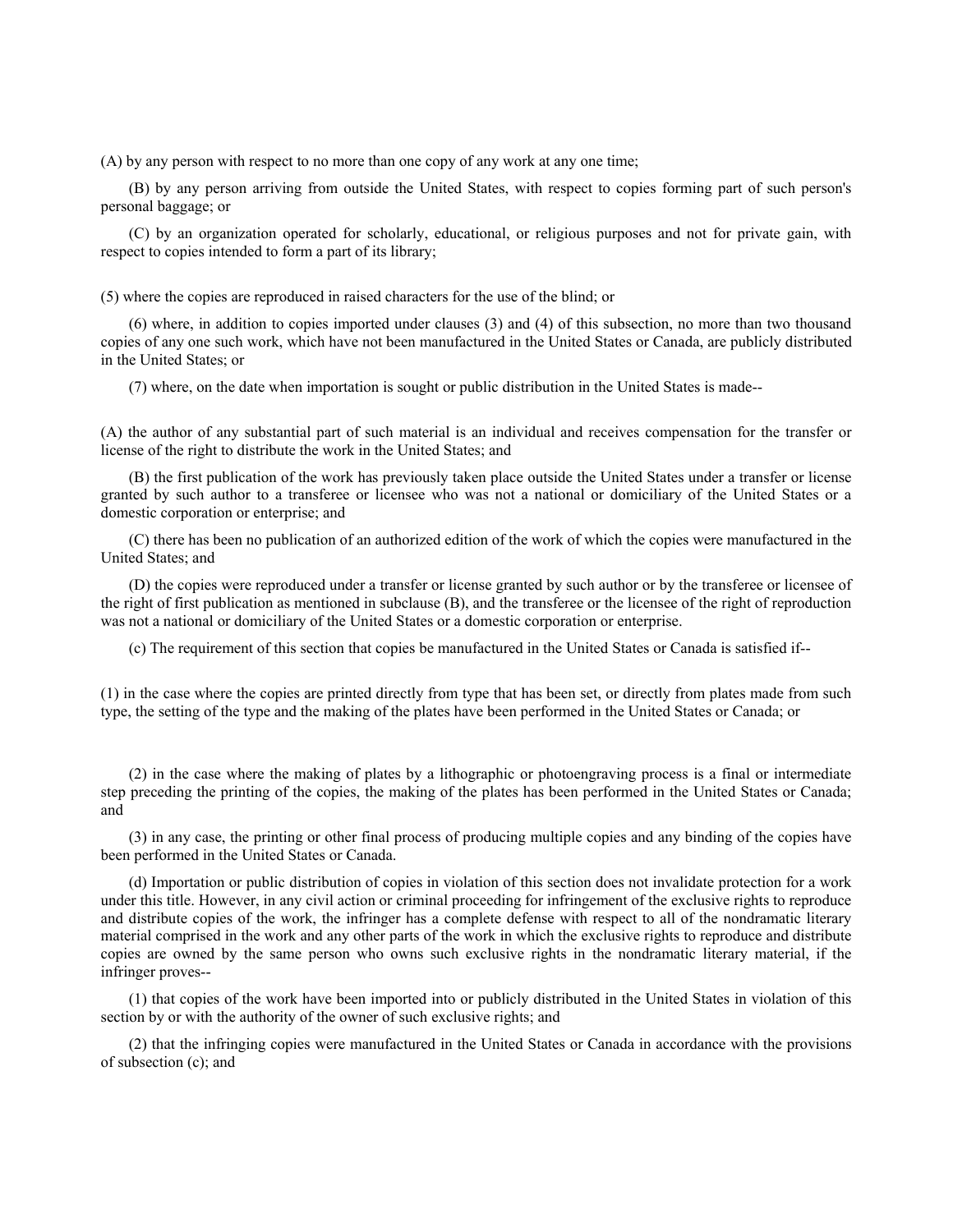(A) by any person with respect to no more than one copy of any work at any one time;

(B) by any person arriving from outside the United States, with respect to copies forming part of such person's personal baggage; or

(C) by an organization operated for scholarly, educational, or religious purposes and not for private gain, with respect to copies intended to form a part of its library;

(5) where the copies are reproduced in raised characters for the use of the blind; or

(6) where, in addition to copies imported under clauses (3) and (4) of this subsection, no more than two thousand copies of any one such work, which have not been manufactured in the United States or Canada, are publicly distributed in the United States; or

(7) where, on the date when importation is sought or public distribution in the United States is made--

(A) the author of any substantial part of such material is an individual and receives compensation for the transfer or license of the right to distribute the work in the United States; and

(B) the first publication of the work has previously taken place outside the United States under a transfer or license granted by such author to a transferee or licensee who was not a national or domiciliary of the United States or a domestic corporation or enterprise; and

(C) there has been no publication of an authorized edition of the work of which the copies were manufactured in the United States; and

(D) the copies were reproduced under a transfer or license granted by such author or by the transferee or licensee of the right of first publication as mentioned in subclause (B), and the transferee or the licensee of the right of reproduction was not a national or domiciliary of the United States or a domestic corporation or enterprise.

(c) The requirement of this section that copies be manufactured in the United States or Canada is satisfied if--

(1) in the case where the copies are printed directly from type that has been set, or directly from plates made from such type, the setting of the type and the making of the plates have been performed in the United States or Canada; or

(2) in the case where the making of plates by a lithographic or photoengraving process is a final or intermediate step preceding the printing of the copies, the making of the plates has been performed in the United States or Canada; and

(3) in any case, the printing or other final process of producing multiple copies and any binding of the copies have been performed in the United States or Canada.

(d) Importation or public distribution of copies in violation of this section does not invalidate protection for a work under this title. However, in any civil action or criminal proceeding for infringement of the exclusive rights to reproduce and distribute copies of the work, the infringer has a complete defense with respect to all of the nondramatic literary material comprised in the work and any other parts of the work in which the exclusive rights to reproduce and distribute copies are owned by the same person who owns such exclusive rights in the nondramatic literary material, if the infringer proves--

(1) that copies of the work have been imported into or publicly distributed in the United States in violation of this section by or with the authority of the owner of such exclusive rights; and

(2) that the infringing copies were manufactured in the United States or Canada in accordance with the provisions of subsection (c); and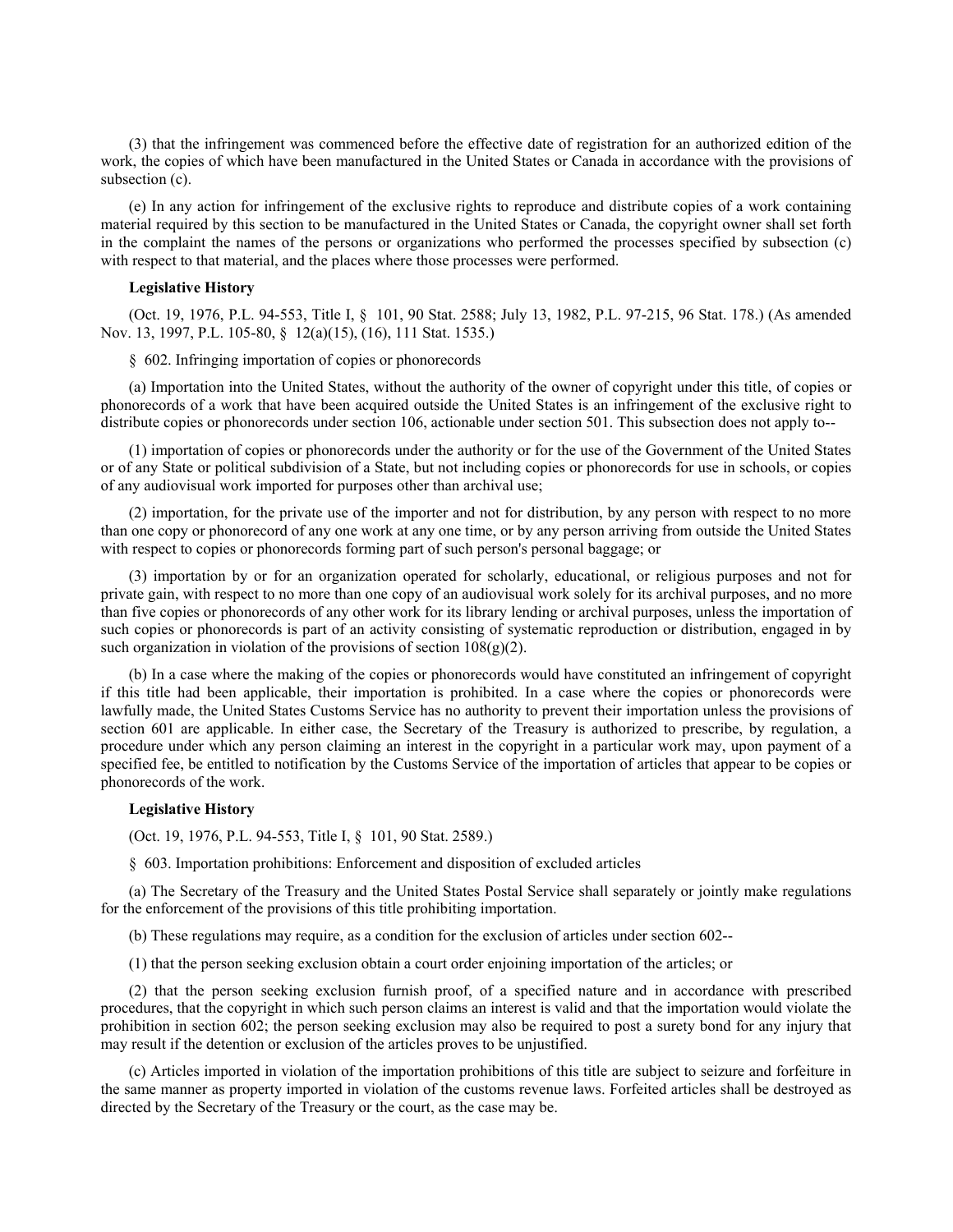(3) that the infringement was commenced before the effective date of registration for an authorized edition of the work, the copies of which have been manufactured in the United States or Canada in accordance with the provisions of subsection (c).

(e) In any action for infringement of the exclusive rights to reproduce and distribute copies of a work containing material required by this section to be manufactured in the United States or Canada, the copyright owner shall set forth in the complaint the names of the persons or organizations who performed the processes specified by subsection (c) with respect to that material, and the places where those processes were performed.

## **Legislative History**

(Oct. 19, 1976, P.L. 94-553, Title I, § 101, 90 Stat. 2588; July 13, 1982, P.L. 97-215, 96 Stat. 178.) (As amended Nov. 13, 1997, P.L. 105-80, § 12(a)(15), (16), 111 Stat. 1535.)

§ 602. Infringing importation of copies or phonorecords

(a) Importation into the United States, without the authority of the owner of copyright under this title, of copies or phonorecords of a work that have been acquired outside the United States is an infringement of the exclusive right to distribute copies or phonorecords under section 106, actionable under section 501. This subsection does not apply to--

(1) importation of copies or phonorecords under the authority or for the use of the Government of the United States or of any State or political subdivision of a State, but not including copies or phonorecords for use in schools, or copies of any audiovisual work imported for purposes other than archival use;

(2) importation, for the private use of the importer and not for distribution, by any person with respect to no more than one copy or phonorecord of any one work at any one time, or by any person arriving from outside the United States with respect to copies or phonorecords forming part of such person's personal baggage; or

(3) importation by or for an organization operated for scholarly, educational, or religious purposes and not for private gain, with respect to no more than one copy of an audiovisual work solely for its archival purposes, and no more than five copies or phonorecords of any other work for its library lending or archival purposes, unless the importation of such copies or phonorecords is part of an activity consisting of systematic reproduction or distribution, engaged in by such organization in violation of the provisions of section  $108(g)(2)$ .

(b) In a case where the making of the copies or phonorecords would have constituted an infringement of copyright if this title had been applicable, their importation is prohibited. In a case where the copies or phonorecords were lawfully made, the United States Customs Service has no authority to prevent their importation unless the provisions of section 601 are applicable. In either case, the Secretary of the Treasury is authorized to prescribe, by regulation, a procedure under which any person claiming an interest in the copyright in a particular work may, upon payment of a specified fee, be entitled to notification by the Customs Service of the importation of articles that appear to be copies or phonorecords of the work.

#### **Legislative History**

(Oct. 19, 1976, P.L. 94-553, Title I, § 101, 90 Stat. 2589.)

§ 603. Importation prohibitions: Enforcement and disposition of excluded articles

(a) The Secretary of the Treasury and the United States Postal Service shall separately or jointly make regulations for the enforcement of the provisions of this title prohibiting importation.

(b) These regulations may require, as a condition for the exclusion of articles under section 602--

(1) that the person seeking exclusion obtain a court order enjoining importation of the articles; or

(2) that the person seeking exclusion furnish proof, of a specified nature and in accordance with prescribed procedures, that the copyright in which such person claims an interest is valid and that the importation would violate the prohibition in section 602; the person seeking exclusion may also be required to post a surety bond for any injury that may result if the detention or exclusion of the articles proves to be unjustified.

(c) Articles imported in violation of the importation prohibitions of this title are subject to seizure and forfeiture in the same manner as property imported in violation of the customs revenue laws. Forfeited articles shall be destroyed as directed by the Secretary of the Treasury or the court, as the case may be.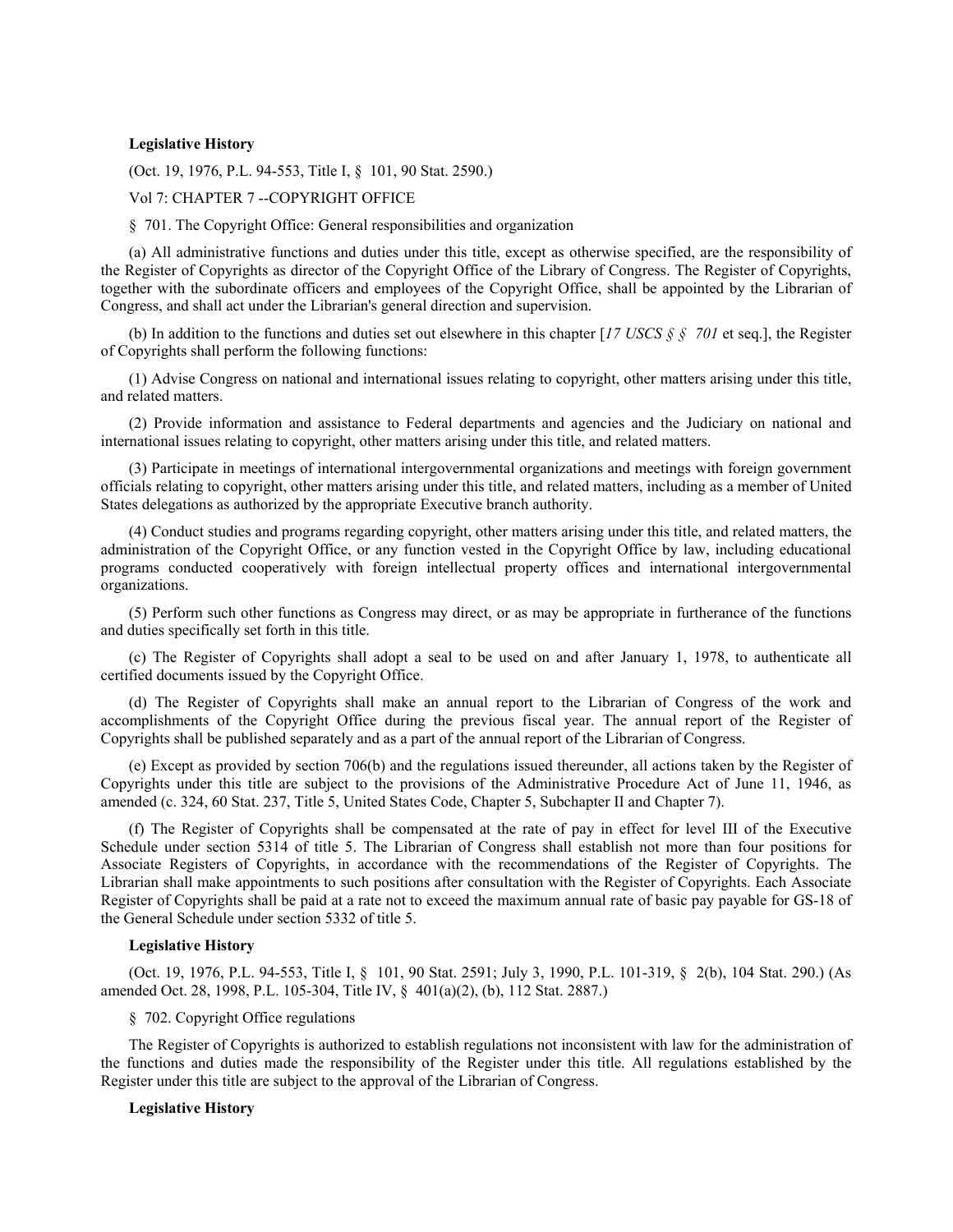# **Legislative History**

(Oct. 19, 1976, P.L. 94-553, Title I, § 101, 90 Stat. 2590.)

# Vol 7: CHAPTER 7 --COPYRIGHT OFFICE

§ 701. The Copyright Office: General responsibilities and organization

(a) All administrative functions and duties under this title, except as otherwise specified, are the responsibility of the Register of Copyrights as director of the Copyright Office of the Library of Congress. The Register of Copyrights, together with the subordinate officers and employees of the Copyright Office, shall be appointed by the Librarian of Congress, and shall act under the Librarian's general direction and supervision.

(b) In addition to the functions and duties set out elsewhere in this chapter [*17 USCS § § 701* et seq.], the Register of Copyrights shall perform the following functions:

(1) Advise Congress on national and international issues relating to copyright, other matters arising under this title, and related matters.

(2) Provide information and assistance to Federal departments and agencies and the Judiciary on national and international issues relating to copyright, other matters arising under this title, and related matters.

(3) Participate in meetings of international intergovernmental organizations and meetings with foreign government officials relating to copyright, other matters arising under this title, and related matters, including as a member of United States delegations as authorized by the appropriate Executive branch authority.

(4) Conduct studies and programs regarding copyright, other matters arising under this title, and related matters, the administration of the Copyright Office, or any function vested in the Copyright Office by law, including educational programs conducted cooperatively with foreign intellectual property offices and international intergovernmental organizations.

(5) Perform such other functions as Congress may direct, or as may be appropriate in furtherance of the functions and duties specifically set forth in this title.

(c) The Register of Copyrights shall adopt a seal to be used on and after January 1, 1978, to authenticate all certified documents issued by the Copyright Office.

(d) The Register of Copyrights shall make an annual report to the Librarian of Congress of the work and accomplishments of the Copyright Office during the previous fiscal year. The annual report of the Register of Copyrights shall be published separately and as a part of the annual report of the Librarian of Congress.

(e) Except as provided by section 706(b) and the regulations issued thereunder, all actions taken by the Register of Copyrights under this title are subject to the provisions of the Administrative Procedure Act of June 11, 1946, as amended (c. 324, 60 Stat. 237, Title 5, United States Code, Chapter 5, Subchapter II and Chapter 7).

(f) The Register of Copyrights shall be compensated at the rate of pay in effect for level III of the Executive Schedule under section 5314 of title 5. The Librarian of Congress shall establish not more than four positions for Associate Registers of Copyrights, in accordance with the recommendations of the Register of Copyrights. The Librarian shall make appointments to such positions after consultation with the Register of Copyrights. Each Associate Register of Copyrights shall be paid at a rate not to exceed the maximum annual rate of basic pay payable for GS-18 of the General Schedule under section 5332 of title 5.

## **Legislative History**

(Oct. 19, 1976, P.L. 94-553, Title I, § 101, 90 Stat. 2591; July 3, 1990, P.L. 101-319, § 2(b), 104 Stat. 290.) (As amended Oct. 28, 1998, P.L. 105-304, Title IV, § 401(a)(2), (b), 112 Stat. 2887.)

## § 702. Copyright Office regulations

The Register of Copyrights is authorized to establish regulations not inconsistent with law for the administration of the functions and duties made the responsibility of the Register under this title. All regulations established by the Register under this title are subject to the approval of the Librarian of Congress.

### **Legislative History**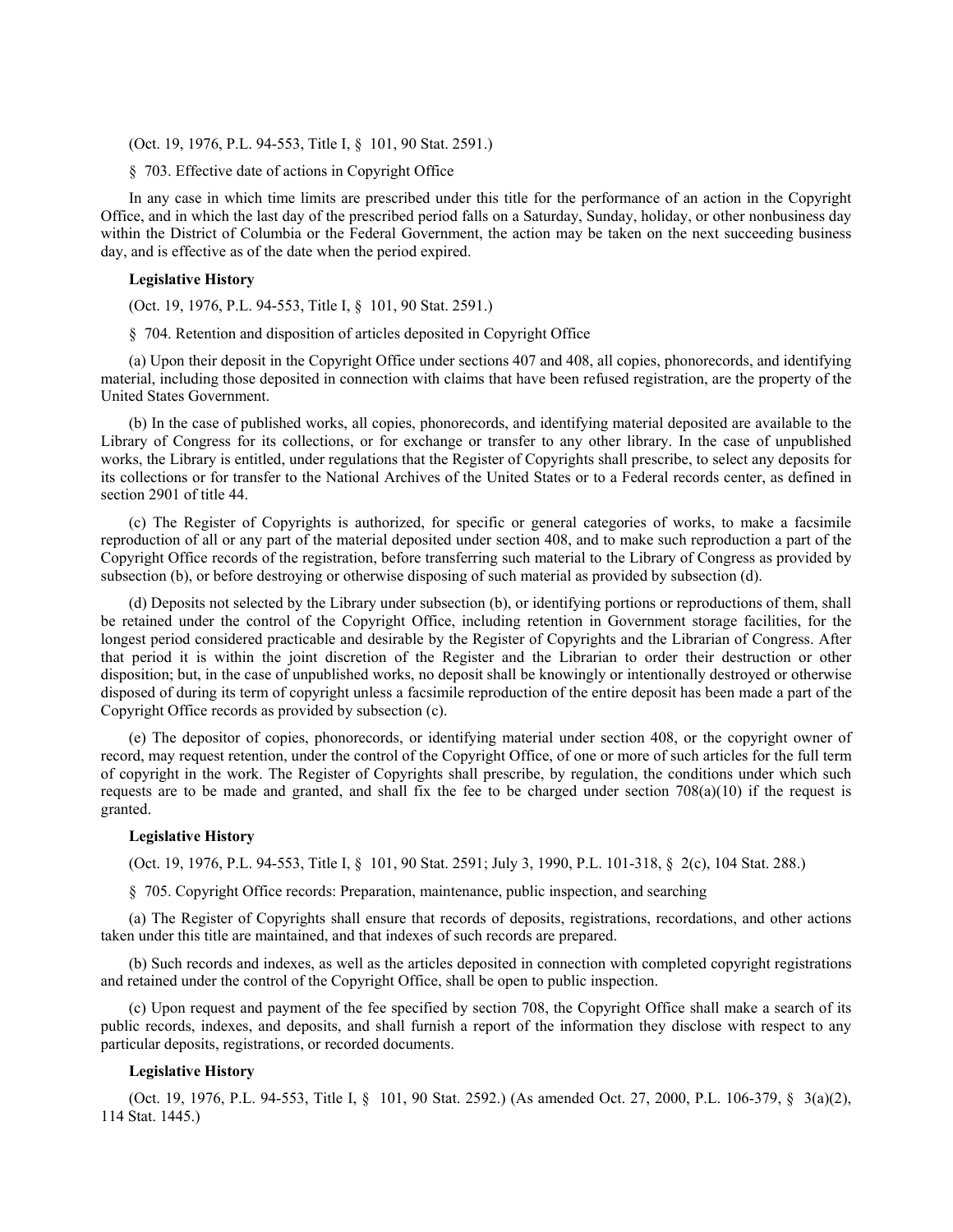(Oct. 19, 1976, P.L. 94-553, Title I, § 101, 90 Stat. 2591.)

### § 703. Effective date of actions in Copyright Office

In any case in which time limits are prescribed under this title for the performance of an action in the Copyright Office, and in which the last day of the prescribed period falls on a Saturday, Sunday, holiday, or other nonbusiness day within the District of Columbia or the Federal Government, the action may be taken on the next succeeding business day, and is effective as of the date when the period expired.

### **Legislative History**

(Oct. 19, 1976, P.L. 94-553, Title I, § 101, 90 Stat. 2591.)

§ 704. Retention and disposition of articles deposited in Copyright Office

(a) Upon their deposit in the Copyright Office under sections 407 and 408, all copies, phonorecords, and identifying material, including those deposited in connection with claims that have been refused registration, are the property of the United States Government.

(b) In the case of published works, all copies, phonorecords, and identifying material deposited are available to the Library of Congress for its collections, or for exchange or transfer to any other library. In the case of unpublished works, the Library is entitled, under regulations that the Register of Copyrights shall prescribe, to select any deposits for its collections or for transfer to the National Archives of the United States or to a Federal records center, as defined in section 2901 of title 44.

(c) The Register of Copyrights is authorized, for specific or general categories of works, to make a facsimile reproduction of all or any part of the material deposited under section 408, and to make such reproduction a part of the Copyright Office records of the registration, before transferring such material to the Library of Congress as provided by subsection (b), or before destroying or otherwise disposing of such material as provided by subsection (d).

(d) Deposits not selected by the Library under subsection (b), or identifying portions or reproductions of them, shall be retained under the control of the Copyright Office, including retention in Government storage facilities, for the longest period considered practicable and desirable by the Register of Copyrights and the Librarian of Congress. After that period it is within the joint discretion of the Register and the Librarian to order their destruction or other disposition; but, in the case of unpublished works, no deposit shall be knowingly or intentionally destroyed or otherwise disposed of during its term of copyright unless a facsimile reproduction of the entire deposit has been made a part of the Copyright Office records as provided by subsection (c).

(e) The depositor of copies, phonorecords, or identifying material under section 408, or the copyright owner of record, may request retention, under the control of the Copyright Office, of one or more of such articles for the full term of copyright in the work. The Register of Copyrights shall prescribe, by regulation, the conditions under which such requests are to be made and granted, and shall fix the fee to be charged under section  $708(a)(10)$  if the request is granted.

#### **Legislative History**

(Oct. 19, 1976, P.L. 94-553, Title I, § 101, 90 Stat. 2591; July 3, 1990, P.L. 101-318, § 2(c), 104 Stat. 288.)

§ 705. Copyright Office records: Preparation, maintenance, public inspection, and searching

(a) The Register of Copyrights shall ensure that records of deposits, registrations, recordations, and other actions taken under this title are maintained, and that indexes of such records are prepared.

(b) Such records and indexes, as well as the articles deposited in connection with completed copyright registrations and retained under the control of the Copyright Office, shall be open to public inspection.

(c) Upon request and payment of the fee specified by section 708, the Copyright Office shall make a search of its public records, indexes, and deposits, and shall furnish a report of the information they disclose with respect to any particular deposits, registrations, or recorded documents.

#### **Legislative History**

(Oct. 19, 1976, P.L. 94-553, Title I, § 101, 90 Stat. 2592.) (As amended Oct. 27, 2000, P.L. 106-379, § 3(a)(2), 114 Stat. 1445.)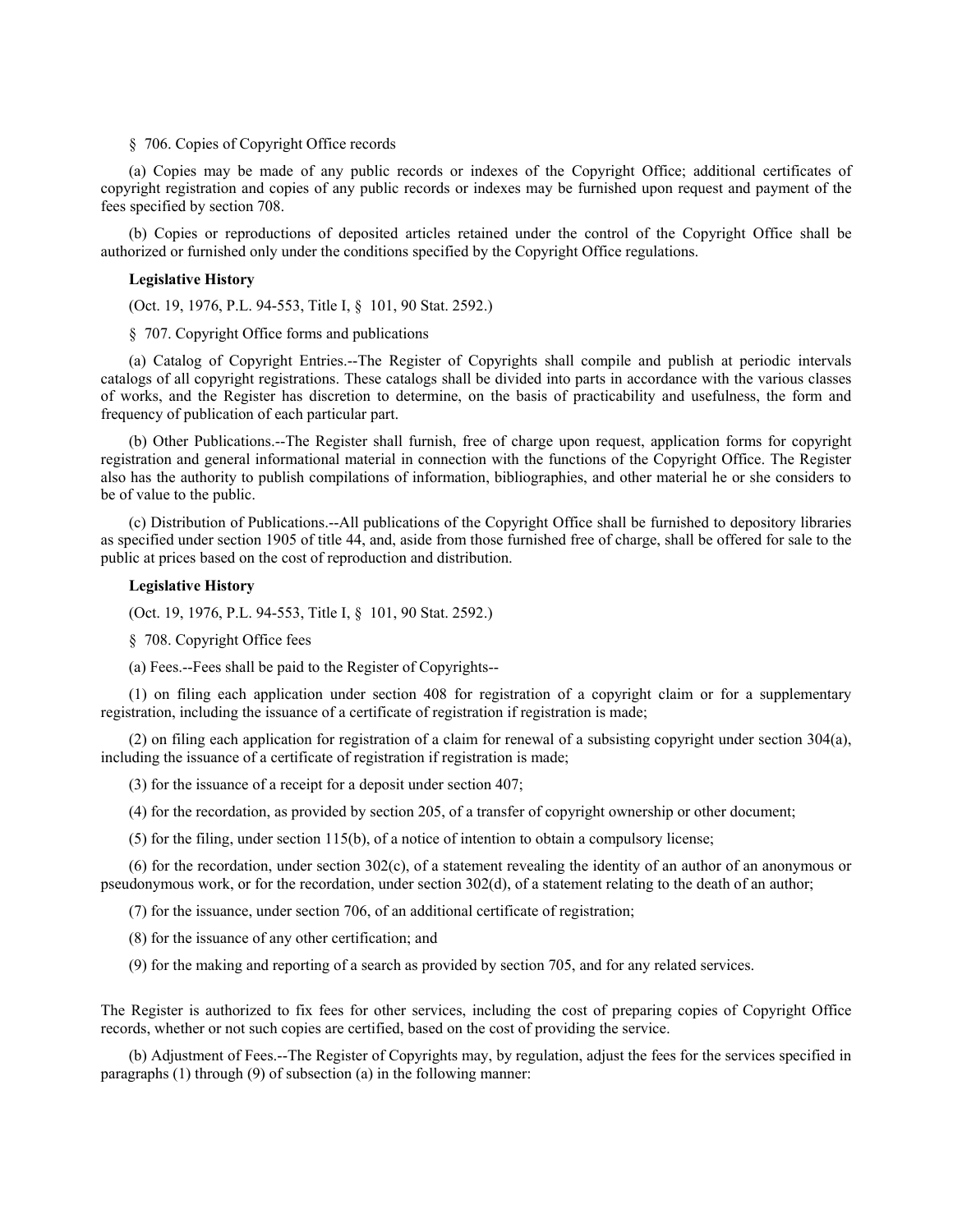#### § 706. Copies of Copyright Office records

(a) Copies may be made of any public records or indexes of the Copyright Office; additional certificates of copyright registration and copies of any public records or indexes may be furnished upon request and payment of the fees specified by section 708.

(b) Copies or reproductions of deposited articles retained under the control of the Copyright Office shall be authorized or furnished only under the conditions specified by the Copyright Office regulations.

#### **Legislative History**

(Oct. 19, 1976, P.L. 94-553, Title I, § 101, 90 Stat. 2592.)

§ 707. Copyright Office forms and publications

(a) Catalog of Copyright Entries.--The Register of Copyrights shall compile and publish at periodic intervals catalogs of all copyright registrations. These catalogs shall be divided into parts in accordance with the various classes of works, and the Register has discretion to determine, on the basis of practicability and usefulness, the form and frequency of publication of each particular part.

(b) Other Publications.--The Register shall furnish, free of charge upon request, application forms for copyright registration and general informational material in connection with the functions of the Copyright Office. The Register also has the authority to publish compilations of information, bibliographies, and other material he or she considers to be of value to the public.

(c) Distribution of Publications.--All publications of the Copyright Office shall be furnished to depository libraries as specified under section 1905 of title 44, and, aside from those furnished free of charge, shall be offered for sale to the public at prices based on the cost of reproduction and distribution.

#### **Legislative History**

(Oct. 19, 1976, P.L. 94-553, Title I, § 101, 90 Stat. 2592.)

§ 708. Copyright Office fees

(a) Fees.--Fees shall be paid to the Register of Copyrights--

(1) on filing each application under section 408 for registration of a copyright claim or for a supplementary registration, including the issuance of a certificate of registration if registration is made;

(2) on filing each application for registration of a claim for renewal of a subsisting copyright under section 304(a), including the issuance of a certificate of registration if registration is made;

(3) for the issuance of a receipt for a deposit under section 407;

(4) for the recordation, as provided by section 205, of a transfer of copyright ownership or other document;

(5) for the filing, under section 115(b), of a notice of intention to obtain a compulsory license;

(6) for the recordation, under section 302(c), of a statement revealing the identity of an author of an anonymous or pseudonymous work, or for the recordation, under section 302(d), of a statement relating to the death of an author;

(7) for the issuance, under section 706, of an additional certificate of registration;

(8) for the issuance of any other certification; and

(9) for the making and reporting of a search as provided by section 705, and for any related services.

The Register is authorized to fix fees for other services, including the cost of preparing copies of Copyright Office records, whether or not such copies are certified, based on the cost of providing the service.

(b) Adjustment of Fees.--The Register of Copyrights may, by regulation, adjust the fees for the services specified in paragraphs (1) through (9) of subsection (a) in the following manner: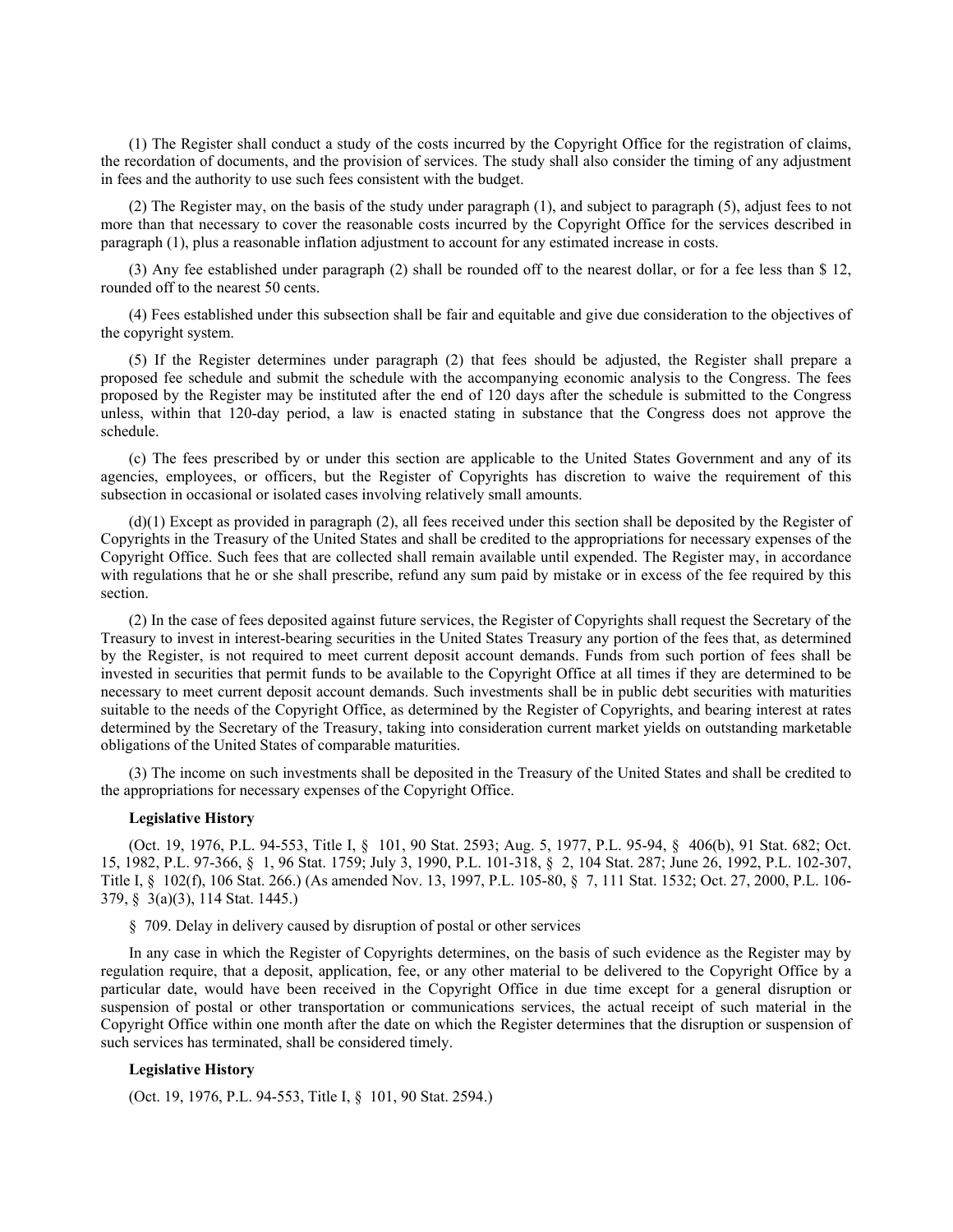(1) The Register shall conduct a study of the costs incurred by the Copyright Office for the registration of claims, the recordation of documents, and the provision of services. The study shall also consider the timing of any adjustment in fees and the authority to use such fees consistent with the budget.

(2) The Register may, on the basis of the study under paragraph (1), and subject to paragraph (5), adjust fees to not more than that necessary to cover the reasonable costs incurred by the Copyright Office for the services described in paragraph (1), plus a reasonable inflation adjustment to account for any estimated increase in costs.

(3) Any fee established under paragraph (2) shall be rounded off to the nearest dollar, or for a fee less than \$ 12, rounded off to the nearest 50 cents.

(4) Fees established under this subsection shall be fair and equitable and give due consideration to the objectives of the copyright system.

(5) If the Register determines under paragraph (2) that fees should be adjusted, the Register shall prepare a proposed fee schedule and submit the schedule with the accompanying economic analysis to the Congress. The fees proposed by the Register may be instituted after the end of 120 days after the schedule is submitted to the Congress unless, within that 120-day period, a law is enacted stating in substance that the Congress does not approve the schedule.

(c) The fees prescribed by or under this section are applicable to the United States Government and any of its agencies, employees, or officers, but the Register of Copyrights has discretion to waive the requirement of this subsection in occasional or isolated cases involving relatively small amounts.

(d)(1) Except as provided in paragraph (2), all fees received under this section shall be deposited by the Register of Copyrights in the Treasury of the United States and shall be credited to the appropriations for necessary expenses of the Copyright Office. Such fees that are collected shall remain available until expended. The Register may, in accordance with regulations that he or she shall prescribe, refund any sum paid by mistake or in excess of the fee required by this section.

(2) In the case of fees deposited against future services, the Register of Copyrights shall request the Secretary of the Treasury to invest in interest-bearing securities in the United States Treasury any portion of the fees that, as determined by the Register, is not required to meet current deposit account demands. Funds from such portion of fees shall be invested in securities that permit funds to be available to the Copyright Office at all times if they are determined to be necessary to meet current deposit account demands. Such investments shall be in public debt securities with maturities suitable to the needs of the Copyright Office, as determined by the Register of Copyrights, and bearing interest at rates determined by the Secretary of the Treasury, taking into consideration current market yields on outstanding marketable obligations of the United States of comparable maturities.

(3) The income on such investments shall be deposited in the Treasury of the United States and shall be credited to the appropriations for necessary expenses of the Copyright Office.

### **Legislative History**

(Oct. 19, 1976, P.L. 94-553, Title I, § 101, 90 Stat. 2593; Aug. 5, 1977, P.L. 95-94, § 406(b), 91 Stat. 682; Oct. 15, 1982, P.L. 97-366, § 1, 96 Stat. 1759; July 3, 1990, P.L. 101-318, § 2, 104 Stat. 287; June 26, 1992, P.L. 102-307, Title I, § 102(f), 106 Stat. 266.) (As amended Nov. 13, 1997, P.L. 105-80, § 7, 111 Stat. 1532; Oct. 27, 2000, P.L. 106- 379, § 3(a)(3), 114 Stat. 1445.)

§ 709. Delay in delivery caused by disruption of postal or other services

In any case in which the Register of Copyrights determines, on the basis of such evidence as the Register may by regulation require, that a deposit, application, fee, or any other material to be delivered to the Copyright Office by a particular date, would have been received in the Copyright Office in due time except for a general disruption or suspension of postal or other transportation or communications services, the actual receipt of such material in the Copyright Office within one month after the date on which the Register determines that the disruption or suspension of such services has terminated, shall be considered timely.

### **Legislative History**

(Oct. 19, 1976, P.L. 94-553, Title I, § 101, 90 Stat. 2594.)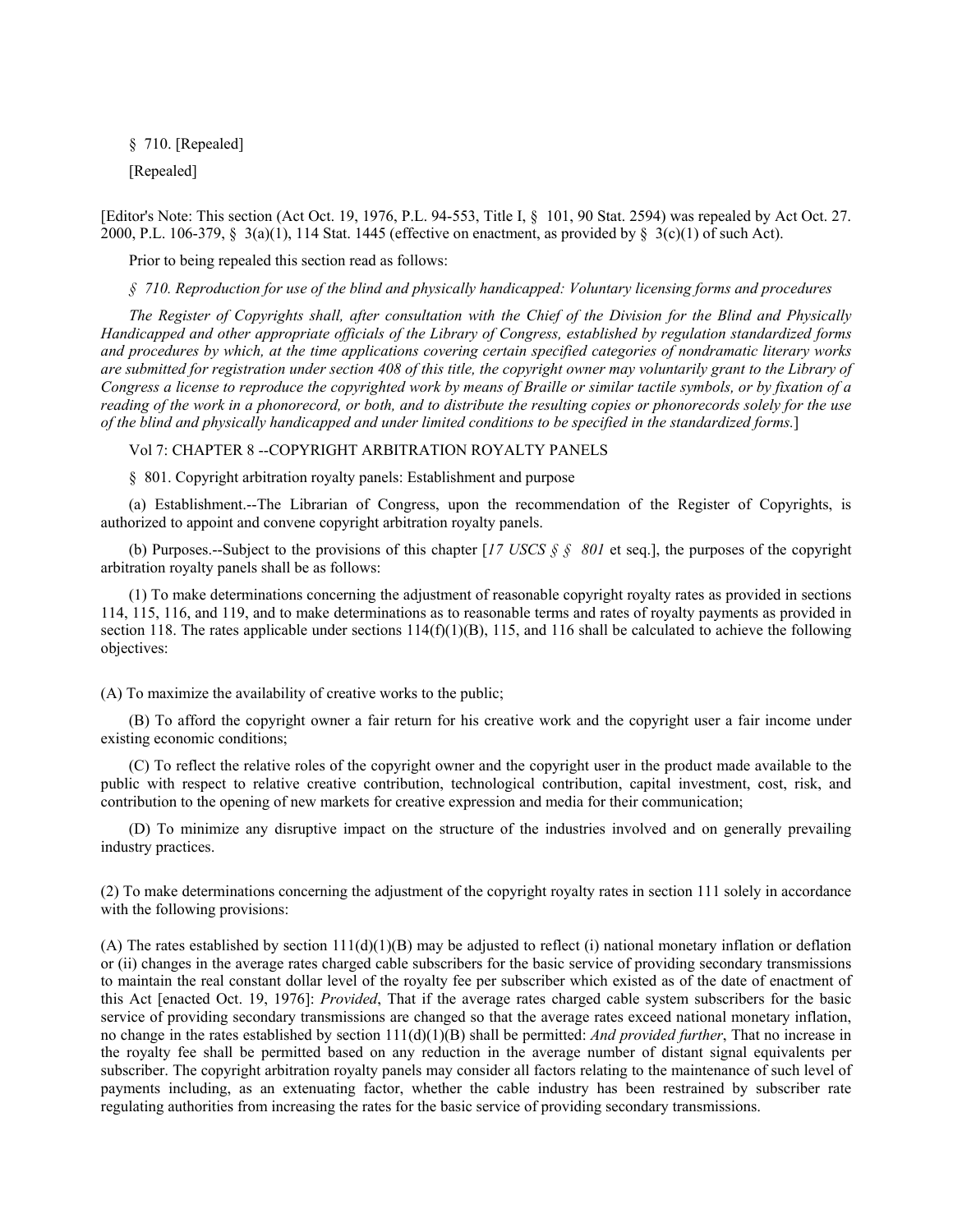§ 710. [Repealed]

[Repealed]

[Editor's Note: This section (Act Oct. 19, 1976, P.L. 94-553, Title I, § 101, 90 Stat. 2594) was repealed by Act Oct. 27. 2000, P.L. 106-379, § 3(a)(1), 114 Stat. 1445 (effective on enactment, as provided by § 3(c)(1) of such Act).

Prior to being repealed this section read as follows:

*§ 710. Reproduction for use of the blind and physically handicapped: Voluntary licensing forms and procedures*

*The Register of Copyrights shall, after consultation with the Chief of the Division for the Blind and Physically Handicapped and other appropriate officials of the Library of Congress, established by regulation standardized forms and procedures by which, at the time applications covering certain specified categories of nondramatic literary works are submitted for registration under section 408 of this title, the copyright owner may voluntarily grant to the Library of Congress a license to reproduce the copyrighted work by means of Braille or similar tactile symbols, or by fixation of a reading of the work in a phonorecord, or both, and to distribute the resulting copies or phonorecords solely for the use of the blind and physically handicapped and under limited conditions to be specified in the standardized forms.*]

Vol 7: CHAPTER 8 --COPYRIGHT ARBITRATION ROYALTY PANELS

§ 801. Copyright arbitration royalty panels: Establishment and purpose

(a) Establishment.--The Librarian of Congress, upon the recommendation of the Register of Copyrights, is authorized to appoint and convene copyright arbitration royalty panels.

(b) Purposes.--Subject to the provisions of this chapter  $[17 \text{ USCS } \xi \xi \delta 0]$  et seq.], the purposes of the copyright arbitration royalty panels shall be as follows:

(1) To make determinations concerning the adjustment of reasonable copyright royalty rates as provided in sections 114, 115, 116, and 119, and to make determinations as to reasonable terms and rates of royalty payments as provided in section 118. The rates applicable under sections  $114(f)(1)(B)$ , 115, and 116 shall be calculated to achieve the following objectives:

(A) To maximize the availability of creative works to the public;

(B) To afford the copyright owner a fair return for his creative work and the copyright user a fair income under existing economic conditions;

(C) To reflect the relative roles of the copyright owner and the copyright user in the product made available to the public with respect to relative creative contribution, technological contribution, capital investment, cost, risk, and contribution to the opening of new markets for creative expression and media for their communication;

(D) To minimize any disruptive impact on the structure of the industries involved and on generally prevailing industry practices.

(2) To make determinations concerning the adjustment of the copyright royalty rates in section 111 solely in accordance with the following provisions:

(A) The rates established by section  $111(d)(1)(B)$  may be adjusted to reflect (i) national monetary inflation or deflation or (ii) changes in the average rates charged cable subscribers for the basic service of providing secondary transmissions to maintain the real constant dollar level of the royalty fee per subscriber which existed as of the date of enactment of this Act [enacted Oct. 19, 1976]: *Provided*, That if the average rates charged cable system subscribers for the basic service of providing secondary transmissions are changed so that the average rates exceed national monetary inflation, no change in the rates established by section 111(d)(1)(B) shall be permitted: *And provided further*, That no increase in the royalty fee shall be permitted based on any reduction in the average number of distant signal equivalents per subscriber. The copyright arbitration royalty panels may consider all factors relating to the maintenance of such level of payments including, as an extenuating factor, whether the cable industry has been restrained by subscriber rate regulating authorities from increasing the rates for the basic service of providing secondary transmissions.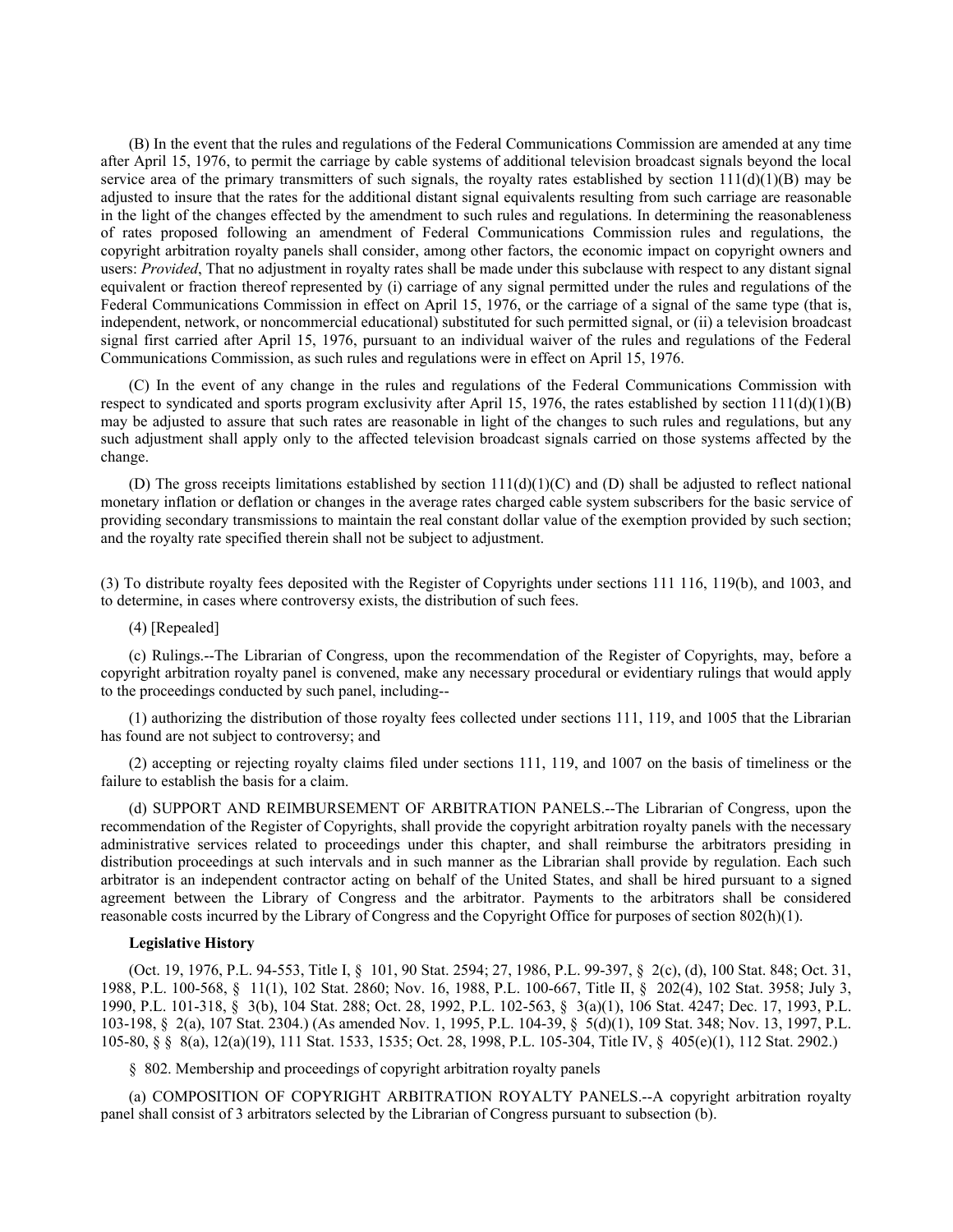(B) In the event that the rules and regulations of the Federal Communications Commission are amended at any time after April 15, 1976, to permit the carriage by cable systems of additional television broadcast signals beyond the local service area of the primary transmitters of such signals, the royalty rates established by section  $111(d)(1)(B)$  may be adjusted to insure that the rates for the additional distant signal equivalents resulting from such carriage are reasonable in the light of the changes effected by the amendment to such rules and regulations. In determining the reasonableness of rates proposed following an amendment of Federal Communications Commission rules and regulations, the copyright arbitration royalty panels shall consider, among other factors, the economic impact on copyright owners and users: *Provided*, That no adjustment in royalty rates shall be made under this subclause with respect to any distant signal equivalent or fraction thereof represented by (i) carriage of any signal permitted under the rules and regulations of the Federal Communications Commission in effect on April 15, 1976, or the carriage of a signal of the same type (that is, independent, network, or noncommercial educational) substituted for such permitted signal, or (ii) a television broadcast signal first carried after April 15, 1976, pursuant to an individual waiver of the rules and regulations of the Federal Communications Commission, as such rules and regulations were in effect on April 15, 1976.

(C) In the event of any change in the rules and regulations of the Federal Communications Commission with respect to syndicated and sports program exclusivity after April 15, 1976, the rates established by section  $111(d)(1)(B)$ may be adjusted to assure that such rates are reasonable in light of the changes to such rules and regulations, but any such adjustment shall apply only to the affected television broadcast signals carried on those systems affected by the change.

(D) The gross receipts limitations established by section  $111(d)(1)(C)$  and (D) shall be adjusted to reflect national monetary inflation or deflation or changes in the average rates charged cable system subscribers for the basic service of providing secondary transmissions to maintain the real constant dollar value of the exemption provided by such section; and the royalty rate specified therein shall not be subject to adjustment.

(3) To distribute royalty fees deposited with the Register of Copyrights under sections 111 116, 119(b), and 1003, and to determine, in cases where controversy exists, the distribution of such fees.

(4) [Repealed]

(c) Rulings.--The Librarian of Congress, upon the recommendation of the Register of Copyrights, may, before a copyright arbitration royalty panel is convened, make any necessary procedural or evidentiary rulings that would apply to the proceedings conducted by such panel, including--

(1) authorizing the distribution of those royalty fees collected under sections 111, 119, and 1005 that the Librarian has found are not subject to controversy; and

(2) accepting or rejecting royalty claims filed under sections 111, 119, and 1007 on the basis of timeliness or the failure to establish the basis for a claim.

(d) SUPPORT AND REIMBURSEMENT OF ARBITRATION PANELS.--The Librarian of Congress, upon the recommendation of the Register of Copyrights, shall provide the copyright arbitration royalty panels with the necessary administrative services related to proceedings under this chapter, and shall reimburse the arbitrators presiding in distribution proceedings at such intervals and in such manner as the Librarian shall provide by regulation. Each such arbitrator is an independent contractor acting on behalf of the United States, and shall be hired pursuant to a signed agreement between the Library of Congress and the arbitrator. Payments to the arbitrators shall be considered reasonable costs incurred by the Library of Congress and the Copyright Office for purposes of section 802(h)(1).

#### **Legislative History**

(Oct. 19, 1976, P.L. 94-553, Title I, § 101, 90 Stat. 2594; 27, 1986, P.L. 99-397, § 2(c), (d), 100 Stat. 848; Oct. 31, 1988, P.L. 100-568, § 11(1), 102 Stat. 2860; Nov. 16, 1988, P.L. 100-667, Title II, § 202(4), 102 Stat. 3958; July 3, 1990, P.L. 101-318, § 3(b), 104 Stat. 288; Oct. 28, 1992, P.L. 102-563, § 3(a)(1), 106 Stat. 4247; Dec. 17, 1993, P.L. 103-198, § 2(a), 107 Stat. 2304.) (As amended Nov. 1, 1995, P.L. 104-39, § 5(d)(1), 109 Stat. 348; Nov. 13, 1997, P.L. 105-80, § § 8(a), 12(a)(19), 111 Stat. 1533, 1535; Oct. 28, 1998, P.L. 105-304, Title IV, § 405(e)(1), 112 Stat. 2902.)

§ 802. Membership and proceedings of copyright arbitration royalty panels

(a) COMPOSITION OF COPYRIGHT ARBITRATION ROYALTY PANELS.--A copyright arbitration royalty panel shall consist of 3 arbitrators selected by the Librarian of Congress pursuant to subsection (b).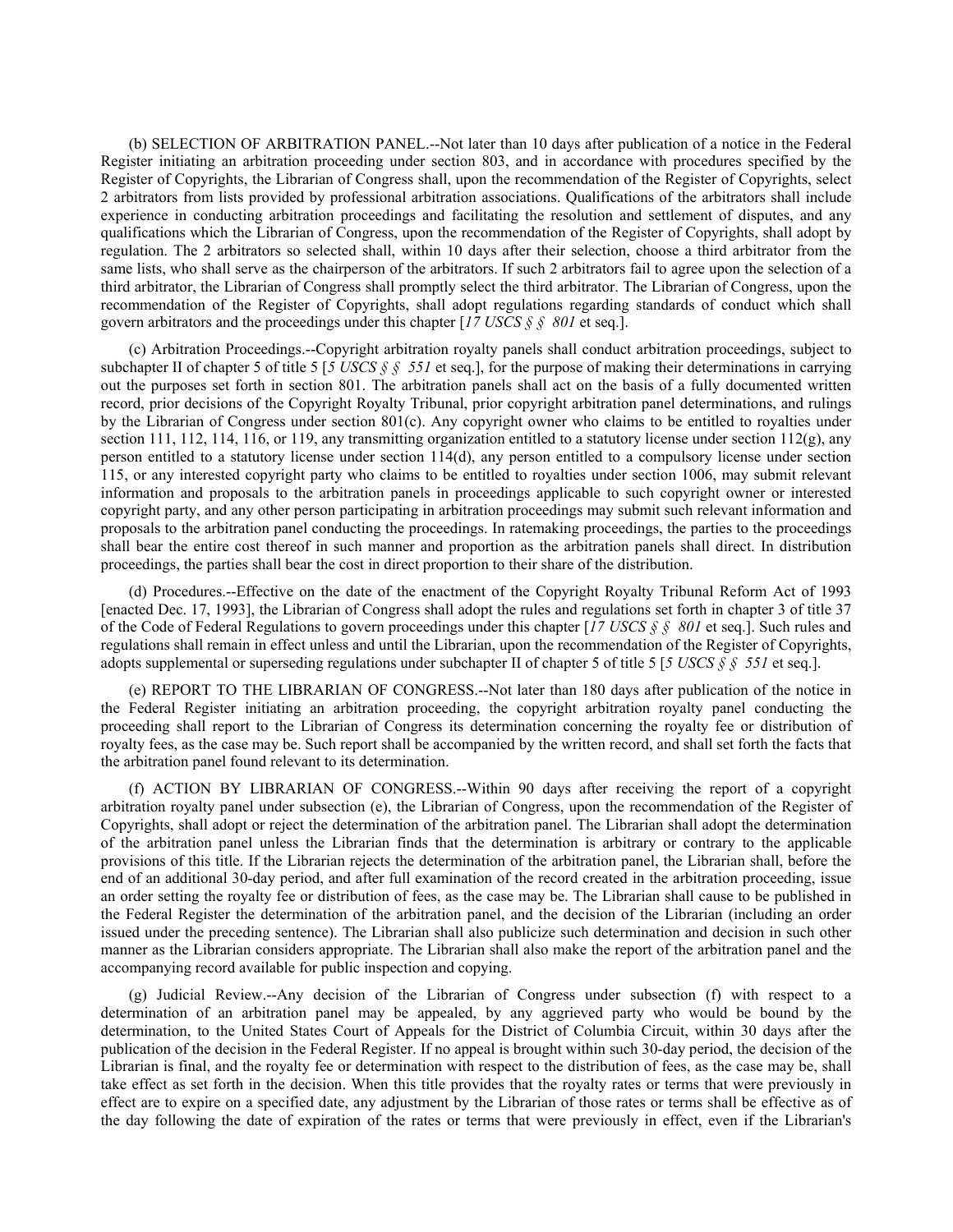(b) SELECTION OF ARBITRATION PANEL.--Not later than 10 days after publication of a notice in the Federal Register initiating an arbitration proceeding under section 803, and in accordance with procedures specified by the Register of Copyrights, the Librarian of Congress shall, upon the recommendation of the Register of Copyrights, select 2 arbitrators from lists provided by professional arbitration associations. Qualifications of the arbitrators shall include experience in conducting arbitration proceedings and facilitating the resolution and settlement of disputes, and any qualifications which the Librarian of Congress, upon the recommendation of the Register of Copyrights, shall adopt by regulation. The 2 arbitrators so selected shall, within 10 days after their selection, choose a third arbitrator from the same lists, who shall serve as the chairperson of the arbitrators. If such 2 arbitrators fail to agree upon the selection of a third arbitrator, the Librarian of Congress shall promptly select the third arbitrator. The Librarian of Congress, upon the recommendation of the Register of Copyrights, shall adopt regulations regarding standards of conduct which shall govern arbitrators and the proceedings under this chapter [*17 USCS § § 801* et seq.].

(c) Arbitration Proceedings.--Copyright arbitration royalty panels shall conduct arbitration proceedings, subject to subchapter II of chapter 5 of title 5 [*5 USCS § § 551* et seq.], for the purpose of making their determinations in carrying out the purposes set forth in section 801. The arbitration panels shall act on the basis of a fully documented written record, prior decisions of the Copyright Royalty Tribunal, prior copyright arbitration panel determinations, and rulings by the Librarian of Congress under section 801(c). Any copyright owner who claims to be entitled to royalties under section 111, 112, 114, 116, or 119, any transmitting organization entitled to a statutory license under section  $112(g)$ , any person entitled to a statutory license under section 114(d), any person entitled to a compulsory license under section 115, or any interested copyright party who claims to be entitled to royalties under section 1006, may submit relevant information and proposals to the arbitration panels in proceedings applicable to such copyright owner or interested copyright party, and any other person participating in arbitration proceedings may submit such relevant information and proposals to the arbitration panel conducting the proceedings. In ratemaking proceedings, the parties to the proceedings shall bear the entire cost thereof in such manner and proportion as the arbitration panels shall direct. In distribution proceedings, the parties shall bear the cost in direct proportion to their share of the distribution.

(d) Procedures.--Effective on the date of the enactment of the Copyright Royalty Tribunal Reform Act of 1993 [enacted Dec. 17, 1993], the Librarian of Congress shall adopt the rules and regulations set forth in chapter 3 of title 37 of the Code of Federal Regulations to govern proceedings under this chapter [*17 USCS § § 801* et seq.]. Such rules and regulations shall remain in effect unless and until the Librarian, upon the recommendation of the Register of Copyrights, adopts supplemental or superseding regulations under subchapter II of chapter 5 of title 5 [*5 USCS § § 551* et seq.].

(e) REPORT TO THE LIBRARIAN OF CONGRESS.--Not later than 180 days after publication of the notice in the Federal Register initiating an arbitration proceeding, the copyright arbitration royalty panel conducting the proceeding shall report to the Librarian of Congress its determination concerning the royalty fee or distribution of royalty fees, as the case may be. Such report shall be accompanied by the written record, and shall set forth the facts that the arbitration panel found relevant to its determination.

(f) ACTION BY LIBRARIAN OF CONGRESS.--Within 90 days after receiving the report of a copyright arbitration royalty panel under subsection (e), the Librarian of Congress, upon the recommendation of the Register of Copyrights, shall adopt or reject the determination of the arbitration panel. The Librarian shall adopt the determination of the arbitration panel unless the Librarian finds that the determination is arbitrary or contrary to the applicable provisions of this title. If the Librarian rejects the determination of the arbitration panel, the Librarian shall, before the end of an additional 30-day period, and after full examination of the record created in the arbitration proceeding, issue an order setting the royalty fee or distribution of fees, as the case may be. The Librarian shall cause to be published in the Federal Register the determination of the arbitration panel, and the decision of the Librarian (including an order issued under the preceding sentence). The Librarian shall also publicize such determination and decision in such other manner as the Librarian considers appropriate. The Librarian shall also make the report of the arbitration panel and the accompanying record available for public inspection and copying.

(g) Judicial Review.--Any decision of the Librarian of Congress under subsection (f) with respect to a determination of an arbitration panel may be appealed, by any aggrieved party who would be bound by the determination, to the United States Court of Appeals for the District of Columbia Circuit, within 30 days after the publication of the decision in the Federal Register. If no appeal is brought within such 30-day period, the decision of the Librarian is final, and the royalty fee or determination with respect to the distribution of fees, as the case may be, shall take effect as set forth in the decision. When this title provides that the royalty rates or terms that were previously in effect are to expire on a specified date, any adjustment by the Librarian of those rates or terms shall be effective as of the day following the date of expiration of the rates or terms that were previously in effect, even if the Librarian's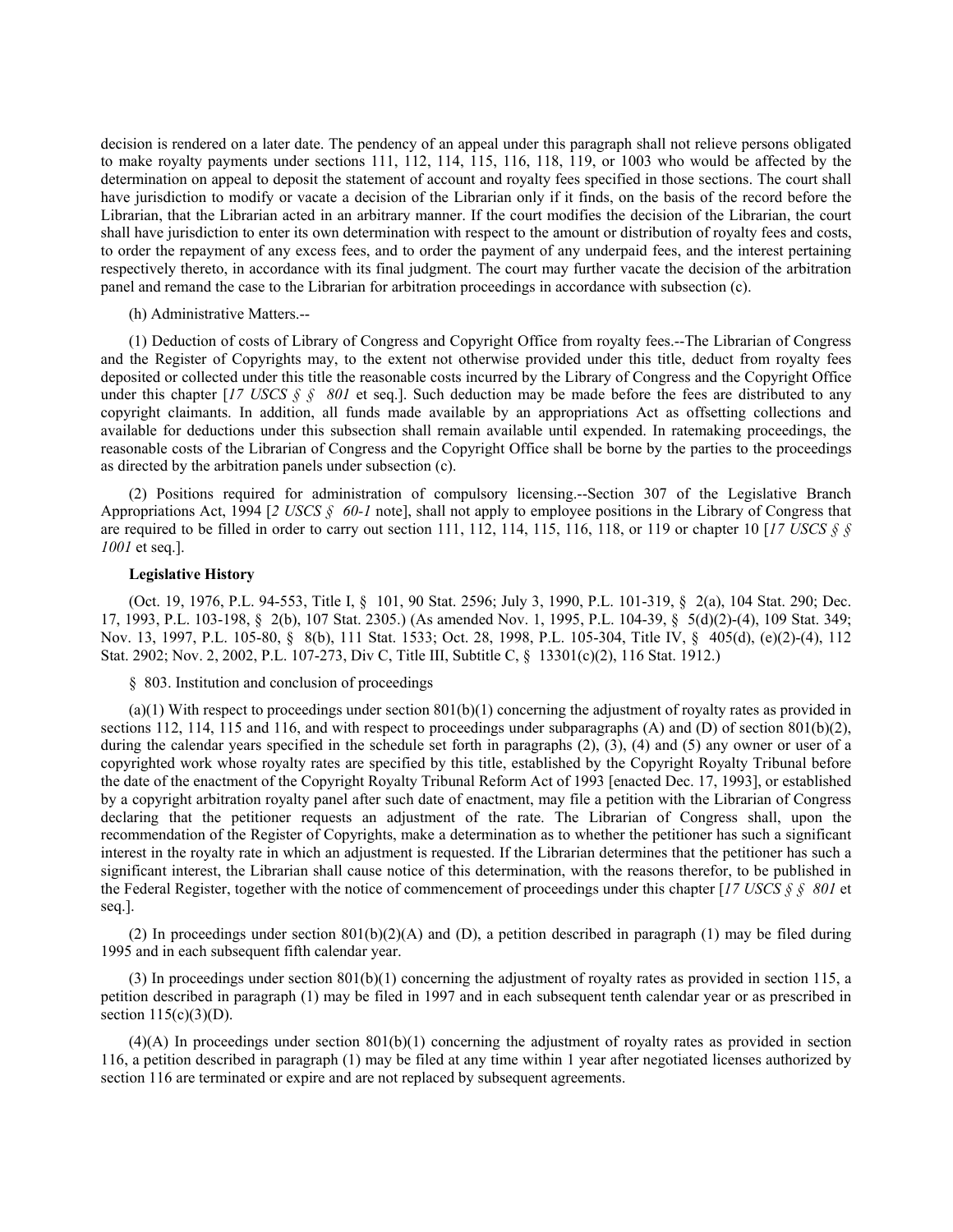decision is rendered on a later date. The pendency of an appeal under this paragraph shall not relieve persons obligated to make royalty payments under sections 111, 112, 114, 115, 116, 118, 119, or 1003 who would be affected by the determination on appeal to deposit the statement of account and royalty fees specified in those sections. The court shall have jurisdiction to modify or vacate a decision of the Librarian only if it finds, on the basis of the record before the Librarian, that the Librarian acted in an arbitrary manner. If the court modifies the decision of the Librarian, the court shall have jurisdiction to enter its own determination with respect to the amount or distribution of royalty fees and costs, to order the repayment of any excess fees, and to order the payment of any underpaid fees, and the interest pertaining respectively thereto, in accordance with its final judgment. The court may further vacate the decision of the arbitration panel and remand the case to the Librarian for arbitration proceedings in accordance with subsection (c).

(h) Administrative Matters.--

(1) Deduction of costs of Library of Congress and Copyright Office from royalty fees.--The Librarian of Congress and the Register of Copyrights may, to the extent not otherwise provided under this title, deduct from royalty fees deposited or collected under this title the reasonable costs incurred by the Library of Congress and the Copyright Office under this chapter  $[17 \text{ USCS } \xi \xi \delta 801]$  et seq.]. Such deduction may be made before the fees are distributed to any copyright claimants. In addition, all funds made available by an appropriations Act as offsetting collections and available for deductions under this subsection shall remain available until expended. In ratemaking proceedings, the reasonable costs of the Librarian of Congress and the Copyright Office shall be borne by the parties to the proceedings as directed by the arbitration panels under subsection (c).

(2) Positions required for administration of compulsory licensing.--Section 307 of the Legislative Branch Appropriations Act, 1994 [*2 USCS § 60-1* note], shall not apply to employee positions in the Library of Congress that are required to be filled in order to carry out section 111, 112, 114, 115, 116, 118, or 119 or chapter 10 [*17 USCS § § 1001* et seq.].

#### **Legislative History**

(Oct. 19, 1976, P.L. 94-553, Title I, § 101, 90 Stat. 2596; July 3, 1990, P.L. 101-319, § 2(a), 104 Stat. 290; Dec. 17, 1993, P.L. 103-198, § 2(b), 107 Stat. 2305.) (As amended Nov. 1, 1995, P.L. 104-39, § 5(d)(2)-(4), 109 Stat. 349; Nov. 13, 1997, P.L. 105-80, § 8(b), 111 Stat. 1533; Oct. 28, 1998, P.L. 105-304, Title IV, § 405(d), (e)(2)-(4), 112 Stat. 2902; Nov. 2, 2002, P.L. 107-273, Div C, Title III, Subtitle C, § 13301(c)(2), 116 Stat. 1912.)

§ 803. Institution and conclusion of proceedings

 $(a)(1)$  With respect to proceedings under section  $801(b)(1)$  concerning the adjustment of royalty rates as provided in sections 112, 114, 115 and 116, and with respect to proceedings under subparagraphs (A) and (D) of section 801(b)(2), during the calendar years specified in the schedule set forth in paragraphs (2), (3), (4) and (5) any owner or user of a copyrighted work whose royalty rates are specified by this title, established by the Copyright Royalty Tribunal before the date of the enactment of the Copyright Royalty Tribunal Reform Act of 1993 [enacted Dec. 17, 1993], or established by a copyright arbitration royalty panel after such date of enactment, may file a petition with the Librarian of Congress declaring that the petitioner requests an adjustment of the rate. The Librarian of Congress shall, upon the recommendation of the Register of Copyrights, make a determination as to whether the petitioner has such a significant interest in the royalty rate in which an adjustment is requested. If the Librarian determines that the petitioner has such a significant interest, the Librarian shall cause notice of this determination, with the reasons therefor, to be published in the Federal Register, together with the notice of commencement of proceedings under this chapter [*17 USCS § § 801* et seq.].

(2) In proceedings under section  $801(b)(2)(A)$  and (D), a petition described in paragraph (1) may be filed during 1995 and in each subsequent fifth calendar year.

(3) In proceedings under section 801(b)(1) concerning the adjustment of royalty rates as provided in section 115, a petition described in paragraph (1) may be filed in 1997 and in each subsequent tenth calendar year or as prescribed in section  $115(c)(3)(D)$ .

 $(4)(A)$  In proceedings under section  $801(b)(1)$  concerning the adjustment of royalty rates as provided in section 116, a petition described in paragraph (1) may be filed at any time within 1 year after negotiated licenses authorized by section 116 are terminated or expire and are not replaced by subsequent agreements.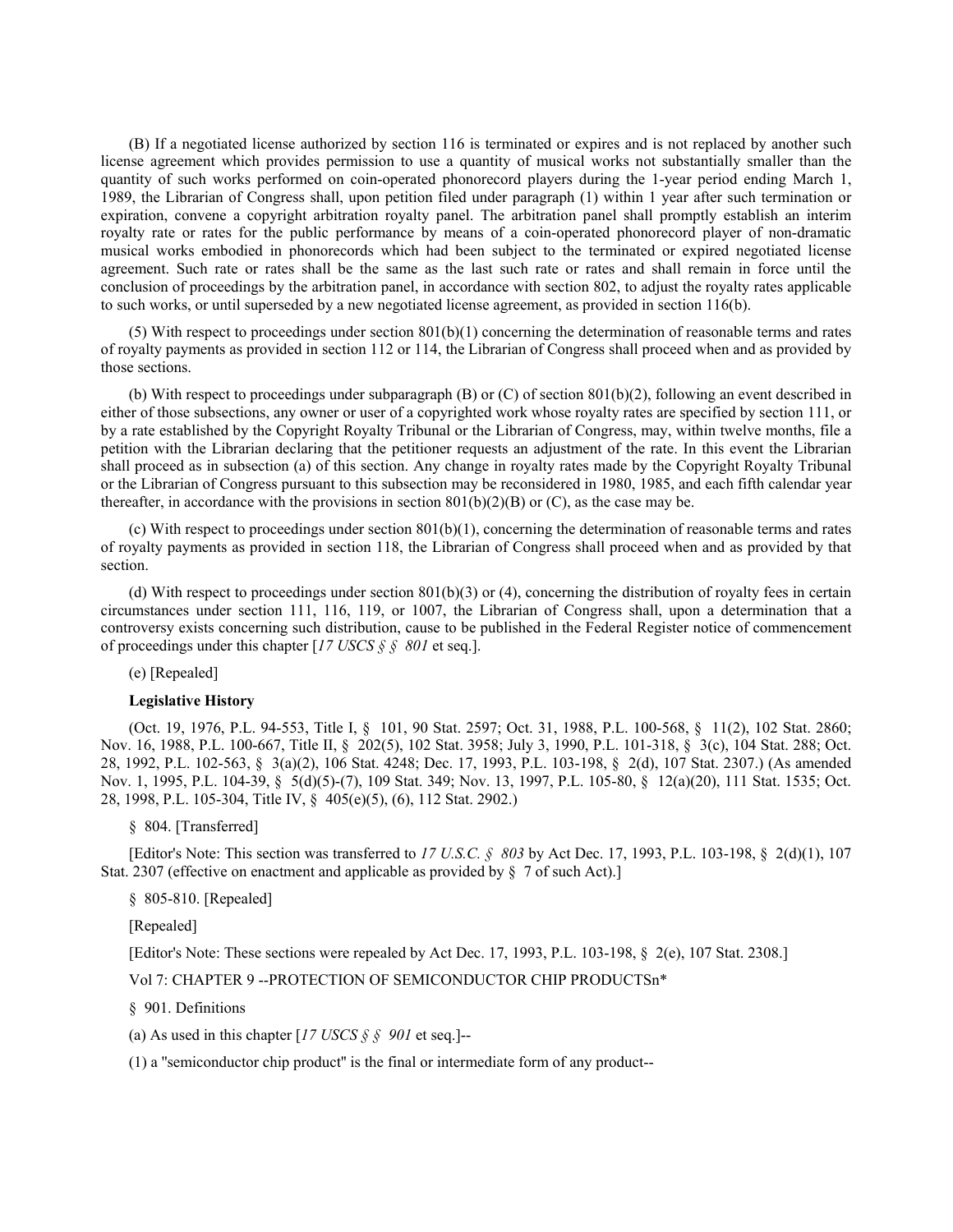(B) If a negotiated license authorized by section 116 is terminated or expires and is not replaced by another such license agreement which provides permission to use a quantity of musical works not substantially smaller than the quantity of such works performed on coin-operated phonorecord players during the 1-year period ending March 1, 1989, the Librarian of Congress shall, upon petition filed under paragraph (1) within 1 year after such termination or expiration, convene a copyright arbitration royalty panel. The arbitration panel shall promptly establish an interim royalty rate or rates for the public performance by means of a coin-operated phonorecord player of non-dramatic musical works embodied in phonorecords which had been subject to the terminated or expired negotiated license agreement. Such rate or rates shall be the same as the last such rate or rates and shall remain in force until the conclusion of proceedings by the arbitration panel, in accordance with section 802, to adjust the royalty rates applicable to such works, or until superseded by a new negotiated license agreement, as provided in section 116(b).

(5) With respect to proceedings under section 801(b)(1) concerning the determination of reasonable terms and rates of royalty payments as provided in section 112 or 114, the Librarian of Congress shall proceed when and as provided by those sections.

(b) With respect to proceedings under subparagraph (B) or (C) of section 801(b)(2), following an event described in either of those subsections, any owner or user of a copyrighted work whose royalty rates are specified by section 111, or by a rate established by the Copyright Royalty Tribunal or the Librarian of Congress, may, within twelve months, file a petition with the Librarian declaring that the petitioner requests an adjustment of the rate. In this event the Librarian shall proceed as in subsection (a) of this section. Any change in royalty rates made by the Copyright Royalty Tribunal or the Librarian of Congress pursuant to this subsection may be reconsidered in 1980, 1985, and each fifth calendar year thereafter, in accordance with the provisions in section  $801(b)(2)(B)$  or (C), as the case may be.

(c) With respect to proceedings under section 801(b)(1), concerning the determination of reasonable terms and rates of royalty payments as provided in section 118, the Librarian of Congress shall proceed when and as provided by that section.

(d) With respect to proceedings under section  $801(b)(3)$  or (4), concerning the distribution of royalty fees in certain circumstances under section 111, 116, 119, or 1007, the Librarian of Congress shall, upon a determination that a controversy exists concerning such distribution, cause to be published in the Federal Register notice of commencement of proceedings under this chapter [*17 USCS § § 801* et seq.].

(e) [Repealed]

## **Legislative History**

(Oct. 19, 1976, P.L. 94-553, Title I, § 101, 90 Stat. 2597; Oct. 31, 1988, P.L. 100-568, § 11(2), 102 Stat. 2860; Nov. 16, 1988, P.L. 100-667, Title II, § 202(5), 102 Stat. 3958; July 3, 1990, P.L. 101-318, § 3(c), 104 Stat. 288; Oct. 28, 1992, P.L. 102-563, § 3(a)(2), 106 Stat. 4248; Dec. 17, 1993, P.L. 103-198, § 2(d), 107 Stat. 2307.) (As amended Nov. 1, 1995, P.L. 104-39, § 5(d)(5)-(7), 109 Stat. 349; Nov. 13, 1997, P.L. 105-80, § 12(a)(20), 111 Stat. 1535; Oct. 28, 1998, P.L. 105-304, Title IV, § 405(e)(5), (6), 112 Stat. 2902.)

§ 804. [Transferred]

[Editor's Note: This section was transferred to *17 U.S.C. § 803* by Act Dec. 17, 1993, P.L. 103-198, § 2(d)(1), 107 Stat. 2307 (effective on enactment and applicable as provided by § 7 of such Act).]

### § 805-810. [Repealed]

[Repealed]

[Editor's Note: These sections were repealed by Act Dec. 17, 1993, P.L. 103-198, § 2(e), 107 Stat. 2308.]

## Vol 7: CHAPTER 9 --PROTECTION OF SEMICONDUCTOR CHIP PRODUCTSn\*

§ 901. Definitions

(a) As used in this chapter  $[17 \text{ USCS }$  § § 901 et seq.]--

(1) a ''semiconductor chip product'' is the final or intermediate form of any product--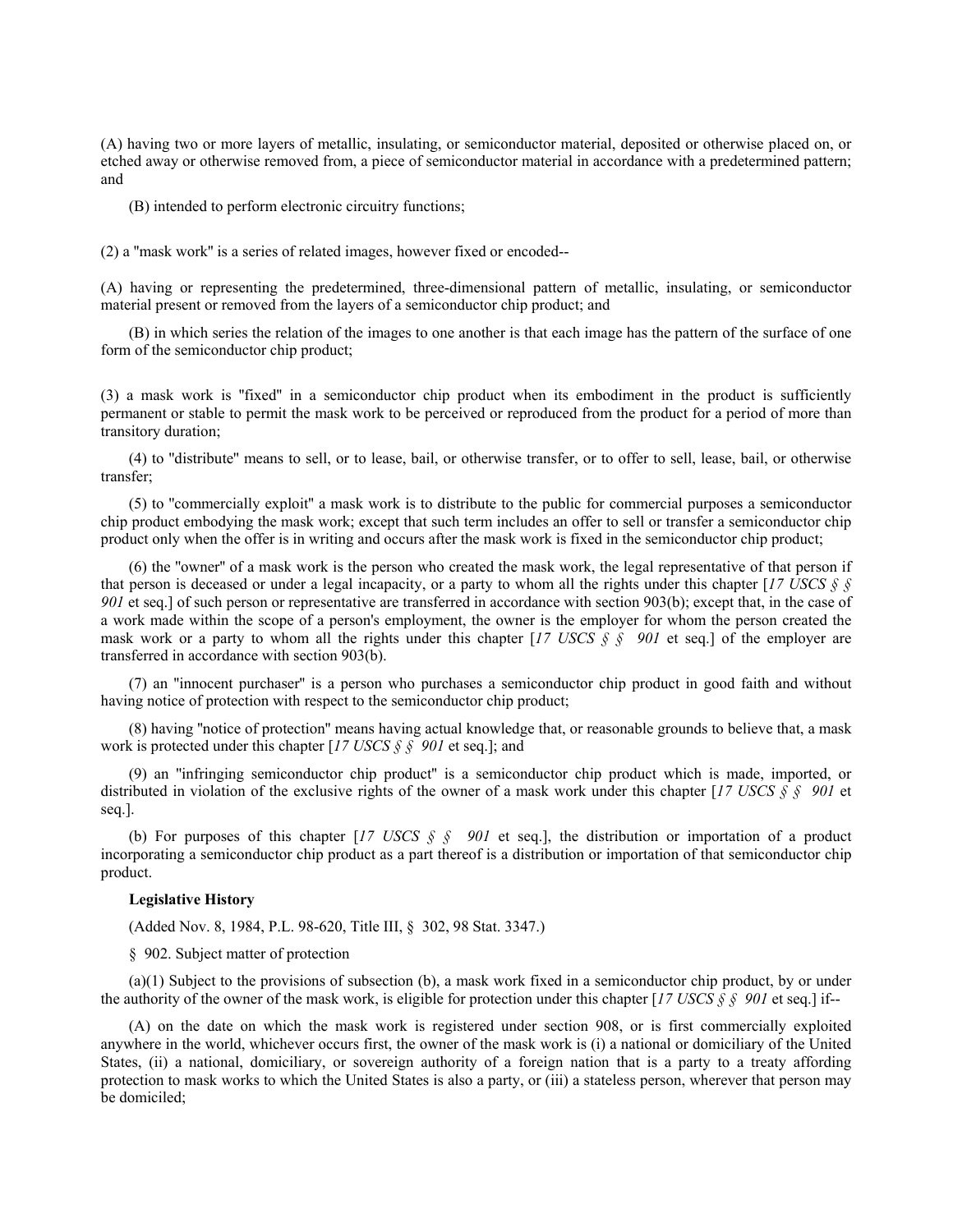(A) having two or more layers of metallic, insulating, or semiconductor material, deposited or otherwise placed on, or etched away or otherwise removed from, a piece of semiconductor material in accordance with a predetermined pattern; and

(B) intended to perform electronic circuitry functions;

(2) a ''mask work'' is a series of related images, however fixed or encoded--

(A) having or representing the predetermined, three-dimensional pattern of metallic, insulating, or semiconductor material present or removed from the layers of a semiconductor chip product; and

(B) in which series the relation of the images to one another is that each image has the pattern of the surface of one form of the semiconductor chip product;

(3) a mask work is ''fixed'' in a semiconductor chip product when its embodiment in the product is sufficiently permanent or stable to permit the mask work to be perceived or reproduced from the product for a period of more than transitory duration;

(4) to ''distribute'' means to sell, or to lease, bail, or otherwise transfer, or to offer to sell, lease, bail, or otherwise transfer;

(5) to ''commercially exploit'' a mask work is to distribute to the public for commercial purposes a semiconductor chip product embodying the mask work; except that such term includes an offer to sell or transfer a semiconductor chip product only when the offer is in writing and occurs after the mask work is fixed in the semiconductor chip product;

(6) the ''owner'' of a mask work is the person who created the mask work, the legal representative of that person if that person is deceased or under a legal incapacity, or a party to whom all the rights under this chapter [*17 USCS § § 901* et seq.] of such person or representative are transferred in accordance with section 903(b); except that, in the case of a work made within the scope of a person's employment, the owner is the employer for whom the person created the mask work or a party to whom all the rights under this chapter  $[17 \text{ USCS } \text{S} \text{ S} \text{ 901} ]$  et seq.] of the employer are transferred in accordance with section 903(b).

(7) an ''innocent purchaser'' is a person who purchases a semiconductor chip product in good faith and without having notice of protection with respect to the semiconductor chip product;

(8) having ''notice of protection'' means having actual knowledge that, or reasonable grounds to believe that, a mask work is protected under this chapter [*17 USCS § § 901* et seq.]; and

(9) an ''infringing semiconductor chip product'' is a semiconductor chip product which is made, imported, or distributed in violation of the exclusive rights of the owner of a mask work under this chapter [*17 USCS § § 901* et seq.].

(b) For purposes of this chapter [*17 USCS § § 901* et seq.], the distribution or importation of a product incorporating a semiconductor chip product as a part thereof is a distribution or importation of that semiconductor chip product.

#### **Legislative History**

(Added Nov. 8, 1984, P.L. 98-620, Title III, § 302, 98 Stat. 3347.)

§ 902. Subject matter of protection

(a)(1) Subject to the provisions of subsection (b), a mask work fixed in a semiconductor chip product, by or under the authority of the owner of the mask work, is eligible for protection under this chapter  $[17 \text{ USCS} \text{ } \text{S} \text{ } 901]$  et seq.] if--

(A) on the date on which the mask work is registered under section 908, or is first commercially exploited anywhere in the world, whichever occurs first, the owner of the mask work is (i) a national or domiciliary of the United States, (ii) a national, domiciliary, or sovereign authority of a foreign nation that is a party to a treaty affording protection to mask works to which the United States is also a party, or (iii) a stateless person, wherever that person may be domiciled;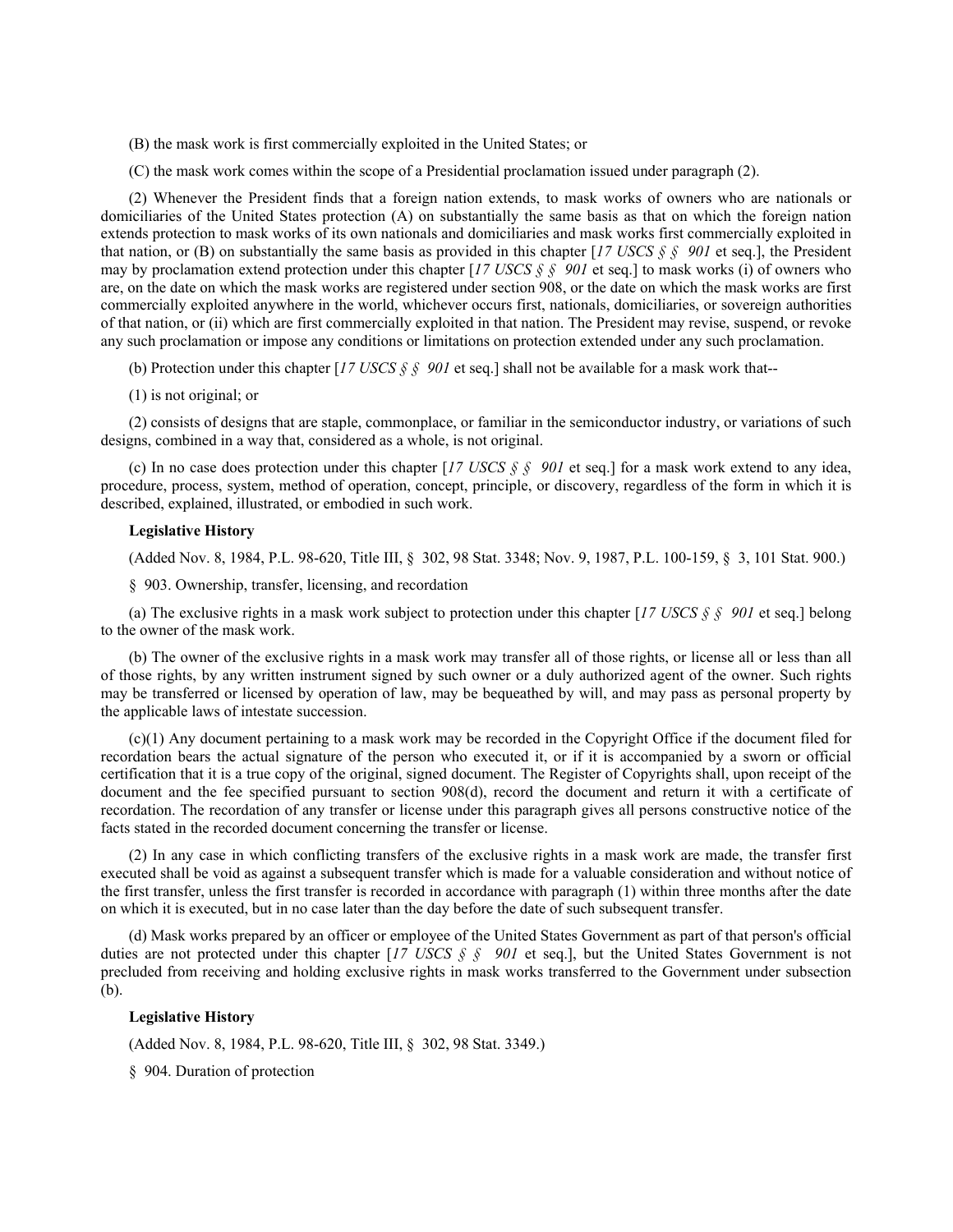- (B) the mask work is first commercially exploited in the United States; or
- (C) the mask work comes within the scope of a Presidential proclamation issued under paragraph (2).

(2) Whenever the President finds that a foreign nation extends, to mask works of owners who are nationals or domiciliaries of the United States protection (A) on substantially the same basis as that on which the foreign nation extends protection to mask works of its own nationals and domiciliaries and mask works first commercially exploited in that nation, or (B) on substantially the same basis as provided in this chapter [17 USCS  $\S$   $\S$   $\S$   $\Theta$ *01* et seq.], the President may by proclamation extend protection under this chapter  $[17 \text{ USCS}$  §  $\%$  901 et seq.] to mask works (i) of owners who are, on the date on which the mask works are registered under section 908, or the date on which the mask works are first commercially exploited anywhere in the world, whichever occurs first, nationals, domiciliaries, or sovereign authorities of that nation, or (ii) which are first commercially exploited in that nation. The President may revise, suspend, or revoke any such proclamation or impose any conditions or limitations on protection extended under any such proclamation.

- (b) Protection under this chapter  $[17 \text{ USCS} \text{ }\text{\textless}\text{ }\text{]}$  of et seq.] shall not be available for a mask work that--
- (1) is not original; or

(2) consists of designs that are staple, commonplace, or familiar in the semiconductor industry, or variations of such designs, combined in a way that, considered as a whole, is not original.

(c) In no case does protection under this chapter  $[17 \text{ USCS} \text{ }\text{S} \text{ } \text{S} \text{ } 901$  et seq.] for a mask work extend to any idea, procedure, process, system, method of operation, concept, principle, or discovery, regardless of the form in which it is described, explained, illustrated, or embodied in such work.

## **Legislative History**

(Added Nov. 8, 1984, P.L. 98-620, Title III, § 302, 98 Stat. 3348; Nov. 9, 1987, P.L. 100-159, § 3, 101 Stat. 900.)

§ 903. Ownership, transfer, licensing, and recordation

(a) The exclusive rights in a mask work subject to protection under this chapter [*17 USCS § § 901* et seq.] belong to the owner of the mask work.

(b) The owner of the exclusive rights in a mask work may transfer all of those rights, or license all or less than all of those rights, by any written instrument signed by such owner or a duly authorized agent of the owner. Such rights may be transferred or licensed by operation of law, may be bequeathed by will, and may pass as personal property by the applicable laws of intestate succession.

(c)(1) Any document pertaining to a mask work may be recorded in the Copyright Office if the document filed for recordation bears the actual signature of the person who executed it, or if it is accompanied by a sworn or official certification that it is a true copy of the original, signed document. The Register of Copyrights shall, upon receipt of the document and the fee specified pursuant to section 908(d), record the document and return it with a certificate of recordation. The recordation of any transfer or license under this paragraph gives all persons constructive notice of the facts stated in the recorded document concerning the transfer or license.

(2) In any case in which conflicting transfers of the exclusive rights in a mask work are made, the transfer first executed shall be void as against a subsequent transfer which is made for a valuable consideration and without notice of the first transfer, unless the first transfer is recorded in accordance with paragraph (1) within three months after the date on which it is executed, but in no case later than the day before the date of such subsequent transfer.

(d) Mask works prepared by an officer or employee of the United States Government as part of that person's official duties are not protected under this chapter [*17 USCS § § 901* et seq.], but the United States Government is not precluded from receiving and holding exclusive rights in mask works transferred to the Government under subsection (b).

### **Legislative History**

(Added Nov. 8, 1984, P.L. 98-620, Title III, § 302, 98 Stat. 3349.)

§ 904. Duration of protection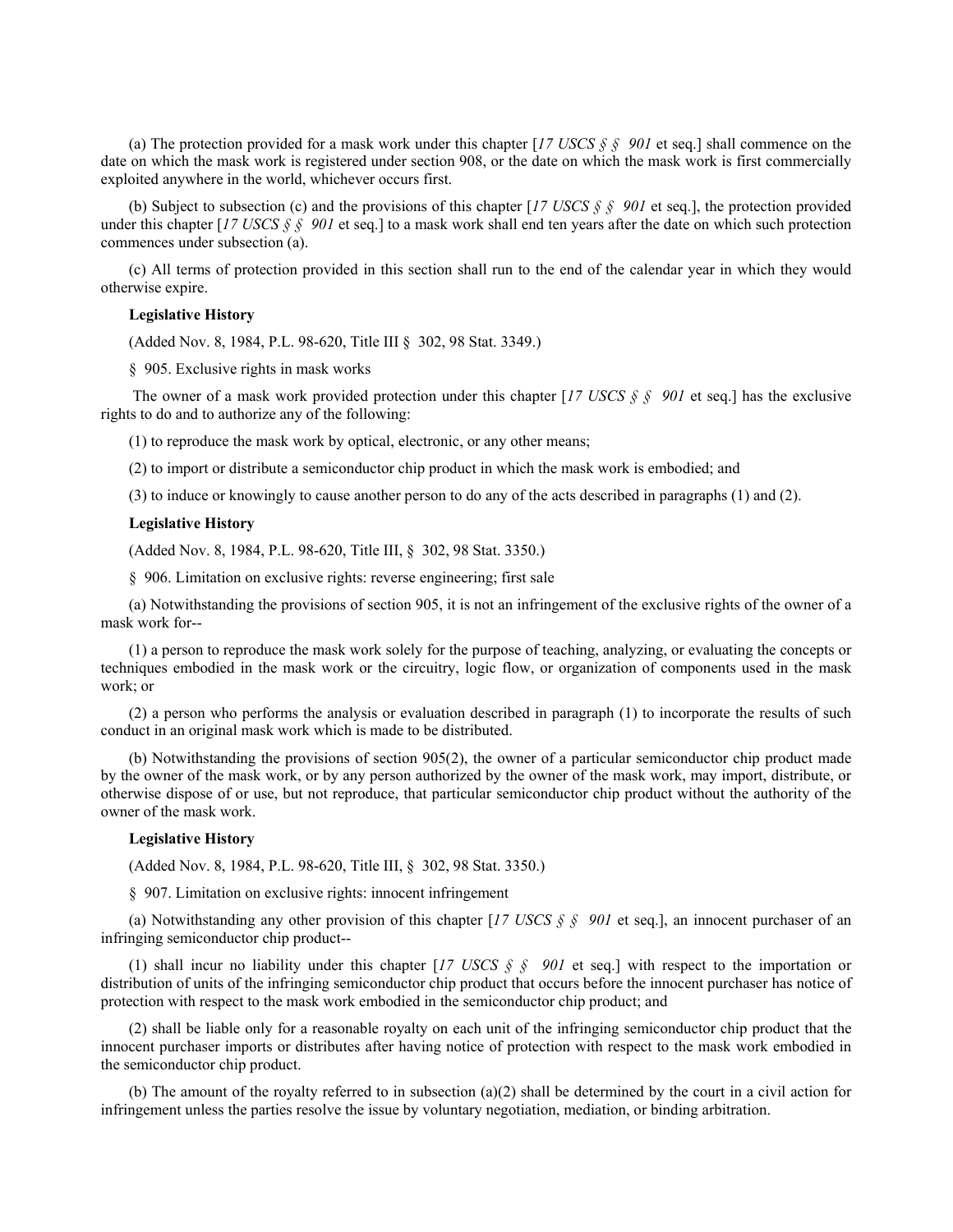(a) The protection provided for a mask work under this chapter  $[17 \text{ USCS} \text{ } \text{\textless} \text{ } \text{\textless} 901]$  et seq.] shall commence on the date on which the mask work is registered under section 908, or the date on which the mask work is first commercially exploited anywhere in the world, whichever occurs first.

(b) Subject to subsection (c) and the provisions of this chapter [*17 USCS § § 901* et seq.], the protection provided under this chapter  $[17 \text{ USCS } \xi \xi \vartheta 901]$  et seq.] to a mask work shall end ten years after the date on which such protection commences under subsection (a).

(c) All terms of protection provided in this section shall run to the end of the calendar year in which they would otherwise expire.

### **Legislative History**

(Added Nov. 8, 1984, P.L. 98-620, Title III § 302, 98 Stat. 3349.)

§ 905. Exclusive rights in mask works

The owner of a mask work provided protection under this chapter  $[17 \text{ USCS } \xi \xi \theta 901]$  et seq.] has the exclusive rights to do and to authorize any of the following:

(1) to reproduce the mask work by optical, electronic, or any other means;

(2) to import or distribute a semiconductor chip product in which the mask work is embodied; and

(3) to induce or knowingly to cause another person to do any of the acts described in paragraphs (1) and (2).

#### **Legislative History**

(Added Nov. 8, 1984, P.L. 98-620, Title III, § 302, 98 Stat. 3350.)

§ 906. Limitation on exclusive rights: reverse engineering; first sale

(a) Notwithstanding the provisions of section 905, it is not an infringement of the exclusive rights of the owner of a mask work for--

(1) a person to reproduce the mask work solely for the purpose of teaching, analyzing, or evaluating the concepts or techniques embodied in the mask work or the circuitry, logic flow, or organization of components used in the mask work; or

(2) a person who performs the analysis or evaluation described in paragraph (1) to incorporate the results of such conduct in an original mask work which is made to be distributed.

(b) Notwithstanding the provisions of section 905(2), the owner of a particular semiconductor chip product made by the owner of the mask work, or by any person authorized by the owner of the mask work, may import, distribute, or otherwise dispose of or use, but not reproduce, that particular semiconductor chip product without the authority of the owner of the mask work.

### **Legislative History**

(Added Nov. 8, 1984, P.L. 98-620, Title III, § 302, 98 Stat. 3350.)

§ 907. Limitation on exclusive rights: innocent infringement

(a) Notwithstanding any other provision of this chapter [*17 USCS § § 901* et seq.], an innocent purchaser of an infringing semiconductor chip product--

(1) shall incur no liability under this chapter  $[17 \text{ USCS} \text{ } \text{S} \text{ } \text{S} \text{ } 901 \text{ }$  et seq.] with respect to the importation or distribution of units of the infringing semiconductor chip product that occurs before the innocent purchaser has notice of protection with respect to the mask work embodied in the semiconductor chip product; and

(2) shall be liable only for a reasonable royalty on each unit of the infringing semiconductor chip product that the innocent purchaser imports or distributes after having notice of protection with respect to the mask work embodied in the semiconductor chip product.

(b) The amount of the royalty referred to in subsection (a)(2) shall be determined by the court in a civil action for infringement unless the parties resolve the issue by voluntary negotiation, mediation, or binding arbitration.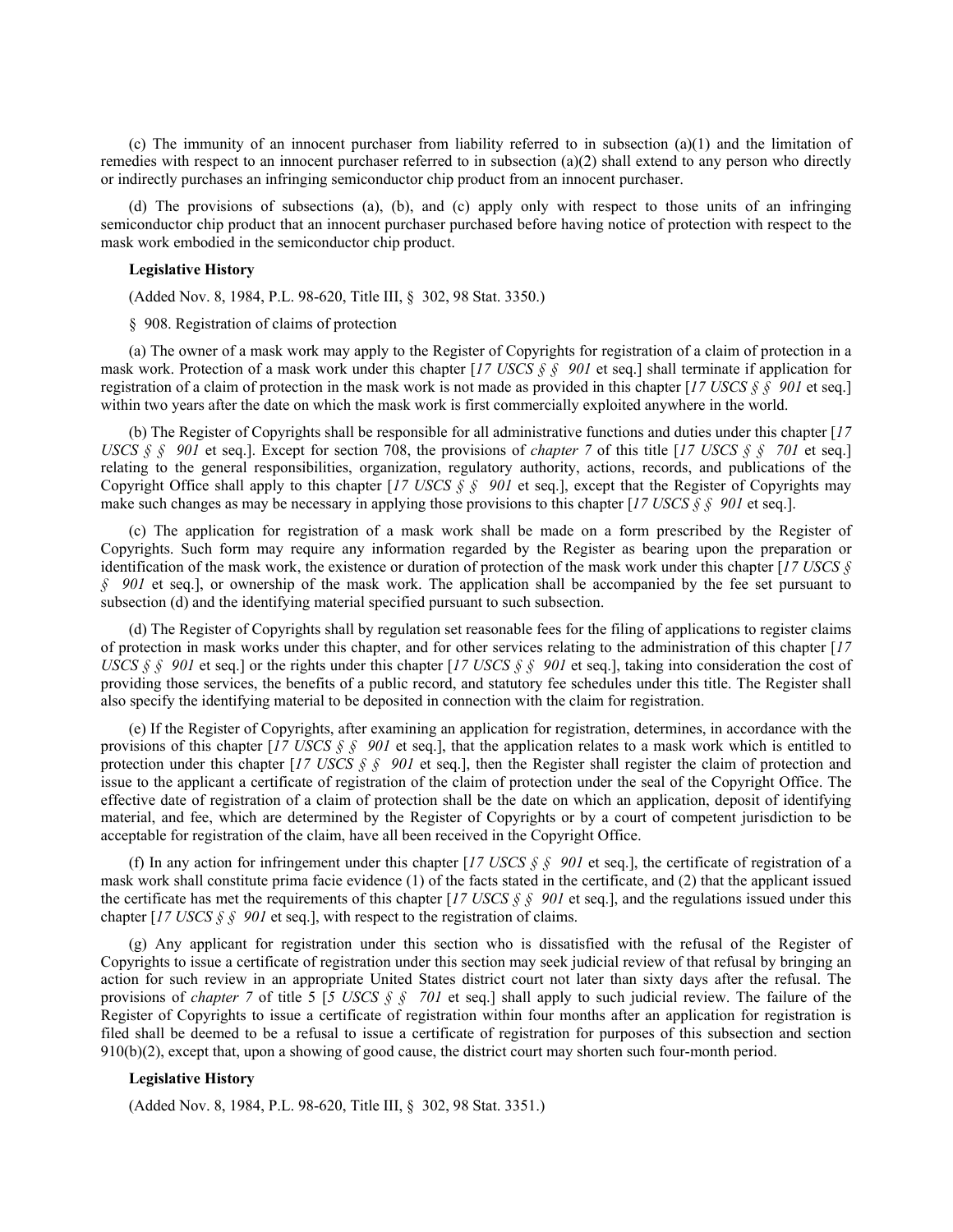(c) The immunity of an innocent purchaser from liability referred to in subsection (a)(1) and the limitation of remedies with respect to an innocent purchaser referred to in subsection (a)(2) shall extend to any person who directly or indirectly purchases an infringing semiconductor chip product from an innocent purchaser.

(d) The provisions of subsections (a), (b), and (c) apply only with respect to those units of an infringing semiconductor chip product that an innocent purchaser purchased before having notice of protection with respect to the mask work embodied in the semiconductor chip product.

#### **Legislative History**

(Added Nov. 8, 1984, P.L. 98-620, Title III, § 302, 98 Stat. 3350.)

§ 908. Registration of claims of protection

(a) The owner of a mask work may apply to the Register of Copyrights for registration of a claim of protection in a mask work. Protection of a mask work under this chapter  $[17 \text{ USCS } \xi \xi \theta 901]$  et seq.] shall terminate if application for registration of a claim of protection in the mask work is not made as provided in this chapter [*17 USCS § § 901* et seq.] within two years after the date on which the mask work is first commercially exploited anywhere in the world.

(b) The Register of Copyrights shall be responsible for all administrative functions and duties under this chapter [*17 USCS § § 901* et seq.]. Except for section 708, the provisions of *chapter 7* of this title [*17 USCS § § 701* et seq.] relating to the general responsibilities, organization, regulatory authority, actions, records, and publications of the Copyright Office shall apply to this chapter [*17 USCS § § 901* et seq.], except that the Register of Copyrights may make such changes as may be necessary in applying those provisions to this chapter [*17 USCS § § 901* et seq.].

(c) The application for registration of a mask work shall be made on a form prescribed by the Register of Copyrights. Such form may require any information regarded by the Register as bearing upon the preparation or identification of the mask work, the existence or duration of protection of the mask work under this chapter [*17 USCS § § 901* et seq.], or ownership of the mask work. The application shall be accompanied by the fee set pursuant to subsection (d) and the identifying material specified pursuant to such subsection.

(d) The Register of Copyrights shall by regulation set reasonable fees for the filing of applications to register claims of protection in mask works under this chapter, and for other services relating to the administration of this chapter [*17 USCS*  $\S$   $\S$   $\S$  901 et seq.] or the rights under this chapter [17 USCS  $\S$   $\S$   $\S$  901 et seq.], taking into consideration the cost of providing those services, the benefits of a public record, and statutory fee schedules under this title. The Register shall also specify the identifying material to be deposited in connection with the claim for registration.

(e) If the Register of Copyrights, after examining an application for registration, determines, in accordance with the provisions of this chapter  $[17 \text{ USCS} \text{ } \text{\ensuremath{\$}} \text{ } 901$  et seq.], that the application relates to a mask work which is entitled to protection under this chapter [*17 USCS § § 901* et seq.], then the Register shall register the claim of protection and issue to the applicant a certificate of registration of the claim of protection under the seal of the Copyright Office. The effective date of registration of a claim of protection shall be the date on which an application, deposit of identifying material, and fee, which are determined by the Register of Copyrights or by a court of competent jurisdiction to be acceptable for registration of the claim, have all been received in the Copyright Office.

(f) In any action for infringement under this chapter [*17 USCS § § 901* et seq.], the certificate of registration of a mask work shall constitute prima facie evidence (1) of the facts stated in the certificate, and (2) that the applicant issued the certificate has met the requirements of this chapter  $[17 \text{ USCS} \text{ }\text{S} \text{ } 901]$  et seq.], and the regulations issued under this chapter [*17 USCS § § 901* et seq.], with respect to the registration of claims.

(g) Any applicant for registration under this section who is dissatisfied with the refusal of the Register of Copyrights to issue a certificate of registration under this section may seek judicial review of that refusal by bringing an action for such review in an appropriate United States district court not later than sixty days after the refusal. The provisions of *chapter* 7 of title 5 [5 USCS  $\delta$   $\delta$  701 et seq.] shall apply to such judicial review. The failure of the Register of Copyrights to issue a certificate of registration within four months after an application for registration is filed shall be deemed to be a refusal to issue a certificate of registration for purposes of this subsection and section 910(b)(2), except that, upon a showing of good cause, the district court may shorten such four-month period.

#### **Legislative History**

(Added Nov. 8, 1984, P.L. 98-620, Title III, § 302, 98 Stat. 3351.)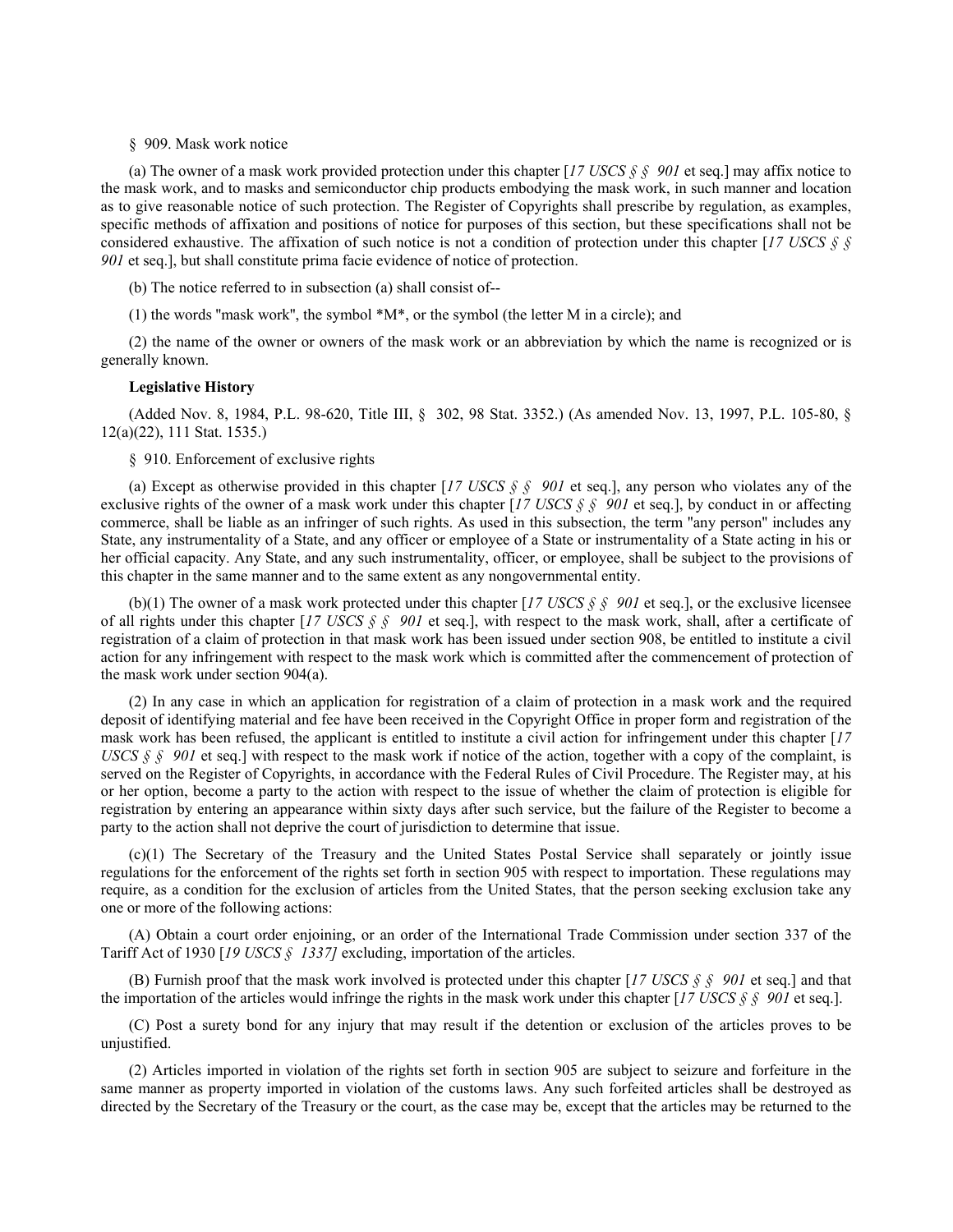#### § 909. Mask work notice

(a) The owner of a mask work provided protection under this chapter [*17 USCS § § 901* et seq.] may affix notice to the mask work, and to masks and semiconductor chip products embodying the mask work, in such manner and location as to give reasonable notice of such protection. The Register of Copyrights shall prescribe by regulation, as examples, specific methods of affixation and positions of notice for purposes of this section, but these specifications shall not be considered exhaustive. The affixation of such notice is not a condition of protection under this chapter [*17 USCS § § 901* et seq.], but shall constitute prima facie evidence of notice of protection.

(b) The notice referred to in subsection (a) shall consist of--

 $(1)$  the words "mask work", the symbol  $*M*$ , or the symbol (the letter M in a circle); and

(2) the name of the owner or owners of the mask work or an abbreviation by which the name is recognized or is generally known.

#### **Legislative History**

(Added Nov. 8, 1984, P.L. 98-620, Title III, § 302, 98 Stat. 3352.) (As amended Nov. 13, 1997, P.L. 105-80, § 12(a)(22), 111 Stat. 1535.)

§ 910. Enforcement of exclusive rights

(a) Except as otherwise provided in this chapter [*17 USCS § § 901* et seq.], any person who violates any of the exclusive rights of the owner of a mask work under this chapter  $[17 \text{ USCS} \text{ }\text{S} \text{ } \text{]}$   $\theta$  et seq.], by conduct in or affecting commerce, shall be liable as an infringer of such rights. As used in this subsection, the term ''any person'' includes any State, any instrumentality of a State, and any officer or employee of a State or instrumentality of a State acting in his or her official capacity. Any State, and any such instrumentality, officer, or employee, shall be subject to the provisions of this chapter in the same manner and to the same extent as any nongovernmental entity.

(b)(1) The owner of a mask work protected under this chapter  $[17 \text{ USCS } \xi \xi \text{ 901}$  et seq.], or the exclusive licensee of all rights under this chapter  $[17 \text{ USCS } \xi \xi \text{ 901}$  et seq.], with respect to the mask work, shall, after a certificate of registration of a claim of protection in that mask work has been issued under section 908, be entitled to institute a civil action for any infringement with respect to the mask work which is committed after the commencement of protection of the mask work under section 904(a).

(2) In any case in which an application for registration of a claim of protection in a mask work and the required deposit of identifying material and fee have been received in the Copyright Office in proper form and registration of the mask work has been refused, the applicant is entitled to institute a civil action for infringement under this chapter [*17 USCS § § 901* et seq.] with respect to the mask work if notice of the action, together with a copy of the complaint, is served on the Register of Copyrights, in accordance with the Federal Rules of Civil Procedure. The Register may, at his or her option, become a party to the action with respect to the issue of whether the claim of protection is eligible for registration by entering an appearance within sixty days after such service, but the failure of the Register to become a party to the action shall not deprive the court of jurisdiction to determine that issue.

(c)(1) The Secretary of the Treasury and the United States Postal Service shall separately or jointly issue regulations for the enforcement of the rights set forth in section 905 with respect to importation. These regulations may require, as a condition for the exclusion of articles from the United States, that the person seeking exclusion take any one or more of the following actions:

(A) Obtain a court order enjoining, or an order of the International Trade Commission under section 337 of the Tariff Act of 1930 [*19 USCS § 1337]* excluding, importation of the articles.

(B) Furnish proof that the mask work involved is protected under this chapter [*17 USCS § § 901* et seq.] and that the importation of the articles would infringe the rights in the mask work under this chapter  $[17 \text{ USCS} \text{ } \text{S} \text{ } \text{S} \text{ } 901]$  et seq.].

(C) Post a surety bond for any injury that may result if the detention or exclusion of the articles proves to be unjustified.

(2) Articles imported in violation of the rights set forth in section 905 are subject to seizure and forfeiture in the same manner as property imported in violation of the customs laws. Any such forfeited articles shall be destroyed as directed by the Secretary of the Treasury or the court, as the case may be, except that the articles may be returned to the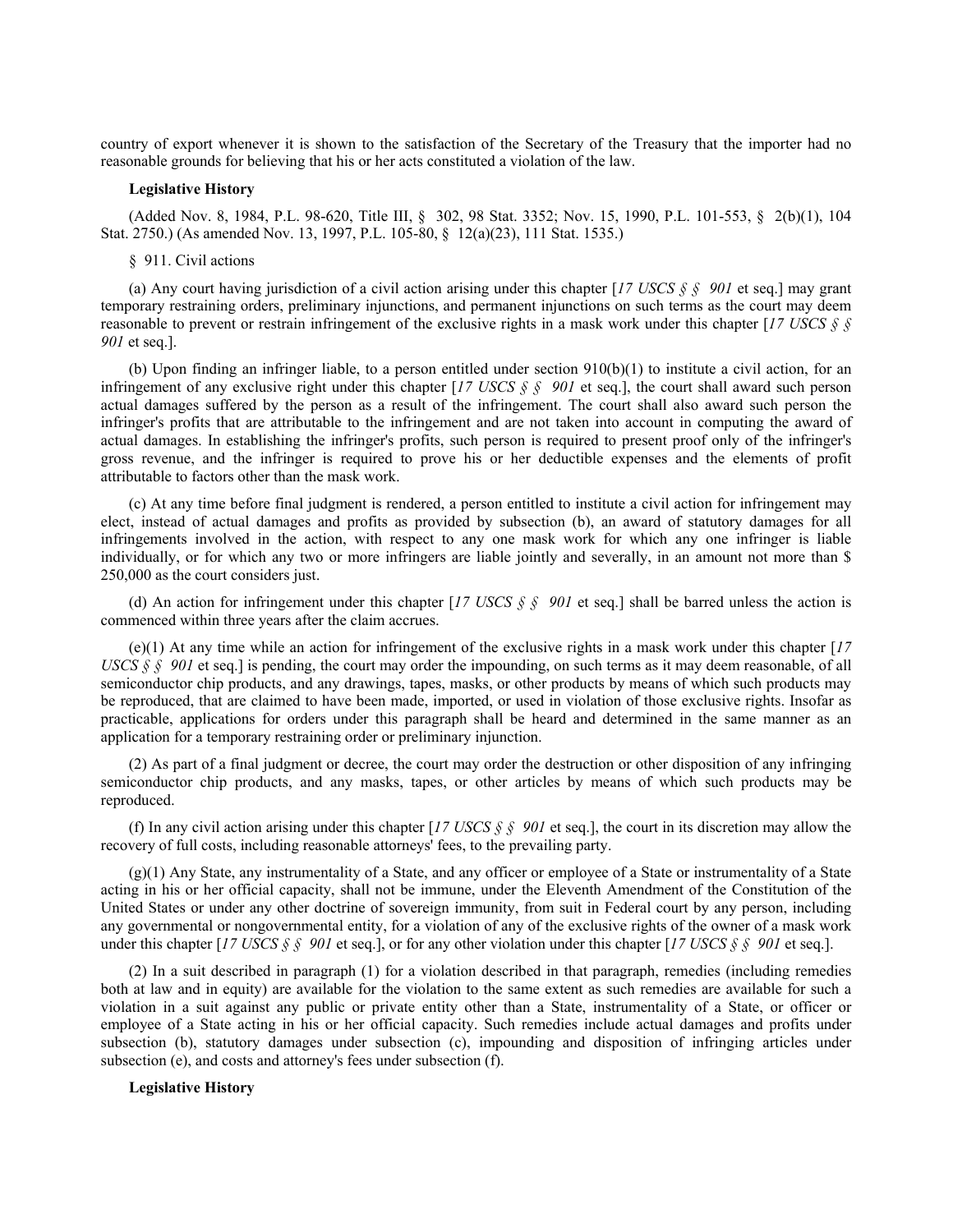country of export whenever it is shown to the satisfaction of the Secretary of the Treasury that the importer had no reasonable grounds for believing that his or her acts constituted a violation of the law.

### **Legislative History**

(Added Nov. 8, 1984, P.L. 98-620, Title III, § 302, 98 Stat. 3352; Nov. 15, 1990, P.L. 101-553, § 2(b)(1), 104 Stat. 2750.) (As amended Nov. 13, 1997, P.L. 105-80, § 12(a)(23), 111 Stat. 1535.)

#### § 911. Civil actions

(a) Any court having jurisdiction of a civil action arising under this chapter  $[17 \text{ USCS} \text{ } \text{S} \text{ } \text{S} \text{ } 901]$  et seq.] may grant temporary restraining orders, preliminary injunctions, and permanent injunctions on such terms as the court may deem reasonable to prevent or restrain infringement of the exclusive rights in a mask work under this chapter [*17 USCS § § 901* et seq.].

(b) Upon finding an infringer liable, to a person entitled under section 910(b)(1) to institute a civil action, for an infringement of any exclusive right under this chapter  $[17 \text{ USCS} \text{ } \text{S} \text{ } \text{ } 901]$  et seq.], the court shall award such person actual damages suffered by the person as a result of the infringement. The court shall also award such person the infringer's profits that are attributable to the infringement and are not taken into account in computing the award of actual damages. In establishing the infringer's profits, such person is required to present proof only of the infringer's gross revenue, and the infringer is required to prove his or her deductible expenses and the elements of profit attributable to factors other than the mask work.

(c) At any time before final judgment is rendered, a person entitled to institute a civil action for infringement may elect, instead of actual damages and profits as provided by subsection (b), an award of statutory damages for all infringements involved in the action, with respect to any one mask work for which any one infringer is liable individually, or for which any two or more infringers are liable jointly and severally, in an amount not more than \$ 250,000 as the court considers just.

(d) An action for infringement under this chapter  $[17 \text{ USCS} \text{ } \text{S} \text{ } \text{ } 901 \text{ }$  et seq.] shall be barred unless the action is commenced within three years after the claim accrues.

(e)(1) At any time while an action for infringement of the exclusive rights in a mask work under this chapter [*17 USCS § § 901* et seq.] is pending, the court may order the impounding, on such terms as it may deem reasonable, of all semiconductor chip products, and any drawings, tapes, masks, or other products by means of which such products may be reproduced, that are claimed to have been made, imported, or used in violation of those exclusive rights. Insofar as practicable, applications for orders under this paragraph shall be heard and determined in the same manner as an application for a temporary restraining order or preliminary injunction.

(2) As part of a final judgment or decree, the court may order the destruction or other disposition of any infringing semiconductor chip products, and any masks, tapes, or other articles by means of which such products may be reproduced.

(f) In any civil action arising under this chapter  $[17 \text{ USCS} \text{ } \text{S} \text{ } \text{S} \text{ } 901]$  et seq.], the court in its discretion may allow the recovery of full costs, including reasonable attorneys' fees, to the prevailing party.

(g)(1) Any State, any instrumentality of a State, and any officer or employee of a State or instrumentality of a State acting in his or her official capacity, shall not be immune, under the Eleventh Amendment of the Constitution of the United States or under any other doctrine of sovereign immunity, from suit in Federal court by any person, including any governmental or nongovernmental entity, for a violation of any of the exclusive rights of the owner of a mask work under this chapter [*17 USCS § § 901* et seq.], or for any other violation under this chapter [*17 USCS § § 901* et seq.].

(2) In a suit described in paragraph (1) for a violation described in that paragraph, remedies (including remedies both at law and in equity) are available for the violation to the same extent as such remedies are available for such a violation in a suit against any public or private entity other than a State, instrumentality of a State, or officer or employee of a State acting in his or her official capacity. Such remedies include actual damages and profits under subsection (b), statutory damages under subsection (c), impounding and disposition of infringing articles under subsection (e), and costs and attorney's fees under subsection (f).

## **Legislative History**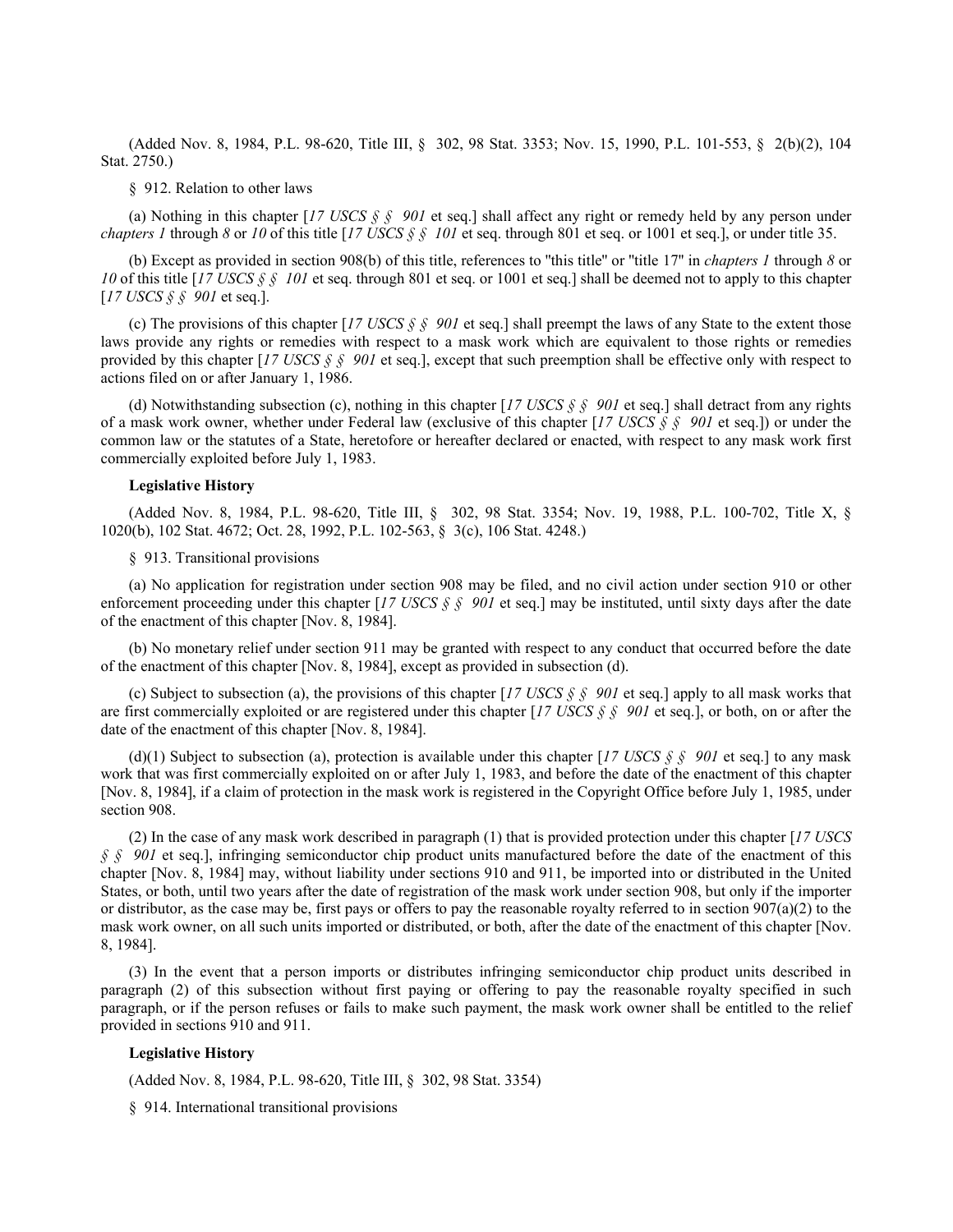(Added Nov. 8, 1984, P.L. 98-620, Title III, § 302, 98 Stat. 3353; Nov. 15, 1990, P.L. 101-553, § 2(b)(2), 104 Stat. 2750.)

#### § 912. Relation to other laws

(a) Nothing in this chapter [*17 USCS § § 901* et seq.] shall affect any right or remedy held by any person under *chapters 1* through *8* or *10* of this title [*17 USCS § § 101* et seq. through 801 et seq. or 1001 et seq.], or under title 35.

(b) Except as provided in section 908(b) of this title, references to ''this title'' or ''title 17'' in *chapters 1* through *8* or *10* of this title [*17 USCS*  $\frac{5}{5}$   $\frac{5}{101}$  et seq. through 801 et seq. or 1001 et seq.] shall be deemed not to apply to this chapter [*17 USCS § § 901* et seq.].

(c) The provisions of this chapter [*17 USCS § § 901* et seq.] shall preempt the laws of any State to the extent those laws provide any rights or remedies with respect to a mask work which are equivalent to those rights or remedies provided by this chapter  $[17 \text{ USCS }$   $\S$   $\S$   $901$  et seq.], except that such preemption shall be effective only with respect to actions filed on or after January 1, 1986.

(d) Notwithstanding subsection (c), nothing in this chapter  $[17 \text{ USCS} \text{ } \text{\textless} \textless 901]$  et seq.] shall detract from any rights of a mask work owner, whether under Federal law (exclusive of this chapter [*17 USCS § § 901* et seq.]) or under the common law or the statutes of a State, heretofore or hereafter declared or enacted, with respect to any mask work first commercially exploited before July 1, 1983.

### **Legislative History**

(Added Nov. 8, 1984, P.L. 98-620, Title III, § 302, 98 Stat. 3354; Nov. 19, 1988, P.L. 100-702, Title X, § 1020(b), 102 Stat. 4672; Oct. 28, 1992, P.L. 102-563, § 3(c), 106 Stat. 4248.)

§ 913. Transitional provisions

(a) No application for registration under section 908 may be filed, and no civil action under section 910 or other enforcement proceeding under this chapter [*17 USCS § § 901* et seq.] may be instituted, until sixty days after the date of the enactment of this chapter [Nov. 8, 1984].

(b) No monetary relief under section 911 may be granted with respect to any conduct that occurred before the date of the enactment of this chapter [Nov. 8, 1984], except as provided in subsection (d).

(c) Subject to subsection (a), the provisions of this chapter  $[17 \text{ USCS }\xi \xi \text{ } 901]$  et seq.] apply to all mask works that are first commercially exploited or are registered under this chapter  $[17 \text{ USCS } \xi \xi \text{ 901}$  et seq.], or both, on or after the date of the enactment of this chapter [Nov. 8, 1984].

(d)(1) Subject to subsection (a), protection is available under this chapter  $[17 \text{ USCS } \xi \xi \text{ } 901]$  et seq.] to any mask work that was first commercially exploited on or after July 1, 1983, and before the date of the enactment of this chapter [Nov. 8, 1984], if a claim of protection in the mask work is registered in the Copyright Office before July 1, 1985, under section 908.

(2) In the case of any mask work described in paragraph (1) that is provided protection under this chapter [*17 USCS § § 901* et seq.], infringing semiconductor chip product units manufactured before the date of the enactment of this chapter [Nov. 8, 1984] may, without liability under sections 910 and 911, be imported into or distributed in the United States, or both, until two years after the date of registration of the mask work under section 908, but only if the importer or distributor, as the case may be, first pays or offers to pay the reasonable royalty referred to in section  $907(a)(2)$  to the mask work owner, on all such units imported or distributed, or both, after the date of the enactment of this chapter [Nov. 8, 1984].

(3) In the event that a person imports or distributes infringing semiconductor chip product units described in paragraph (2) of this subsection without first paying or offering to pay the reasonable royalty specified in such paragraph, or if the person refuses or fails to make such payment, the mask work owner shall be entitled to the relief provided in sections 910 and 911.

### **Legislative History**

(Added Nov. 8, 1984, P.L. 98-620, Title III, § 302, 98 Stat. 3354)

§ 914. International transitional provisions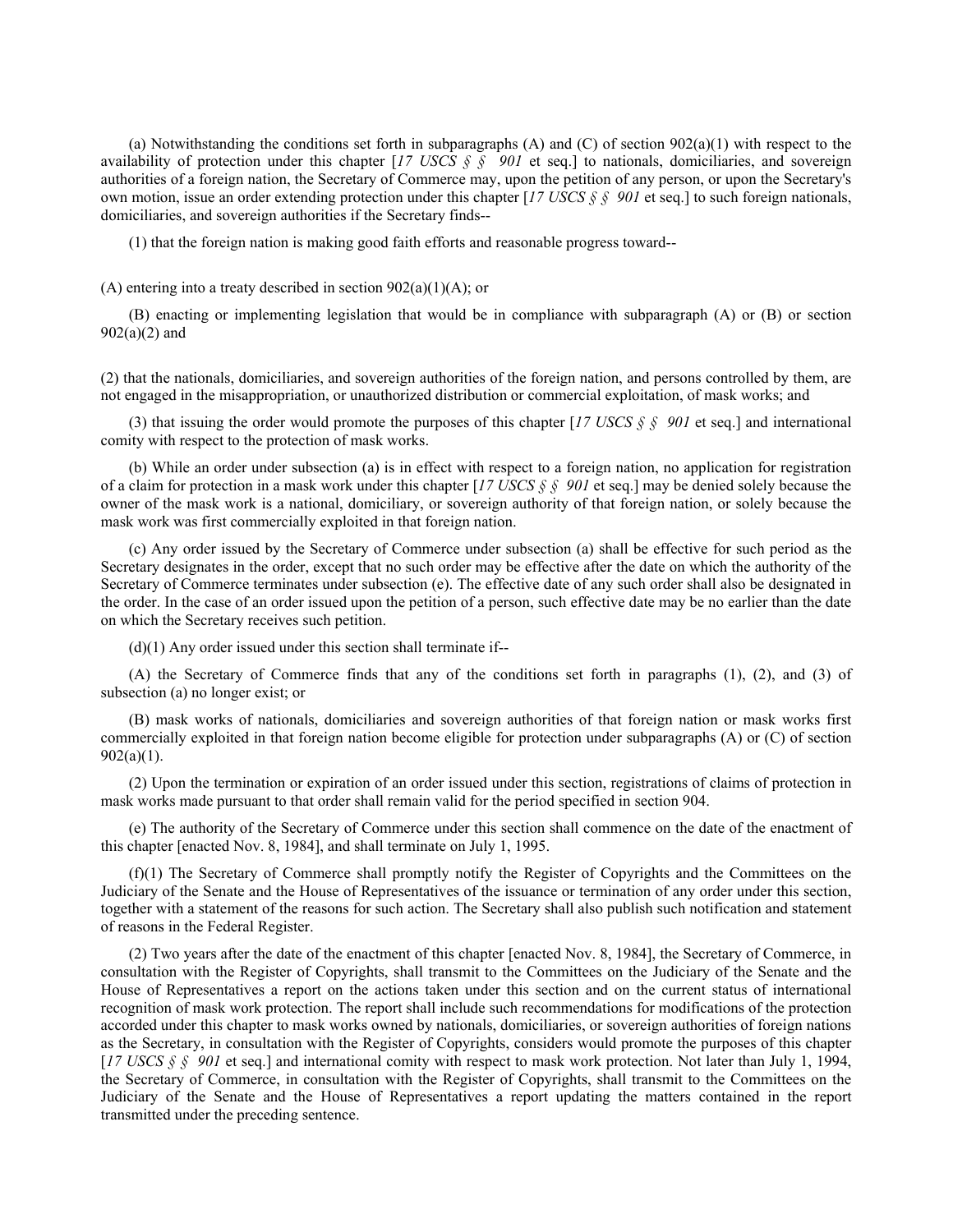(a) Notwithstanding the conditions set forth in subparagraphs (A) and (C) of section  $902(a)(1)$  with respect to the availability of protection under this chapter  $\begin{bmatrix} 17 & \text{USCS} & \text{S} & 901 \text{ et seq.} \end{bmatrix}$  to nationals, domiciliaries, and sovereign authorities of a foreign nation, the Secretary of Commerce may, upon the petition of any person, or upon the Secretary's own motion, issue an order extending protection under this chapter [*17 USCS § § 901* et seq.] to such foreign nationals, domiciliaries, and sovereign authorities if the Secretary finds--

(1) that the foreign nation is making good faith efforts and reasonable progress toward--

(A) entering into a treaty described in section  $902(a)(1)(A)$ ; or

(B) enacting or implementing legislation that would be in compliance with subparagraph (A) or (B) or section 902(a)(2) and

(2) that the nationals, domiciliaries, and sovereign authorities of the foreign nation, and persons controlled by them, are not engaged in the misappropriation, or unauthorized distribution or commercial exploitation, of mask works; and

(3) that issuing the order would promote the purposes of this chapter [*17 USCS § § 901* et seq.] and international comity with respect to the protection of mask works.

(b) While an order under subsection (a) is in effect with respect to a foreign nation, no application for registration of a claim for protection in a mask work under this chapter  $[17 \text{ USCS }\S \ \S \ 901]$  et seq.] may be denied solely because the owner of the mask work is a national, domiciliary, or sovereign authority of that foreign nation, or solely because the mask work was first commercially exploited in that foreign nation.

(c) Any order issued by the Secretary of Commerce under subsection (a) shall be effective for such period as the Secretary designates in the order, except that no such order may be effective after the date on which the authority of the Secretary of Commerce terminates under subsection (e). The effective date of any such order shall also be designated in the order. In the case of an order issued upon the petition of a person, such effective date may be no earlier than the date on which the Secretary receives such petition.

 $(d)(1)$  Any order issued under this section shall terminate if--

(A) the Secretary of Commerce finds that any of the conditions set forth in paragraphs (1), (2), and (3) of subsection (a) no longer exist; or

(B) mask works of nationals, domiciliaries and sovereign authorities of that foreign nation or mask works first commercially exploited in that foreign nation become eligible for protection under subparagraphs (A) or (C) of section  $902(a)(1)$ .

(2) Upon the termination or expiration of an order issued under this section, registrations of claims of protection in mask works made pursuant to that order shall remain valid for the period specified in section 904.

(e) The authority of the Secretary of Commerce under this section shall commence on the date of the enactment of this chapter [enacted Nov. 8, 1984], and shall terminate on July 1, 1995.

(f)(1) The Secretary of Commerce shall promptly notify the Register of Copyrights and the Committees on the Judiciary of the Senate and the House of Representatives of the issuance or termination of any order under this section, together with a statement of the reasons for such action. The Secretary shall also publish such notification and statement of reasons in the Federal Register.

(2) Two years after the date of the enactment of this chapter [enacted Nov. 8, 1984], the Secretary of Commerce, in consultation with the Register of Copyrights, shall transmit to the Committees on the Judiciary of the Senate and the House of Representatives a report on the actions taken under this section and on the current status of international recognition of mask work protection. The report shall include such recommendations for modifications of the protection accorded under this chapter to mask works owned by nationals, domiciliaries, or sovereign authorities of foreign nations as the Secretary, in consultation with the Register of Copyrights, considers would promote the purposes of this chapter [*17 USCS § § 901* et seq.] and international comity with respect to mask work protection. Not later than July 1, 1994, the Secretary of Commerce, in consultation with the Register of Copyrights, shall transmit to the Committees on the Judiciary of the Senate and the House of Representatives a report updating the matters contained in the report transmitted under the preceding sentence.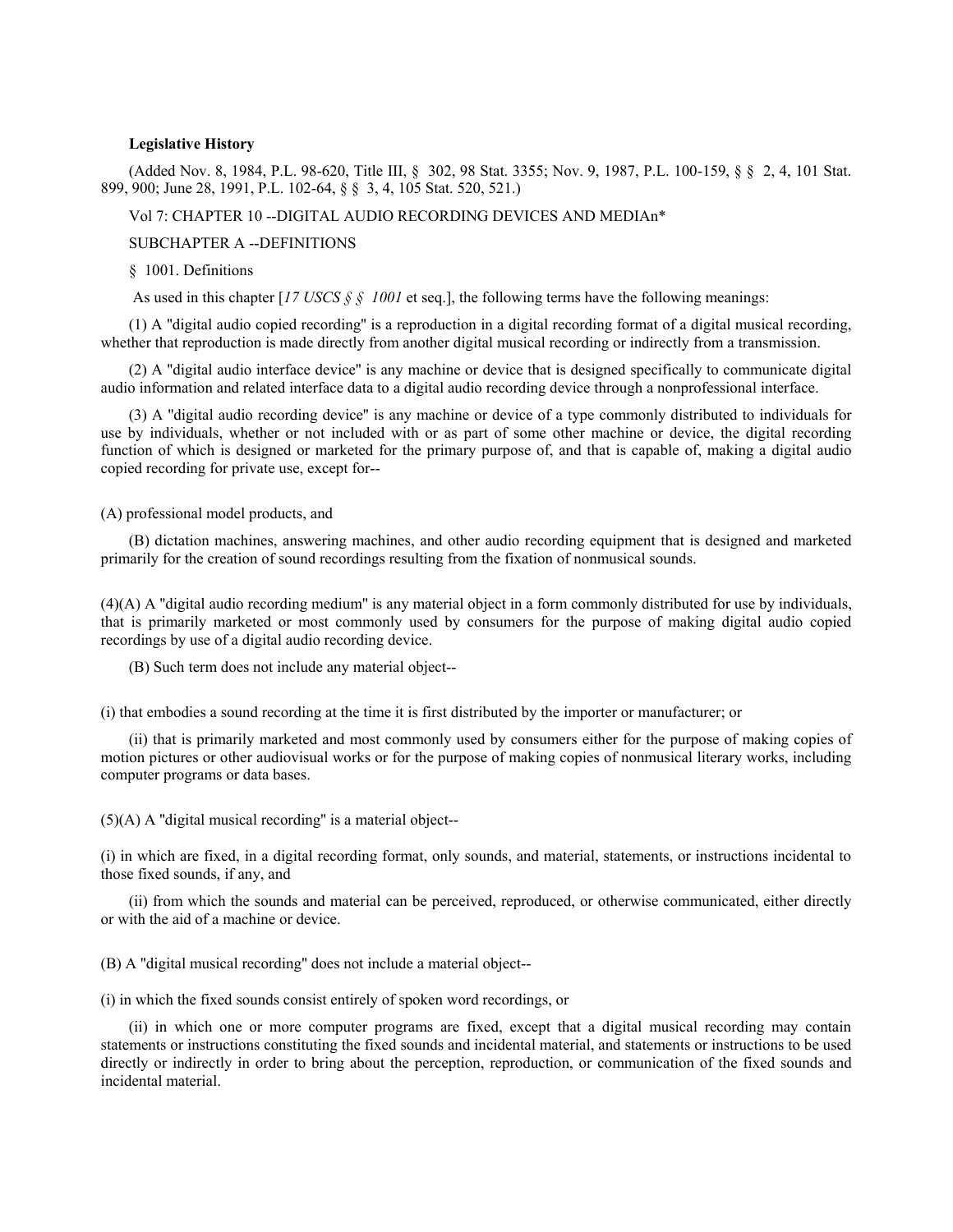## **Legislative History**

(Added Nov. 8, 1984, P.L. 98-620, Title III, § 302, 98 Stat. 3355; Nov. 9, 1987, P.L. 100-159, § § 2, 4, 101 Stat. 899, 900; June 28, 1991, P.L. 102-64, § § 3, 4, 105 Stat. 520, 521.)

Vol 7: CHAPTER 10 --DIGITAL AUDIO RECORDING DEVICES AND MEDIAn\*

#### SUBCHAPTER A --DEFINITIONS

#### § 1001. Definitions

As used in this chapter  $[17 \text{ USCS } \xi \xi 1001]$  et seq.], the following terms have the following meanings:

(1) A ''digital audio copied recording'' is a reproduction in a digital recording format of a digital musical recording, whether that reproduction is made directly from another digital musical recording or indirectly from a transmission.

(2) A ''digital audio interface device'' is any machine or device that is designed specifically to communicate digital audio information and related interface data to a digital audio recording device through a nonprofessional interface.

(3) A ''digital audio recording device'' is any machine or device of a type commonly distributed to individuals for use by individuals, whether or not included with or as part of some other machine or device, the digital recording function of which is designed or marketed for the primary purpose of, and that is capable of, making a digital audio copied recording for private use, except for--

# (A) professional model products, and

(B) dictation machines, answering machines, and other audio recording equipment that is designed and marketed primarily for the creation of sound recordings resulting from the fixation of nonmusical sounds.

(4)(A) A ''digital audio recording medium'' is any material object in a form commonly distributed for use by individuals, that is primarily marketed or most commonly used by consumers for the purpose of making digital audio copied recordings by use of a digital audio recording device.

(B) Such term does not include any material object--

(i) that embodies a sound recording at the time it is first distributed by the importer or manufacturer; or

(ii) that is primarily marketed and most commonly used by consumers either for the purpose of making copies of motion pictures or other audiovisual works or for the purpose of making copies of nonmusical literary works, including computer programs or data bases.

(5)(A) A ''digital musical recording'' is a material object--

(i) in which are fixed, in a digital recording format, only sounds, and material, statements, or instructions incidental to those fixed sounds, if any, and

(ii) from which the sounds and material can be perceived, reproduced, or otherwise communicated, either directly or with the aid of a machine or device.

#### (B) A ''digital musical recording'' does not include a material object--

(i) in which the fixed sounds consist entirely of spoken word recordings, or

(ii) in which one or more computer programs are fixed, except that a digital musical recording may contain statements or instructions constituting the fixed sounds and incidental material, and statements or instructions to be used directly or indirectly in order to bring about the perception, reproduction, or communication of the fixed sounds and incidental material.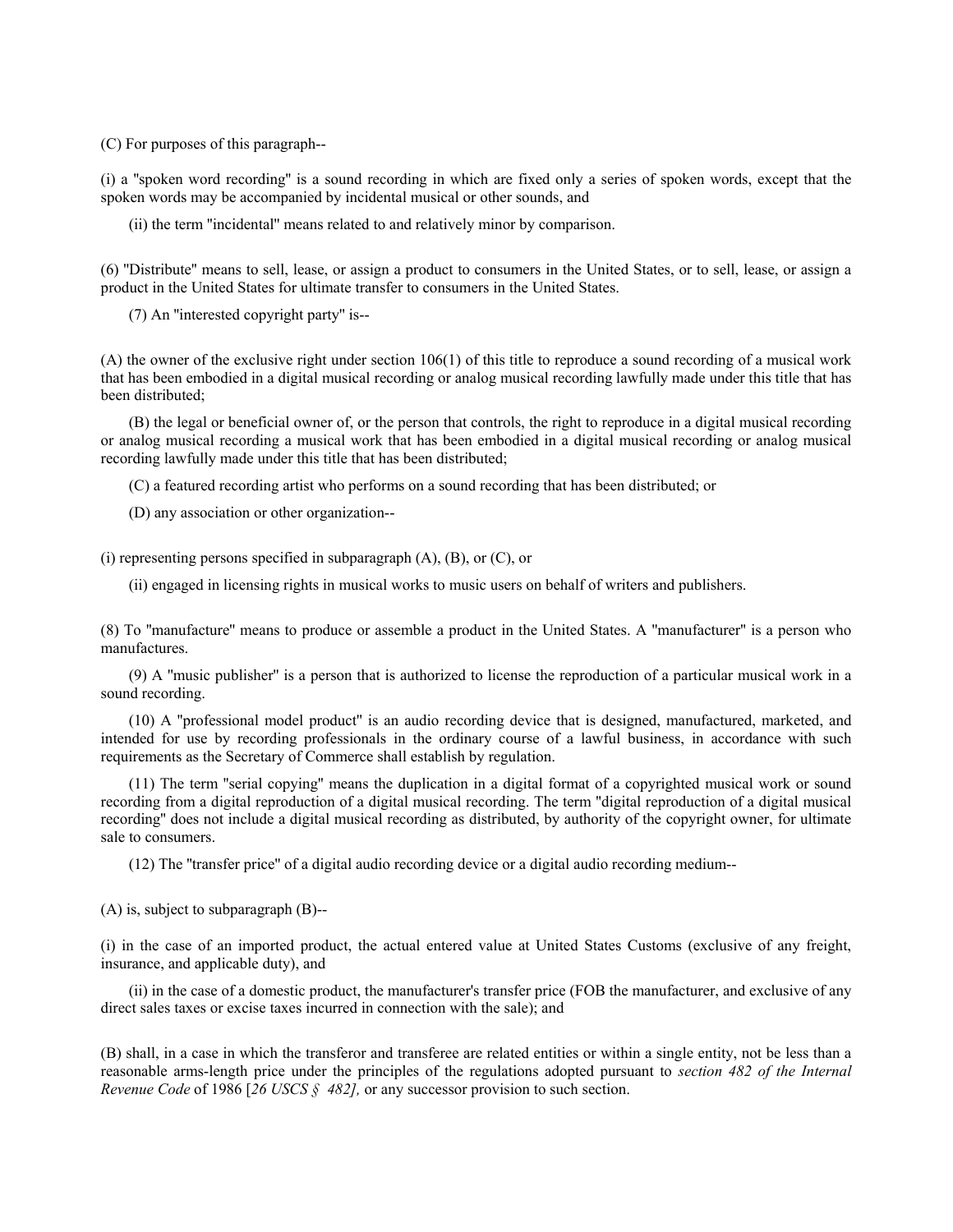(C) For purposes of this paragraph--

(i) a ''spoken word recording'' is a sound recording in which are fixed only a series of spoken words, except that the spoken words may be accompanied by incidental musical or other sounds, and

(ii) the term ''incidental'' means related to and relatively minor by comparison.

(6) ''Distribute'' means to sell, lease, or assign a product to consumers in the United States, or to sell, lease, or assign a product in the United States for ultimate transfer to consumers in the United States.

(7) An ''interested copyright party'' is--

(A) the owner of the exclusive right under section 106(1) of this title to reproduce a sound recording of a musical work that has been embodied in a digital musical recording or analog musical recording lawfully made under this title that has been distributed;

(B) the legal or beneficial owner of, or the person that controls, the right to reproduce in a digital musical recording or analog musical recording a musical work that has been embodied in a digital musical recording or analog musical recording lawfully made under this title that has been distributed;

(C) a featured recording artist who performs on a sound recording that has been distributed; or

(D) any association or other organization--

(i) representing persons specified in subparagraph  $(A)$ ,  $(B)$ , or  $(C)$ , or

(ii) engaged in licensing rights in musical works to music users on behalf of writers and publishers.

(8) To ''manufacture'' means to produce or assemble a product in the United States. A ''manufacturer'' is a person who manufactures.

(9) A ''music publisher'' is a person that is authorized to license the reproduction of a particular musical work in a sound recording.

(10) A ''professional model product'' is an audio recording device that is designed, manufactured, marketed, and intended for use by recording professionals in the ordinary course of a lawful business, in accordance with such requirements as the Secretary of Commerce shall establish by regulation.

(11) The term ''serial copying'' means the duplication in a digital format of a copyrighted musical work or sound recording from a digital reproduction of a digital musical recording. The term ''digital reproduction of a digital musical recording'' does not include a digital musical recording as distributed, by authority of the copyright owner, for ultimate sale to consumers.

(12) The ''transfer price'' of a digital audio recording device or a digital audio recording medium--

(A) is, subject to subparagraph (B)--

(i) in the case of an imported product, the actual entered value at United States Customs (exclusive of any freight, insurance, and applicable duty), and

(ii) in the case of a domestic product, the manufacturer's transfer price (FOB the manufacturer, and exclusive of any direct sales taxes or excise taxes incurred in connection with the sale); and

(B) shall, in a case in which the transferor and transferee are related entities or within a single entity, not be less than a reasonable arms-length price under the principles of the regulations adopted pursuant to *section 482 of the Internal Revenue Code* of 1986 [*26 USCS § 482],* or any successor provision to such section.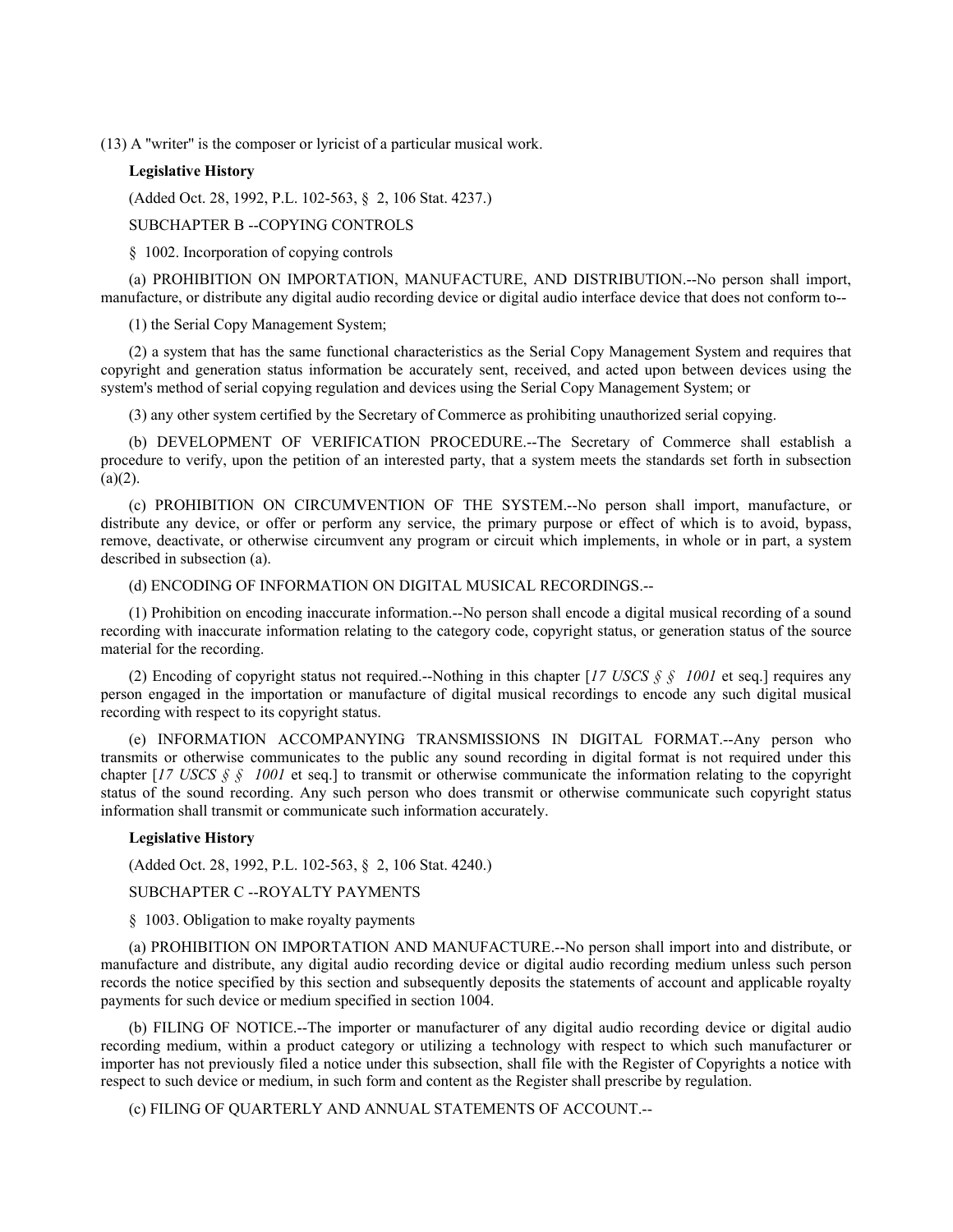(13) A ''writer'' is the composer or lyricist of a particular musical work.

## **Legislative History**

(Added Oct. 28, 1992, P.L. 102-563, § 2, 106 Stat. 4237.)

# SUBCHAPTER B --COPYING CONTROLS

§ 1002. Incorporation of copying controls

(a) PROHIBITION ON IMPORTATION, MANUFACTURE, AND DISTRIBUTION.--No person shall import, manufacture, or distribute any digital audio recording device or digital audio interface device that does not conform to--

(1) the Serial Copy Management System;

(2) a system that has the same functional characteristics as the Serial Copy Management System and requires that copyright and generation status information be accurately sent, received, and acted upon between devices using the system's method of serial copying regulation and devices using the Serial Copy Management System; or

(3) any other system certified by the Secretary of Commerce as prohibiting unauthorized serial copying.

(b) DEVELOPMENT OF VERIFICATION PROCEDURE.--The Secretary of Commerce shall establish a procedure to verify, upon the petition of an interested party, that a system meets the standards set forth in subsection  $(a)(2)$ .

(c) PROHIBITION ON CIRCUMVENTION OF THE SYSTEM.--No person shall import, manufacture, or distribute any device, or offer or perform any service, the primary purpose or effect of which is to avoid, bypass, remove, deactivate, or otherwise circumvent any program or circuit which implements, in whole or in part, a system described in subsection (a).

(d) ENCODING OF INFORMATION ON DIGITAL MUSICAL RECORDINGS.--

(1) Prohibition on encoding inaccurate information.--No person shall encode a digital musical recording of a sound recording with inaccurate information relating to the category code, copyright status, or generation status of the source material for the recording.

(2) Encoding of copyright status not required.--Nothing in this chapter [*17 USCS § § 1001* et seq.] requires any person engaged in the importation or manufacture of digital musical recordings to encode any such digital musical recording with respect to its copyright status.

(e) INFORMATION ACCOMPANYING TRANSMISSIONS IN DIGITAL FORMAT.--Any person who transmits or otherwise communicates to the public any sound recording in digital format is not required under this chapter [*17 USCS § § 1001* et seq.] to transmit or otherwise communicate the information relating to the copyright status of the sound recording. Any such person who does transmit or otherwise communicate such copyright status information shall transmit or communicate such information accurately.

### **Legislative History**

(Added Oct. 28, 1992, P.L. 102-563, § 2, 106 Stat. 4240.)

SUBCHAPTER C --ROYALTY PAYMENTS

§ 1003. Obligation to make royalty payments

(a) PROHIBITION ON IMPORTATION AND MANUFACTURE.--No person shall import into and distribute, or manufacture and distribute, any digital audio recording device or digital audio recording medium unless such person records the notice specified by this section and subsequently deposits the statements of account and applicable royalty payments for such device or medium specified in section 1004.

(b) FILING OF NOTICE.--The importer or manufacturer of any digital audio recording device or digital audio recording medium, within a product category or utilizing a technology with respect to which such manufacturer or importer has not previously filed a notice under this subsection, shall file with the Register of Copyrights a notice with respect to such device or medium, in such form and content as the Register shall prescribe by regulation.

(c) FILING OF QUARTERLY AND ANNUAL STATEMENTS OF ACCOUNT.--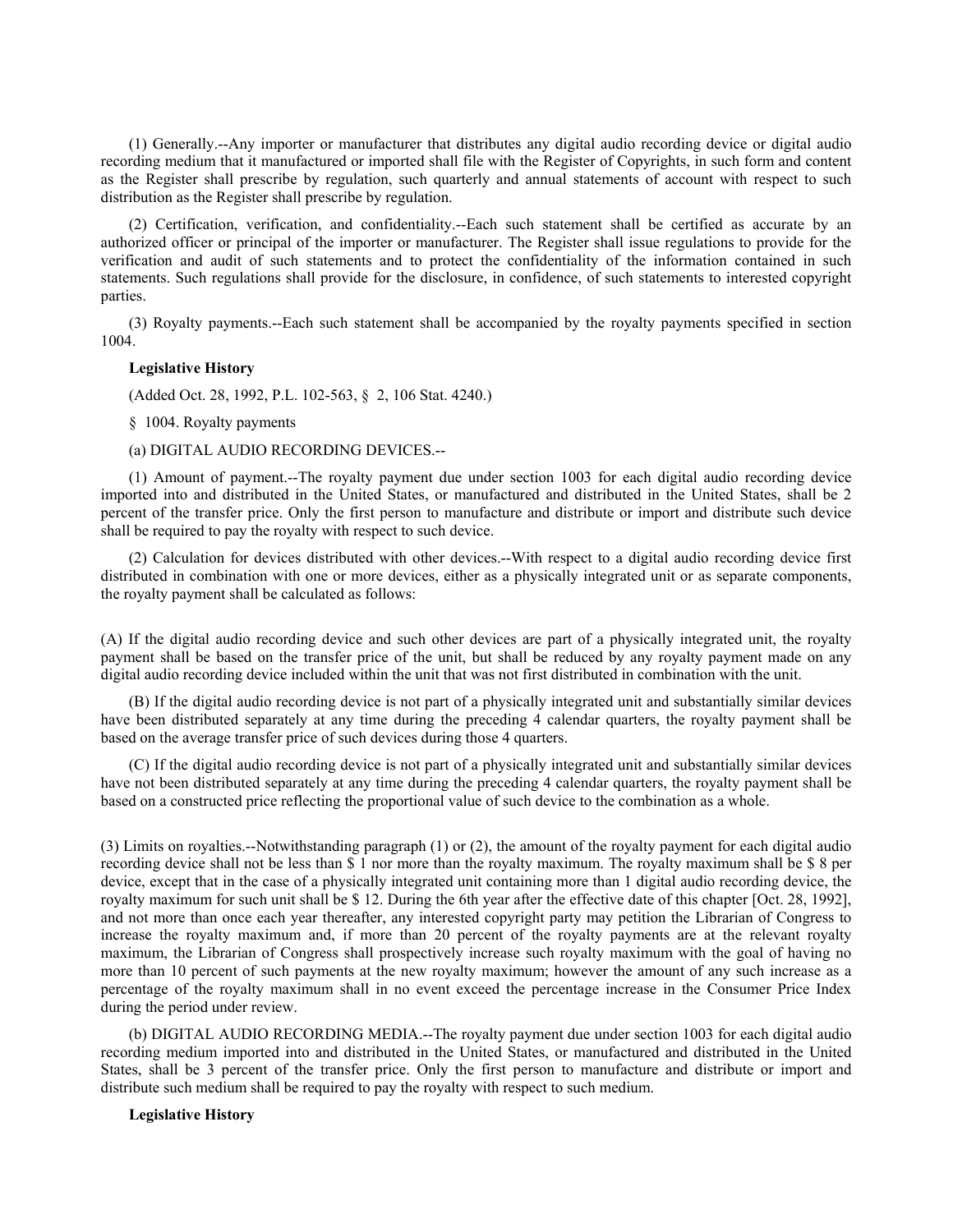(1) Generally.--Any importer or manufacturer that distributes any digital audio recording device or digital audio recording medium that it manufactured or imported shall file with the Register of Copyrights, in such form and content as the Register shall prescribe by regulation, such quarterly and annual statements of account with respect to such distribution as the Register shall prescribe by regulation.

(2) Certification, verification, and confidentiality.--Each such statement shall be certified as accurate by an authorized officer or principal of the importer or manufacturer. The Register shall issue regulations to provide for the verification and audit of such statements and to protect the confidentiality of the information contained in such statements. Such regulations shall provide for the disclosure, in confidence, of such statements to interested copyright parties.

(3) Royalty payments.--Each such statement shall be accompanied by the royalty payments specified in section 1004.

### **Legislative History**

(Added Oct. 28, 1992, P.L. 102-563, § 2, 106 Stat. 4240.)

§ 1004. Royalty payments

(a) DIGITAL AUDIO RECORDING DEVICES.--

(1) Amount of payment.--The royalty payment due under section 1003 for each digital audio recording device imported into and distributed in the United States, or manufactured and distributed in the United States, shall be 2 percent of the transfer price. Only the first person to manufacture and distribute or import and distribute such device shall be required to pay the royalty with respect to such device.

(2) Calculation for devices distributed with other devices.--With respect to a digital audio recording device first distributed in combination with one or more devices, either as a physically integrated unit or as separate components, the royalty payment shall be calculated as follows:

(A) If the digital audio recording device and such other devices are part of a physically integrated unit, the royalty payment shall be based on the transfer price of the unit, but shall be reduced by any royalty payment made on any digital audio recording device included within the unit that was not first distributed in combination with the unit.

(B) If the digital audio recording device is not part of a physically integrated unit and substantially similar devices have been distributed separately at any time during the preceding 4 calendar quarters, the royalty payment shall be based on the average transfer price of such devices during those 4 quarters.

(C) If the digital audio recording device is not part of a physically integrated unit and substantially similar devices have not been distributed separately at any time during the preceding 4 calendar quarters, the royalty payment shall be based on a constructed price reflecting the proportional value of such device to the combination as a whole.

(3) Limits on royalties.--Notwithstanding paragraph (1) or (2), the amount of the royalty payment for each digital audio recording device shall not be less than \$ 1 nor more than the royalty maximum. The royalty maximum shall be \$ 8 per device, except that in the case of a physically integrated unit containing more than 1 digital audio recording device, the royalty maximum for such unit shall be \$ 12. During the 6th year after the effective date of this chapter [Oct. 28, 1992], and not more than once each year thereafter, any interested copyright party may petition the Librarian of Congress to increase the royalty maximum and, if more than 20 percent of the royalty payments are at the relevant royalty maximum, the Librarian of Congress shall prospectively increase such royalty maximum with the goal of having no more than 10 percent of such payments at the new royalty maximum; however the amount of any such increase as a percentage of the royalty maximum shall in no event exceed the percentage increase in the Consumer Price Index during the period under review.

(b) DIGITAL AUDIO RECORDING MEDIA.--The royalty payment due under section 1003 for each digital audio recording medium imported into and distributed in the United States, or manufactured and distributed in the United States, shall be 3 percent of the transfer price. Only the first person to manufacture and distribute or import and distribute such medium shall be required to pay the royalty with respect to such medium.

#### **Legislative History**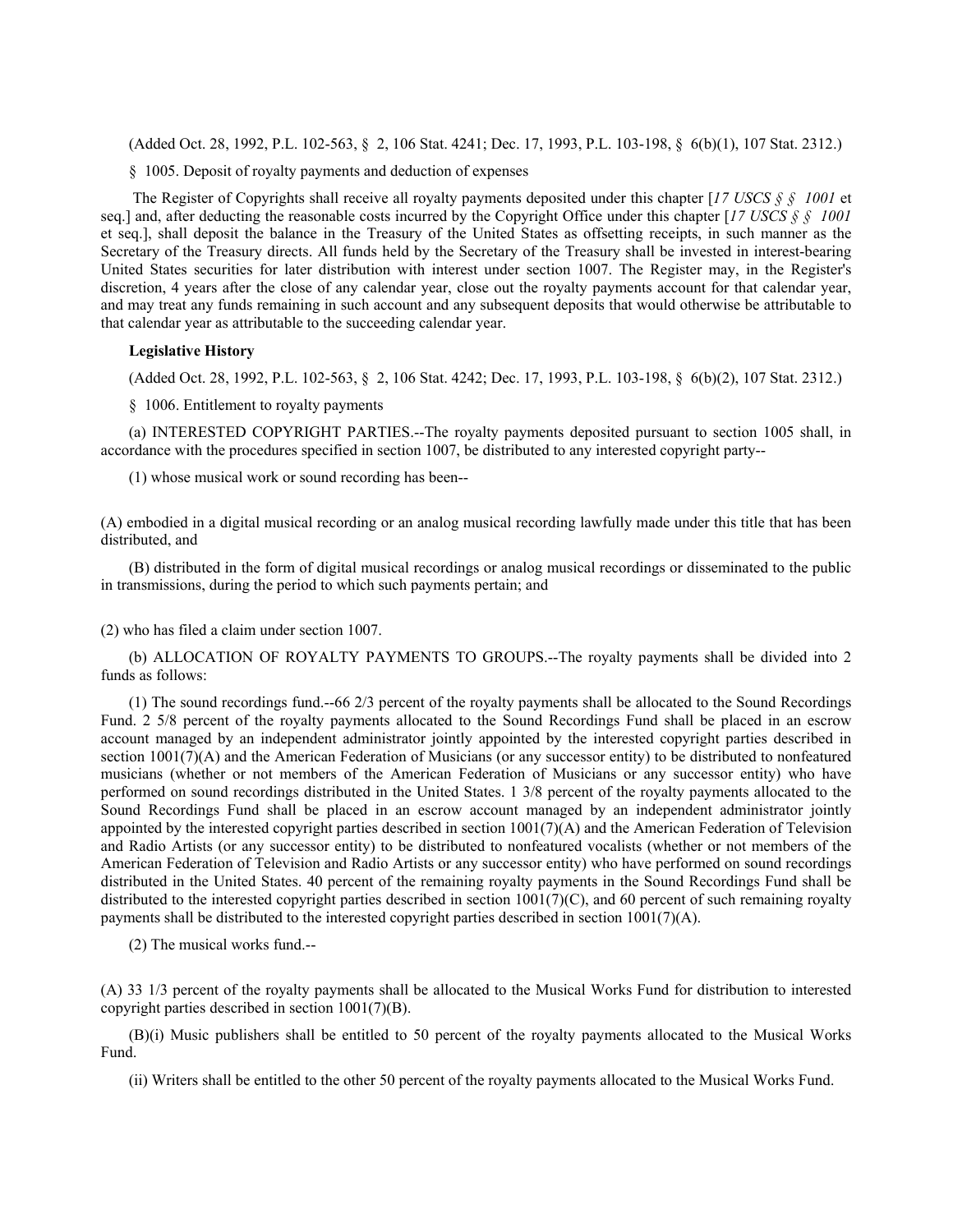(Added Oct. 28, 1992, P.L. 102-563, § 2, 106 Stat. 4241; Dec. 17, 1993, P.L. 103-198, § 6(b)(1), 107 Stat. 2312.)

§ 1005. Deposit of royalty payments and deduction of expenses

 The Register of Copyrights shall receive all royalty payments deposited under this chapter [*17 USCS § § 1001* et seq.] and, after deducting the reasonable costs incurred by the Copyright Office under this chapter [*17 USCS § § 1001* et seq.], shall deposit the balance in the Treasury of the United States as offsetting receipts, in such manner as the Secretary of the Treasury directs. All funds held by the Secretary of the Treasury shall be invested in interest-bearing United States securities for later distribution with interest under section 1007. The Register may, in the Register's discretion, 4 years after the close of any calendar year, close out the royalty payments account for that calendar year, and may treat any funds remaining in such account and any subsequent deposits that would otherwise be attributable to that calendar year as attributable to the succeeding calendar year.

#### **Legislative History**

(Added Oct. 28, 1992, P.L. 102-563, § 2, 106 Stat. 4242; Dec. 17, 1993, P.L. 103-198, § 6(b)(2), 107 Stat. 2312.)

§ 1006. Entitlement to royalty payments

(a) INTERESTED COPYRIGHT PARTIES.--The royalty payments deposited pursuant to section 1005 shall, in accordance with the procedures specified in section 1007, be distributed to any interested copyright party--

(1) whose musical work or sound recording has been--

(A) embodied in a digital musical recording or an analog musical recording lawfully made under this title that has been distributed, and

(B) distributed in the form of digital musical recordings or analog musical recordings or disseminated to the public in transmissions, during the period to which such payments pertain; and

(2) who has filed a claim under section 1007.

(b) ALLOCATION OF ROYALTY PAYMENTS TO GROUPS.--The royalty payments shall be divided into 2 funds as follows:

(1) The sound recordings fund.--66 2/3 percent of the royalty payments shall be allocated to the Sound Recordings Fund. 2 5/8 percent of the royalty payments allocated to the Sound Recordings Fund shall be placed in an escrow account managed by an independent administrator jointly appointed by the interested copyright parties described in section 1001(7)(A) and the American Federation of Musicians (or any successor entity) to be distributed to nonfeatured musicians (whether or not members of the American Federation of Musicians or any successor entity) who have performed on sound recordings distributed in the United States. 1 3/8 percent of the royalty payments allocated to the Sound Recordings Fund shall be placed in an escrow account managed by an independent administrator jointly appointed by the interested copyright parties described in section 1001(7)(A) and the American Federation of Television and Radio Artists (or any successor entity) to be distributed to nonfeatured vocalists (whether or not members of the American Federation of Television and Radio Artists or any successor entity) who have performed on sound recordings distributed in the United States. 40 percent of the remaining royalty payments in the Sound Recordings Fund shall be distributed to the interested copyright parties described in section  $1001(7)(C)$ , and 60 percent of such remaining royalty payments shall be distributed to the interested copyright parties described in section  $1001(7)(A)$ .

(2) The musical works fund.--

(A) 33 1/3 percent of the royalty payments shall be allocated to the Musical Works Fund for distribution to interested copyright parties described in section 1001(7)(B).

(B)(i) Music publishers shall be entitled to 50 percent of the royalty payments allocated to the Musical Works Fund.

(ii) Writers shall be entitled to the other 50 percent of the royalty payments allocated to the Musical Works Fund.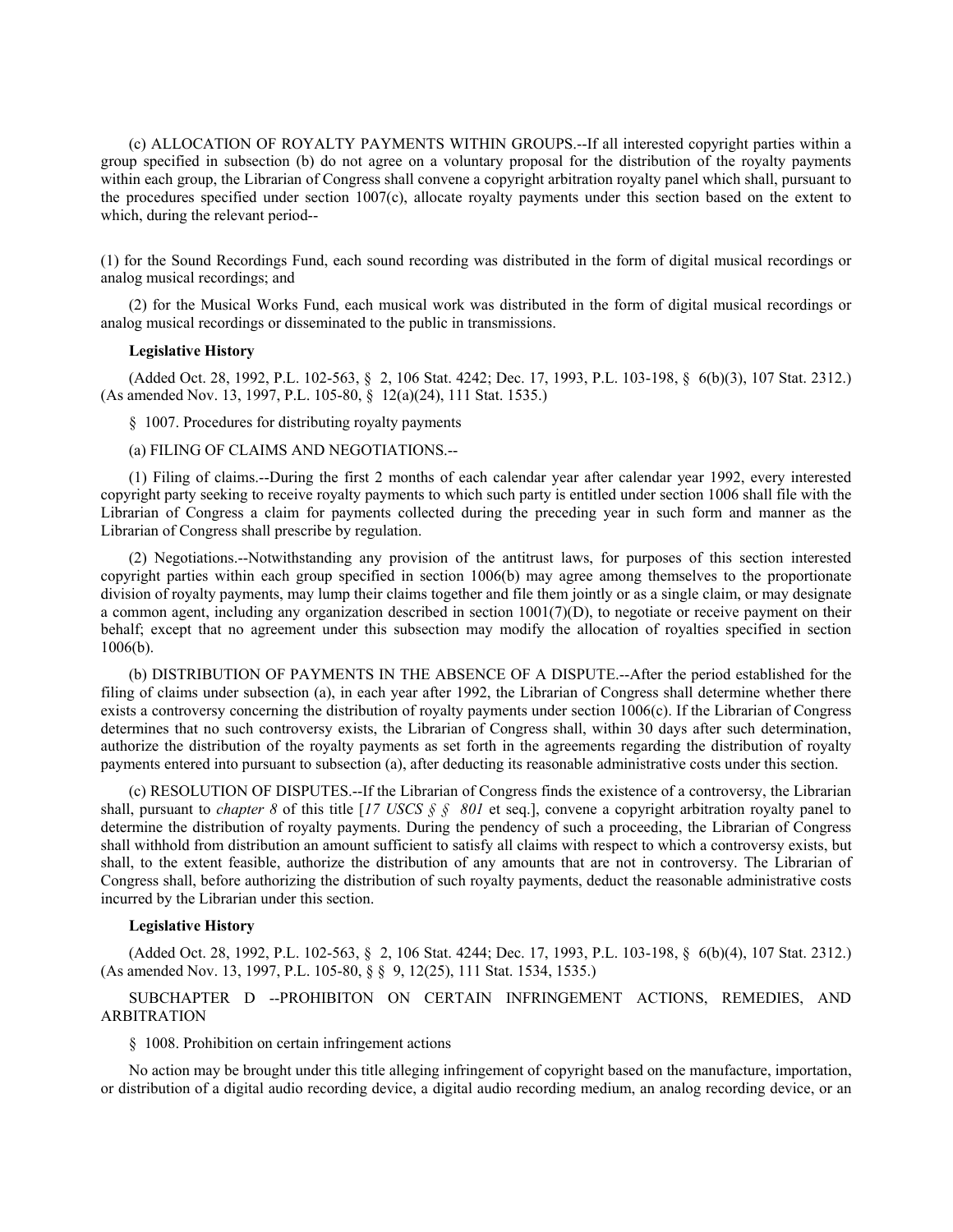(c) ALLOCATION OF ROYALTY PAYMENTS WITHIN GROUPS.--If all interested copyright parties within a group specified in subsection (b) do not agree on a voluntary proposal for the distribution of the royalty payments within each group, the Librarian of Congress shall convene a copyright arbitration royalty panel which shall, pursuant to the procedures specified under section 1007(c), allocate royalty payments under this section based on the extent to which, during the relevant period--

(1) for the Sound Recordings Fund, each sound recording was distributed in the form of digital musical recordings or analog musical recordings; and

(2) for the Musical Works Fund, each musical work was distributed in the form of digital musical recordings or analog musical recordings or disseminated to the public in transmissions.

# **Legislative History**

(Added Oct. 28, 1992, P.L. 102-563, § 2, 106 Stat. 4242; Dec. 17, 1993, P.L. 103-198, § 6(b)(3), 107 Stat. 2312.) (As amended Nov. 13, 1997, P.L. 105-80, § 12(a)(24), 111 Stat. 1535.)

§ 1007. Procedures for distributing royalty payments

(a) FILING OF CLAIMS AND NEGOTIATIONS.--

(1) Filing of claims.--During the first 2 months of each calendar year after calendar year 1992, every interested copyright party seeking to receive royalty payments to which such party is entitled under section 1006 shall file with the Librarian of Congress a claim for payments collected during the preceding year in such form and manner as the Librarian of Congress shall prescribe by regulation.

(2) Negotiations.--Notwithstanding any provision of the antitrust laws, for purposes of this section interested copyright parties within each group specified in section 1006(b) may agree among themselves to the proportionate division of royalty payments, may lump their claims together and file them jointly or as a single claim, or may designate a common agent, including any organization described in section  $1001(7)(D)$ , to negotiate or receive payment on their behalf; except that no agreement under this subsection may modify the allocation of royalties specified in section 1006(b).

(b) DISTRIBUTION OF PAYMENTS IN THE ABSENCE OF A DISPUTE.--After the period established for the filing of claims under subsection (a), in each year after 1992, the Librarian of Congress shall determine whether there exists a controversy concerning the distribution of royalty payments under section 1006(c). If the Librarian of Congress determines that no such controversy exists, the Librarian of Congress shall, within 30 days after such determination, authorize the distribution of the royalty payments as set forth in the agreements regarding the distribution of royalty payments entered into pursuant to subsection (a), after deducting its reasonable administrative costs under this section.

(c) RESOLUTION OF DISPUTES.--If the Librarian of Congress finds the existence of a controversy, the Librarian shall, pursuant to *chapter 8* of this title [17 USCS  $\S$   $\S$  801 et seq.], convene a copyright arbitration royalty panel to determine the distribution of royalty payments. During the pendency of such a proceeding, the Librarian of Congress shall withhold from distribution an amount sufficient to satisfy all claims with respect to which a controversy exists, but shall, to the extent feasible, authorize the distribution of any amounts that are not in controversy. The Librarian of Congress shall, before authorizing the distribution of such royalty payments, deduct the reasonable administrative costs incurred by the Librarian under this section.

## **Legislative History**

(Added Oct. 28, 1992, P.L. 102-563, § 2, 106 Stat. 4244; Dec. 17, 1993, P.L. 103-198, § 6(b)(4), 107 Stat. 2312.) (As amended Nov. 13, 1997, P.L. 105-80, § § 9, 12(25), 111 Stat. 1534, 1535.)

# SUBCHAPTER D --PROHIBITON ON CERTAIN INFRINGEMENT ACTIONS, REMEDIES, AND ARBITRATION

# § 1008. Prohibition on certain infringement actions

No action may be brought under this title alleging infringement of copyright based on the manufacture, importation, or distribution of a digital audio recording device, a digital audio recording medium, an analog recording device, or an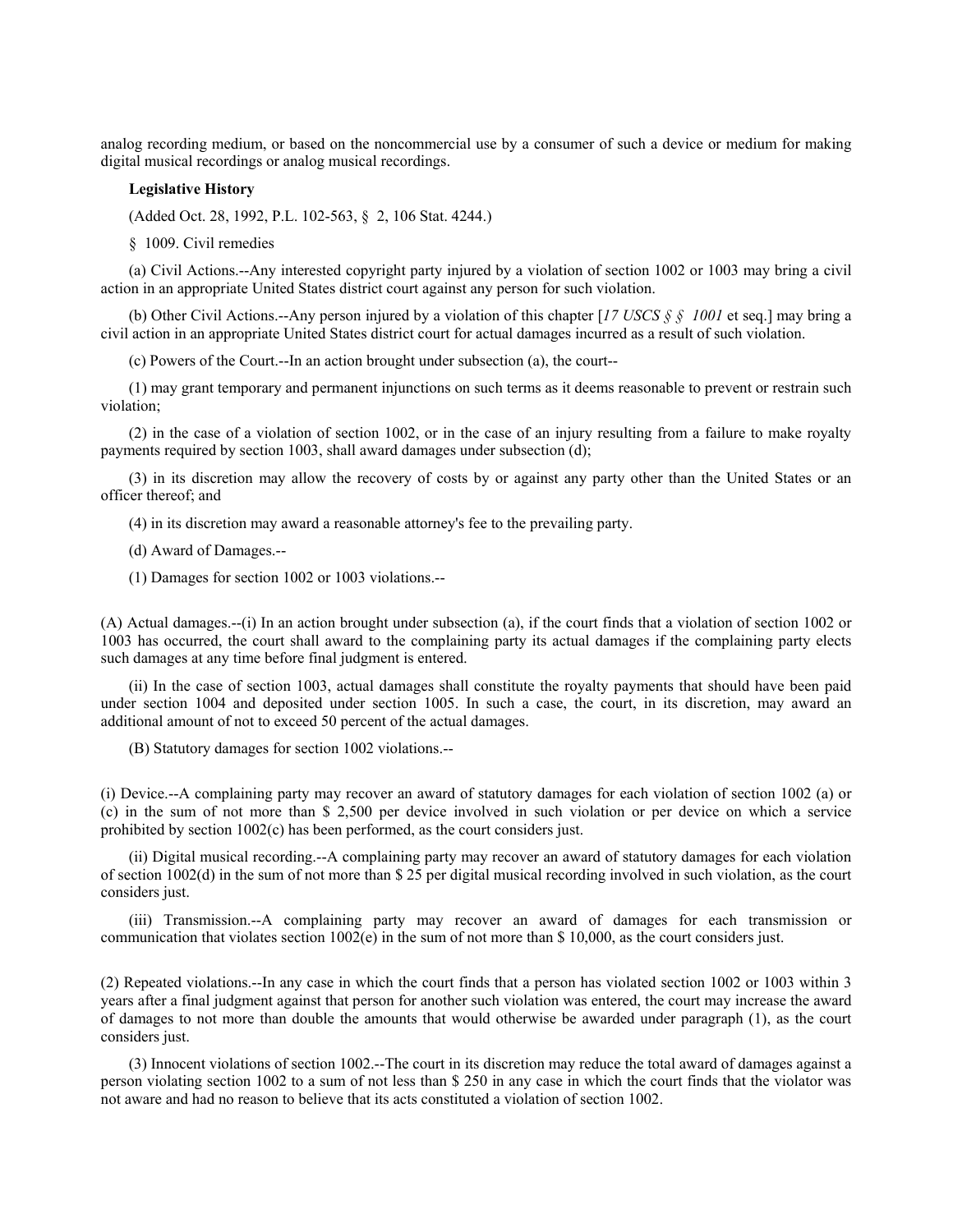analog recording medium, or based on the noncommercial use by a consumer of such a device or medium for making digital musical recordings or analog musical recordings.

## **Legislative History**

(Added Oct. 28, 1992, P.L. 102-563, § 2, 106 Stat. 4244.)

§ 1009. Civil remedies

(a) Civil Actions.--Any interested copyright party injured by a violation of section 1002 or 1003 may bring a civil action in an appropriate United States district court against any person for such violation.

(b) Other Civil Actions.--Any person injured by a violation of this chapter [*17 USCS § § 1001* et seq.] may bring a civil action in an appropriate United States district court for actual damages incurred as a result of such violation.

(c) Powers of the Court.--In an action brought under subsection (a), the court--

(1) may grant temporary and permanent injunctions on such terms as it deems reasonable to prevent or restrain such violation;

(2) in the case of a violation of section 1002, or in the case of an injury resulting from a failure to make royalty payments required by section 1003, shall award damages under subsection (d);

(3) in its discretion may allow the recovery of costs by or against any party other than the United States or an officer thereof; and

(4) in its discretion may award a reasonable attorney's fee to the prevailing party.

(d) Award of Damages.--

(1) Damages for section 1002 or 1003 violations.--

(A) Actual damages.--(i) In an action brought under subsection (a), if the court finds that a violation of section 1002 or 1003 has occurred, the court shall award to the complaining party its actual damages if the complaining party elects such damages at any time before final judgment is entered.

(ii) In the case of section 1003, actual damages shall constitute the royalty payments that should have been paid under section 1004 and deposited under section 1005. In such a case, the court, in its discretion, may award an additional amount of not to exceed 50 percent of the actual damages.

(B) Statutory damages for section 1002 violations.--

(i) Device.--A complaining party may recover an award of statutory damages for each violation of section 1002 (a) or (c) in the sum of not more than \$ 2,500 per device involved in such violation or per device on which a service prohibited by section 1002(c) has been performed, as the court considers just.

(ii) Digital musical recording.--A complaining party may recover an award of statutory damages for each violation of section 1002(d) in the sum of not more than \$ 25 per digital musical recording involved in such violation, as the court considers just.

(iii) Transmission.--A complaining party may recover an award of damages for each transmission or communication that violates section 1002(e) in the sum of not more than \$ 10,000, as the court considers just.

(2) Repeated violations.--In any case in which the court finds that a person has violated section 1002 or 1003 within 3 years after a final judgment against that person for another such violation was entered, the court may increase the award of damages to not more than double the amounts that would otherwise be awarded under paragraph (1), as the court considers just.

(3) Innocent violations of section 1002.--The court in its discretion may reduce the total award of damages against a person violating section 1002 to a sum of not less than \$ 250 in any case in which the court finds that the violator was not aware and had no reason to believe that its acts constituted a violation of section 1002.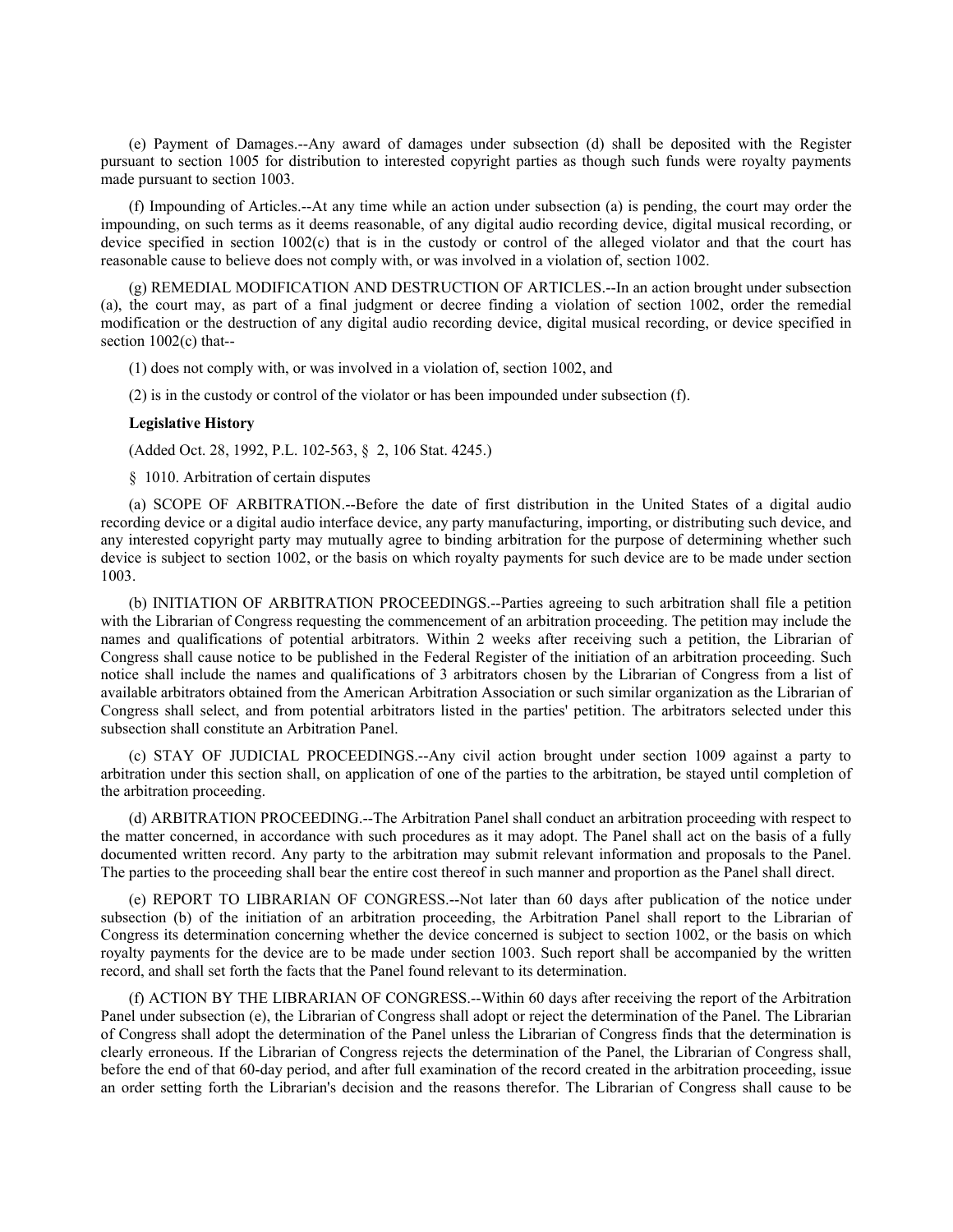(e) Payment of Damages.--Any award of damages under subsection (d) shall be deposited with the Register pursuant to section 1005 for distribution to interested copyright parties as though such funds were royalty payments made pursuant to section 1003.

(f) Impounding of Articles.--At any time while an action under subsection (a) is pending, the court may order the impounding, on such terms as it deems reasonable, of any digital audio recording device, digital musical recording, or device specified in section 1002(c) that is in the custody or control of the alleged violator and that the court has reasonable cause to believe does not comply with, or was involved in a violation of, section 1002.

(g) REMEDIAL MODIFICATION AND DESTRUCTION OF ARTICLES.--In an action brought under subsection (a), the court may, as part of a final judgment or decree finding a violation of section 1002, order the remedial modification or the destruction of any digital audio recording device, digital musical recording, or device specified in section 1002(c) that--

(1) does not comply with, or was involved in a violation of, section 1002, and

(2) is in the custody or control of the violator or has been impounded under subsection (f).

#### **Legislative History**

(Added Oct. 28, 1992, P.L. 102-563, § 2, 106 Stat. 4245.)

§ 1010. Arbitration of certain disputes

(a) SCOPE OF ARBITRATION.--Before the date of first distribution in the United States of a digital audio recording device or a digital audio interface device, any party manufacturing, importing, or distributing such device, and any interested copyright party may mutually agree to binding arbitration for the purpose of determining whether such device is subject to section 1002, or the basis on which royalty payments for such device are to be made under section 1003.

(b) INITIATION OF ARBITRATION PROCEEDINGS.--Parties agreeing to such arbitration shall file a petition with the Librarian of Congress requesting the commencement of an arbitration proceeding. The petition may include the names and qualifications of potential arbitrators. Within 2 weeks after receiving such a petition, the Librarian of Congress shall cause notice to be published in the Federal Register of the initiation of an arbitration proceeding. Such notice shall include the names and qualifications of 3 arbitrators chosen by the Librarian of Congress from a list of available arbitrators obtained from the American Arbitration Association or such similar organization as the Librarian of Congress shall select, and from potential arbitrators listed in the parties' petition. The arbitrators selected under this subsection shall constitute an Arbitration Panel.

(c) STAY OF JUDICIAL PROCEEDINGS.--Any civil action brought under section 1009 against a party to arbitration under this section shall, on application of one of the parties to the arbitration, be stayed until completion of the arbitration proceeding.

(d) ARBITRATION PROCEEDING.--The Arbitration Panel shall conduct an arbitration proceeding with respect to the matter concerned, in accordance with such procedures as it may adopt. The Panel shall act on the basis of a fully documented written record. Any party to the arbitration may submit relevant information and proposals to the Panel. The parties to the proceeding shall bear the entire cost thereof in such manner and proportion as the Panel shall direct.

(e) REPORT TO LIBRARIAN OF CONGRESS.--Not later than 60 days after publication of the notice under subsection (b) of the initiation of an arbitration proceeding, the Arbitration Panel shall report to the Librarian of Congress its determination concerning whether the device concerned is subject to section 1002, or the basis on which royalty payments for the device are to be made under section 1003. Such report shall be accompanied by the written record, and shall set forth the facts that the Panel found relevant to its determination.

(f) ACTION BY THE LIBRARIAN OF CONGRESS.--Within 60 days after receiving the report of the Arbitration Panel under subsection (e), the Librarian of Congress shall adopt or reject the determination of the Panel. The Librarian of Congress shall adopt the determination of the Panel unless the Librarian of Congress finds that the determination is clearly erroneous. If the Librarian of Congress rejects the determination of the Panel, the Librarian of Congress shall, before the end of that 60-day period, and after full examination of the record created in the arbitration proceeding, issue an order setting forth the Librarian's decision and the reasons therefor. The Librarian of Congress shall cause to be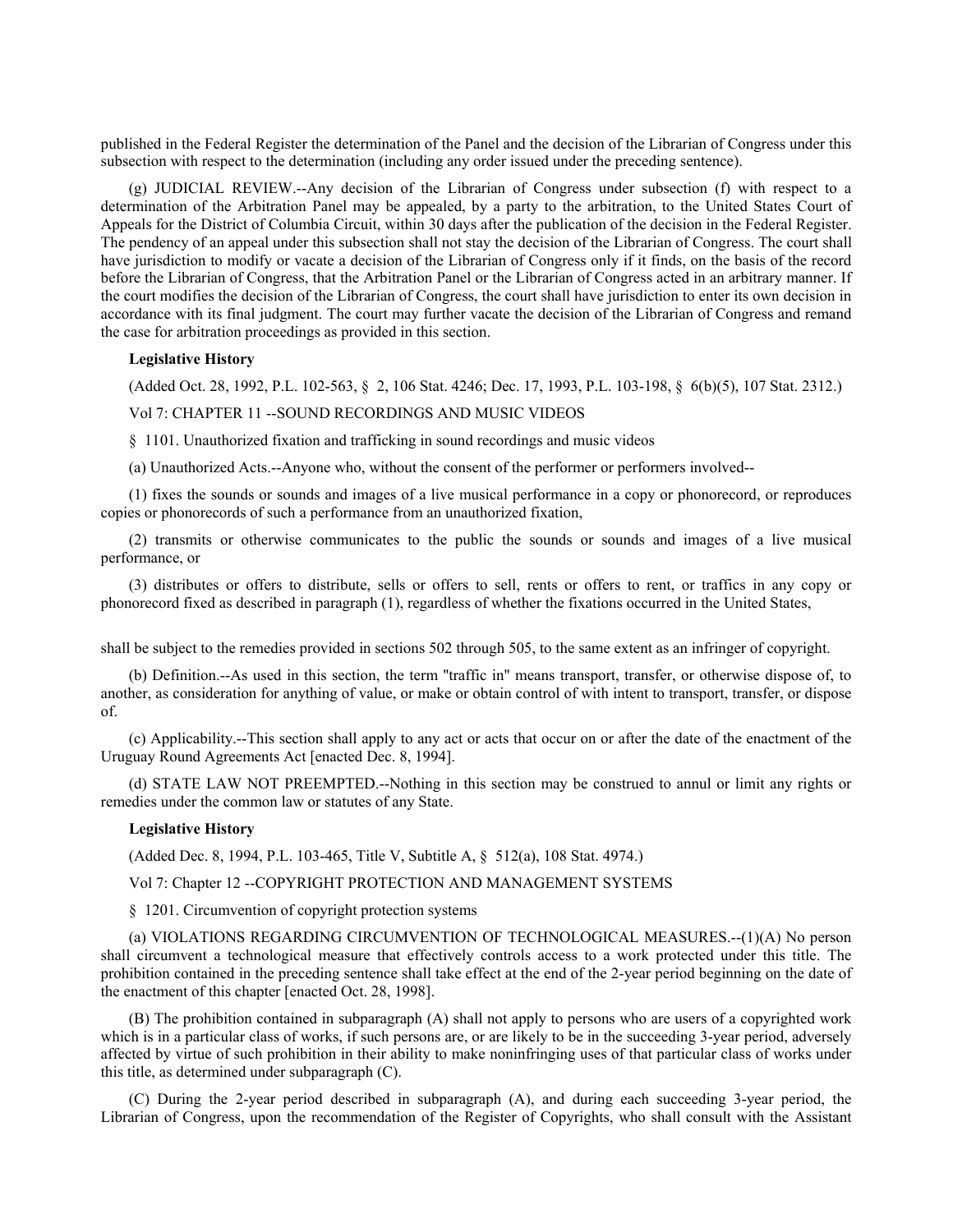published in the Federal Register the determination of the Panel and the decision of the Librarian of Congress under this subsection with respect to the determination (including any order issued under the preceding sentence).

(g) JUDICIAL REVIEW.--Any decision of the Librarian of Congress under subsection (f) with respect to a determination of the Arbitration Panel may be appealed, by a party to the arbitration, to the United States Court of Appeals for the District of Columbia Circuit, within 30 days after the publication of the decision in the Federal Register. The pendency of an appeal under this subsection shall not stay the decision of the Librarian of Congress. The court shall have jurisdiction to modify or vacate a decision of the Librarian of Congress only if it finds, on the basis of the record before the Librarian of Congress, that the Arbitration Panel or the Librarian of Congress acted in an arbitrary manner. If the court modifies the decision of the Librarian of Congress, the court shall have jurisdiction to enter its own decision in accordance with its final judgment. The court may further vacate the decision of the Librarian of Congress and remand the case for arbitration proceedings as provided in this section.

## **Legislative History**

(Added Oct. 28, 1992, P.L. 102-563, § 2, 106 Stat. 4246; Dec. 17, 1993, P.L. 103-198, § 6(b)(5), 107 Stat. 2312.)

Vol 7: CHAPTER 11 --SOUND RECORDINGS AND MUSIC VIDEOS

§ 1101. Unauthorized fixation and trafficking in sound recordings and music videos

(a) Unauthorized Acts.--Anyone who, without the consent of the performer or performers involved--

(1) fixes the sounds or sounds and images of a live musical performance in a copy or phonorecord, or reproduces copies or phonorecords of such a performance from an unauthorized fixation,

(2) transmits or otherwise communicates to the public the sounds or sounds and images of a live musical performance, or

(3) distributes or offers to distribute, sells or offers to sell, rents or offers to rent, or traffics in any copy or phonorecord fixed as described in paragraph (1), regardless of whether the fixations occurred in the United States,

shall be subject to the remedies provided in sections 502 through 505, to the same extent as an infringer of copyright.

(b) Definition.--As used in this section, the term ''traffic in'' means transport, transfer, or otherwise dispose of, to another, as consideration for anything of value, or make or obtain control of with intent to transport, transfer, or dispose of.

(c) Applicability.--This section shall apply to any act or acts that occur on or after the date of the enactment of the Uruguay Round Agreements Act [enacted Dec. 8, 1994].

(d) STATE LAW NOT PREEMPTED.--Nothing in this section may be construed to annul or limit any rights or remedies under the common law or statutes of any State.

#### **Legislative History**

(Added Dec. 8, 1994, P.L. 103-465, Title V, Subtitle A, § 512(a), 108 Stat. 4974.)

Vol 7: Chapter 12 --COPYRIGHT PROTECTION AND MANAGEMENT SYSTEMS

§ 1201. Circumvention of copyright protection systems

(a) VIOLATIONS REGARDING CIRCUMVENTION OF TECHNOLOGICAL MEASURES.--(1)(A) No person shall circumvent a technological measure that effectively controls access to a work protected under this title. The prohibition contained in the preceding sentence shall take effect at the end of the 2-year period beginning on the date of the enactment of this chapter [enacted Oct. 28, 1998].

(B) The prohibition contained in subparagraph (A) shall not apply to persons who are users of a copyrighted work which is in a particular class of works, if such persons are, or are likely to be in the succeeding 3-year period, adversely affected by virtue of such prohibition in their ability to make noninfringing uses of that particular class of works under this title, as determined under subparagraph (C).

(C) During the 2-year period described in subparagraph (A), and during each succeeding 3-year period, the Librarian of Congress, upon the recommendation of the Register of Copyrights, who shall consult with the Assistant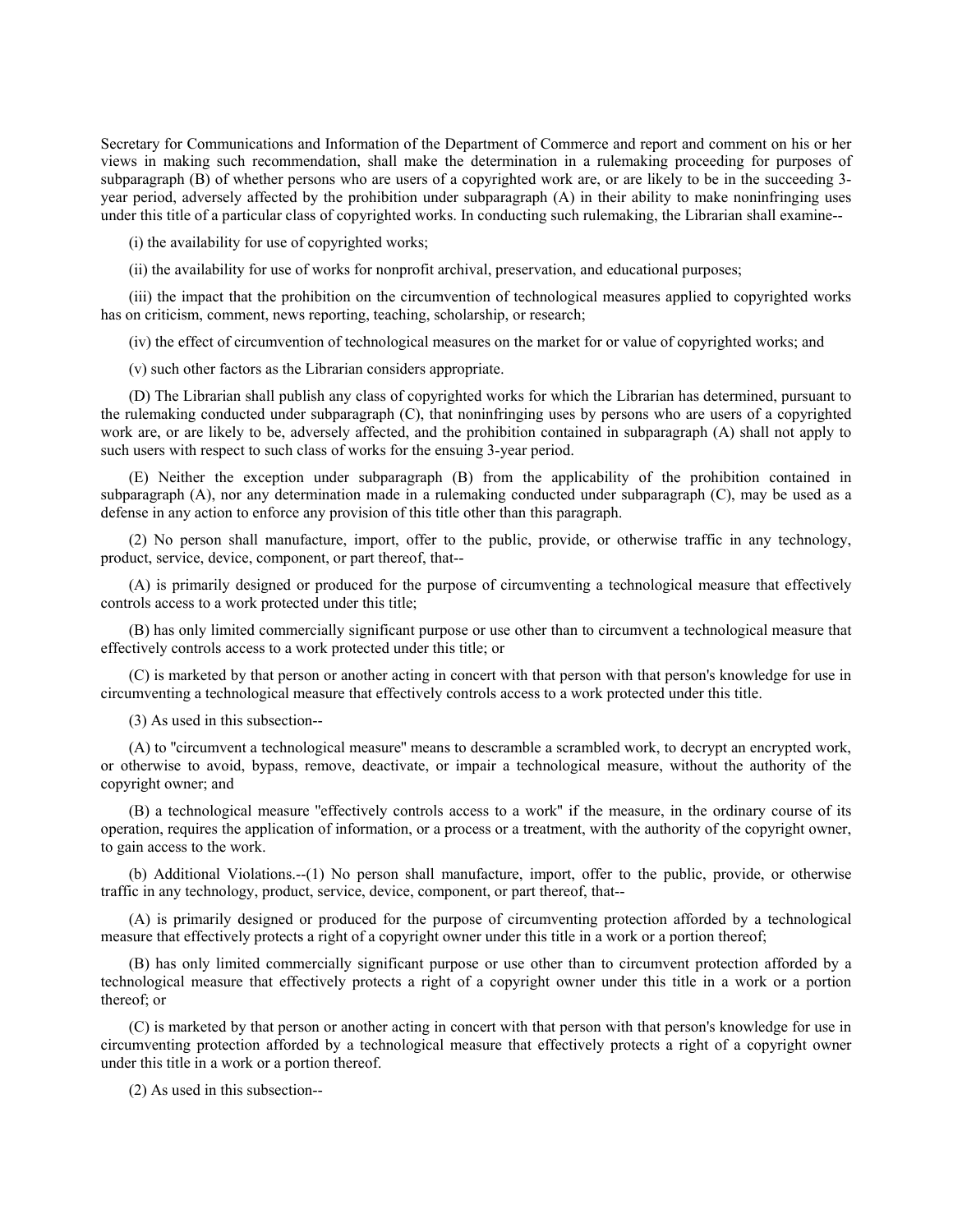Secretary for Communications and Information of the Department of Commerce and report and comment on his or her views in making such recommendation, shall make the determination in a rulemaking proceeding for purposes of subparagraph (B) of whether persons who are users of a copyrighted work are, or are likely to be in the succeeding 3year period, adversely affected by the prohibition under subparagraph (A) in their ability to make noninfringing uses under this title of a particular class of copyrighted works. In conducting such rulemaking, the Librarian shall examine--

(i) the availability for use of copyrighted works;

(ii) the availability for use of works for nonprofit archival, preservation, and educational purposes;

(iii) the impact that the prohibition on the circumvention of technological measures applied to copyrighted works has on criticism, comment, news reporting, teaching, scholarship, or research;

(iv) the effect of circumvention of technological measures on the market for or value of copyrighted works; and

(v) such other factors as the Librarian considers appropriate.

(D) The Librarian shall publish any class of copyrighted works for which the Librarian has determined, pursuant to the rulemaking conducted under subparagraph (C), that noninfringing uses by persons who are users of a copyrighted work are, or are likely to be, adversely affected, and the prohibition contained in subparagraph (A) shall not apply to such users with respect to such class of works for the ensuing 3-year period.

(E) Neither the exception under subparagraph (B) from the applicability of the prohibition contained in subparagraph (A), nor any determination made in a rulemaking conducted under subparagraph (C), may be used as a defense in any action to enforce any provision of this title other than this paragraph.

(2) No person shall manufacture, import, offer to the public, provide, or otherwise traffic in any technology, product, service, device, component, or part thereof, that--

(A) is primarily designed or produced for the purpose of circumventing a technological measure that effectively controls access to a work protected under this title;

(B) has only limited commercially significant purpose or use other than to circumvent a technological measure that effectively controls access to a work protected under this title; or

(C) is marketed by that person or another acting in concert with that person with that person's knowledge for use in circumventing a technological measure that effectively controls access to a work protected under this title.

(3) As used in this subsection--

(A) to ''circumvent a technological measure'' means to descramble a scrambled work, to decrypt an encrypted work, or otherwise to avoid, bypass, remove, deactivate, or impair a technological measure, without the authority of the copyright owner; and

(B) a technological measure ''effectively controls access to a work'' if the measure, in the ordinary course of its operation, requires the application of information, or a process or a treatment, with the authority of the copyright owner, to gain access to the work.

(b) Additional Violations.--(1) No person shall manufacture, import, offer to the public, provide, or otherwise traffic in any technology, product, service, device, component, or part thereof, that--

(A) is primarily designed or produced for the purpose of circumventing protection afforded by a technological measure that effectively protects a right of a copyright owner under this title in a work or a portion thereof;

(B) has only limited commercially significant purpose or use other than to circumvent protection afforded by a technological measure that effectively protects a right of a copyright owner under this title in a work or a portion thereof; or

(C) is marketed by that person or another acting in concert with that person with that person's knowledge for use in circumventing protection afforded by a technological measure that effectively protects a right of a copyright owner under this title in a work or a portion thereof.

(2) As used in this subsection--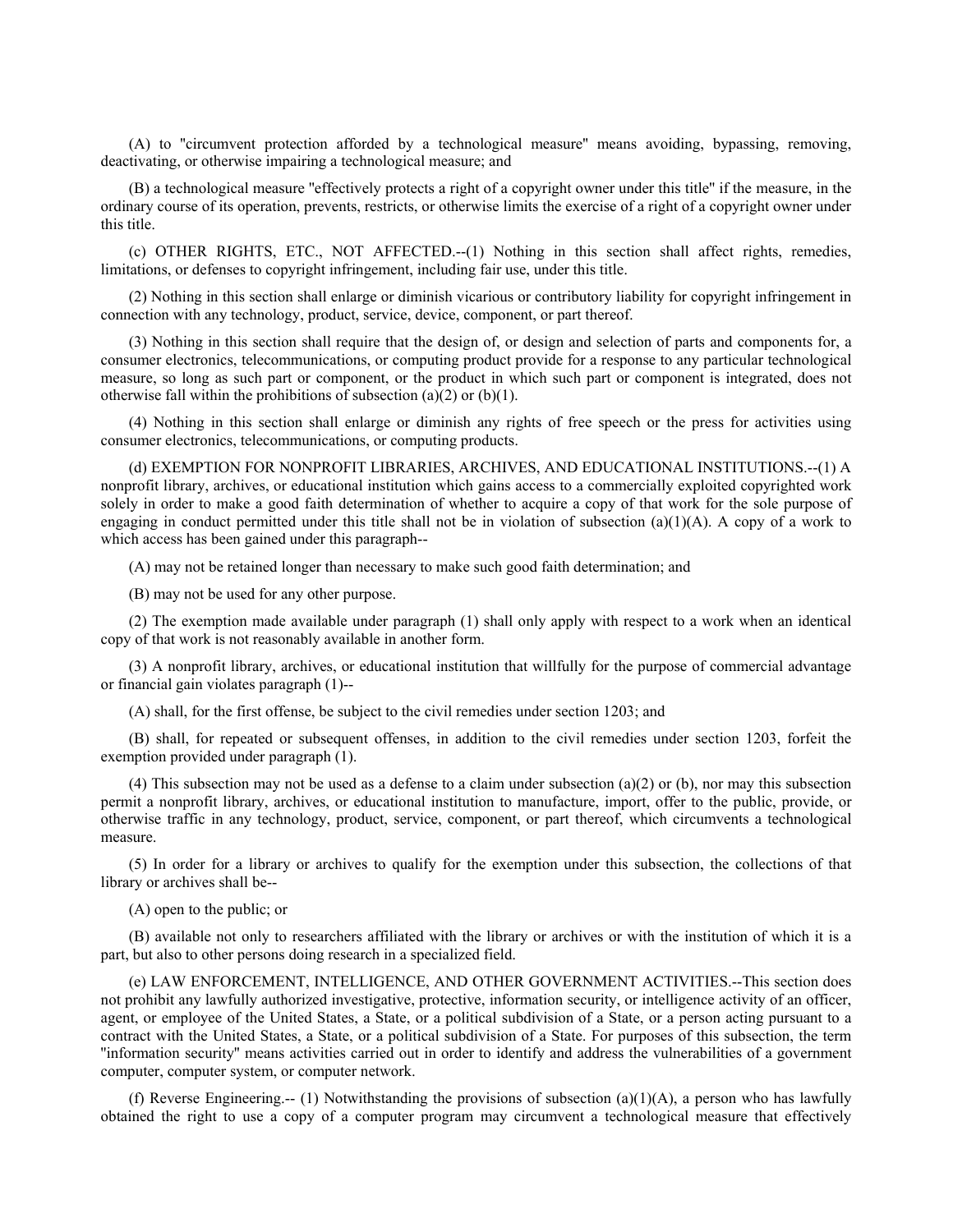(A) to ''circumvent protection afforded by a technological measure'' means avoiding, bypassing, removing, deactivating, or otherwise impairing a technological measure; and

(B) a technological measure ''effectively protects a right of a copyright owner under this title'' if the measure, in the ordinary course of its operation, prevents, restricts, or otherwise limits the exercise of a right of a copyright owner under this title.

(c) OTHER RIGHTS, ETC., NOT AFFECTED.--(1) Nothing in this section shall affect rights, remedies, limitations, or defenses to copyright infringement, including fair use, under this title.

(2) Nothing in this section shall enlarge or diminish vicarious or contributory liability for copyright infringement in connection with any technology, product, service, device, component, or part thereof.

(3) Nothing in this section shall require that the design of, or design and selection of parts and components for, a consumer electronics, telecommunications, or computing product provide for a response to any particular technological measure, so long as such part or component, or the product in which such part or component is integrated, does not otherwise fall within the prohibitions of subsection (a)(2) or (b)(1).

(4) Nothing in this section shall enlarge or diminish any rights of free speech or the press for activities using consumer electronics, telecommunications, or computing products.

(d) EXEMPTION FOR NONPROFIT LIBRARIES, ARCHIVES, AND EDUCATIONAL INSTITUTIONS.--(1) A nonprofit library, archives, or educational institution which gains access to a commercially exploited copyrighted work solely in order to make a good faith determination of whether to acquire a copy of that work for the sole purpose of engaging in conduct permitted under this title shall not be in violation of subsection (a)(1)(A). A copy of a work to which access has been gained under this paragraph--

(A) may not be retained longer than necessary to make such good faith determination; and

(B) may not be used for any other purpose.

(2) The exemption made available under paragraph (1) shall only apply with respect to a work when an identical copy of that work is not reasonably available in another form.

(3) A nonprofit library, archives, or educational institution that willfully for the purpose of commercial advantage or financial gain violates paragraph (1)--

(A) shall, for the first offense, be subject to the civil remedies under section 1203; and

(B) shall, for repeated or subsequent offenses, in addition to the civil remedies under section 1203, forfeit the exemption provided under paragraph (1).

(4) This subsection may not be used as a defense to a claim under subsection (a)(2) or (b), nor may this subsection permit a nonprofit library, archives, or educational institution to manufacture, import, offer to the public, provide, or otherwise traffic in any technology, product, service, component, or part thereof, which circumvents a technological measure.

(5) In order for a library or archives to qualify for the exemption under this subsection, the collections of that library or archives shall be--

(A) open to the public; or

(B) available not only to researchers affiliated with the library or archives or with the institution of which it is a part, but also to other persons doing research in a specialized field.

(e) LAW ENFORCEMENT, INTELLIGENCE, AND OTHER GOVERNMENT ACTIVITIES.--This section does not prohibit any lawfully authorized investigative, protective, information security, or intelligence activity of an officer, agent, or employee of the United States, a State, or a political subdivision of a State, or a person acting pursuant to a contract with the United States, a State, or a political subdivision of a State. For purposes of this subsection, the term ''information security'' means activities carried out in order to identify and address the vulnerabilities of a government computer, computer system, or computer network.

(f) Reverse Engineering.-- (1) Notwithstanding the provisions of subsection (a)(1)(A), a person who has lawfully obtained the right to use a copy of a computer program may circumvent a technological measure that effectively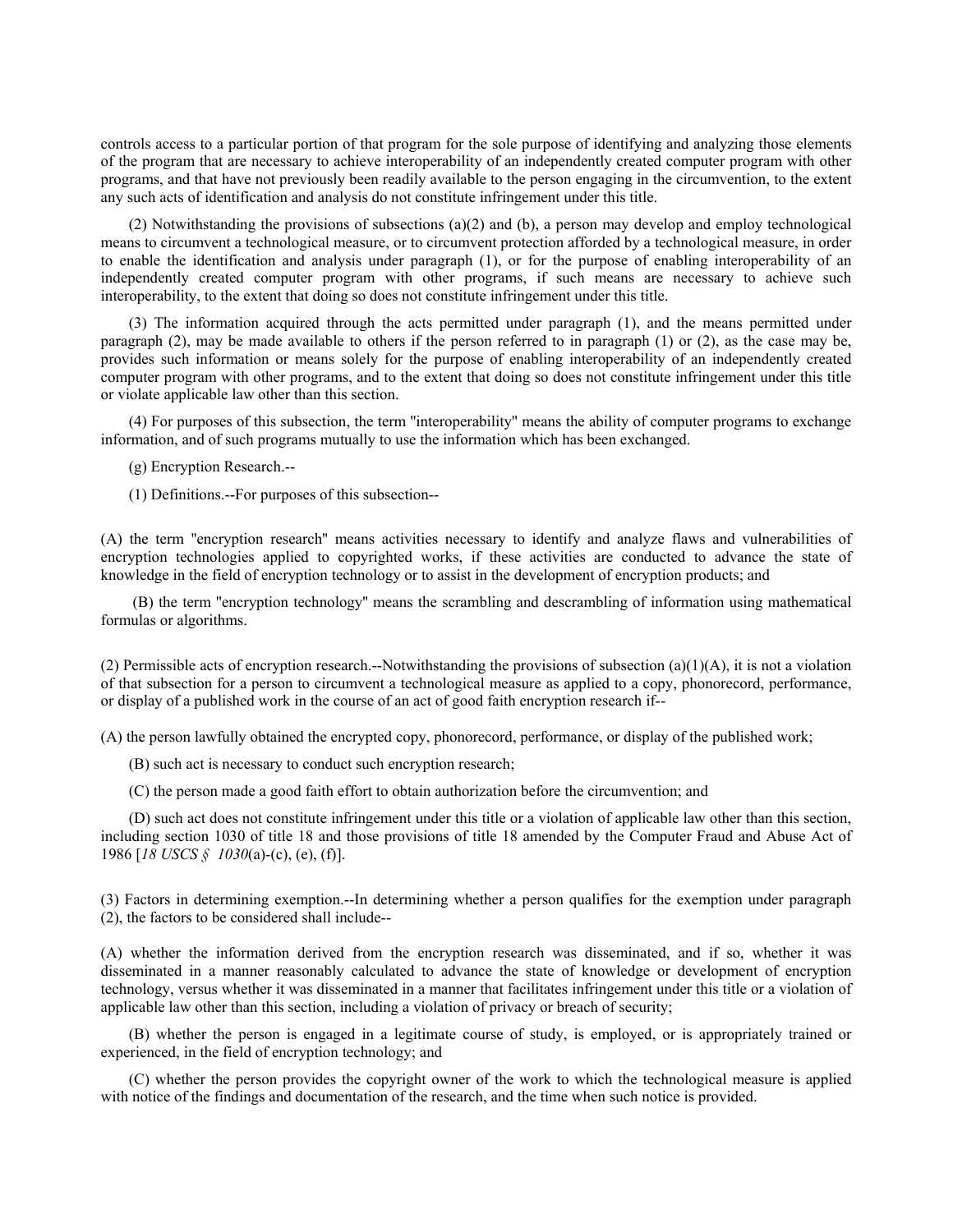controls access to a particular portion of that program for the sole purpose of identifying and analyzing those elements of the program that are necessary to achieve interoperability of an independently created computer program with other programs, and that have not previously been readily available to the person engaging in the circumvention, to the extent any such acts of identification and analysis do not constitute infringement under this title.

(2) Notwithstanding the provisions of subsections (a)(2) and (b), a person may develop and employ technological means to circumvent a technological measure, or to circumvent protection afforded by a technological measure, in order to enable the identification and analysis under paragraph (1), or for the purpose of enabling interoperability of an independently created computer program with other programs, if such means are necessary to achieve such interoperability, to the extent that doing so does not constitute infringement under this title.

(3) The information acquired through the acts permitted under paragraph (1), and the means permitted under paragraph (2), may be made available to others if the person referred to in paragraph (1) or (2), as the case may be, provides such information or means solely for the purpose of enabling interoperability of an independently created computer program with other programs, and to the extent that doing so does not constitute infringement under this title or violate applicable law other than this section.

(4) For purposes of this subsection, the term ''interoperability'' means the ability of computer programs to exchange information, and of such programs mutually to use the information which has been exchanged.

(g) Encryption Research.--

(1) Definitions.--For purposes of this subsection--

(A) the term ''encryption research'' means activities necessary to identify and analyze flaws and vulnerabilities of encryption technologies applied to copyrighted works, if these activities are conducted to advance the state of knowledge in the field of encryption technology or to assist in the development of encryption products; and

 (B) the term ''encryption technology'' means the scrambling and descrambling of information using mathematical formulas or algorithms.

(2) Permissible acts of encryption research.--Notwithstanding the provisions of subsection  $(a)(1)(A)$ , it is not a violation of that subsection for a person to circumvent a technological measure as applied to a copy, phonorecord, performance, or display of a published work in the course of an act of good faith encryption research if--

(A) the person lawfully obtained the encrypted copy, phonorecord, performance, or display of the published work;

(B) such act is necessary to conduct such encryption research;

(C) the person made a good faith effort to obtain authorization before the circumvention; and

(D) such act does not constitute infringement under this title or a violation of applicable law other than this section, including section 1030 of title 18 and those provisions of title 18 amended by the Computer Fraud and Abuse Act of 1986 [*18 USCS § 1030*(a)-(c), (e), (f)].

(3) Factors in determining exemption.--In determining whether a person qualifies for the exemption under paragraph (2), the factors to be considered shall include--

(A) whether the information derived from the encryption research was disseminated, and if so, whether it was disseminated in a manner reasonably calculated to advance the state of knowledge or development of encryption technology, versus whether it was disseminated in a manner that facilitates infringement under this title or a violation of applicable law other than this section, including a violation of privacy or breach of security;

(B) whether the person is engaged in a legitimate course of study, is employed, or is appropriately trained or experienced, in the field of encryption technology; and

(C) whether the person provides the copyright owner of the work to which the technological measure is applied with notice of the findings and documentation of the research, and the time when such notice is provided.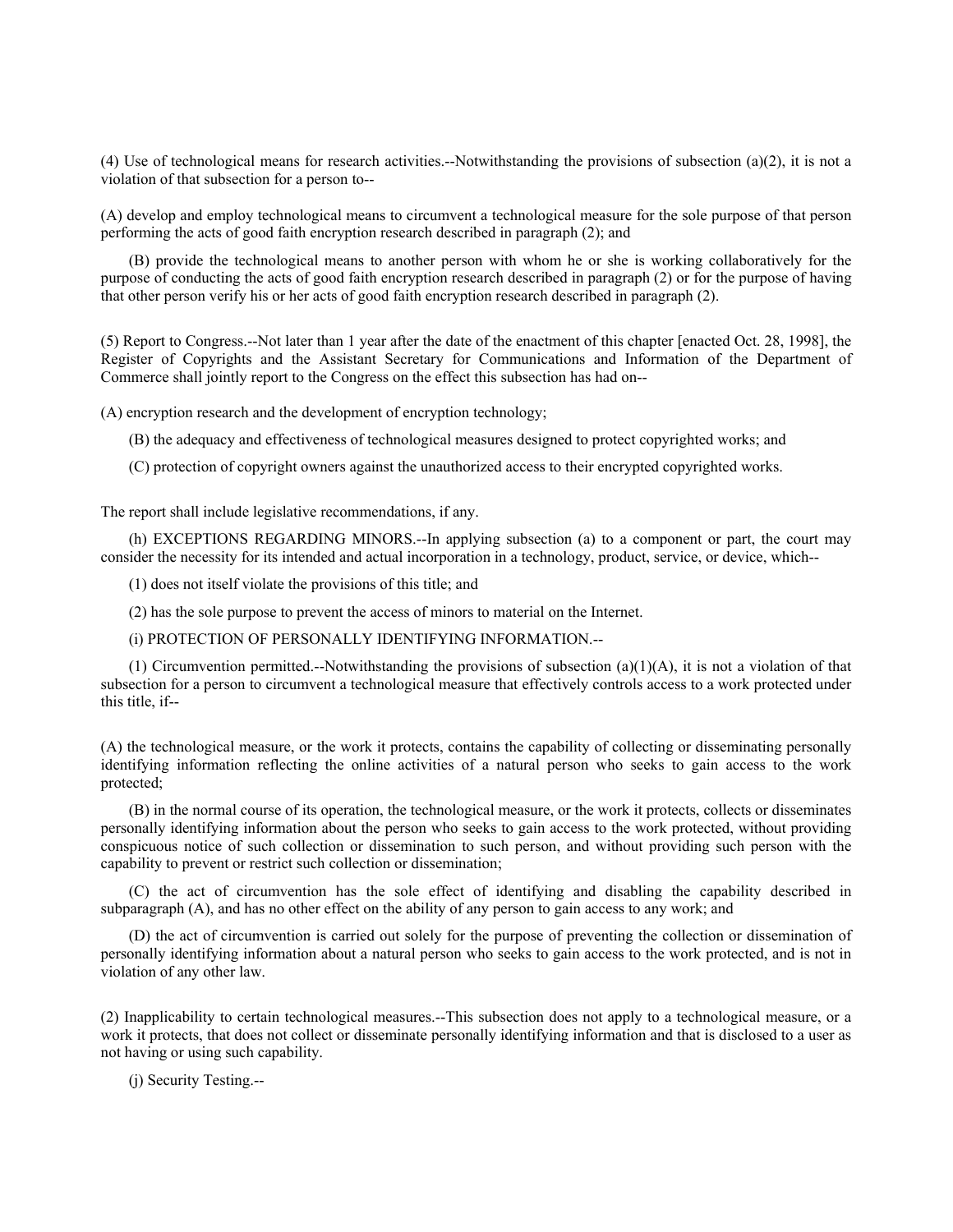(4) Use of technological means for research activities.--Notwithstanding the provisions of subsection (a)(2), it is not a violation of that subsection for a person to--

(A) develop and employ technological means to circumvent a technological measure for the sole purpose of that person performing the acts of good faith encryption research described in paragraph (2); and

(B) provide the technological means to another person with whom he or she is working collaboratively for the purpose of conducting the acts of good faith encryption research described in paragraph (2) or for the purpose of having that other person verify his or her acts of good faith encryption research described in paragraph (2).

(5) Report to Congress.--Not later than 1 year after the date of the enactment of this chapter [enacted Oct. 28, 1998], the Register of Copyrights and the Assistant Secretary for Communications and Information of the Department of Commerce shall jointly report to the Congress on the effect this subsection has had on--

(A) encryption research and the development of encryption technology;

(B) the adequacy and effectiveness of technological measures designed to protect copyrighted works; and

(C) protection of copyright owners against the unauthorized access to their encrypted copyrighted works.

The report shall include legislative recommendations, if any.

(h) EXCEPTIONS REGARDING MINORS.--In applying subsection (a) to a component or part, the court may consider the necessity for its intended and actual incorporation in a technology, product, service, or device, which--

(1) does not itself violate the provisions of this title; and

(2) has the sole purpose to prevent the access of minors to material on the Internet.

(i) PROTECTION OF PERSONALLY IDENTIFYING INFORMATION.--

(1) Circumvention permitted.--Notwithstanding the provisions of subsection (a)(1)(A), it is not a violation of that subsection for a person to circumvent a technological measure that effectively controls access to a work protected under this title, if--

(A) the technological measure, or the work it protects, contains the capability of collecting or disseminating personally identifying information reflecting the online activities of a natural person who seeks to gain access to the work protected;

(B) in the normal course of its operation, the technological measure, or the work it protects, collects or disseminates personally identifying information about the person who seeks to gain access to the work protected, without providing conspicuous notice of such collection or dissemination to such person, and without providing such person with the capability to prevent or restrict such collection or dissemination;

(C) the act of circumvention has the sole effect of identifying and disabling the capability described in subparagraph (A), and has no other effect on the ability of any person to gain access to any work; and

(D) the act of circumvention is carried out solely for the purpose of preventing the collection or dissemination of personally identifying information about a natural person who seeks to gain access to the work protected, and is not in violation of any other law.

(2) Inapplicability to certain technological measures.--This subsection does not apply to a technological measure, or a work it protects, that does not collect or disseminate personally identifying information and that is disclosed to a user as not having or using such capability.

(j) Security Testing.--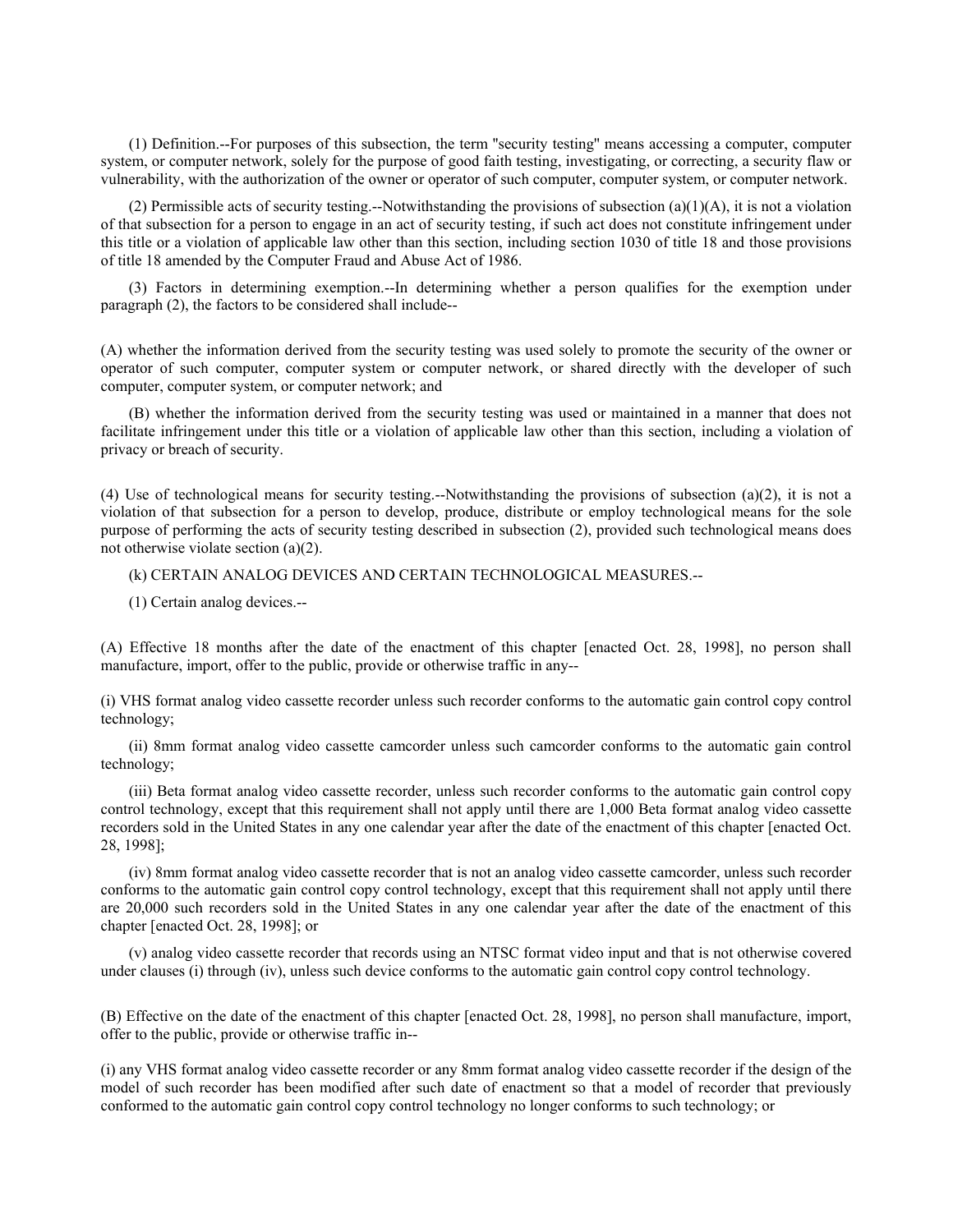(1) Definition.--For purposes of this subsection, the term ''security testing'' means accessing a computer, computer system, or computer network, solely for the purpose of good faith testing, investigating, or correcting, a security flaw or vulnerability, with the authorization of the owner or operator of such computer, computer system, or computer network.

(2) Permissible acts of security testing.--Notwithstanding the provisions of subsection  $(a)(1)(A)$ , it is not a violation of that subsection for a person to engage in an act of security testing, if such act does not constitute infringement under this title or a violation of applicable law other than this section, including section 1030 of title 18 and those provisions of title 18 amended by the Computer Fraud and Abuse Act of 1986.

(3) Factors in determining exemption.--In determining whether a person qualifies for the exemption under paragraph (2), the factors to be considered shall include--

(A) whether the information derived from the security testing was used solely to promote the security of the owner or operator of such computer, computer system or computer network, or shared directly with the developer of such computer, computer system, or computer network; and

(B) whether the information derived from the security testing was used or maintained in a manner that does not facilitate infringement under this title or a violation of applicable law other than this section, including a violation of privacy or breach of security.

(4) Use of technological means for security testing.--Notwithstanding the provisions of subsection (a)(2), it is not a violation of that subsection for a person to develop, produce, distribute or employ technological means for the sole purpose of performing the acts of security testing described in subsection (2), provided such technological means does not otherwise violate section (a)(2).

#### (k) CERTAIN ANALOG DEVICES AND CERTAIN TECHNOLOGICAL MEASURES.--

(1) Certain analog devices.--

(A) Effective 18 months after the date of the enactment of this chapter [enacted Oct. 28, 1998], no person shall manufacture, import, offer to the public, provide or otherwise traffic in any--

(i) VHS format analog video cassette recorder unless such recorder conforms to the automatic gain control copy control technology;

(ii) 8mm format analog video cassette camcorder unless such camcorder conforms to the automatic gain control technology;

(iii) Beta format analog video cassette recorder, unless such recorder conforms to the automatic gain control copy control technology, except that this requirement shall not apply until there are 1,000 Beta format analog video cassette recorders sold in the United States in any one calendar year after the date of the enactment of this chapter [enacted Oct. 28, 1998];

(iv) 8mm format analog video cassette recorder that is not an analog video cassette camcorder, unless such recorder conforms to the automatic gain control copy control technology, except that this requirement shall not apply until there are 20,000 such recorders sold in the United States in any one calendar year after the date of the enactment of this chapter [enacted Oct. 28, 1998]; or

(v) analog video cassette recorder that records using an NTSC format video input and that is not otherwise covered under clauses (i) through (iv), unless such device conforms to the automatic gain control copy control technology.

(B) Effective on the date of the enactment of this chapter [enacted Oct. 28, 1998], no person shall manufacture, import, offer to the public, provide or otherwise traffic in--

(i) any VHS format analog video cassette recorder or any 8mm format analog video cassette recorder if the design of the model of such recorder has been modified after such date of enactment so that a model of recorder that previously conformed to the automatic gain control copy control technology no longer conforms to such technology; or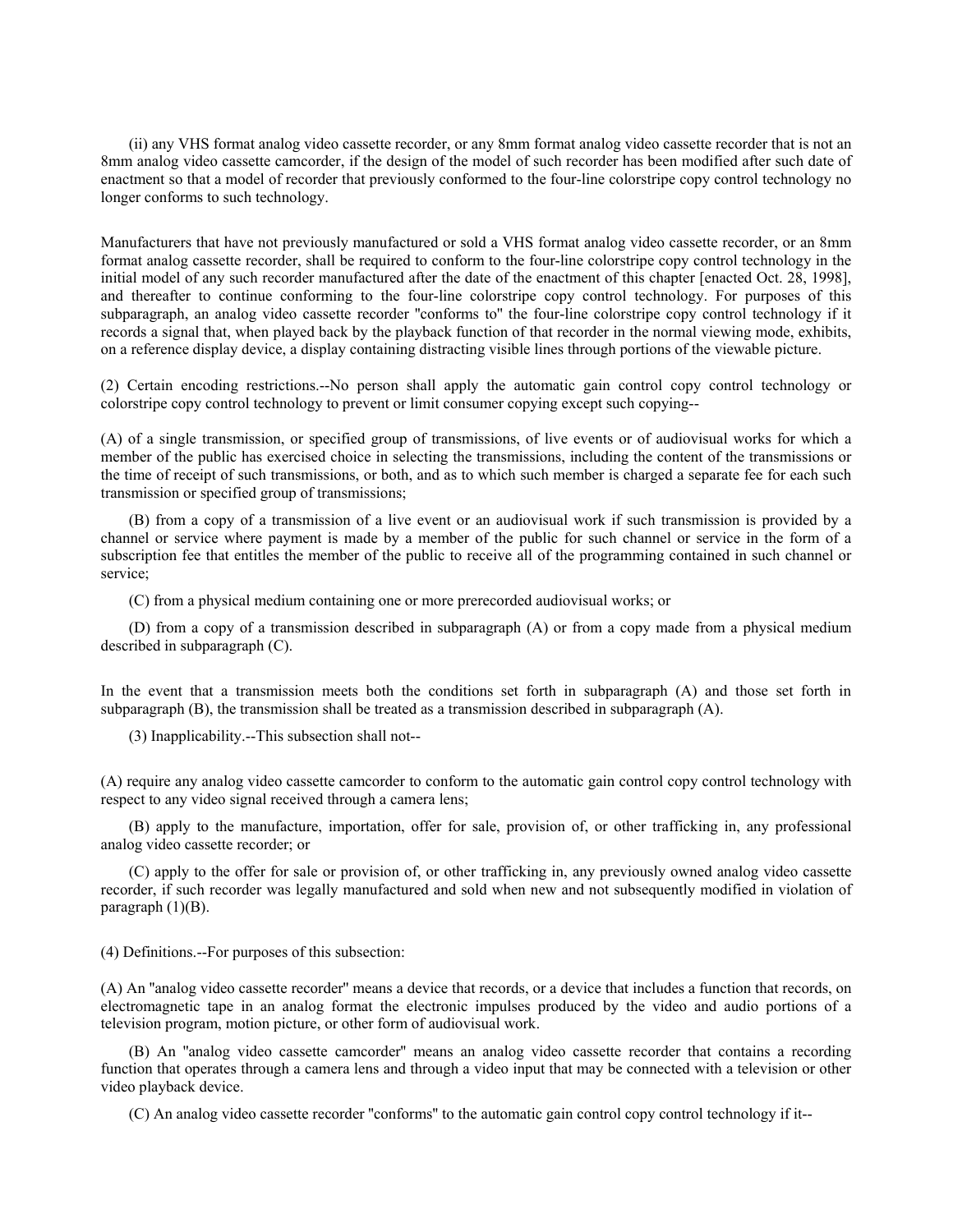(ii) any VHS format analog video cassette recorder, or any 8mm format analog video cassette recorder that is not an 8mm analog video cassette camcorder, if the design of the model of such recorder has been modified after such date of enactment so that a model of recorder that previously conformed to the four-line colorstripe copy control technology no longer conforms to such technology.

Manufacturers that have not previously manufactured or sold a VHS format analog video cassette recorder, or an 8mm format analog cassette recorder, shall be required to conform to the four-line colorstripe copy control technology in the initial model of any such recorder manufactured after the date of the enactment of this chapter [enacted Oct. 28, 1998], and thereafter to continue conforming to the four-line colorstripe copy control technology. For purposes of this subparagraph, an analog video cassette recorder "conforms to" the four-line colorstripe copy control technology if it records a signal that, when played back by the playback function of that recorder in the normal viewing mode, exhibits, on a reference display device, a display containing distracting visible lines through portions of the viewable picture.

(2) Certain encoding restrictions.--No person shall apply the automatic gain control copy control technology or colorstripe copy control technology to prevent or limit consumer copying except such copying--

(A) of a single transmission, or specified group of transmissions, of live events or of audiovisual works for which a member of the public has exercised choice in selecting the transmissions, including the content of the transmissions or the time of receipt of such transmissions, or both, and as to which such member is charged a separate fee for each such transmission or specified group of transmissions;

(B) from a copy of a transmission of a live event or an audiovisual work if such transmission is provided by a channel or service where payment is made by a member of the public for such channel or service in the form of a subscription fee that entitles the member of the public to receive all of the programming contained in such channel or service;

(C) from a physical medium containing one or more prerecorded audiovisual works; or

(D) from a copy of a transmission described in subparagraph (A) or from a copy made from a physical medium described in subparagraph (C).

In the event that a transmission meets both the conditions set forth in subparagraph (A) and those set forth in subparagraph (B), the transmission shall be treated as a transmission described in subparagraph (A).

(3) Inapplicability.--This subsection shall not--

(A) require any analog video cassette camcorder to conform to the automatic gain control copy control technology with respect to any video signal received through a camera lens;

(B) apply to the manufacture, importation, offer for sale, provision of, or other trafficking in, any professional analog video cassette recorder; or

(C) apply to the offer for sale or provision of, or other trafficking in, any previously owned analog video cassette recorder, if such recorder was legally manufactured and sold when new and not subsequently modified in violation of paragraph  $(1)(B)$ .

(4) Definitions.--For purposes of this subsection:

(A) An ''analog video cassette recorder'' means a device that records, or a device that includes a function that records, on electromagnetic tape in an analog format the electronic impulses produced by the video and audio portions of a television program, motion picture, or other form of audiovisual work.

(B) An ''analog video cassette camcorder'' means an analog video cassette recorder that contains a recording function that operates through a camera lens and through a video input that may be connected with a television or other video playback device.

(C) An analog video cassette recorder ''conforms'' to the automatic gain control copy control technology if it--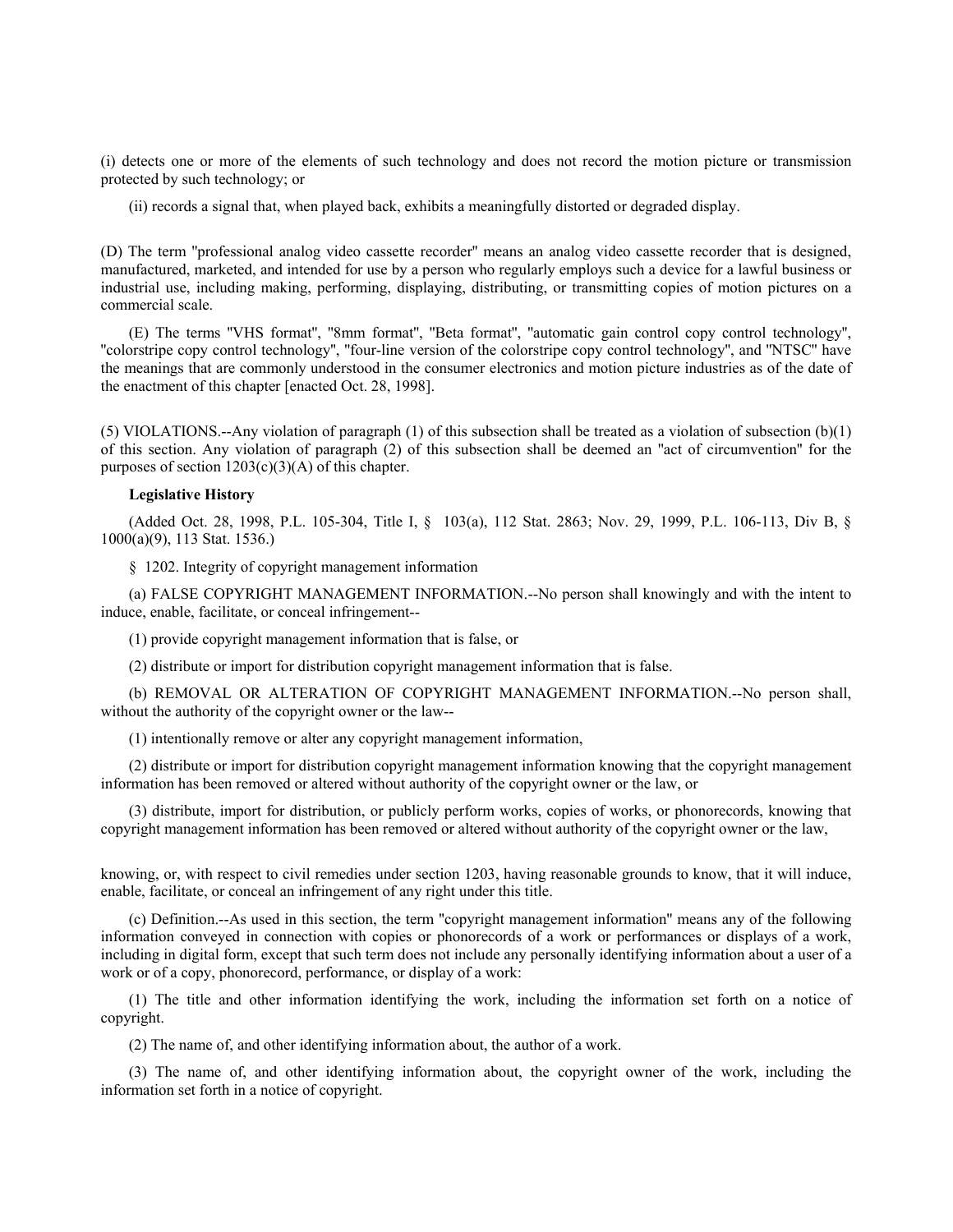(i) detects one or more of the elements of such technology and does not record the motion picture or transmission protected by such technology; or

(ii) records a signal that, when played back, exhibits a meaningfully distorted or degraded display.

(D) The term ''professional analog video cassette recorder'' means an analog video cassette recorder that is designed, manufactured, marketed, and intended for use by a person who regularly employs such a device for a lawful business or industrial use, including making, performing, displaying, distributing, or transmitting copies of motion pictures on a commercial scale.

(E) The terms ''VHS format'', ''8mm format'', ''Beta format'', ''automatic gain control copy control technology'', ''colorstripe copy control technology'', ''four-line version of the colorstripe copy control technology'', and ''NTSC'' have the meanings that are commonly understood in the consumer electronics and motion picture industries as of the date of the enactment of this chapter [enacted Oct. 28, 1998].

(5) VIOLATIONS.--Any violation of paragraph (1) of this subsection shall be treated as a violation of subsection  $(b)(1)$ of this section. Any violation of paragraph (2) of this subsection shall be deemed an ''act of circumvention'' for the purposes of section  $1203(c)(3)(A)$  of this chapter.

## **Legislative History**

(Added Oct. 28, 1998, P.L. 105-304, Title I, § 103(a), 112 Stat. 2863; Nov. 29, 1999, P.L. 106-113, Div B, § 1000(a)(9), 113 Stat. 1536.)

§ 1202. Integrity of copyright management information

(a) FALSE COPYRIGHT MANAGEMENT INFORMATION.--No person shall knowingly and with the intent to induce, enable, facilitate, or conceal infringement--

(1) provide copyright management information that is false, or

(2) distribute or import for distribution copyright management information that is false.

(b) REMOVAL OR ALTERATION OF COPYRIGHT MANAGEMENT INFORMATION.--No person shall, without the authority of the copyright owner or the law--

(1) intentionally remove or alter any copyright management information,

(2) distribute or import for distribution copyright management information knowing that the copyright management information has been removed or altered without authority of the copyright owner or the law, or

(3) distribute, import for distribution, or publicly perform works, copies of works, or phonorecords, knowing that copyright management information has been removed or altered without authority of the copyright owner or the law,

knowing, or, with respect to civil remedies under section 1203, having reasonable grounds to know, that it will induce, enable, facilitate, or conceal an infringement of any right under this title.

(c) Definition.--As used in this section, the term ''copyright management information'' means any of the following information conveyed in connection with copies or phonorecords of a work or performances or displays of a work, including in digital form, except that such term does not include any personally identifying information about a user of a work or of a copy, phonorecord, performance, or display of a work:

(1) The title and other information identifying the work, including the information set forth on a notice of copyright.

(2) The name of, and other identifying information about, the author of a work.

(3) The name of, and other identifying information about, the copyright owner of the work, including the information set forth in a notice of copyright.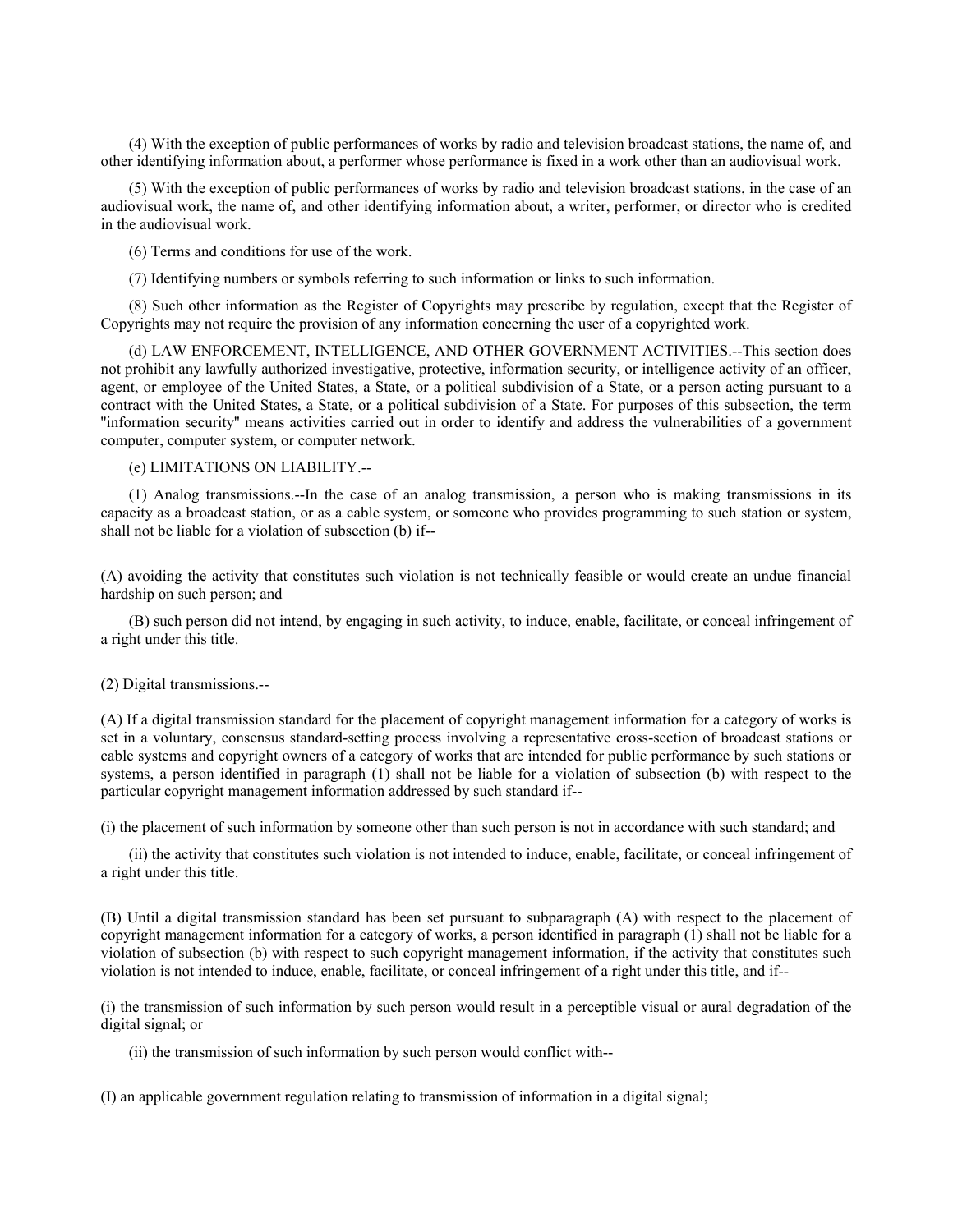(4) With the exception of public performances of works by radio and television broadcast stations, the name of, and other identifying information about, a performer whose performance is fixed in a work other than an audiovisual work.

(5) With the exception of public performances of works by radio and television broadcast stations, in the case of an audiovisual work, the name of, and other identifying information about, a writer, performer, or director who is credited in the audiovisual work.

(6) Terms and conditions for use of the work.

(7) Identifying numbers or symbols referring to such information or links to such information.

(8) Such other information as the Register of Copyrights may prescribe by regulation, except that the Register of Copyrights may not require the provision of any information concerning the user of a copyrighted work.

(d) LAW ENFORCEMENT, INTELLIGENCE, AND OTHER GOVERNMENT ACTIVITIES.--This section does not prohibit any lawfully authorized investigative, protective, information security, or intelligence activity of an officer, agent, or employee of the United States, a State, or a political subdivision of a State, or a person acting pursuant to a contract with the United States, a State, or a political subdivision of a State. For purposes of this subsection, the term ''information security'' means activities carried out in order to identify and address the vulnerabilities of a government computer, computer system, or computer network.

# (e) LIMITATIONS ON LIABILITY.--

(1) Analog transmissions.--In the case of an analog transmission, a person who is making transmissions in its capacity as a broadcast station, or as a cable system, or someone who provides programming to such station or system, shall not be liable for a violation of subsection (b) if--

(A) avoiding the activity that constitutes such violation is not technically feasible or would create an undue financial hardship on such person; and

(B) such person did not intend, by engaging in such activity, to induce, enable, facilitate, or conceal infringement of a right under this title.

#### (2) Digital transmissions.--

(A) If a digital transmission standard for the placement of copyright management information for a category of works is set in a voluntary, consensus standard-setting process involving a representative cross-section of broadcast stations or cable systems and copyright owners of a category of works that are intended for public performance by such stations or systems, a person identified in paragraph (1) shall not be liable for a violation of subsection (b) with respect to the particular copyright management information addressed by such standard if--

(i) the placement of such information by someone other than such person is not in accordance with such standard; and

(ii) the activity that constitutes such violation is not intended to induce, enable, facilitate, or conceal infringement of a right under this title.

(B) Until a digital transmission standard has been set pursuant to subparagraph (A) with respect to the placement of copyright management information for a category of works, a person identified in paragraph (1) shall not be liable for a violation of subsection (b) with respect to such copyright management information, if the activity that constitutes such violation is not intended to induce, enable, facilitate, or conceal infringement of a right under this title, and if--

(i) the transmission of such information by such person would result in a perceptible visual or aural degradation of the digital signal; or

(ii) the transmission of such information by such person would conflict with--

(I) an applicable government regulation relating to transmission of information in a digital signal;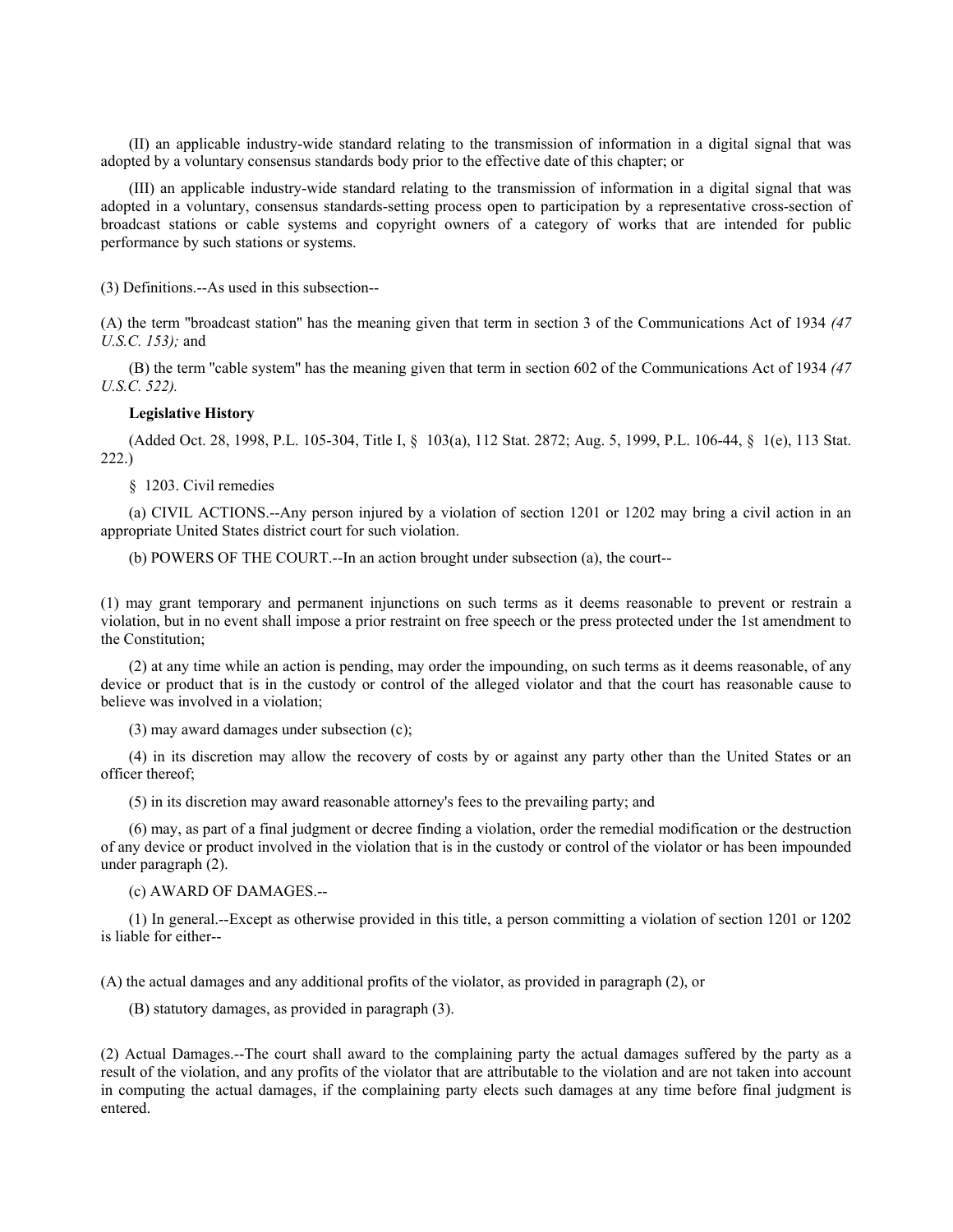(II) an applicable industry-wide standard relating to the transmission of information in a digital signal that was adopted by a voluntary consensus standards body prior to the effective date of this chapter; or

(III) an applicable industry-wide standard relating to the transmission of information in a digital signal that was adopted in a voluntary, consensus standards-setting process open to participation by a representative cross-section of broadcast stations or cable systems and copyright owners of a category of works that are intended for public performance by such stations or systems.

(3) Definitions.--As used in this subsection--

(A) the term ''broadcast station'' has the meaning given that term in section 3 of the Communications Act of 1934 *(47 U.S.C. 153);* and

(B) the term ''cable system'' has the meaning given that term in section 602 of the Communications Act of 1934 *(47 U.S.C. 522).*

#### **Legislative History**

(Added Oct. 28, 1998, P.L. 105-304, Title I, § 103(a), 112 Stat. 2872; Aug. 5, 1999, P.L. 106-44, § 1(e), 113 Stat. 222.)

§ 1203. Civil remedies

(a) CIVIL ACTIONS.--Any person injured by a violation of section 1201 or 1202 may bring a civil action in an appropriate United States district court for such violation.

(b) POWERS OF THE COURT.--In an action brought under subsection (a), the court--

(1) may grant temporary and permanent injunctions on such terms as it deems reasonable to prevent or restrain a violation, but in no event shall impose a prior restraint on free speech or the press protected under the 1st amendment to the Constitution;

(2) at any time while an action is pending, may order the impounding, on such terms as it deems reasonable, of any device or product that is in the custody or control of the alleged violator and that the court has reasonable cause to believe was involved in a violation;

(3) may award damages under subsection (c);

(4) in its discretion may allow the recovery of costs by or against any party other than the United States or an officer thereof;

(5) in its discretion may award reasonable attorney's fees to the prevailing party; and

(6) may, as part of a final judgment or decree finding a violation, order the remedial modification or the destruction of any device or product involved in the violation that is in the custody or control of the violator or has been impounded under paragraph (2).

## (c) AWARD OF DAMAGES.--

(1) In general.--Except as otherwise provided in this title, a person committing a violation of section 1201 or 1202 is liable for either--

(A) the actual damages and any additional profits of the violator, as provided in paragraph (2), or

(B) statutory damages, as provided in paragraph (3).

(2) Actual Damages.--The court shall award to the complaining party the actual damages suffered by the party as a result of the violation, and any profits of the violator that are attributable to the violation and are not taken into account in computing the actual damages, if the complaining party elects such damages at any time before final judgment is entered.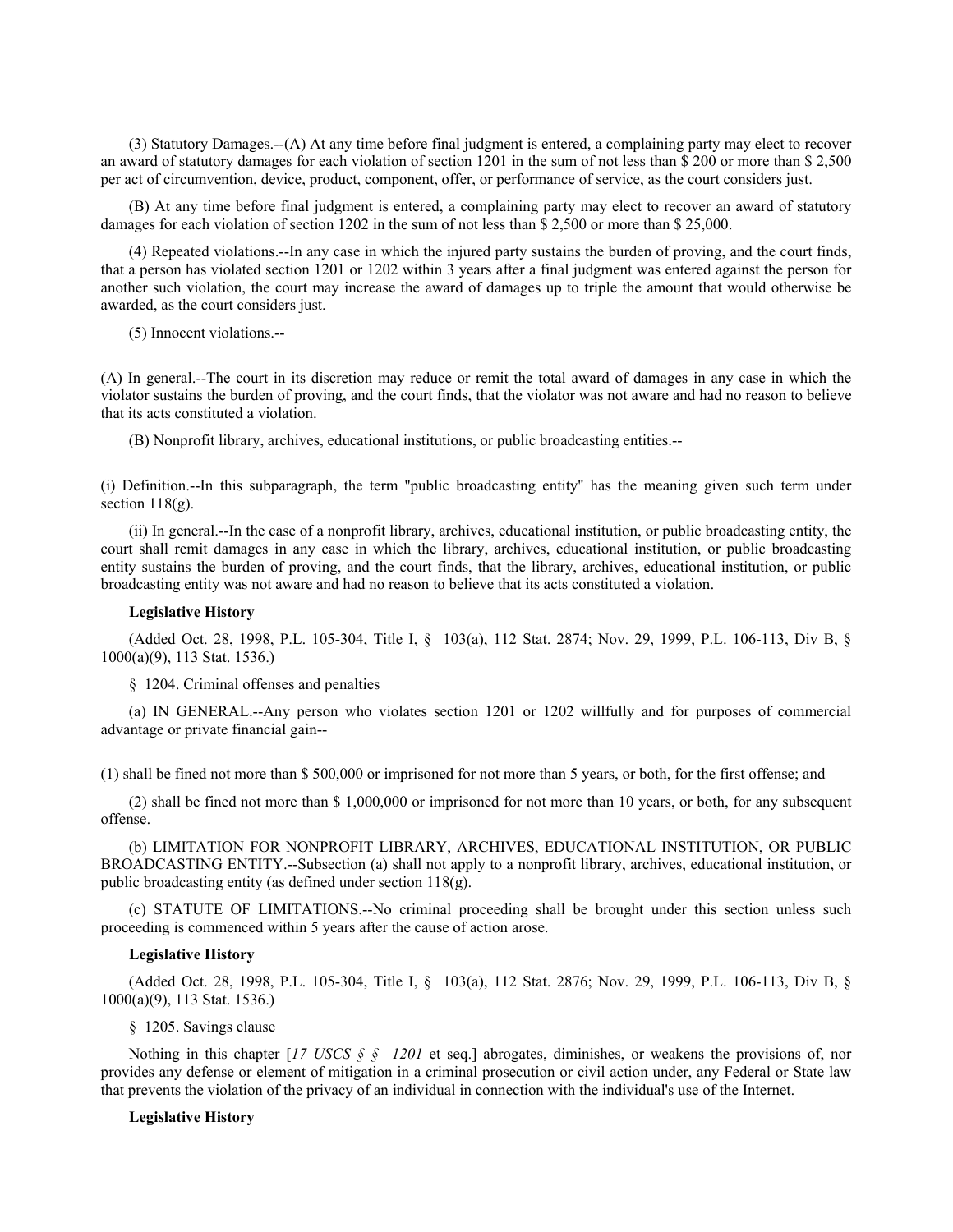(3) Statutory Damages.--(A) At any time before final judgment is entered, a complaining party may elect to recover an award of statutory damages for each violation of section 1201 in the sum of not less than \$ 200 or more than \$ 2,500 per act of circumvention, device, product, component, offer, or performance of service, as the court considers just.

(B) At any time before final judgment is entered, a complaining party may elect to recover an award of statutory damages for each violation of section 1202 in the sum of not less than \$ 2,500 or more than \$ 25,000.

(4) Repeated violations.--In any case in which the injured party sustains the burden of proving, and the court finds, that a person has violated section 1201 or 1202 within 3 years after a final judgment was entered against the person for another such violation, the court may increase the award of damages up to triple the amount that would otherwise be awarded, as the court considers just.

(5) Innocent violations.--

(A) In general.--The court in its discretion may reduce or remit the total award of damages in any case in which the violator sustains the burden of proving, and the court finds, that the violator was not aware and had no reason to believe that its acts constituted a violation.

(B) Nonprofit library, archives, educational institutions, or public broadcasting entities.--

(i) Definition.--In this subparagraph, the term ''public broadcasting entity'' has the meaning given such term under section  $118(g)$ .

(ii) In general.--In the case of a nonprofit library, archives, educational institution, or public broadcasting entity, the court shall remit damages in any case in which the library, archives, educational institution, or public broadcasting entity sustains the burden of proving, and the court finds, that the library, archives, educational institution, or public broadcasting entity was not aware and had no reason to believe that its acts constituted a violation.

## **Legislative History**

(Added Oct. 28, 1998, P.L. 105-304, Title I, § 103(a), 112 Stat. 2874; Nov. 29, 1999, P.L. 106-113, Div B, § 1000(a)(9), 113 Stat. 1536.)

#### § 1204. Criminal offenses and penalties

(a) IN GENERAL.--Any person who violates section 1201 or 1202 willfully and for purposes of commercial advantage or private financial gain--

(1) shall be fined not more than \$ 500,000 or imprisoned for not more than 5 years, or both, for the first offense; and

(2) shall be fined not more than \$ 1,000,000 or imprisoned for not more than 10 years, or both, for any subsequent offense.

(b) LIMITATION FOR NONPROFIT LIBRARY, ARCHIVES, EDUCATIONAL INSTITUTION, OR PUBLIC BROADCASTING ENTITY.--Subsection (a) shall not apply to a nonprofit library, archives, educational institution, or public broadcasting entity (as defined under section 118(g).

(c) STATUTE OF LIMITATIONS.--No criminal proceeding shall be brought under this section unless such proceeding is commenced within 5 years after the cause of action arose.

#### **Legislative History**

(Added Oct. 28, 1998, P.L. 105-304, Title I, § 103(a), 112 Stat. 2876; Nov. 29, 1999, P.L. 106-113, Div B, § 1000(a)(9), 113 Stat. 1536.)

# § 1205. Savings clause

Nothing in this chapter [*17 USCS § § 1201* et seq.] abrogates, diminishes, or weakens the provisions of, nor provides any defense or element of mitigation in a criminal prosecution or civil action under, any Federal or State law that prevents the violation of the privacy of an individual in connection with the individual's use of the Internet.

## **Legislative History**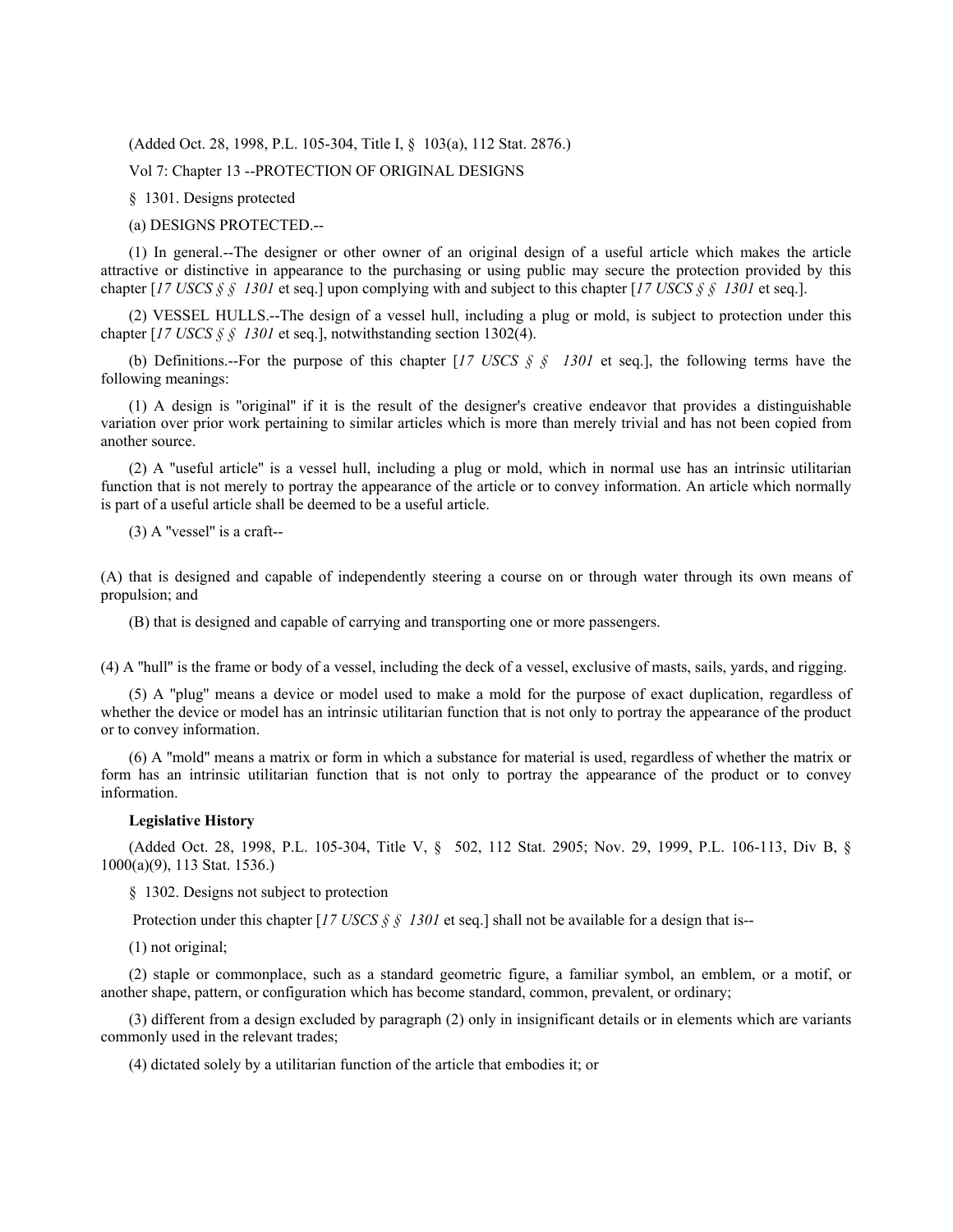(Added Oct. 28, 1998, P.L. 105-304, Title I, § 103(a), 112 Stat. 2876.)

### Vol 7: Chapter 13 --PROTECTION OF ORIGINAL DESIGNS

§ 1301. Designs protected

(a) DESIGNS PROTECTED.--

(1) In general.--The designer or other owner of an original design of a useful article which makes the article attractive or distinctive in appearance to the purchasing or using public may secure the protection provided by this chapter [*17 USCS § § 1301* et seq.] upon complying with and subject to this chapter [*17 USCS § § 1301* et seq.].

(2) VESSEL HULLS.--The design of a vessel hull, including a plug or mold, is subject to protection under this chapter [*17 USCS § § 1301* et seq.], notwithstanding section 1302(4).

(b) Definitions.--For the purpose of this chapter [*17 USCS § § 1301* et seq.], the following terms have the following meanings:

(1) A design is ''original'' if it is the result of the designer's creative endeavor that provides a distinguishable variation over prior work pertaining to similar articles which is more than merely trivial and has not been copied from another source.

(2) A ''useful article'' is a vessel hull, including a plug or mold, which in normal use has an intrinsic utilitarian function that is not merely to portray the appearance of the article or to convey information. An article which normally is part of a useful article shall be deemed to be a useful article.

(3) A ''vessel'' is a craft--

(A) that is designed and capable of independently steering a course on or through water through its own means of propulsion; and

(B) that is designed and capable of carrying and transporting one or more passengers.

(4) A ''hull'' is the frame or body of a vessel, including the deck of a vessel, exclusive of masts, sails, yards, and rigging.

(5) A ''plug'' means a device or model used to make a mold for the purpose of exact duplication, regardless of whether the device or model has an intrinsic utilitarian function that is not only to portray the appearance of the product or to convey information.

(6) A ''mold'' means a matrix or form in which a substance for material is used, regardless of whether the matrix or form has an intrinsic utilitarian function that is not only to portray the appearance of the product or to convey information.

### **Legislative History**

(Added Oct. 28, 1998, P.L. 105-304, Title V, § 502, 112 Stat. 2905; Nov. 29, 1999, P.L. 106-113, Div B, § 1000(a)(9), 113 Stat. 1536.)

§ 1302. Designs not subject to protection

Protection under this chapter [*17 USCS § § 1301* et seq.] shall not be available for a design that is--

(1) not original;

(2) staple or commonplace, such as a standard geometric figure, a familiar symbol, an emblem, or a motif, or another shape, pattern, or configuration which has become standard, common, prevalent, or ordinary;

(3) different from a design excluded by paragraph (2) only in insignificant details or in elements which are variants commonly used in the relevant trades;

(4) dictated solely by a utilitarian function of the article that embodies it; or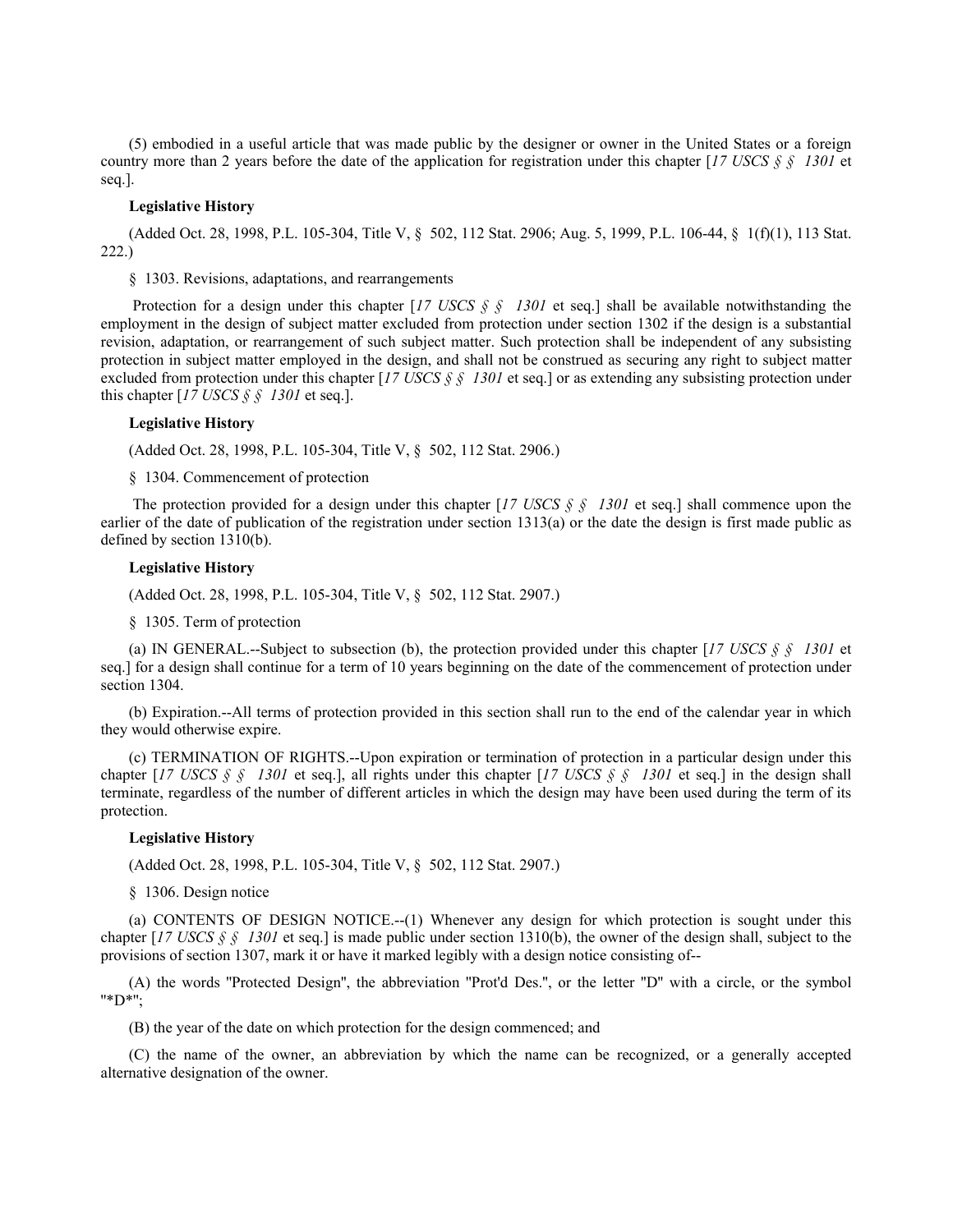(5) embodied in a useful article that was made public by the designer or owner in the United States or a foreign country more than 2 years before the date of the application for registration under this chapter  $[17 \text{ USCS} \text{ } \text{S} \text{ } \text{ } 8 \text{ } 1301]$  et seq.].

#### **Legislative History**

(Added Oct. 28, 1998, P.L. 105-304, Title V, § 502, 112 Stat. 2906; Aug. 5, 1999, P.L. 106-44, § 1(f)(1), 113 Stat. 222.)

§ 1303. Revisions, adaptations, and rearrangements

Protection for a design under this chapter  $[17 \text{ USCS } \text{S} \text{ S} \text{ 1301}$  et seq.] shall be available notwithstanding the employment in the design of subject matter excluded from protection under section 1302 if the design is a substantial revision, adaptation, or rearrangement of such subject matter. Such protection shall be independent of any subsisting protection in subject matter employed in the design, and shall not be construed as securing any right to subject matter excluded from protection under this chapter [*17 USCS § § 1301* et seq.] or as extending any subsisting protection under this chapter  $[17 \text{ USCS }$  § § 1301 et seq.].

#### **Legislative History**

(Added Oct. 28, 1998, P.L. 105-304, Title V, § 502, 112 Stat. 2906.)

§ 1304. Commencement of protection

The protection provided for a design under this chapter  $[17 \text{ USCS }\xi \xi 1301]$  et seq.] shall commence upon the earlier of the date of publication of the registration under section 1313(a) or the date the design is first made public as defined by section 1310(b).

#### **Legislative History**

(Added Oct. 28, 1998, P.L. 105-304, Title V, § 502, 112 Stat. 2907.)

§ 1305. Term of protection

(a) IN GENERAL.--Subject to subsection (b), the protection provided under this chapter [17 USCS  $\S$   $\S$  1301 et seq.] for a design shall continue for a term of 10 years beginning on the date of the commencement of protection under section 1304.

(b) Expiration.--All terms of protection provided in this section shall run to the end of the calendar year in which they would otherwise expire.

(c) TERMINATION OF RIGHTS.--Upon expiration or termination of protection in a particular design under this chapter [17 USCS § § 1301 et seq.], all rights under this chapter [17 USCS § § 1301 et seq.] in the design shall terminate, regardless of the number of different articles in which the design may have been used during the term of its protection.

### **Legislative History**

(Added Oct. 28, 1998, P.L. 105-304, Title V, § 502, 112 Stat. 2907.)

§ 1306. Design notice

(a) CONTENTS OF DESIGN NOTICE.--(1) Whenever any design for which protection is sought under this chapter  $[17 \text{ USCS } \xi \xi 1301]$  et seq.] is made public under section 1310(b), the owner of the design shall, subject to the provisions of section 1307, mark it or have it marked legibly with a design notice consisting of--

(A) the words ''Protected Design'', the abbreviation ''Prot'd Des.'', or the letter ''D'' with a circle, or the symbol ''\*D\*'';

(B) the year of the date on which protection for the design commenced; and

(C) the name of the owner, an abbreviation by which the name can be recognized, or a generally accepted alternative designation of the owner.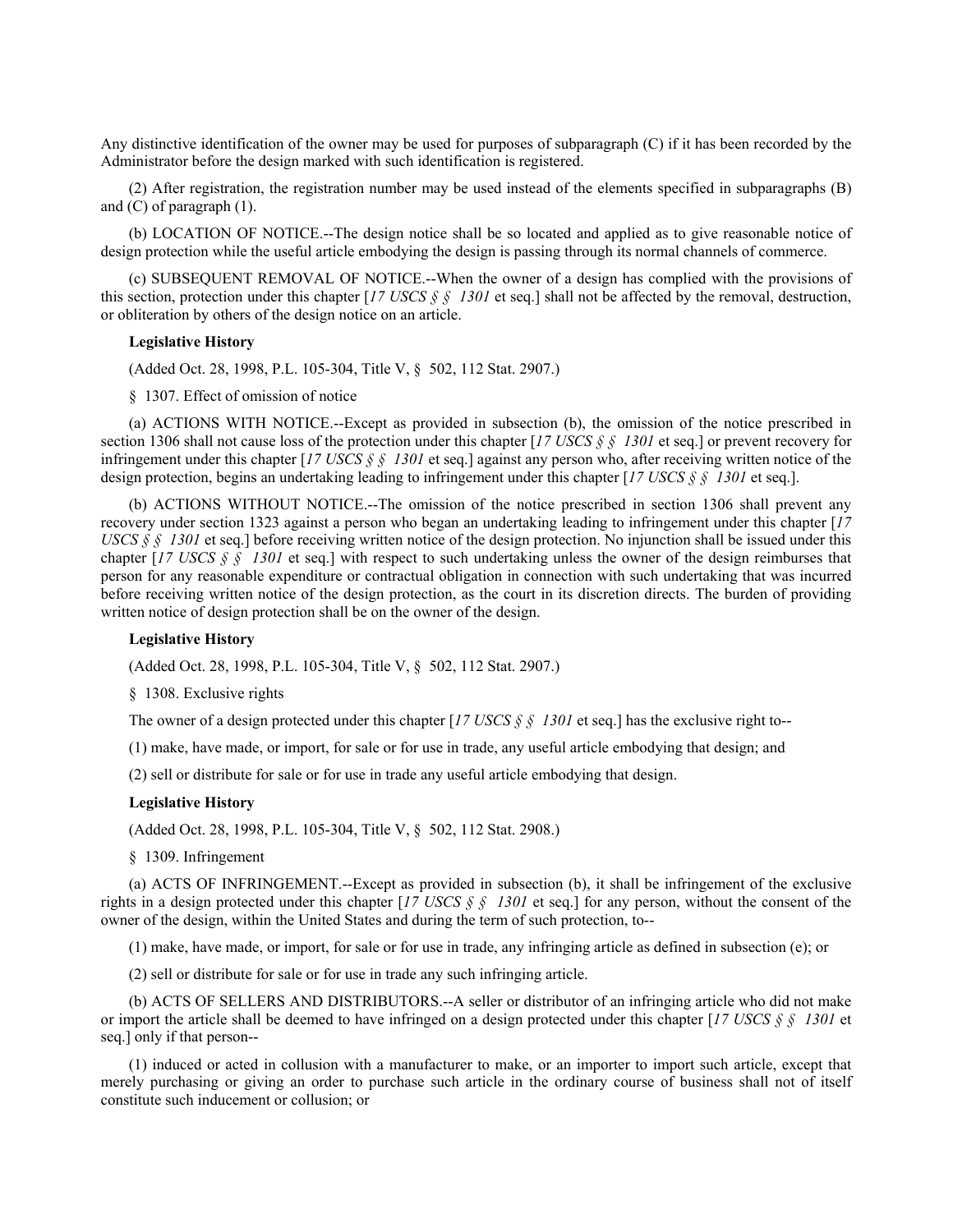Any distinctive identification of the owner may be used for purposes of subparagraph (C) if it has been recorded by the Administrator before the design marked with such identification is registered.

(2) After registration, the registration number may be used instead of the elements specified in subparagraphs (B) and (C) of paragraph (1).

(b) LOCATION OF NOTICE.--The design notice shall be so located and applied as to give reasonable notice of design protection while the useful article embodying the design is passing through its normal channels of commerce.

(c) SUBSEQUENT REMOVAL OF NOTICE.--When the owner of a design has complied with the provisions of this section, protection under this chapter [*17 USCS § § 1301* et seq.] shall not be affected by the removal, destruction, or obliteration by others of the design notice on an article.

## **Legislative History**

(Added Oct. 28, 1998, P.L. 105-304, Title V, § 502, 112 Stat. 2907.)

§ 1307. Effect of omission of notice

(a) ACTIONS WITH NOTICE.--Except as provided in subsection (b), the omission of the notice prescribed in section 1306 shall not cause loss of the protection under this chapter  $[17 \text{ USCS} \text{ s} \text{ s} 1301]$  et seq.] or prevent recovery for infringement under this chapter [*17 USCS § § 1301* et seq.] against any person who, after receiving written notice of the design protection, begins an undertaking leading to infringement under this chapter [*17 USCS § § 1301* et seq.].

(b) ACTIONS WITHOUT NOTICE.--The omission of the notice prescribed in section 1306 shall prevent any recovery under section 1323 against a person who began an undertaking leading to infringement under this chapter [*17 USCS § § 1301* et seq.] before receiving written notice of the design protection. No injunction shall be issued under this chapter  $[17 \text{ USCS } \xi \xi \ 1301]$  et seq.] with respect to such undertaking unless the owner of the design reimburses that person for any reasonable expenditure or contractual obligation in connection with such undertaking that was incurred before receiving written notice of the design protection, as the court in its discretion directs. The burden of providing written notice of design protection shall be on the owner of the design.

## **Legislative History**

(Added Oct. 28, 1998, P.L. 105-304, Title V, § 502, 112 Stat. 2907.)

§ 1308. Exclusive rights

The owner of a design protected under this chapter  $[17 \text{ USCS} \text{ } \text{\&} 5 \text{ } 1301]$  et seq.] has the exclusive right to--

(1) make, have made, or import, for sale or for use in trade, any useful article embodying that design; and

(2) sell or distribute for sale or for use in trade any useful article embodying that design.

### **Legislative History**

(Added Oct. 28, 1998, P.L. 105-304, Title V, § 502, 112 Stat. 2908.)

§ 1309. Infringement

(a) ACTS OF INFRINGEMENT.--Except as provided in subsection (b), it shall be infringement of the exclusive rights in a design protected under this chapter [*17 USCS § § 1301* et seq.] for any person, without the consent of the owner of the design, within the United States and during the term of such protection, to--

(1) make, have made, or import, for sale or for use in trade, any infringing article as defined in subsection (e); or

(2) sell or distribute for sale or for use in trade any such infringing article.

(b) ACTS OF SELLERS AND DISTRIBUTORS.--A seller or distributor of an infringing article who did not make or import the article shall be deemed to have infringed on a design protected under this chapter  $[17 \text{ USCS} \text{ } \text{S} \text{ } \text{ } 1301]$  et seq.] only if that person--

(1) induced or acted in collusion with a manufacturer to make, or an importer to import such article, except that merely purchasing or giving an order to purchase such article in the ordinary course of business shall not of itself constitute such inducement or collusion; or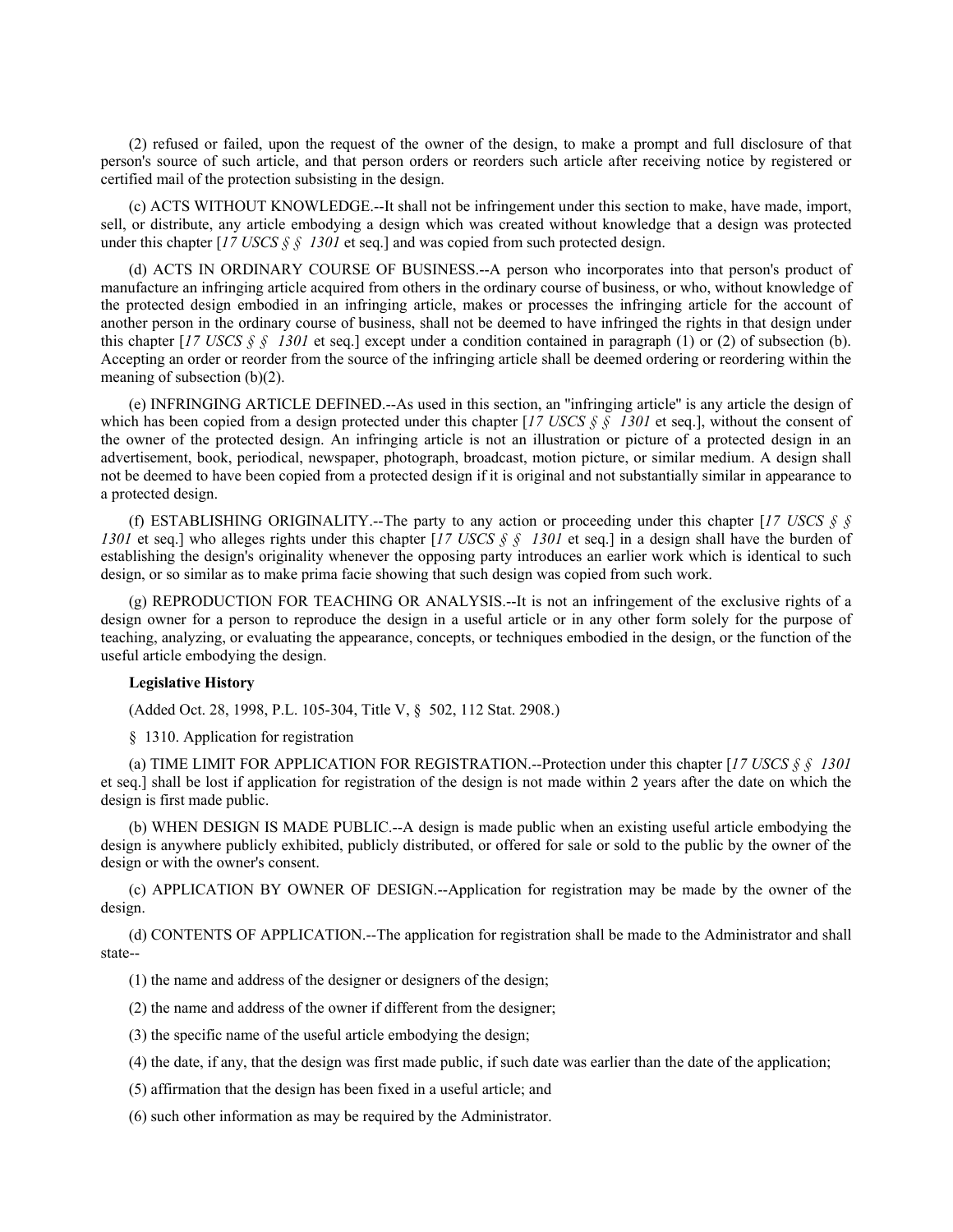(2) refused or failed, upon the request of the owner of the design, to make a prompt and full disclosure of that person's source of such article, and that person orders or reorders such article after receiving notice by registered or certified mail of the protection subsisting in the design.

(c) ACTS WITHOUT KNOWLEDGE.--It shall not be infringement under this section to make, have made, import, sell, or distribute, any article embodying a design which was created without knowledge that a design was protected under this chapter  $[17 \text{ USCS } \xi \xi 1301]$  et seq.] and was copied from such protected design.

(d) ACTS IN ORDINARY COURSE OF BUSINESS.--A person who incorporates into that person's product of manufacture an infringing article acquired from others in the ordinary course of business, or who, without knowledge of the protected design embodied in an infringing article, makes or processes the infringing article for the account of another person in the ordinary course of business, shall not be deemed to have infringed the rights in that design under this chapter  $[17 \text{ USCS } \xi \xi 1301]$  et seq.] except under a condition contained in paragraph (1) or (2) of subsection (b). Accepting an order or reorder from the source of the infringing article shall be deemed ordering or reordering within the meaning of subsection (b)(2).

(e) INFRINGING ARTICLE DEFINED.--As used in this section, an ''infringing article'' is any article the design of which has been copied from a design protected under this chapter  $[17 \text{ USCS } \xi \xi 1301]$  et seq.], without the consent of the owner of the protected design. An infringing article is not an illustration or picture of a protected design in an advertisement, book, periodical, newspaper, photograph, broadcast, motion picture, or similar medium. A design shall not be deemed to have been copied from a protected design if it is original and not substantially similar in appearance to a protected design.

(f) ESTABLISHING ORIGINALITY.--The party to any action or proceeding under this chapter [*17 USCS § § 1301* et seq.] who alleges rights under this chapter [*17 USCS § § 1301* et seq.] in a design shall have the burden of establishing the design's originality whenever the opposing party introduces an earlier work which is identical to such design, or so similar as to make prima facie showing that such design was copied from such work.

(g) REPRODUCTION FOR TEACHING OR ANALYSIS.--It is not an infringement of the exclusive rights of a design owner for a person to reproduce the design in a useful article or in any other form solely for the purpose of teaching, analyzing, or evaluating the appearance, concepts, or techniques embodied in the design, or the function of the useful article embodying the design.

## **Legislative History**

(Added Oct. 28, 1998, P.L. 105-304, Title V, § 502, 112 Stat. 2908.)

§ 1310. Application for registration

(a) TIME LIMIT FOR APPLICATION FOR REGISTRATION.--Protection under this chapter [*17 USCS § § 1301* et seq.] shall be lost if application for registration of the design is not made within 2 years after the date on which the design is first made public.

(b) WHEN DESIGN IS MADE PUBLIC.--A design is made public when an existing useful article embodying the design is anywhere publicly exhibited, publicly distributed, or offered for sale or sold to the public by the owner of the design or with the owner's consent.

(c) APPLICATION BY OWNER OF DESIGN.--Application for registration may be made by the owner of the design.

(d) CONTENTS OF APPLICATION.--The application for registration shall be made to the Administrator and shall state--

(1) the name and address of the designer or designers of the design;

(2) the name and address of the owner if different from the designer;

(3) the specific name of the useful article embodying the design;

(4) the date, if any, that the design was first made public, if such date was earlier than the date of the application;

(5) affirmation that the design has been fixed in a useful article; and

(6) such other information as may be required by the Administrator.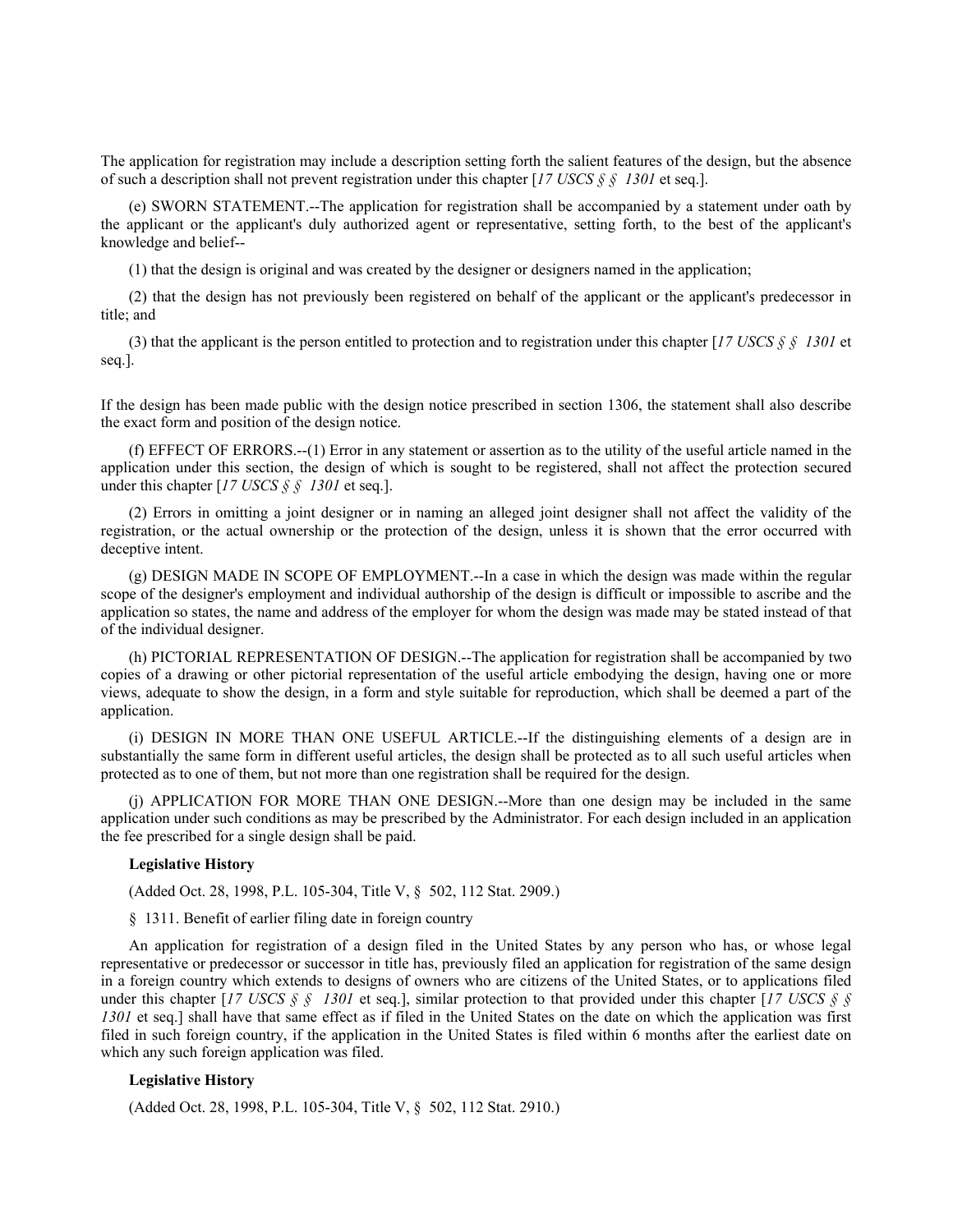The application for registration may include a description setting forth the salient features of the design, but the absence of such a description shall not prevent registration under this chapter [*17 USCS § § 1301* et seq.].

(e) SWORN STATEMENT.--The application for registration shall be accompanied by a statement under oath by the applicant or the applicant's duly authorized agent or representative, setting forth, to the best of the applicant's knowledge and belief--

(1) that the design is original and was created by the designer or designers named in the application;

(2) that the design has not previously been registered on behalf of the applicant or the applicant's predecessor in title; and

(3) that the applicant is the person entitled to protection and to registration under this chapter [*17 USCS § § 1301* et seq.].

If the design has been made public with the design notice prescribed in section 1306, the statement shall also describe the exact form and position of the design notice.

(f) EFFECT OF ERRORS.--(1) Error in any statement or assertion as to the utility of the useful article named in the application under this section, the design of which is sought to be registered, shall not affect the protection secured under this chapter [*17 USCS § § 1301* et seq.].

(2) Errors in omitting a joint designer or in naming an alleged joint designer shall not affect the validity of the registration, or the actual ownership or the protection of the design, unless it is shown that the error occurred with deceptive intent.

(g) DESIGN MADE IN SCOPE OF EMPLOYMENT.--In a case in which the design was made within the regular scope of the designer's employment and individual authorship of the design is difficult or impossible to ascribe and the application so states, the name and address of the employer for whom the design was made may be stated instead of that of the individual designer.

(h) PICTORIAL REPRESENTATION OF DESIGN.--The application for registration shall be accompanied by two copies of a drawing or other pictorial representation of the useful article embodying the design, having one or more views, adequate to show the design, in a form and style suitable for reproduction, which shall be deemed a part of the application.

(i) DESIGN IN MORE THAN ONE USEFUL ARTICLE.--If the distinguishing elements of a design are in substantially the same form in different useful articles, the design shall be protected as to all such useful articles when protected as to one of them, but not more than one registration shall be required for the design.

(j) APPLICATION FOR MORE THAN ONE DESIGN.--More than one design may be included in the same application under such conditions as may be prescribed by the Administrator. For each design included in an application the fee prescribed for a single design shall be paid.

#### **Legislative History**

(Added Oct. 28, 1998, P.L. 105-304, Title V, § 502, 112 Stat. 2909.)

§ 1311. Benefit of earlier filing date in foreign country

An application for registration of a design filed in the United States by any person who has, or whose legal representative or predecessor or successor in title has, previously filed an application for registration of the same design in a foreign country which extends to designs of owners who are citizens of the United States, or to applications filed under this chapter [*17 USCS § § 1301* et seq.], similar protection to that provided under this chapter [*17 USCS § § 1301* et seq.] shall have that same effect as if filed in the United States on the date on which the application was first filed in such foreign country, if the application in the United States is filed within 6 months after the earliest date on which any such foreign application was filed.

#### **Legislative History**

(Added Oct. 28, 1998, P.L. 105-304, Title V, § 502, 112 Stat. 2910.)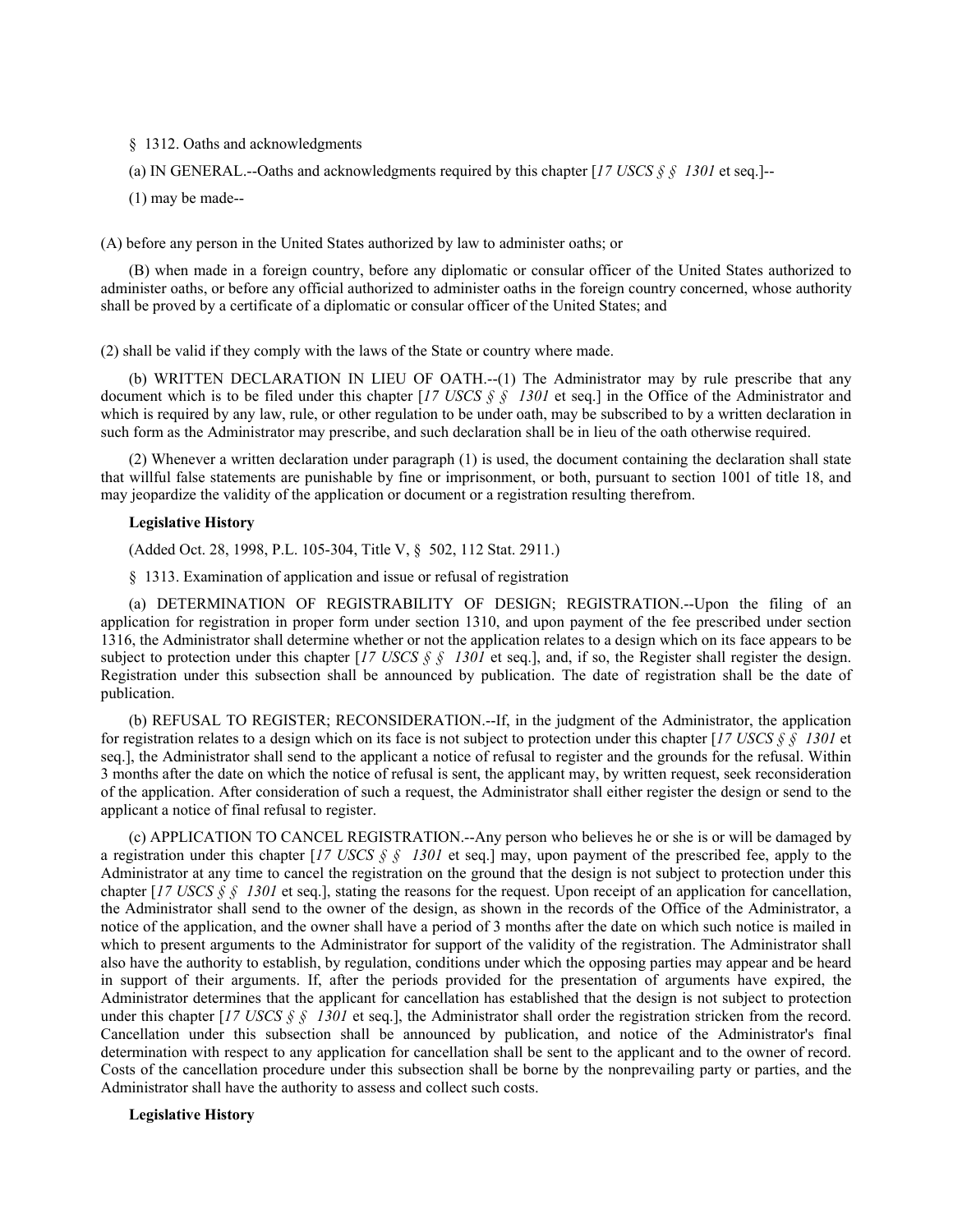§ 1312. Oaths and acknowledgments

(a) IN GENERAL.--Oaths and acknowledgments required by this chapter [*17 USCS § § 1301* et seq.]--

(1) may be made--

(A) before any person in the United States authorized by law to administer oaths; or

(B) when made in a foreign country, before any diplomatic or consular officer of the United States authorized to administer oaths, or before any official authorized to administer oaths in the foreign country concerned, whose authority shall be proved by a certificate of a diplomatic or consular officer of the United States; and

(2) shall be valid if they comply with the laws of the State or country where made.

(b) WRITTEN DECLARATION IN LIEU OF OATH.--(1) The Administrator may by rule prescribe that any document which is to be filed under this chapter [*17 USCS § § 1301* et seq.] in the Office of the Administrator and which is required by any law, rule, or other regulation to be under oath, may be subscribed to by a written declaration in such form as the Administrator may prescribe, and such declaration shall be in lieu of the oath otherwise required.

(2) Whenever a written declaration under paragraph (1) is used, the document containing the declaration shall state that willful false statements are punishable by fine or imprisonment, or both, pursuant to section 1001 of title 18, and may jeopardize the validity of the application or document or a registration resulting therefrom.

# **Legislative History**

(Added Oct. 28, 1998, P.L. 105-304, Title V, § 502, 112 Stat. 2911.)

§ 1313. Examination of application and issue or refusal of registration

(a) DETERMINATION OF REGISTRABILITY OF DESIGN; REGISTRATION.--Upon the filing of an application for registration in proper form under section 1310, and upon payment of the fee prescribed under section 1316, the Administrator shall determine whether or not the application relates to a design which on its face appears to be subject to protection under this chapter  $[17 \text{ USCS } \xi \xi \cdot 1301]$  et seq.], and, if so, the Register shall register the design. Registration under this subsection shall be announced by publication. The date of registration shall be the date of publication.

(b) REFUSAL TO REGISTER; RECONSIDERATION.--If, in the judgment of the Administrator, the application for registration relates to a design which on its face is not subject to protection under this chapter [*17 USCS § § 1301* et seq.], the Administrator shall send to the applicant a notice of refusal to register and the grounds for the refusal. Within 3 months after the date on which the notice of refusal is sent, the applicant may, by written request, seek reconsideration of the application. After consideration of such a request, the Administrator shall either register the design or send to the applicant a notice of final refusal to register.

(c) APPLICATION TO CANCEL REGISTRATION.--Any person who believes he or she is or will be damaged by a registration under this chapter [*17 USCS § § 1301* et seq.] may, upon payment of the prescribed fee, apply to the Administrator at any time to cancel the registration on the ground that the design is not subject to protection under this chapter  $[17 \text{ USCS } \xi \xi 1301]$  et seq.], stating the reasons for the request. Upon receipt of an application for cancellation, the Administrator shall send to the owner of the design, as shown in the records of the Office of the Administrator, a notice of the application, and the owner shall have a period of 3 months after the date on which such notice is mailed in which to present arguments to the Administrator for support of the validity of the registration. The Administrator shall also have the authority to establish, by regulation, conditions under which the opposing parties may appear and be heard in support of their arguments. If, after the periods provided for the presentation of arguments have expired, the Administrator determines that the applicant for cancellation has established that the design is not subject to protection under this chapter  $[17 \text{ USCS } \xi \xi \text{ 1301 et seq.}],$  the Administrator shall order the registration stricken from the record. Cancellation under this subsection shall be announced by publication, and notice of the Administrator's final determination with respect to any application for cancellation shall be sent to the applicant and to the owner of record. Costs of the cancellation procedure under this subsection shall be borne by the nonprevailing party or parties, and the Administrator shall have the authority to assess and collect such costs.

## **Legislative History**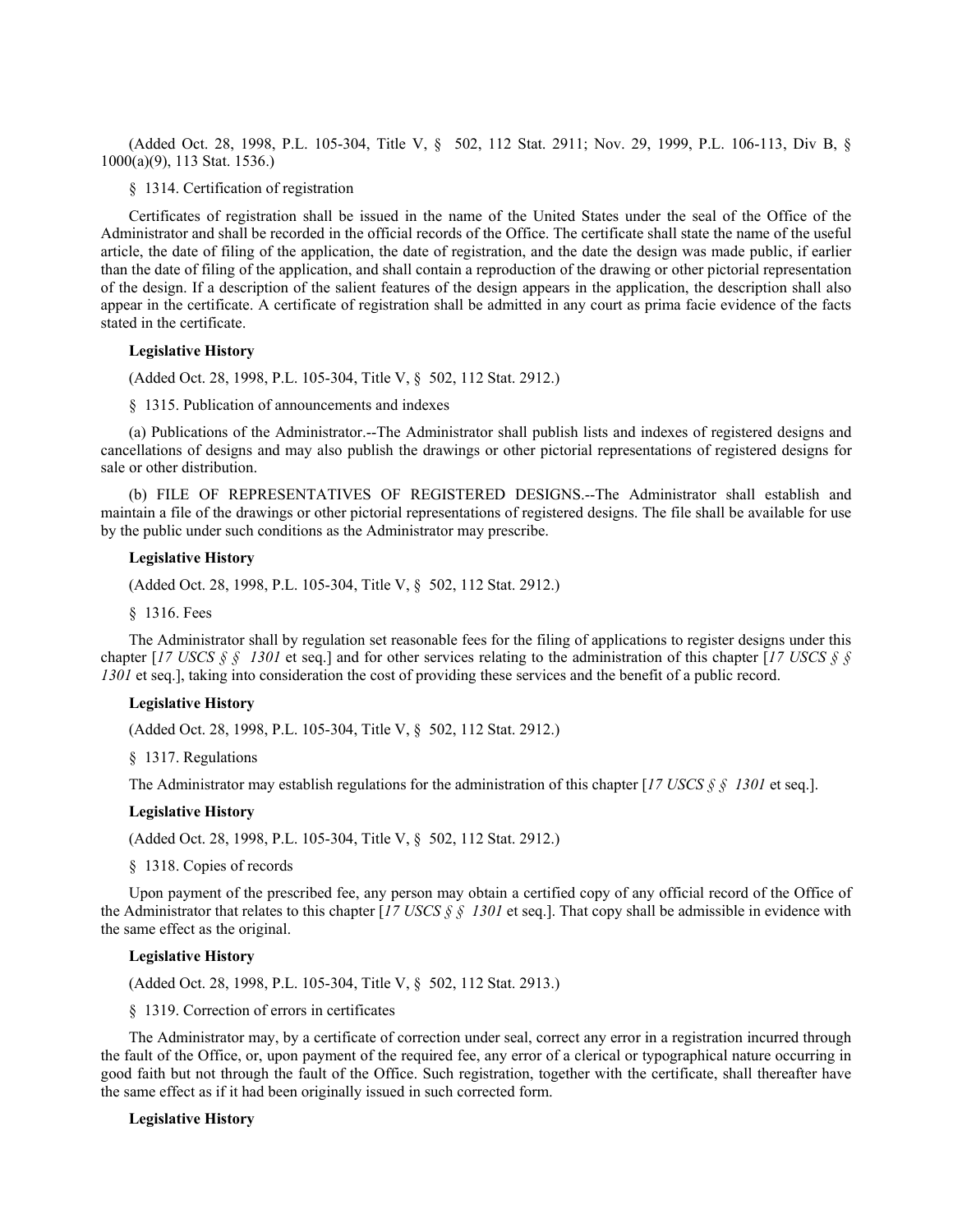(Added Oct. 28, 1998, P.L. 105-304, Title V, § 502, 112 Stat. 2911; Nov. 29, 1999, P.L. 106-113, Div B, § 1000(a)(9), 113 Stat. 1536.)

# § 1314. Certification of registration

Certificates of registration shall be issued in the name of the United States under the seal of the Office of the Administrator and shall be recorded in the official records of the Office. The certificate shall state the name of the useful article, the date of filing of the application, the date of registration, and the date the design was made public, if earlier than the date of filing of the application, and shall contain a reproduction of the drawing or other pictorial representation of the design. If a description of the salient features of the design appears in the application, the description shall also appear in the certificate. A certificate of registration shall be admitted in any court as prima facie evidence of the facts stated in the certificate.

#### **Legislative History**

(Added Oct. 28, 1998, P.L. 105-304, Title V, § 502, 112 Stat. 2912.)

§ 1315. Publication of announcements and indexes

(a) Publications of the Administrator.--The Administrator shall publish lists and indexes of registered designs and cancellations of designs and may also publish the drawings or other pictorial representations of registered designs for sale or other distribution.

(b) FILE OF REPRESENTATIVES OF REGISTERED DESIGNS.--The Administrator shall establish and maintain a file of the drawings or other pictorial representations of registered designs. The file shall be available for use by the public under such conditions as the Administrator may prescribe.

#### **Legislative History**

(Added Oct. 28, 1998, P.L. 105-304, Title V, § 502, 112 Stat. 2912.)

§ 1316. Fees

The Administrator shall by regulation set reasonable fees for the filing of applications to register designs under this chapter [*17 USCS § § 1301* et seq.] and for other services relating to the administration of this chapter [*17 USCS § § 1301* et seq.], taking into consideration the cost of providing these services and the benefit of a public record.

## **Legislative History**

(Added Oct. 28, 1998, P.L. 105-304, Title V, § 502, 112 Stat. 2912.)

§ 1317. Regulations

The Administrator may establish regulations for the administration of this chapter [*17 USCS § § 1301* et seq.].

#### **Legislative History**

(Added Oct. 28, 1998, P.L. 105-304, Title V, § 502, 112 Stat. 2912.)

§ 1318. Copies of records

Upon payment of the prescribed fee, any person may obtain a certified copy of any official record of the Office of the Administrator that relates to this chapter [*17 USCS § § 1301* et seq.]. That copy shall be admissible in evidence with the same effect as the original.

### **Legislative History**

(Added Oct. 28, 1998, P.L. 105-304, Title V, § 502, 112 Stat. 2913.)

§ 1319. Correction of errors in certificates

The Administrator may, by a certificate of correction under seal, correct any error in a registration incurred through the fault of the Office, or, upon payment of the required fee, any error of a clerical or typographical nature occurring in good faith but not through the fault of the Office. Such registration, together with the certificate, shall thereafter have the same effect as if it had been originally issued in such corrected form.

#### **Legislative History**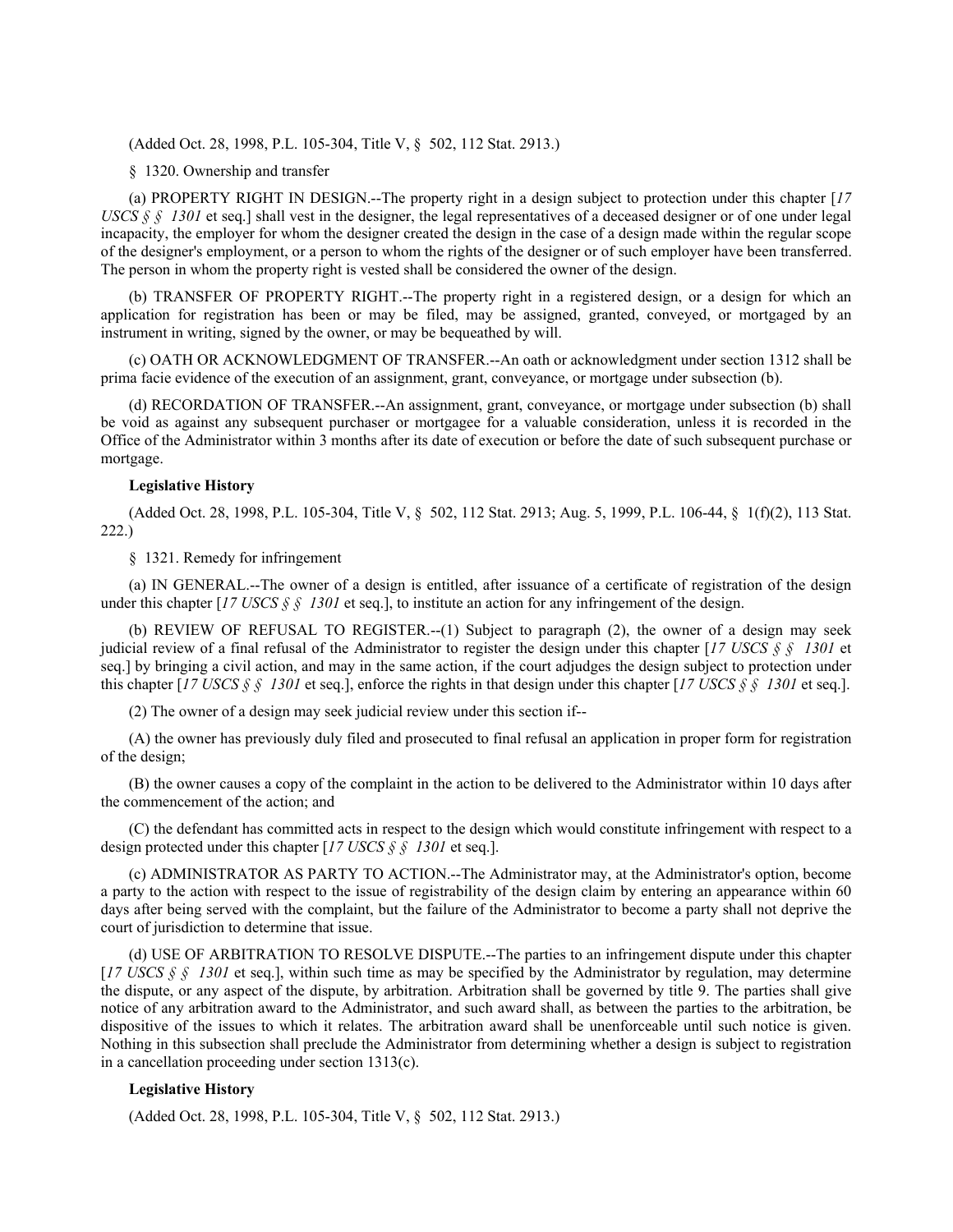(Added Oct. 28, 1998, P.L. 105-304, Title V, § 502, 112 Stat. 2913.)

§ 1320. Ownership and transfer

(a) PROPERTY RIGHT IN DESIGN.--The property right in a design subject to protection under this chapter [*17 USCS*  $\zeta$   $\zeta$  *1301* et seq.] shall vest in the designer, the legal representatives of a deceased designer or of one under legal incapacity, the employer for whom the designer created the design in the case of a design made within the regular scope of the designer's employment, or a person to whom the rights of the designer or of such employer have been transferred. The person in whom the property right is vested shall be considered the owner of the design.

(b) TRANSFER OF PROPERTY RIGHT.--The property right in a registered design, or a design for which an application for registration has been or may be filed, may be assigned, granted, conveyed, or mortgaged by an instrument in writing, signed by the owner, or may be bequeathed by will.

(c) OATH OR ACKNOWLEDGMENT OF TRANSFER.--An oath or acknowledgment under section 1312 shall be prima facie evidence of the execution of an assignment, grant, conveyance, or mortgage under subsection (b).

(d) RECORDATION OF TRANSFER.--An assignment, grant, conveyance, or mortgage under subsection (b) shall be void as against any subsequent purchaser or mortgagee for a valuable consideration, unless it is recorded in the Office of the Administrator within 3 months after its date of execution or before the date of such subsequent purchase or mortgage.

# **Legislative History**

(Added Oct. 28, 1998, P.L. 105-304, Title V, § 502, 112 Stat. 2913; Aug. 5, 1999, P.L. 106-44, § 1(f)(2), 113 Stat. 222.)

§ 1321. Remedy for infringement

(a) IN GENERAL.--The owner of a design is entitled, after issuance of a certificate of registration of the design under this chapter  $[17 \text{ USCS } \xi \xi 1301]$  et seq.], to institute an action for any infringement of the design.

(b) REVIEW OF REFUSAL TO REGISTER.--(1) Subject to paragraph (2), the owner of a design may seek judicial review of a final refusal of the Administrator to register the design under this chapter [*17 USCS § § 1301* et seq.] by bringing a civil action, and may in the same action, if the court adjudges the design subject to protection under this chapter [*17 USCS § § 1301* et seq.], enforce the rights in that design under this chapter [*17 USCS § § 1301* et seq.].

(2) The owner of a design may seek judicial review under this section if--

(A) the owner has previously duly filed and prosecuted to final refusal an application in proper form for registration of the design;

(B) the owner causes a copy of the complaint in the action to be delivered to the Administrator within 10 days after the commencement of the action; and

(C) the defendant has committed acts in respect to the design which would constitute infringement with respect to a design protected under this chapter [*17 USCS § § 1301* et seq.].

(c) ADMINISTRATOR AS PARTY TO ACTION.--The Administrator may, at the Administrator's option, become a party to the action with respect to the issue of registrability of the design claim by entering an appearance within 60 days after being served with the complaint, but the failure of the Administrator to become a party shall not deprive the court of jurisdiction to determine that issue.

(d) USE OF ARBITRATION TO RESOLVE DISPUTE.--The parties to an infringement dispute under this chapter [*17 USCS § § 1301* et seq.], within such time as may be specified by the Administrator by regulation, may determine the dispute, or any aspect of the dispute, by arbitration. Arbitration shall be governed by title 9. The parties shall give notice of any arbitration award to the Administrator, and such award shall, as between the parties to the arbitration, be dispositive of the issues to which it relates. The arbitration award shall be unenforceable until such notice is given. Nothing in this subsection shall preclude the Administrator from determining whether a design is subject to registration in a cancellation proceeding under section 1313(c).

# **Legislative History**

(Added Oct. 28, 1998, P.L. 105-304, Title V, § 502, 112 Stat. 2913.)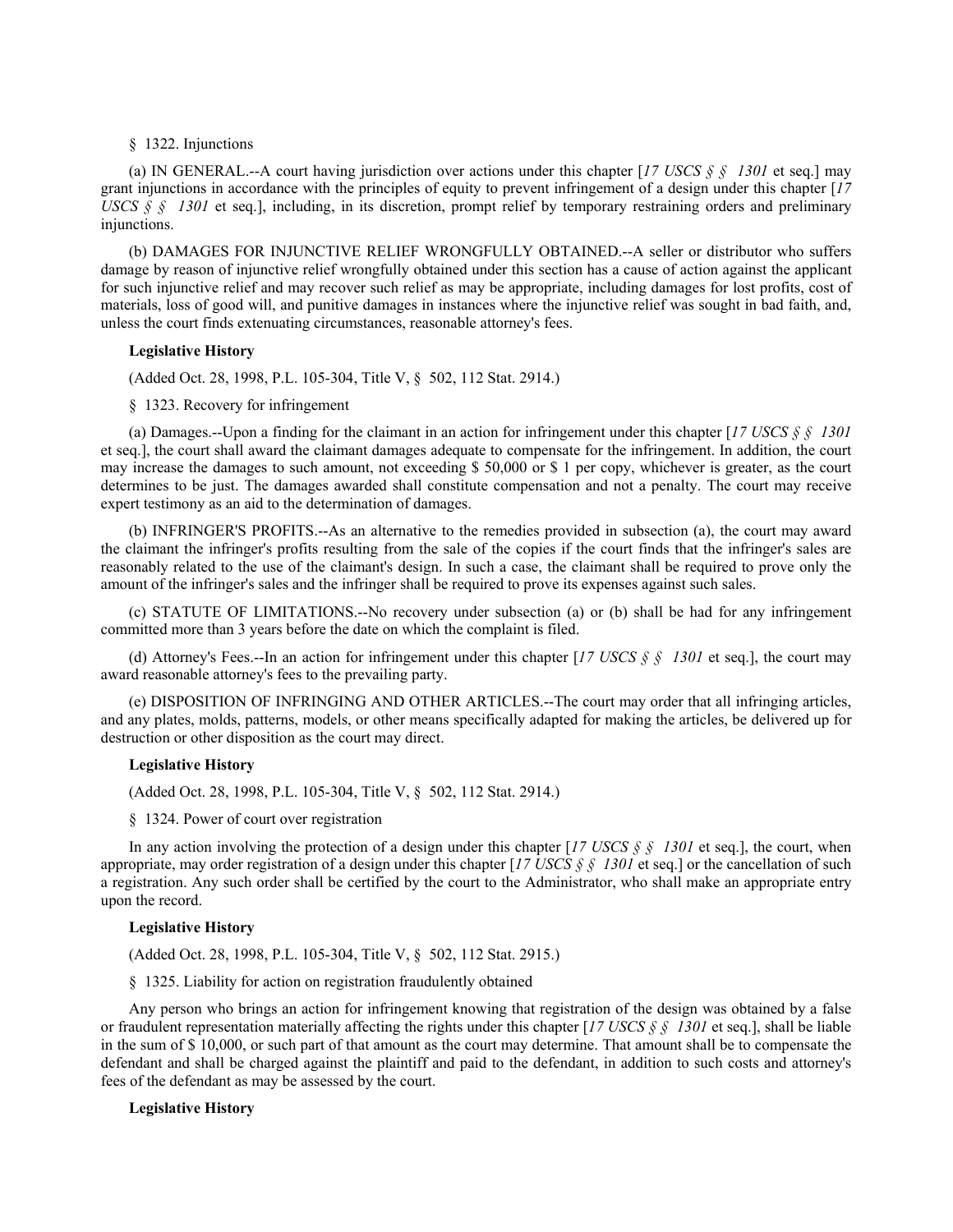## § 1322. Injunctions

(a) IN GENERAL.--A court having jurisdiction over actions under this chapter [*17 USCS § § 1301* et seq.] may grant injunctions in accordance with the principles of equity to prevent infringement of a design under this chapter [*17 USCS § § 1301* et seq.], including, in its discretion, prompt relief by temporary restraining orders and preliminary injunctions.

(b) DAMAGES FOR INJUNCTIVE RELIEF WRONGFULLY OBTAINED.--A seller or distributor who suffers damage by reason of injunctive relief wrongfully obtained under this section has a cause of action against the applicant for such injunctive relief and may recover such relief as may be appropriate, including damages for lost profits, cost of materials, loss of good will, and punitive damages in instances where the injunctive relief was sought in bad faith, and, unless the court finds extenuating circumstances, reasonable attorney's fees.

#### **Legislative History**

(Added Oct. 28, 1998, P.L. 105-304, Title V, § 502, 112 Stat. 2914.)

§ 1323. Recovery for infringement

(a) Damages.--Upon a finding for the claimant in an action for infringement under this chapter [*17 USCS § § 1301* et seq.], the court shall award the claimant damages adequate to compensate for the infringement. In addition, the court may increase the damages to such amount, not exceeding \$ 50,000 or \$ 1 per copy, whichever is greater, as the court determines to be just. The damages awarded shall constitute compensation and not a penalty. The court may receive expert testimony as an aid to the determination of damages.

(b) INFRINGER'S PROFITS.--As an alternative to the remedies provided in subsection (a), the court may award the claimant the infringer's profits resulting from the sale of the copies if the court finds that the infringer's sales are reasonably related to the use of the claimant's design. In such a case, the claimant shall be required to prove only the amount of the infringer's sales and the infringer shall be required to prove its expenses against such sales.

(c) STATUTE OF LIMITATIONS.--No recovery under subsection (a) or (b) shall be had for any infringement committed more than 3 years before the date on which the complaint is filed.

(d) Attorney's Fees.--In an action for infringement under this chapter [*17 USCS § § 1301* et seq.], the court may award reasonable attorney's fees to the prevailing party.

(e) DISPOSITION OF INFRINGING AND OTHER ARTICLES.--The court may order that all infringing articles, and any plates, molds, patterns, models, or other means specifically adapted for making the articles, be delivered up for destruction or other disposition as the court may direct.

#### **Legislative History**

(Added Oct. 28, 1998, P.L. 105-304, Title V, § 502, 112 Stat. 2914.)

§ 1324. Power of court over registration

In any action involving the protection of a design under this chapter [*17 USCS § § 1301* et seq.], the court, when appropriate, may order registration of a design under this chapter [*17 USCS § § 1301* et seq.] or the cancellation of such a registration. Any such order shall be certified by the court to the Administrator, who shall make an appropriate entry upon the record.

#### **Legislative History**

(Added Oct. 28, 1998, P.L. 105-304, Title V, § 502, 112 Stat. 2915.)

§ 1325. Liability for action on registration fraudulently obtained

Any person who brings an action for infringement knowing that registration of the design was obtained by a false or fraudulent representation materially affecting the rights under this chapter [*17 USCS § § 1301* et seq.], shall be liable in the sum of \$ 10,000, or such part of that amount as the court may determine. That amount shall be to compensate the defendant and shall be charged against the plaintiff and paid to the defendant, in addition to such costs and attorney's fees of the defendant as may be assessed by the court.

#### **Legislative History**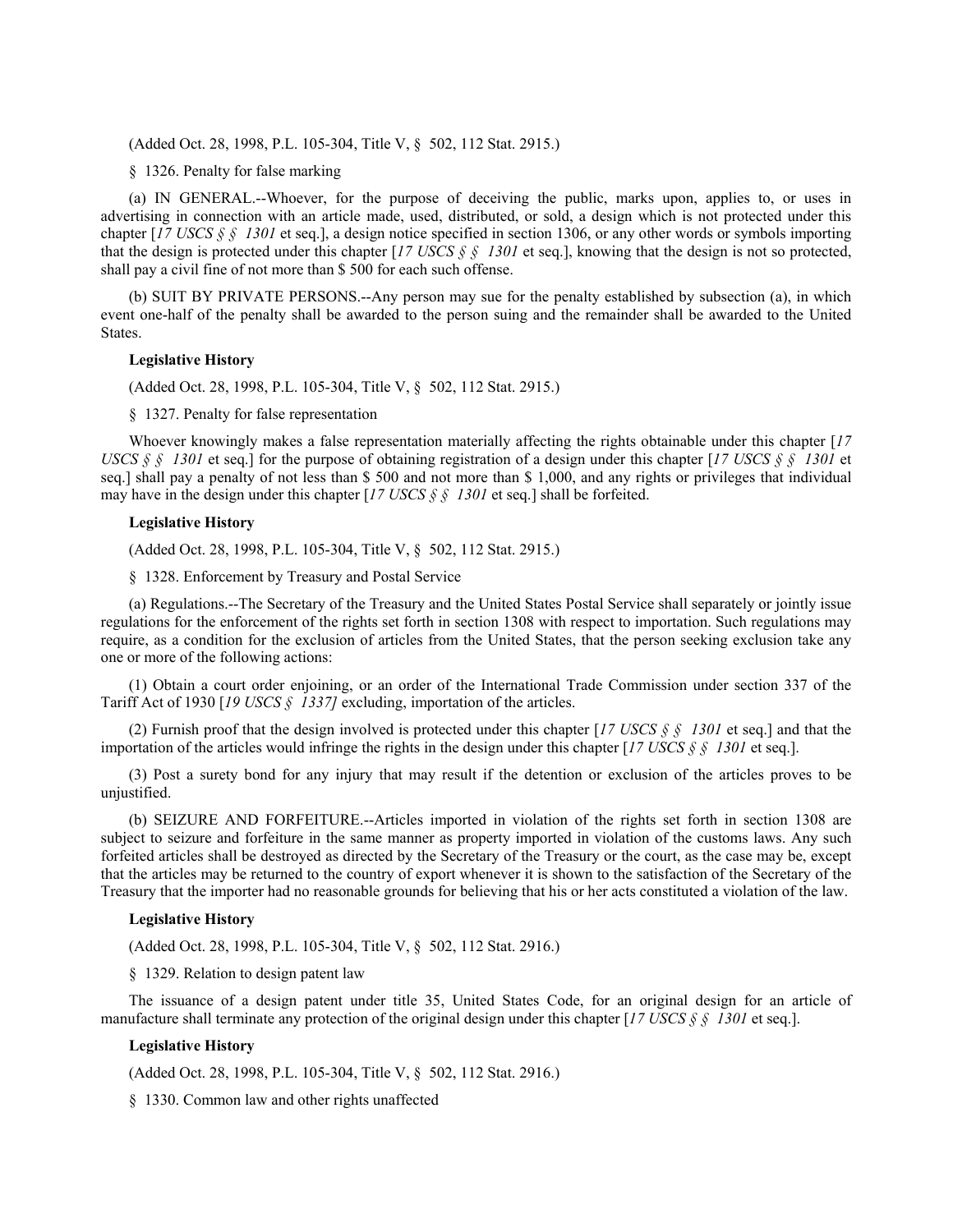(Added Oct. 28, 1998, P.L. 105-304, Title V, § 502, 112 Stat. 2915.)

§ 1326. Penalty for false marking

(a) IN GENERAL.--Whoever, for the purpose of deceiving the public, marks upon, applies to, or uses in advertising in connection with an article made, used, distributed, or sold, a design which is not protected under this chapter [*17 USCS § § 1301* et seq.], a design notice specified in section 1306, or any other words or symbols importing that the design is protected under this chapter  $[17 \text{ USCS} \text{ }\text{S} \text{ } 8 \text{ } 1301]$  et seq.], knowing that the design is not so protected, shall pay a civil fine of not more than \$ 500 for each such offense.

(b) SUIT BY PRIVATE PERSONS.--Any person may sue for the penalty established by subsection (a), in which event one-half of the penalty shall be awarded to the person suing and the remainder shall be awarded to the United States.

#### **Legislative History**

(Added Oct. 28, 1998, P.L. 105-304, Title V, § 502, 112 Stat. 2915.)

§ 1327. Penalty for false representation

Whoever knowingly makes a false representation materially affecting the rights obtainable under this chapter [*17 USCS § § 1301* et seq.] for the purpose of obtaining registration of a design under this chapter [17 USCS § § 1301 et seq.] shall pay a penalty of not less than \$ 500 and not more than \$ 1,000, and any rights or privileges that individual may have in the design under this chapter [*17 USCS § § 1301* et seq.] shall be forfeited.

### **Legislative History**

(Added Oct. 28, 1998, P.L. 105-304, Title V, § 502, 112 Stat. 2915.)

§ 1328. Enforcement by Treasury and Postal Service

(a) Regulations.--The Secretary of the Treasury and the United States Postal Service shall separately or jointly issue regulations for the enforcement of the rights set forth in section 1308 with respect to importation. Such regulations may require, as a condition for the exclusion of articles from the United States, that the person seeking exclusion take any one or more of the following actions:

(1) Obtain a court order enjoining, or an order of the International Trade Commission under section 337 of the Tariff Act of 1930 [*19 USCS § 1337]* excluding, importation of the articles.

(2) Furnish proof that the design involved is protected under this chapter [*17 USCS § § 1301* et seq.] and that the importation of the articles would infringe the rights in the design under this chapter [*17 USCS § § 1301* et seq.].

(3) Post a surety bond for any injury that may result if the detention or exclusion of the articles proves to be unjustified.

(b) SEIZURE AND FORFEITURE.--Articles imported in violation of the rights set forth in section 1308 are subject to seizure and forfeiture in the same manner as property imported in violation of the customs laws. Any such forfeited articles shall be destroyed as directed by the Secretary of the Treasury or the court, as the case may be, except that the articles may be returned to the country of export whenever it is shown to the satisfaction of the Secretary of the Treasury that the importer had no reasonable grounds for believing that his or her acts constituted a violation of the law.

#### **Legislative History**

(Added Oct. 28, 1998, P.L. 105-304, Title V, § 502, 112 Stat. 2916.)

§ 1329. Relation to design patent law

The issuance of a design patent under title 35, United States Code, for an original design for an article of manufacture shall terminate any protection of the original design under this chapter  $[17 \text{ USCS} \text{ s} \text{ s} 1301]$  et seq.].

#### **Legislative History**

(Added Oct. 28, 1998, P.L. 105-304, Title V, § 502, 112 Stat. 2916.)

§ 1330. Common law and other rights unaffected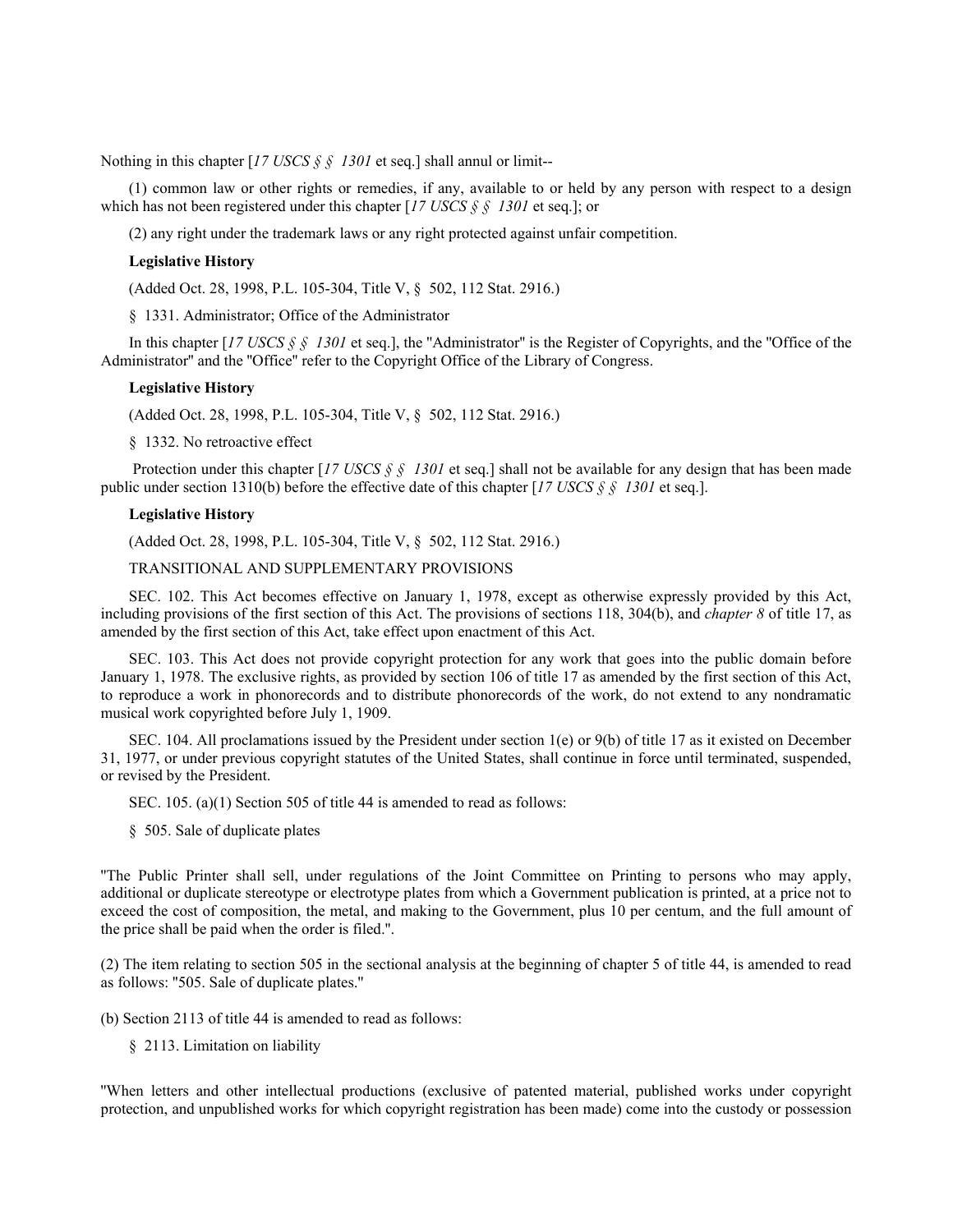Nothing in this chapter [*17 USCS § § 1301* et seq.] shall annul or limit--

(1) common law or other rights or remedies, if any, available to or held by any person with respect to a design which has not been registered under this chapter [*17 USCS § § 1301* et seq.]; or

(2) any right under the trademark laws or any right protected against unfair competition.

# **Legislative History**

(Added Oct. 28, 1998, P.L. 105-304, Title V, § 502, 112 Stat. 2916.)

§ 1331. Administrator; Office of the Administrator

In this chapter  $[17 \text{ USCS }$  §  $\frac{5}{9}$  1301 et seq.], the "Administrator" is the Register of Copyrights, and the "Office of the Administrator'' and the ''Office'' refer to the Copyright Office of the Library of Congress.

### **Legislative History**

(Added Oct. 28, 1998, P.L. 105-304, Title V, § 502, 112 Stat. 2916.)

§ 1332. No retroactive effect

 Protection under this chapter [*17 USCS § § 1301* et seq.] shall not be available for any design that has been made public under section 1310(b) before the effective date of this chapter [*17 USCS § § 1301* et seq.].

## **Legislative History**

(Added Oct. 28, 1998, P.L. 105-304, Title V, § 502, 112 Stat. 2916.)

TRANSITIONAL AND SUPPLEMENTARY PROVISIONS

SEC. 102. This Act becomes effective on January 1, 1978, except as otherwise expressly provided by this Act, including provisions of the first section of this Act. The provisions of sections 118, 304(b), and *chapter 8* of title 17, as amended by the first section of this Act, take effect upon enactment of this Act.

SEC. 103. This Act does not provide copyright protection for any work that goes into the public domain before January 1, 1978. The exclusive rights, as provided by section 106 of title 17 as amended by the first section of this Act, to reproduce a work in phonorecords and to distribute phonorecords of the work, do not extend to any nondramatic musical work copyrighted before July 1, 1909.

SEC. 104. All proclamations issued by the President under section 1(e) or 9(b) of title 17 as it existed on December 31, 1977, or under previous copyright statutes of the United States, shall continue in force until terminated, suspended, or revised by the President.

SEC. 105. (a)(1) Section 505 of title 44 is amended to read as follows:

§ 505. Sale of duplicate plates

''The Public Printer shall sell, under regulations of the Joint Committee on Printing to persons who may apply, additional or duplicate stereotype or electrotype plates from which a Government publication is printed, at a price not to exceed the cost of composition, the metal, and making to the Government, plus 10 per centum, and the full amount of the price shall be paid when the order is filed.''.

(2) The item relating to section 505 in the sectional analysis at the beginning of chapter 5 of title 44, is amended to read as follows: ''505. Sale of duplicate plates.''

(b) Section 2113 of title 44 is amended to read as follows:

§ 2113. Limitation on liability

''When letters and other intellectual productions (exclusive of patented material, published works under copyright protection, and unpublished works for which copyright registration has been made) come into the custody or possession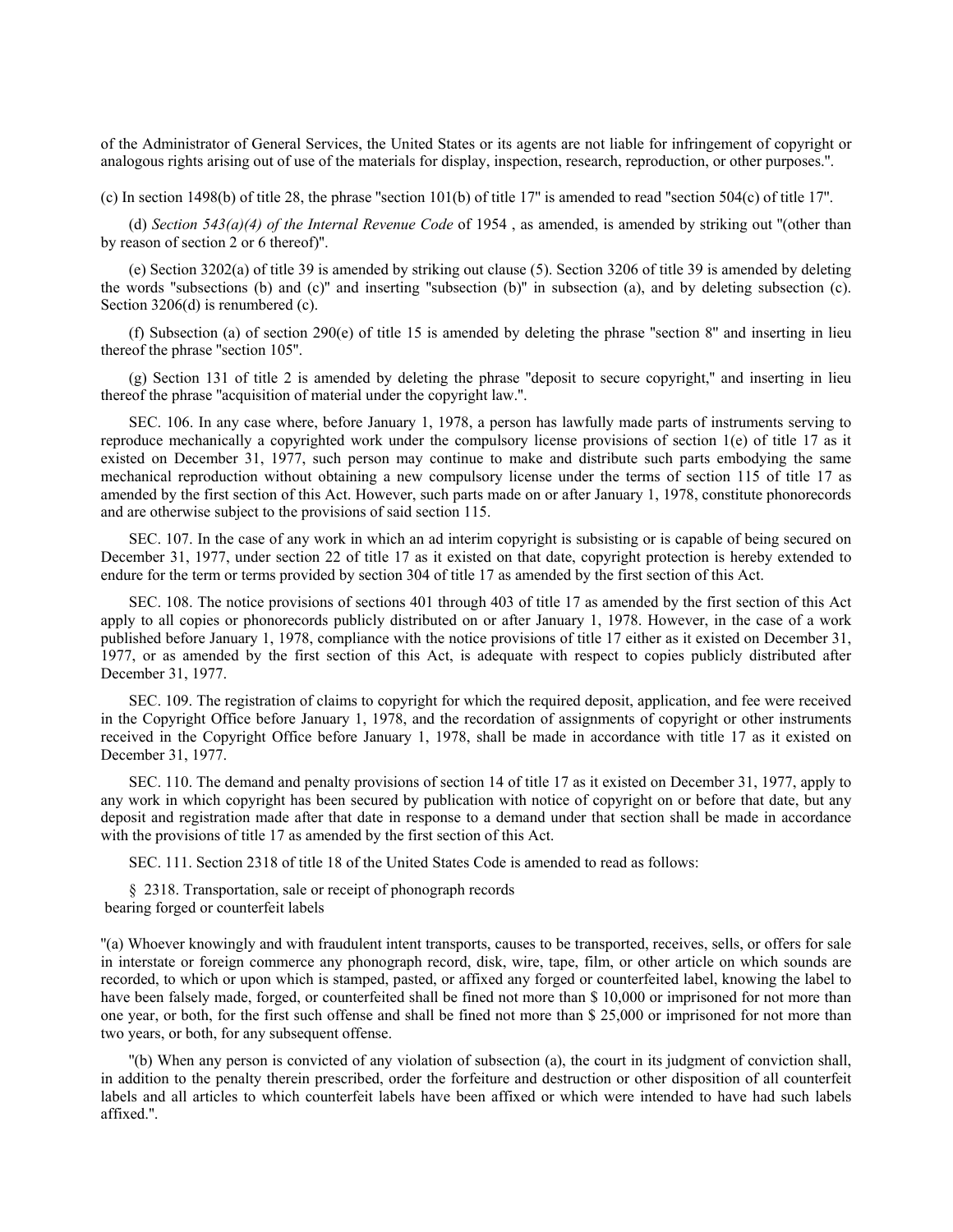of the Administrator of General Services, the United States or its agents are not liable for infringement of copyright or analogous rights arising out of use of the materials for display, inspection, research, reproduction, or other purposes.''.

(c) In section 1498(b) of title 28, the phrase "section 101(b) of title 17" is amended to read "section 504(c) of title 17".

(d) *Section 543(a)(4) of the Internal Revenue Code* of 1954 , as amended, is amended by striking out ''(other than by reason of section 2 or 6 thereof)''.

(e) Section 3202(a) of title 39 is amended by striking out clause (5). Section 3206 of title 39 is amended by deleting the words ''subsections (b) and (c)'' and inserting ''subsection (b)'' in subsection (a), and by deleting subsection (c). Section 3206(d) is renumbered (c).

(f) Subsection (a) of section 290(e) of title 15 is amended by deleting the phrase "section 8" and inserting in lieu thereof the phrase ''section 105''.

(g) Section 131 of title 2 is amended by deleting the phrase ''deposit to secure copyright,'' and inserting in lieu thereof the phrase ''acquisition of material under the copyright law.''.

SEC. 106. In any case where, before January 1, 1978, a person has lawfully made parts of instruments serving to reproduce mechanically a copyrighted work under the compulsory license provisions of section 1(e) of title 17 as it existed on December 31, 1977, such person may continue to make and distribute such parts embodying the same mechanical reproduction without obtaining a new compulsory license under the terms of section 115 of title 17 as amended by the first section of this Act. However, such parts made on or after January 1, 1978, constitute phonorecords and are otherwise subject to the provisions of said section 115.

SEC. 107. In the case of any work in which an ad interim copyright is subsisting or is capable of being secured on December 31, 1977, under section 22 of title 17 as it existed on that date, copyright protection is hereby extended to endure for the term or terms provided by section 304 of title 17 as amended by the first section of this Act.

SEC. 108. The notice provisions of sections 401 through 403 of title 17 as amended by the first section of this Act apply to all copies or phonorecords publicly distributed on or after January 1, 1978. However, in the case of a work published before January 1, 1978, compliance with the notice provisions of title 17 either as it existed on December 31, 1977, or as amended by the first section of this Act, is adequate with respect to copies publicly distributed after December 31, 1977.

SEC. 109. The registration of claims to copyright for which the required deposit, application, and fee were received in the Copyright Office before January 1, 1978, and the recordation of assignments of copyright or other instruments received in the Copyright Office before January 1, 1978, shall be made in accordance with title 17 as it existed on December 31, 1977.

SEC. 110. The demand and penalty provisions of section 14 of title 17 as it existed on December 31, 1977, apply to any work in which copyright has been secured by publication with notice of copyright on or before that date, but any deposit and registration made after that date in response to a demand under that section shall be made in accordance with the provisions of title 17 as amended by the first section of this Act.

SEC. 111. Section 2318 of title 18 of the United States Code is amended to read as follows:

§ 2318. Transportation, sale or receipt of phonograph records bearing forged or counterfeit labels

''(a) Whoever knowingly and with fraudulent intent transports, causes to be transported, receives, sells, or offers for sale in interstate or foreign commerce any phonograph record, disk, wire, tape, film, or other article on which sounds are recorded, to which or upon which is stamped, pasted, or affixed any forged or counterfeited label, knowing the label to have been falsely made, forged, or counterfeited shall be fined not more than \$ 10,000 or imprisoned for not more than one year, or both, for the first such offense and shall be fined not more than \$ 25,000 or imprisoned for not more than two years, or both, for any subsequent offense.

''(b) When any person is convicted of any violation of subsection (a), the court in its judgment of conviction shall, in addition to the penalty therein prescribed, order the forfeiture and destruction or other disposition of all counterfeit labels and all articles to which counterfeit labels have been affixed or which were intended to have had such labels affixed.''.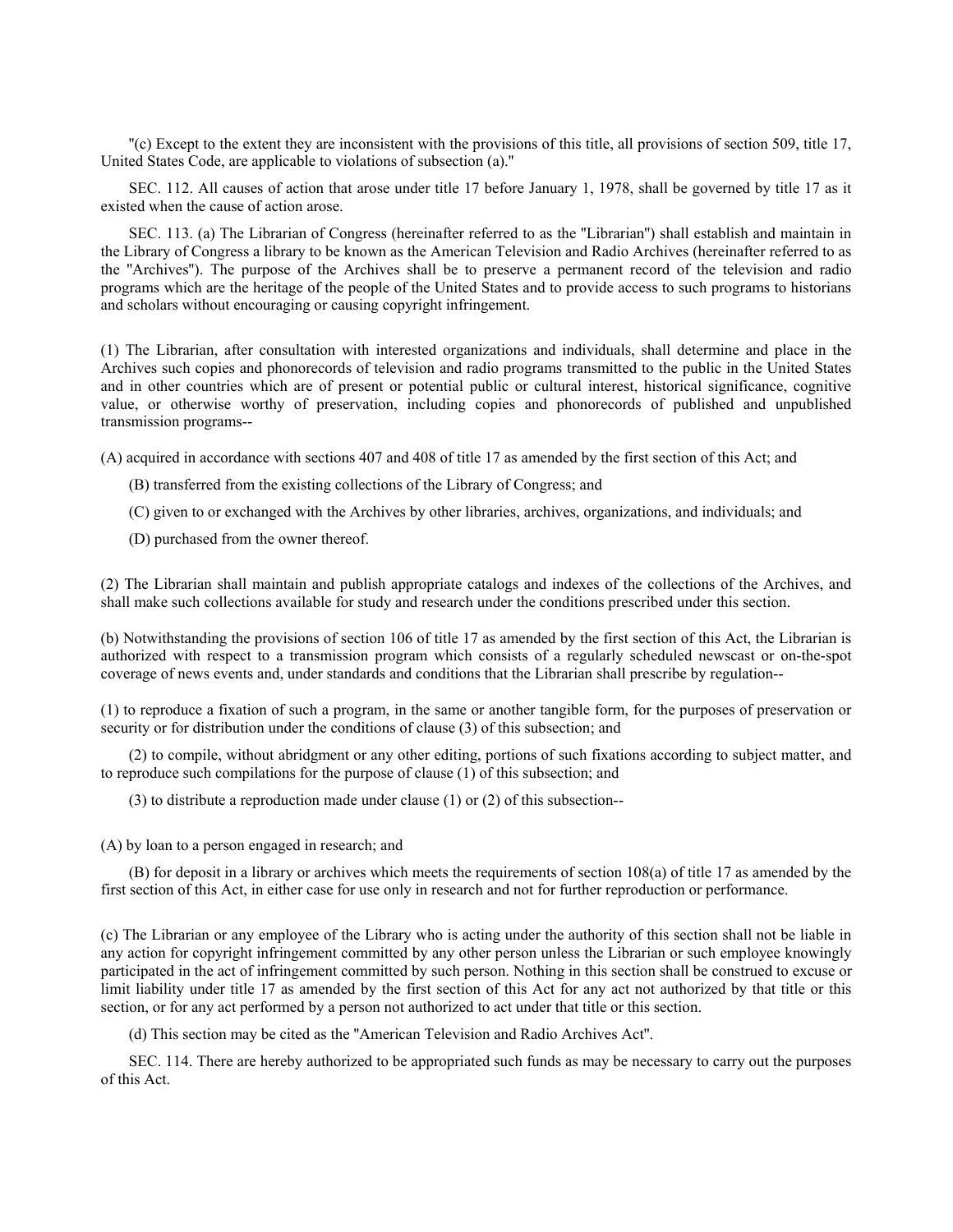''(c) Except to the extent they are inconsistent with the provisions of this title, all provisions of section 509, title 17, United States Code, are applicable to violations of subsection (a).''

SEC. 112. All causes of action that arose under title 17 before January 1, 1978, shall be governed by title 17 as it existed when the cause of action arose.

SEC. 113. (a) The Librarian of Congress (hereinafter referred to as the ''Librarian'') shall establish and maintain in the Library of Congress a library to be known as the American Television and Radio Archives (hereinafter referred to as the ''Archives''). The purpose of the Archives shall be to preserve a permanent record of the television and radio programs which are the heritage of the people of the United States and to provide access to such programs to historians and scholars without encouraging or causing copyright infringement.

(1) The Librarian, after consultation with interested organizations and individuals, shall determine and place in the Archives such copies and phonorecords of television and radio programs transmitted to the public in the United States and in other countries which are of present or potential public or cultural interest, historical significance, cognitive value, or otherwise worthy of preservation, including copies and phonorecords of published and unpublished transmission programs--

(A) acquired in accordance with sections 407 and 408 of title 17 as amended by the first section of this Act; and

- (B) transferred from the existing collections of the Library of Congress; and
- (C) given to or exchanged with the Archives by other libraries, archives, organizations, and individuals; and
- (D) purchased from the owner thereof.

(2) The Librarian shall maintain and publish appropriate catalogs and indexes of the collections of the Archives, and shall make such collections available for study and research under the conditions prescribed under this section.

(b) Notwithstanding the provisions of section 106 of title 17 as amended by the first section of this Act, the Librarian is authorized with respect to a transmission program which consists of a regularly scheduled newscast or on-the-spot coverage of news events and, under standards and conditions that the Librarian shall prescribe by regulation--

(1) to reproduce a fixation of such a program, in the same or another tangible form, for the purposes of preservation or security or for distribution under the conditions of clause (3) of this subsection; and

(2) to compile, without abridgment or any other editing, portions of such fixations according to subject matter, and to reproduce such compilations for the purpose of clause (1) of this subsection; and

(3) to distribute a reproduction made under clause (1) or (2) of this subsection--

(A) by loan to a person engaged in research; and

(B) for deposit in a library or archives which meets the requirements of section 108(a) of title 17 as amended by the first section of this Act, in either case for use only in research and not for further reproduction or performance.

(c) The Librarian or any employee of the Library who is acting under the authority of this section shall not be liable in any action for copyright infringement committed by any other person unless the Librarian or such employee knowingly participated in the act of infringement committed by such person. Nothing in this section shall be construed to excuse or limit liability under title 17 as amended by the first section of this Act for any act not authorized by that title or this section, or for any act performed by a person not authorized to act under that title or this section.

(d) This section may be cited as the ''American Television and Radio Archives Act''.

SEC. 114. There are hereby authorized to be appropriated such funds as may be necessary to carry out the purposes of this Act.